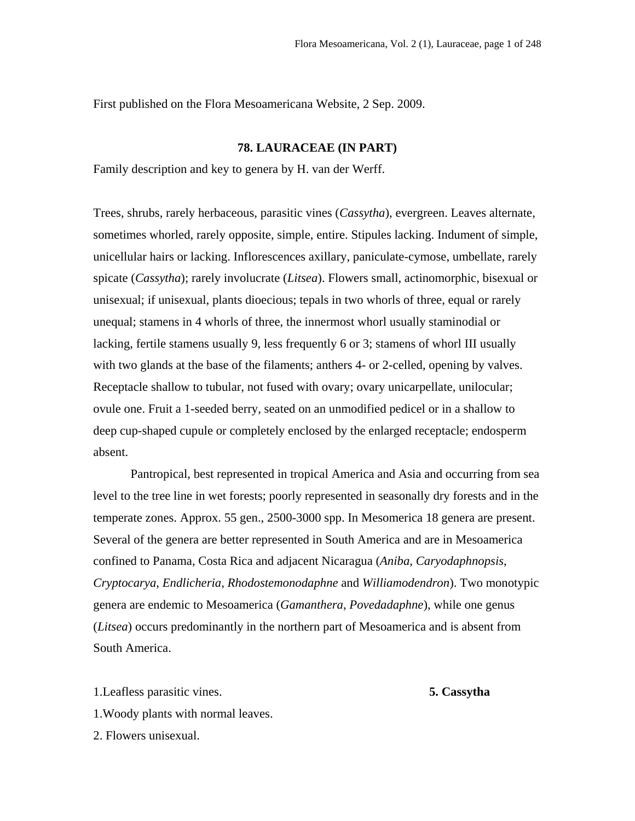First published on the Flora Mesoamericana Website, 2 Sep. 2009.

## **78. LAURACEAE (IN PART)**

Family description and key to genera by H. van der Werff.

Trees, shrubs, rarely herbaceous, parasitic vines (*Cassytha*), evergreen. Leaves alternate, sometimes whorled, rarely opposite, simple, entire. Stipules lacking. Indument of simple, unicellular hairs or lacking. Inflorescences axillary, paniculate-cymose, umbellate, rarely spicate (*Cassytha*); rarely involucrate (*Litsea*). Flowers small, actinomorphic, bisexual or unisexual; if unisexual, plants dioecious; tepals in two whorls of three, equal or rarely unequal; stamens in 4 whorls of three, the innermost whorl usually staminodial or lacking, fertile stamens usually 9, less frequently 6 or 3; stamens of whorl III usually with two glands at the base of the filaments; anthers 4- or 2-celled, opening by valves. Receptacle shallow to tubular, not fused with ovary; ovary unicarpellate, unilocular; ovule one. Fruit a 1-seeded berry, seated on an unmodified pedicel or in a shallow to deep cup-shaped cupule or completely enclosed by the enlarged receptacle; endosperm absent.

Pantropical, best represented in tropical America and Asia and occurring from sea level to the tree line in wet forests; poorly represented in seasonally dry forests and in the temperate zones. Approx. 55 gen., 2500-3000 spp. In Mesomerica 18 genera are present. Several of the genera are better represented in South America and are in Mesoamerica confined to Panama, Costa Rica and adjacent Nicaragua (*Aniba*, *Caryodaphnopsis*, *Cryptocarya*, *Endlicheria*, *Rhodostemonodaphne* and *Williamodendron*). Two monotypic genera are endemic to Mesoamerica (*Gamanthera*, *Povedadaphne*), while one genus (*Litsea*) occurs predominantly in the northern part of Mesoamerica and is absent from South America.

1.Leafless parasitic vines. **5. Cassytha** 1.Woody plants with normal leaves. 2. Flowers unisexual.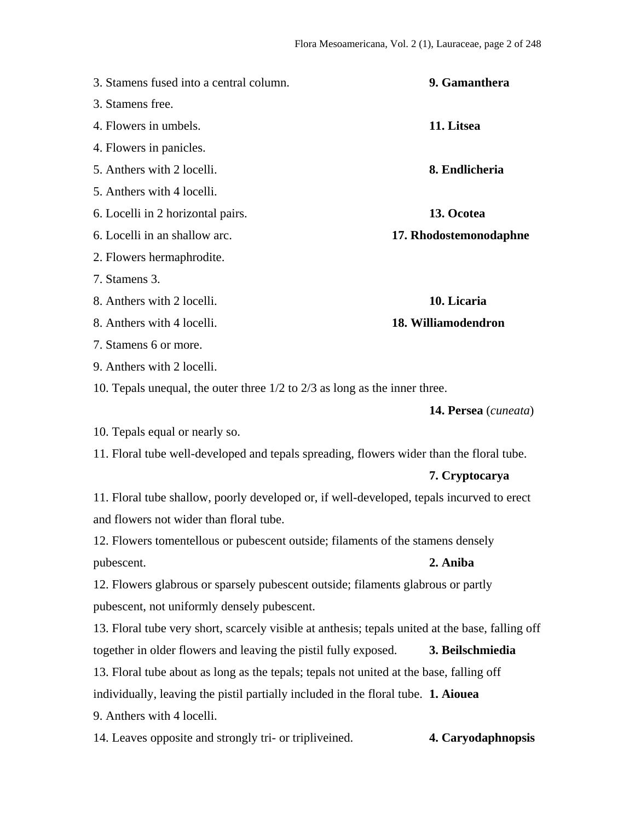| 3. Stamens fused into a central column.                                                          | 9. Gamanthera          |
|--------------------------------------------------------------------------------------------------|------------------------|
| 3. Stamens free.                                                                                 |                        |
| 4. Flowers in umbels.                                                                            | 11. Litsea             |
| 4. Flowers in panicles.                                                                          |                        |
| 5. Anthers with 2 locelli.                                                                       | 8. Endlicheria         |
| 5. Anthers with 4 locelli.                                                                       |                        |
| 6. Locelli in 2 horizontal pairs.                                                                | 13. Ocotea             |
| 6. Locelli in an shallow arc.                                                                    | 17. Rhodostemonodaphne |
| 2. Flowers hermaphrodite.                                                                        |                        |
| 7. Stamens 3.                                                                                    |                        |
| 8. Anthers with 2 locelli.                                                                       | 10. Licaria            |
| 8. Anthers with 4 locelli.                                                                       | 18. Williamodendron    |
| 7. Stamens 6 or more.                                                                            |                        |
| 9. Anthers with 2 locelli.                                                                       |                        |
| 10. Tepals unequal, the outer three $1/2$ to $2/3$ as long as the inner three.                   |                        |
|                                                                                                  | 14. Persea (cuneata)   |
| 10. Tepals equal or nearly so.                                                                   |                        |
| 11. Floral tube well-developed and tepals spreading, flowers wider than the floral tube.         |                        |
|                                                                                                  | 7. Cryptocarya         |
| 11. Floral tube shallow, poorly developed or, if well-developed, tepals incurved to erect        |                        |
| and flowers not wider than floral tube.                                                          |                        |
| 12. Flowers tomentellous or pubescent outside; filaments of the stamens densely                  |                        |
| pubescent.                                                                                       | 2. Aniba               |
| 12. Flowers glabrous or sparsely pubescent outside; filaments glabrous or partly                 |                        |
| pubescent, not uniformly densely pubescent.                                                      |                        |
| 13. Floral tube very short, scarcely visible at anthesis; tepals united at the base, falling off |                        |
| together in older flowers and leaving the pistil fully exposed.                                  | 3. Beilschmiedia       |
| 13. Floral tube about as long as the tepals; tepals not united at the base, falling off          |                        |
| individually, leaving the pistil partially included in the floral tube. 1. Aiouea                |                        |
| 9. Anthers with 4 locelli.                                                                       |                        |
| 14. Leaves opposite and strongly tri- or tripliveined.                                           | 4. Caryodaphnopsis     |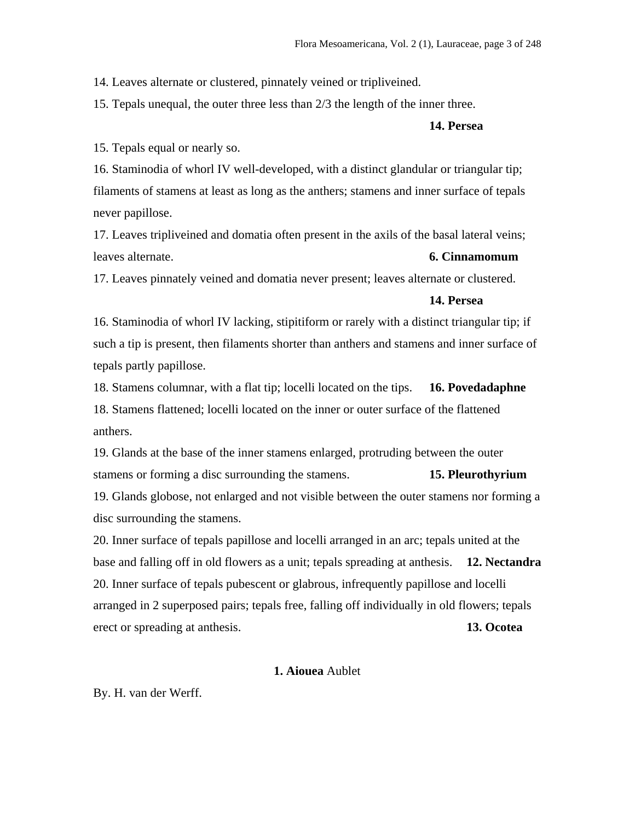14. Leaves alternate or clustered, pinnately veined or tripliveined.

15. Tepals unequal, the outer three less than 2/3 the length of the inner three.

## **14. Persea**

15. Tepals equal or nearly so.

16. Staminodia of whorl IV well-developed, with a distinct glandular or triangular tip; filaments of stamens at least as long as the anthers; stamens and inner surface of tepals never papillose.

17. Leaves tripliveined and domatia often present in the axils of the basal lateral veins; leaves alternate. **6. Cinnamomum**

17. Leaves pinnately veined and domatia never present; leaves alternate or clustered.

#### **14. Persea**

16. Staminodia of whorl IV lacking, stipitiform or rarely with a distinct triangular tip; if such a tip is present, then filaments shorter than anthers and stamens and inner surface of tepals partly papillose.

18. Stamens columnar, with a flat tip; locelli located on the tips. **16. Povedadaphne** 18. Stamens flattened; locelli located on the inner or outer surface of the flattened anthers.

19. Glands at the base of the inner stamens enlarged, protruding between the outer stamens or forming a disc surrounding the stamens. **15. Pleurothyrium** 19. Glands globose, not enlarged and not visible between the outer stamens nor forming a disc surrounding the stamens.

20. Inner surface of tepals papillose and locelli arranged in an arc; tepals united at the base and falling off in old flowers as a unit; tepals spreading at anthesis. **12. Nectandra** 20. Inner surface of tepals pubescent or glabrous, infrequently papillose and locelli arranged in 2 superposed pairs; tepals free, falling off individually in old flowers; tepals erect or spreading at anthesis. **13. Ocotea** 

# **1. Aiouea** Aublet

By. H. van der Werff.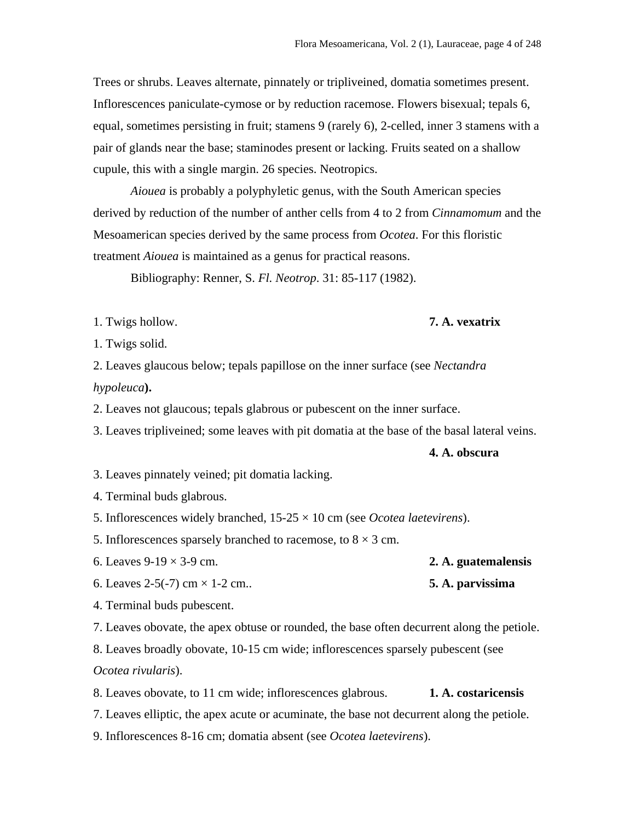Trees or shrubs. Leaves alternate, pinnately or tripliveined, domatia sometimes present. Inflorescences paniculate-cymose or by reduction racemose. Flowers bisexual; tepals 6, equal, sometimes persisting in fruit; stamens 9 (rarely 6), 2-celled, inner 3 stamens with a pair of glands near the base; staminodes present or lacking. Fruits seated on a shallow cupule, this with a single margin. 26 species. Neotropics.

*Aiouea* is probably a polyphyletic genus, with the South American species derived by reduction of the number of anther cells from 4 to 2 from *Cinnamomum* and the Mesoamerican species derived by the same process from *Ocotea*. For this floristic treatment *Aiouea* is maintained as a genus for practical reasons.

Bibliography: Renner, S. *Fl. Neotrop*. 31: 85-117 (1982).

1. Twigs hollow. **7. A. vexatrix**

1. Twigs solid.

2. Leaves glaucous below; tepals papillose on the inner surface (see *Nectandra hypoleuca***).**

2. Leaves not glaucous; tepals glabrous or pubescent on the inner surface.

3. Leaves tripliveined; some leaves with pit domatia at the base of the basal lateral veins.

#### **4. A. obscura**

- 3. Leaves pinnately veined; pit domatia lacking.
- 4. Terminal buds glabrous.
- 5. Inflorescences widely branched, 15-25 × 10 cm (see *Ocotea laetevirens*).

5. Inflorescences sparsely branched to racemose, to  $8 \times 3$  cm.

6. Leaves  $9-19 \times 3-9$  cm. **2. A. guatemalensis** 6. Leaves 2-5(-7) cm × 1-2 cm.. **5. A. parvissima**

4. Terminal buds pubescent.

7. Leaves obovate, the apex obtuse or rounded, the base often decurrent along the petiole.

8. Leaves broadly obovate, 10-15 cm wide; inflorescences sparsely pubescent (see *Ocotea rivularis*).

8. Leaves obovate, to 11 cm wide; inflorescences glabrous. **1. A. costaricensis** 7. Leaves elliptic, the apex acute or acuminate, the base not decurrent along the petiole.

9. Inflorescences 8-16 cm; domatia absent (see *Ocotea laetevirens*).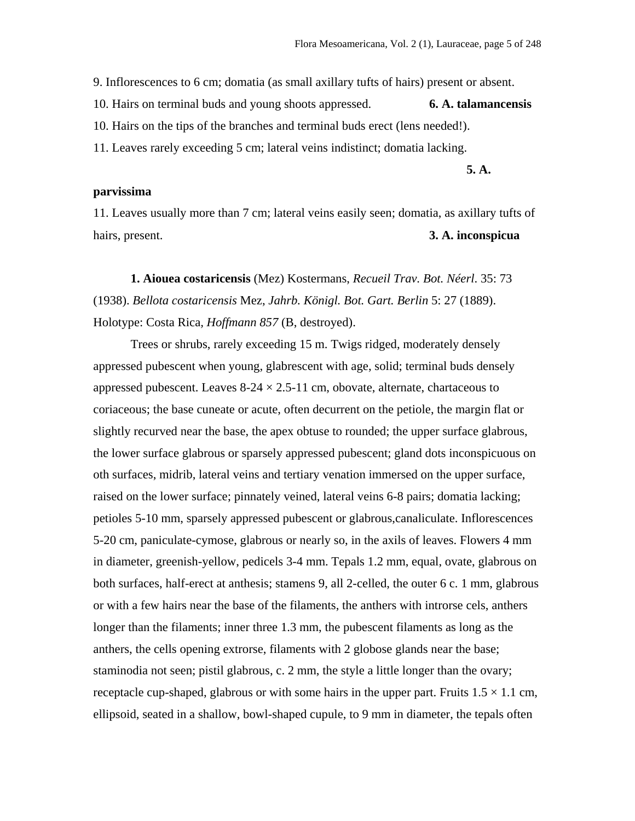9. Inflorescences to 6 cm; domatia (as small axillary tufts of hairs) present or absent.

10. Hairs on terminal buds and young shoots appressed. **6. A. talamancensis**

10. Hairs on the tips of the branches and terminal buds erect (lens needed!).

11. Leaves rarely exceeding 5 cm; lateral veins indistinct; domatia lacking.

**5. A.** 

## **parvissima**

11. Leaves usually more than 7 cm; lateral veins easily seen; domatia, as axillary tufts of hairs, present. **3. A. inconspicua**

**1. Aiouea costaricensis** (Mez) Kostermans, *Recueil Trav. Bot. Néerl*. 35: 73 (1938). *Bellota costaricensis* Mez, *Jahrb. Königl. Bot. Gart. Berlin* 5: 27 (1889). Holotype: Costa Rica*, Hoffmann 857* (B, destroyed).

Trees or shrubs, rarely exceeding 15 m. Twigs ridged, moderately densely appressed pubescent when young, glabrescent with age, solid; terminal buds densely appressed pubescent. Leaves  $8-24 \times 2.5-11$  cm, obovate, alternate, chartaceous to coriaceous; the base cuneate or acute, often decurrent on the petiole, the margin flat or slightly recurved near the base, the apex obtuse to rounded; the upper surface glabrous, the lower surface glabrous or sparsely appressed pubescent; gland dots inconspicuous on oth surfaces, midrib, lateral veins and tertiary venation immersed on the upper surface, raised on the lower surface; pinnately veined, lateral veins 6-8 pairs; domatia lacking; petioles 5-10 mm, sparsely appressed pubescent or glabrous,canaliculate. Inflorescences 5-20 cm, paniculate-cymose, glabrous or nearly so, in the axils of leaves. Flowers 4 mm in diameter, greenish-yellow, pedicels 3-4 mm. Tepals 1.2 mm, equal, ovate, glabrous on both surfaces, half-erect at anthesis; stamens 9, all 2-celled, the outer 6 c. 1 mm, glabrous or with a few hairs near the base of the filaments, the anthers with introrse cels, anthers longer than the filaments; inner three 1.3 mm, the pubescent filaments as long as the anthers, the cells opening extrorse, filaments with 2 globose glands near the base; staminodia not seen; pistil glabrous, c. 2 mm, the style a little longer than the ovary; receptacle cup-shaped, glabrous or with some hairs in the upper part. Fruits  $1.5 \times 1.1$  cm, ellipsoid, seated in a shallow, bowl-shaped cupule, to 9 mm in diameter, the tepals often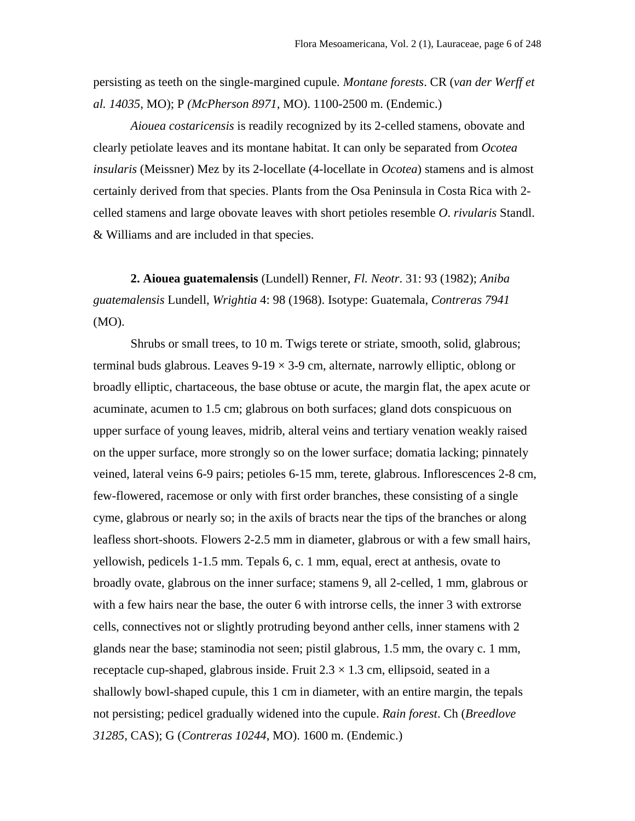persisting as teeth on the single-margined cupule*. Montane forests*. CR (*van der Werff et al. 14035*, MO); P *(McPherson 8971*, MO). 1100-2500 m. (Endemic.)

*Aiouea costaricensis* is readily recognized by its 2-celled stamens, obovate and clearly petiolate leaves and its montane habitat. It can only be separated from *Ocotea insularis* (Meissner) Mez by its 2-locellate (4-locellate in *Ocotea*) stamens and is almost certainly derived from that species. Plants from the Osa Peninsula in Costa Rica with 2 celled stamens and large obovate leaves with short petioles resemble *O*. *rivularis* Standl. & Williams and are included in that species.

**2. Aiouea guatemalensis** (Lundell) Renner*, Fl. Neotr*. 31: 93 (1982); *Aniba guatemalensis* Lundell, *Wrightia* 4: 98 (1968). Isotype: Guatemala, *Contreras 7941* (MO).

Shrubs or small trees, to 10 m. Twigs terete or striate, smooth, solid, glabrous; terminal buds glabrous. Leaves  $9-19 \times 3-9$  cm, alternate, narrowly elliptic, oblong or broadly elliptic, chartaceous, the base obtuse or acute, the margin flat, the apex acute or acuminate, acumen to 1.5 cm; glabrous on both surfaces; gland dots conspicuous on upper surface of young leaves, midrib, alteral veins and tertiary venation weakly raised on the upper surface, more strongly so on the lower surface; domatia lacking; pinnately veined, lateral veins 6-9 pairs; petioles 6-15 mm, terete, glabrous. Inflorescences 2-8 cm, few-flowered, racemose or only with first order branches, these consisting of a single cyme, glabrous or nearly so; in the axils of bracts near the tips of the branches or along leafless short-shoots. Flowers 2-2.5 mm in diameter, glabrous or with a few small hairs, yellowish, pedicels 1-1.5 mm. Tepals 6, c. 1 mm, equal, erect at anthesis, ovate to broadly ovate, glabrous on the inner surface; stamens 9, all 2-celled, 1 mm, glabrous or with a few hairs near the base, the outer 6 with introrse cells, the inner 3 with extrorse cells, connectives not or slightly protruding beyond anther cells, inner stamens with 2 glands near the base; staminodia not seen; pistil glabrous, 1.5 mm, the ovary c. 1 mm, receptacle cup-shaped, glabrous inside. Fruit  $2.3 \times 1.3$  cm, ellipsoid, seated in a shallowly bowl-shaped cupule, this 1 cm in diameter, with an entire margin, the tepals not persisting; pedicel gradually widened into the cupule. *Rain forest*. Ch (*Breedlove 31285*, CAS); G (*Contreras 10244*, MO). 1600 m. (Endemic.)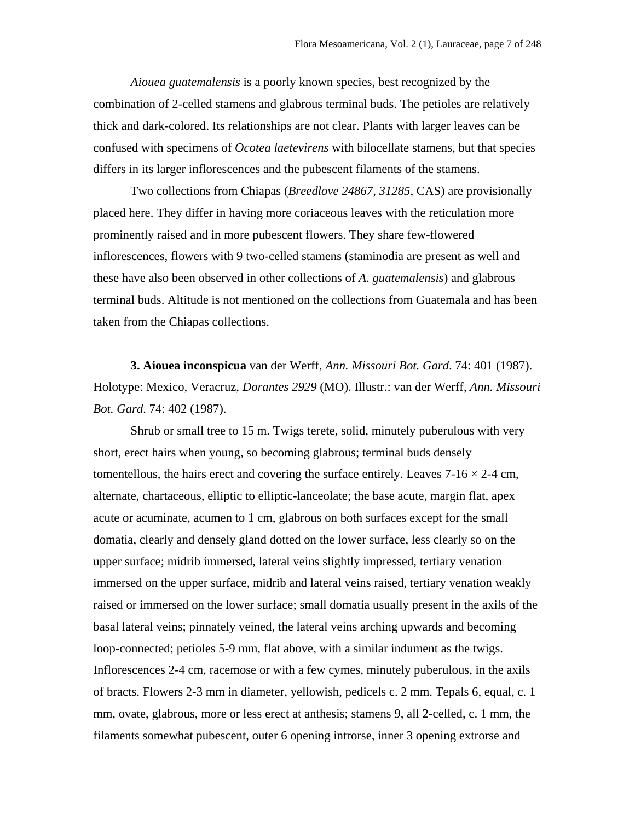*Aiouea guatemalensis* is a poorly known species, best recognized by the combination of 2-celled stamens and glabrous terminal buds. The petioles are relatively thick and dark-colored. Its relationships are not clear. Plants with larger leaves can be confused with specimens of *Ocotea laetevirens* with bilocellate stamens, but that species differs in its larger inflorescences and the pubescent filaments of the stamens.

Two collections from Chiapas (*Breedlove 24867, 31285*, CAS) are provisionally placed here. They differ in having more coriaceous leaves with the reticulation more prominently raised and in more pubescent flowers. They share few-flowered inflorescences, flowers with 9 two-celled stamens (staminodia are present as well and these have also been observed in other collections of *A. guatemalensis*) and glabrous terminal buds. Altitude is not mentioned on the collections from Guatemala and has been taken from the Chiapas collections.

**3. Aiouea inconspicua** van der Werff, *Ann. Missouri Bot. Gard*. 74: 401 (1987). Holotype: Mexico, Veracruz, *Dorantes 2929* (MO). Illustr.: van der Werff, *Ann. Missouri Bot. Gard*. 74: 402 (1987).

Shrub or small tree to 15 m. Twigs terete, solid, minutely puberulous with very short, erect hairs when young, so becoming glabrous; terminal buds densely tomentellous, the hairs erect and covering the surface entirely. Leaves  $7\n-16 \times 2\n-4$  cm, alternate, chartaceous, elliptic to elliptic-lanceolate; the base acute, margin flat, apex acute or acuminate, acumen to 1 cm, glabrous on both surfaces except for the small domatia, clearly and densely gland dotted on the lower surface, less clearly so on the upper surface; midrib immersed, lateral veins slightly impressed, tertiary venation immersed on the upper surface, midrib and lateral veins raised, tertiary venation weakly raised or immersed on the lower surface; small domatia usually present in the axils of the basal lateral veins; pinnately veined, the lateral veins arching upwards and becoming loop-connected; petioles 5-9 mm, flat above, with a similar indument as the twigs. Inflorescences 2-4 cm, racemose or with a few cymes, minutely puberulous, in the axils of bracts. Flowers 2-3 mm in diameter, yellowish, pedicels c. 2 mm. Tepals 6, equal, c. 1 mm, ovate, glabrous, more or less erect at anthesis; stamens 9, all 2-celled, c. 1 mm, the filaments somewhat pubescent, outer 6 opening introrse, inner 3 opening extrorse and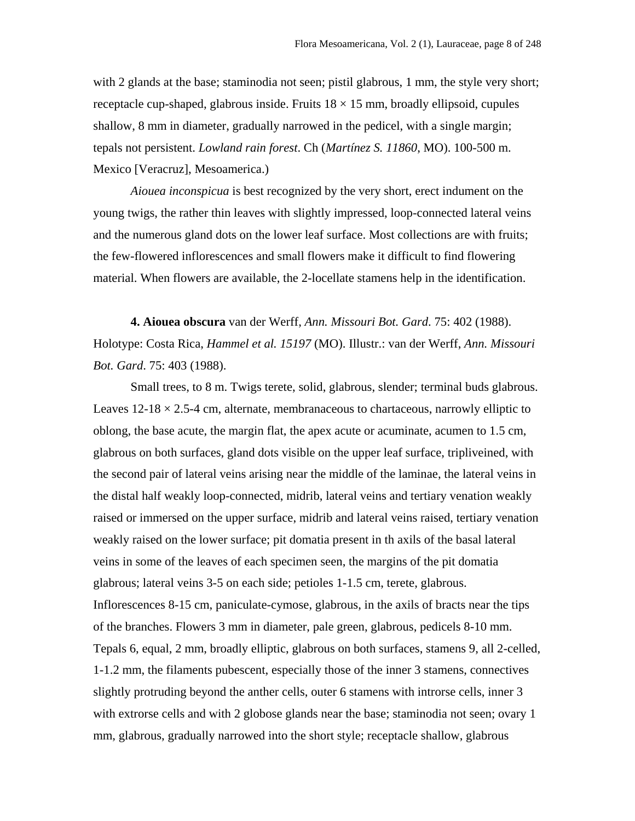with 2 glands at the base; staminodia not seen; pistil glabrous, 1 mm, the style very short; receptacle cup-shaped, glabrous inside. Fruits  $18 \times 15$  mm, broadly ellipsoid, cupules shallow, 8 mm in diameter, gradually narrowed in the pedicel, with a single margin; tepals not persistent. *Lowland rain forest*. Ch (*Martínez S. 11860*, MO). 100-500 m. Mexico [Veracruz], Mesoamerica.)

*Aiouea inconspicua* is best recognized by the very short, erect indument on the young twigs, the rather thin leaves with slightly impressed, loop-connected lateral veins and the numerous gland dots on the lower leaf surface. Most collections are with fruits; the few-flowered inflorescences and small flowers make it difficult to find flowering material. When flowers are available, the 2-locellate stamens help in the identification.

**4. Aiouea obscura** van der Werff, *Ann. Missouri Bot. Gard*. 75: 402 (1988). Holotype: Costa Rica, *Hammel et al. 15197* (MO). Illustr.: van der Werff, *Ann. Missouri Bot. Gard*. 75: 403 (1988).

Small trees, to 8 m. Twigs terete, solid, glabrous, slender; terminal buds glabrous. Leaves  $12\n-18 \times 2.5\n-4$  cm, alternate, membranaceous to chartaceous, narrowly elliptic to oblong, the base acute, the margin flat, the apex acute or acuminate, acumen to 1.5 cm, glabrous on both surfaces, gland dots visible on the upper leaf surface, tripliveined, with the second pair of lateral veins arising near the middle of the laminae, the lateral veins in the distal half weakly loop-connected, midrib, lateral veins and tertiary venation weakly raised or immersed on the upper surface, midrib and lateral veins raised, tertiary venation weakly raised on the lower surface; pit domatia present in th axils of the basal lateral veins in some of the leaves of each specimen seen, the margins of the pit domatia glabrous; lateral veins 3-5 on each side; petioles 1-1.5 cm, terete, glabrous. Inflorescences 8-15 cm, paniculate-cymose, glabrous, in the axils of bracts near the tips of the branches. Flowers 3 mm in diameter, pale green, glabrous, pedicels 8-10 mm. Tepals 6, equal, 2 mm, broadly elliptic, glabrous on both surfaces, stamens 9, all 2-celled, 1-1.2 mm, the filaments pubescent, especially those of the inner 3 stamens, connectives slightly protruding beyond the anther cells, outer 6 stamens with introrse cells, inner 3 with extrorse cells and with 2 globose glands near the base; staminodia not seen; ovary 1 mm, glabrous, gradually narrowed into the short style; receptacle shallow, glabrous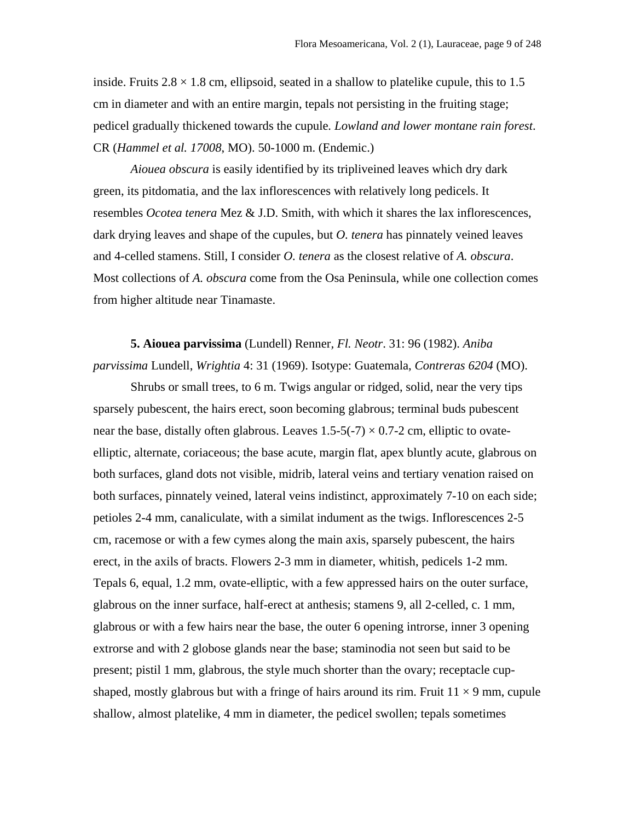inside. Fruits  $2.8 \times 1.8$  cm, ellipsoid, seated in a shallow to platelike cupule, this to 1.5 cm in diameter and with an entire margin, tepals not persisting in the fruiting stage; pedicel gradually thickened towards the cupule*. Lowland and lower montane rain forest*. CR (*Hammel et al. 17008*, MO). 50-1000 m. (Endemic.)

*Aiouea obscura* is easily identified by its tripliveined leaves which dry dark green, its pitdomatia, and the lax inflorescences with relatively long pedicels. It resembles *Ocotea tenera* Mez & J.D. Smith, with which it shares the lax inflorescences, dark drying leaves and shape of the cupules, but *O. tenera* has pinnately veined leaves and 4-celled stamens. Still, I consider *O. tenera* as the closest relative of *A. obscura*. Most collections of *A. obscura* come from the Osa Peninsula, while one collection comes from higher altitude near Tinamaste.

**5. Aiouea parvissima** (Lundell) Renner*, Fl. Neotr*. 31: 96 (1982). *Aniba parvissima* Lundell, *Wrightia* 4: 31 (1969). Isotype: Guatemala, *Contreras 6204* (MO).

Shrubs or small trees, to 6 m. Twigs angular or ridged, solid, near the very tips sparsely pubescent, the hairs erect, soon becoming glabrous; terminal buds pubescent near the base, distally often glabrous. Leaves  $1.5-5(-7) \times 0.7-2$  cm, elliptic to ovateelliptic, alternate, coriaceous; the base acute, margin flat, apex bluntly acute, glabrous on both surfaces, gland dots not visible, midrib, lateral veins and tertiary venation raised on both surfaces, pinnately veined, lateral veins indistinct, approximately 7-10 on each side; petioles 2-4 mm, canaliculate, with a similat indument as the twigs. Inflorescences 2-5 cm, racemose or with a few cymes along the main axis, sparsely pubescent, the hairs erect, in the axils of bracts. Flowers 2-3 mm in diameter, whitish, pedicels 1-2 mm. Tepals 6, equal, 1.2 mm, ovate-elliptic, with a few appressed hairs on the outer surface, glabrous on the inner surface, half-erect at anthesis; stamens 9, all 2-celled, c. 1 mm, glabrous or with a few hairs near the base, the outer 6 opening introrse, inner 3 opening extrorse and with 2 globose glands near the base; staminodia not seen but said to be present; pistil 1 mm, glabrous, the style much shorter than the ovary; receptacle cupshaped, mostly glabrous but with a fringe of hairs around its rim. Fruit  $11 \times 9$  mm, cupule shallow, almost platelike, 4 mm in diameter, the pedicel swollen; tepals sometimes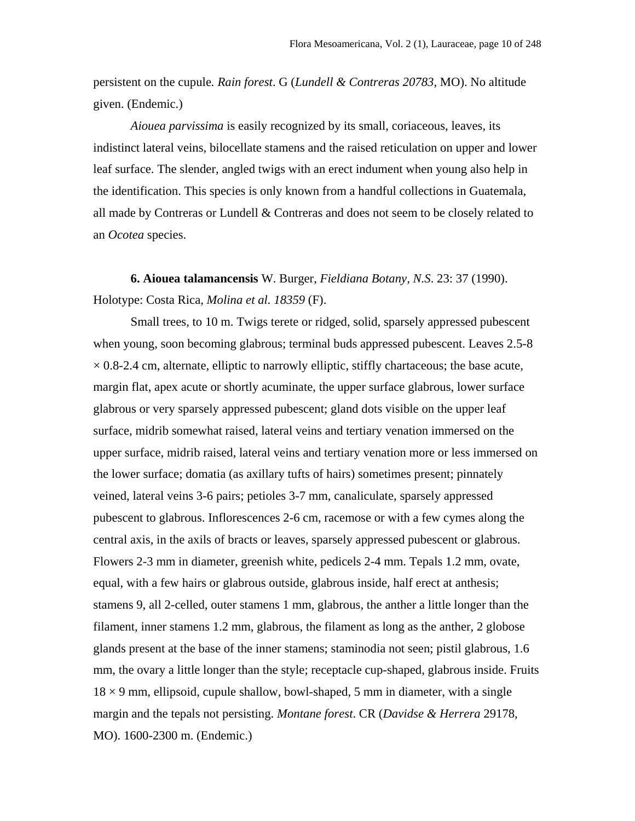persistent on the cupule*. Rain forest*. G (*Lundell & Contreras 20783*, MO). No altitude given. (Endemic.)

*Aiouea parvissima* is easily recognized by its small, coriaceous, leaves, its indistinct lateral veins, bilocellate stamens and the raised reticulation on upper and lower leaf surface. The slender, angled twigs with an erect indument when young also help in the identification. This species is only known from a handful collections in Guatemala, all made by Contreras or Lundell & Contreras and does not seem to be closely related to an *Ocotea* species.

**6. Aiouea talamancensis** W. Burger, *Fieldiana Botany, N.S*. 23: 37 (1990). Holotype: Costa Rica, *Molina et al. 18359* (F).

Small trees, to 10 m. Twigs terete or ridged, solid, sparsely appressed pubescent when young, soon becoming glabrous; terminal buds appressed pubescent. Leaves 2.5-8  $\times$  0.8-2.4 cm, alternate, elliptic to narrowly elliptic, stiffly chartaceous; the base acute, margin flat, apex acute or shortly acuminate, the upper surface glabrous, lower surface glabrous or very sparsely appressed pubescent; gland dots visible on the upper leaf surface, midrib somewhat raised, lateral veins and tertiary venation immersed on the upper surface, midrib raised, lateral veins and tertiary venation more or less immersed on the lower surface; domatia (as axillary tufts of hairs) sometimes present; pinnately veined, lateral veins 3-6 pairs; petioles 3-7 mm, canaliculate, sparsely appressed pubescent to glabrous. Inflorescences 2-6 cm, racemose or with a few cymes along the central axis, in the axils of bracts or leaves, sparsely appressed pubescent or glabrous. Flowers 2-3 mm in diameter, greenish white, pedicels 2-4 mm. Tepals 1.2 mm, ovate, equal, with a few hairs or glabrous outside, glabrous inside, half erect at anthesis; stamens 9, all 2-celled, outer stamens 1 mm, glabrous, the anther a little longer than the filament, inner stamens 1.2 mm, glabrous, the filament as long as the anther, 2 globose glands present at the base of the inner stamens; staminodia not seen; pistil glabrous, 1.6 mm, the ovary a little longer than the style; receptacle cup-shaped, glabrous inside. Fruits  $18 \times 9$  mm, ellipsoid, cupule shallow, bowl-shaped, 5 mm in diameter, with a single margin and the tepals not persisting. *Montane forest*. CR (*Davidse & Herrera* 29178, MO). 1600-2300 m. (Endemic.)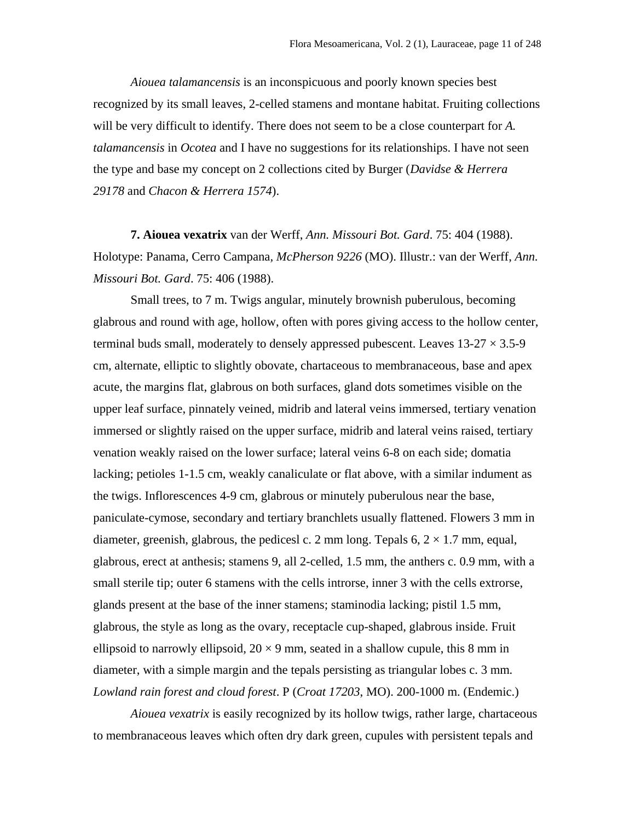*Aiouea talamancensis* is an inconspicuous and poorly known species best recognized by its small leaves, 2-celled stamens and montane habitat. Fruiting collections will be very difficult to identify. There does not seem to be a close counterpart for *A. talamancensis* in *Ocotea* and I have no suggestions for its relationships. I have not seen the type and base my concept on 2 collections cited by Burger (*Davidse & Herrera 29178* and *Chacon & Herrera 1574*).

**7. Aiouea vexatrix** van der Werff, *Ann. Missouri Bot. Gard*. 75: 404 (1988). Holotype: Panama, Cerro Campana*, McPherson 9226* (MO). Illustr.: van der Werff, *Ann. Missouri Bot. Gard*. 75: 406 (1988).

Small trees, to 7 m. Twigs angular, minutely brownish puberulous, becoming glabrous and round with age, hollow, often with pores giving access to the hollow center, terminal buds small, moderately to densely appressed pubescent. Leaves  $13-27 \times 3.5-9$ cm, alternate, elliptic to slightly obovate, chartaceous to membranaceous, base and apex acute, the margins flat, glabrous on both surfaces, gland dots sometimes visible on the upper leaf surface, pinnately veined, midrib and lateral veins immersed, tertiary venation immersed or slightly raised on the upper surface, midrib and lateral veins raised, tertiary venation weakly raised on the lower surface; lateral veins 6-8 on each side; domatia lacking; petioles 1-1.5 cm, weakly canaliculate or flat above, with a similar indument as the twigs. Inflorescences 4-9 cm, glabrous or minutely puberulous near the base, paniculate-cymose, secondary and tertiary branchlets usually flattened. Flowers 3 mm in diameter, greenish, glabrous, the pedicesl c. 2 mm long. Tepals 6,  $2 \times 1.7$  mm, equal, glabrous, erect at anthesis; stamens 9, all 2-celled, 1.5 mm, the anthers c. 0.9 mm, with a small sterile tip; outer 6 stamens with the cells introrse, inner 3 with the cells extrorse, glands present at the base of the inner stamens; staminodia lacking; pistil 1.5 mm, glabrous, the style as long as the ovary, receptacle cup-shaped, glabrous inside. Fruit ellipsoid to narrowly ellipsoid,  $20 \times 9$  mm, seated in a shallow cupule, this 8 mm in diameter, with a simple margin and the tepals persisting as triangular lobes c. 3 mm*. Lowland rain forest and cloud forest*. P (*Croat 17203*, MO). 200-1000 m. (Endemic.)

*Aiouea vexatrix* is easily recognized by its hollow twigs, rather large, chartaceous to membranaceous leaves which often dry dark green, cupules with persistent tepals and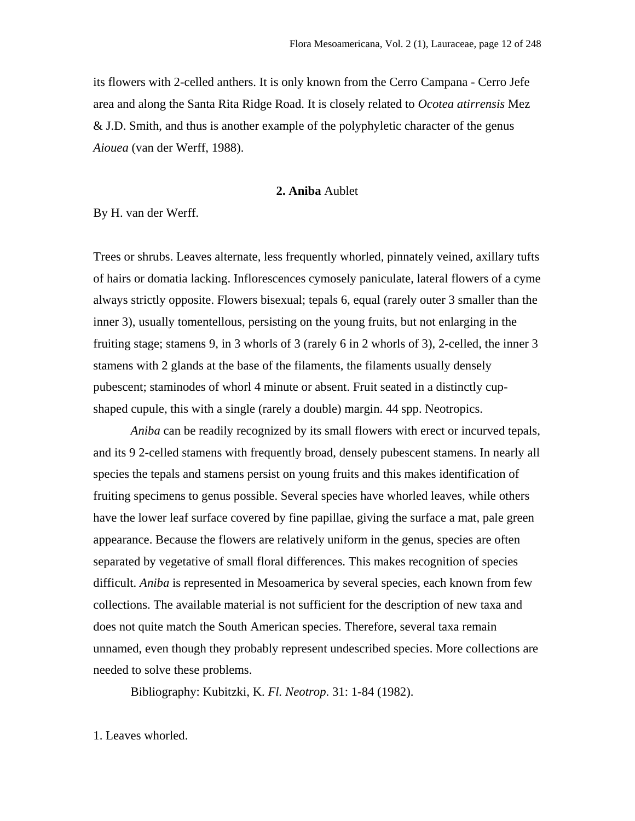its flowers with 2-celled anthers. It is only known from the Cerro Campana - Cerro Jefe area and along the Santa Rita Ridge Road. It is closely related to *Ocotea atirrensis* Mez  $&$  J.D. Smith, and thus is another example of the polyphyletic character of the genus *Aiouea* (van der Werff, 1988).

## **2. Aniba** Aublet

By H. van der Werff.

Trees or shrubs. Leaves alternate, less frequently whorled, pinnately veined, axillary tufts of hairs or domatia lacking. Inflorescences cymosely paniculate, lateral flowers of a cyme always strictly opposite. Flowers bisexual; tepals 6, equal (rarely outer 3 smaller than the inner 3), usually tomentellous, persisting on the young fruits, but not enlarging in the fruiting stage; stamens 9, in 3 whorls of 3 (rarely 6 in 2 whorls of 3), 2-celled, the inner 3 stamens with 2 glands at the base of the filaments, the filaments usually densely pubescent; staminodes of whorl 4 minute or absent. Fruit seated in a distinctly cupshaped cupule, this with a single (rarely a double) margin. 44 spp. Neotropics.

*Aniba* can be readily recognized by its small flowers with erect or incurved tepals, and its 9 2-celled stamens with frequently broad, densely pubescent stamens. In nearly all species the tepals and stamens persist on young fruits and this makes identification of fruiting specimens to genus possible. Several species have whorled leaves, while others have the lower leaf surface covered by fine papillae, giving the surface a mat, pale green appearance. Because the flowers are relatively uniform in the genus, species are often separated by vegetative of small floral differences. This makes recognition of species difficult. *Aniba* is represented in Mesoamerica by several species, each known from few collections. The available material is not sufficient for the description of new taxa and does not quite match the South American species. Therefore, several taxa remain unnamed, even though they probably represent undescribed species. More collections are needed to solve these problems.

Bibliography: Kubitzki, K. *Fl. Neotrop*. 31: 1-84 (1982).

1. Leaves whorled.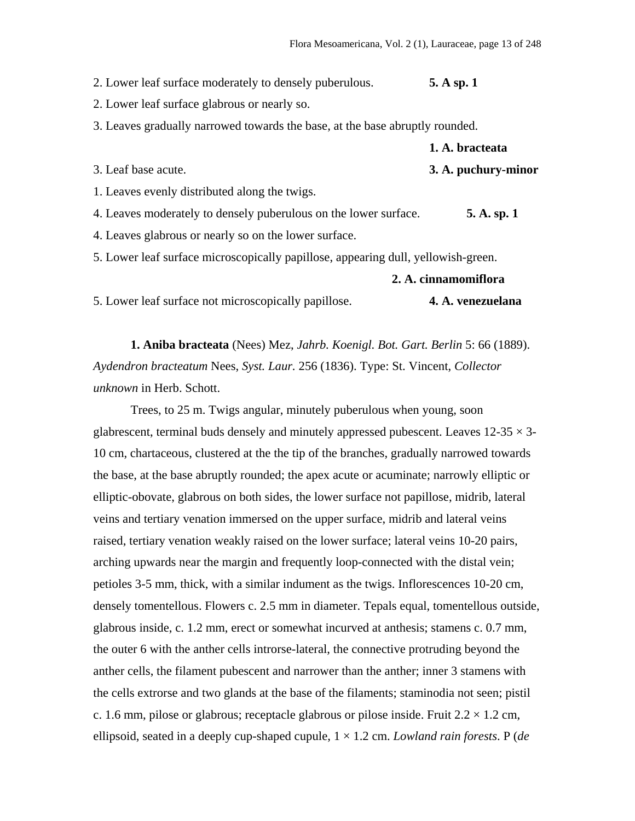2. Lower leaf surface moderately to densely puberulous. **5. A sp. 1**

2. Lower leaf surface glabrous or nearly so.

3. Leaves gradually narrowed towards the base, at the base abruptly rounded.

|                                               | 1. A. bracteata     |
|-----------------------------------------------|---------------------|
| 3. Leaf base acute.                           | 3. A. puchury-minor |
| 1. Leaves evenly distributed along the twigs. |                     |

4. Leaves moderately to densely puberulous on the lower surface. **5. A. sp. 1**

4. Leaves glabrous or nearly so on the lower surface.

5. Lower leaf surface microscopically papillose, appearing dull, yellowish-green.

## **2. A. cinnamomiflora**

5. Lower leaf surface not microscopically papillose. **4. A. venezuelana** 

**1. Aniba bracteata** (Nees) Mez, *Jahrb. Koenigl. Bot. Gart. Berlin* 5: 66 (1889). *Aydendron bracteatum* Nees, *Syst. Laur.* 256 (1836). Type: St. Vincent, *Collector unknown* in Herb. Schott.

Trees, to 25 m. Twigs angular, minutely puberulous when young, soon glabrescent, terminal buds densely and minutely appressed pubescent. Leaves  $12-35 \times 3-12$ 10 cm, chartaceous, clustered at the the tip of the branches, gradually narrowed towards the base, at the base abruptly rounded; the apex acute or acuminate; narrowly elliptic or elliptic-obovate, glabrous on both sides, the lower surface not papillose, midrib, lateral veins and tertiary venation immersed on the upper surface, midrib and lateral veins raised, tertiary venation weakly raised on the lower surface; lateral veins 10-20 pairs, arching upwards near the margin and frequently loop-connected with the distal vein; petioles 3-5 mm, thick, with a similar indument as the twigs. Inflorescences 10-20 cm, densely tomentellous. Flowers c. 2.5 mm in diameter. Tepals equal, tomentellous outside, glabrous inside, c. 1.2 mm, erect or somewhat incurved at anthesis; stamens c. 0.7 mm, the outer 6 with the anther cells introrse-lateral, the connective protruding beyond the anther cells, the filament pubescent and narrower than the anther; inner 3 stamens with the cells extrorse and two glands at the base of the filaments; staminodia not seen; pistil c. 1.6 mm, pilose or glabrous; receptacle glabrous or pilose inside. Fruit  $2.2 \times 1.2$  cm, ellipsoid, seated in a deeply cup-shaped cupule, 1 × 1.2 cm. *Lowland rain forests*. P (*de*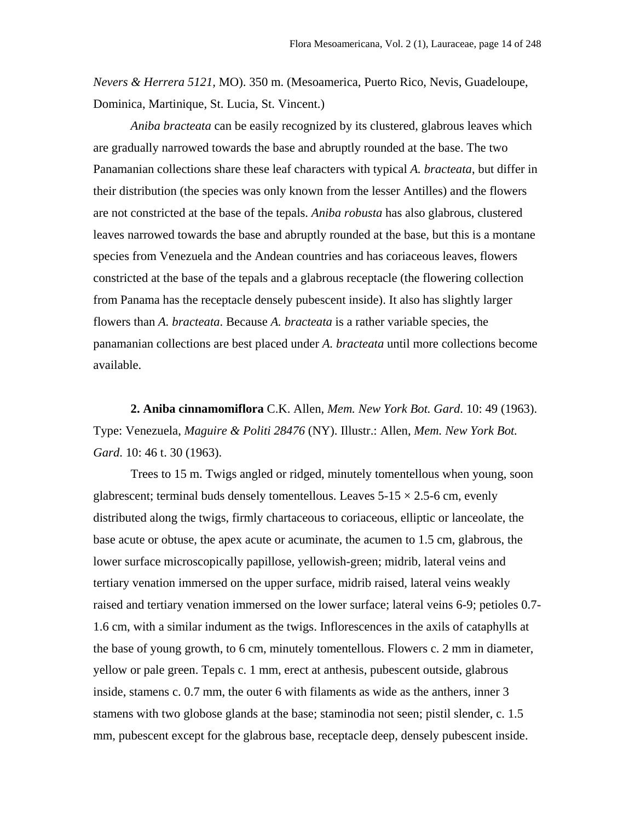*Nevers & Herrera 5121,* MO). 350 m. (Mesoamerica, Puerto Rico, Nevis, Guadeloupe, Dominica, Martinique, St. Lucia, St. Vincent.)

*Aniba bracteata* can be easily recognized by its clustered, glabrous leaves which are gradually narrowed towards the base and abruptly rounded at the base. The two Panamanian collections share these leaf characters with typical *A. bracteata*, but differ in their distribution (the species was only known from the lesser Antilles) and the flowers are not constricted at the base of the tepals. *Aniba robusta* has also glabrous, clustered leaves narrowed towards the base and abruptly rounded at the base, but this is a montane species from Venezuela and the Andean countries and has coriaceous leaves, flowers constricted at the base of the tepals and a glabrous receptacle (the flowering collection from Panama has the receptacle densely pubescent inside). It also has slightly larger flowers than *A. bracteata*. Because *A. bracteata* is a rather variable species, the panamanian collections are best placed under *A. bracteata* until more collections become available.

**2. Aniba cinnamomiflora** C.K. Allen, *Mem. New York Bot. Gard*. 10: 49 (1963). Type: Venezuela, *Maguire & Politi 28476* (NY). Illustr.: Allen, *Mem. New York Bot. Gard*. 10: 46 t. 30 (1963).

Trees to 15 m. Twigs angled or ridged, minutely tomentellous when young, soon glabrescent; terminal buds densely tomentellous. Leaves  $5-15 \times 2.5-6$  cm, evenly distributed along the twigs, firmly chartaceous to coriaceous, elliptic or lanceolate, the base acute or obtuse, the apex acute or acuminate, the acumen to 1.5 cm, glabrous, the lower surface microscopically papillose, yellowish-green; midrib, lateral veins and tertiary venation immersed on the upper surface, midrib raised, lateral veins weakly raised and tertiary venation immersed on the lower surface; lateral veins 6-9; petioles 0.7- 1.6 cm, with a similar indument as the twigs. Inflorescences in the axils of cataphylls at the base of young growth, to 6 cm, minutely tomentellous. Flowers c. 2 mm in diameter, yellow or pale green. Tepals c. 1 mm, erect at anthesis, pubescent outside, glabrous inside, stamens c. 0.7 mm, the outer 6 with filaments as wide as the anthers, inner 3 stamens with two globose glands at the base; staminodia not seen; pistil slender, c. 1.5 mm, pubescent except for the glabrous base, receptacle deep, densely pubescent inside.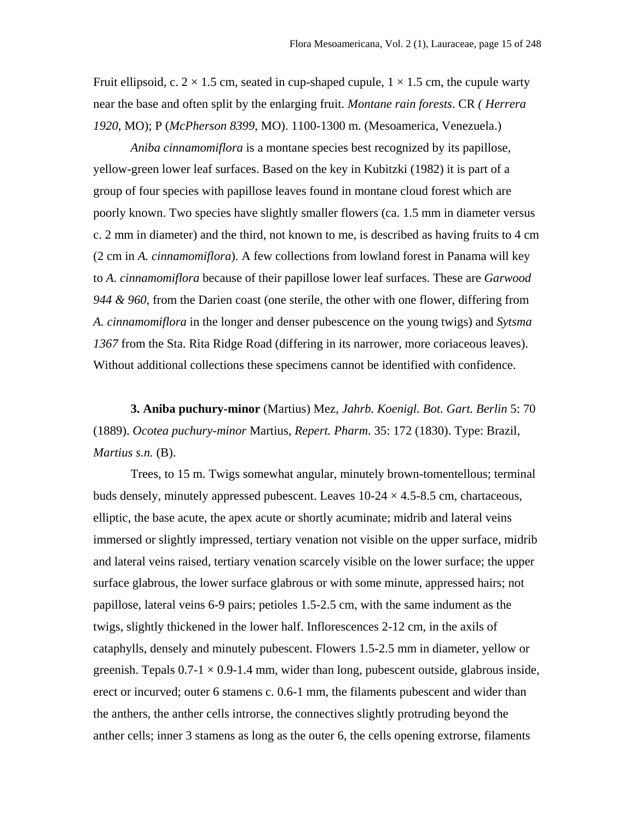Fruit ellipsoid, c.  $2 \times 1.5$  cm, seated in cup-shaped cupule,  $1 \times 1.5$  cm, the cupule warty near the base and often split by the enlarging fruit. *Montane rain forests*. CR *( Herrera 1920*, MO); P (*McPherson 8399*, MO). 1100-1300 m. (Mesoamerica, Venezuela.)

*Aniba cinnamomiflora* is a montane species best recognized by its papillose, yellow-green lower leaf surfaces. Based on the key in Kubitzki (1982) it is part of a group of four species with papillose leaves found in montane cloud forest which are poorly known. Two species have slightly smaller flowers (ca. 1.5 mm in diameter versus c. 2 mm in diameter) and the third, not known to me, is described as having fruits to 4 cm (2 cm in *A. cinnamomiflora*). A few collections from lowland forest in Panama will key to *A. cinnamomiflora* because of their papillose lower leaf surfaces. These are *Garwood 944 & 960*, from the Darien coast (one sterile, the other with one flower, differing from *A. cinnamomiflora* in the longer and denser pubescence on the young twigs) and *Sytsma 1367* from the Sta. Rita Ridge Road (differing in its narrower, more coriaceous leaves). Without additional collections these specimens cannot be identified with confidence.

**3. Aniba puchury-minor** (Martius) Mez, *Jahrb. Koenigl. Bot. Gart. Berlin* 5: 70 (1889). *Ocotea puchury*-*minor* Martius, *Repert. Pharm*. 35: 172 (1830). Type: Brazil, *Martius s.n.* (B).

Trees, to 15 m. Twigs somewhat angular, minutely brown-tomentellous; terminal buds densely, minutely appressed pubescent. Leaves  $10\n-24 \times 4.5\n-8.5$  cm, chartaceous, elliptic, the base acute, the apex acute or shortly acuminate; midrib and lateral veins immersed or slightly impressed, tertiary venation not visible on the upper surface, midrib and lateral veins raised, tertiary venation scarcely visible on the lower surface; the upper surface glabrous, the lower surface glabrous or with some minute, appressed hairs; not papillose, lateral veins 6-9 pairs; petioles 1.5-2.5 cm, with the same indument as the twigs, slightly thickened in the lower half. Inflorescences 2-12 cm, in the axils of cataphylls, densely and minutely pubescent. Flowers 1.5-2.5 mm in diameter, yellow or greenish. Tepals  $0.7-1 \times 0.9-1.4$  mm, wider than long, pubescent outside, glabrous inside, erect or incurved; outer 6 stamens c. 0.6-1 mm, the filaments pubescent and wider than the anthers, the anther cells introrse, the connectives slightly protruding beyond the anther cells; inner 3 stamens as long as the outer 6, the cells opening extrorse, filaments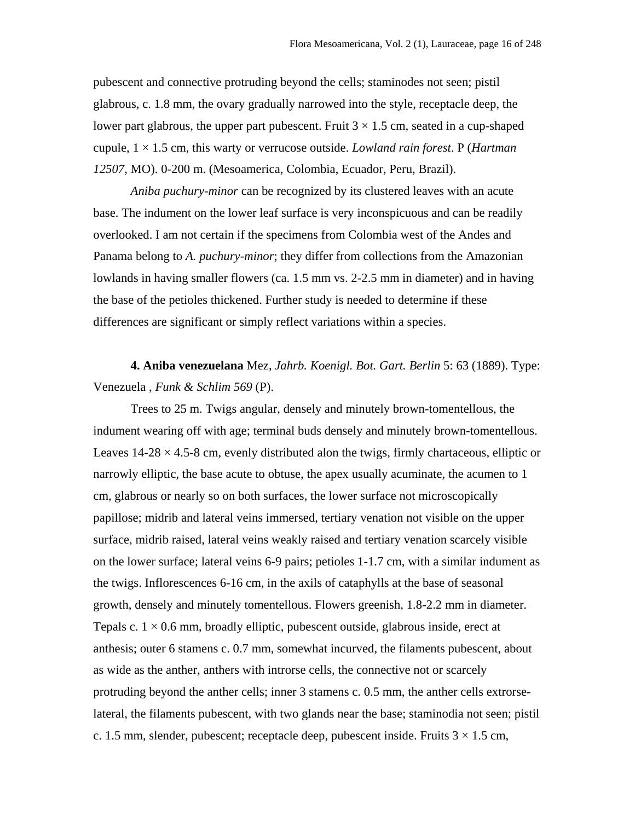pubescent and connective protruding beyond the cells; staminodes not seen; pistil glabrous, c. 1.8 mm, the ovary gradually narrowed into the style, receptacle deep, the lower part glabrous, the upper part pubescent. Fruit  $3 \times 1.5$  cm, seated in a cup-shaped cupule, 1 × 1.5 cm, this warty or verrucose outside. *Lowland rain forest*. P (*Hartman 12507*, MO). 0-200 m. (Mesoamerica, Colombia, Ecuador, Peru, Brazil).

*Aniba puchury-minor* can be recognized by its clustered leaves with an acute base. The indument on the lower leaf surface is very inconspicuous and can be readily overlooked. I am not certain if the specimens from Colombia west of the Andes and Panama belong to *A. puchury-minor*; they differ from collections from the Amazonian lowlands in having smaller flowers (ca. 1.5 mm vs. 2-2.5 mm in diameter) and in having the base of the petioles thickened. Further study is needed to determine if these differences are significant or simply reflect variations within a species.

**4. Aniba venezuelana** Mez, *Jahrb. Koenigl. Bot. Gart. Berlin* 5: 63 (1889). Type: Venezuela , *Funk & Schlim 569* (P).

Trees to 25 m. Twigs angular, densely and minutely brown-tomentellous, the indument wearing off with age; terminal buds densely and minutely brown-tomentellous. Leaves  $14-28 \times 4.5-8$  cm, evenly distributed alon the twigs, firmly chartaceous, elliptic or narrowly elliptic, the base acute to obtuse, the apex usually acuminate, the acumen to 1 cm, glabrous or nearly so on both surfaces, the lower surface not microscopically papillose; midrib and lateral veins immersed, tertiary venation not visible on the upper surface, midrib raised, lateral veins weakly raised and tertiary venation scarcely visible on the lower surface; lateral veins 6-9 pairs; petioles 1-1.7 cm, with a similar indument as the twigs. Inflorescences 6-16 cm, in the axils of cataphylls at the base of seasonal growth, densely and minutely tomentellous. Flowers greenish, 1.8-2.2 mm in diameter. Tepals c.  $1 \times 0.6$  mm, broadly elliptic, pubescent outside, glabrous inside, erect at anthesis; outer 6 stamens c. 0.7 mm, somewhat incurved, the filaments pubescent, about as wide as the anther, anthers with introrse cells, the connective not or scarcely protruding beyond the anther cells; inner 3 stamens c. 0.5 mm, the anther cells extrorselateral, the filaments pubescent, with two glands near the base; staminodia not seen; pistil c. 1.5 mm, slender, pubescent; receptacle deep, pubescent inside. Fruits  $3 \times 1.5$  cm,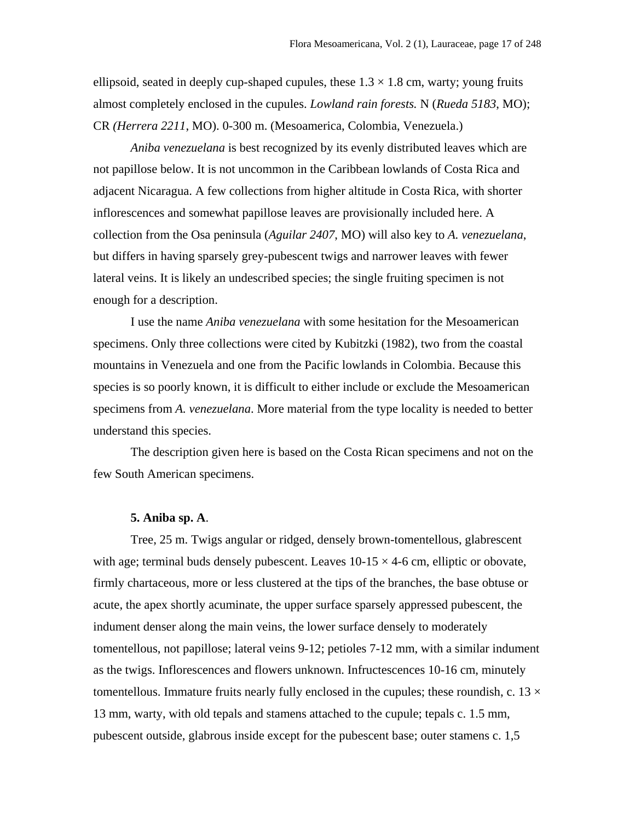ellipsoid, seated in deeply cup-shaped cupules, these  $1.3 \times 1.8$  cm, warty; young fruits almost completely enclosed in the cupules. *Lowland rain forests.* N (*Rueda 5183*, MO); CR *(Herrera 2211*, MO). 0-300 m. (Mesoamerica, Colombia, Venezuela.)

*Aniba venezuelana* is best recognized by its evenly distributed leaves which are not papillose below. It is not uncommon in the Caribbean lowlands of Costa Rica and adjacent Nicaragua. A few collections from higher altitude in Costa Rica, with shorter inflorescences and somewhat papillose leaves are provisionally included here. A collection from the Osa peninsula (*Aguilar 2407*, MO) will also key to *A. venezuelana*, but differs in having sparsely grey-pubescent twigs and narrower leaves with fewer lateral veins. It is likely an undescribed species; the single fruiting specimen is not enough for a description.

I use the name *Aniba venezuelana* with some hesitation for the Mesoamerican specimens. Only three collections were cited by Kubitzki (1982), two from the coastal mountains in Venezuela and one from the Pacific lowlands in Colombia. Because this species is so poorly known, it is difficult to either include or exclude the Mesoamerican specimens from *A. venezuelana*. More material from the type locality is needed to better understand this species.

The description given here is based on the Costa Rican specimens and not on the few South American specimens.

#### **5. Aniba sp. A**.

Tree, 25 m. Twigs angular or ridged, densely brown-tomentellous, glabrescent with age; terminal buds densely pubescent. Leaves  $10-15 \times 4-6$  cm, elliptic or obovate, firmly chartaceous, more or less clustered at the tips of the branches, the base obtuse or acute, the apex shortly acuminate, the upper surface sparsely appressed pubescent, the indument denser along the main veins, the lower surface densely to moderately tomentellous, not papillose; lateral veins 9-12; petioles 7-12 mm, with a similar indument as the twigs. Inflorescences and flowers unknown. Infructescences 10-16 cm, minutely tomentellous. Immature fruits nearly fully enclosed in the cupules; these roundish, c. 13  $\times$ 13 mm, warty, with old tepals and stamens attached to the cupule; tepals c. 1.5 mm, pubescent outside, glabrous inside except for the pubescent base; outer stamens c. 1,5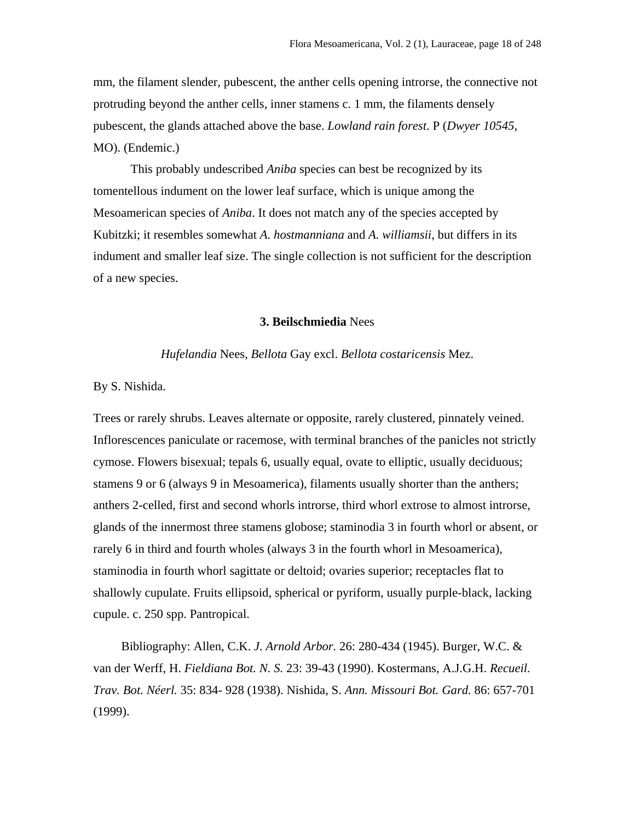mm, the filament slender, pubescent, the anther cells opening introrse, the connective not protruding beyond the anther cells, inner stamens c. 1 mm, the filaments densely pubescent, the glands attached above the base. *Lowland rain forest*. P (*Dwyer 10545*, MO). (Endemic.)

This probably undescribed *Aniba* species can best be recognized by its tomentellous indument on the lower leaf surface, which is unique among the Mesoamerican species of *Aniba*. It does not match any of the species accepted by Kubitzki; it resembles somewhat *A. hostmanniana* and *A. williamsii*, but differs in its indument and smaller leaf size. The single collection is not sufficient for the description of a new species.

### **3. Beilschmiedia** Nees

*Hufelandia* Nees, *Bellota* Gay excl. *Bellota costaricensis* Mez.

#### By S. Nishida.

Trees or rarely shrubs. Leaves alternate or opposite, rarely clustered, pinnately veined. Inflorescences paniculate or racemose, with terminal branches of the panicles not strictly cymose. Flowers bisexual; tepals 6, usually equal, ovate to elliptic, usually deciduous; stamens 9 or 6 (always 9 in Mesoamerica), filaments usually shorter than the anthers; anthers 2-celled, first and second whorls introrse, third whorl extrose to almost introrse, glands of the innermost three stamens globose; staminodia 3 in fourth whorl or absent, or rarely 6 in third and fourth wholes (always 3 in the fourth whorl in Mesoamerica), staminodia in fourth whorl sagittate or deltoid; ovaries superior; receptacles flat to shallowly cupulate. Fruits ellipsoid, spherical or pyriform, usually purple-black, lacking cupule. c. 250 spp. Pantropical.

 Bibliography: Allen, C.K. *J. Arnold Arbor.* 26: 280-434 (1945). Burger, W.C. & van der Werff, H. *Fieldiana Bot. N. S.* 23: 39-43 (1990). Kostermans, A.J.G.H. *Recueil. Trav. Bot. Néerl.* 35: 834- 928 (1938). Nishida, S. *Ann. Missouri Bot. Gard.* 86: 657-701 (1999).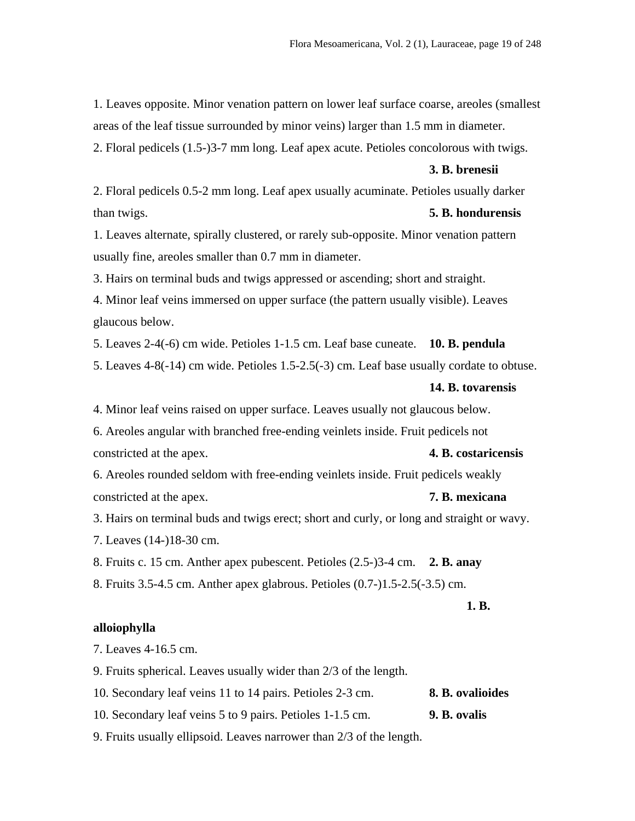1. Leaves opposite. Minor venation pattern on lower leaf surface coarse, areoles (smallest areas of the leaf tissue surrounded by minor veins) larger than 1.5 mm in diameter.

2. Floral pedicels (1.5-)3-7 mm long. Leaf apex acute. Petioles concolorous with twigs.

#### **3. B. brenesii**

2. Floral pedicels 0.5-2 mm long. Leaf apex usually acuminate. Petioles usually darker than twigs. **5. B. hondurensis** 

1. Leaves alternate, spirally clustered, or rarely sub-opposite. Minor venation pattern usually fine, areoles smaller than 0.7 mm in diameter.

3. Hairs on terminal buds and twigs appressed or ascending; short and straight.

4. Minor leaf veins immersed on upper surface (the pattern usually visible). Leaves glaucous below.

5. Leaves 2-4(-6) cm wide. Petioles 1-1.5 cm. Leaf base cuneate. **10. B. pendula** 

5. Leaves 4-8(-14) cm wide. Petioles 1.5-2.5(-3) cm. Leaf base usually cordate to obtuse.

#### **14. B. tovarensis**

4. Minor leaf veins raised on upper surface. Leaves usually not glaucous below.

6. Areoles angular with branched free-ending veinlets inside. Fruit pedicels not constricted at the apex. **4. B. costaricensis** 

6. Areoles rounded seldom with free-ending veinlets inside. Fruit pedicels weakly constricted at the apex. **7. B. mexicana** 

3. Hairs on terminal buds and twigs erect; short and curly, or long and straight or wavy.

7. Leaves (14-)18-30 cm.

8. Fruits c. 15 cm. Anther apex pubescent. Petioles (2.5-)3-4 cm. **2. B. anay** 

8. Fruits 3.5-4.5 cm. Anther apex glabrous. Petioles (0.7-)1.5-2.5(-3.5) cm.

## **1. B.**

#### **alloiophylla**

7. Leaves 4-16.5 cm.

9. Fruits spherical. Leaves usually wider than 2/3 of the length.

10. Secondary leaf veins 11 to 14 pairs. Petioles 2-3 cm. **8. B. ovalioides** 

10. Secondary leaf veins 5 to 9 pairs. Petioles 1-1.5 cm. **9. B. ovalis** 

9. Fruits usually ellipsoid. Leaves narrower than 2/3 of the length.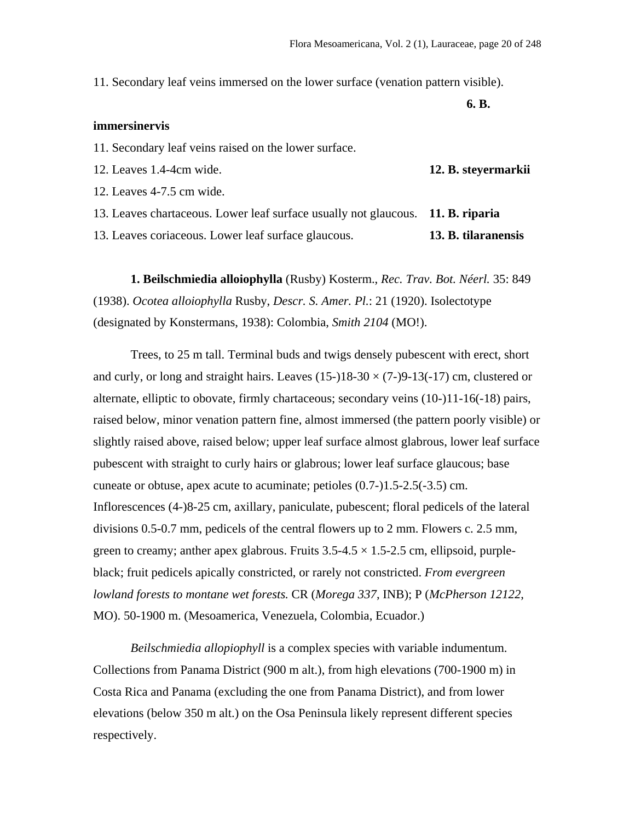11. Secondary leaf veins immersed on the lower surface (venation pattern visible).

**6. B.** 

## **immersinervis**

11. Secondary leaf veins raised on the lower surface.

12. Leaves 1.4-4cm wide. **12. B. steyermarkii** 

12. Leaves 4-7.5 cm wide.

13. Leaves chartaceous. Lower leaf surface usually not glaucous. **11. B. riparia**

13. Leaves coriaceous. Lower leaf surface glaucous. **13. B. tilaranensis**

**1. Beilschmiedia alloiophylla** (Rusby) Kosterm., *Rec. Trav. Bot. Néerl.* 35: 849 (1938). *Ocotea alloiophylla* Rusby, *Descr. S. Amer. Pl.*: 21 (1920). Isolectotype (designated by Konstermans, 1938): Colombia, *Smith 2104* (MO!).

 Trees, to 25 m tall. Terminal buds and twigs densely pubescent with erect, short and curly, or long and straight hairs. Leaves  $(15-)18-30 \times (7-)9-13(-17)$  cm, clustered or alternate, elliptic to obovate, firmly chartaceous; secondary veins (10-)11-16(-18) pairs, raised below, minor venation pattern fine, almost immersed (the pattern poorly visible) or slightly raised above, raised below; upper leaf surface almost glabrous, lower leaf surface pubescent with straight to curly hairs or glabrous; lower leaf surface glaucous; base cuneate or obtuse, apex acute to acuminate; petioles (0.7-)1.5-2.5(-3.5) cm. Inflorescences (4-)8-25 cm, axillary, paniculate, pubescent; floral pedicels of the lateral divisions 0.5-0.7 mm, pedicels of the central flowers up to 2 mm. Flowers c. 2.5 mm, green to creamy; anther apex glabrous. Fruits  $3.5{\text -}4.5 \times 1.5{\text -}2.5$  cm, ellipsoid, purpleblack; fruit pedicels apically constricted, or rarely not constricted. *From evergreen lowland forests to montane wet forests.* CR (*Morega 337*, INB); P (*McPherson 12122*, MO). 50-1900 m. (Mesoamerica, Venezuela, Colombia, Ecuador.)

*Beilschmiedia allopiophyll* is a complex species with variable indumentum. Collections from Panama District (900 m alt.), from high elevations (700-1900 m) in Costa Rica and Panama (excluding the one from Panama District), and from lower elevations (below 350 m alt.) on the Osa Peninsula likely represent different species respectively.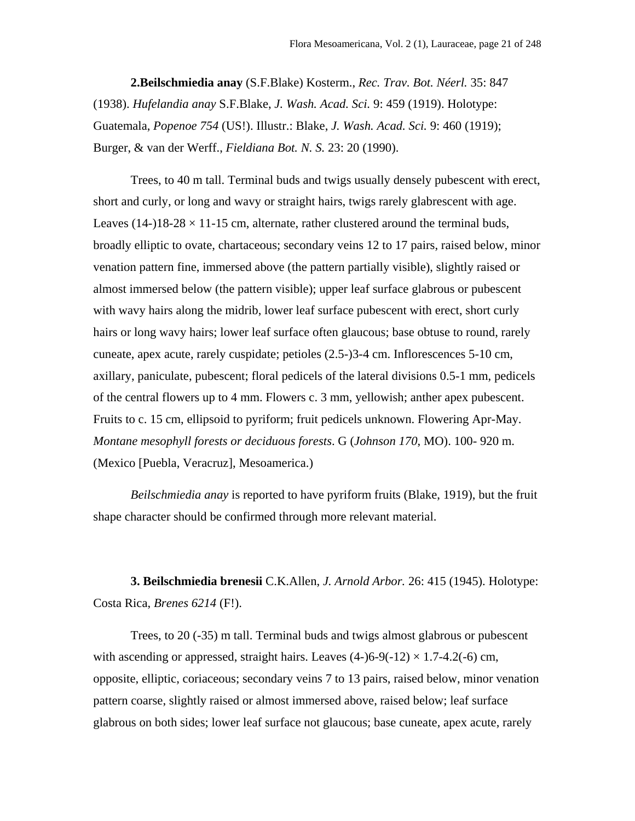**2.Beilschmiedia anay** (S.F.Blake) Kosterm., *Rec. Trav. Bot. Néerl.* 35: 847 (1938). *Hufelandia anay* S.F.Blake, *J. Wash. Acad. Sci.* 9: 459 (1919). Holotype: Guatemala, *Popenoe 754* (US!). Illustr.: Blake, *J. Wash. Acad. Sci.* 9: 460 (1919); Burger, & van der Werff., *Fieldiana Bot. N. S.* 23: 20 (1990).

 Trees, to 40 m tall. Terminal buds and twigs usually densely pubescent with erect, short and curly, or long and wavy or straight hairs, twigs rarely glabrescent with age. Leaves (14-)18-28  $\times$  11-15 cm, alternate, rather clustered around the terminal buds, broadly elliptic to ovate, chartaceous; secondary veins 12 to 17 pairs, raised below, minor venation pattern fine, immersed above (the pattern partially visible), slightly raised or almost immersed below (the pattern visible); upper leaf surface glabrous or pubescent with wavy hairs along the midrib, lower leaf surface pubescent with erect, short curly hairs or long wavy hairs; lower leaf surface often glaucous; base obtuse to round, rarely cuneate, apex acute, rarely cuspidate; petioles (2.5-)3-4 cm. Inflorescences 5-10 cm, axillary, paniculate, pubescent; floral pedicels of the lateral divisions 0.5-1 mm, pedicels of the central flowers up to 4 mm. Flowers c. 3 mm, yellowish; anther apex pubescent. Fruits to c. 15 cm, ellipsoid to pyriform; fruit pedicels unknown. Flowering Apr-May. *Montane mesophyll forests or deciduous forests*. G (*Johnson 170*, MO). 100- 920 m. (Mexico [Puebla, Veracruz], Mesoamerica.)

*Beilschmiedia anay* is reported to have pyriform fruits (Blake, 1919), but the fruit shape character should be confirmed through more relevant material.

**3. Beilschmiedia brenesii** C.K.Allen, *J. Arnold Arbor.* 26: 415 (1945). Holotype: Costa Rica, *Brenes 6214* (F!).

 Trees, to 20 (-35) m tall. Terminal buds and twigs almost glabrous or pubescent with ascending or appressed, straight hairs. Leaves  $(4-6-9(-12) \times 1.7-4.2(-6)$  cm, opposite, elliptic, coriaceous; secondary veins 7 to 13 pairs, raised below, minor venation pattern coarse, slightly raised or almost immersed above, raised below; leaf surface glabrous on both sides; lower leaf surface not glaucous; base cuneate, apex acute, rarely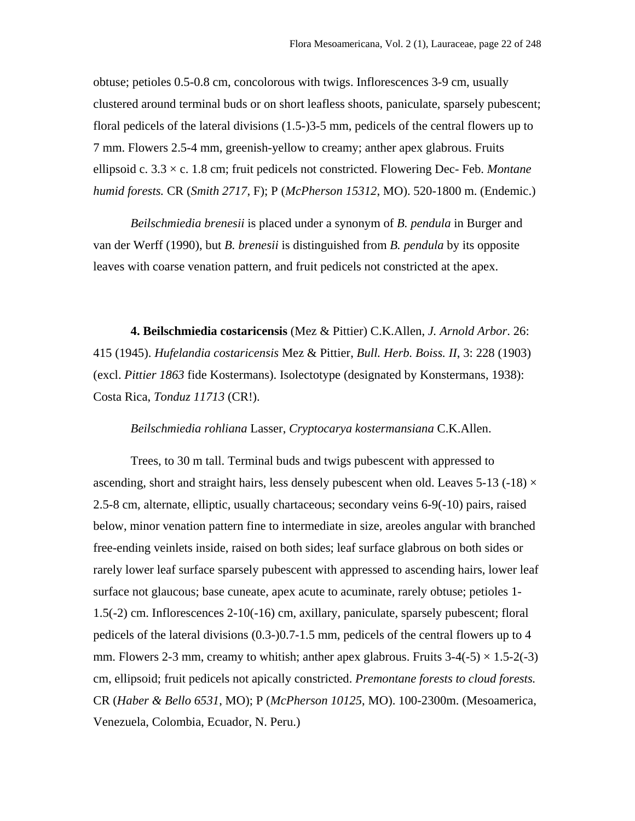obtuse; petioles 0.5-0.8 cm, concolorous with twigs. Inflorescences 3-9 cm, usually clustered around terminal buds or on short leafless shoots, paniculate, sparsely pubescent; floral pedicels of the lateral divisions (1.5-)3-5 mm, pedicels of the central flowers up to 7 mm. Flowers 2.5-4 mm, greenish-yellow to creamy; anther apex glabrous. Fruits ellipsoid c. 3.3 × c. 1.8 cm; fruit pedicels not constricted. Flowering Dec- Feb. *Montane humid forests.* CR (*Smith 2717*, F); P (*McPherson 15312*, MO). 520-1800 m. (Endemic.)

 *Beilschmiedia brenesii* is placed under a synonym of *B. pendula* in Burger and van der Werff (1990), but *B. brenesii* is distinguished from *B. pendula* by its opposite leaves with coarse venation pattern, and fruit pedicels not constricted at the apex.

**4. Beilschmiedia costaricensis** (Mez & Pittier) C.K.Allen, *J. Arnold Arbor*. 26: 415 (1945). *Hufelandia costaricensis* Mez & Pittier, *Bull. Herb. Boiss. II*, 3: 228 (1903) (excl. *Pittier 1863* fide Kostermans). Isolectotype (designated by Konstermans, 1938): Costa Rica, *Tonduz 11713* (CR!).

## *Beilschmiedia rohliana* Lasser, *Cryptocarya kostermansiana* C.K.Allen.

 Trees, to 30 m tall. Terminal buds and twigs pubescent with appressed to ascending, short and straight hairs, less densely pubescent when old. Leaves 5-13 (-18)  $\times$ 2.5-8 cm, alternate, elliptic, usually chartaceous; secondary veins 6-9(-10) pairs, raised below, minor venation pattern fine to intermediate in size, areoles angular with branched free-ending veinlets inside, raised on both sides; leaf surface glabrous on both sides or rarely lower leaf surface sparsely pubescent with appressed to ascending hairs, lower leaf surface not glaucous; base cuneate, apex acute to acuminate, rarely obtuse; petioles 1- 1.5(-2) cm. Inflorescences 2-10(-16) cm, axillary, paniculate, sparsely pubescent; floral pedicels of the lateral divisions (0.3-)0.7-1.5 mm, pedicels of the central flowers up to 4 mm. Flowers 2-3 mm, creamy to whitish; anther apex glabrous. Fruits  $3-4(-5) \times 1.5-2(-3)$ cm, ellipsoid; fruit pedicels not apically constricted. *Premontane forests to cloud forests.* CR (*Haber & Bello 6531*, MO); P (*McPherson 10125*, MO). 100-2300m. (Mesoamerica, Venezuela, Colombia, Ecuador, N. Peru.)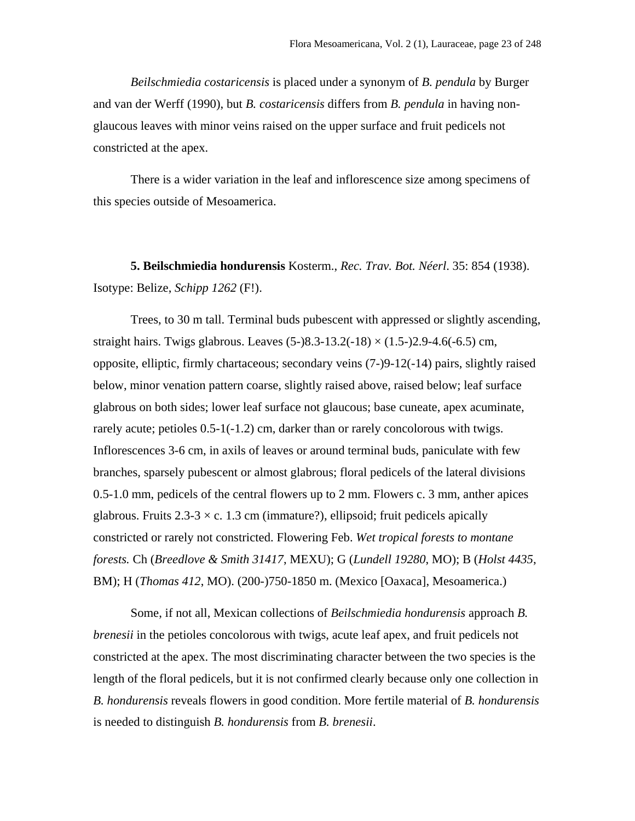*Beilschmiedia costaricensis* is placed under a synonym of *B. pendula* by Burger and van der Werff (1990), but *B. costaricensis* differs from *B. pendula* in having nonglaucous leaves with minor veins raised on the upper surface and fruit pedicels not constricted at the apex.

 There is a wider variation in the leaf and inflorescence size among specimens of this species outside of Mesoamerica.

**5. Beilschmiedia hondurensis** Kosterm., *Rec. Trav. Bot. Néerl*. 35: 854 (1938). Isotype: Belize, *Schipp 1262* (F!).

 Trees, to 30 m tall. Terminal buds pubescent with appressed or slightly ascending, straight hairs. Twigs glabrous. Leaves  $(5-)8.3-13.2(-18) \times (1.5-)2.9-4.6(-6.5)$  cm, opposite, elliptic, firmly chartaceous; secondary veins (7-)9-12(-14) pairs, slightly raised below, minor venation pattern coarse, slightly raised above, raised below; leaf surface glabrous on both sides; lower leaf surface not glaucous; base cuneate, apex acuminate, rarely acute; petioles 0.5-1(-1.2) cm, darker than or rarely concolorous with twigs. Inflorescences 3-6 cm, in axils of leaves or around terminal buds, paniculate with few branches, sparsely pubescent or almost glabrous; floral pedicels of the lateral divisions 0.5-1.0 mm, pedicels of the central flowers up to 2 mm. Flowers c. 3 mm, anther apices glabrous. Fruits  $2.3 - 3 \times c$ . 1.3 cm (immature?), ellipsoid; fruit pedicels apically constricted or rarely not constricted. Flowering Feb. *Wet tropical forests to montane forests.* Ch (*Breedlove & Smith 31417*, MEXU); G (*Lundell 19280*, MO); B (*Holst 4435*, BM); H (*Thomas 412*, MO). (200-)750-1850 m. (Mexico [Oaxaca], Mesoamerica.)

 Some, if not all, Mexican collections of *Beilschmiedia hondurensis* approach *B. brenesii* in the petioles concolorous with twigs, acute leaf apex, and fruit pedicels not constricted at the apex. The most discriminating character between the two species is the length of the floral pedicels, but it is not confirmed clearly because only one collection in *B. hondurensis* reveals flowers in good condition. More fertile material of *B. hondurensis* is needed to distinguish *B. hondurensis* from *B. brenesii*.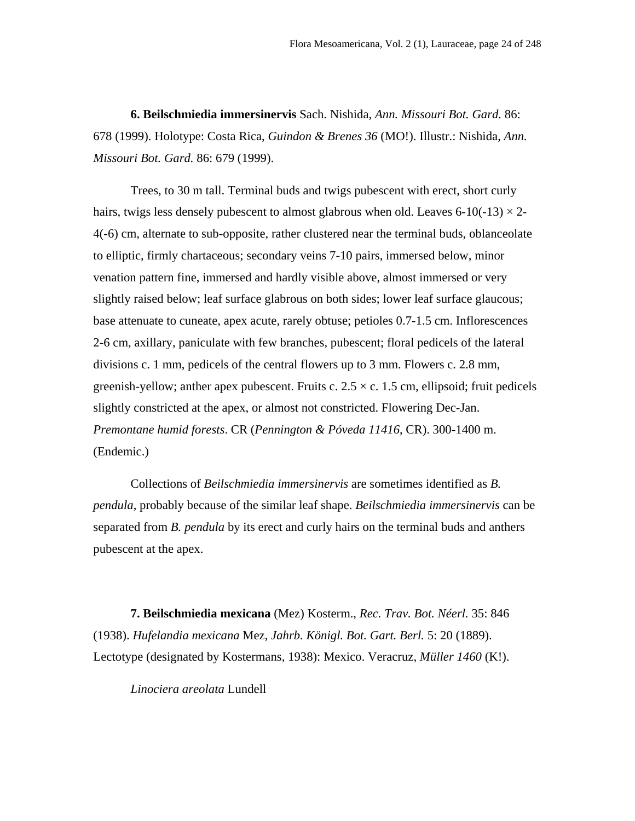**6. Beilschmiedia immersinervis** Sach. Nishida, *Ann. Missouri Bot. Gard.* 86: 678 (1999). Holotype: Costa Rica, *Guindon & Brenes 36* (MO!). Illustr.: Nishida, *Ann. Missouri Bot. Gard.* 86: 679 (1999).

 Trees, to 30 m tall. Terminal buds and twigs pubescent with erect, short curly hairs, twigs less densely pubescent to almost glabrous when old. Leaves 6-10(-13)  $\times$  2-4(-6) cm, alternate to sub-opposite, rather clustered near the terminal buds, oblanceolate to elliptic, firmly chartaceous; secondary veins 7-10 pairs, immersed below, minor venation pattern fine, immersed and hardly visible above, almost immersed or very slightly raised below; leaf surface glabrous on both sides; lower leaf surface glaucous; base attenuate to cuneate, apex acute, rarely obtuse; petioles 0.7-1.5 cm. Inflorescences 2-6 cm, axillary, paniculate with few branches, pubescent; floral pedicels of the lateral divisions c. 1 mm, pedicels of the central flowers up to 3 mm. Flowers c. 2.8 mm, greenish-yellow; anther apex pubescent. Fruits c.  $2.5 \times c$ . 1.5 cm, ellipsoid; fruit pedicels slightly constricted at the apex, or almost not constricted. Flowering Dec-Jan. *Premontane humid forests*. CR (*Pennington & Póveda 11416*, CR). 300-1400 m. (Endemic.)

 Collections of *Beilschmiedia immersinervis* are sometimes identified as *B. pendula*, probably because of the similar leaf shape. *Beilschmiedia immersinervis* can be separated from *B. pendula* by its erect and curly hairs on the terminal buds and anthers pubescent at the apex.

**7. Beilschmiedia mexicana** (Mez) Kosterm., *Rec. Trav. Bot. Néerl.* 35: 846 (1938). *Hufelandia mexicana* Mez, *Jahrb. Königl. Bot. Gart. Berl.* 5: 20 (1889). Lectotype (designated by Kostermans, 1938): Mexico. Veracruz, *Müller 1460* (K!).

*Linociera areolata* Lundell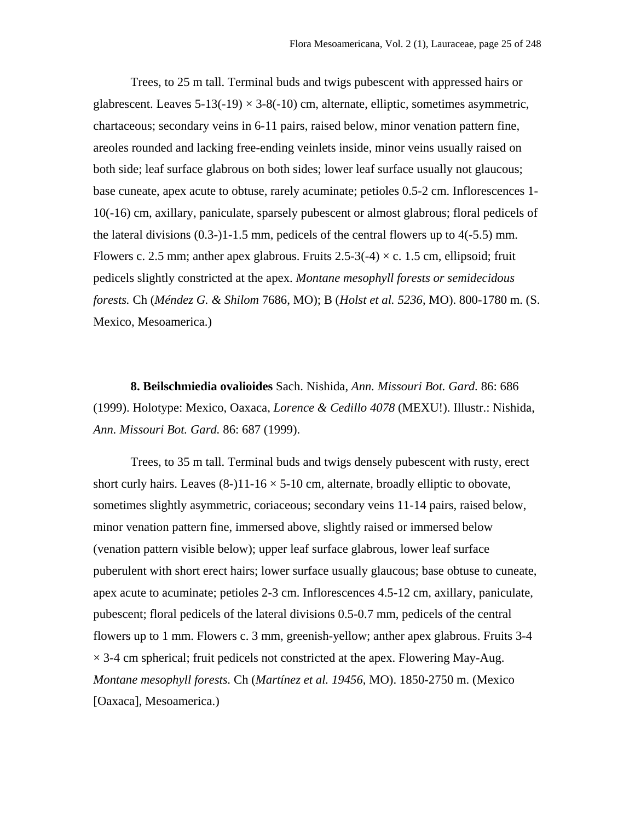Trees, to 25 m tall. Terminal buds and twigs pubescent with appressed hairs or glabrescent. Leaves  $5-13(-19) \times 3-8(-10)$  cm, alternate, elliptic, sometimes asymmetric, chartaceous; secondary veins in 6-11 pairs, raised below, minor venation pattern fine, areoles rounded and lacking free-ending veinlets inside, minor veins usually raised on both side; leaf surface glabrous on both sides; lower leaf surface usually not glaucous; base cuneate, apex acute to obtuse, rarely acuminate; petioles 0.5-2 cm. Inflorescences 1- 10(-16) cm, axillary, paniculate, sparsely pubescent or almost glabrous; floral pedicels of the lateral divisions  $(0.3\n-11\n-1.5 \text{ mm})$ , pedicels of the central flowers up to  $4(-5.5) \text{ mm}$ . Flowers c. 2.5 mm; anther apex glabrous. Fruits  $2.5-3(-4) \times c$ . 1.5 cm, ellipsoid; fruit pedicels slightly constricted at the apex. *Montane mesophyll forests or semidecidous forests.* Ch (*Méndez G. & Shilom* 7686, MO); B (*Holst et al. 5236*, MO). 800-1780 m. (S. Mexico, Mesoamerica.)

**8. Beilschmiedia ovalioides** Sach. Nishida, *Ann. Missouri Bot. Gard.* 86: 686 (1999). Holotype: Mexico, Oaxaca, *Lorence & Cedillo 4078* (MEXU!). Illustr.: Nishida, *Ann. Missouri Bot. Gard.* 86: 687 (1999).

 Trees, to 35 m tall. Terminal buds and twigs densely pubescent with rusty, erect short curly hairs. Leaves  $(8-)11-16 \times 5-10$  cm, alternate, broadly elliptic to obovate, sometimes slightly asymmetric, coriaceous; secondary veins 11-14 pairs, raised below, minor venation pattern fine, immersed above, slightly raised or immersed below (venation pattern visible below); upper leaf surface glabrous, lower leaf surface puberulent with short erect hairs; lower surface usually glaucous; base obtuse to cuneate, apex acute to acuminate; petioles 2-3 cm. Inflorescences 4.5-12 cm, axillary, paniculate, pubescent; floral pedicels of the lateral divisions 0.5-0.7 mm, pedicels of the central flowers up to 1 mm. Flowers c. 3 mm, greenish-yellow; anther apex glabrous. Fruits 3-4  $\times$  3-4 cm spherical; fruit pedicels not constricted at the apex. Flowering May-Aug. *Montane mesophyll forests.* Ch (*Martínez et al. 19456*, MO). 1850-2750 m. (Mexico [Oaxaca], Mesoamerica.)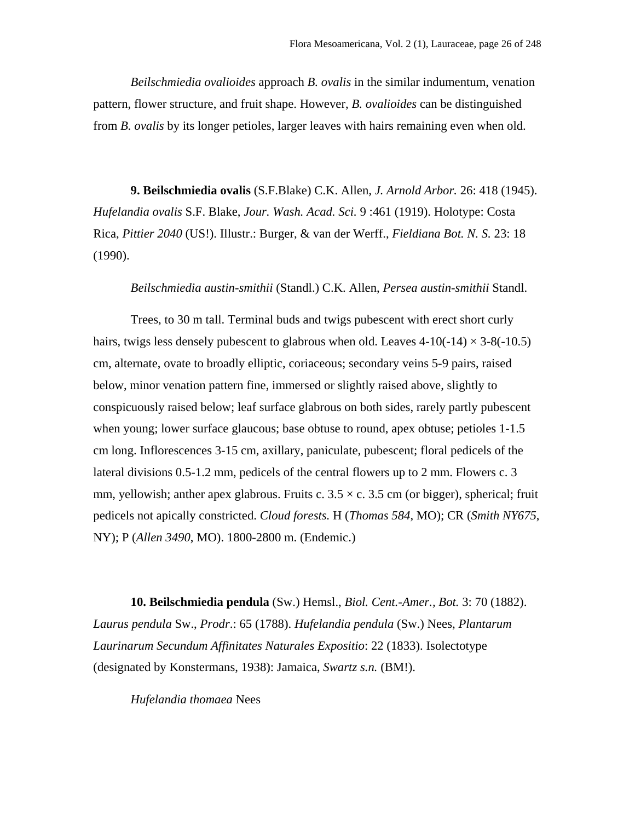*Beilschmiedia ovalioides* approach *B. ovalis* in the similar indumentum, venation pattern, flower structure, and fruit shape. However, *B. ovalioides* can be distinguished from *B. ovalis* by its longer petioles, larger leaves with hairs remaining even when old.

**9. Beilschmiedia ovalis** (S.F.Blake) C.K. Allen*, J. Arnold Arbor.* 26: 418 (1945). *Hufelandia ovalis* S.F. Blake, *Jour. Wash. Acad. Sci.* 9 :461 (1919). Holotype: Costa Rica, *Pittier 2040* (US!). Illustr.: Burger, & van der Werff., *Fieldiana Bot. N. S.* 23: 18 (1990).

*Beilschmiedia austin-smithii* (Standl.) C.K. Allen, *Persea austin-smithii* Standl.

 Trees, to 30 m tall. Terminal buds and twigs pubescent with erect short curly hairs, twigs less densely pubescent to glabrous when old. Leaves  $4-10(-14) \times 3-8(-10.5)$ cm, alternate, ovate to broadly elliptic, coriaceous; secondary veins 5-9 pairs, raised below, minor venation pattern fine, immersed or slightly raised above, slightly to conspicuously raised below; leaf surface glabrous on both sides, rarely partly pubescent when young; lower surface glaucous; base obtuse to round, apex obtuse; petioles 1-1.5 cm long. Inflorescences 3-15 cm, axillary, paniculate, pubescent; floral pedicels of the lateral divisions 0.5-1.2 mm, pedicels of the central flowers up to 2 mm. Flowers c. 3 mm, yellowish; anther apex glabrous. Fruits c.  $3.5 \times c$ .  $3.5 \text{ cm}$  (or bigger), spherical; fruit pedicels not apically constricted. *Cloud forests.* H (*Thomas 584*, MO); CR (*Smith NY675*, NY); P (*Allen 3490*, MO). 1800-2800 m. (Endemic.)

**10. Beilschmiedia pendula** (Sw.) Hemsl., *Biol. Cent.-Amer., Bot.* 3: 70 (1882). *Laurus pendula* Sw., *Prodr*.: 65 (1788). *Hufelandia pendula* (Sw.) Nees, *Plantarum Laurinarum Secundum Affinitates Naturales Expositio*: 22 (1833). Isolectotype (designated by Konstermans, 1938): Jamaica, *Swartz s.n.* (BM!).

*Hufelandia thomaea* Nees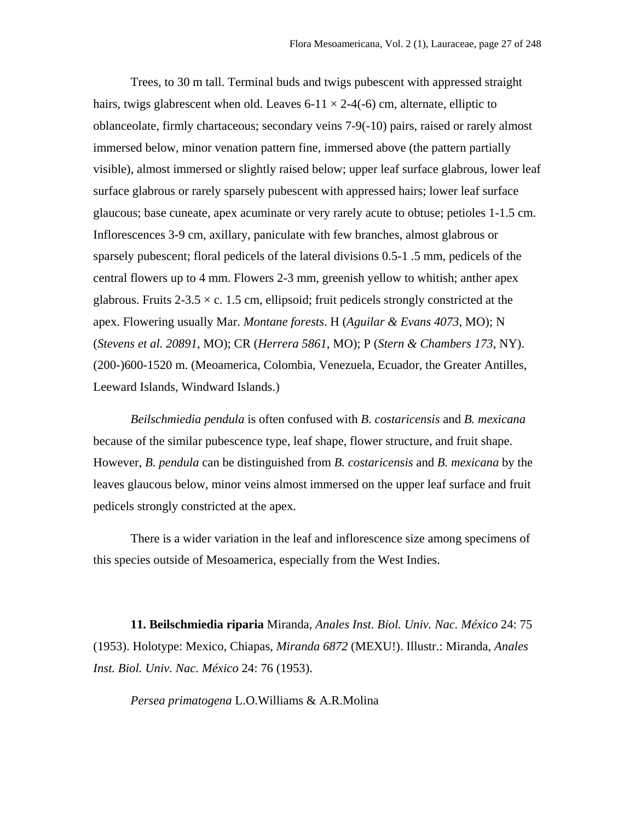Trees, to 30 m tall. Terminal buds and twigs pubescent with appressed straight hairs, twigs glabrescent when old. Leaves 6-11  $\times$  2-4(-6) cm, alternate, elliptic to oblanceolate, firmly chartaceous; secondary veins 7-9(-10) pairs, raised or rarely almost immersed below, minor venation pattern fine, immersed above (the pattern partially visible), almost immersed or slightly raised below; upper leaf surface glabrous, lower leaf surface glabrous or rarely sparsely pubescent with appressed hairs; lower leaf surface glaucous; base cuneate, apex acuminate or very rarely acute to obtuse; petioles 1-1.5 cm. Inflorescences 3-9 cm, axillary, paniculate with few branches, almost glabrous or sparsely pubescent; floral pedicels of the lateral divisions 0.5-1 .5 mm, pedicels of the central flowers up to 4 mm. Flowers 2-3 mm, greenish yellow to whitish; anther apex glabrous. Fruits  $2-3.5 \times c$ . 1.5 cm, ellipsoid; fruit pedicels strongly constricted at the apex. Flowering usually Mar. *Montane forests*. H (*Aguilar & Evans 4073*, MO); N (*Stevens et al. 20891*, MO); CR (*Herrera 5861*, MO); P (*Stern & Chambers 173*, NY). (200-)600-1520 m. (Meoamerica, Colombia, Venezuela, Ecuador, the Greater Antilles, Leeward Islands, Windward Islands.)

*Beilschmiedia pendula* is often confused with *B. costaricensis* and *B. mexicana* because of the similar pubescence type, leaf shape, flower structure, and fruit shape. However, *B. pendula* can be distinguished from *B. costaricensis* and *B. mexicana* by the leaves glaucous below, minor veins almost immersed on the upper leaf surface and fruit pedicels strongly constricted at the apex.

 There is a wider variation in the leaf and inflorescence size among specimens of this species outside of Mesoamerica, especially from the West Indies.

**11. Beilschmiedia riparia** Miranda, *Anales Inst. Biol. Univ. Nac. México* 24: 75 (1953). Holotype: Mexico, Chiapas, *Miranda 6872* (MEXU!). Illustr.: Miranda, *Anales Inst. Biol. Univ. Nac. México* 24: 76 (1953).

*Persea primatogena* L.O.Williams & A.R.Molina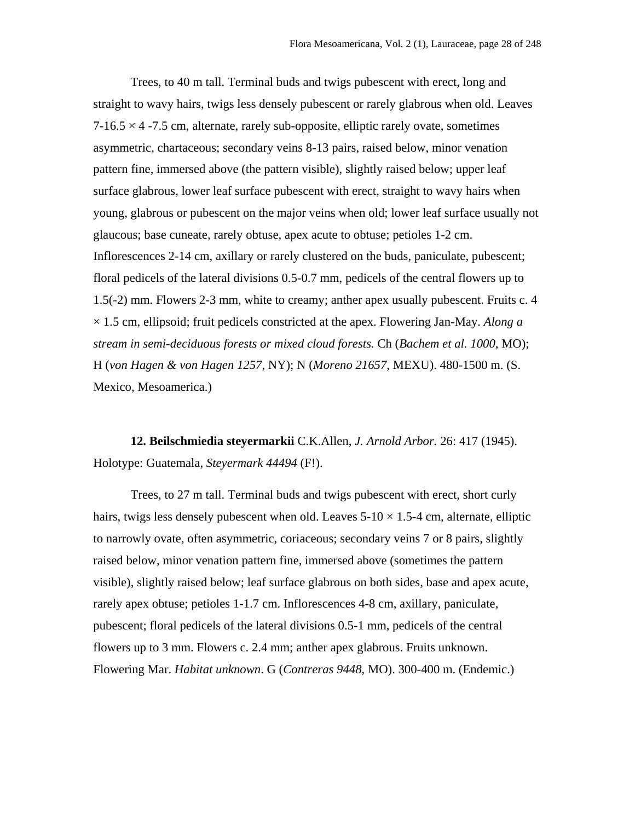Trees, to 40 m tall. Terminal buds and twigs pubescent with erect, long and straight to wavy hairs, twigs less densely pubescent or rarely glabrous when old. Leaves  $7-16.5 \times 4$  -7.5 cm, alternate, rarely sub-opposite, elliptic rarely ovate, sometimes asymmetric, chartaceous; secondary veins 8-13 pairs, raised below, minor venation pattern fine, immersed above (the pattern visible), slightly raised below; upper leaf surface glabrous, lower leaf surface pubescent with erect, straight to wavy hairs when young, glabrous or pubescent on the major veins when old; lower leaf surface usually not glaucous; base cuneate, rarely obtuse, apex acute to obtuse; petioles 1-2 cm. Inflorescences 2-14 cm, axillary or rarely clustered on the buds, paniculate, pubescent; floral pedicels of the lateral divisions 0.5-0.7 mm, pedicels of the central flowers up to 1.5(-2) mm. Flowers 2-3 mm, white to creamy; anther apex usually pubescent. Fruits c. 4 × 1.5 cm, ellipsoid; fruit pedicels constricted at the apex. Flowering Jan-May. *Along a stream in semi-deciduous forests or mixed cloud forests.* Ch (*Bachem et al. 1000*, MO); H (*von Hagen & von Hagen 1257*, NY); N (*Moreno 21657*, MEXU). 480-1500 m. (S. Mexico, Mesoamerica.)

**12. Beilschmiedia steyermarkii** C.K.Allen, *J. Arnold Arbor.* 26: 417 (1945). Holotype: Guatemala, *Steyermark 44494* (F!).

 Trees, to 27 m tall. Terminal buds and twigs pubescent with erect, short curly hairs, twigs less densely pubescent when old. Leaves  $5\t{-}10 \times 1.5\t{-}4$  cm, alternate, elliptic to narrowly ovate, often asymmetric, coriaceous; secondary veins 7 or 8 pairs, slightly raised below, minor venation pattern fine, immersed above (sometimes the pattern visible), slightly raised below; leaf surface glabrous on both sides, base and apex acute, rarely apex obtuse; petioles 1-1.7 cm. Inflorescences 4-8 cm, axillary, paniculate, pubescent; floral pedicels of the lateral divisions 0.5-1 mm, pedicels of the central flowers up to 3 mm. Flowers c. 2.4 mm; anther apex glabrous. Fruits unknown. Flowering Mar. *Habitat unknown*. G (*Contreras 9448*, MO). 300-400 m. (Endemic.)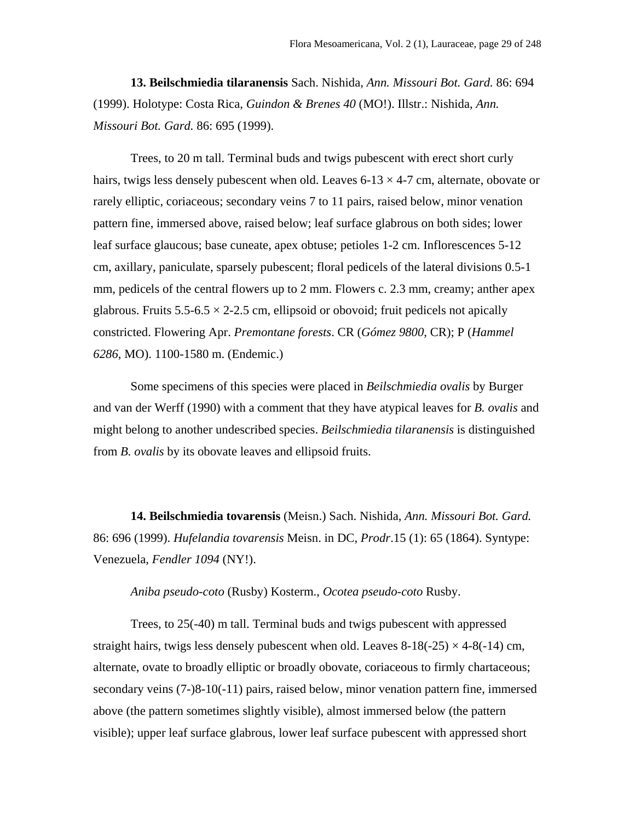**13. Beilschmiedia tilaranensis** Sach. Nishida, *Ann. Missouri Bot. Gard.* 86: 694 (1999). Holotype: Costa Rica, *Guindon & Brenes 40* (MO!). Illstr.: Nishida, *Ann. Missouri Bot. Gard.* 86: 695 (1999).

 Trees, to 20 m tall. Terminal buds and twigs pubescent with erect short curly hairs, twigs less densely pubescent when old. Leaves  $6-13 \times 4-7$  cm, alternate, obovate or rarely elliptic, coriaceous; secondary veins 7 to 11 pairs, raised below, minor venation pattern fine, immersed above, raised below; leaf surface glabrous on both sides; lower leaf surface glaucous; base cuneate, apex obtuse; petioles 1-2 cm. Inflorescences 5-12 cm, axillary, paniculate, sparsely pubescent; floral pedicels of the lateral divisions 0.5-1 mm, pedicels of the central flowers up to 2 mm. Flowers c. 2.3 mm, creamy; anther apex glabrous. Fruits  $5.5\n-6.5 \times 2\n-2.5$  cm, ellipsoid or obovoid; fruit pedicels not apically constricted. Flowering Apr. *Premontane forests*. CR (*Gómez 9800*, CR); P (*Hammel 6286*, MO). 1100-1580 m. (Endemic.)

 Some specimens of this species were placed in *Beilschmiedia ovalis* by Burger and van der Werff (1990) with a comment that they have atypical leaves for *B. ovalis* and might belong to another undescribed species. *Beilschmiedia tilaranensis* is distinguished from *B. ovalis* by its obovate leaves and ellipsoid fruits.

**14. Beilschmiedia tovarensis** (Meisn.) Sach. Nishida, *Ann. Missouri Bot. Gard.*  86: 696 (1999). *Hufelandia tovarensis* Meisn. in DC, *Prodr*.15 (1): 65 (1864). Syntype: Venezuela, *Fendler 1094* (NY!).

#### *Aniba pseudo-coto* (Rusby) Kosterm., *Ocotea pseudo-coto* Rusby.

 Trees, to 25(-40) m tall. Terminal buds and twigs pubescent with appressed straight hairs, twigs less densely pubescent when old. Leaves  $8-18(-25) \times 4-8(-14)$  cm, alternate, ovate to broadly elliptic or broadly obovate, coriaceous to firmly chartaceous; secondary veins (7-)8-10(-11) pairs, raised below, minor venation pattern fine, immersed above (the pattern sometimes slightly visible), almost immersed below (the pattern visible); upper leaf surface glabrous, lower leaf surface pubescent with appressed short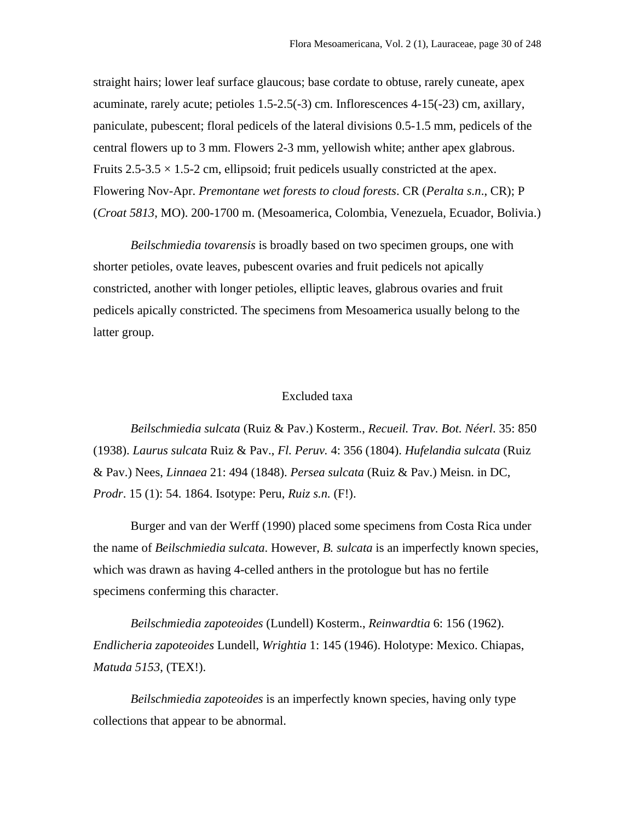straight hairs; lower leaf surface glaucous; base cordate to obtuse, rarely cuneate, apex acuminate, rarely acute; petioles 1.5-2.5(-3) cm. Inflorescences 4-15(-23) cm, axillary, paniculate, pubescent; floral pedicels of the lateral divisions 0.5-1.5 mm, pedicels of the central flowers up to 3 mm. Flowers 2-3 mm, yellowish white; anther apex glabrous. Fruits 2.5-3.5  $\times$  1.5-2 cm, ellipsoid; fruit pedicels usually constricted at the apex. Flowering Nov-Apr. *Premontane wet forests to cloud forests*. CR (*Peralta s.n*., CR); P (*Croat 5813*, MO). 200-1700 m. (Mesoamerica, Colombia, Venezuela, Ecuador, Bolivia.)

*Beilschmiedia tovarensis* is broadly based on two specimen groups, one with shorter petioles, ovate leaves, pubescent ovaries and fruit pedicels not apically constricted, another with longer petioles, elliptic leaves, glabrous ovaries and fruit pedicels apically constricted. The specimens from Mesoamerica usually belong to the latter group.

## Excluded taxa

*Beilschmiedia sulcata* (Ruiz & Pav.) Kosterm., *Recueil. Trav. Bot. Néerl*. 35: 850 (1938). *Laurus sulcata* Ruiz & Pav., *Fl. Peruv.* 4: 356 (1804). *Hufelandia sulcata* (Ruiz & Pav.) Nees, *Linnaea* 21: 494 (1848). *Persea sulcata* (Ruiz & Pav.) Meisn. in DC, *Prodr*. 15 (1): 54. 1864. Isotype: Peru, *Ruiz s.n.* (F!).

 Burger and van der Werff (1990) placed some specimens from Costa Rica under the name of *Beilschmiedia sulcata*. However, *B. sulcata* is an imperfectly known species, which was drawn as having 4-celled anthers in the protologue but has no fertile specimens conferming this character.

*Beilschmiedia zapoteoides* (Lundell) Kosterm., *Reinwardtia* 6: 156 (1962). *Endlicheria zapoteoides* Lundell, *Wrightia* 1: 145 (1946). Holotype: Mexico. Chiapas, *Matuda 5153*, (TEX!).

*Beilschmiedia zapoteoides* is an imperfectly known species, having only type collections that appear to be abnormal.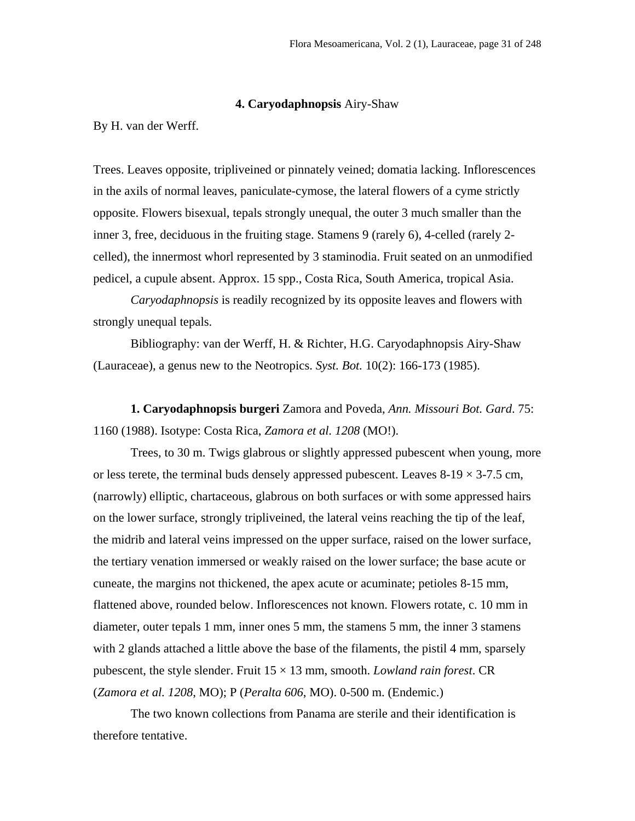#### **4. Caryodaphnopsis** Airy-Shaw

By H. van der Werff.

Trees. Leaves opposite, tripliveined or pinnately veined; domatia lacking. Inflorescences in the axils of normal leaves, paniculate-cymose, the lateral flowers of a cyme strictly opposite. Flowers bisexual, tepals strongly unequal, the outer 3 much smaller than the inner 3, free, deciduous in the fruiting stage. Stamens 9 (rarely 6), 4-celled (rarely 2 celled), the innermost whorl represented by 3 staminodia. Fruit seated on an unmodified pedicel, a cupule absent. Approx. 15 spp., Costa Rica, South America, tropical Asia.

*Caryodaphnopsis* is readily recognized by its opposite leaves and flowers with strongly unequal tepals.

Bibliography: van der Werff, H. & Richter, H.G. Caryodaphnopsis Airy-Shaw (Lauraceae), a genus new to the Neotropics. *Syst. Bot.* 10(2): 166-173 (1985).

**1. Caryodaphnopsis burgeri** Zamora and Poveda, *Ann. Missouri Bot. Gard*. 75: 1160 (1988). Isotype: Costa Rica, *Zamora et al. 1208* (MO!).

Trees, to 30 m. Twigs glabrous or slightly appressed pubescent when young, more or less terete, the terminal buds densely appressed pubescent. Leaves  $8-19 \times 3-7.5$  cm, (narrowly) elliptic, chartaceous, glabrous on both surfaces or with some appressed hairs on the lower surface, strongly tripliveined, the lateral veins reaching the tip of the leaf, the midrib and lateral veins impressed on the upper surface, raised on the lower surface, the tertiary venation immersed or weakly raised on the lower surface; the base acute or cuneate, the margins not thickened, the apex acute or acuminate; petioles 8-15 mm, flattened above, rounded below. Inflorescences not known. Flowers rotate, c. 10 mm in diameter, outer tepals 1 mm, inner ones 5 mm, the stamens 5 mm, the inner 3 stamens with 2 glands attached a little above the base of the filaments, the pistil 4 mm, sparsely pubescent, the style slender. Fruit  $15 \times 13$  mm, smooth. *Lowland rain forest*. CR (*Zamora et al. 1208*, MO); P (*Peralta 606*, MO). 0-500 m. (Endemic.)

The two known collections from Panama are sterile and their identification is therefore tentative.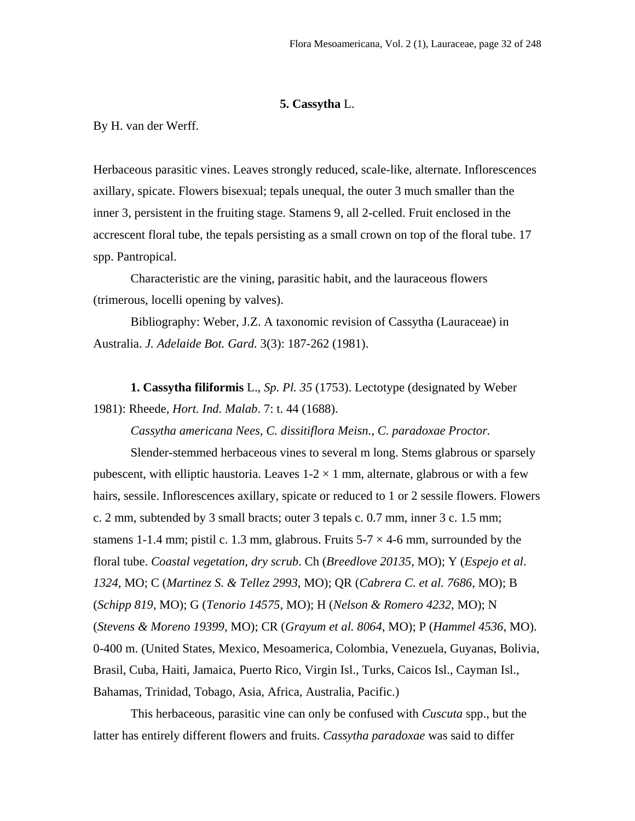## **5. Cassytha** L.

By H. van der Werff.

Herbaceous parasitic vines. Leaves strongly reduced, scale-like, alternate. Inflorescences axillary, spicate. Flowers bisexual; tepals unequal, the outer 3 much smaller than the inner 3, persistent in the fruiting stage. Stamens 9, all 2-celled. Fruit enclosed in the accrescent floral tube, the tepals persisting as a small crown on top of the floral tube. 17 spp. Pantropical.

Characteristic are the vining, parasitic habit, and the lauraceous flowers (trimerous, locelli opening by valves).

Bibliography: Weber, J.Z. A taxonomic revision of Cassytha (Lauraceae) in Australia. *J. Adelaide Bot. Gard.* 3(3): 187-262 (1981).

**1. Cassytha filiformis** L., *Sp. Pl. 35* (1753). Lectotype (designated by Weber 1981): Rheede, *Hort. Ind. Malab*. 7: t. 44 (1688).

*Cassytha americana Nees, C. dissitiflora Meisn., C. paradoxae Proctor.*

Slender-stemmed herbaceous vines to several m long. Stems glabrous or sparsely pubescent, with elliptic haustoria. Leaves  $1-2 \times 1$  mm, alternate, glabrous or with a few hairs, sessile. Inflorescences axillary, spicate or reduced to 1 or 2 sessile flowers. Flowers c. 2 mm, subtended by 3 small bracts; outer 3 tepals c. 0.7 mm, inner 3 c. 1.5 mm; stamens 1-1.4 mm; pistil c. 1.3 mm, glabrous. Fruits  $5-7 \times 4-6$  mm, surrounded by the floral tube. *Coastal vegetation, dry scrub*. Ch (*Breedlove 20135*, MO); Y (*Espejo et al*. *1324*, MO; C (*Martinez S. & Tellez 2993*, MO); QR (*Cabrera C. et al. 7686*, MO); B (*Schipp 819,* MO); G (*Tenorio 14575*, MO); H (*Nelson & Romero 4232*, MO); N (*Stevens & Moreno 19399*, MO); CR (*Grayum et al. 8064*, MO); P (*Hammel 4536*, MO). 0-400 m. (United States, Mexico, Mesoamerica, Colombia, Venezuela, Guyanas, Bolivia, Brasil, Cuba, Haiti, Jamaica, Puerto Rico, Virgin Isl., Turks, Caicos Isl., Cayman Isl., Bahamas, Trinidad, Tobago, Asia, Africa, Australia, Pacific.)

This herbaceous, parasitic vine can only be confused with *Cuscuta* spp., but the latter has entirely different flowers and fruits. *Cassytha paradoxae* was said to differ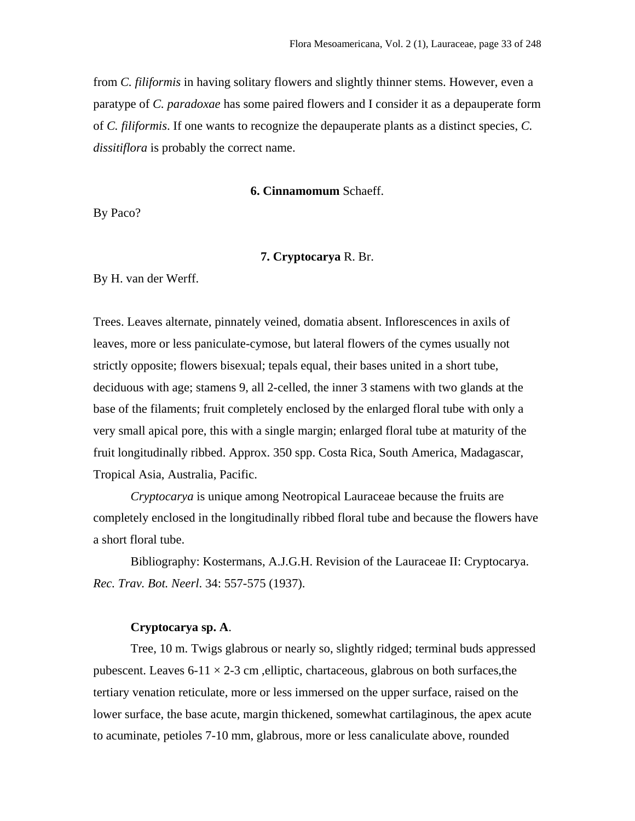from *C. filiformis* in having solitary flowers and slightly thinner stems. However, even a paratype of *C. paradoxae* has some paired flowers and I consider it as a depauperate form of *C. filiformis*. If one wants to recognize the depauperate plants as a distinct species, *C. dissitiflora* is probably the correct name.

#### **6. Cinnamomum** Schaeff.

By Paco?

## **7. Cryptocarya** R. Br.

By H. van der Werff.

Trees. Leaves alternate, pinnately veined, domatia absent. Inflorescences in axils of leaves, more or less paniculate-cymose, but lateral flowers of the cymes usually not strictly opposite; flowers bisexual; tepals equal, their bases united in a short tube, deciduous with age; stamens 9, all 2-celled, the inner 3 stamens with two glands at the base of the filaments; fruit completely enclosed by the enlarged floral tube with only a very small apical pore, this with a single margin; enlarged floral tube at maturity of the fruit longitudinally ribbed. Approx. 350 spp. Costa Rica, South America, Madagascar, Tropical Asia, Australia, Pacific.

*Cryptocarya* is unique among Neotropical Lauraceae because the fruits are completely enclosed in the longitudinally ribbed floral tube and because the flowers have a short floral tube.

Bibliography: Kostermans, A.J.G.H. Revision of the Lauraceae II: Cryptocarya. *Rec. Trav. Bot. Neerl*. 34: 557-575 (1937).

## **Cryptocarya sp. A**.

Tree, 10 m. Twigs glabrous or nearly so, slightly ridged; terminal buds appressed pubescent. Leaves  $6-11 \times 2-3$  cm , elliptic, chartaceous, glabrous on both surfaces, the tertiary venation reticulate, more or less immersed on the upper surface, raised on the lower surface, the base acute, margin thickened, somewhat cartilaginous, the apex acute to acuminate, petioles 7-10 mm, glabrous, more or less canaliculate above, rounded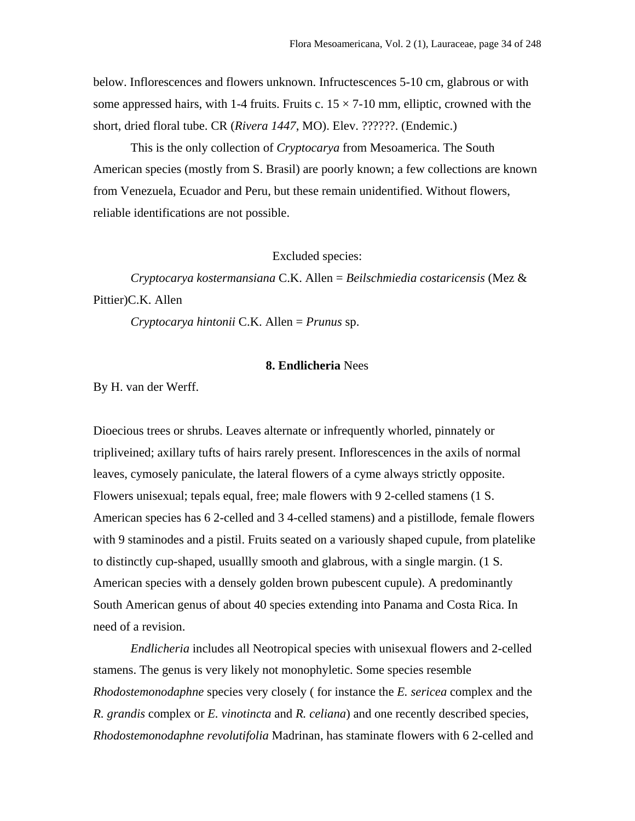below. Inflorescences and flowers unknown. Infructescences 5-10 cm, glabrous or with some appressed hairs, with 1-4 fruits. Fruits c.  $15 \times 7$ -10 mm, elliptic, crowned with the short, dried floral tube. CR (*Rivera 1447*, MO). Elev. ??????. (Endemic.)

This is the only collection of *Cryptocarya* from Mesoamerica. The South American species (mostly from S. Brasil) are poorly known; a few collections are known from Venezuela, Ecuador and Peru, but these remain unidentified. Without flowers, reliable identifications are not possible.

Excluded species:

*Cryptocarya kostermansiana* C.K. Allen = *Beilschmiedia costaricensis* (Mez & Pittier)C.K. Allen

*Cryptocarya hintonii* C.K. Allen = *Prunus* sp.

# **8. Endlicheria** Nees

By H. van der Werff.

Dioecious trees or shrubs. Leaves alternate or infrequently whorled, pinnately or tripliveined; axillary tufts of hairs rarely present. Inflorescences in the axils of normal leaves, cymosely paniculate, the lateral flowers of a cyme always strictly opposite. Flowers unisexual; tepals equal, free; male flowers with 9 2-celled stamens (1 S. American species has 6 2-celled and 3 4-celled stamens) and a pistillode, female flowers with 9 staminodes and a pistil. Fruits seated on a variously shaped cupule, from platelike to distinctly cup-shaped, usuallly smooth and glabrous, with a single margin. (1 S. American species with a densely golden brown pubescent cupule). A predominantly South American genus of about 40 species extending into Panama and Costa Rica. In need of a revision.

*Endlicheria* includes all Neotropical species with unisexual flowers and 2-celled stamens. The genus is very likely not monophyletic. Some species resemble *Rhodostemonodaphne* species very closely ( for instance the *E. sericea* complex and the *R. grandis* complex or *E. vinotincta* and *R. celiana*) and one recently described species, *Rhodostemonodaphne revolutifolia* Madrinan, has staminate flowers with 6 2-celled and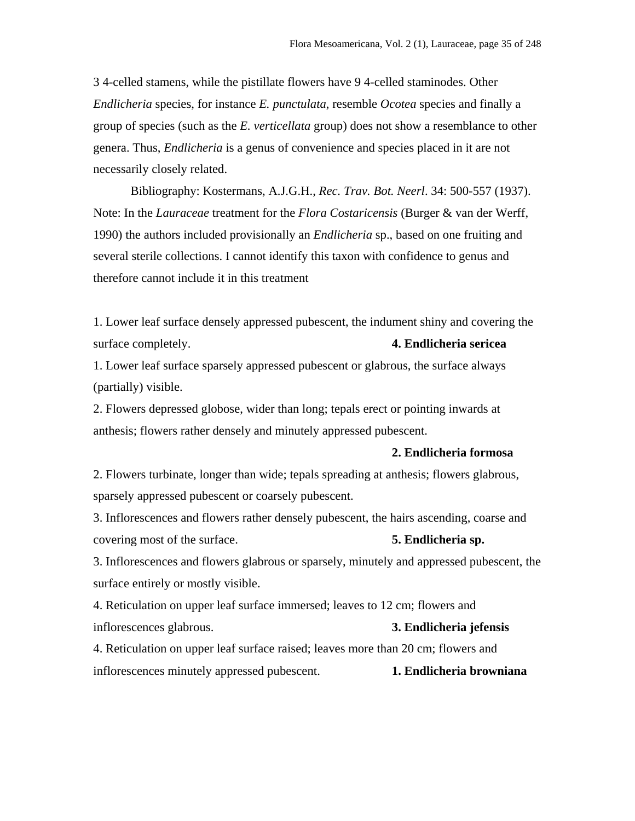3 4-celled stamens, while the pistillate flowers have 9 4-celled staminodes. Other *Endlicheria* species, for instance *E. punctulata*, resemble *Ocotea* species and finally a group of species (such as the *E. verticellata* group) does not show a resemblance to other genera. Thus, *Endlicheria* is a genus of convenience and species placed in it are not necessarily closely related.

Bibliography: Kostermans, A.J.G.H., *Rec. Trav. Bot. Neerl*. 34: 500-557 (1937). Note: In the *Lauraceae* treatment for the *Flora Costaricensis* (Burger & van der Werff, 1990) the authors included provisionally an *Endlicheria* sp., based on one fruiting and several sterile collections. I cannot identify this taxon with confidence to genus and therefore cannot include it in this treatment

1. Lower leaf surface densely appressed pubescent, the indument shiny and covering the surface completely. **4. Endlicheria sericea**

1. Lower leaf surface sparsely appressed pubescent or glabrous, the surface always (partially) visible.

2. Flowers depressed globose, wider than long; tepals erect or pointing inwards at anthesis; flowers rather densely and minutely appressed pubescent.

#### **2. Endlicheria formosa**

2. Flowers turbinate, longer than wide; tepals spreading at anthesis; flowers glabrous, sparsely appressed pubescent or coarsely pubescent.

3. Inflorescences and flowers rather densely pubescent, the hairs ascending, coarse and covering most of the surface. **5. Endlicheria sp.**

3. Inflorescences and flowers glabrous or sparsely, minutely and appressed pubescent, the surface entirely or mostly visible.

4. Reticulation on upper leaf surface immersed; leaves to 12 cm; flowers and inflorescences glabrous. **3. Endlicheria jefensis**

4. Reticulation on upper leaf surface raised; leaves more than 20 cm; flowers and inflorescences minutely appressed pubescent. **1. Endlicheria browniana**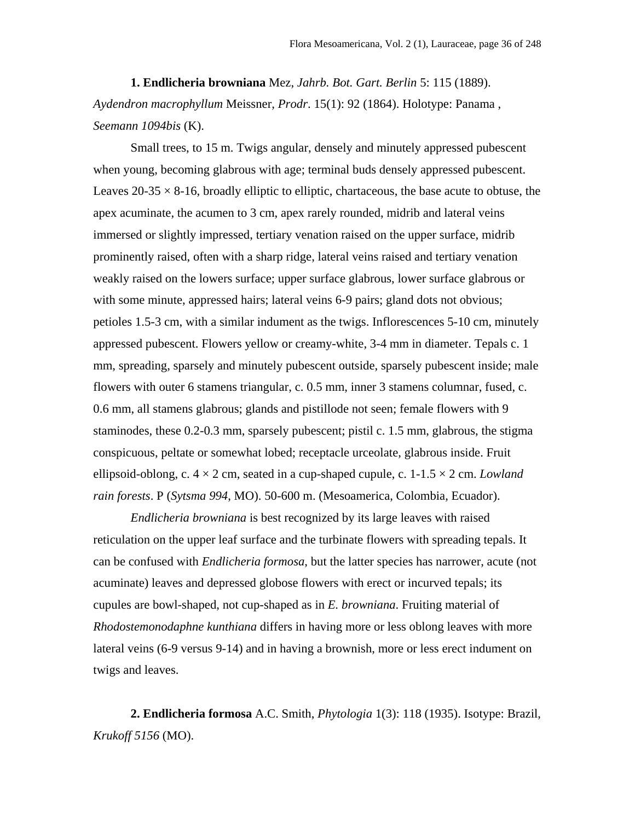**1. Endlicheria browniana** Mez, *Jahrb. Bot. Gart. Berlin* 5: 115 (1889). *Aydendron macrophyllum* Meissner, *Prodr*. 15(1): 92 (1864). Holotype: Panama , *Seemann 1094bis* (K).

Small trees, to 15 m. Twigs angular, densely and minutely appressed pubescent when young, becoming glabrous with age; terminal buds densely appressed pubescent. Leaves  $20-35 \times 8-16$ , broadly elliptic to elliptic, chartaceous, the base acute to obtuse, the apex acuminate, the acumen to 3 cm, apex rarely rounded, midrib and lateral veins immersed or slightly impressed, tertiary venation raised on the upper surface, midrib prominently raised, often with a sharp ridge, lateral veins raised and tertiary venation weakly raised on the lowers surface; upper surface glabrous, lower surface glabrous or with some minute, appressed hairs; lateral veins 6-9 pairs; gland dots not obvious; petioles 1.5-3 cm, with a similar indument as the twigs. Inflorescences 5-10 cm, minutely appressed pubescent. Flowers yellow or creamy-white, 3-4 mm in diameter. Tepals c. 1 mm, spreading, sparsely and minutely pubescent outside, sparsely pubescent inside; male flowers with outer 6 stamens triangular, c. 0.5 mm, inner 3 stamens columnar, fused, c. 0.6 mm, all stamens glabrous; glands and pistillode not seen; female flowers with 9 staminodes, these 0.2-0.3 mm, sparsely pubescent; pistil c. 1.5 mm, glabrous, the stigma conspicuous, peltate or somewhat lobed; receptacle urceolate, glabrous inside. Fruit ellipsoid-oblong, c.  $4 \times 2$  cm, seated in a cup-shaped cupule, c.  $1\n-1.5 \times 2$  cm. *Lowland rain forests*. P (*Sytsma 994*, MO). 50-600 m. (Mesoamerica, Colombia, Ecuador).

*Endlicheria browniana* is best recognized by its large leaves with raised reticulation on the upper leaf surface and the turbinate flowers with spreading tepals. It can be confused with *Endlicheria formosa*, but the latter species has narrower, acute (not acuminate) leaves and depressed globose flowers with erect or incurved tepals; its cupules are bowl-shaped, not cup-shaped as in *E. browniana*. Fruiting material of *Rhodostemonodaphne kunthiana* differs in having more or less oblong leaves with more lateral veins (6-9 versus 9-14) and in having a brownish, more or less erect indument on twigs and leaves.

**2. Endlicheria formosa** A.C. Smith, *Phytologia* 1(3): 118 (1935). Isotype: Brazil, *Krukoff 5156* (MO).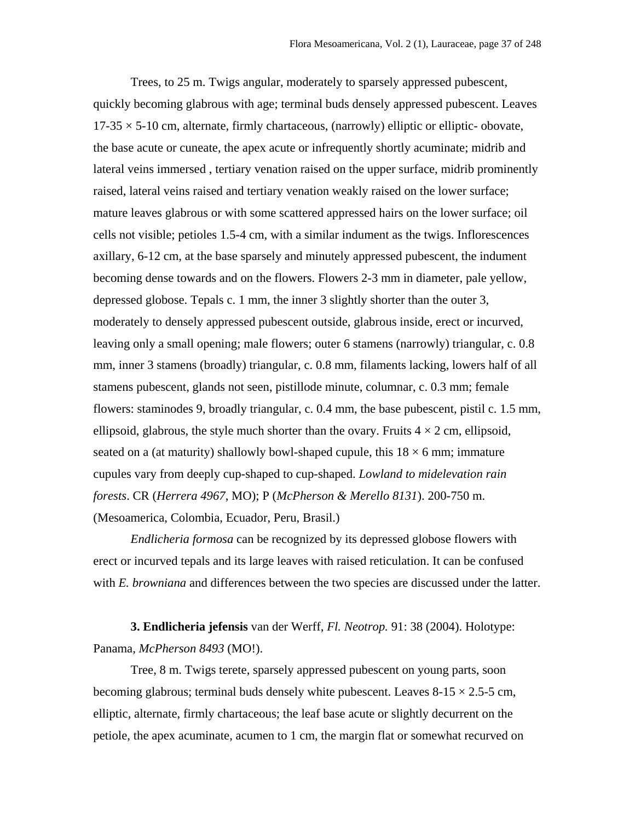Trees, to 25 m. Twigs angular, moderately to sparsely appressed pubescent, quickly becoming glabrous with age; terminal buds densely appressed pubescent. Leaves  $17-35 \times 5-10$  cm, alternate, firmly chartaceous, (narrowly) elliptic or elliptic-obovate, the base acute or cuneate, the apex acute or infrequently shortly acuminate; midrib and lateral veins immersed , tertiary venation raised on the upper surface, midrib prominently raised, lateral veins raised and tertiary venation weakly raised on the lower surface; mature leaves glabrous or with some scattered appressed hairs on the lower surface; oil cells not visible; petioles 1.5-4 cm, with a similar indument as the twigs. Inflorescences axillary, 6-12 cm, at the base sparsely and minutely appressed pubescent, the indument becoming dense towards and on the flowers. Flowers 2-3 mm in diameter, pale yellow, depressed globose. Tepals c. 1 mm, the inner 3 slightly shorter than the outer 3, moderately to densely appressed pubescent outside, glabrous inside, erect or incurved, leaving only a small opening; male flowers; outer 6 stamens (narrowly) triangular, c. 0.8 mm, inner 3 stamens (broadly) triangular, c. 0.8 mm, filaments lacking, lowers half of all stamens pubescent, glands not seen, pistillode minute, columnar, c. 0.3 mm; female flowers: staminodes 9, broadly triangular, c. 0.4 mm, the base pubescent, pistil c. 1.5 mm, ellipsoid, glabrous, the style much shorter than the ovary. Fruits  $4 \times 2$  cm, ellipsoid, seated on a (at maturity) shallowly bowl-shaped cupule, this  $18 \times 6$  mm; immature cupules vary from deeply cup-shaped to cup-shaped. *Lowland to midelevation rain forests*. CR (*Herrera 4967*, MO); P (*McPherson & Merello 8131*). 200-750 m. (Mesoamerica, Colombia, Ecuador, Peru, Brasil.)

*Endlicheria formosa* can be recognized by its depressed globose flowers with erect or incurved tepals and its large leaves with raised reticulation. It can be confused with *E. browniana* and differences between the two species are discussed under the latter.

**3. Endlicheria jefensis** van der Werff, *Fl. Neotrop.* 91: 38 (2004). Holotype: Panama, *McPherson 8493* (MO!).

Tree, 8 m. Twigs terete, sparsely appressed pubescent on young parts, soon becoming glabrous; terminal buds densely white pubescent. Leaves  $8-15 \times 2.5-5$  cm, elliptic, alternate, firmly chartaceous; the leaf base acute or slightly decurrent on the petiole, the apex acuminate, acumen to 1 cm, the margin flat or somewhat recurved on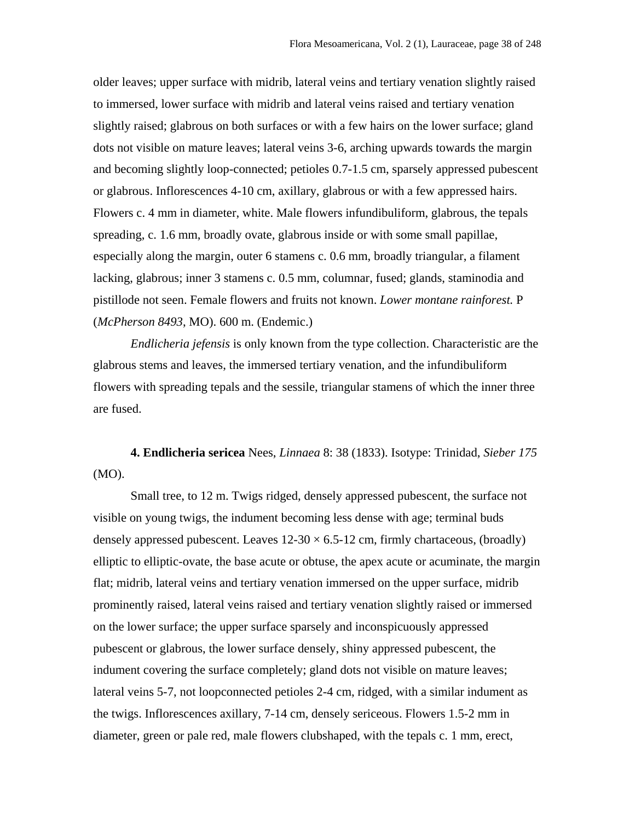older leaves; upper surface with midrib, lateral veins and tertiary venation slightly raised to immersed, lower surface with midrib and lateral veins raised and tertiary venation slightly raised; glabrous on both surfaces or with a few hairs on the lower surface; gland dots not visible on mature leaves; lateral veins 3-6, arching upwards towards the margin and becoming slightly loop-connected; petioles 0.7-1.5 cm, sparsely appressed pubescent or glabrous. Inflorescences 4-10 cm, axillary, glabrous or with a few appressed hairs. Flowers c. 4 mm in diameter, white. Male flowers infundibuliform, glabrous, the tepals spreading, c. 1.6 mm, broadly ovate, glabrous inside or with some small papillae, especially along the margin, outer 6 stamens c. 0.6 mm, broadly triangular, a filament lacking, glabrous; inner 3 stamens c. 0.5 mm, columnar, fused; glands, staminodia and pistillode not seen. Female flowers and fruits not known. *Lower montane rainforest.* P (*McPherson 8493*, MO). 600 m. (Endemic.)

*Endlicheria jefensis* is only known from the type collection. Characteristic are the glabrous stems and leaves, the immersed tertiary venation, and the infundibuliform flowers with spreading tepals and the sessile, triangular stamens of which the inner three are fused.

**4. Endlicheria sericea** Nees, *Linnaea* 8: 38 (1833). Isotype: Trinidad, *Sieber 175* (MO).

Small tree, to 12 m. Twigs ridged, densely appressed pubescent, the surface not visible on young twigs, the indument becoming less dense with age; terminal buds densely appressed pubescent. Leaves  $12-30 \times 6.5-12$  cm, firmly chartaceous, (broadly) elliptic to elliptic-ovate, the base acute or obtuse, the apex acute or acuminate, the margin flat; midrib, lateral veins and tertiary venation immersed on the upper surface, midrib prominently raised, lateral veins raised and tertiary venation slightly raised or immersed on the lower surface; the upper surface sparsely and inconspicuously appressed pubescent or glabrous, the lower surface densely, shiny appressed pubescent, the indument covering the surface completely; gland dots not visible on mature leaves; lateral veins 5-7, not loopconnected petioles 2-4 cm, ridged, with a similar indument as the twigs. Inflorescences axillary, 7-14 cm, densely sericeous. Flowers 1.5-2 mm in diameter, green or pale red, male flowers clubshaped, with the tepals c. 1 mm, erect,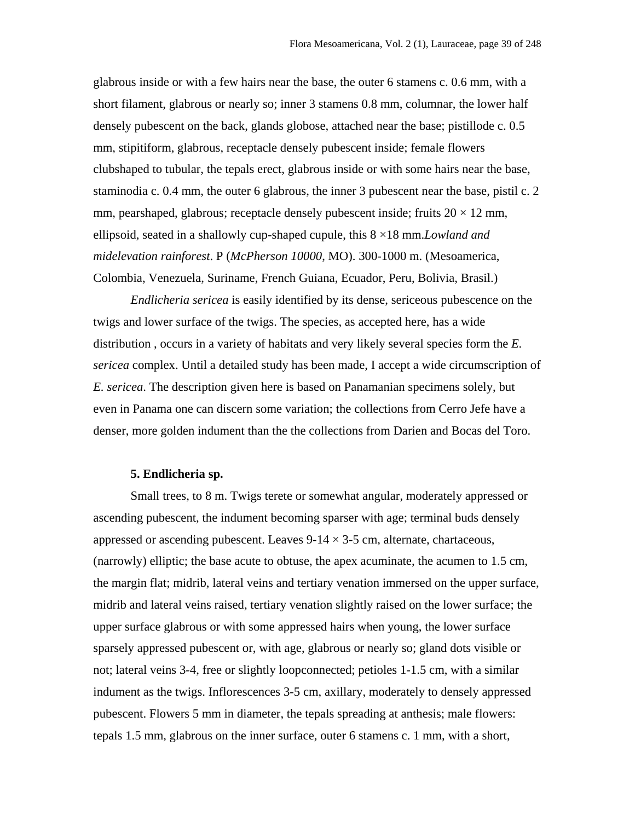glabrous inside or with a few hairs near the base, the outer 6 stamens c. 0.6 mm, with a short filament, glabrous or nearly so; inner 3 stamens 0.8 mm, columnar, the lower half densely pubescent on the back, glands globose, attached near the base; pistillode c. 0.5 mm, stipitiform, glabrous, receptacle densely pubescent inside; female flowers clubshaped to tubular, the tepals erect, glabrous inside or with some hairs near the base, staminodia c. 0.4 mm, the outer 6 glabrous, the inner 3 pubescent near the base, pistil c. 2 mm, pearshaped, glabrous; receptacle densely pubescent inside; fruits  $20 \times 12$  mm, ellipsoid, seated in a shallowly cup-shaped cupule, this 8 ×18 mm.*Lowland and midelevation rainforest*. P (*McPherson 10000*, MO). 300-1000 m. (Mesoamerica, Colombia, Venezuela, Suriname, French Guiana, Ecuador, Peru, Bolivia, Brasil.)

*Endlicheria sericea* is easily identified by its dense, sericeous pubescence on the twigs and lower surface of the twigs. The species, as accepted here, has a wide distribution , occurs in a variety of habitats and very likely several species form the *E. sericea* complex. Until a detailed study has been made, I accept a wide circumscription of *E. sericea*. The description given here is based on Panamanian specimens solely, but even in Panama one can discern some variation; the collections from Cerro Jefe have a denser, more golden indument than the the collections from Darien and Bocas del Toro.

## **5. Endlicheria sp.**

Small trees, to 8 m. Twigs terete or somewhat angular, moderately appressed or ascending pubescent, the indument becoming sparser with age; terminal buds densely appressed or ascending pubescent. Leaves  $9-14 \times 3-5$  cm, alternate, chartaceous, (narrowly) elliptic; the base acute to obtuse, the apex acuminate, the acumen to 1.5 cm, the margin flat; midrib, lateral veins and tertiary venation immersed on the upper surface, midrib and lateral veins raised, tertiary venation slightly raised on the lower surface; the upper surface glabrous or with some appressed hairs when young, the lower surface sparsely appressed pubescent or, with age, glabrous or nearly so; gland dots visible or not; lateral veins 3-4, free or slightly loopconnected; petioles 1-1.5 cm, with a similar indument as the twigs. Inflorescences 3-5 cm, axillary, moderately to densely appressed pubescent. Flowers 5 mm in diameter, the tepals spreading at anthesis; male flowers: tepals 1.5 mm, glabrous on the inner surface, outer 6 stamens c. 1 mm, with a short,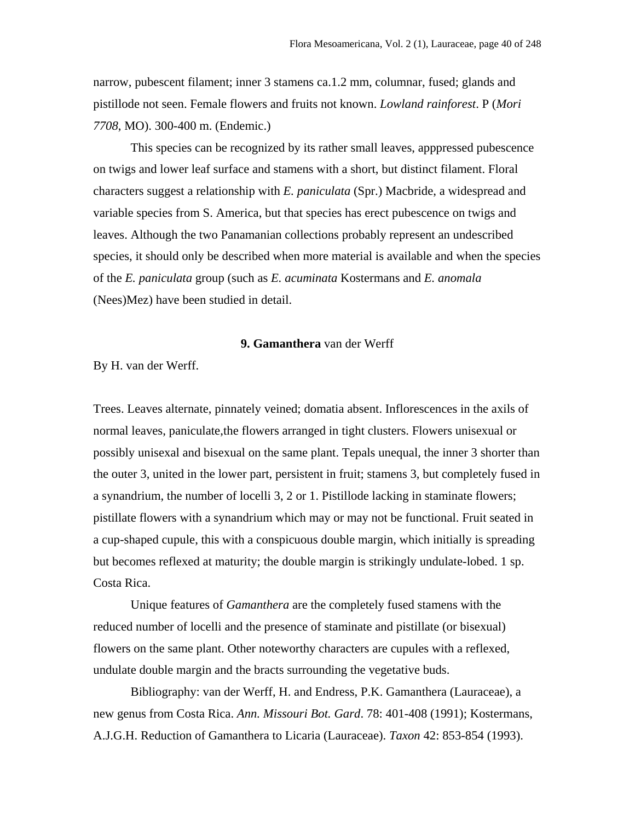narrow, pubescent filament; inner 3 stamens ca.1.2 mm, columnar, fused; glands and pistillode not seen. Female flowers and fruits not known. *Lowland rainforest*. P (*Mori 7708*, MO). 300-400 m. (Endemic.)

This species can be recognized by its rather small leaves, apppressed pubescence on twigs and lower leaf surface and stamens with a short, but distinct filament. Floral characters suggest a relationship with *E. paniculata* (Spr.) Macbride, a widespread and variable species from S. America, but that species has erect pubescence on twigs and leaves. Although the two Panamanian collections probably represent an undescribed species, it should only be described when more material is available and when the species of the *E. paniculata* group (such as *E. acuminata* Kostermans and *E. anomala* (Nees)Mez) have been studied in detail.

# **9. Gamanthera** van der Werff

By H. van der Werff.

Trees. Leaves alternate, pinnately veined; domatia absent. Inflorescences in the axils of normal leaves, paniculate,the flowers arranged in tight clusters. Flowers unisexual or possibly unisexal and bisexual on the same plant. Tepals unequal, the inner 3 shorter than the outer 3, united in the lower part, persistent in fruit; stamens 3, but completely fused in a synandrium, the number of locelli 3, 2 or 1. Pistillode lacking in staminate flowers; pistillate flowers with a synandrium which may or may not be functional. Fruit seated in a cup-shaped cupule, this with a conspicuous double margin, which initially is spreading but becomes reflexed at maturity; the double margin is strikingly undulate-lobed. 1 sp. Costa Rica.

Unique features of *Gamanthera* are the completely fused stamens with the reduced number of locelli and the presence of staminate and pistillate (or bisexual) flowers on the same plant. Other noteworthy characters are cupules with a reflexed, undulate double margin and the bracts surrounding the vegetative buds.

Bibliography: van der Werff, H. and Endress, P.K. Gamanthera (Lauraceae), a new genus from Costa Rica. *Ann. Missouri Bot. Gard*. 78: 401-408 (1991); Kostermans, A.J.G.H. Reduction of Gamanthera to Licaria (Lauraceae). *Taxon* 42: 853-854 (1993).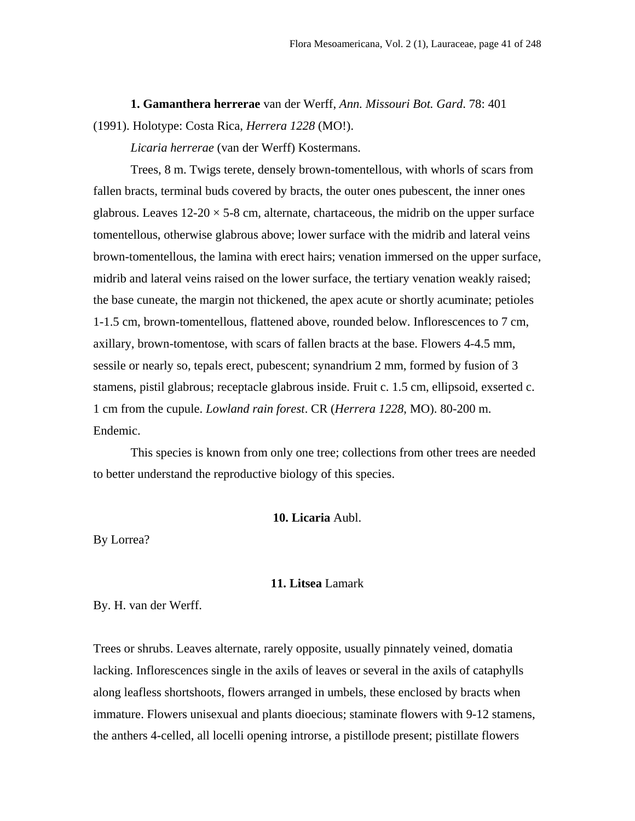**1. Gamanthera herrerae** van der Werff, *Ann. Missouri Bot. Gard*. 78: 401 (1991). Holotype: Costa Rica, *Herrera 1228* (MO!).

*Licaria herrerae* (van der Werff) Kostermans.

Trees, 8 m. Twigs terete, densely brown-tomentellous, with whorls of scars from fallen bracts, terminal buds covered by bracts, the outer ones pubescent, the inner ones glabrous. Leaves  $12{\text -}20 \times 5{\text -}8$  cm, alternate, chartaceous, the midrib on the upper surface tomentellous, otherwise glabrous above; lower surface with the midrib and lateral veins brown-tomentellous, the lamina with erect hairs; venation immersed on the upper surface, midrib and lateral veins raised on the lower surface, the tertiary venation weakly raised; the base cuneate, the margin not thickened, the apex acute or shortly acuminate; petioles 1-1.5 cm, brown-tomentellous, flattened above, rounded below. Inflorescences to 7 cm, axillary, brown-tomentose, with scars of fallen bracts at the base. Flowers 4-4.5 mm, sessile or nearly so, tepals erect, pubescent; synandrium 2 mm, formed by fusion of 3 stamens, pistil glabrous; receptacle glabrous inside. Fruit c. 1.5 cm, ellipsoid, exserted c. 1 cm from the cupule. *Lowland rain forest*. CR (*Herrera 1228*, MO). 80-200 m. Endemic.

This species is known from only one tree; collections from other trees are needed to better understand the reproductive biology of this species.

# **10. Licaria** Aubl.

By Lorrea?

### **11. Litsea** Lamark

By. H. van der Werff.

Trees or shrubs. Leaves alternate, rarely opposite, usually pinnately veined, domatia lacking. Inflorescences single in the axils of leaves or several in the axils of cataphylls along leafless shortshoots, flowers arranged in umbels, these enclosed by bracts when immature. Flowers unisexual and plants dioecious; staminate flowers with 9-12 stamens, the anthers 4-celled, all locelli opening introrse, a pistillode present; pistillate flowers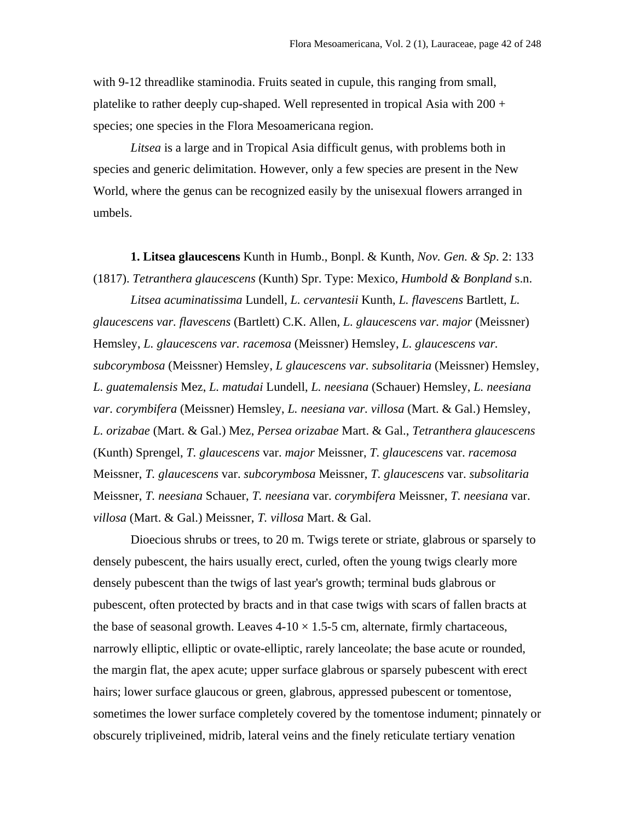with 9-12 threadlike staminodia. Fruits seated in cupule, this ranging from small, platelike to rather deeply cup-shaped. Well represented in tropical Asia with  $200 +$ species; one species in the Flora Mesoamericana region.

*Litsea* is a large and in Tropical Asia difficult genus, with problems both in species and generic delimitation. However, only a few species are present in the New World, where the genus can be recognized easily by the unisexual flowers arranged in umbels.

**1. Litsea glaucescens** Kunth in Humb., Bonpl. & Kunth, *Nov. Gen. & Sp*. 2: 133 (1817). *Tetranthera glaucescens* (Kunth) Spr. Type: Mexico, *Humbold & Bonpland* s.n.

*Litsea acuminatissima* Lundell, *L. cervantesii* Kunth, *L. flavescens* Bartlett, *L. glaucescens var. flavescens* (Bartlett) C.K. Allen, *L. glaucescens var. major* (Meissner) Hemsley, *L. glaucescens var. racemosa* (Meissner) Hemsley, *L. glaucescens var. subcorymbosa* (Meissner) Hemsley, *L glaucescens var. subsolitaria* (Meissner) Hemsley, *L. guatemalensis* Mez, *L. matudai* Lundell, *L. neesiana* (Schauer) Hemsley, *L. neesiana var. corymbifera* (Meissner) Hemsley, *L. neesiana var. villosa* (Mart. & Gal.) Hemsley, *L. orizabae* (Mart. & Gal.) Mez, *Persea orizabae* Mart. & Gal., *Tetranthera glaucescens* (Kunth) Sprengel, *T. glaucescens* var. *major* Meissner, *T. glaucescens* var. *racemosa* Meissner, *T. glaucescens* var. *subcorymbosa* Meissner, *T. glaucescens* var. *subsolitaria* Meissner, *T. neesiana* Schauer, *T. neesiana* var. *corymbifera* Meissner, *T. neesiana* var. *villosa* (Mart. & Gal.) Meissner, *T. villosa* Mart. & Gal.

Dioecious shrubs or trees, to 20 m. Twigs terete or striate, glabrous or sparsely to densely pubescent, the hairs usually erect, curled, often the young twigs clearly more densely pubescent than the twigs of last year's growth; terminal buds glabrous or pubescent, often protected by bracts and in that case twigs with scars of fallen bracts at the base of seasonal growth. Leaves  $4-10 \times 1.5-5$  cm, alternate, firmly chartaceous, narrowly elliptic, elliptic or ovate-elliptic, rarely lanceolate; the base acute or rounded, the margin flat, the apex acute; upper surface glabrous or sparsely pubescent with erect hairs; lower surface glaucous or green, glabrous, appressed pubescent or tomentose, sometimes the lower surface completely covered by the tomentose indument; pinnately or obscurely tripliveined, midrib, lateral veins and the finely reticulate tertiary venation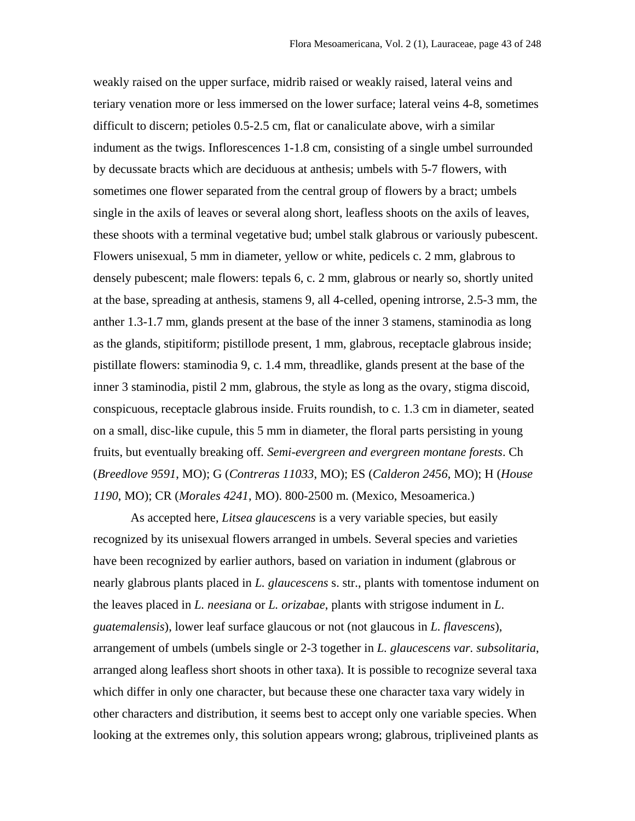weakly raised on the upper surface, midrib raised or weakly raised, lateral veins and teriary venation more or less immersed on the lower surface; lateral veins 4-8, sometimes difficult to discern; petioles 0.5-2.5 cm, flat or canaliculate above, wirh a similar indument as the twigs. Inflorescences 1-1.8 cm, consisting of a single umbel surrounded by decussate bracts which are deciduous at anthesis; umbels with 5-7 flowers, with sometimes one flower separated from the central group of flowers by a bract; umbels single in the axils of leaves or several along short, leafless shoots on the axils of leaves, these shoots with a terminal vegetative bud; umbel stalk glabrous or variously pubescent. Flowers unisexual, 5 mm in diameter, yellow or white, pedicels c. 2 mm, glabrous to densely pubescent; male flowers: tepals 6, c. 2 mm, glabrous or nearly so, shortly united at the base, spreading at anthesis, stamens 9, all 4-celled, opening introrse, 2.5-3 mm, the anther 1.3-1.7 mm, glands present at the base of the inner 3 stamens, staminodia as long as the glands, stipitiform; pistillode present, 1 mm, glabrous, receptacle glabrous inside; pistillate flowers: staminodia 9, c. 1.4 mm, threadlike, glands present at the base of the inner 3 staminodia, pistil 2 mm, glabrous, the style as long as the ovary, stigma discoid, conspicuous, receptacle glabrous inside. Fruits roundish, to c. 1.3 cm in diameter, seated on a small, disc-like cupule, this 5 mm in diameter, the floral parts persisting in young fruits, but eventually breaking off*. Semi-evergreen and evergreen montane forests*. Ch (*Breedlove 9591*, MO); G (*Contreras 11033*, MO); ES (*Calderon 2456*, MO); H (*House 1190*, MO); CR (*Morales 4241*, MO). 800-2500 m. (Mexico, Mesoamerica.)

As accepted here, *Litsea glaucescens* is a very variable species, but easily recognized by its unisexual flowers arranged in umbels. Several species and varieties have been recognized by earlier authors, based on variation in indument (glabrous or nearly glabrous plants placed in *L. glaucescens* s. str., plants with tomentose indument on the leaves placed in *L. neesiana* or *L. orizabae*, plants with strigose indument in *L*. *guatemalensis*), lower leaf surface glaucous or not (not glaucous in *L. flavescens*), arrangement of umbels (umbels single or 2-3 together in *L. glaucescens var. subsolitaria*, arranged along leafless short shoots in other taxa). It is possible to recognize several taxa which differ in only one character, but because these one character taxa vary widely in other characters and distribution, it seems best to accept only one variable species. When looking at the extremes only, this solution appears wrong; glabrous, tripliveined plants as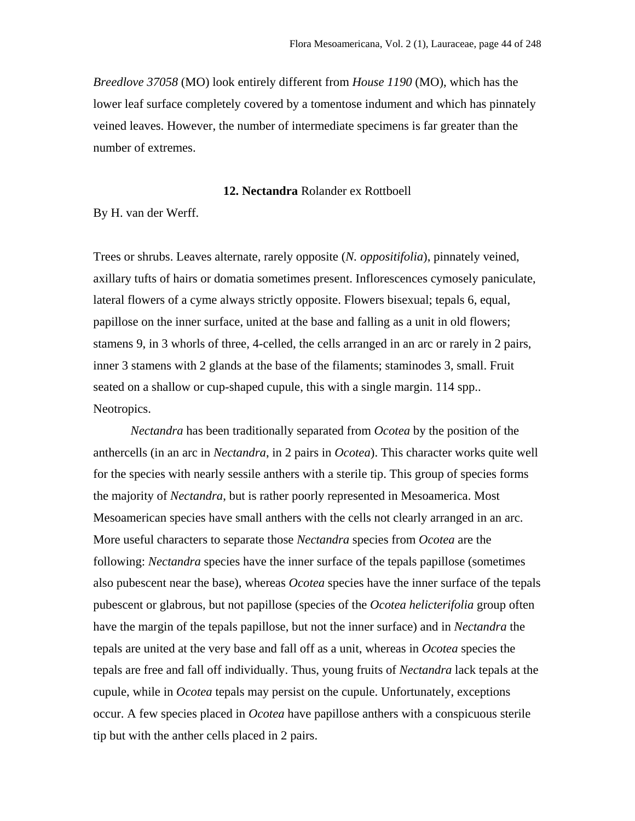*Breedlove 37058* (MO) look entirely different from *House 1190* (MO), which has the lower leaf surface completely covered by a tomentose indument and which has pinnately veined leaves. However, the number of intermediate specimens is far greater than the number of extremes.

## **12. Nectandra** Rolander ex Rottboell

By H. van der Werff.

Trees or shrubs. Leaves alternate, rarely opposite (*N. oppositifolia*), pinnately veined, axillary tufts of hairs or domatia sometimes present. Inflorescences cymosely paniculate, lateral flowers of a cyme always strictly opposite. Flowers bisexual; tepals 6, equal, papillose on the inner surface, united at the base and falling as a unit in old flowers; stamens 9, in 3 whorls of three, 4-celled, the cells arranged in an arc or rarely in 2 pairs, inner 3 stamens with 2 glands at the base of the filaments; staminodes 3, small. Fruit seated on a shallow or cup-shaped cupule, this with a single margin. 114 spp.. Neotropics.

*Nectandra* has been traditionally separated from *Ocotea* by the position of the anthercells (in an arc in *Nectandra*, in 2 pairs in *Ocotea*). This character works quite well for the species with nearly sessile anthers with a sterile tip. This group of species forms the majority of *Nectandra*, but is rather poorly represented in Mesoamerica. Most Mesoamerican species have small anthers with the cells not clearly arranged in an arc. More useful characters to separate those *Nectandra* species from *Ocotea* are the following: *Nectandra* species have the inner surface of the tepals papillose (sometimes also pubescent near the base), whereas *Ocotea* species have the inner surface of the tepals pubescent or glabrous, but not papillose (species of the *Ocotea helicterifolia* group often have the margin of the tepals papillose, but not the inner surface) and in *Nectandra* the tepals are united at the very base and fall off as a unit, whereas in *Ocotea* species the tepals are free and fall off individually. Thus, young fruits of *Nectandra* lack tepals at the cupule, while in *Ocotea* tepals may persist on the cupule. Unfortunately, exceptions occur. A few species placed in *Ocotea* have papillose anthers with a conspicuous sterile tip but with the anther cells placed in 2 pairs.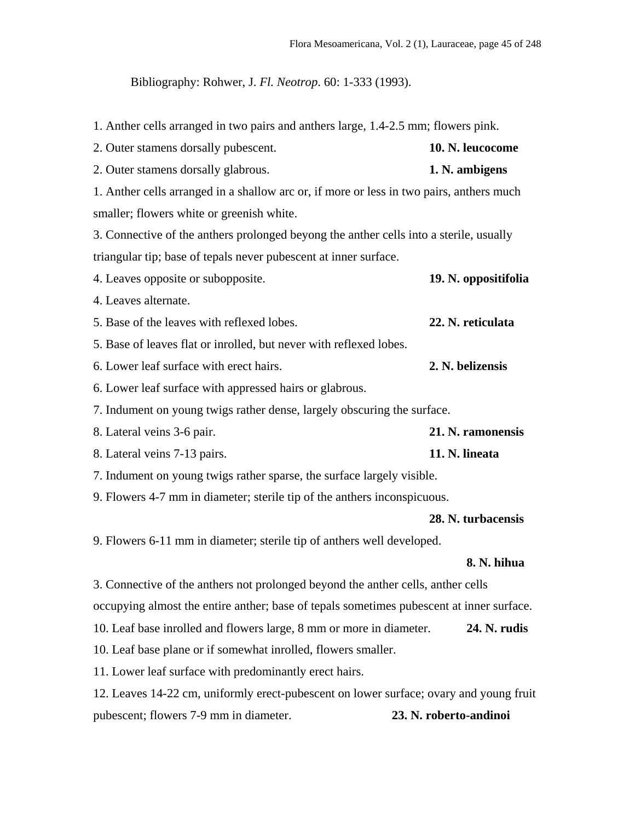Bibliography: Rohwer, J. *Fl. Neotrop*. 60: 1-333 (1993).

1. Anther cells arranged in two pairs and anthers large, 1.4-2.5 mm; flowers pink.

| 2. Outer stamens dorsally pubescent.                                                     | 10. N. leucocome       |
|------------------------------------------------------------------------------------------|------------------------|
| 2. Outer stamens dorsally glabrous.                                                      | 1. N. ambigens         |
| 1. Anther cells arranged in a shallow arc or, if more or less in two pairs, anthers much |                        |
| smaller; flowers white or greenish white.                                                |                        |
| 3. Connective of the anthers prolonged beyong the anther cells into a sterile, usually   |                        |
| triangular tip; base of tepals never pubescent at inner surface.                         |                        |
| 4. Leaves opposite or subopposite.                                                       | 19. N. oppositifolia   |
| 4. Leaves alternate.                                                                     |                        |
| 5. Base of the leaves with reflexed lobes.                                               | 22. N. reticulata      |
| 5. Base of leaves flat or inrolled, but never with reflexed lobes.                       |                        |
| 6. Lower leaf surface with erect hairs.                                                  | 2. N. belizensis       |
| 6. Lower leaf surface with appressed hairs or glabrous.                                  |                        |
| 7. Indument on young twigs rather dense, largely obscuring the surface.                  |                        |
| 8. Lateral veins 3-6 pair.                                                               | 21. N. ramonensis      |
| 8. Lateral veins 7-13 pairs.                                                             | 11. N. lineata         |
| 7. Indument on young twigs rather sparse, the surface largely visible.                   |                        |
| 9. Flowers 4-7 mm in diameter; sterile tip of the anthers inconspicuous.                 |                        |
|                                                                                          | 28. N. turbacensis     |
| 9. Flowers 6-11 mm in diameter; sterile tip of anthers well developed.                   |                        |
|                                                                                          | 8. N. hihua            |
| 3. Connective of the anthers not prolonged beyond the anther cells, anther cells         |                        |
| occupying almost the entire anther; base of tepals sometimes pubescent at inner surface. |                        |
| 10. Leaf base inrolled and flowers large, 8 mm or more in diameter.                      | 24. N. rudis           |
| 10. Leaf base plane or if somewhat inrolled, flowers smaller.                            |                        |
| 11. Lower leaf surface with predominantly erect hairs.                                   |                        |
| 12. Leaves 14-22 cm, uniformly erect-pubescent on lower surface; ovary and young fruit   |                        |
| pubescent; flowers 7-9 mm in diameter.                                                   | 23. N. roberto-andinoi |
|                                                                                          |                        |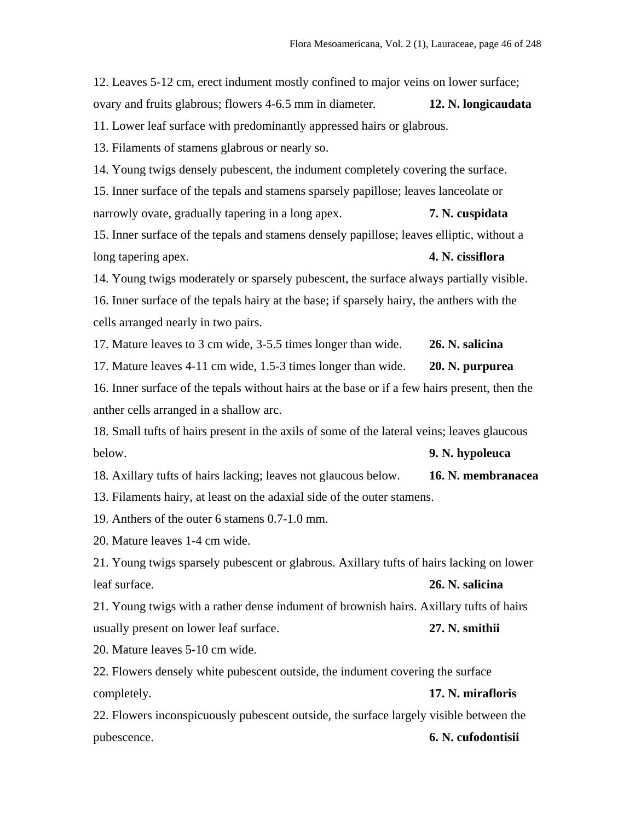12. Leaves 5-12 cm, erect indument mostly confined to major veins on lower surface; ovary and fruits glabrous; flowers 4-6.5 mm in diameter. **12. N. longicaudata** 11. Lower leaf surface with predominantly appressed hairs or glabrous. 13. Filaments of stamens glabrous or nearly so. 14. Young twigs densely pubescent, the indument completely covering the surface. 15. Inner surface of the tepals and stamens sparsely papillose; leaves lanceolate or narrowly ovate, gradually tapering in a long apex. **7. N. cuspidata** 15. Inner surface of the tepals and stamens densely papillose; leaves elliptic, without a long tapering apex. **4. N. cissiflora** 14. Young twigs moderately or sparsely pubescent, the surface always partially visible. 16. Inner surface of the tepals hairy at the base; if sparsely hairy, the anthers with the cells arranged nearly in two pairs. 17. Mature leaves to 3 cm wide, 3-5.5 times longer than wide. **26. N. salicina** 17. Mature leaves 4-11 cm wide, 1.5-3 times longer than wide. **20. N. purpurea** 16. Inner surface of the tepals without hairs at the base or if a few hairs present, then the anther cells arranged in a shallow arc. 18. Small tufts of hairs present in the axils of some of the lateral veins; leaves glaucous below. **9. N. hypoleuca** 18. Axillary tufts of hairs lacking; leaves not glaucous below. **16. N. membranacea** 13. Filaments hairy, at least on the adaxial side of the outer stamens. 19. Anthers of the outer 6 stamens 0.7-1.0 mm. 20. Mature leaves 1-4 cm wide. 21. Young twigs sparsely pubescent or glabrous. Axillary tufts of hairs lacking on lower leaf surface. **26. N. salicina** 21. Young twigs with a rather dense indument of brownish hairs. Axillary tufts of hairs usually present on lower leaf surface. **27. N. smithii** 20. Mature leaves 5-10 cm wide. 22. Flowers densely white pubescent outside, the indument covering the surface completely. **17. N. mirafloris** 22. Flowers inconspicuously pubescent outside, the surface largely visible between the

## pubescence. **6. N. cufodontisii**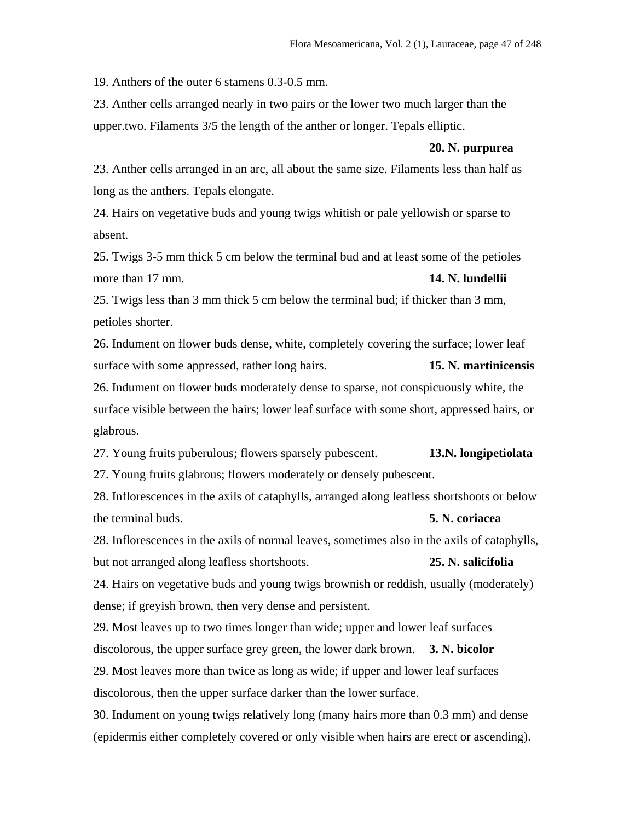19. Anthers of the outer 6 stamens 0.3-0.5 mm.

23. Anther cells arranged nearly in two pairs or the lower two much larger than the upper.two. Filaments 3/5 the length of the anther or longer. Tepals elliptic.

#### **20. N. purpurea**

23. Anther cells arranged in an arc, all about the same size. Filaments less than half as long as the anthers. Tepals elongate.

24. Hairs on vegetative buds and young twigs whitish or pale yellowish or sparse to absent.

25. Twigs 3-5 mm thick 5 cm below the terminal bud and at least some of the petioles more than 17 mm. **14. N. lundellii**

25. Twigs less than 3 mm thick 5 cm below the terminal bud; if thicker than 3 mm, petioles shorter.

26. Indument on flower buds dense, white, completely covering the surface; lower leaf surface with some appressed, rather long hairs. **15. N. martinicensis**

26. Indument on flower buds moderately dense to sparse, not conspicuously white, the surface visible between the hairs; lower leaf surface with some short, appressed hairs, or glabrous.

27. Young fruits puberulous; flowers sparsely pubescent. **13.N. longipetiolata**

27. Young fruits glabrous; flowers moderately or densely pubescent.

28. Inflorescences in the axils of cataphylls, arranged along leafless shortshoots or below the terminal buds. **5. N. coriacea**

28. Inflorescences in the axils of normal leaves, sometimes also in the axils of cataphylls, but not arranged along leafless shortshoots. **25. N. salicifolia**

24. Hairs on vegetative buds and young twigs brownish or reddish, usually (moderately) dense; if greyish brown, then very dense and persistent.

29. Most leaves up to two times longer than wide; upper and lower leaf surfaces discolorous, the upper surface grey green, the lower dark brown. **3. N. bicolor** 29. Most leaves more than twice as long as wide; if upper and lower leaf surfaces discolorous, then the upper surface darker than the lower surface.

30. Indument on young twigs relatively long (many hairs more than 0.3 mm) and dense (epidermis either completely covered or only visible when hairs are erect or ascending).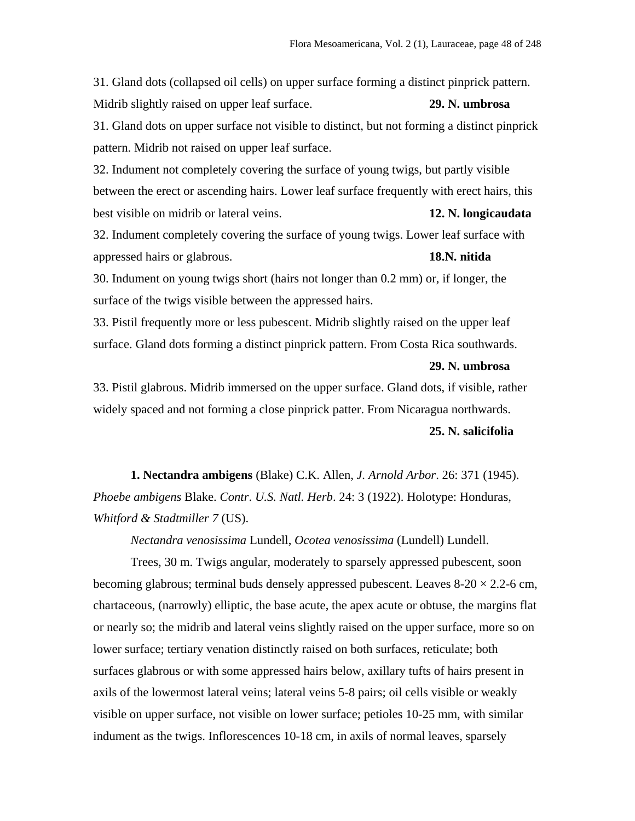31. Gland dots (collapsed oil cells) on upper surface forming a distinct pinprick pattern. Midrib slightly raised on upper leaf surface. **29. N. umbrosa** 31. Gland dots on upper surface not visible to distinct, but not forming a distinct pinprick pattern. Midrib not raised on upper leaf surface.

32. Indument not completely covering the surface of young twigs, but partly visible between the erect or ascending hairs. Lower leaf surface frequently with erect hairs, this best visible on midrib or lateral veins. **12. N. longicaudata**

32. Indument completely covering the surface of young twigs. Lower leaf surface with appressed hairs or glabrous. **18.N. nitida**

30. Indument on young twigs short (hairs not longer than 0.2 mm) or, if longer, the surface of the twigs visible between the appressed hairs.

33. Pistil frequently more or less pubescent. Midrib slightly raised on the upper leaf surface. Gland dots forming a distinct pinprick pattern. From Costa Rica southwards.

#### **29. N. umbrosa**

33. Pistil glabrous. Midrib immersed on the upper surface. Gland dots, if visible, rather widely spaced and not forming a close pinprick patter. From Nicaragua northwards. **25. N. salicifolia**

**1. Nectandra ambigens** (Blake) C.K. Allen, *J. Arnold Arbor*. 26: 371 (1945). *Phoebe ambigens* Blake. *Contr*. *U.S. Natl. Herb*. 24: 3 (1922). Holotype: Honduras, *Whitford & Stadtmiller 7* (US).

*Nectandra venosissima* Lundell, *Ocotea venosissima* (Lundell) Lundell.

Trees, 30 m. Twigs angular, moderately to sparsely appressed pubescent, soon becoming glabrous; terminal buds densely appressed pubescent. Leaves  $8-20 \times 2.2$ -6 cm, chartaceous, (narrowly) elliptic, the base acute, the apex acute or obtuse, the margins flat or nearly so; the midrib and lateral veins slightly raised on the upper surface, more so on lower surface; tertiary venation distinctly raised on both surfaces, reticulate; both surfaces glabrous or with some appressed hairs below, axillary tufts of hairs present in axils of the lowermost lateral veins; lateral veins 5-8 pairs; oil cells visible or weakly visible on upper surface, not visible on lower surface; petioles 10-25 mm, with similar indument as the twigs. Inflorescences 10-18 cm, in axils of normal leaves, sparsely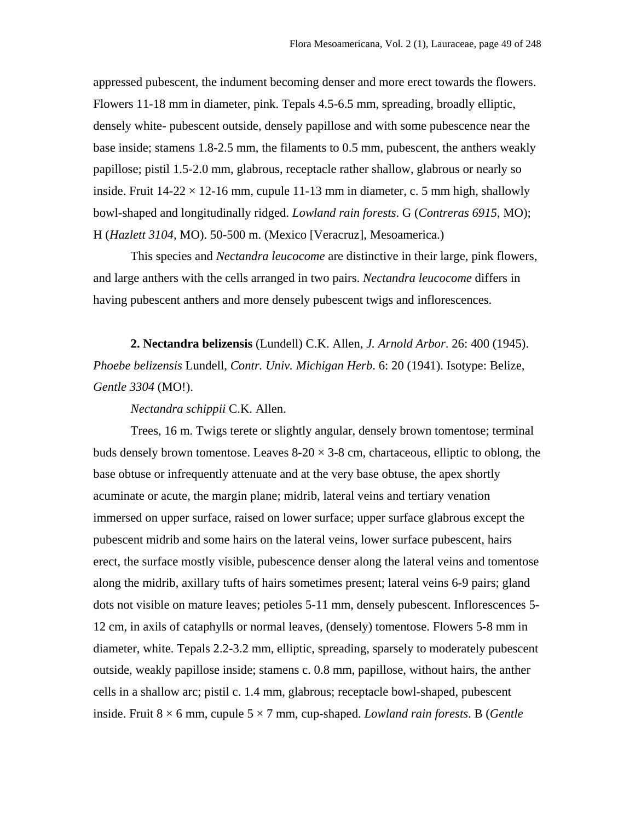appressed pubescent, the indument becoming denser and more erect towards the flowers. Flowers 11-18 mm in diameter, pink. Tepals 4.5-6.5 mm, spreading, broadly elliptic, densely white- pubescent outside, densely papillose and with some pubescence near the base inside; stamens 1.8-2.5 mm, the filaments to 0.5 mm, pubescent, the anthers weakly papillose; pistil 1.5-2.0 mm, glabrous, receptacle rather shallow, glabrous or nearly so inside. Fruit  $14-22 \times 12-16$  mm, cupule  $11-13$  mm in diameter, c. 5 mm high, shallowly bowl-shaped and longitudinally ridged. *Lowland rain forests*. G (*Contreras 6915*, MO); H (*Hazlett 3104*, MO). 50-500 m. (Mexico [Veracruz], Mesoamerica.)

This species and *Nectandra leucocome* are distinctive in their large, pink flowers, and large anthers with the cells arranged in two pairs. *Nectandra leucocome* differs in having pubescent anthers and more densely pubescent twigs and inflorescences.

**2. Nectandra belizensis** (Lundell) C.K. Allen, *J. Arnold Arbor*. 26: 400 (1945). *Phoebe belizensis* Lundell, *Contr. Univ. Michigan Herb*. 6: 20 (1941). Isotype: Belize, *Gentle 3304* (MO!).

*Nectandra schippii* C.K. Allen.

Trees, 16 m. Twigs terete or slightly angular, densely brown tomentose; terminal buds densely brown tomentose. Leaves  $8-20 \times 3-8$  cm, chartaceous, elliptic to oblong, the base obtuse or infrequently attenuate and at the very base obtuse, the apex shortly acuminate or acute, the margin plane; midrib, lateral veins and tertiary venation immersed on upper surface, raised on lower surface; upper surface glabrous except the pubescent midrib and some hairs on the lateral veins, lower surface pubescent, hairs erect, the surface mostly visible, pubescence denser along the lateral veins and tomentose along the midrib, axillary tufts of hairs sometimes present; lateral veins 6-9 pairs; gland dots not visible on mature leaves; petioles 5-11 mm, densely pubescent. Inflorescences 5- 12 cm, in axils of cataphylls or normal leaves, (densely) tomentose. Flowers 5-8 mm in diameter, white. Tepals 2.2-3.2 mm, elliptic, spreading, sparsely to moderately pubescent outside, weakly papillose inside; stamens c. 0.8 mm, papillose, without hairs, the anther cells in a shallow arc; pistil c. 1.4 mm, glabrous; receptacle bowl-shaped, pubescent inside. Fruit  $8 \times 6$  mm, cupule  $5 \times 7$  mm, cup-shaped. *Lowland rain forests*. B (*Gentle*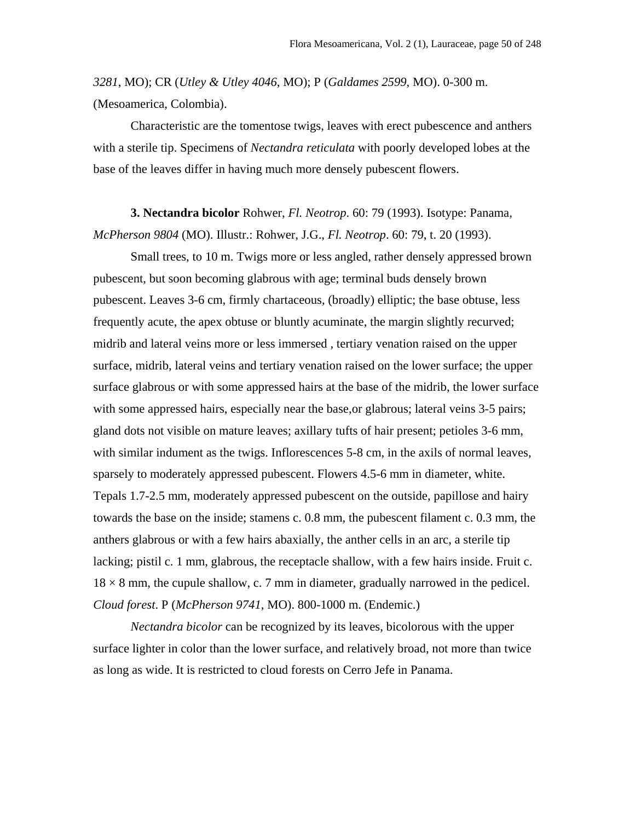*3281*, MO); CR (*Utley & Utley 4046*, MO); P (*Galdames 2599*, MO). 0-300 m. (Mesoamerica, Colombia).

Characteristic are the tomentose twigs, leaves with erect pubescence and anthers with a sterile tip. Specimens of *Nectandra reticulata* with poorly developed lobes at the base of the leaves differ in having much more densely pubescent flowers.

**3. Nectandra bicolor** Rohwer, *Fl. Neotrop*. 60: 79 (1993). Isotype: Panama, *McPherson 9804* (MO). Illustr.: Rohwer, J.G., *Fl. Neotrop*. 60: 79, t. 20 (1993).

Small trees, to 10 m. Twigs more or less angled, rather densely appressed brown pubescent, but soon becoming glabrous with age; terminal buds densely brown pubescent. Leaves 3-6 cm, firmly chartaceous, (broadly) elliptic; the base obtuse, less frequently acute, the apex obtuse or bluntly acuminate, the margin slightly recurved; midrib and lateral veins more or less immersed , tertiary venation raised on the upper surface, midrib, lateral veins and tertiary venation raised on the lower surface; the upper surface glabrous or with some appressed hairs at the base of the midrib, the lower surface with some appressed hairs, especially near the base, or glabrous; lateral veins 3-5 pairs; gland dots not visible on mature leaves; axillary tufts of hair present; petioles 3-6 mm, with similar indument as the twigs. Inflorescences 5-8 cm, in the axils of normal leaves, sparsely to moderately appressed pubescent. Flowers 4.5-6 mm in diameter, white. Tepals 1.7-2.5 mm, moderately appressed pubescent on the outside, papillose and hairy towards the base on the inside; stamens c. 0.8 mm, the pubescent filament c. 0.3 mm, the anthers glabrous or with a few hairs abaxially, the anther cells in an arc, a sterile tip lacking; pistil c. 1 mm, glabrous, the receptacle shallow, with a few hairs inside. Fruit c.  $18 \times 8$  mm, the cupule shallow, c. 7 mm in diameter, gradually narrowed in the pedicel. *Cloud forest*. P (*McPherson 9741*, MO). 800-1000 m. (Endemic.)

*Nectandra bicolor* can be recognized by its leaves, bicolorous with the upper surface lighter in color than the lower surface, and relatively broad, not more than twice as long as wide. It is restricted to cloud forests on Cerro Jefe in Panama.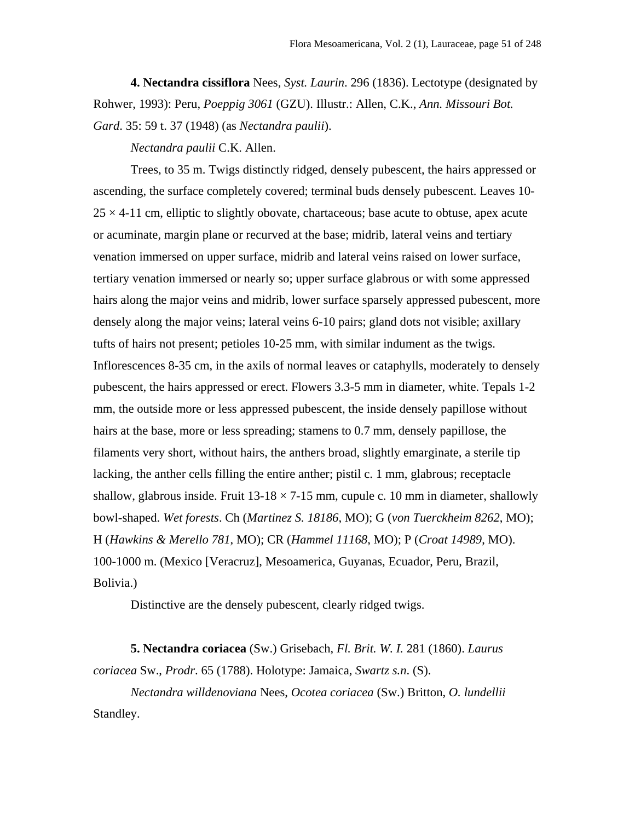**4. Nectandra cissiflora** Nees, *Syst. Laurin*. 296 (1836). Lectotype (designated by Rohwer, 1993): Peru, *Poeppig 3061* (GZU). Illustr.: Allen, C.K., *Ann. Missouri Bot. Gard*. 35: 59 t. 37 (1948) (as *Nectandra paulii*).

*Nectandra paulii* C.K. Allen.

Trees, to 35 m. Twigs distinctly ridged, densely pubescent, the hairs appressed or ascending, the surface completely covered; terminal buds densely pubescent. Leaves 10-  $25 \times 4$ -11 cm, elliptic to slightly obovate, chartaceous; base acute to obtuse, apex acute or acuminate, margin plane or recurved at the base; midrib, lateral veins and tertiary venation immersed on upper surface, midrib and lateral veins raised on lower surface, tertiary venation immersed or nearly so; upper surface glabrous or with some appressed hairs along the major veins and midrib, lower surface sparsely appressed pubescent, more densely along the major veins; lateral veins 6-10 pairs; gland dots not visible; axillary tufts of hairs not present; petioles 10-25 mm, with similar indument as the twigs. Inflorescences 8-35 cm, in the axils of normal leaves or cataphylls, moderately to densely pubescent, the hairs appressed or erect. Flowers 3.3-5 mm in diameter, white. Tepals 1-2 mm, the outside more or less appressed pubescent, the inside densely papillose without hairs at the base, more or less spreading; stamens to 0.7 mm, densely papillose, the filaments very short, without hairs, the anthers broad, slightly emarginate, a sterile tip lacking, the anther cells filling the entire anther; pistil c. 1 mm, glabrous; receptacle shallow, glabrous inside. Fruit  $13-18 \times 7-15$  mm, cupule c. 10 mm in diameter, shallowly bowl-shaped. *Wet forests*. Ch (*Martinez S. 18186*, MO); G (*von Tuerckheim 8262*, MO); H (*Hawkins & Merello 781*, MO); CR (*Hammel 11168*, MO); P (*Croat 14989*, MO). 100-1000 m. (Mexico [Veracruz], Mesoamerica, Guyanas, Ecuador, Peru, Brazil, Bolivia.)

Distinctive are the densely pubescent, clearly ridged twigs.

**5. Nectandra coriacea** (Sw.) Grisebach, *Fl. Brit. W. I.* 281 (1860). *Laurus coriacea* Sw., *Prodr*. 65 (1788). Holotype: Jamaica, *Swartz s.n*. (S).

*Nectandra willdenoviana* Nees, *Ocotea coriacea* (Sw.) Britton, *O. lundellii* Standley.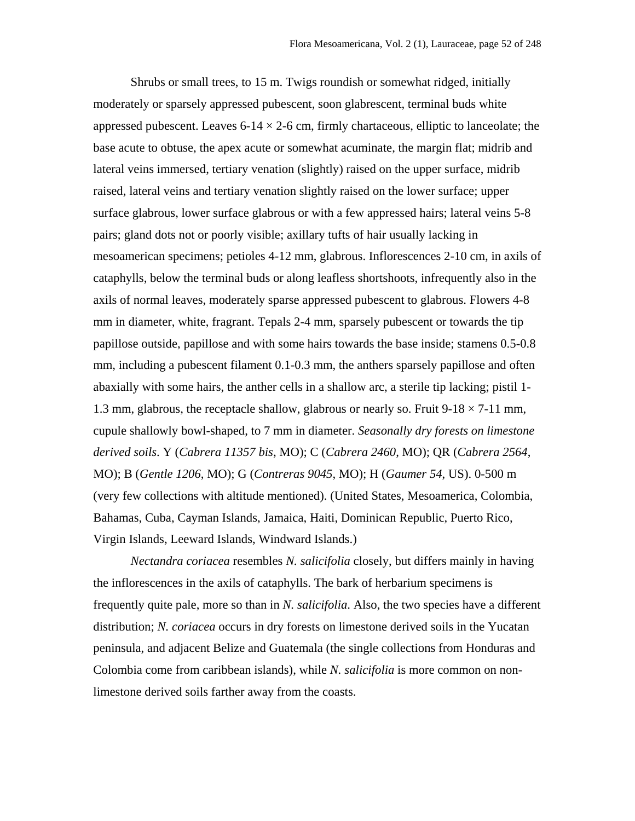Shrubs or small trees, to 15 m. Twigs roundish or somewhat ridged, initially moderately or sparsely appressed pubescent, soon glabrescent, terminal buds white appressed pubescent. Leaves  $6-14 \times 2-6$  cm, firmly chartaceous, elliptic to lanceolate; the base acute to obtuse, the apex acute or somewhat acuminate, the margin flat; midrib and lateral veins immersed, tertiary venation (slightly) raised on the upper surface, midrib raised, lateral veins and tertiary venation slightly raised on the lower surface; upper surface glabrous, lower surface glabrous or with a few appressed hairs; lateral veins 5-8 pairs; gland dots not or poorly visible; axillary tufts of hair usually lacking in mesoamerican specimens; petioles 4-12 mm, glabrous. Inflorescences 2-10 cm, in axils of cataphylls, below the terminal buds or along leafless shortshoots, infrequently also in the axils of normal leaves, moderately sparse appressed pubescent to glabrous. Flowers 4-8 mm in diameter, white, fragrant. Tepals 2-4 mm, sparsely pubescent or towards the tip papillose outside, papillose and with some hairs towards the base inside; stamens 0.5-0.8 mm, including a pubescent filament 0.1-0.3 mm, the anthers sparsely papillose and often abaxially with some hairs, the anther cells in a shallow arc, a sterile tip lacking; pistil 1- 1.3 mm, glabrous, the receptacle shallow, glabrous or nearly so. Fruit  $9-18 \times 7-11$  mm, cupule shallowly bowl-shaped, to 7 mm in diameter. *Seasonally dry forests on limestone derived soils*. Y (*Cabrera 11357 bis*, MO); C (*Cabrera 2460*, MO); QR (*Cabrera 2564*, MO); B (*Gentle 1206*, MO); G (*Contreras 9045*, MO); H (*Gaumer 54*, US). 0-500 m (very few collections with altitude mentioned). (United States, Mesoamerica, Colombia, Bahamas, Cuba, Cayman Islands, Jamaica, Haiti, Dominican Republic, Puerto Rico, Virgin Islands, Leeward Islands, Windward Islands.)

*Nectandra coriacea* resembles *N. salicifolia* closely, but differs mainly in having the inflorescences in the axils of cataphylls. The bark of herbarium specimens is frequently quite pale, more so than in *N. salicifolia*. Also, the two species have a different distribution; *N. coriacea* occurs in dry forests on limestone derived soils in the Yucatan peninsula, and adjacent Belize and Guatemala (the single collections from Honduras and Colombia come from caribbean islands), while *N. salicifolia* is more common on nonlimestone derived soils farther away from the coasts.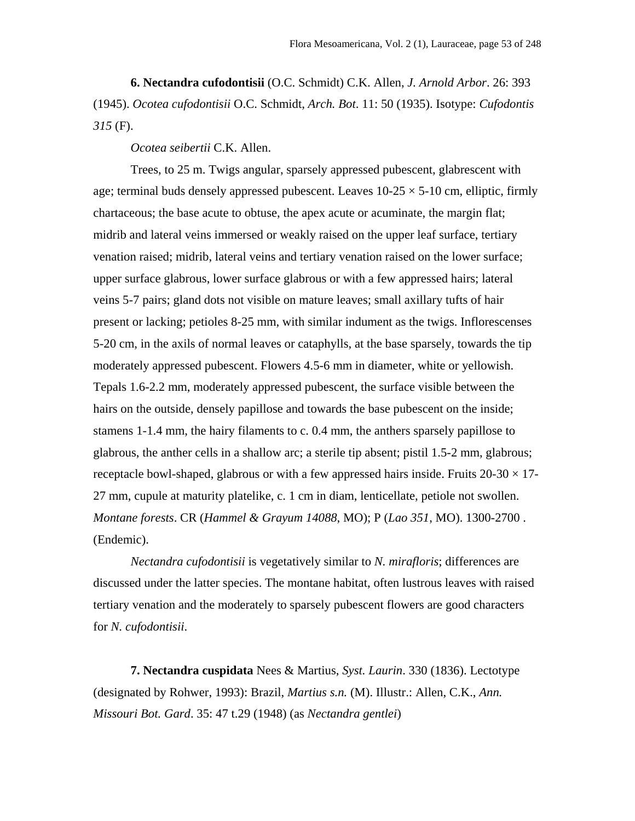**6. Nectandra cufodontisii** (O.C. Schmidt) C.K. Allen, *J. Arnold Arbor*. 26: 393 (1945). *Ocotea cufodontisii* O.C. Schmidt, *Arch. Bot*. 11: 50 (1935). Isotype: *Cufodontis 315* (F).

*Ocotea seibertii* C.K. Allen.

Trees, to 25 m. Twigs angular, sparsely appressed pubescent, glabrescent with age; terminal buds densely appressed pubescent. Leaves  $10-25 \times 5-10$  cm, elliptic, firmly chartaceous; the base acute to obtuse, the apex acute or acuminate, the margin flat; midrib and lateral veins immersed or weakly raised on the upper leaf surface, tertiary venation raised; midrib, lateral veins and tertiary venation raised on the lower surface; upper surface glabrous, lower surface glabrous or with a few appressed hairs; lateral veins 5-7 pairs; gland dots not visible on mature leaves; small axillary tufts of hair present or lacking; petioles 8-25 mm, with similar indument as the twigs. Inflorescenses 5-20 cm, in the axils of normal leaves or cataphylls, at the base sparsely, towards the tip moderately appressed pubescent. Flowers 4.5-6 mm in diameter, white or yellowish. Tepals 1.6-2.2 mm, moderately appressed pubescent, the surface visible between the hairs on the outside, densely papillose and towards the base pubescent on the inside; stamens 1-1.4 mm, the hairy filaments to c. 0.4 mm, the anthers sparsely papillose to glabrous, the anther cells in a shallow arc; a sterile tip absent; pistil 1.5-2 mm, glabrous; receptacle bowl-shaped, glabrous or with a few appressed hairs inside. Fruits  $20-30 \times 17$ -27 mm, cupule at maturity platelike, c. 1 cm in diam, lenticellate, petiole not swollen. *Montane forests*. CR (*Hammel & Grayum 14088*, MO); P (*Lao 351*, MO). 1300-2700 . (Endemic).

*Nectandra cufodontisii* is vegetatively similar to *N. mirafloris*; differences are discussed under the latter species. The montane habitat, often lustrous leaves with raised tertiary venation and the moderately to sparsely pubescent flowers are good characters for *N. cufodontisii*.

**7. Nectandra cuspidata** Nees & Martius, *Syst. Laurin*. 330 (1836). Lectotype (designated by Rohwer, 1993): Brazil, *Martius s.n.* (M). Illustr.: Allen, C.K., *Ann. Missouri Bot. Gard*. 35: 47 t.29 (1948) (as *Nectandra gentlei*)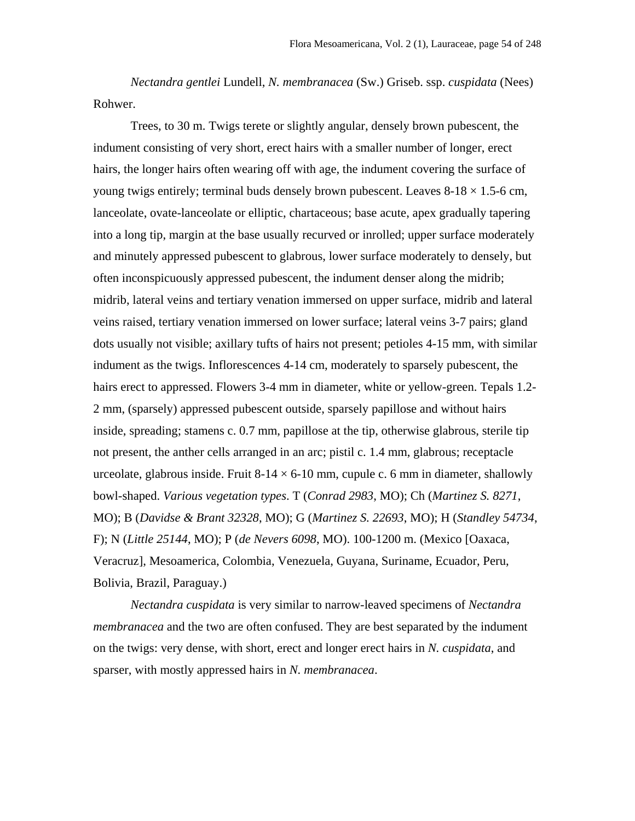*Nectandra gentlei* Lundell, *N. membranacea* (Sw.) Griseb. ssp. *cuspidata* (Nees) Rohwer.

Trees, to 30 m. Twigs terete or slightly angular, densely brown pubescent, the indument consisting of very short, erect hairs with a smaller number of longer, erect hairs, the longer hairs often wearing off with age, the indument covering the surface of young twigs entirely; terminal buds densely brown pubescent. Leaves  $8-18 \times 1.5$ -6 cm, lanceolate, ovate-lanceolate or elliptic, chartaceous; base acute, apex gradually tapering into a long tip, margin at the base usually recurved or inrolled; upper surface moderately and minutely appressed pubescent to glabrous, lower surface moderately to densely, but often inconspicuously appressed pubescent, the indument denser along the midrib; midrib, lateral veins and tertiary venation immersed on upper surface, midrib and lateral veins raised, tertiary venation immersed on lower surface; lateral veins 3-7 pairs; gland dots usually not visible; axillary tufts of hairs not present; petioles 4-15 mm, with similar indument as the twigs. Inflorescences 4-14 cm, moderately to sparsely pubescent, the hairs erect to appressed. Flowers 3-4 mm in diameter, white or yellow-green. Tepals 1.2- 2 mm, (sparsely) appressed pubescent outside, sparsely papillose and without hairs inside, spreading; stamens c. 0.7 mm, papillose at the tip, otherwise glabrous, sterile tip not present, the anther cells arranged in an arc; pistil c. 1.4 mm, glabrous; receptacle urceolate, glabrous inside. Fruit  $8-14 \times 6-10$  mm, cupule c. 6 mm in diameter, shallowly bowl-shaped. *Various vegetation types*. T (*Conrad 2983*, MO); Ch (*Martinez S. 8271*, MO); B (*Davidse & Brant 32328*, MO); G (*Martinez S. 22693*, MO); H (*Standley 54734*, F); N (*Little 25144*, MO); P (*de Nevers 6098*, MO). 100-1200 m. (Mexico [Oaxaca, Veracruz], Mesoamerica, Colombia, Venezuela, Guyana, Suriname, Ecuador, Peru, Bolivia, Brazil, Paraguay.)

*Nectandra cuspidata* is very similar to narrow-leaved specimens of *Nectandra membranacea* and the two are often confused. They are best separated by the indument on the twigs: very dense, with short, erect and longer erect hairs in *N. cuspidata*, and sparser, with mostly appressed hairs in *N. membranacea*.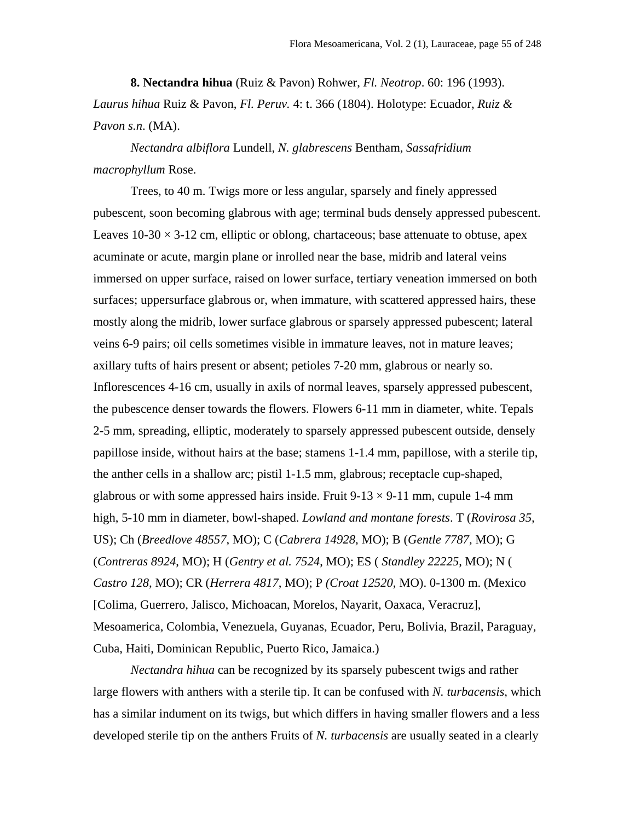**8. Nectandra hihua** (Ruiz & Pavon) Rohwer, *Fl. Neotrop*. 60: 196 (1993). *Laurus hihua* Ruiz & Pavon, *Fl. Peruv.* 4: t. 366 (1804). Holotype: Ecuador, *Ruiz & Pavon s.n*. (MA).

*Nectandra albiflora* Lundell, *N. glabrescens* Bentham, *Sassafridium macrophyllum* Rose.

Trees, to 40 m. Twigs more or less angular, sparsely and finely appressed pubescent, soon becoming glabrous with age; terminal buds densely appressed pubescent. Leaves  $10-30 \times 3-12$  cm, elliptic or oblong, chartaceous; base attenuate to obtuse, apex acuminate or acute, margin plane or inrolled near the base, midrib and lateral veins immersed on upper surface, raised on lower surface, tertiary veneation immersed on both surfaces; uppersurface glabrous or, when immature, with scattered appressed hairs, these mostly along the midrib, lower surface glabrous or sparsely appressed pubescent; lateral veins 6-9 pairs; oil cells sometimes visible in immature leaves, not in mature leaves; axillary tufts of hairs present or absent; petioles 7-20 mm, glabrous or nearly so. Inflorescences 4-16 cm, usually in axils of normal leaves, sparsely appressed pubescent, the pubescence denser towards the flowers. Flowers 6-11 mm in diameter, white. Tepals 2-5 mm, spreading, elliptic, moderately to sparsely appressed pubescent outside, densely papillose inside, without hairs at the base; stamens 1-1.4 mm, papillose, with a sterile tip, the anther cells in a shallow arc; pistil 1-1.5 mm, glabrous; receptacle cup-shaped, glabrous or with some appressed hairs inside. Fruit  $9-13 \times 9-11$  mm, cupule 1-4 mm high, 5-10 mm in diameter, bowl-shaped. *Lowland and montane forests*. T (*Rovirosa 35,* US); Ch (*Breedlove 48557*, MO); C (*Cabrera 14928*, MO); B (*Gentle 7787,* MO); G (*Contreras 8924*, MO); H (*Gentry et al. 7524*, MO); ES ( *Standley 22225*, MO); N ( *Castro 128*, MO); CR (*Herrera 4817*, MO); P *(Croat 12520*, MO). 0-1300 m. (Mexico [Colima, Guerrero, Jalisco, Michoacan, Morelos, Nayarit, Oaxaca, Veracruz], Mesoamerica, Colombia, Venezuela, Guyanas, Ecuador, Peru, Bolivia, Brazil, Paraguay, Cuba, Haiti, Dominican Republic, Puerto Rico, Jamaica.)

*Nectandra hihua* can be recognized by its sparsely pubescent twigs and rather large flowers with anthers with a sterile tip. It can be confused with *N. turbacensis*, which has a similar indument on its twigs, but which differs in having smaller flowers and a less developed sterile tip on the anthers Fruits of *N. turbacensis* are usually seated in a clearly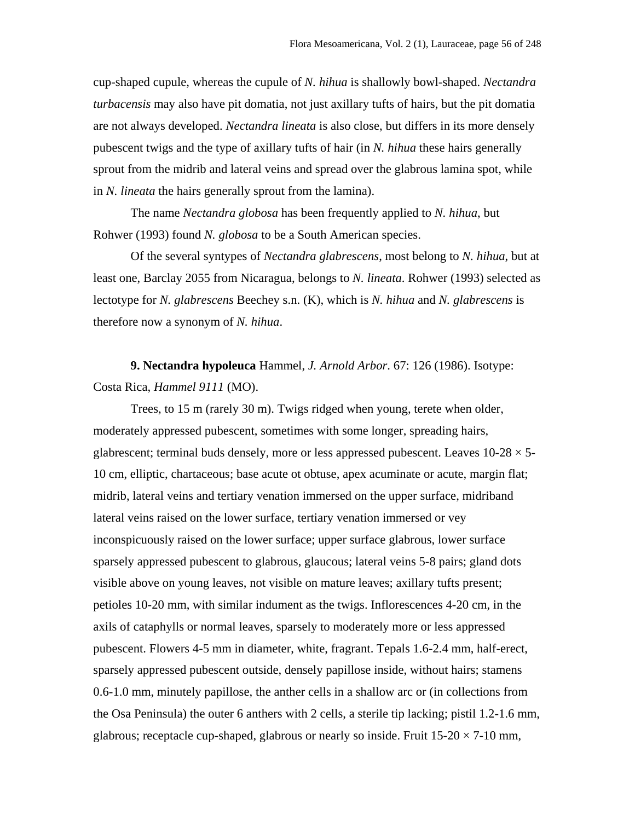cup-shaped cupule, whereas the cupule of *N. hihua* is shallowly bowl-shaped. *Nectandra turbacensis* may also have pit domatia, not just axillary tufts of hairs, but the pit domatia are not always developed. *Nectandra lineata* is also close, but differs in its more densely pubescent twigs and the type of axillary tufts of hair (in *N. hihua* these hairs generally sprout from the midrib and lateral veins and spread over the glabrous lamina spot, while in *N. lineata* the hairs generally sprout from the lamina).

The name *Nectandra globosa* has been frequently applied to *N. hihua*, but Rohwer (1993) found *N. globosa* to be a South American species.

Of the several syntypes of *Nectandra glabrescens*, most belong to *N. hihua*, but at least one, Barclay 2055 from Nicaragua, belongs to *N. lineata*. Rohwer (1993) selected as lectotype for *N. glabrescens* Beechey s.n. (K), which is *N. hihua* and *N. glabrescens* is therefore now a synonym of *N. hihua*.

**9. Nectandra hypoleuca** Hammel, *J. Arnold Arbor*. 67: 126 (1986). Isotype: Costa Rica, *Hammel 9111* (MO).

Trees, to 15 m (rarely 30 m). Twigs ridged when young, terete when older, moderately appressed pubescent, sometimes with some longer, spreading hairs, glabrescent; terminal buds densely, more or less appressed pubescent. Leaves  $10-28 \times 5-$ 10 cm, elliptic, chartaceous; base acute ot obtuse, apex acuminate or acute, margin flat; midrib, lateral veins and tertiary venation immersed on the upper surface, midriband lateral veins raised on the lower surface, tertiary venation immersed or vey inconspicuously raised on the lower surface; upper surface glabrous, lower surface sparsely appressed pubescent to glabrous, glaucous; lateral veins 5-8 pairs; gland dots visible above on young leaves, not visible on mature leaves; axillary tufts present; petioles 10-20 mm, with similar indument as the twigs. Inflorescences 4-20 cm, in the axils of cataphylls or normal leaves, sparsely to moderately more or less appressed pubescent. Flowers 4-5 mm in diameter, white, fragrant. Tepals 1.6-2.4 mm, half-erect, sparsely appressed pubescent outside, densely papillose inside, without hairs; stamens 0.6-1.0 mm, minutely papillose, the anther cells in a shallow arc or (in collections from the Osa Peninsula) the outer 6 anthers with 2 cells, a sterile tip lacking; pistil 1.2-1.6 mm, glabrous; receptacle cup-shaped, glabrous or nearly so inside. Fruit  $15{\text -}20 \times 7{\text -}10$  mm,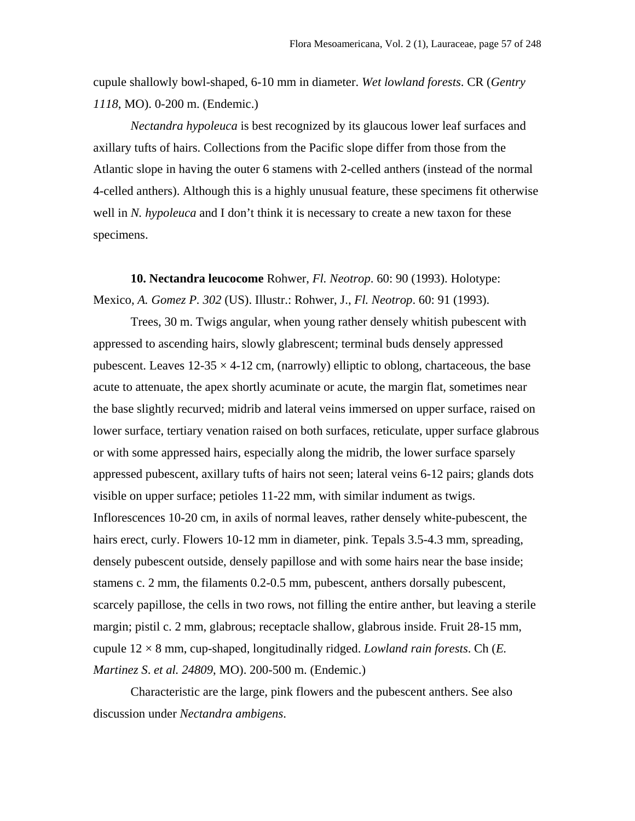cupule shallowly bowl-shaped, 6-10 mm in diameter. *Wet lowland forests*. CR (*Gentry 1118*, MO). 0-200 m. (Endemic.)

*Nectandra hypoleuca* is best recognized by its glaucous lower leaf surfaces and axillary tufts of hairs. Collections from the Pacific slope differ from those from the Atlantic slope in having the outer 6 stamens with 2-celled anthers (instead of the normal 4-celled anthers). Although this is a highly unusual feature, these specimens fit otherwise well in N. *hypoleuca* and I don't think it is necessary to create a new taxon for these specimens.

**10. Nectandra leucocome** Rohwer, *Fl. Neotrop*. 60: 90 (1993). Holotype: Mexico, *A. Gomez P. 302* (US). Illustr.: Rohwer, J., *Fl. Neotrop*. 60: 91 (1993).

Trees, 30 m. Twigs angular, when young rather densely whitish pubescent with appressed to ascending hairs, slowly glabrescent; terminal buds densely appressed pubescent. Leaves  $12-35 \times 4-12$  cm, (narrowly) elliptic to oblong, chartaceous, the base acute to attenuate, the apex shortly acuminate or acute, the margin flat, sometimes near the base slightly recurved; midrib and lateral veins immersed on upper surface, raised on lower surface, tertiary venation raised on both surfaces, reticulate, upper surface glabrous or with some appressed hairs, especially along the midrib, the lower surface sparsely appressed pubescent, axillary tufts of hairs not seen; lateral veins 6-12 pairs; glands dots visible on upper surface; petioles 11-22 mm, with similar indument as twigs. Inflorescences 10-20 cm, in axils of normal leaves, rather densely white-pubescent, the hairs erect, curly. Flowers 10-12 mm in diameter, pink. Tepals 3.5-4.3 mm, spreading, densely pubescent outside, densely papillose and with some hairs near the base inside; stamens c. 2 mm, the filaments 0.2-0.5 mm, pubescent, anthers dorsally pubescent, scarcely papillose, the cells in two rows, not filling the entire anther, but leaving a sterile margin; pistil c. 2 mm, glabrous; receptacle shallow, glabrous inside. Fruit 28-15 mm, cupule 12 × 8 mm, cup-shaped, longitudinally ridged. *Lowland rain forests*. Ch (*E. Martinez S*. *et al. 24809*, MO). 200-500 m. (Endemic.)

Characteristic are the large, pink flowers and the pubescent anthers. See also discussion under *Nectandra ambigens*.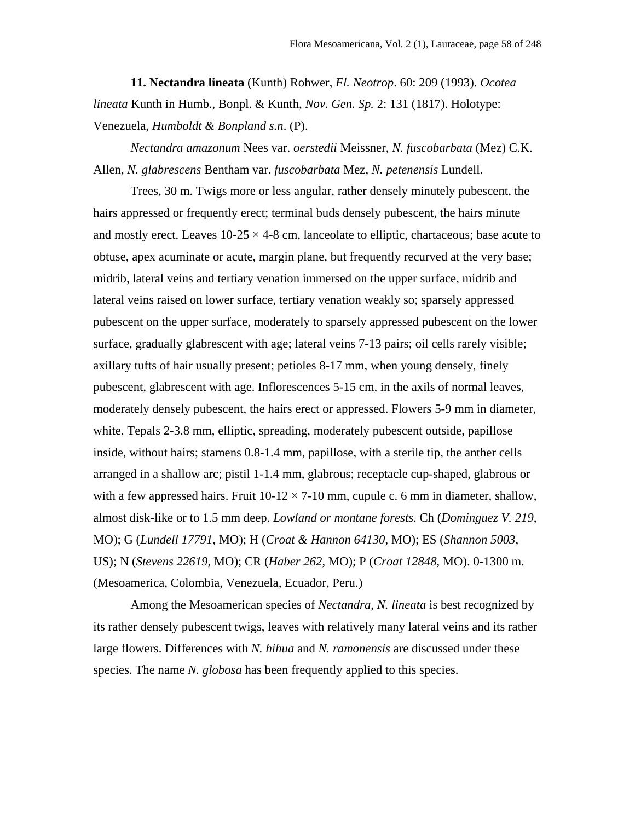**11. Nectandra lineata** (Kunth) Rohwer, *Fl. Neotrop*. 60: 209 (1993). *Ocotea lineata* Kunth in Humb., Bonpl. & Kunth, *Nov. Gen. Sp.* 2: 131 (1817). Holotype: Venezuela, *Humboldt & Bonpland s.n*. (P).

*Nectandra amazonum* Nees var. *oerstedii* Meissner, *N. fuscobarbata* (Mez) C.K. Allen, *N. glabrescens* Bentham var. *fuscobarbata* Mez, *N. petenensis* Lundell.

Trees, 30 m. Twigs more or less angular, rather densely minutely pubescent, the hairs appressed or frequently erect; terminal buds densely pubescent, the hairs minute and mostly erect. Leaves  $10-25 \times 4-8$  cm, lanceolate to elliptic, chartaceous; base acute to obtuse, apex acuminate or acute, margin plane, but frequently recurved at the very base; midrib, lateral veins and tertiary venation immersed on the upper surface, midrib and lateral veins raised on lower surface, tertiary venation weakly so; sparsely appressed pubescent on the upper surface, moderately to sparsely appressed pubescent on the lower surface, gradually glabrescent with age; lateral veins 7-13 pairs; oil cells rarely visible; axillary tufts of hair usually present; petioles 8-17 mm, when young densely, finely pubescent, glabrescent with age. Inflorescences 5-15 cm, in the axils of normal leaves, moderately densely pubescent, the hairs erect or appressed. Flowers 5-9 mm in diameter, white. Tepals 2-3.8 mm, elliptic, spreading, moderately pubescent outside, papillose inside, without hairs; stamens 0.8-1.4 mm, papillose, with a sterile tip, the anther cells arranged in a shallow arc; pistil 1-1.4 mm, glabrous; receptacle cup-shaped, glabrous or with a few appressed hairs. Fruit  $10-12 \times 7-10$  mm, cupule c. 6 mm in diameter, shallow, almost disk-like or to 1.5 mm deep. *Lowland or montane forests*. Ch (*Dominguez V. 219*, MO); G (*Lundell 17791*, MO); H (*Croat & Hannon 64130*, MO); ES (*Shannon 5003*, US); N (*Stevens 22619*, MO); CR (*Haber 262*, MO); P (*Croat 12848*, MO). 0-1300 m. (Mesoamerica, Colombia, Venezuela, Ecuador, Peru.)

Among the Mesoamerican species of *Nectandra*, *N. lineata* is best recognized by its rather densely pubescent twigs, leaves with relatively many lateral veins and its rather large flowers. Differences with *N. hihua* and *N. ramonensis* are discussed under these species. The name *N. globosa* has been frequently applied to this species.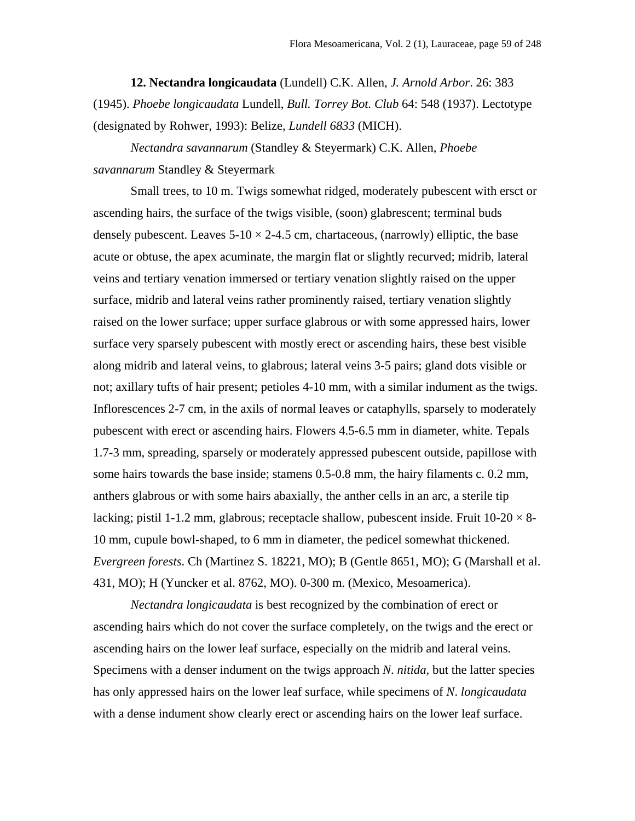**12. Nectandra longicaudata** (Lundell) C.K. Allen, *J. Arnold Arbor*. 26: 383 (1945). *Phoebe longicaudata* Lundell, *Bull. Torrey Bot. Club* 64: 548 (1937). Lectotype (designated by Rohwer, 1993): Belize, *Lundell 6833* (MICH).

*Nectandra savannarum* (Standley & Steyermark) C.K. Allen, *Phoebe savannarum* Standley & Steyermark

Small trees, to 10 m. Twigs somewhat ridged, moderately pubescent with ersct or ascending hairs, the surface of the twigs visible, (soon) glabrescent; terminal buds densely pubescent. Leaves  $5-10 \times 2-4.5$  cm, chartaceous, (narrowly) elliptic, the base acute or obtuse, the apex acuminate, the margin flat or slightly recurved; midrib, lateral veins and tertiary venation immersed or tertiary venation slightly raised on the upper surface, midrib and lateral veins rather prominently raised, tertiary venation slightly raised on the lower surface; upper surface glabrous or with some appressed hairs, lower surface very sparsely pubescent with mostly erect or ascending hairs, these best visible along midrib and lateral veins, to glabrous; lateral veins 3-5 pairs; gland dots visible or not; axillary tufts of hair present; petioles 4-10 mm, with a similar indument as the twigs. Inflorescences 2-7 cm, in the axils of normal leaves or cataphylls, sparsely to moderately pubescent with erect or ascending hairs. Flowers 4.5-6.5 mm in diameter, white. Tepals 1.7-3 mm, spreading, sparsely or moderately appressed pubescent outside, papillose with some hairs towards the base inside; stamens 0.5-0.8 mm, the hairy filaments c. 0.2 mm, anthers glabrous or with some hairs abaxially, the anther cells in an arc, a sterile tip lacking; pistil 1-1.2 mm, glabrous; receptacle shallow, pubescent inside. Fruit  $10-20 \times 8-1$ 10 mm, cupule bowl-shaped, to 6 mm in diameter, the pedicel somewhat thickened. *Evergreen forests*. Ch (Martinez S. 18221, MO); B (Gentle 8651, MO); G (Marshall et al. 431, MO); H (Yuncker et al. 8762, MO). 0-300 m. (Mexico, Mesoamerica).

*Nectandra longicaudata* is best recognized by the combination of erect or ascending hairs which do not cover the surface completely, on the twigs and the erect or ascending hairs on the lower leaf surface, especially on the midrib and lateral veins. Specimens with a denser indument on the twigs approach *N*. *nitida,* but the latter species has only appressed hairs on the lower leaf surface, while specimens of *N*. *longicaudata*  with a dense indument show clearly erect or ascending hairs on the lower leaf surface.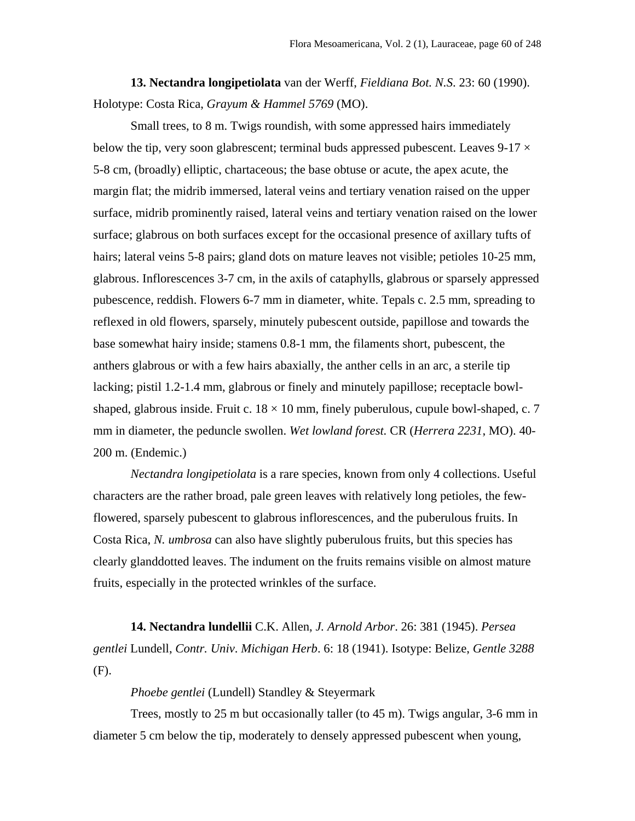**13. Nectandra longipetiolata** van der Werff, *Fieldiana Bot. N.S*. 23: 60 (1990). Holotype: Costa Rica, *Grayum & Hammel 5769* (MO).

Small trees, to 8 m. Twigs roundish, with some appressed hairs immediately below the tip, very soon glabrescent; terminal buds appressed pubescent. Leaves  $9-17 \times$ 5-8 cm, (broadly) elliptic, chartaceous; the base obtuse or acute, the apex acute, the margin flat; the midrib immersed, lateral veins and tertiary venation raised on the upper surface, midrib prominently raised, lateral veins and tertiary venation raised on the lower surface; glabrous on both surfaces except for the occasional presence of axillary tufts of hairs; lateral veins 5-8 pairs; gland dots on mature leaves not visible; petioles 10-25 mm, glabrous. Inflorescences 3-7 cm, in the axils of cataphylls, glabrous or sparsely appressed pubescence, reddish. Flowers 6-7 mm in diameter, white. Tepals c. 2.5 mm, spreading to reflexed in old flowers, sparsely, minutely pubescent outside, papillose and towards the base somewhat hairy inside; stamens 0.8-1 mm, the filaments short, pubescent, the anthers glabrous or with a few hairs abaxially, the anther cells in an arc, a sterile tip lacking; pistil 1.2-1.4 mm, glabrous or finely and minutely papillose; receptacle bowlshaped, glabrous inside. Fruit c.  $18 \times 10$  mm, finely puberulous, cupule bowl-shaped, c. 7 mm in diameter, the peduncle swollen. *Wet lowland forest.* CR (*Herrera 2231*, MO). 40- 200 m. (Endemic.)

*Nectandra longipetiolata* is a rare species, known from only 4 collections. Useful characters are the rather broad, pale green leaves with relatively long petioles, the fewflowered, sparsely pubescent to glabrous inflorescences, and the puberulous fruits. In Costa Rica, *N. umbrosa* can also have slightly puberulous fruits, but this species has clearly glanddotted leaves. The indument on the fruits remains visible on almost mature fruits, especially in the protected wrinkles of the surface.

**14. Nectandra lundellii** C.K. Allen, *J. Arnold Arbor*. 26: 381 (1945). *Persea gentlei* Lundell, *Contr. Univ*. *Michigan Herb*. 6: 18 (1941). Isotype: Belize, *Gentle 3288* (F).

*Phoebe gentlei* (Lundell) Standley & Steyermark

Trees, mostly to 25 m but occasionally taller (to 45 m). Twigs angular, 3-6 mm in diameter 5 cm below the tip, moderately to densely appressed pubescent when young,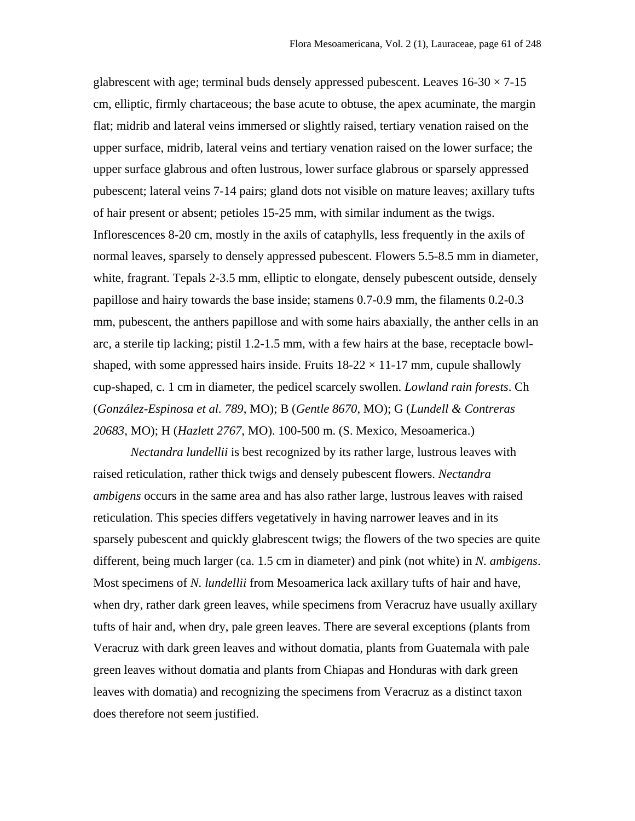glabrescent with age; terminal buds densely appressed pubescent. Leaves  $16-30 \times 7-15$ cm, elliptic, firmly chartaceous; the base acute to obtuse, the apex acuminate, the margin flat; midrib and lateral veins immersed or slightly raised, tertiary venation raised on the upper surface, midrib, lateral veins and tertiary venation raised on the lower surface; the upper surface glabrous and often lustrous, lower surface glabrous or sparsely appressed pubescent; lateral veins 7-14 pairs; gland dots not visible on mature leaves; axillary tufts of hair present or absent; petioles 15-25 mm, with similar indument as the twigs. Inflorescences 8-20 cm, mostly in the axils of cataphylls, less frequently in the axils of normal leaves, sparsely to densely appressed pubescent. Flowers 5.5-8.5 mm in diameter, white, fragrant. Tepals 2-3.5 mm, elliptic to elongate, densely pubescent outside, densely papillose and hairy towards the base inside; stamens 0.7-0.9 mm, the filaments 0.2-0.3 mm, pubescent, the anthers papillose and with some hairs abaxially, the anther cells in an arc, a sterile tip lacking; pistil 1.2-1.5 mm, with a few hairs at the base, receptacle bowlshaped, with some appressed hairs inside. Fruits  $18-22 \times 11-17$  mm, cupule shallowly cup-shaped, c. 1 cm in diameter, the pedicel scarcely swollen. *Lowland rain forests*. Ch (*González-Espinosa et al. 789*, MO); B (*Gentle 8670*, MO); G (*Lundell & Contreras 20683*, MO); H (*Hazlett 2767*, MO). 100-500 m. (S. Mexico, Mesoamerica.)

*Nectandra lundellii* is best recognized by its rather large, lustrous leaves with raised reticulation, rather thick twigs and densely pubescent flowers. *Nectandra ambigens* occurs in the same area and has also rather large, lustrous leaves with raised reticulation. This species differs vegetatively in having narrower leaves and in its sparsely pubescent and quickly glabrescent twigs; the flowers of the two species are quite different, being much larger (ca. 1.5 cm in diameter) and pink (not white) in *N. ambigens*. Most specimens of *N. lundellii* from Mesoamerica lack axillary tufts of hair and have, when dry, rather dark green leaves, while specimens from Veracruz have usually axillary tufts of hair and, when dry, pale green leaves. There are several exceptions (plants from Veracruz with dark green leaves and without domatia, plants from Guatemala with pale green leaves without domatia and plants from Chiapas and Honduras with dark green leaves with domatia) and recognizing the specimens from Veracruz as a distinct taxon does therefore not seem justified.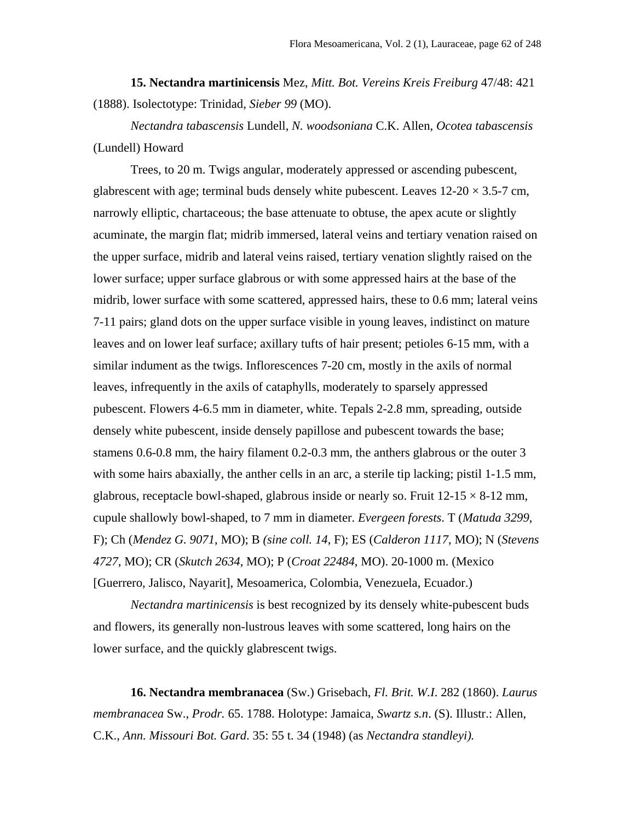**15. Nectandra martinicensis** Mez, *Mitt. Bot. Vereins Kreis Freiburg* 47/48: 421 (1888). Isolectotype: Trinidad, *Sieber 99* (MO).

*Nectandra tabascensis* Lundell, *N. woodsoniana* C.K. Allen, *Ocotea tabascensis* (Lundell) Howard

Trees, to 20 m. Twigs angular, moderately appressed or ascending pubescent, glabrescent with age; terminal buds densely white pubescent. Leaves  $12{\text -}20 \times 3.5{\text -}7$  cm, narrowly elliptic, chartaceous; the base attenuate to obtuse, the apex acute or slightly acuminate, the margin flat; midrib immersed, lateral veins and tertiary venation raised on the upper surface, midrib and lateral veins raised, tertiary venation slightly raised on the lower surface; upper surface glabrous or with some appressed hairs at the base of the midrib, lower surface with some scattered, appressed hairs, these to 0.6 mm; lateral veins 7-11 pairs; gland dots on the upper surface visible in young leaves, indistinct on mature leaves and on lower leaf surface; axillary tufts of hair present; petioles 6-15 mm, with a similar indument as the twigs. Inflorescences 7-20 cm, mostly in the axils of normal leaves, infrequently in the axils of cataphylls, moderately to sparsely appressed pubescent. Flowers 4-6.5 mm in diameter, white. Tepals 2-2.8 mm, spreading, outside densely white pubescent, inside densely papillose and pubescent towards the base; stamens 0.6-0.8 mm, the hairy filament 0.2-0.3 mm, the anthers glabrous or the outer 3 with some hairs abaxially, the anther cells in an arc, a sterile tip lacking; pistil 1-1.5 mm, glabrous, receptacle bowl-shaped, glabrous inside or nearly so. Fruit  $12{\text -}15 \times 8{\text -}12$  mm, cupule shallowly bowl-shaped, to 7 mm in diameter. *Evergeen forests*. T (*Matuda 3299*, F); Ch (*Mendez G. 9071*, MO); B *(sine coll. 14*, F); ES (*Calderon 1117*, MO); N (*Stevens 4727*, MO); CR (*Skutch 2634*, MO); P (*Croat 22484*, MO). 20-1000 m. (Mexico [Guerrero, Jalisco, Nayarit], Mesoamerica, Colombia, Venezuela, Ecuador.)

*Nectandra martinicensis* is best recognized by its densely white-pubescent buds and flowers, its generally non-lustrous leaves with some scattered, long hairs on the lower surface, and the quickly glabrescent twigs.

**16. Nectandra membranacea** (Sw.) Grisebach, *Fl. Brit. W.I*. 282 (1860). *Laurus membranacea* Sw., *Prodr.* 65. 1788. Holotype: Jamaica, *Swartz s.n*. (S). Illustr.: Allen, C.K., *Ann. Missouri Bot. Gard*. 35: 55 t. 34 (1948) (as *Nectandra standleyi).*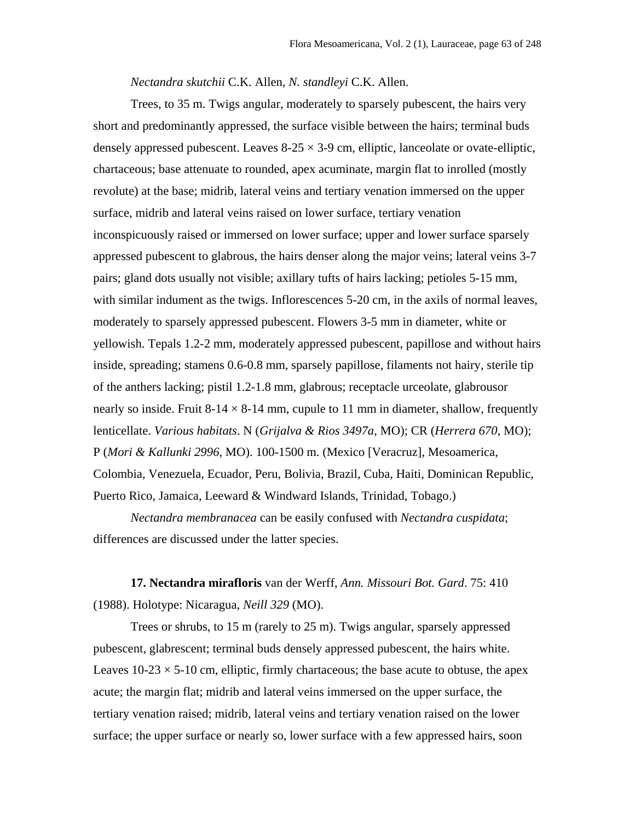*Nectandra skutchii* C.K. Allen, *N. standleyi* C.K. Allen.

Trees, to 35 m. Twigs angular, moderately to sparsely pubescent, the hairs very short and predominantly appressed, the surface visible between the hairs; terminal buds densely appressed pubescent. Leaves  $8-25 \times 3-9$  cm, elliptic, lanceolate or ovate-elliptic, chartaceous; base attenuate to rounded, apex acuminate, margin flat to inrolled (mostly revolute) at the base; midrib, lateral veins and tertiary venation immersed on the upper surface, midrib and lateral veins raised on lower surface, tertiary venation inconspicuously raised or immersed on lower surface; upper and lower surface sparsely appressed pubescent to glabrous, the hairs denser along the major veins; lateral veins 3-7 pairs; gland dots usually not visible; axillary tufts of hairs lacking; petioles 5-15 mm, with similar indument as the twigs. Inflorescences 5-20 cm, in the axils of normal leaves, moderately to sparsely appressed pubescent. Flowers 3-5 mm in diameter, white or yellowish. Tepals 1.2-2 mm, moderately appressed pubescent, papillose and without hairs inside, spreading; stamens 0.6-0.8 mm, sparsely papillose, filaments not hairy, sterile tip of the anthers lacking; pistil 1.2-1.8 mm, glabrous; receptacle urceolate, glabrousor nearly so inside. Fruit 8-14  $\times$  8-14 mm, cupule to 11 mm in diameter, shallow, frequently lenticellate. *Various habitats*. N (*Grijalva & Rios 3497a*, MO); CR (*Herrera 670*, MO); P (*Mori & Kallunki 2996*, MO). 100-1500 m. (Mexico [Veracruz], Mesoamerica, Colombia, Venezuela, Ecuador, Peru, Bolivia, Brazil, Cuba, Haiti, Dominican Republic, Puerto Rico, Jamaica, Leeward & Windward Islands, Trinidad, Tobago.)

*Nectandra membranacea* can be easily confused with *Nectandra cuspidata*; differences are discussed under the latter species.

**17. Nectandra mirafloris** van der Werff, *Ann. Missouri Bot. Gard*. 75: 410 (1988). Holotype: Nicaragua, *Neill 329* (MO).

Trees or shrubs, to 15 m (rarely to 25 m). Twigs angular, sparsely appressed pubescent, glabrescent; terminal buds densely appressed pubescent, the hairs white. Leaves  $10-23 \times 5-10$  cm, elliptic, firmly chartaceous; the base acute to obtuse, the apex acute; the margin flat; midrib and lateral veins immersed on the upper surface, the tertiary venation raised; midrib, lateral veins and tertiary venation raised on the lower surface; the upper surface or nearly so, lower surface with a few appressed hairs, soon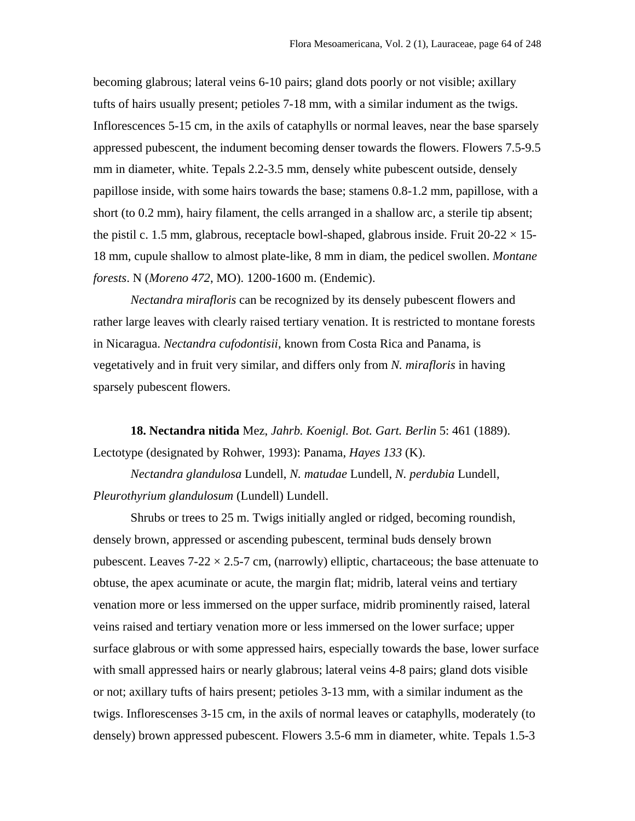becoming glabrous; lateral veins 6-10 pairs; gland dots poorly or not visible; axillary tufts of hairs usually present; petioles 7-18 mm, with a similar indument as the twigs. Inflorescences 5-15 cm, in the axils of cataphylls or normal leaves, near the base sparsely appressed pubescent, the indument becoming denser towards the flowers. Flowers 7.5-9.5 mm in diameter, white. Tepals 2.2-3.5 mm, densely white pubescent outside, densely papillose inside, with some hairs towards the base; stamens 0.8-1.2 mm, papillose, with a short (to 0.2 mm), hairy filament, the cells arranged in a shallow arc, a sterile tip absent; the pistil c. 1.5 mm, glabrous, receptacle bowl-shaped, glabrous inside. Fruit  $20-22 \times 15$ -18 mm, cupule shallow to almost plate-like, 8 mm in diam, the pedicel swollen. *Montane forests*. N (*Moreno 472*, MO). 1200-1600 m. (Endemic).

*Nectandra mirafloris* can be recognized by its densely pubescent flowers and rather large leaves with clearly raised tertiary venation. It is restricted to montane forests in Nicaragua. *Nectandra cufodontisii*, known from Costa Rica and Panama, is vegetatively and in fruit very similar, and differs only from *N. mirafloris* in having sparsely pubescent flowers.

**18. Nectandra nitida** Mez, *Jahrb. Koenigl. Bot. Gart. Berlin* 5: 461 (1889). Lectotype (designated by Rohwer, 1993): Panama, *Hayes 133* (K).

*Nectandra glandulosa* Lundell, *N. matudae* Lundell, *N. perdubia* Lundell, *Pleurothyrium glandulosum* (Lundell) Lundell.

Shrubs or trees to 25 m. Twigs initially angled or ridged, becoming roundish, densely brown, appressed or ascending pubescent, terminal buds densely brown pubescent. Leaves  $7-22 \times 2.5-7$  cm, (narrowly) elliptic, chartaceous; the base attenuate to obtuse, the apex acuminate or acute, the margin flat; midrib, lateral veins and tertiary venation more or less immersed on the upper surface, midrib prominently raised, lateral veins raised and tertiary venation more or less immersed on the lower surface; upper surface glabrous or with some appressed hairs, especially towards the base, lower surface with small appressed hairs or nearly glabrous; lateral veins 4-8 pairs; gland dots visible or not; axillary tufts of hairs present; petioles 3-13 mm, with a similar indument as the twigs. Inflorescenses 3-15 cm, in the axils of normal leaves or cataphylls, moderately (to densely) brown appressed pubescent. Flowers 3.5-6 mm in diameter, white. Tepals 1.5-3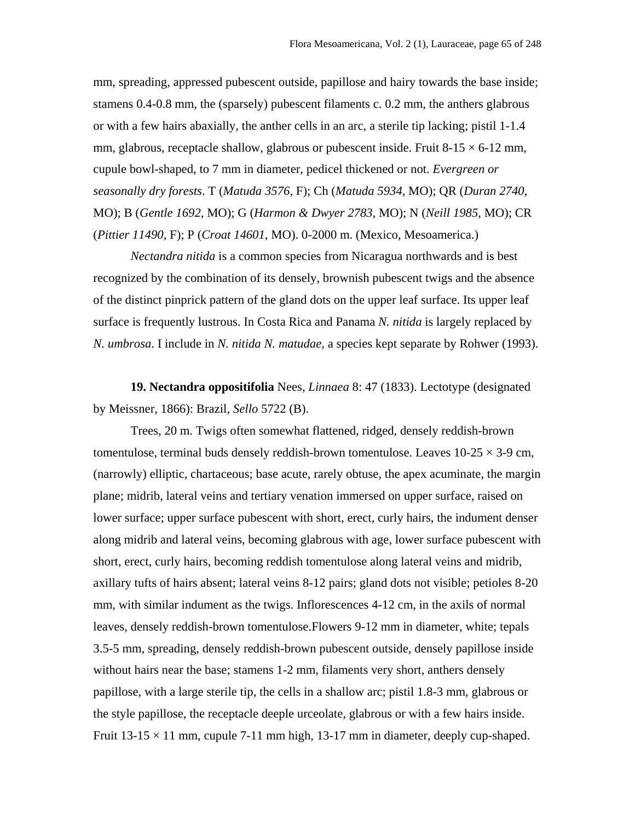mm, spreading, appressed pubescent outside, papillose and hairy towards the base inside; stamens 0.4-0.8 mm, the (sparsely) pubescent filaments c. 0.2 mm, the anthers glabrous or with a few hairs abaxially, the anther cells in an arc, a sterile tip lacking; pistil 1-1.4 mm, glabrous, receptacle shallow, glabrous or pubescent inside. Fruit  $8-15 \times 6-12$  mm, cupule bowl-shaped, to 7 mm in diameter, pedicel thickened or not. *Evergreen or seasonally dry forests*. T (*Matuda 3576*, F); Ch (*Matuda 5934*, MO); QR (*Duran 2740*, MO); B (*Gentle 1692*, MO); G (*Harmon & Dwyer 2783*, MO); N (*Neill 1985*, MO); CR (*Pittier 11490*, F); P (*Croat 14601*, MO). 0-2000 m. (Mexico, Mesoamerica.)

*Nectandra nitida* is a common species from Nicaragua northwards and is best recognized by the combination of its densely, brownish pubescent twigs and the absence of the distinct pinprick pattern of the gland dots on the upper leaf surface. Its upper leaf surface is frequently lustrous. In Costa Rica and Panama *N. nitida* is largely replaced by *N. umbrosa*. I include in *N. nitida N. matudae*, a species kept separate by Rohwer (1993).

**19. Nectandra oppositifolia** Nees, *Linnaea* 8: 47 (1833). Lectotype (designated by Meissner, 1866): Brazil, *Sello* 5722 (B).

Trees, 20 m. Twigs often somewhat flattened, ridged, densely reddish-brown tomentulose, terminal buds densely reddish-brown tomentulose. Leaves  $10-25 \times 3-9$  cm, (narrowly) elliptic, chartaceous; base acute, rarely obtuse, the apex acuminate, the margin plane; midrib, lateral veins and tertiary venation immersed on upper surface, raised on lower surface; upper surface pubescent with short, erect, curly hairs, the indument denser along midrib and lateral veins, becoming glabrous with age, lower surface pubescent with short, erect, curly hairs, becoming reddish tomentulose along lateral veins and midrib, axillary tufts of hairs absent; lateral veins 8-12 pairs; gland dots not visible; petioles 8-20 mm, with similar indument as the twigs. Inflorescences 4-12 cm, in the axils of normal leaves, densely reddish-brown tomentulose.Flowers 9-12 mm in diameter, white; tepals 3.5-5 mm, spreading, densely reddish-brown pubescent outside, densely papillose inside without hairs near the base; stamens 1-2 mm, filaments very short, anthers densely papillose, with a large sterile tip, the cells in a shallow arc; pistil 1.8-3 mm, glabrous or the style papillose, the receptacle deeple urceolate, glabrous or with a few hairs inside. Fruit  $13-15 \times 11$  mm, cupule 7-11 mm high, 13-17 mm in diameter, deeply cup-shaped.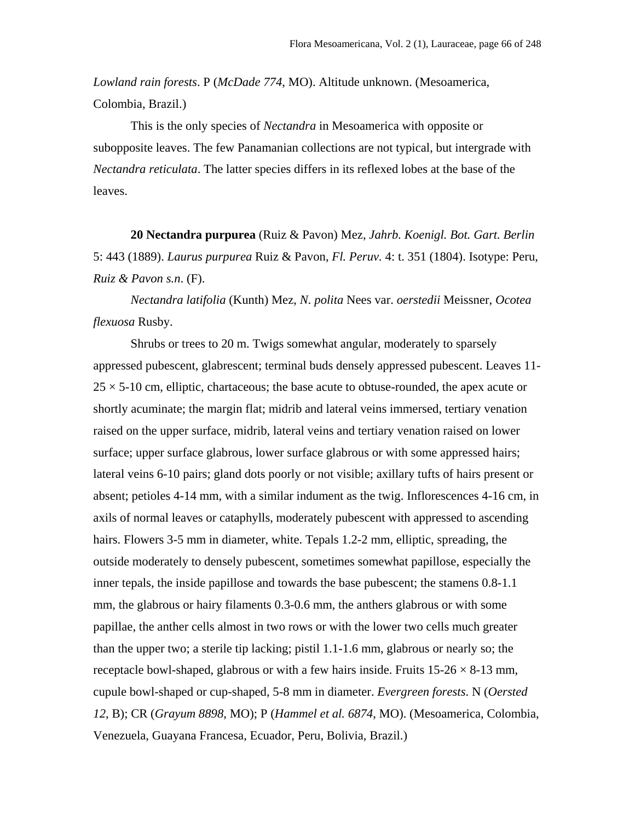*Lowland rain forests*. P (*McDade 774*, MO). Altitude unknown. (Mesoamerica, Colombia, Brazil.)

This is the only species of *Nectandra* in Mesoamerica with opposite or subopposite leaves. The few Panamanian collections are not typical, but intergrade with *Nectandra reticulata*. The latter species differs in its reflexed lobes at the base of the leaves.

**20 Nectandra purpurea** (Ruiz & Pavon) Mez, *Jahrb. Koenigl. Bot. Gart. Berlin* 5: 443 (1889). *Laurus purpurea* Ruiz & Pavon, *Fl. Peruv.* 4: t. 351 (1804). Isotype: Peru, *Ruiz & Pavon s.n*. (F).

*Nectandra latifolia* (Kunth) Mez, *N. polita* Nees var. *oerstedii* Meissner, *Ocotea flexuosa* Rusby.

Shrubs or trees to 20 m. Twigs somewhat angular, moderately to sparsely appressed pubescent, glabrescent; terminal buds densely appressed pubescent. Leaves 11-  $25 \times 5{\text -}10$  cm, elliptic, chartaceous; the base acute to obtuse-rounded, the apex acute or shortly acuminate; the margin flat; midrib and lateral veins immersed, tertiary venation raised on the upper surface, midrib, lateral veins and tertiary venation raised on lower surface; upper surface glabrous, lower surface glabrous or with some appressed hairs; lateral veins 6-10 pairs; gland dots poorly or not visible; axillary tufts of hairs present or absent; petioles 4-14 mm, with a similar indument as the twig. Inflorescences 4-16 cm, in axils of normal leaves or cataphylls, moderately pubescent with appressed to ascending hairs. Flowers 3-5 mm in diameter, white. Tepals 1.2-2 mm, elliptic, spreading, the outside moderately to densely pubescent, sometimes somewhat papillose, especially the inner tepals, the inside papillose and towards the base pubescent; the stamens 0.8-1.1 mm, the glabrous or hairy filaments 0.3-0.6 mm, the anthers glabrous or with some papillae, the anther cells almost in two rows or with the lower two cells much greater than the upper two; a sterile tip lacking; pistil 1.1-1.6 mm, glabrous or nearly so; the receptacle bowl-shaped, glabrous or with a few hairs inside. Fruits  $15{\text -}26 \times 8{\text -}13$  mm, cupule bowl-shaped or cup-shaped, 5-8 mm in diameter. *Evergreen forests*. N (*Oersted 12*, B); CR (*Grayum 8898*, MO); P (*Hammel et al. 6874*, MO). (Mesoamerica, Colombia, Venezuela, Guayana Francesa, Ecuador, Peru, Bolivia, Brazil.)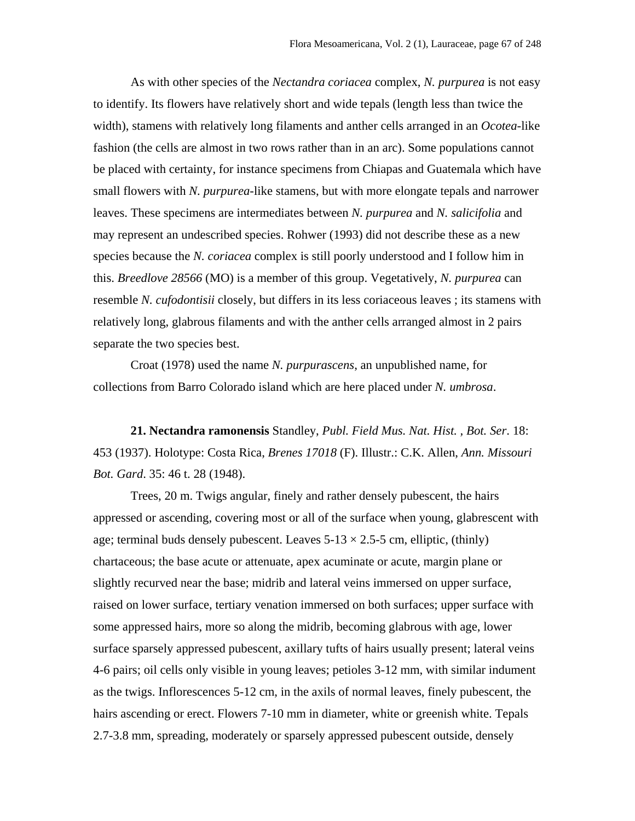As with other species of the *Nectandra coriacea* complex, *N. purpurea* is not easy to identify. Its flowers have relatively short and wide tepals (length less than twice the width), stamens with relatively long filaments and anther cells arranged in an *Ocotea*-like fashion (the cells are almost in two rows rather than in an arc). Some populations cannot be placed with certainty, for instance specimens from Chiapas and Guatemala which have small flowers with *N. purpurea*-like stamens, but with more elongate tepals and narrower leaves. These specimens are intermediates between *N. purpurea* and *N. salicifolia* and may represent an undescribed species. Rohwer (1993) did not describe these as a new species because the *N. coriacea* complex is still poorly understood and I follow him in this. *Breedlove 28566* (MO) is a member of this group. Vegetatively, *N. purpurea* can resemble *N. cufodontisii* closely, but differs in its less coriaceous leaves ; its stamens with relatively long, glabrous filaments and with the anther cells arranged almost in 2 pairs separate the two species best.

Croat (1978) used the name *N. purpurascens*, an unpublished name, for collections from Barro Colorado island which are here placed under *N. umbrosa*.

**21. Nectandra ramonensis** Standley, *Publ. Field Mus. Nat. Hist. , Bot. Ser*. 18: 453 (1937). Holotype: Costa Rica, *Brenes 17018* (F). Illustr.: C.K. Allen, *Ann. Missouri Bot. Gard*. 35: 46 t. 28 (1948).

Trees, 20 m. Twigs angular, finely and rather densely pubescent, the hairs appressed or ascending, covering most or all of the surface when young, glabrescent with age; terminal buds densely pubescent. Leaves  $5-13 \times 2.5-5$  cm, elliptic, (thinly) chartaceous; the base acute or attenuate, apex acuminate or acute, margin plane or slightly recurved near the base; midrib and lateral veins immersed on upper surface, raised on lower surface, tertiary venation immersed on both surfaces; upper surface with some appressed hairs, more so along the midrib, becoming glabrous with age, lower surface sparsely appressed pubescent, axillary tufts of hairs usually present; lateral veins 4-6 pairs; oil cells only visible in young leaves; petioles 3-12 mm, with similar indument as the twigs. Inflorescences 5-12 cm, in the axils of normal leaves, finely pubescent, the hairs ascending or erect. Flowers 7-10 mm in diameter, white or greenish white. Tepals 2.7-3.8 mm, spreading, moderately or sparsely appressed pubescent outside, densely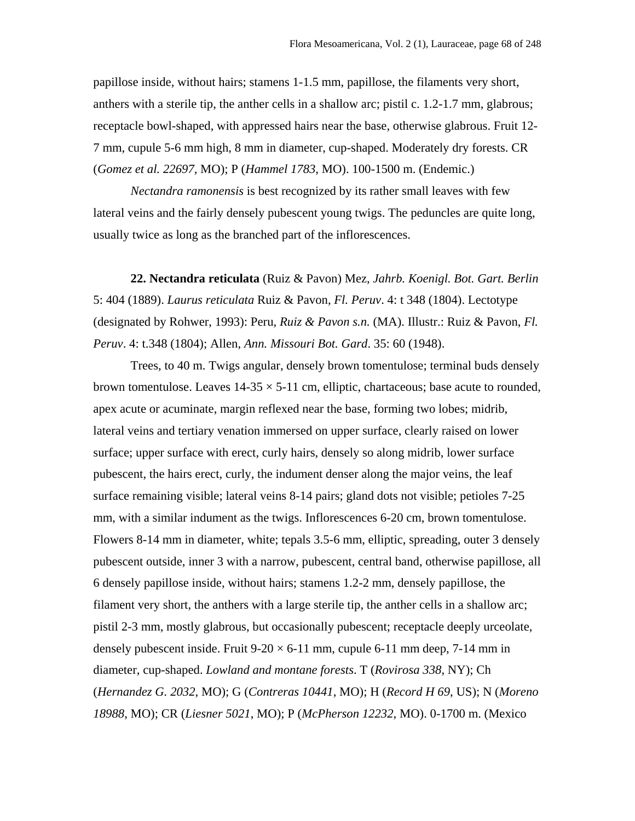papillose inside, without hairs; stamens 1-1.5 mm, papillose, the filaments very short, anthers with a sterile tip, the anther cells in a shallow arc; pistil c. 1.2-1.7 mm, glabrous; receptacle bowl-shaped, with appressed hairs near the base, otherwise glabrous. Fruit 12- 7 mm, cupule 5-6 mm high, 8 mm in diameter, cup-shaped. Moderately dry forests. CR (*Gomez et al. 22697*, MO); P (*Hammel 1783*, MO). 100-1500 m. (Endemic.)

*Nectandra ramonensis* is best recognized by its rather small leaves with few lateral veins and the fairly densely pubescent young twigs. The peduncles are quite long, usually twice as long as the branched part of the inflorescences.

**22. Nectandra reticulata** (Ruiz & Pavon) Mez, *Jahrb. Koenigl. Bot. Gart. Berlin* 5: 404 (1889). *Laurus reticulata* Ruiz & Pavon, *Fl. Peruv*. 4: t 348 (1804). Lectotype (designated by Rohwer, 1993): Peru, *Ruiz & Pavon s.n.* (MA). Illustr.: Ruiz & Pavon, *Fl. Peruv*. 4: t.348 (1804); Allen, *Ann. Missouri Bot. Gard*. 35: 60 (1948).

Trees, to 40 m. Twigs angular, densely brown tomentulose; terminal buds densely brown tomentulose. Leaves  $14-35 \times 5-11$  cm, elliptic, chartaceous; base acute to rounded, apex acute or acuminate, margin reflexed near the base, forming two lobes; midrib, lateral veins and tertiary venation immersed on upper surface, clearly raised on lower surface; upper surface with erect, curly hairs, densely so along midrib, lower surface pubescent, the hairs erect, curly, the indument denser along the major veins, the leaf surface remaining visible; lateral veins 8-14 pairs; gland dots not visible; petioles 7-25 mm, with a similar indument as the twigs. Inflorescences 6-20 cm, brown tomentulose. Flowers 8-14 mm in diameter, white; tepals 3.5-6 mm, elliptic, spreading, outer 3 densely pubescent outside, inner 3 with a narrow, pubescent, central band, otherwise papillose, all 6 densely papillose inside, without hairs; stamens 1.2-2 mm, densely papillose, the filament very short, the anthers with a large sterile tip, the anther cells in a shallow arc; pistil 2-3 mm, mostly glabrous, but occasionally pubescent; receptacle deeply urceolate, densely pubescent inside. Fruit  $9-20 \times 6-11$  mm, cupule 6-11 mm deep, 7-14 mm in diameter, cup-shaped. *Lowland and montane forests*. T (*Rovirosa 338*, NY); Ch (*Hernandez G. 2032*, MO); G (*Contreras 10441*, MO); H (*Record H 69*, US); N (*Moreno 18988*, MO); CR (*Liesner 5021*, MO); P (*McPherson 12232*, MO). 0-1700 m. (Mexico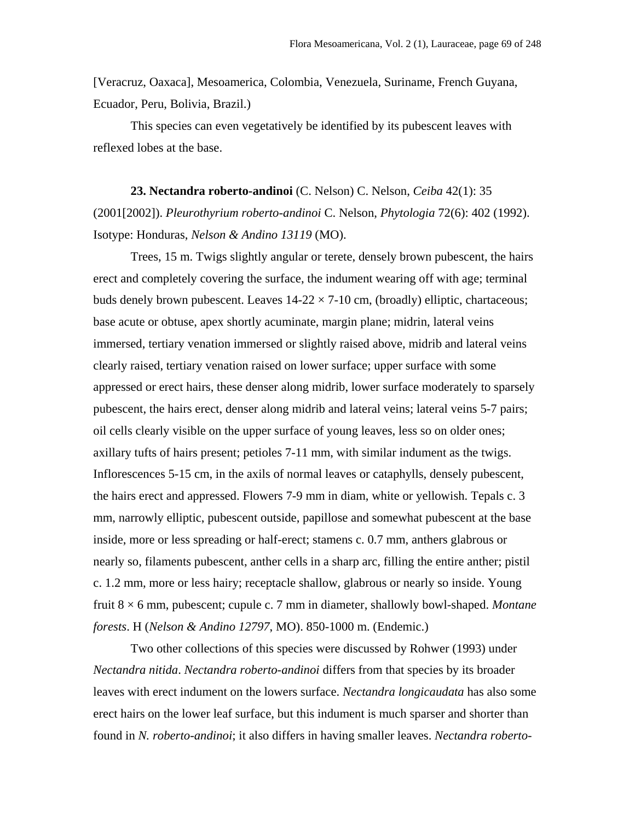[Veracruz, Oaxaca], Mesoamerica, Colombia, Venezuela, Suriname, French Guyana, Ecuador, Peru, Bolivia, Brazil.)

This species can even vegetatively be identified by its pubescent leaves with reflexed lobes at the base.

**23. Nectandra roberto-andinoi** (C. Nelson) C. Nelson, *Ceiba* 42(1): 35 (2001[2002]). *Pleurothyrium roberto-andinoi* C. Nelson, *Phytologia* 72(6): 402 (1992). Isotype: Honduras, *Nelson & Andino 13119* (MO).

Trees, 15 m. Twigs slightly angular or terete, densely brown pubescent, the hairs erect and completely covering the surface, the indument wearing off with age; terminal buds denely brown pubescent. Leaves  $14-22 \times 7-10$  cm, (broadly) elliptic, chartaceous; base acute or obtuse, apex shortly acuminate, margin plane; midrin, lateral veins immersed, tertiary venation immersed or slightly raised above, midrib and lateral veins clearly raised, tertiary venation raised on lower surface; upper surface with some appressed or erect hairs, these denser along midrib, lower surface moderately to sparsely pubescent, the hairs erect, denser along midrib and lateral veins; lateral veins 5-7 pairs; oil cells clearly visible on the upper surface of young leaves, less so on older ones; axillary tufts of hairs present; petioles 7-11 mm, with similar indument as the twigs. Inflorescences 5-15 cm, in the axils of normal leaves or cataphylls, densely pubescent, the hairs erect and appressed. Flowers 7-9 mm in diam, white or yellowish. Tepals c. 3 mm, narrowly elliptic, pubescent outside, papillose and somewhat pubescent at the base inside, more or less spreading or half-erect; stamens c. 0.7 mm, anthers glabrous or nearly so, filaments pubescent, anther cells in a sharp arc, filling the entire anther; pistil c. 1.2 mm, more or less hairy; receptacle shallow, glabrous or nearly so inside. Young fruit 8 × 6 mm, pubescent; cupule c. 7 mm in diameter, shallowly bowl-shaped. *Montane forests*. H (*Nelson & Andino 12797*, MO). 850-1000 m. (Endemic.)

Two other collections of this species were discussed by Rohwer (1993) under *Nectandra nitida*. *Nectandra roberto-andinoi* differs from that species by its broader leaves with erect indument on the lowers surface. *Nectandra longicaudata* has also some erect hairs on the lower leaf surface, but this indument is much sparser and shorter than found in *N. roberto-andinoi*; it also differs in having smaller leaves. *Nectandra roberto-*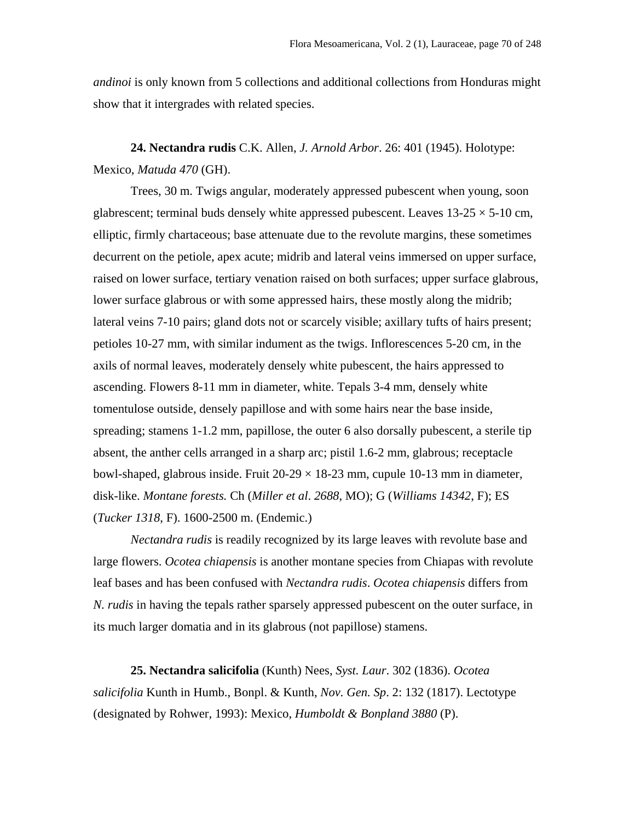*andinoi* is only known from 5 collections and additional collections from Honduras might show that it intergrades with related species.

**24. Nectandra rudis** C.K. Allen, *J. Arnold Arbor*. 26: 401 (1945). Holotype: Mexico, *Matuda 470* (GH).

Trees, 30 m. Twigs angular, moderately appressed pubescent when young, soon glabrescent; terminal buds densely white appressed pubescent. Leaves  $13{\text -}25 \times 5{\text -}10$  cm, elliptic, firmly chartaceous; base attenuate due to the revolute margins, these sometimes decurrent on the petiole, apex acute; midrib and lateral veins immersed on upper surface, raised on lower surface, tertiary venation raised on both surfaces; upper surface glabrous, lower surface glabrous or with some appressed hairs, these mostly along the midrib; lateral veins 7-10 pairs; gland dots not or scarcely visible; axillary tufts of hairs present; petioles 10-27 mm, with similar indument as the twigs. Inflorescences 5-20 cm, in the axils of normal leaves, moderately densely white pubescent, the hairs appressed to ascending. Flowers 8-11 mm in diameter, white. Tepals 3-4 mm, densely white tomentulose outside, densely papillose and with some hairs near the base inside, spreading; stamens 1-1.2 mm, papillose, the outer 6 also dorsally pubescent, a sterile tip absent, the anther cells arranged in a sharp arc; pistil 1.6-2 mm, glabrous; receptacle bowl-shaped, glabrous inside. Fruit  $20-29 \times 18-23$  mm, cupule 10-13 mm in diameter, disk-like. *Montane forests.* Ch (*Miller et al*. *2688*, MO); G (*Williams 14342*, F); ES (*Tucker 1318*, F). 1600-2500 m. (Endemic.)

*Nectandra rudis* is readily recognized by its large leaves with revolute base and large flowers. *Ocotea chiapensis* is another montane species from Chiapas with revolute leaf bases and has been confused with *Nectandra rudis*. *Ocotea chiapensis* differs from *N. rudis* in having the tepals rather sparsely appressed pubescent on the outer surface, in its much larger domatia and in its glabrous (not papillose) stamens.

**25. Nectandra salicifolia** (Kunth) Nees, *Syst. Laur*. 302 (1836). *Ocotea salicifolia* Kunth in Humb., Bonpl. & Kunth, *Nov. Gen. Sp*. 2: 132 (1817). Lectotype (designated by Rohwer, 1993): Mexico, *Humboldt & Bonpland 3880* (P).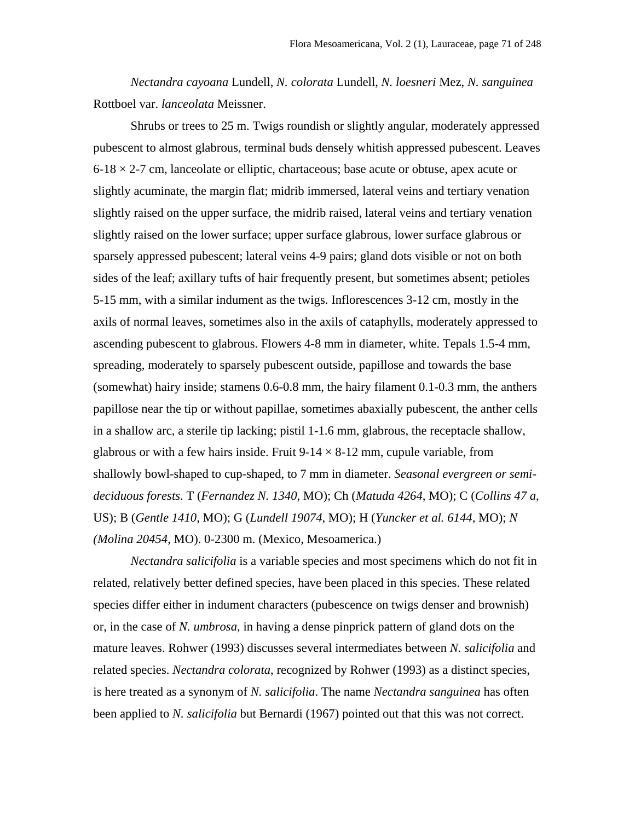*Nectandra cayoana* Lundell, *N. colorata* Lundell, *N. loesneri* Mez, *N. sanguinea* Rottboel var. *lanceolata* Meissner.

Shrubs or trees to 25 m. Twigs roundish or slightly angular, moderately appressed pubescent to almost glabrous, terminal buds densely whitish appressed pubescent. Leaves  $6-18 \times 2-7$  cm, lanceolate or elliptic, chartaceous; base acute or obtuse, apex acute or slightly acuminate, the margin flat; midrib immersed, lateral veins and tertiary venation slightly raised on the upper surface, the midrib raised, lateral veins and tertiary venation slightly raised on the lower surface; upper surface glabrous, lower surface glabrous or sparsely appressed pubescent; lateral veins 4-9 pairs; gland dots visible or not on both sides of the leaf; axillary tufts of hair frequently present, but sometimes absent; petioles 5-15 mm, with a similar indument as the twigs. Inflorescences 3-12 cm, mostly in the axils of normal leaves, sometimes also in the axils of cataphylls, moderately appressed to ascending pubescent to glabrous. Flowers 4-8 mm in diameter, white. Tepals 1.5-4 mm, spreading, moderately to sparsely pubescent outside, papillose and towards the base (somewhat) hairy inside; stamens 0.6-0.8 mm, the hairy filament 0.1-0.3 mm, the anthers papillose near the tip or without papillae, sometimes abaxially pubescent, the anther cells in a shallow arc, a sterile tip lacking; pistil 1-1.6 mm, glabrous, the receptacle shallow, glabrous or with a few hairs inside. Fruit  $9-14 \times 8-12$  mm, cupule variable, from shallowly bowl-shaped to cup-shaped, to 7 mm in diameter. *Seasonal evergreen or semideciduous forests*. T (*Fernandez N. 1340*, MO); Ch (*Matuda 4264*, MO); C (*Collins 47 a*, US); B (*Gentle 1410*, MO); G (*Lundell 19074*, MO); H (*Yuncker et al. 6144*, MO); *N (Molina 20454*, MO). 0-2300 m. (Mexico, Mesoamerica.)

*Nectandra salicifolia* is a variable species and most specimens which do not fit in related, relatively better defined species, have been placed in this species. These related species differ either in indument characters (pubescence on twigs denser and brownish) or, in the case of *N. umbrosa*, in having a dense pinprick pattern of gland dots on the mature leaves. Rohwer (1993) discusses several intermediates between *N. salicifolia* and related species. *Nectandra colorata*, recognized by Rohwer (1993) as a distinct species, is here treated as a synonym of *N. salicifolia*. The name *Nectandra sanguinea* has often been applied to *N. salicifolia* but Bernardi (1967) pointed out that this was not correct.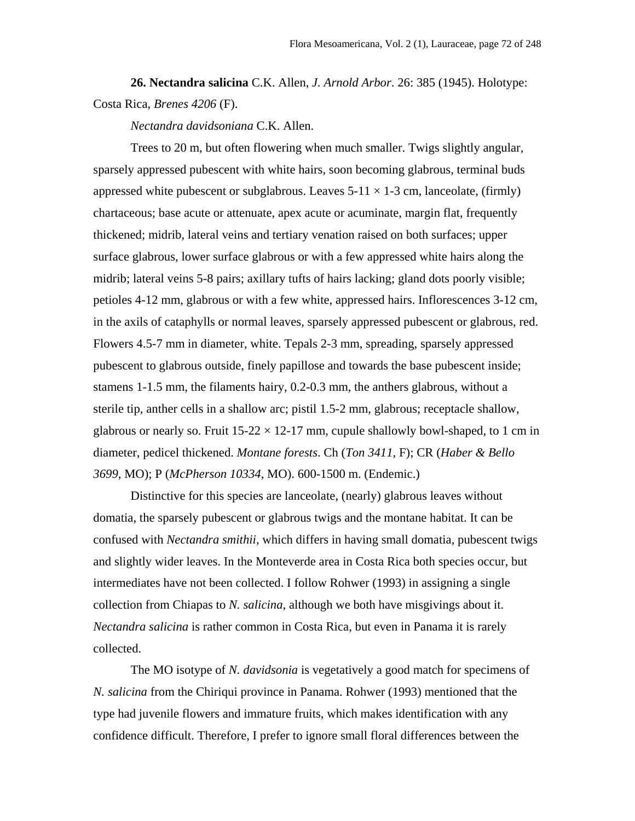**26. Nectandra salicina** C.K. Allen, *J. Arnold Arbor*. 26: 385 (1945). Holotype: Costa Rica, *Brenes 4206* (F).

*Nectandra davidsoniana* C.K. Allen.

Trees to 20 m, but often flowering when much smaller. Twigs slightly angular, sparsely appressed pubescent with white hairs, soon becoming glabrous, terminal buds appressed white pubescent or subglabrous. Leaves  $5-11 \times 1-3$  cm, lanceolate, (firmly) chartaceous; base acute or attenuate, apex acute or acuminate, margin flat, frequently thickened; midrib, lateral veins and tertiary venation raised on both surfaces; upper surface glabrous, lower surface glabrous or with a few appressed white hairs along the midrib; lateral veins 5-8 pairs; axillary tufts of hairs lacking; gland dots poorly visible; petioles 4-12 mm, glabrous or with a few white, appressed hairs. Inflorescences 3-12 cm, in the axils of cataphylls or normal leaves, sparsely appressed pubescent or glabrous, red. Flowers 4.5-7 mm in diameter, white. Tepals 2-3 mm, spreading, sparsely appressed pubescent to glabrous outside, finely papillose and towards the base pubescent inside; stamens 1-1.5 mm, the filaments hairy, 0.2-0.3 mm, the anthers glabrous, without a sterile tip, anther cells in a shallow arc; pistil 1.5-2 mm, glabrous; receptacle shallow, glabrous or nearly so. Fruit  $15-22 \times 12-17$  mm, cupule shallowly bowl-shaped, to 1 cm in diameter, pedicel thickened. *Montane forests*. Ch (*Ton 3411*, F); CR (*Haber & Bello 3699*, MO); P (*McPherson 10334*, MO). 600-1500 m. (Endemic.)

Distinctive for this species are lanceolate, (nearly) glabrous leaves without domatia, the sparsely pubescent or glabrous twigs and the montane habitat. It can be confused with *Nectandra smithii*, which differs in having small domatia, pubescent twigs and slightly wider leaves. In the Monteverde area in Costa Rica both species occur, but intermediates have not been collected. I follow Rohwer (1993) in assigning a single collection from Chiapas to *N. salicina*, although we both have misgivings about it. *Nectandra salicina* is rather common in Costa Rica, but even in Panama it is rarely collected.

The MO isotype of *N. davidsonia* is vegetatively a good match for specimens of *N. salicina* from the Chiriqui province in Panama. Rohwer (1993) mentioned that the type had juvenile flowers and immature fruits, which makes identification with any confidence difficult. Therefore, I prefer to ignore small floral differences between the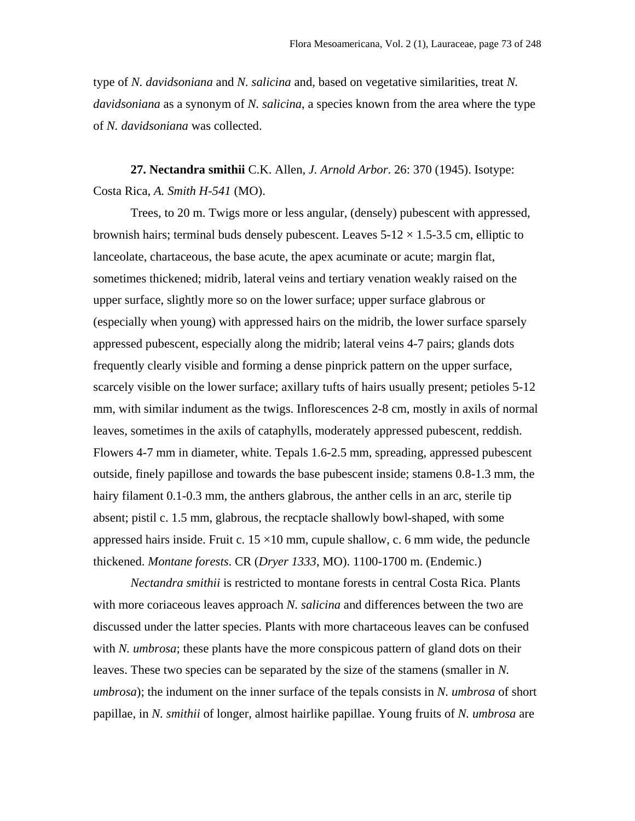type of *N. davidsoniana* and *N. salicina* and, based on vegetative similarities, treat *N. davidsoniana* as a synonym of *N. salicina*, a species known from the area where the type of *N. davidsoniana* was collected.

**27. Nectandra smithii** C.K. Allen, *J. Arnold Arbor*. 26: 370 (1945). Isotype: Costa Rica, *A. Smith H-541* (MO).

Trees, to 20 m. Twigs more or less angular, (densely) pubescent with appressed, brownish hairs; terminal buds densely pubescent. Leaves  $5-12 \times 1.5-3.5$  cm, elliptic to lanceolate, chartaceous, the base acute, the apex acuminate or acute; margin flat, sometimes thickened; midrib, lateral veins and tertiary venation weakly raised on the upper surface, slightly more so on the lower surface; upper surface glabrous or (especially when young) with appressed hairs on the midrib, the lower surface sparsely appressed pubescent, especially along the midrib; lateral veins 4-7 pairs; glands dots frequently clearly visible and forming a dense pinprick pattern on the upper surface, scarcely visible on the lower surface; axillary tufts of hairs usually present; petioles 5-12 mm, with similar indument as the twigs. Inflorescences 2-8 cm, mostly in axils of normal leaves, sometimes in the axils of cataphylls, moderately appressed pubescent, reddish. Flowers 4-7 mm in diameter, white. Tepals 1.6-2.5 mm, spreading, appressed pubescent outside, finely papillose and towards the base pubescent inside; stamens 0.8-1.3 mm, the hairy filament 0.1-0.3 mm, the anthers glabrous, the anther cells in an arc, sterile tip absent; pistil c. 1.5 mm, glabrous, the recptacle shallowly bowl-shaped, with some appressed hairs inside. Fruit c.  $15 \times 10$  mm, cupule shallow, c. 6 mm wide, the peduncle thickened. *Montane forests*. CR (*Dryer 1333*, MO). 1100-1700 m. (Endemic.)

*Nectandra smithii* is restricted to montane forests in central Costa Rica. Plants with more coriaceous leaves approach *N. salicina* and differences between the two are discussed under the latter species. Plants with more chartaceous leaves can be confused with *N. umbrosa*; these plants have the more conspicous pattern of gland dots on their leaves. These two species can be separated by the size of the stamens (smaller in *N. umbrosa*); the indument on the inner surface of the tepals consists in *N. umbrosa* of short papillae, in *N. smithii* of longer, almost hairlike papillae. Young fruits of *N. umbrosa* are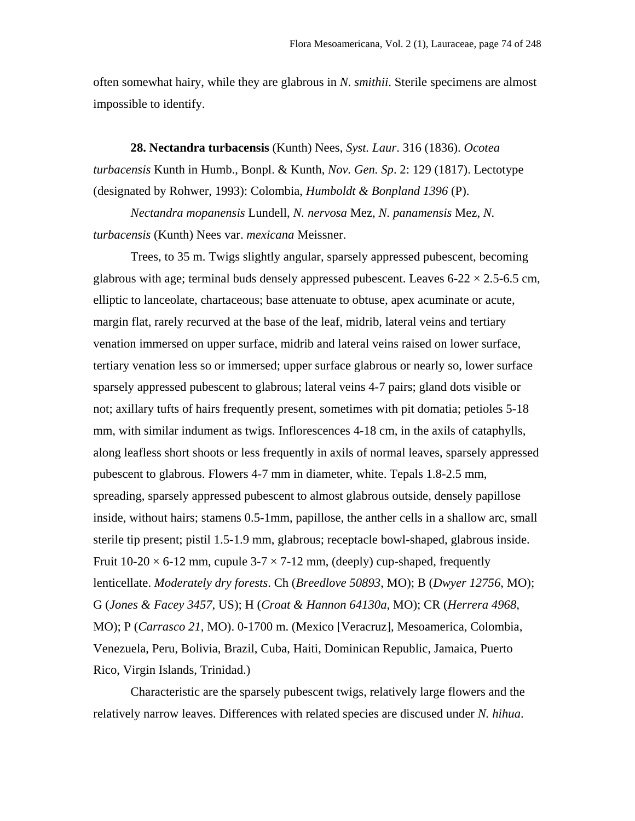often somewhat hairy, while they are glabrous in *N. smithii*. Sterile specimens are almost impossible to identify.

**28. Nectandra turbacensis** (Kunth) Nees, *Syst. Laur*. 316 (1836). *Ocotea turbacensis* Kunth in Humb., Bonpl. & Kunth, *Nov. Gen. Sp*. 2: 129 (1817). Lectotype (designated by Rohwer, 1993): Colombia, *Humboldt & Bonpland 1396* (P).

*Nectandra mopanensis* Lundell, *N. nervosa* Mez, *N. panamensis* Mez, *N. turbacensis* (Kunth) Nees var. *mexicana* Meissner.

Trees, to 35 m. Twigs slightly angular, sparsely appressed pubescent, becoming glabrous with age; terminal buds densely appressed pubescent. Leaves  $6-22 \times 2.5-6.5$  cm, elliptic to lanceolate, chartaceous; base attenuate to obtuse, apex acuminate or acute, margin flat, rarely recurved at the base of the leaf, midrib, lateral veins and tertiary venation immersed on upper surface, midrib and lateral veins raised on lower surface, tertiary venation less so or immersed; upper surface glabrous or nearly so, lower surface sparsely appressed pubescent to glabrous; lateral veins 4-7 pairs; gland dots visible or not; axillary tufts of hairs frequently present, sometimes with pit domatia; petioles 5-18 mm, with similar indument as twigs. Inflorescences 4-18 cm, in the axils of cataphylls, along leafless short shoots or less frequently in axils of normal leaves, sparsely appressed pubescent to glabrous. Flowers 4-7 mm in diameter, white. Tepals 1.8-2.5 mm, spreading, sparsely appressed pubescent to almost glabrous outside, densely papillose inside, without hairs; stamens 0.5-1mm, papillose, the anther cells in a shallow arc, small sterile tip present; pistil 1.5-1.9 mm, glabrous; receptacle bowl-shaped, glabrous inside. Fruit  $10-20 \times 6-12$  mm, cupule  $3-7 \times 7-12$  mm, (deeply) cup-shaped, frequently lenticellate. *Moderately dry forests*. Ch (*Breedlove 50893*, MO); B (*Dwyer 12756*, MO); G (*Jones & Facey 3457*, US); H (*Croat & Hannon 64130a*, MO); CR (*Herrera 4968*, MO); P (*Carrasco 21*, MO). 0-1700 m. (Mexico [Veracruz], Mesoamerica, Colombia, Venezuela, Peru, Bolivia, Brazil, Cuba, Haiti, Dominican Republic, Jamaica, Puerto Rico, Virgin Islands, Trinidad.)

Characteristic are the sparsely pubescent twigs, relatively large flowers and the relatively narrow leaves. Differences with related species are discused under *N. hihua*.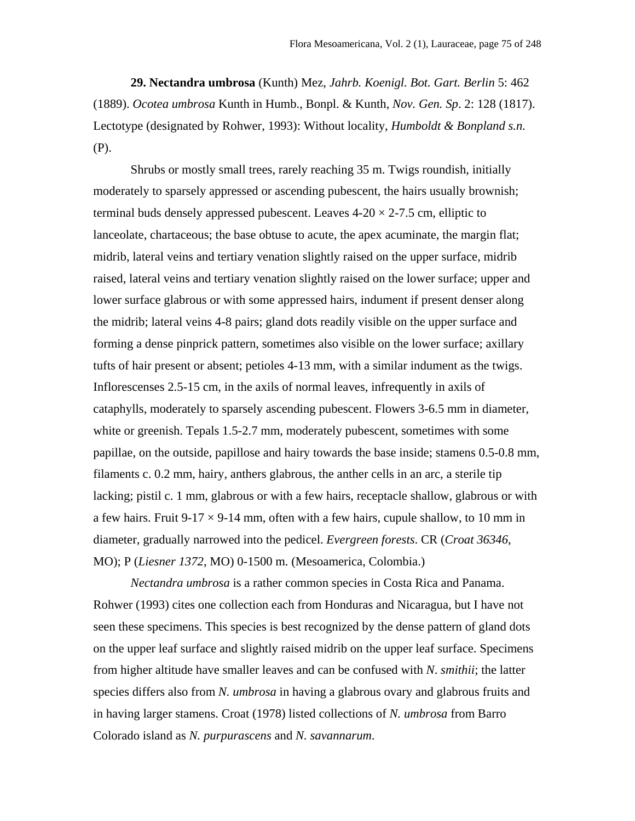**29. Nectandra umbrosa** (Kunth) Mez, *Jahrb. Koenigl. Bot. Gart. Berlin* 5: 462 (1889). *Ocotea umbrosa* Kunth in Humb., Bonpl. & Kunth, *Nov. Gen. Sp*. 2: 128 (1817). Lectotype (designated by Rohwer, 1993): Without locality, *Humboldt & Bonpland s.n.* (P).

Shrubs or mostly small trees, rarely reaching 35 m. Twigs roundish, initially moderately to sparsely appressed or ascending pubescent, the hairs usually brownish; terminal buds densely appressed pubescent. Leaves  $4-20 \times 2-7.5$  cm, elliptic to lanceolate, chartaceous; the base obtuse to acute, the apex acuminate, the margin flat; midrib, lateral veins and tertiary venation slightly raised on the upper surface, midrib raised, lateral veins and tertiary venation slightly raised on the lower surface; upper and lower surface glabrous or with some appressed hairs, indument if present denser along the midrib; lateral veins 4-8 pairs; gland dots readily visible on the upper surface and forming a dense pinprick pattern, sometimes also visible on the lower surface; axillary tufts of hair present or absent; petioles 4-13 mm, with a similar indument as the twigs. Inflorescenses 2.5-15 cm, in the axils of normal leaves, infrequently in axils of cataphylls, moderately to sparsely ascending pubescent. Flowers 3-6.5 mm in diameter, white or greenish. Tepals 1.5-2.7 mm, moderately pubescent, sometimes with some papillae, on the outside, papillose and hairy towards the base inside; stamens 0.5-0.8 mm, filaments c. 0.2 mm, hairy, anthers glabrous, the anther cells in an arc, a sterile tip lacking; pistil c. 1 mm, glabrous or with a few hairs, receptacle shallow, glabrous or with a few hairs. Fruit  $9-17 \times 9-14$  mm, often with a few hairs, cupule shallow, to 10 mm in diameter, gradually narrowed into the pedicel. *Evergreen forests*. CR (*Croat 36346*, MO); P (*Liesner 1372*, MO) 0-1500 m. (Mesoamerica, Colombia.)

*Nectandra umbrosa* is a rather common species in Costa Rica and Panama. Rohwer (1993) cites one collection each from Honduras and Nicaragua, but I have not seen these specimens. This species is best recognized by the dense pattern of gland dots on the upper leaf surface and slightly raised midrib on the upper leaf surface. Specimens from higher altitude have smaller leaves and can be confused with *N*. *smithii*; the latter species differs also from *N. umbrosa* in having a glabrous ovary and glabrous fruits and in having larger stamens. Croat (1978) listed collections of *N. umbrosa* from Barro Colorado island as *N. purpurascens* and *N. savannarum*.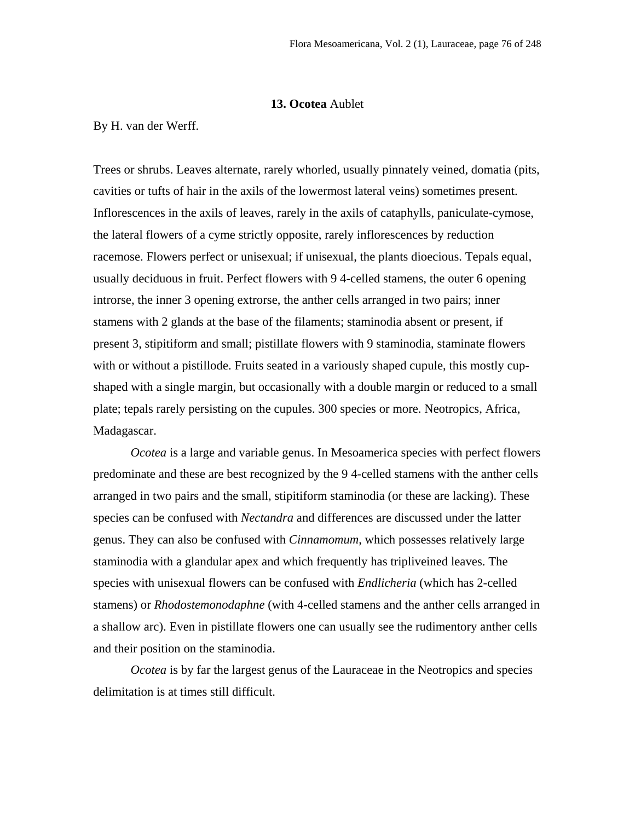# **13. Ocotea** Aublet

By H. van der Werff.

Trees or shrubs. Leaves alternate, rarely whorled, usually pinnately veined, domatia (pits, cavities or tufts of hair in the axils of the lowermost lateral veins) sometimes present. Inflorescences in the axils of leaves, rarely in the axils of cataphylls, paniculate-cymose, the lateral flowers of a cyme strictly opposite, rarely inflorescences by reduction racemose. Flowers perfect or unisexual; if unisexual, the plants dioecious. Tepals equal, usually deciduous in fruit. Perfect flowers with 9 4-celled stamens, the outer 6 opening introrse, the inner 3 opening extrorse, the anther cells arranged in two pairs; inner stamens with 2 glands at the base of the filaments; staminodia absent or present, if present 3, stipitiform and small; pistillate flowers with 9 staminodia, staminate flowers with or without a pistillode. Fruits seated in a variously shaped cupule, this mostly cupshaped with a single margin, but occasionally with a double margin or reduced to a small plate; tepals rarely persisting on the cupules. 300 species or more. Neotropics, Africa, Madagascar.

*Ocotea* is a large and variable genus. In Mesoamerica species with perfect flowers predominate and these are best recognized by the 9 4-celled stamens with the anther cells arranged in two pairs and the small, stipitiform staminodia (or these are lacking). These species can be confused with *Nectandra* and differences are discussed under the latter genus. They can also be confused with *Cinnamomum*, which possesses relatively large staminodia with a glandular apex and which frequently has tripliveined leaves. The species with unisexual flowers can be confused with *Endlicheria* (which has 2-celled stamens) or *Rhodostemonodaphne* (with 4-celled stamens and the anther cells arranged in a shallow arc). Even in pistillate flowers one can usually see the rudimentory anther cells and their position on the staminodia.

*Ocotea* is by far the largest genus of the Lauraceae in the Neotropics and species delimitation is at times still difficult.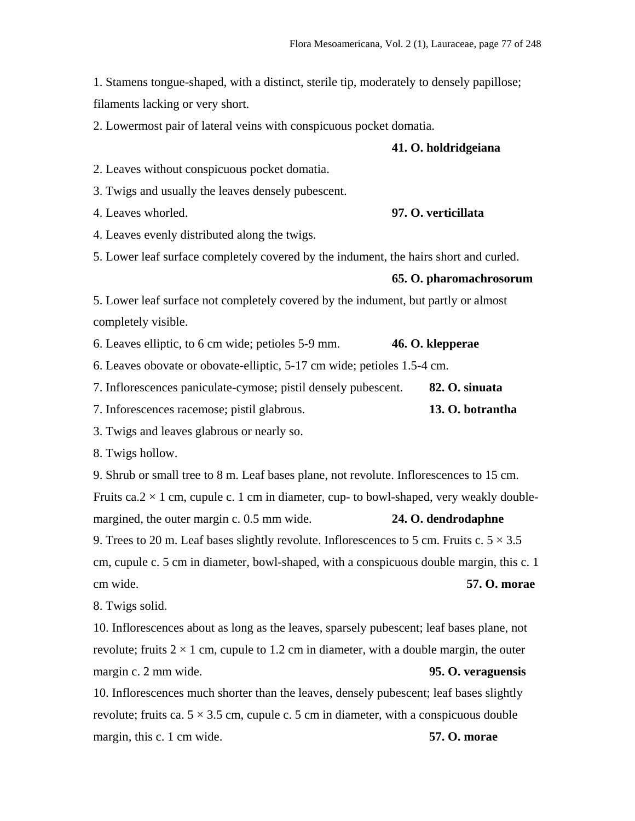1. Stamens tongue-shaped, with a distinct, sterile tip, moderately to densely papillose; filaments lacking or very short.

2. Lowermost pair of lateral veins with conspicuous pocket domatia.

## **41. O. holdridgeiana**

2. Leaves without conspicuous pocket domatia.

3. Twigs and usually the leaves densely pubescent.

4. Leaves whorled. **97. O. verticillata**

4. Leaves evenly distributed along the twigs.

5. Lower leaf surface completely covered by the indument, the hairs short and curled.

## **65. O. pharomachrosorum**

5. Lower leaf surface not completely covered by the indument, but partly or almost completely visible.

6. Leaves elliptic, to 6 cm wide; petioles 5-9 mm. **46. O. klepperae**

6. Leaves obovate or obovate-elliptic, 5-17 cm wide; petioles 1.5-4 cm.

|  | 7. Inflorescences paniculate-cymose; pistil densely pubescent. | 82. O. sinuata |
|--|----------------------------------------------------------------|----------------|
|  |                                                                |                |

7. Inforescences racemose; pistil glabrous. **13. O. botrantha**

3. Twigs and leaves glabrous or nearly so.

8. Twigs hollow.

9. Shrub or small tree to 8 m. Leaf bases plane, not revolute. Inflorescences to 15 cm. Fruits ca.  $2 \times 1$  cm, cupule c. 1 cm in diameter, cup- to bowl-shaped, very weakly doublemargined, the outer margin c. 0.5 mm wide. **24. O. dendrodaphne**

9. Trees to 20 m. Leaf bases slightly revolute. Inflorescences to 5 cm. Fruits c.  $5 \times 3.5$ cm, cupule c. 5 cm in diameter, bowl-shaped, with a conspicuous double margin, this c. 1 cm wide. **57. O. morae**

8. Twigs solid.

10. Inflorescences about as long as the leaves, sparsely pubescent; leaf bases plane, not revolute; fruits  $2 \times 1$  cm, cupule to 1.2 cm in diameter, with a double margin, the outer margin c. 2 mm wide. **95. O. veraguensis**

10. Inflorescences much shorter than the leaves, densely pubescent; leaf bases slightly revolute; fruits ca.  $5 \times 3.5$  cm, cupule c. 5 cm in diameter, with a conspicuous double margin, this c. 1 cm wide. **57. O. morae**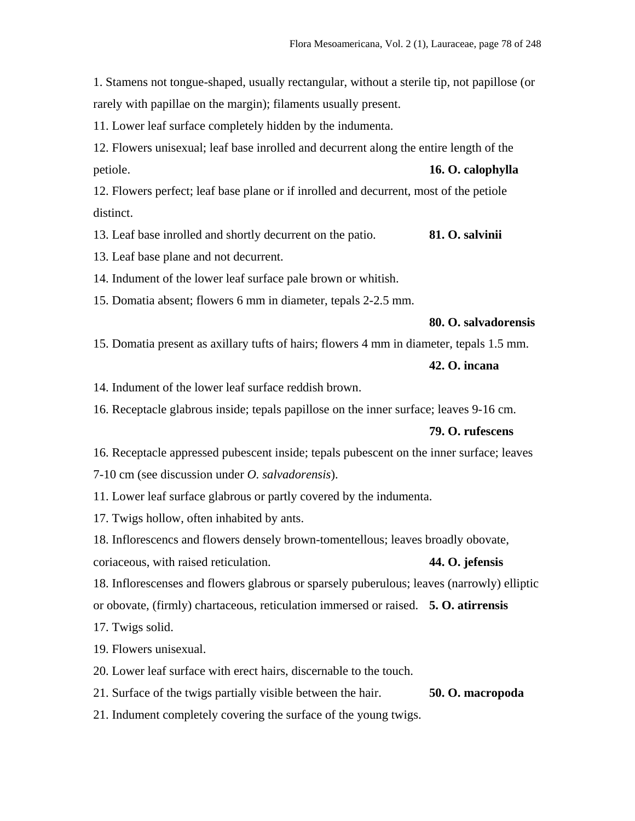1. Stamens not tongue-shaped, usually rectangular, without a sterile tip, not papillose (or rarely with papillae on the margin); filaments usually present.

11. Lower leaf surface completely hidden by the indumenta.

12. Flowers unisexual; leaf base inrolled and decurrent along the entire length of the petiole. **16. O. calophylla**

12. Flowers perfect; leaf base plane or if inrolled and decurrent, most of the petiole distinct.

13. Leaf base inrolled and shortly decurrent on the patio. **81. O. salvinii**

13. Leaf base plane and not decurrent.

14. Indument of the lower leaf surface pale brown or whitish.

15. Domatia absent; flowers 6 mm in diameter, tepals 2-2.5 mm.

# **80. O. salvadorensis**

15. Domatia present as axillary tufts of hairs; flowers 4 mm in diameter, tepals 1.5 mm.

# **42. O. incana**

14. Indument of the lower leaf surface reddish brown.

16. Receptacle glabrous inside; tepals papillose on the inner surface; leaves 9-16 cm.

## **79. O. rufescens**

16. Receptacle appressed pubescent inside; tepals pubescent on the inner surface; leaves

7-10 cm (see discussion under *O. salvadorensis*).

11. Lower leaf surface glabrous or partly covered by the indumenta.

17. Twigs hollow, often inhabited by ants.

18. Inflorescencs and flowers densely brown-tomentellous; leaves broadly obovate, coriaceous, with raised reticulation. **44. O. jefensis**

18. Inflorescenses and flowers glabrous or sparsely puberulous; leaves (narrowly) elliptic

or obovate, (firmly) chartaceous, reticulation immersed or raised. **5. O. atirrensis**

17. Twigs solid.

19. Flowers unisexual.

20. Lower leaf surface with erect hairs, discernable to the touch.

21. Surface of the twigs partially visible between the hair. **50. O. macropoda**

21. Indument completely covering the surface of the young twigs.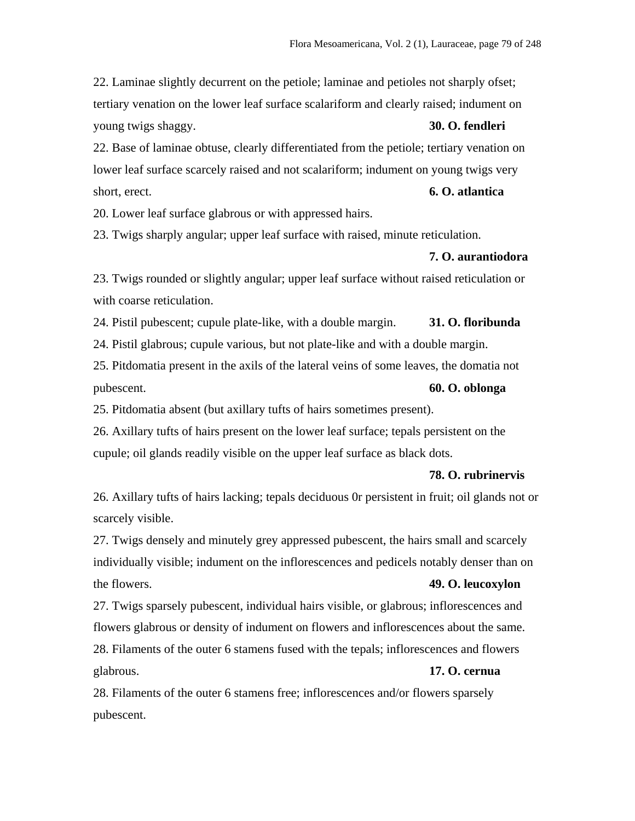22. Laminae slightly decurrent on the petiole; laminae and petioles not sharply ofset; tertiary venation on the lower leaf surface scalariform and clearly raised; indument on young twigs shaggy. **30. O. fendleri**

22. Base of laminae obtuse, clearly differentiated from the petiole; tertiary venation on lower leaf surface scarcely raised and not scalariform; indument on young twigs very short, erect. **6. O. atlantica**

20. Lower leaf surface glabrous or with appressed hairs.

23. Twigs sharply angular; upper leaf surface with raised, minute reticulation.

## **7. O. aurantiodora**

23. Twigs rounded or slightly angular; upper leaf surface without raised reticulation or with coarse reticulation.

24. Pistil pubescent; cupule plate-like, with a double margin. **31. O. floribunda**

24. Pistil glabrous; cupule various, but not plate-like and with a double margin.

25. Pitdomatia present in the axils of the lateral veins of some leaves, the domatia not pubescent. **60. O. oblonga**

25. Pitdomatia absent (but axillary tufts of hairs sometimes present).

26. Axillary tufts of hairs present on the lower leaf surface; tepals persistent on the cupule; oil glands readily visible on the upper leaf surface as black dots.

#### **78. O. rubrinervis**

26. Axillary tufts of hairs lacking; tepals deciduous 0r persistent in fruit; oil glands not or scarcely visible.

27. Twigs densely and minutely grey appressed pubescent, the hairs small and scarcely individually visible; indument on the inflorescences and pedicels notably denser than on the flowers. **49. O. leucoxylon**

27. Twigs sparsely pubescent, individual hairs visible, or glabrous; inflorescences and flowers glabrous or density of indument on flowers and inflorescences about the same.

28. Filaments of the outer 6 stamens fused with the tepals; inflorescences and flowers glabrous. **17. O. cernua**

28. Filaments of the outer 6 stamens free; inflorescences and/or flowers sparsely pubescent.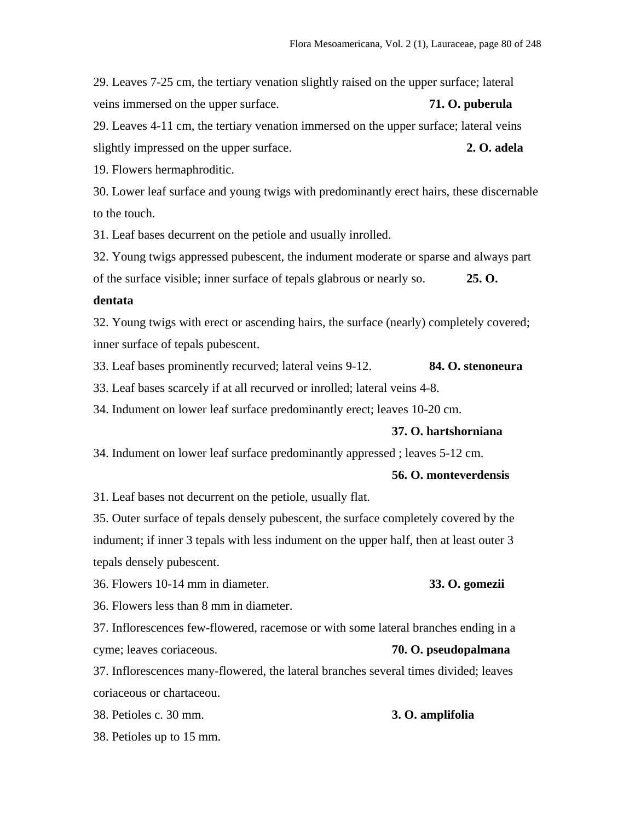29. Leaves 7-25 cm, the tertiary venation slightly raised on the upper surface; lateral veins immersed on the upper surface. **71. O. puberula** 29. Leaves 4-11 cm, the tertiary venation immersed on the upper surface; lateral veins slightly impressed on the upper surface. **2. O. adela** 19. Flowers hermaphroditic.

30. Lower leaf surface and young twigs with predominantly erect hairs, these discernable to the touch.

31. Leaf bases decurrent on the petiole and usually inrolled.

32. Young twigs appressed pubescent, the indument moderate or sparse and always part of the surface visible; inner surface of tepals glabrous or nearly so. **25. O.** 

#### **dentata**

32. Young twigs with erect or ascending hairs, the surface (nearly) completely covered; inner surface of tepals pubescent.

33. Leaf bases prominently recurved; lateral veins 9-12. **84. O. stenoneura**

33. Leaf bases scarcely if at all recurved or inrolled; lateral veins 4-8.

34. Indument on lower leaf surface predominantly erect; leaves 10-20 cm.

#### **37. O. hartshorniana**

34. Indument on lower leaf surface predominantly appressed ; leaves 5-12 cm.

## **56. O. monteverdensis**

31. Leaf bases not decurrent on the petiole, usually flat.

35. Outer surface of tepals densely pubescent, the surface completely covered by the indument; if inner 3 tepals with less indument on the upper half, then at least outer 3 tepals densely pubescent.

36. Flowers 10-14 mm in diameter. **33. O. gomezii**

36. Flowers less than 8 mm in diameter.

37. Inflorescences few-flowered, racemose or with some lateral branches ending in a cyme; leaves coriaceous. **70. O. pseudopalmana**

37. Inflorescences many-flowered, the lateral branches several times divided; leaves coriaceous or chartaceou.

38. Petioles c. 30 mm. **3. O. amplifolia**

38. Petioles up to 15 mm.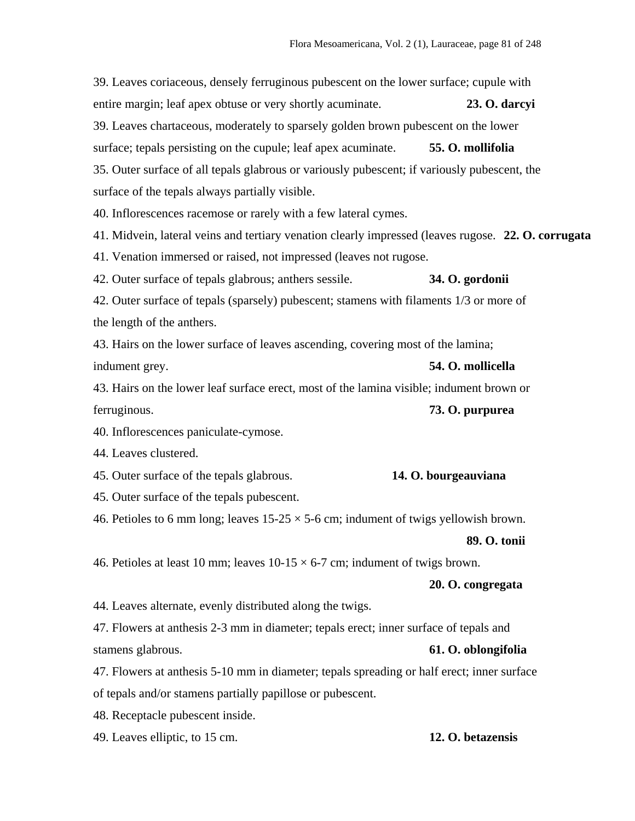39. Leaves coriaceous, densely ferruginous pubescent on the lower surface; cupule with entire margin; leaf apex obtuse or very shortly acuminate. **23. O. darcyi** 39. Leaves chartaceous, moderately to sparsely golden brown pubescent on the lower surface; tepals persisting on the cupule; leaf apex acuminate. **55. O. mollifolia** 35. Outer surface of all tepals glabrous or variously pubescent; if variously pubescent, the surface of the tepals always partially visible. 40. Inflorescences racemose or rarely with a few lateral cymes. 41. Midvein, lateral veins and tertiary venation clearly impressed (leaves rugose. **22. O. corrugata** 41. Venation immersed or raised, not impressed (leaves not rugose. 42. Outer surface of tepals glabrous; anthers sessile. **34. O. gordonii** 42. Outer surface of tepals (sparsely) pubescent; stamens with filaments 1/3 or more of the length of the anthers. 43. Hairs on the lower surface of leaves ascending, covering most of the lamina; indument grey. **54. O. mollicella** 43. Hairs on the lower leaf surface erect, most of the lamina visible; indument brown or ferruginous. **73. O. purpurea** 40. Inflorescences paniculate-cymose. 44. Leaves clustered. 45. Outer surface of the tepals glabrous. **14. O. bourgeauviana** 45. Outer surface of the tepals pubescent. 46. Petioles to 6 mm long; leaves  $15{\text -}25 \times 5{\text -}6$  cm; indument of twigs yellowish brown. **89. O. tonii** 46. Petioles at least 10 mm; leaves  $10-15 \times 6-7$  cm; indument of twigs brown. **20. O. congregata** 44. Leaves alternate, evenly distributed along the twigs. 47. Flowers at anthesis 2-3 mm in diameter; tepals erect; inner surface of tepals and stamens glabrous. **61. O. oblongifolia** 47. Flowers at anthesis 5-10 mm in diameter; tepals spreading or half erect; inner surface of tepals and/or stamens partially papillose or pubescent.

48. Receptacle pubescent inside.

49. Leaves elliptic, to 15 cm. **12. O. betazensis**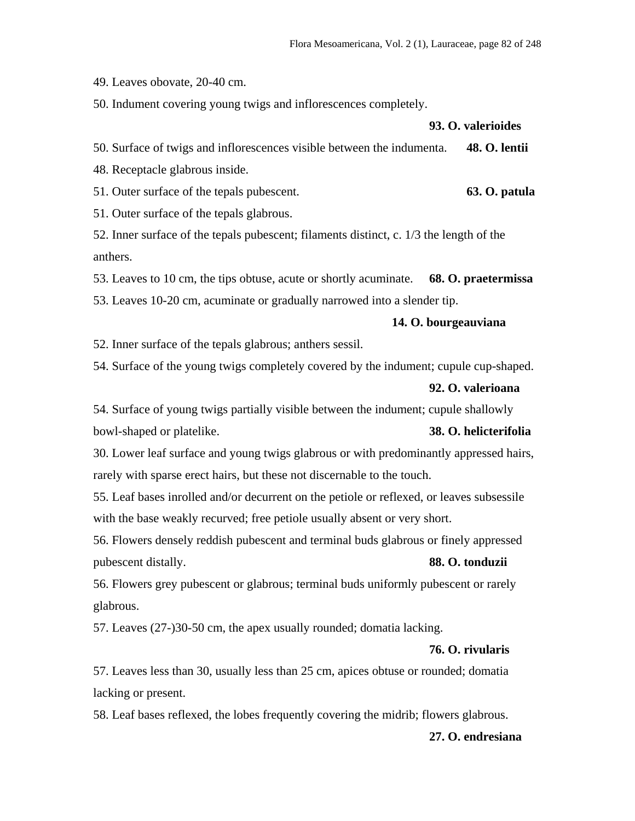49. Leaves obovate, 20-40 cm.

50. Indument covering young twigs and inflorescences completely.

**93. O. valerioides**

50. Surface of twigs and inflorescences visible between the indumenta. **48. O. lentii**

48. Receptacle glabrous inside.

51. Outer surface of the tepals pubescent. **63. O. patula**

51. Outer surface of the tepals glabrous.

52. Inner surface of the tepals pubescent; filaments distinct, c. 1/3 the length of the anthers.

53. Leaves to 10 cm, the tips obtuse, acute or shortly acuminate. **68. O. praetermissa**

53. Leaves 10-20 cm, acuminate or gradually narrowed into a slender tip.

# **14. O. bourgeauviana**

52. Inner surface of the tepals glabrous; anthers sessil.

54. Surface of the young twigs completely covered by the indument; cupule cup-shaped.

#### **92. O. valerioana**

54. Surface of young twigs partially visible between the indument; cupule shallowly bowl-shaped or platelike. **38. O. helicterifolia**

30. Lower leaf surface and young twigs glabrous or with predominantly appressed hairs, rarely with sparse erect hairs, but these not discernable to the touch.

55. Leaf bases inrolled and/or decurrent on the petiole or reflexed, or leaves subsessile with the base weakly recurved; free petiole usually absent or very short.

56. Flowers densely reddish pubescent and terminal buds glabrous or finely appressed pubescent distally. **88. O. tonduzii**

56. Flowers grey pubescent or glabrous; terminal buds uniformly pubescent or rarely glabrous.

57. Leaves (27-)30-50 cm, the apex usually rounded; domatia lacking.

# **76. O. rivularis**

57. Leaves less than 30, usually less than 25 cm, apices obtuse or rounded; domatia lacking or present.

58. Leaf bases reflexed, the lobes frequently covering the midrib; flowers glabrous.

## **27. O. endresiana**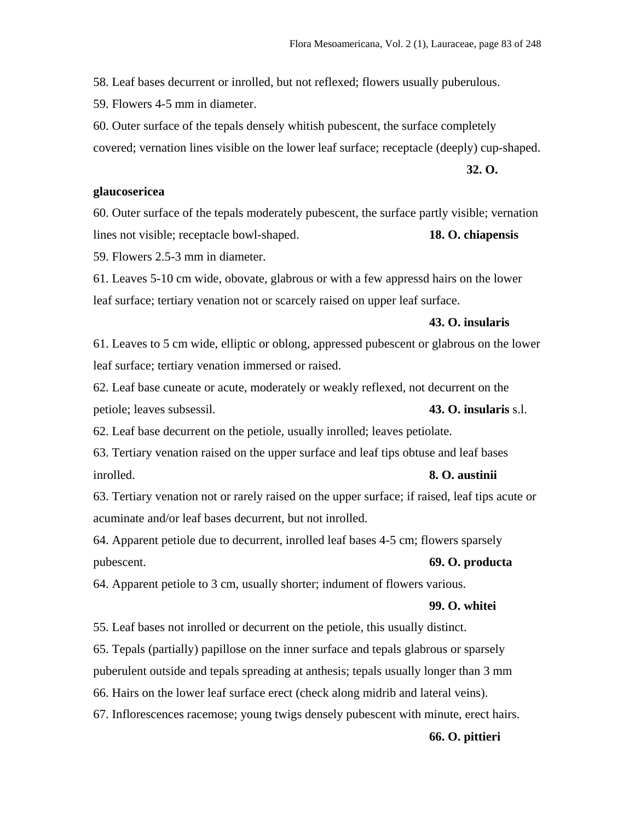58. Leaf bases decurrent or inrolled, but not reflexed; flowers usually puberulous.

59. Flowers 4-5 mm in diameter.

60. Outer surface of the tepals densely whitish pubescent, the surface completely covered; vernation lines visible on the lower leaf surface; receptacle (deeply) cup-shaped.

**32. O.** 

## **glaucosericea**

60. Outer surface of the tepals moderately pubescent, the surface partly visible; vernation lines not visible; receptacle bowl-shaped. **18. O. chiapensis**

59. Flowers 2.5-3 mm in diameter.

61. Leaves 5-10 cm wide, obovate, glabrous or with a few appressd hairs on the lower leaf surface; tertiary venation not or scarcely raised on upper leaf surface.

#### **43. O. insularis**

61. Leaves to 5 cm wide, elliptic or oblong, appressed pubescent or glabrous on the lower leaf surface; tertiary venation immersed or raised.

62. Leaf base cuneate or acute, moderately or weakly reflexed, not decurrent on the petiole; leaves subsessil. **43. O. insularis** s.l.

62. Leaf base decurrent on the petiole, usually inrolled; leaves petiolate.

63. Tertiary venation raised on the upper surface and leaf tips obtuse and leaf bases inrolled. **8. O. austinii**

63. Tertiary venation not or rarely raised on the upper surface; if raised, leaf tips acute or acuminate and/or leaf bases decurrent, but not inrolled.

64. Apparent petiole due to decurrent, inrolled leaf bases 4-5 cm; flowers sparsely pubescent. **69. O. producta**

64. Apparent petiole to 3 cm, usually shorter; indument of flowers various.

## **99. O. whitei**

55. Leaf bases not inrolled or decurrent on the petiole, this usually distinct.

65. Tepals (partially) papillose on the inner surface and tepals glabrous or sparsely

puberulent outside and tepals spreading at anthesis; tepals usually longer than 3 mm

66. Hairs on the lower leaf surface erect (check along midrib and lateral veins).

67. Inflorescences racemose; young twigs densely pubescent with minute, erect hairs.

## **66. O. pittieri**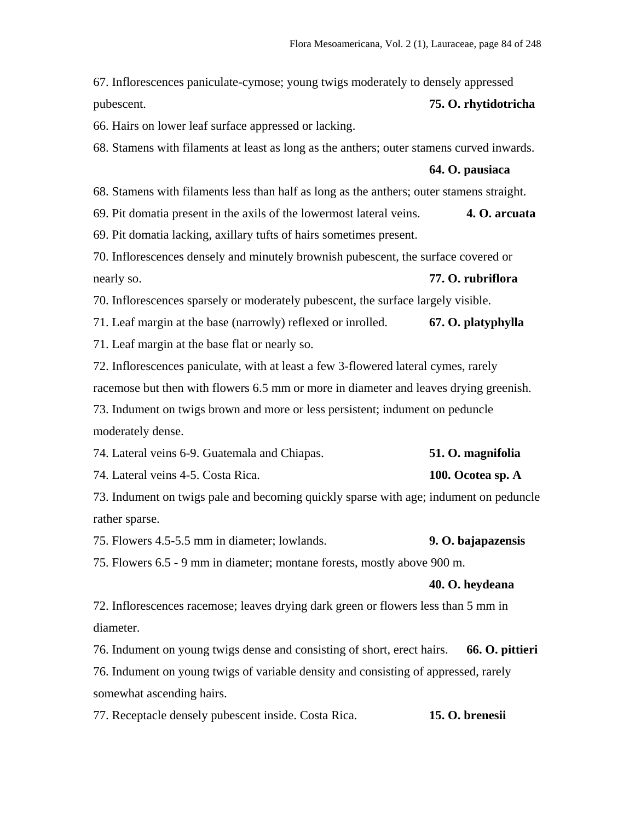67. Inflorescences paniculate-cymose; young twigs moderately to densely appressed pubescent. **75. O. rhytidotricha**

66. Hairs on lower leaf surface appressed or lacking.

68. Stamens with filaments at least as long as the anthers; outer stamens curved inwards.

#### **64. O. pausiaca**

68. Stamens with filaments less than half as long as the anthers; outer stamens straight.

69. Pit domatia present in the axils of the lowermost lateral veins. **4. O. arcuata**

69. Pit domatia lacking, axillary tufts of hairs sometimes present.

70. Inflorescences densely and minutely brownish pubescent, the surface covered or nearly so. **77. O. rubriflora**

70. Inflorescences sparsely or moderately pubescent, the surface largely visible.

71. Leaf margin at the base (narrowly) reflexed or inrolled. **67. O. platyphylla**

71. Leaf margin at the base flat or nearly so.

72. Inflorescences paniculate, with at least a few 3-flowered lateral cymes, rarely racemose but then with flowers 6.5 mm or more in diameter and leaves drying greenish. 73. Indument on twigs brown and more or less persistent; indument on peduncle moderately dense.

| 74. Lateral veins 6-9. Guatemala and Chiapas. | 51. O. magnifolia |
|-----------------------------------------------|-------------------|
| 74. Lateral veins 4-5. Costa Rica.            | 100. Ocotea sp. A |

73. Indument on twigs pale and becoming quickly sparse with age; indument on peduncle rather sparse.

75. Flowers 4.5-5.5 mm in diameter; lowlands. **9. O. bajapazensis**

75. Flowers 6.5 - 9 mm in diameter; montane forests, mostly above 900 m.

#### **40. O. heydeana**

72. Inflorescences racemose; leaves drying dark green or flowers less than 5 mm in diameter.

76. Indument on young twigs dense and consisting of short, erect hairs. **66. O. pittieri**

76. Indument on young twigs of variable density and consisting of appressed, rarely somewhat ascending hairs.

77. Receptacle densely pubescent inside. Costa Rica. **15. O. brenesii**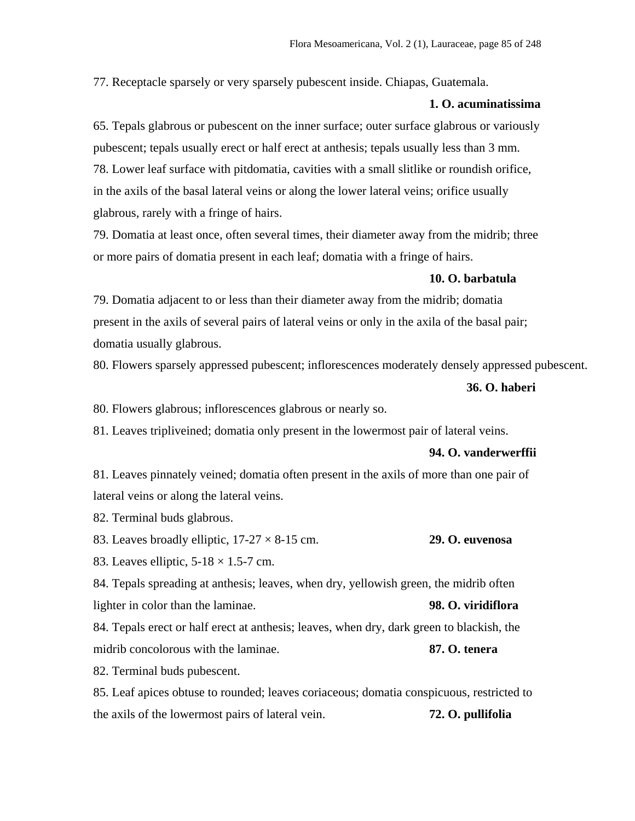77. Receptacle sparsely or very sparsely pubescent inside. Chiapas, Guatemala.

# **1. O. acuminatissima**

65. Tepals glabrous or pubescent on the inner surface; outer surface glabrous or variously pubescent; tepals usually erect or half erect at anthesis; tepals usually less than 3 mm. 78. Lower leaf surface with pitdomatia, cavities with a small slitlike or roundish orifice, in the axils of the basal lateral veins or along the lower lateral veins; orifice usually glabrous, rarely with a fringe of hairs.

79. Domatia at least once, often several times, their diameter away from the midrib; three or more pairs of domatia present in each leaf; domatia with a fringe of hairs.

#### **10. O. barbatula**

79. Domatia adjacent to or less than their diameter away from the midrib; domatia present in the axils of several pairs of lateral veins or only in the axila of the basal pair; domatia usually glabrous.

80. Flowers sparsely appressed pubescent; inflorescences moderately densely appressed pubescent.

#### **36. O. haberi**

80. Flowers glabrous; inflorescences glabrous or nearly so.

81. Leaves tripliveined; domatia only present in the lowermost pair of lateral veins.

#### **94. O. vanderwerffii**

81. Leaves pinnately veined; domatia often present in the axils of more than one pair of lateral veins or along the lateral veins.

82. Terminal buds glabrous.

83. Leaves broadly elliptic, 17-27 × 8-15 cm. **29. O. euvenosa**

83. Leaves elliptic,  $5-18 \times 1.5-7$  cm.

84. Tepals spreading at anthesis; leaves, when dry, yellowish green, the midrib often lighter in color than the laminae. **98. O. viridiflora**

84. Tepals erect or half erect at anthesis; leaves, when dry, dark green to blackish, the midrib concolorous with the laminae. **87. O. tenera**

82. Terminal buds pubescent.

85. Leaf apices obtuse to rounded; leaves coriaceous; domatia conspicuous, restricted to the axils of the lowermost pairs of lateral vein. **72. O. pullifolia**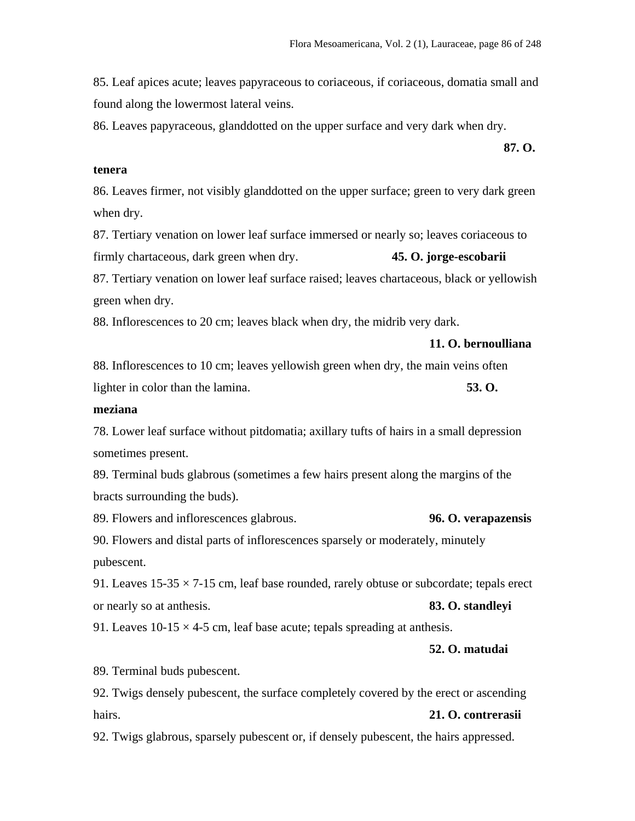85. Leaf apices acute; leaves papyraceous to coriaceous, if coriaceous, domatia small and found along the lowermost lateral veins.

**87. O.** 

86. Leaves papyraceous, glanddotted on the upper surface and very dark when dry.

#### **tenera**

86. Leaves firmer, not visibly glanddotted on the upper surface; green to very dark green when dry.

87. Tertiary venation on lower leaf surface immersed or nearly so; leaves coriaceous to firmly chartaceous, dark green when dry. **45. O. jorge-escobarii**

87. Tertiary venation on lower leaf surface raised; leaves chartaceous, black or yellowish green when dry.

88. Inflorescences to 20 cm; leaves black when dry, the midrib very dark.

**11. O. bernoulliana**

88. Inflorescences to 10 cm; leaves yellowish green when dry, the main veins often lighter in color than the lamina. **53. O.** 

# **meziana**

78. Lower leaf surface without pitdomatia; axillary tufts of hairs in a small depression sometimes present.

89. Terminal buds glabrous (sometimes a few hairs present along the margins of the bracts surrounding the buds).

89. Flowers and inflorescences glabrous. **96. O. verapazensis**

90. Flowers and distal parts of inflorescences sparsely or moderately, minutely pubescent.

91. Leaves  $15-35 \times 7-15$  cm, leaf base rounded, rarely obtuse or subcordate; tepals erect or nearly so at anthesis. **83. O. standleyi**

91. Leaves  $10-15 \times 4-5$  cm, leaf base acute; tepals spreading at anthesis.

# **52. O. matudai**

89. Terminal buds pubescent.

92. Twigs densely pubescent, the surface completely covered by the erect or ascending hairs. **21. O. contrerasii**

92. Twigs glabrous, sparsely pubescent or, if densely pubescent, the hairs appressed.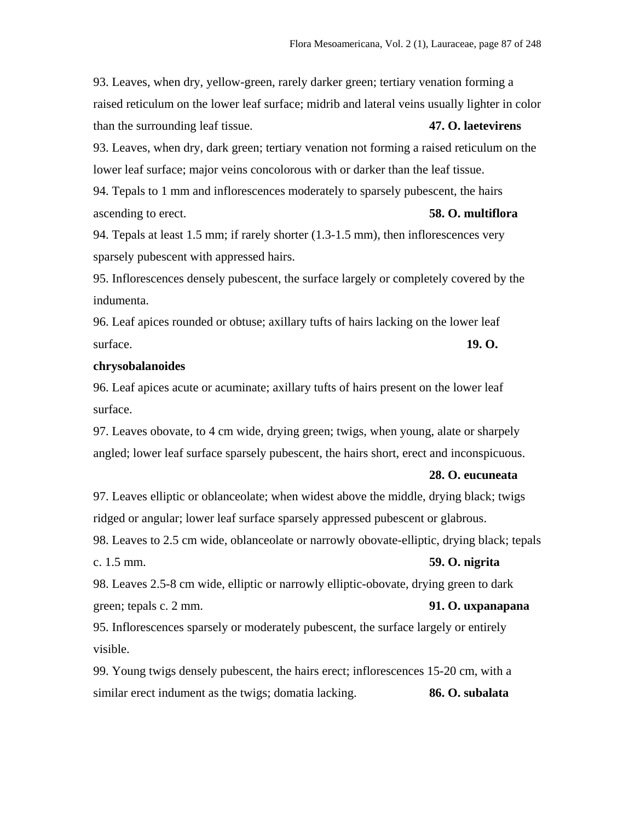93. Leaves, when dry, yellow-green, rarely darker green; tertiary venation forming a raised reticulum on the lower leaf surface; midrib and lateral veins usually lighter in color than the surrounding leaf tissue. **47. O. laetevirens**

93. Leaves, when dry, dark green; tertiary venation not forming a raised reticulum on the lower leaf surface; major veins concolorous with or darker than the leaf tissue.

94. Tepals to 1 mm and inflorescences moderately to sparsely pubescent, the hairs ascending to erect. **58. O. multiflora**

94. Tepals at least 1.5 mm; if rarely shorter (1.3-1.5 mm), then inflorescences very sparsely pubescent with appressed hairs.

95. Inflorescences densely pubescent, the surface largely or completely covered by the indumenta.

96. Leaf apices rounded or obtuse; axillary tufts of hairs lacking on the lower leaf surface. **19. O. 19. O.** 

## **chrysobalanoides**

96. Leaf apices acute or acuminate; axillary tufts of hairs present on the lower leaf surface.

97. Leaves obovate, to 4 cm wide, drying green; twigs, when young, alate or sharpely angled; lower leaf surface sparsely pubescent, the hairs short, erect and inconspicuous.

#### **28. O. eucuneata**

97. Leaves elliptic or oblanceolate; when widest above the middle, drying black; twigs ridged or angular; lower leaf surface sparsely appressed pubescent or glabrous.

98. Leaves to 2.5 cm wide, oblanceolate or narrowly obovate-elliptic, drying black; tepals c. 1.5 mm. **59. O. nigrita**

98. Leaves 2.5-8 cm wide, elliptic or narrowly elliptic-obovate, drying green to dark green; tepals c. 2 mm. **91. O. uxpanapana**

95. Inflorescences sparsely or moderately pubescent, the surface largely or entirely visible.

99. Young twigs densely pubescent, the hairs erect; inflorescences 15-20 cm, with a similar erect indument as the twigs; domatia lacking. **86. O. subalata**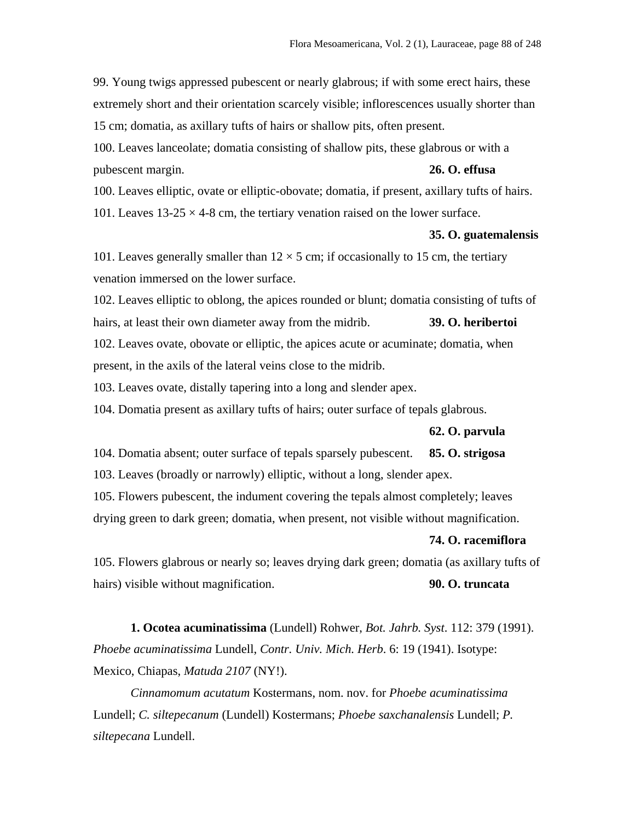99. Young twigs appressed pubescent or nearly glabrous; if with some erect hairs, these extremely short and their orientation scarcely visible; inflorescences usually shorter than 15 cm; domatia, as axillary tufts of hairs or shallow pits, often present.

100. Leaves lanceolate; domatia consisting of shallow pits, these glabrous or with a pubescent margin. **26. O. effusa**

100. Leaves elliptic, ovate or elliptic-obovate; domatia, if present, axillary tufts of hairs.

101. Leaves  $13-25 \times 4-8$  cm, the tertiary venation raised on the lower surface.

#### **35. O. guatemalensis**

101. Leaves generally smaller than  $12 \times 5$  cm; if occasionally to 15 cm, the tertiary venation immersed on the lower surface.

102. Leaves elliptic to oblong, the apices rounded or blunt; domatia consisting of tufts of hairs, at least their own diameter away from the midrib. **39. O. heribertoi** 102. Leaves ovate, obovate or elliptic, the apices acute or acuminate; domatia, when present, in the axils of the lateral veins close to the midrib.

103. Leaves ovate, distally tapering into a long and slender apex.

104. Domatia present as axillary tufts of hairs; outer surface of tepals glabrous.

#### **62. O. parvula**

104. Domatia absent; outer surface of tepals sparsely pubescent. **85. O. strigosa**

103. Leaves (broadly or narrowly) elliptic, without a long, slender apex.

105. Flowers pubescent, the indument covering the tepals almost completely; leaves

drying green to dark green; domatia, when present, not visible without magnification.

#### **74. O. racemiflora**

105. Flowers glabrous or nearly so; leaves drying dark green; domatia (as axillary tufts of hairs) visible without magnification. **90. O. truncata**

**1. Ocotea acuminatissima** (Lundell) Rohwer, *Bot. Jahrb. Syst*. 112: 379 (1991). *Phoebe acuminatissima* Lundell, *Contr. Univ. Mich. Herb*. 6: 19 (1941). Isotype: Mexico, Chiapas, *Matuda 2107* (NY!).

*Cinnamomum acutatum* Kostermans, nom. nov. for *Phoebe acuminatissima* Lundell; *C. siltepecanum* (Lundell) Kostermans; *Phoebe saxchanalensis* Lundell; *P. siltepecana* Lundell.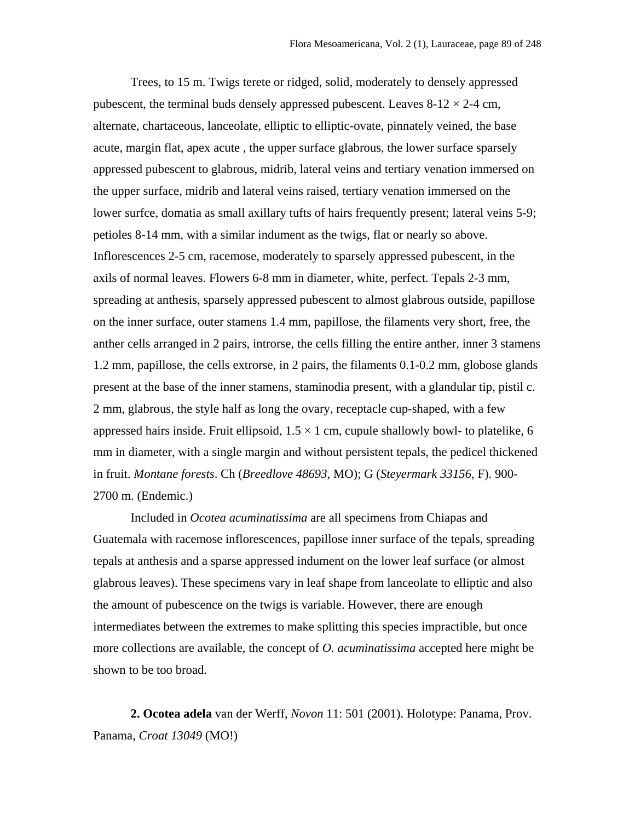Trees, to 15 m. Twigs terete or ridged, solid, moderately to densely appressed pubescent, the terminal buds densely appressed pubescent. Leaves  $8-12 \times 2-4$  cm, alternate, chartaceous, lanceolate, elliptic to elliptic-ovate, pinnately veined, the base acute, margin flat, apex acute , the upper surface glabrous, the lower surface sparsely appressed pubescent to glabrous, midrib, lateral veins and tertiary venation immersed on the upper surface, midrib and lateral veins raised, tertiary venation immersed on the lower surfce, domatia as small axillary tufts of hairs frequently present; lateral veins 5-9; petioles 8-14 mm, with a similar indument as the twigs, flat or nearly so above. Inflorescences 2-5 cm, racemose, moderately to sparsely appressed pubescent, in the axils of normal leaves. Flowers 6-8 mm in diameter, white, perfect. Tepals 2-3 mm, spreading at anthesis, sparsely appressed pubescent to almost glabrous outside, papillose on the inner surface, outer stamens 1.4 mm, papillose, the filaments very short, free, the anther cells arranged in 2 pairs, introrse, the cells filling the entire anther, inner 3 stamens 1.2 mm, papillose, the cells extrorse, in 2 pairs, the filaments 0.1-0.2 mm, globose glands present at the base of the inner stamens, staminodia present, with a glandular tip, pistil c. 2 mm, glabrous, the style half as long the ovary, receptacle cup-shaped, with a few appressed hairs inside. Fruit ellipsoid,  $1.5 \times 1$  cm, cupule shallowly bowl- to platelike, 6 mm in diameter, with a single margin and without persistent tepals, the pedicel thickened in fruit. *Montane forests*. Ch (*Breedlove 48693*, MO); G (*Steyermark 33156*, F). 900- 2700 m. (Endemic.)

Included in *Ocotea acuminatissima* are all specimens from Chiapas and Guatemala with racemose inflorescences, papillose inner surface of the tepals, spreading tepals at anthesis and a sparse appressed indument on the lower leaf surface (or almost glabrous leaves). These specimens vary in leaf shape from lanceolate to elliptic and also the amount of pubescence on the twigs is variable. However, there are enough intermediates between the extremes to make splitting this species impractible, but once more collections are available, the concept of *O. acuminatissima* accepted here might be shown to be too broad.

**2. Ocotea adela** van der Werff, *Novon* 11: 501 (2001). Holotype: Panama, Prov. Panama, *Croat 13049* (MO!)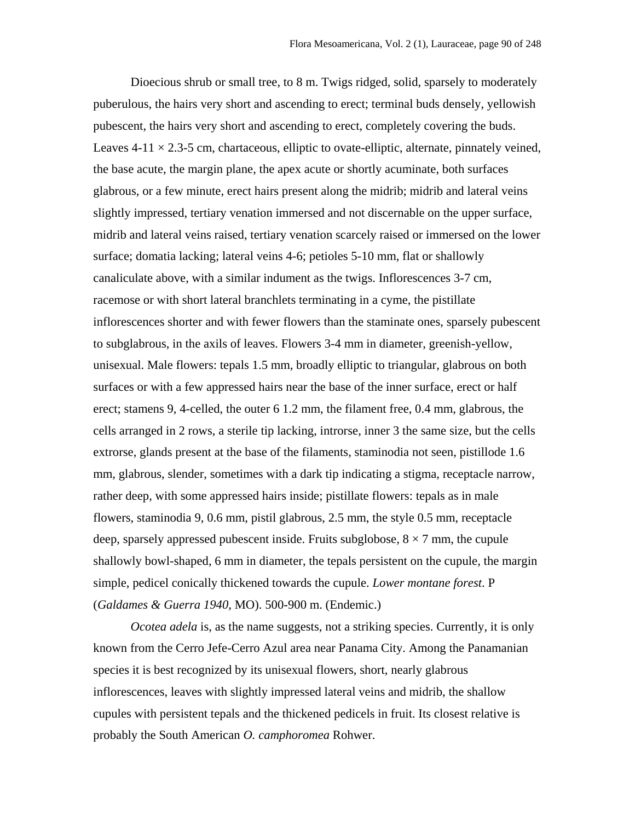Dioecious shrub or small tree, to 8 m. Twigs ridged, solid, sparsely to moderately puberulous, the hairs very short and ascending to erect; terminal buds densely, yellowish pubescent, the hairs very short and ascending to erect, completely covering the buds. Leaves 4-11  $\times$  2.3-5 cm, chartaceous, elliptic to ovate-elliptic, alternate, pinnately veined, the base acute, the margin plane, the apex acute or shortly acuminate, both surfaces glabrous, or a few minute, erect hairs present along the midrib; midrib and lateral veins slightly impressed, tertiary venation immersed and not discernable on the upper surface, midrib and lateral veins raised, tertiary venation scarcely raised or immersed on the lower surface; domatia lacking; lateral veins 4-6; petioles 5-10 mm, flat or shallowly canaliculate above, with a similar indument as the twigs. Inflorescences 3-7 cm, racemose or with short lateral branchlets terminating in a cyme, the pistillate inflorescences shorter and with fewer flowers than the staminate ones, sparsely pubescent to subglabrous, in the axils of leaves. Flowers 3-4 mm in diameter, greenish-yellow, unisexual. Male flowers: tepals 1.5 mm, broadly elliptic to triangular, glabrous on both surfaces or with a few appressed hairs near the base of the inner surface, erect or half erect; stamens 9, 4-celled, the outer 6 1.2 mm, the filament free, 0.4 mm, glabrous, the cells arranged in 2 rows, a sterile tip lacking, introrse, inner 3 the same size, but the cells extrorse, glands present at the base of the filaments, staminodia not seen, pistillode 1.6 mm, glabrous, slender, sometimes with a dark tip indicating a stigma, receptacle narrow, rather deep, with some appressed hairs inside; pistillate flowers: tepals as in male flowers, staminodia 9, 0.6 mm, pistil glabrous, 2.5 mm, the style 0.5 mm, receptacle deep, sparsely appressed pubescent inside. Fruits subglobose,  $8 \times 7$  mm, the cupule shallowly bowl-shaped, 6 mm in diameter, the tepals persistent on the cupule, the margin simple, pedicel conically thickened towards the cupule. *Lower montane forest*. P (*Galdames & Guerra 1940*, MO). 500-900 m. (Endemic.)

*Ocotea adela* is, as the name suggests, not a striking species. Currently, it is only known from the Cerro Jefe-Cerro Azul area near Panama City. Among the Panamanian species it is best recognized by its unisexual flowers, short, nearly glabrous inflorescences, leaves with slightly impressed lateral veins and midrib, the shallow cupules with persistent tepals and the thickened pedicels in fruit. Its closest relative is probably the South American *O. camphoromea* Rohwer.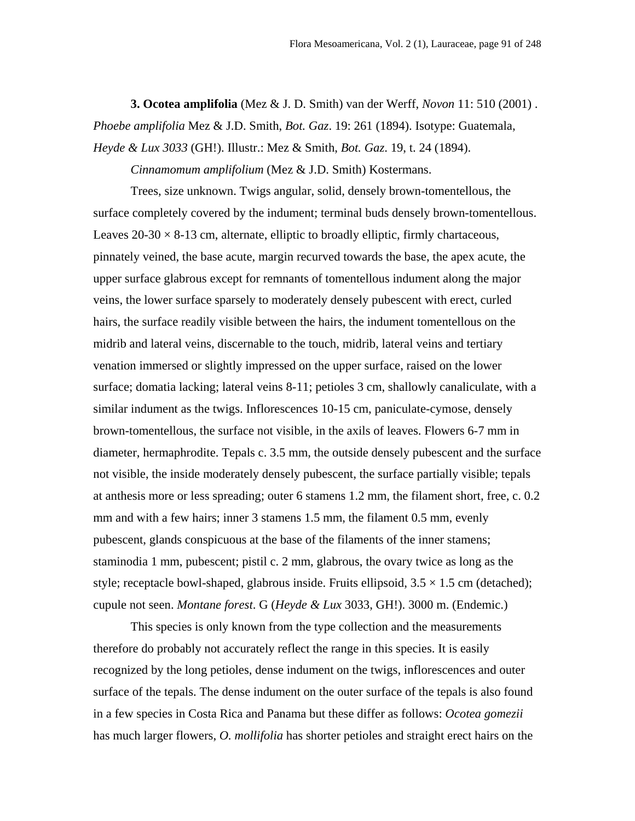**3. Ocotea amplifolia** (Mez & J. D. Smith) van der Werff, *Novon* 11: 510 (2001) . *Phoebe amplifolia* Mez & J.D. Smith, *Bot. Gaz*. 19: 261 (1894). Isotype: Guatemala, *Heyde & Lux 3033* (GH!). Illustr.: Mez & Smith, *Bot. Gaz*. 19, t. 24 (1894).

*Cinnamomum amplifolium* (Mez & J.D. Smith) Kostermans.

Trees, size unknown. Twigs angular, solid, densely brown-tomentellous, the surface completely covered by the indument; terminal buds densely brown-tomentellous. Leaves  $20-30 \times 8-13$  cm, alternate, elliptic to broadly elliptic, firmly chartaceous, pinnately veined, the base acute, margin recurved towards the base, the apex acute, the upper surface glabrous except for remnants of tomentellous indument along the major veins, the lower surface sparsely to moderately densely pubescent with erect, curled hairs, the surface readily visible between the hairs, the indument tomentellous on the midrib and lateral veins, discernable to the touch, midrib, lateral veins and tertiary venation immersed or slightly impressed on the upper surface, raised on the lower surface; domatia lacking; lateral veins 8-11; petioles 3 cm, shallowly canaliculate, with a similar indument as the twigs. Inflorescences 10-15 cm, paniculate-cymose, densely brown-tomentellous, the surface not visible, in the axils of leaves. Flowers 6-7 mm in diameter, hermaphrodite. Tepals c. 3.5 mm, the outside densely pubescent and the surface not visible, the inside moderately densely pubescent, the surface partially visible; tepals at anthesis more or less spreading; outer 6 stamens 1.2 mm, the filament short, free, c. 0.2 mm and with a few hairs; inner 3 stamens 1.5 mm, the filament 0.5 mm, evenly pubescent, glands conspicuous at the base of the filaments of the inner stamens; staminodia 1 mm, pubescent; pistil c. 2 mm, glabrous, the ovary twice as long as the style; receptacle bowl-shaped, glabrous inside. Fruits ellipsoid,  $3.5 \times 1.5$  cm (detached); cupule not seen. *Montane forest*. G (*Heyde & Lux* 3033, GH!). 3000 m. (Endemic.)

This species is only known from the type collection and the measurements therefore do probably not accurately reflect the range in this species. It is easily recognized by the long petioles, dense indument on the twigs, inflorescences and outer surface of the tepals. The dense indument on the outer surface of the tepals is also found in a few species in Costa Rica and Panama but these differ as follows: *Ocotea gomezii* has much larger flowers, *O. mollifolia* has shorter petioles and straight erect hairs on the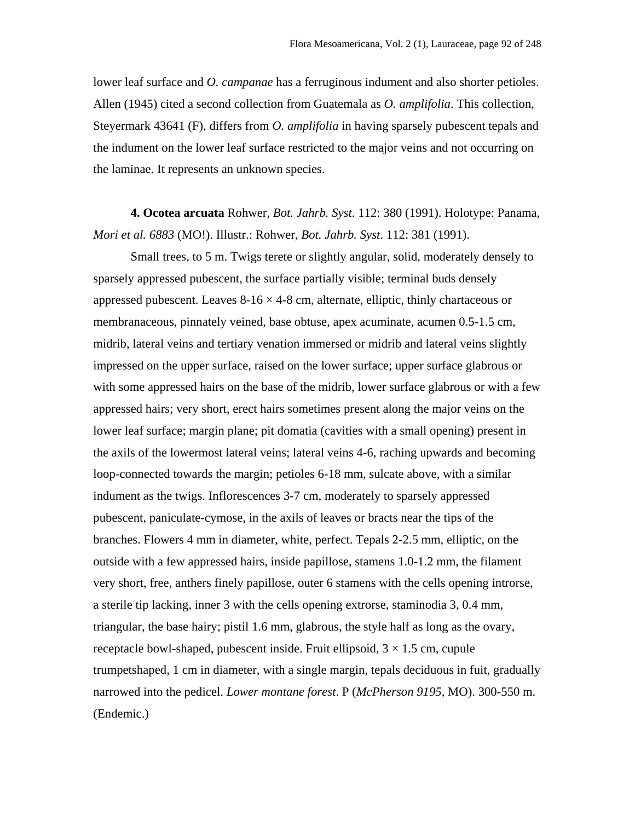lower leaf surface and *O. campanae* has a ferruginous indument and also shorter petioles. Allen (1945) cited a second collection from Guatemala as *O. amplifolia*. This collection, Steyermark 43641 (F), differs from *O. amplifolia* in having sparsely pubescent tepals and the indument on the lower leaf surface restricted to the major veins and not occurring on the laminae. It represents an unknown species.

**4. Ocotea arcuata** Rohwer*, Bot. Jahrb. Syst*. 112: 380 (1991). Holotype: Panama, *Mori et al. 6883* (MO!). Illustr.: Rohwer, *Bot. Jahrb. Syst*. 112: 381 (1991).

Small trees, to 5 m. Twigs terete or slightly angular, solid, moderately densely to sparsely appressed pubescent, the surface partially visible; terminal buds densely appressed pubescent. Leaves  $8-16 \times 4-8$  cm, alternate, elliptic, thinly chartaceous or membranaceous, pinnately veined, base obtuse, apex acuminate, acumen 0.5-1.5 cm, midrib, lateral veins and tertiary venation immersed or midrib and lateral veins slightly impressed on the upper surface, raised on the lower surface; upper surface glabrous or with some appressed hairs on the base of the midrib, lower surface glabrous or with a few appressed hairs; very short, erect hairs sometimes present along the major veins on the lower leaf surface; margin plane; pit domatia (cavities with a small opening) present in the axils of the lowermost lateral veins; lateral veins 4-6, raching upwards and becoming loop-connected towards the margin; petioles 6-18 mm, sulcate above, with a similar indument as the twigs. Inflorescences 3-7 cm, moderately to sparsely appressed pubescent, paniculate-cymose, in the axils of leaves or bracts near the tips of the branches. Flowers 4 mm in diameter, white, perfect. Tepals 2-2.5 mm, elliptic, on the outside with a few appressed hairs, inside papillose, stamens 1.0-1.2 mm, the filament very short, free, anthers finely papillose, outer 6 stamens with the cells opening introrse, a sterile tip lacking, inner 3 with the cells opening extrorse, staminodia 3, 0.4 mm, triangular, the base hairy; pistil 1.6 mm, glabrous, the style half as long as the ovary, receptacle bowl-shaped, pubescent inside. Fruit ellipsoid,  $3 \times 1.5$  cm, cupule trumpetshaped, 1 cm in diameter, with a single margin, tepals deciduous in fuit, gradually narrowed into the pedicel. *Lower montane forest*. P (*McPherson 9195*, MO). 300-550 m. (Endemic.)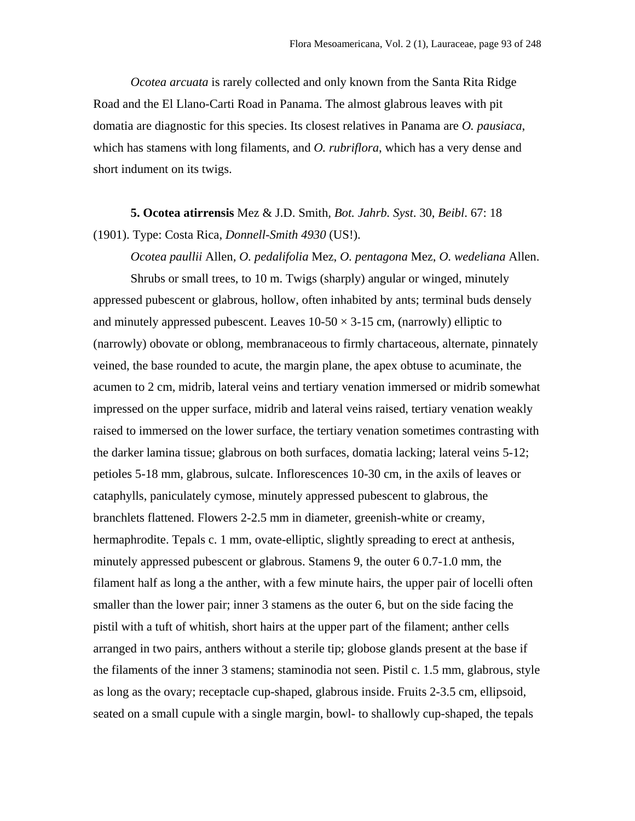*Ocotea arcuata* is rarely collected and only known from the Santa Rita Ridge Road and the El Llano-Carti Road in Panama. The almost glabrous leaves with pit domatia are diagnostic for this species. Its closest relatives in Panama are *O. pausiaca*, which has stamens with long filaments, and *O. rubriflora*, which has a very dense and short indument on its twigs.

**5. Ocotea atirrensis** Mez & J.D. Smith*, Bot. Jahrb. Syst*. 30, *Beibl*. 67: 18 (1901). Type: Costa Rica, *Donnell-Smith 4930* (US!).

*Ocotea paullii* Allen*, O. pedalifolia* Mez, *O. pentagona* Mez, *O. wedeliana* Allen.

Shrubs or small trees, to 10 m. Twigs (sharply) angular or winged, minutely appressed pubescent or glabrous, hollow, often inhabited by ants; terminal buds densely and minutely appressed pubescent. Leaves  $10-50 \times 3-15$  cm, (narrowly) elliptic to (narrowly) obovate or oblong, membranaceous to firmly chartaceous, alternate, pinnately veined, the base rounded to acute, the margin plane, the apex obtuse to acuminate, the acumen to 2 cm, midrib, lateral veins and tertiary venation immersed or midrib somewhat impressed on the upper surface, midrib and lateral veins raised, tertiary venation weakly raised to immersed on the lower surface, the tertiary venation sometimes contrasting with the darker lamina tissue; glabrous on both surfaces, domatia lacking; lateral veins 5-12; petioles 5-18 mm, glabrous, sulcate. Inflorescences 10-30 cm, in the axils of leaves or cataphylls, paniculately cymose, minutely appressed pubescent to glabrous, the branchlets flattened. Flowers 2-2.5 mm in diameter, greenish-white or creamy, hermaphrodite. Tepals c. 1 mm, ovate-elliptic, slightly spreading to erect at anthesis, minutely appressed pubescent or glabrous. Stamens 9, the outer 6 0.7-1.0 mm, the filament half as long a the anther, with a few minute hairs, the upper pair of locelli often smaller than the lower pair; inner 3 stamens as the outer 6, but on the side facing the pistil with a tuft of whitish, short hairs at the upper part of the filament; anther cells arranged in two pairs, anthers without a sterile tip; globose glands present at the base if the filaments of the inner 3 stamens; staminodia not seen. Pistil c. 1.5 mm, glabrous, style as long as the ovary; receptacle cup-shaped, glabrous inside. Fruits 2-3.5 cm, ellipsoid, seated on a small cupule with a single margin, bowl- to shallowly cup-shaped, the tepals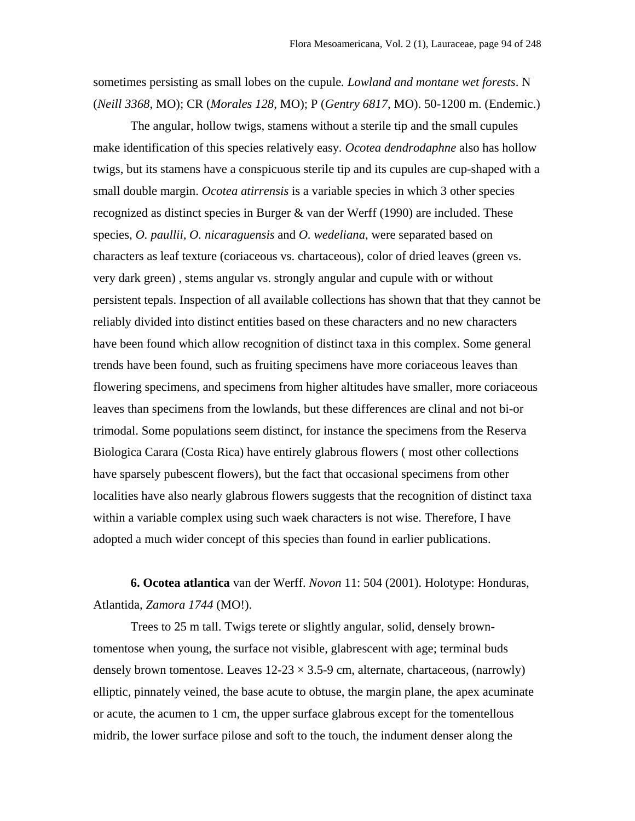sometimes persisting as small lobes on the cupule*. Lowland and montane wet forests*. N (*Neill 3368*, MO); CR (*Morales 128*, MO); P (*Gentry 6817*, MO). 50-1200 m. (Endemic.)

The angular, hollow twigs, stamens without a sterile tip and the small cupules make identification of this species relatively easy*. Ocotea dendrodaphne* also has hollow twigs, but its stamens have a conspicuous sterile tip and its cupules are cup-shaped with a small double margin. *Ocotea atirrensis* is a variable species in which 3 other species recognized as distinct species in Burger & van der Werff (1990) are included. These species, *O. paullii, O. nicaraguensis* and *O. wedeliana*, were separated based on characters as leaf texture (coriaceous vs. chartaceous), color of dried leaves (green vs. very dark green) , stems angular vs. strongly angular and cupule with or without persistent tepals. Inspection of all available collections has shown that that they cannot be reliably divided into distinct entities based on these characters and no new characters have been found which allow recognition of distinct taxa in this complex. Some general trends have been found, such as fruiting specimens have more coriaceous leaves than flowering specimens, and specimens from higher altitudes have smaller, more coriaceous leaves than specimens from the lowlands, but these differences are clinal and not bi-or trimodal. Some populations seem distinct, for instance the specimens from the Reserva Biologica Carara (Costa Rica) have entirely glabrous flowers ( most other collections have sparsely pubescent flowers), but the fact that occasional specimens from other localities have also nearly glabrous flowers suggests that the recognition of distinct taxa within a variable complex using such waek characters is not wise. Therefore, I have adopted a much wider concept of this species than found in earlier publications.

**6. Ocotea atlantica** van der Werff. *Novon* 11: 504 (2001). Holotype: Honduras, Atlantida, *Zamora 1744* (MO!).

Trees to 25 m tall. Twigs terete or slightly angular, solid, densely browntomentose when young, the surface not visible, glabrescent with age; terminal buds densely brown tomentose. Leaves  $12-23 \times 3.5-9$  cm, alternate, chartaceous, (narrowly) elliptic, pinnately veined, the base acute to obtuse, the margin plane, the apex acuminate or acute, the acumen to 1 cm, the upper surface glabrous except for the tomentellous midrib, the lower surface pilose and soft to the touch, the indument denser along the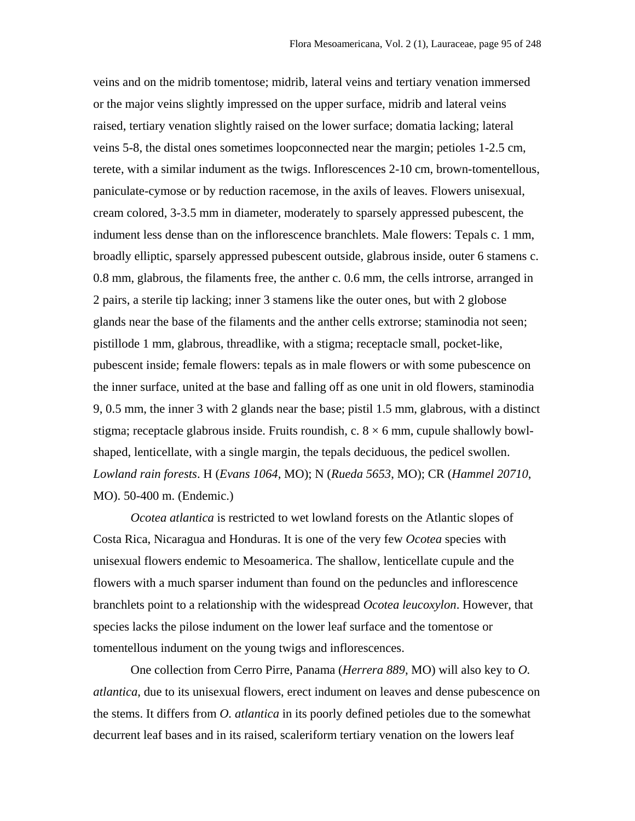veins and on the midrib tomentose; midrib, lateral veins and tertiary venation immersed or the major veins slightly impressed on the upper surface, midrib and lateral veins raised, tertiary venation slightly raised on the lower surface; domatia lacking; lateral veins 5-8, the distal ones sometimes loopconnected near the margin; petioles 1-2.5 cm, terete, with a similar indument as the twigs. Inflorescences 2-10 cm, brown-tomentellous, paniculate-cymose or by reduction racemose, in the axils of leaves. Flowers unisexual, cream colored, 3-3.5 mm in diameter, moderately to sparsely appressed pubescent, the indument less dense than on the inflorescence branchlets. Male flowers: Tepals c. 1 mm, broadly elliptic, sparsely appressed pubescent outside, glabrous inside, outer 6 stamens c. 0.8 mm, glabrous, the filaments free, the anther c. 0.6 mm, the cells introrse, arranged in 2 pairs, a sterile tip lacking; inner 3 stamens like the outer ones, but with 2 globose glands near the base of the filaments and the anther cells extrorse; staminodia not seen; pistillode 1 mm, glabrous, threadlike, with a stigma; receptacle small, pocket-like, pubescent inside; female flowers: tepals as in male flowers or with some pubescence on the inner surface, united at the base and falling off as one unit in old flowers, staminodia 9, 0.5 mm, the inner 3 with 2 glands near the base; pistil 1.5 mm, glabrous, with a distinct stigma; receptacle glabrous inside. Fruits roundish, c.  $8 \times 6$  mm, cupule shallowly bowlshaped, lenticellate, with a single margin, the tepals deciduous, the pedicel swollen. *Lowland rain forests*. H (*Evans 1064*, MO); N (*Rueda 5653*, MO); CR (*Hammel 20710*, MO). 50-400 m. (Endemic.)

*Ocotea atlantica* is restricted to wet lowland forests on the Atlantic slopes of Costa Rica, Nicaragua and Honduras. It is one of the very few *Ocotea* species with unisexual flowers endemic to Mesoamerica. The shallow, lenticellate cupule and the flowers with a much sparser indument than found on the peduncles and inflorescence branchlets point to a relationship with the widespread *Ocotea leucoxylon*. However, that species lacks the pilose indument on the lower leaf surface and the tomentose or tomentellous indument on the young twigs and inflorescences.

One collection from Cerro Pirre, Panama (*Herrera 889*, MO) will also key to *O. atlantica*, due to its unisexual flowers, erect indument on leaves and dense pubescence on the stems. It differs from *O. atlantica* in its poorly defined petioles due to the somewhat decurrent leaf bases and in its raised, scaleriform tertiary venation on the lowers leaf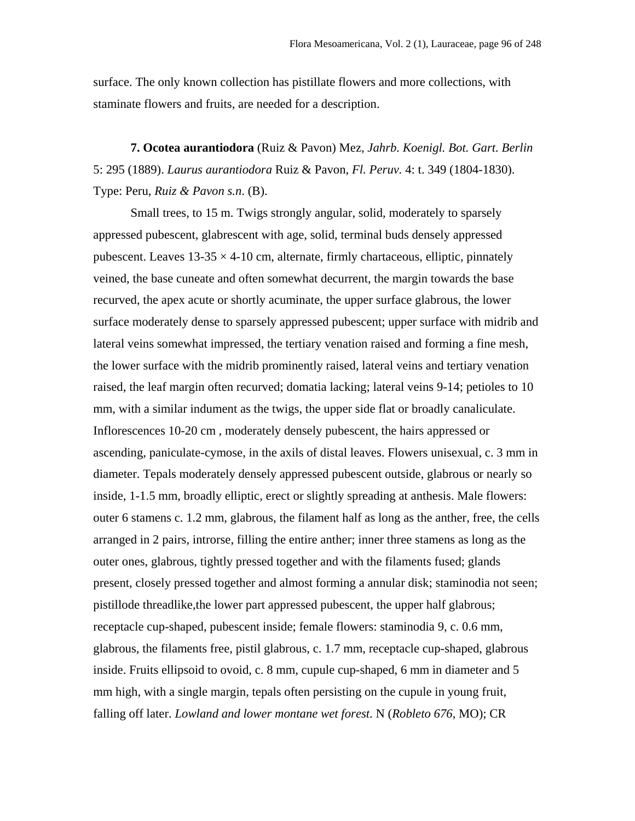surface. The only known collection has pistillate flowers and more collections, with staminate flowers and fruits, are needed for a description.

**7. Ocotea aurantiodora** (Ruiz & Pavon) Mez*, Jahrb. Koenigl. Bot. Gart. Berlin* 5: 295 (1889). *Laurus aurantiodora* Ruiz & Pavon, *Fl. Peruv.* 4: t. 349 (1804-1830). Type: Peru, *Ruiz & Pavon s.n*. (B).

Small trees, to 15 m. Twigs strongly angular, solid, moderately to sparsely appressed pubescent, glabrescent with age, solid, terminal buds densely appressed pubescent. Leaves  $13-35 \times 4-10$  cm, alternate, firmly chartaceous, elliptic, pinnately veined, the base cuneate and often somewhat decurrent, the margin towards the base recurved, the apex acute or shortly acuminate, the upper surface glabrous, the lower surface moderately dense to sparsely appressed pubescent; upper surface with midrib and lateral veins somewhat impressed, the tertiary venation raised and forming a fine mesh, the lower surface with the midrib prominently raised, lateral veins and tertiary venation raised, the leaf margin often recurved; domatia lacking; lateral veins 9-14; petioles to 10 mm, with a similar indument as the twigs, the upper side flat or broadly canaliculate. Inflorescences 10-20 cm , moderately densely pubescent, the hairs appressed or ascending, paniculate-cymose, in the axils of distal leaves. Flowers unisexual, c. 3 mm in diameter. Tepals moderately densely appressed pubescent outside, glabrous or nearly so inside, 1-1.5 mm, broadly elliptic, erect or slightly spreading at anthesis. Male flowers: outer 6 stamens c. 1.2 mm, glabrous, the filament half as long as the anther, free, the cells arranged in 2 pairs, introrse, filling the entire anther; inner three stamens as long as the outer ones, glabrous, tightly pressed together and with the filaments fused; glands present, closely pressed together and almost forming a annular disk; staminodia not seen; pistillode threadlike,the lower part appressed pubescent, the upper half glabrous; receptacle cup-shaped, pubescent inside; female flowers: staminodia 9, c. 0.6 mm, glabrous, the filaments free, pistil glabrous, c. 1.7 mm, receptacle cup-shaped, glabrous inside. Fruits ellipsoid to ovoid, c. 8 mm, cupule cup-shaped, 6 mm in diameter and 5 mm high, with a single margin, tepals often persisting on the cupule in young fruit, falling off later. *Lowland and lower montane wet forest*. N (*Robleto 676*, MO); CR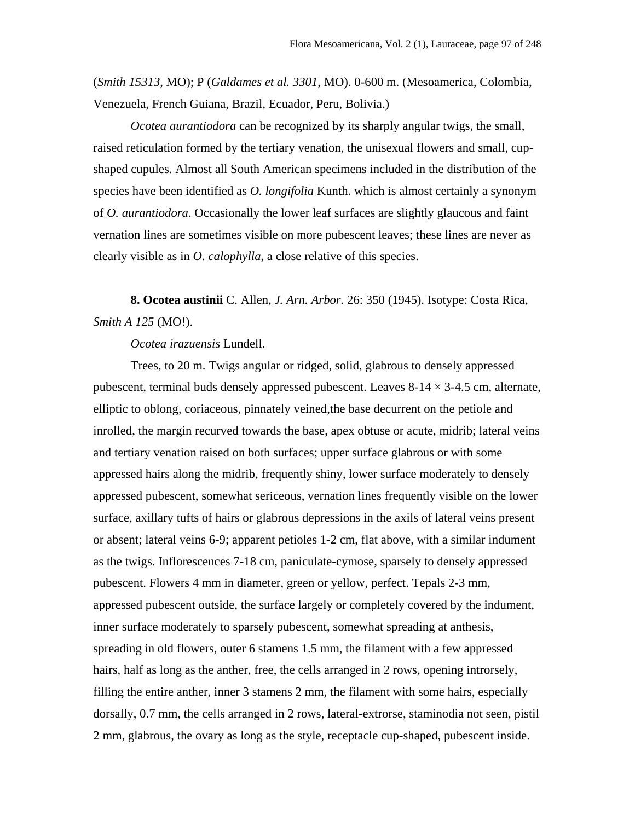(*Smith 15313*, MO); P (*Galdames et al. 3301*, MO). 0-600 m. (Mesoamerica, Colombia, Venezuela, French Guiana, Brazil, Ecuador, Peru, Bolivia.)

*Ocotea aurantiodora* can be recognized by its sharply angular twigs, the small, raised reticulation formed by the tertiary venation, the unisexual flowers and small, cupshaped cupules. Almost all South American specimens included in the distribution of the species have been identified as *O. longifolia* Kunth. which is almost certainly a synonym of *O. aurantiodora*. Occasionally the lower leaf surfaces are slightly glaucous and faint vernation lines are sometimes visible on more pubescent leaves; these lines are never as clearly visible as in *O. calophylla*, a close relative of this species.

**8. Ocotea austinii** C. Allen, *J. Arn. Arbor.* 26: 350 (1945). Isotype: Costa Rica, *Smith A 125* (MO!).

# *Ocotea irazuensis* Lundell.

Trees, to 20 m. Twigs angular or ridged, solid, glabrous to densely appressed pubescent, terminal buds densely appressed pubescent. Leaves  $8-14 \times 3-4.5$  cm, alternate, elliptic to oblong, coriaceous, pinnately veined,the base decurrent on the petiole and inrolled, the margin recurved towards the base, apex obtuse or acute, midrib; lateral veins and tertiary venation raised on both surfaces; upper surface glabrous or with some appressed hairs along the midrib, frequently shiny, lower surface moderately to densely appressed pubescent, somewhat sericeous, vernation lines frequently visible on the lower surface, axillary tufts of hairs or glabrous depressions in the axils of lateral veins present or absent; lateral veins 6-9; apparent petioles 1-2 cm, flat above, with a similar indument as the twigs. Inflorescences 7-18 cm, paniculate-cymose, sparsely to densely appressed pubescent. Flowers 4 mm in diameter, green or yellow, perfect. Tepals 2-3 mm, appressed pubescent outside, the surface largely or completely covered by the indument, inner surface moderately to sparsely pubescent, somewhat spreading at anthesis, spreading in old flowers, outer 6 stamens 1.5 mm, the filament with a few appressed hairs, half as long as the anther, free, the cells arranged in 2 rows, opening introrsely, filling the entire anther, inner 3 stamens 2 mm, the filament with some hairs, especially dorsally, 0.7 mm, the cells arranged in 2 rows, lateral-extrorse, staminodia not seen, pistil 2 mm, glabrous, the ovary as long as the style, receptacle cup-shaped, pubescent inside.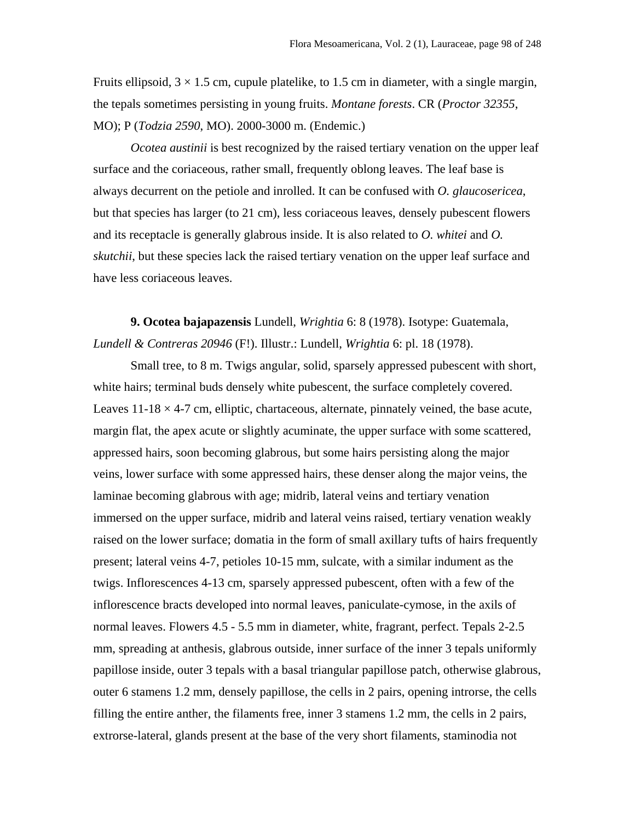Fruits ellipsoid,  $3 \times 1.5$  cm, cupule platelike, to 1.5 cm in diameter, with a single margin, the tepals sometimes persisting in young fruits. *Montane forests*. CR (*Proctor 32355*, MO); P (*Todzia 2590*, MO). 2000-3000 m. (Endemic.)

*Ocotea austinii* is best recognized by the raised tertiary venation on the upper leaf surface and the coriaceous, rather small, frequently oblong leaves. The leaf base is always decurrent on the petiole and inrolled. It can be confused with *O. glaucosericea*, but that species has larger (to 21 cm), less coriaceous leaves, densely pubescent flowers and its receptacle is generally glabrous inside. It is also related to *O. whitei* and *O. skutchii*, but these species lack the raised tertiary venation on the upper leaf surface and have less coriaceous leaves.

**9. Ocotea bajapazensis** Lundell, *Wrightia* 6: 8 (1978). Isotype: Guatemala, *Lundell & Contreras 20946* (F!). Illustr.: Lundell, *Wrightia* 6: pl. 18 (1978).

Small tree, to 8 m. Twigs angular, solid, sparsely appressed pubescent with short, white hairs; terminal buds densely white pubescent, the surface completely covered. Leaves  $11-18 \times 4-7$  cm, elliptic, chartaceous, alternate, pinnately veined, the base acute, margin flat, the apex acute or slightly acuminate, the upper surface with some scattered, appressed hairs, soon becoming glabrous, but some hairs persisting along the major veins, lower surface with some appressed hairs, these denser along the major veins, the laminae becoming glabrous with age; midrib, lateral veins and tertiary venation immersed on the upper surface, midrib and lateral veins raised, tertiary venation weakly raised on the lower surface; domatia in the form of small axillary tufts of hairs frequently present; lateral veins 4-7, petioles 10-15 mm, sulcate, with a similar indument as the twigs. Inflorescences 4-13 cm, sparsely appressed pubescent, often with a few of the inflorescence bracts developed into normal leaves, paniculate-cymose, in the axils of normal leaves. Flowers 4.5 - 5.5 mm in diameter, white, fragrant, perfect. Tepals 2-2.5 mm, spreading at anthesis, glabrous outside, inner surface of the inner 3 tepals uniformly papillose inside, outer 3 tepals with a basal triangular papillose patch, otherwise glabrous, outer 6 stamens 1.2 mm, densely papillose, the cells in 2 pairs, opening introrse, the cells filling the entire anther, the filaments free, inner 3 stamens 1.2 mm, the cells in 2 pairs, extrorse-lateral, glands present at the base of the very short filaments, staminodia not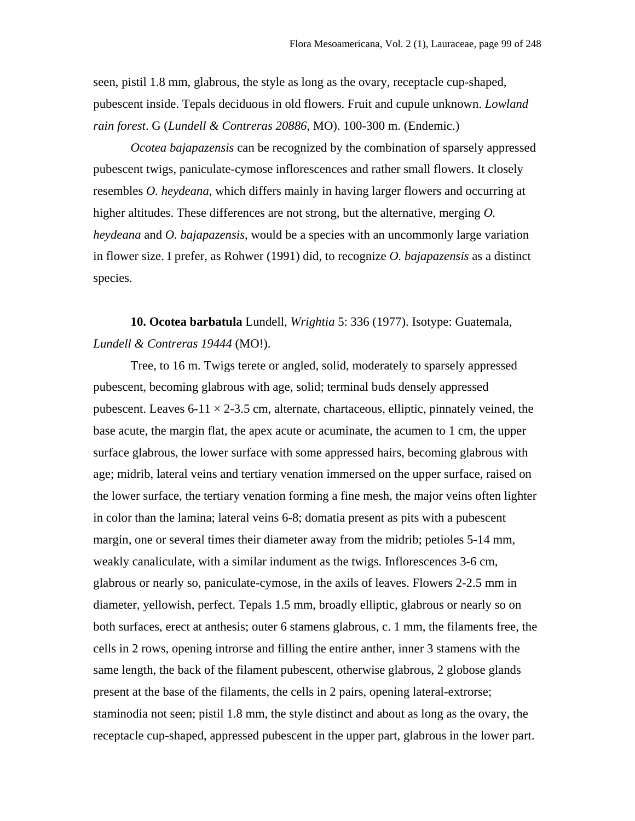seen, pistil 1.8 mm, glabrous, the style as long as the ovary, receptacle cup-shaped, pubescent inside. Tepals deciduous in old flowers. Fruit and cupule unknown. *Lowland rain forest*. G (*Lundell & Contreras 20886*, MO). 100-300 m. (Endemic.)

*Ocotea bajapazensis* can be recognized by the combination of sparsely appressed pubescent twigs, paniculate-cymose inflorescences and rather small flowers. It closely resembles *O. heydeana*, which differs mainly in having larger flowers and occurring at higher altitudes. These differences are not strong, but the alternative, merging *O. heydeana* and *O. bajapazensis*, would be a species with an uncommonly large variation in flower size. I prefer, as Rohwer (1991) did, to recognize *O. bajapazensis* as a distinct species.

**10. Ocotea barbatula** Lundell, *Wrightia* 5: 336 (1977). Isotype: Guatemala, *Lundell & Contreras 19444* (MO!).

Tree, to 16 m. Twigs terete or angled, solid, moderately to sparsely appressed pubescent, becoming glabrous with age, solid; terminal buds densely appressed pubescent. Leaves  $6-11 \times 2-3.5$  cm, alternate, chartaceous, elliptic, pinnately veined, the base acute, the margin flat, the apex acute or acuminate, the acumen to 1 cm, the upper surface glabrous, the lower surface with some appressed hairs, becoming glabrous with age; midrib, lateral veins and tertiary venation immersed on the upper surface, raised on the lower surface, the tertiary venation forming a fine mesh, the major veins often lighter in color than the lamina; lateral veins 6-8; domatia present as pits with a pubescent margin, one or several times their diameter away from the midrib; petioles 5-14 mm, weakly canaliculate, with a similar indument as the twigs. Inflorescences 3-6 cm, glabrous or nearly so, paniculate-cymose, in the axils of leaves. Flowers 2-2.5 mm in diameter, yellowish, perfect. Tepals 1.5 mm, broadly elliptic, glabrous or nearly so on both surfaces, erect at anthesis; outer 6 stamens glabrous, c. 1 mm, the filaments free, the cells in 2 rows, opening introrse and filling the entire anther, inner 3 stamens with the same length, the back of the filament pubescent, otherwise glabrous, 2 globose glands present at the base of the filaments, the cells in 2 pairs, opening lateral-extrorse; staminodia not seen; pistil 1.8 mm, the style distinct and about as long as the ovary, the receptacle cup-shaped, appressed pubescent in the upper part, glabrous in the lower part.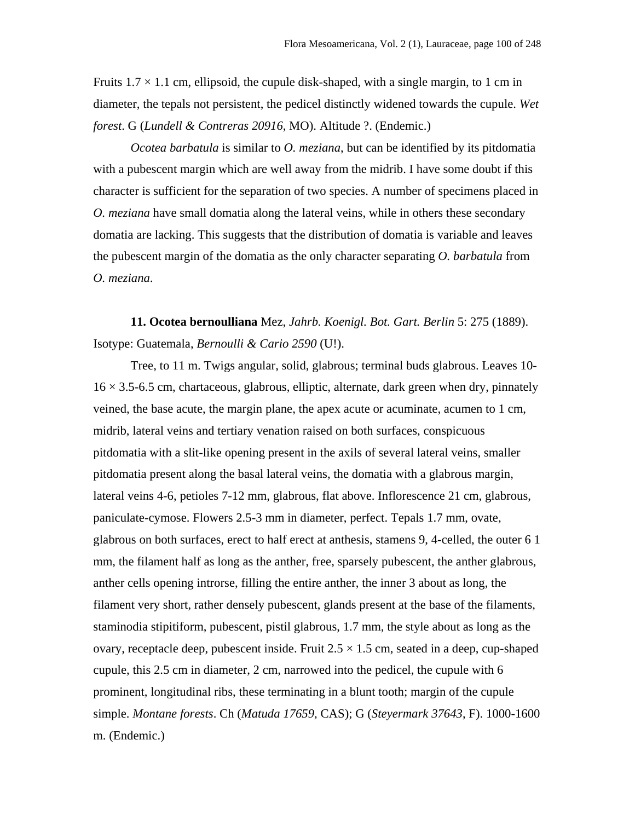Fruits  $1.7 \times 1.1$  cm, ellipsoid, the cupule disk-shaped, with a single margin, to 1 cm in diameter, the tepals not persistent, the pedicel distinctly widened towards the cupule. *Wet forest*. G (*Lundell & Contreras 20916*, MO). Altitude ?. (Endemic.)

*Ocotea barbatula* is similar to *O. meziana*, but can be identified by its pitdomatia with a pubescent margin which are well away from the midrib. I have some doubt if this character is sufficient for the separation of two species. A number of specimens placed in *O. meziana* have small domatia along the lateral veins, while in others these secondary domatia are lacking. This suggests that the distribution of domatia is variable and leaves the pubescent margin of the domatia as the only character separating *O. barbatula* from *O. meziana*.

**11. Ocotea bernoulliana** Mez, *Jahrb. Koenigl. Bot. Gart. Berlin* 5: 275 (1889). Isotype: Guatemala, *Bernoulli & Cario 2590* (U!).

Tree, to 11 m. Twigs angular, solid, glabrous; terminal buds glabrous. Leaves 10-  $16 \times 3.5$ -6.5 cm, chartaceous, glabrous, elliptic, alternate, dark green when dry, pinnately veined, the base acute, the margin plane, the apex acute or acuminate, acumen to 1 cm, midrib, lateral veins and tertiary venation raised on both surfaces, conspicuous pitdomatia with a slit-like opening present in the axils of several lateral veins, smaller pitdomatia present along the basal lateral veins, the domatia with a glabrous margin, lateral veins 4-6, petioles 7-12 mm, glabrous, flat above. Inflorescence 21 cm, glabrous, paniculate-cymose. Flowers 2.5-3 mm in diameter, perfect. Tepals 1.7 mm, ovate, glabrous on both surfaces, erect to half erect at anthesis, stamens 9, 4-celled, the outer 6 1 mm, the filament half as long as the anther, free, sparsely pubescent, the anther glabrous, anther cells opening introrse, filling the entire anther, the inner 3 about as long, the filament very short, rather densely pubescent, glands present at the base of the filaments, staminodia stipitiform, pubescent, pistil glabrous, 1.7 mm, the style about as long as the ovary, receptacle deep, pubescent inside. Fruit  $2.5 \times 1.5$  cm, seated in a deep, cup-shaped cupule, this 2.5 cm in diameter, 2 cm, narrowed into the pedicel, the cupule with 6 prominent, longitudinal ribs, these terminating in a blunt tooth; margin of the cupule simple. *Montane forests*. Ch (*Matuda 17659*, CAS); G (*Steyermark 37643*, F). 1000-1600 m. (Endemic.)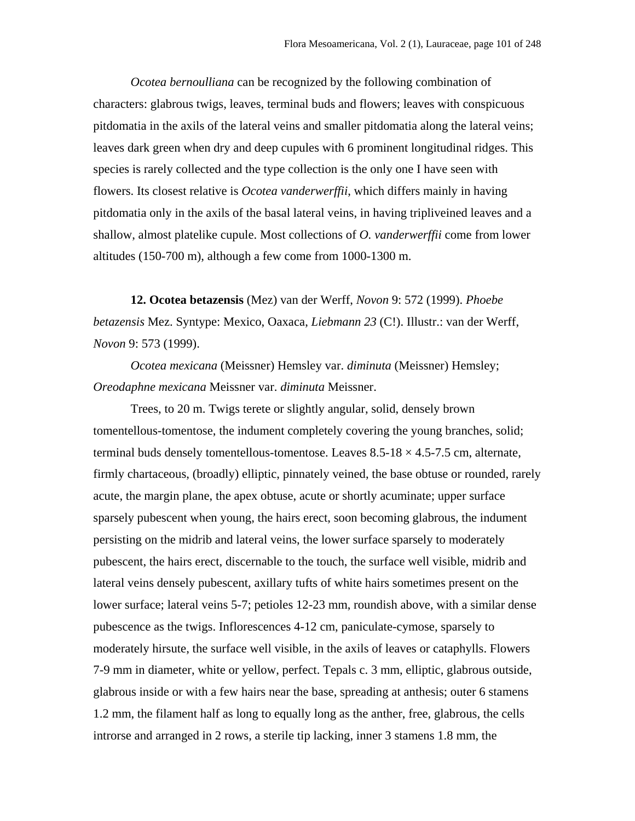*Ocotea bernoulliana* can be recognized by the following combination of characters: glabrous twigs, leaves, terminal buds and flowers; leaves with conspicuous pitdomatia in the axils of the lateral veins and smaller pitdomatia along the lateral veins; leaves dark green when dry and deep cupules with 6 prominent longitudinal ridges. This species is rarely collected and the type collection is the only one I have seen with flowers. Its closest relative is *Ocotea vanderwerffii*, which differs mainly in having pitdomatia only in the axils of the basal lateral veins, in having tripliveined leaves and a shallow, almost platelike cupule. Most collections of *O. vanderwerffii* come from lower altitudes (150-700 m), although a few come from 1000-1300 m.

**12. Ocotea betazensis** (Mez) van der Werff, *Novon* 9: 572 (1999). *Phoebe betazensis* Mez. Syntype: Mexico, Oaxaca, *Liebmann 23* (C!). Illustr.: van der Werff, *Novon* 9: 573 (1999).

*Ocotea mexicana* (Meissner) Hemsley var. *diminuta* (Meissner) Hemsley; *Oreodaphne mexicana* Meissner var. *diminuta* Meissner.

Trees, to 20 m. Twigs terete or slightly angular, solid, densely brown tomentellous-tomentose, the indument completely covering the young branches, solid; terminal buds densely tomentellous-tomentose. Leaves  $8.5$ -18  $\times$  4.5-7.5 cm, alternate, firmly chartaceous, (broadly) elliptic, pinnately veined, the base obtuse or rounded, rarely acute, the margin plane, the apex obtuse, acute or shortly acuminate; upper surface sparsely pubescent when young, the hairs erect, soon becoming glabrous, the indument persisting on the midrib and lateral veins, the lower surface sparsely to moderately pubescent, the hairs erect, discernable to the touch, the surface well visible, midrib and lateral veins densely pubescent, axillary tufts of white hairs sometimes present on the lower surface; lateral veins 5-7; petioles 12-23 mm, roundish above, with a similar dense pubescence as the twigs. Inflorescences 4-12 cm, paniculate-cymose, sparsely to moderately hirsute, the surface well visible, in the axils of leaves or cataphylls. Flowers 7-9 mm in diameter, white or yellow, perfect. Tepals c. 3 mm, elliptic, glabrous outside, glabrous inside or with a few hairs near the base, spreading at anthesis; outer 6 stamens 1.2 mm, the filament half as long to equally long as the anther, free, glabrous, the cells introrse and arranged in 2 rows, a sterile tip lacking, inner 3 stamens 1.8 mm, the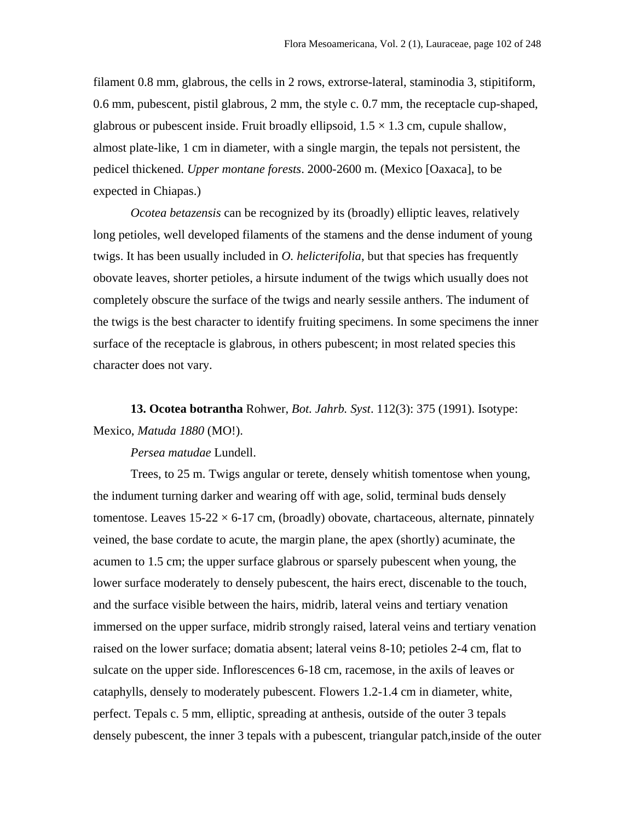filament 0.8 mm, glabrous, the cells in 2 rows, extrorse-lateral, staminodia 3, stipitiform, 0.6 mm, pubescent, pistil glabrous, 2 mm, the style c. 0.7 mm, the receptacle cup-shaped, glabrous or pubescent inside. Fruit broadly ellipsoid,  $1.5 \times 1.3$  cm, cupule shallow, almost plate-like, 1 cm in diameter, with a single margin, the tepals not persistent, the pedicel thickened. *Upper montane forests*. 2000-2600 m. (Mexico [Oaxaca], to be expected in Chiapas.)

*Ocotea betazensis* can be recognized by its (broadly) elliptic leaves, relatively long petioles, well developed filaments of the stamens and the dense indument of young twigs. It has been usually included in *O. helicterifolia*, but that species has frequently obovate leaves, shorter petioles, a hirsute indument of the twigs which usually does not completely obscure the surface of the twigs and nearly sessile anthers. The indument of the twigs is the best character to identify fruiting specimens. In some specimens the inner surface of the receptacle is glabrous, in others pubescent; in most related species this character does not vary.

**13. Ocotea botrantha** Rohwer, *Bot. Jahrb. Syst*. 112(3): 375 (1991). Isotype: Mexico, *Matuda 1880* (MO!).

*Persea matudae* Lundell.

Trees, to 25 m. Twigs angular or terete, densely whitish tomentose when young, the indument turning darker and wearing off with age, solid, terminal buds densely tomentose. Leaves  $15-22 \times 6-17$  cm, (broadly) obovate, chartaceous, alternate, pinnately veined, the base cordate to acute, the margin plane, the apex (shortly) acuminate, the acumen to 1.5 cm; the upper surface glabrous or sparsely pubescent when young, the lower surface moderately to densely pubescent, the hairs erect, discenable to the touch, and the surface visible between the hairs, midrib, lateral veins and tertiary venation immersed on the upper surface, midrib strongly raised, lateral veins and tertiary venation raised on the lower surface; domatia absent; lateral veins 8-10; petioles 2-4 cm, flat to sulcate on the upper side. Inflorescences 6-18 cm, racemose, in the axils of leaves or cataphylls, densely to moderately pubescent. Flowers 1.2-1.4 cm in diameter, white, perfect. Tepals c. 5 mm, elliptic, spreading at anthesis, outside of the outer 3 tepals densely pubescent, the inner 3 tepals with a pubescent, triangular patch,inside of the outer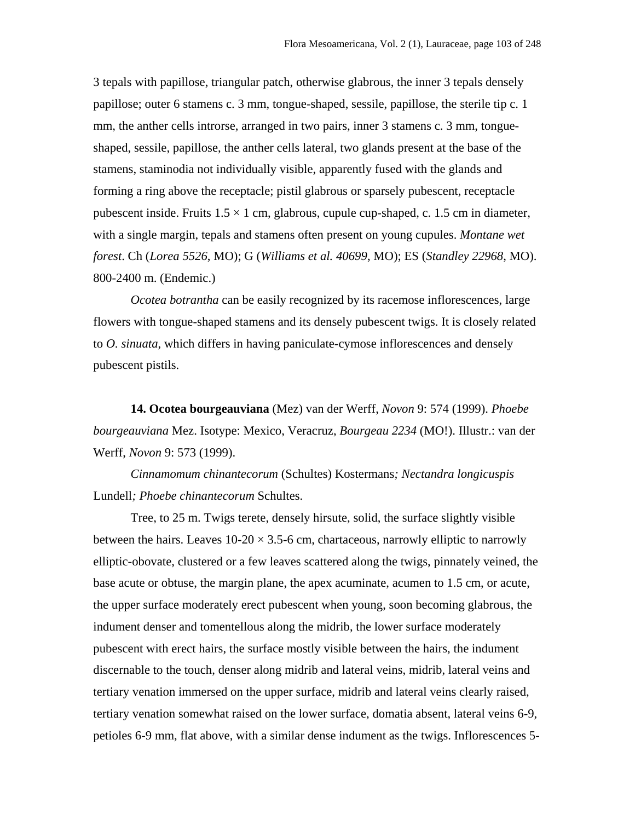3 tepals with papillose, triangular patch, otherwise glabrous, the inner 3 tepals densely papillose; outer 6 stamens c. 3 mm, tongue-shaped, sessile, papillose, the sterile tip c. 1 mm, the anther cells introrse, arranged in two pairs, inner 3 stamens c. 3 mm, tongueshaped, sessile, papillose, the anther cells lateral, two glands present at the base of the stamens, staminodia not individually visible, apparently fused with the glands and forming a ring above the receptacle; pistil glabrous or sparsely pubescent, receptacle pubescent inside. Fruits  $1.5 \times 1$  cm, glabrous, cupule cup-shaped, c. 1.5 cm in diameter, with a single margin, tepals and stamens often present on young cupules. *Montane wet forest*. Ch (*Lorea 5526*, MO); G (*Williams et al. 40699*, MO); ES (*Standley 22968*, MO). 800-2400 m. (Endemic.)

*Ocotea botrantha* can be easily recognized by its racemose inflorescences, large flowers with tongue-shaped stamens and its densely pubescent twigs. It is closely related to *O. sinuata*, which differs in having paniculate-cymose inflorescences and densely pubescent pistils.

**14. Ocotea bourgeauviana** (Mez) van der Werff, *Novon* 9: 574 (1999). *Phoebe bourgeauviana* Mez. Isotype: Mexico, Veracruz, *Bourgeau 2234* (MO!). Illustr.: van der Werff, *Novon* 9: 573 (1999).

*Cinnamomum chinantecorum* (Schultes) Kostermans*; Nectandra longicuspis* Lundell*; Phoebe chinantecorum* Schultes.

Tree, to 25 m. Twigs terete, densely hirsute, solid, the surface slightly visible between the hairs. Leaves  $10{\text -}20 \times 3.5{\text -}6$  cm, chartaceous, narrowly elliptic to narrowly elliptic-obovate, clustered or a few leaves scattered along the twigs, pinnately veined, the base acute or obtuse, the margin plane, the apex acuminate, acumen to 1.5 cm, or acute, the upper surface moderately erect pubescent when young, soon becoming glabrous, the indument denser and tomentellous along the midrib, the lower surface moderately pubescent with erect hairs, the surface mostly visible between the hairs, the indument discernable to the touch, denser along midrib and lateral veins, midrib, lateral veins and tertiary venation immersed on the upper surface, midrib and lateral veins clearly raised, tertiary venation somewhat raised on the lower surface, domatia absent, lateral veins 6-9, petioles 6-9 mm, flat above, with a similar dense indument as the twigs. Inflorescences 5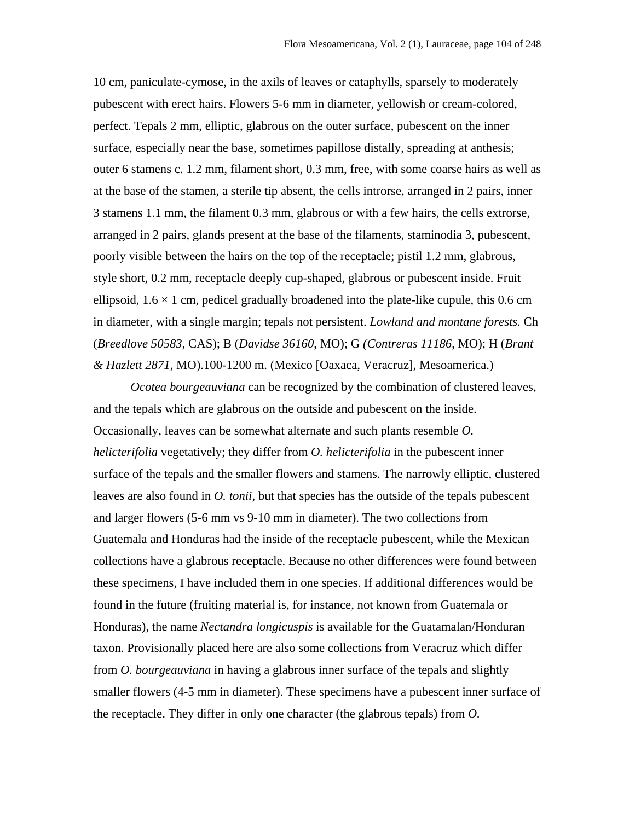10 cm, paniculate-cymose, in the axils of leaves or cataphylls, sparsely to moderately pubescent with erect hairs. Flowers 5-6 mm in diameter, yellowish or cream-colored, perfect. Tepals 2 mm, elliptic, glabrous on the outer surface, pubescent on the inner surface, especially near the base, sometimes papillose distally, spreading at anthesis; outer 6 stamens c. 1.2 mm, filament short, 0.3 mm, free, with some coarse hairs as well as at the base of the stamen, a sterile tip absent, the cells introrse, arranged in 2 pairs, inner 3 stamens 1.1 mm, the filament 0.3 mm, glabrous or with a few hairs, the cells extrorse, arranged in 2 pairs, glands present at the base of the filaments, staminodia 3, pubescent, poorly visible between the hairs on the top of the receptacle; pistil 1.2 mm, glabrous, style short, 0.2 mm, receptacle deeply cup-shaped, glabrous or pubescent inside. Fruit ellipsoid,  $1.6 \times 1$  cm, pedicel gradually broadened into the plate-like cupule, this 0.6 cm in diameter, with a single margin; tepals not persistent. *Lowland and montane forests.* Ch (*Breedlove 50583*, CAS); B (*Davidse 36160*, MO); G *(Contreras 11186*, MO); H (*Brant & Hazlett 2871*, MO).100-1200 m. (Mexico [Oaxaca, Veracruz], Mesoamerica.)

*Ocotea bourgeauviana* can be recognized by the combination of clustered leaves, and the tepals which are glabrous on the outside and pubescent on the inside. Occasionally, leaves can be somewhat alternate and such plants resemble *O. helicterifolia* vegetatively; they differ from *O. helicterifolia* in the pubescent inner surface of the tepals and the smaller flowers and stamens. The narrowly elliptic, clustered leaves are also found in *O. tonii*, but that species has the outside of the tepals pubescent and larger flowers (5-6 mm vs 9-10 mm in diameter). The two collections from Guatemala and Honduras had the inside of the receptacle pubescent, while the Mexican collections have a glabrous receptacle. Because no other differences were found between these specimens, I have included them in one species. If additional differences would be found in the future (fruiting material is, for instance, not known from Guatemala or Honduras), the name *Nectandra longicuspis* is available for the Guatamalan/Honduran taxon. Provisionally placed here are also some collections from Veracruz which differ from *O. bourgeauviana* in having a glabrous inner surface of the tepals and slightly smaller flowers (4-5 mm in diameter). These specimens have a pubescent inner surface of the receptacle. They differ in only one character (the glabrous tepals) from *O.*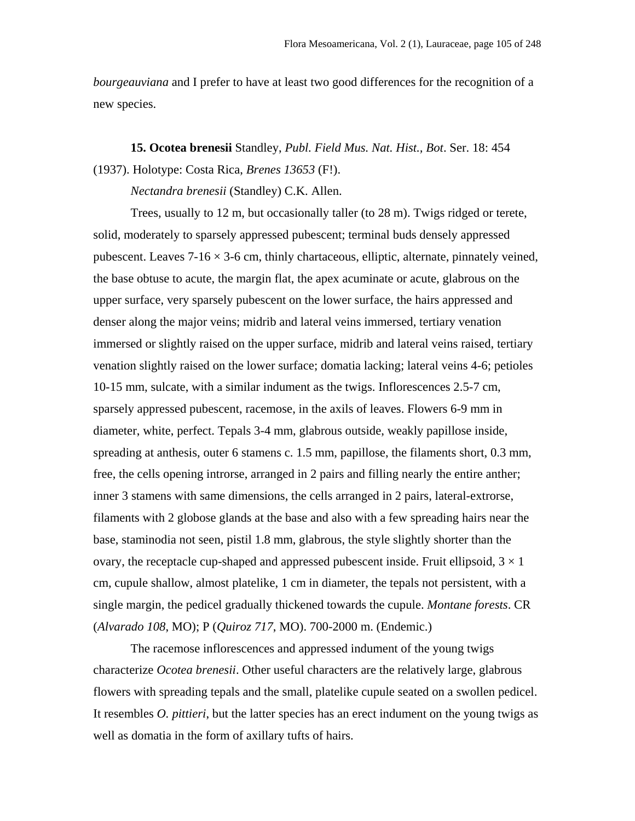*bourgeauviana* and I prefer to have at least two good differences for the recognition of a new species.

**15. Ocotea brenesii** Standley, *Publ. Field Mus. Nat. Hist., Bot*. Ser. 18: 454 (1937). Holotype: Costa Rica, *Brenes 13653* (F!).

*Nectandra brenesii* (Standley) C.K. Allen.

Trees, usually to 12 m, but occasionally taller (to 28 m). Twigs ridged or terete, solid, moderately to sparsely appressed pubescent; terminal buds densely appressed pubescent. Leaves  $7-16 \times 3-6$  cm, thinly chartaceous, elliptic, alternate, pinnately veined, the base obtuse to acute, the margin flat, the apex acuminate or acute, glabrous on the upper surface, very sparsely pubescent on the lower surface, the hairs appressed and denser along the major veins; midrib and lateral veins immersed, tertiary venation immersed or slightly raised on the upper surface, midrib and lateral veins raised, tertiary venation slightly raised on the lower surface; domatia lacking; lateral veins 4-6; petioles 10-15 mm, sulcate, with a similar indument as the twigs. Inflorescences 2.5-7 cm, sparsely appressed pubescent, racemose, in the axils of leaves. Flowers 6-9 mm in diameter, white, perfect. Tepals 3-4 mm, glabrous outside, weakly papillose inside, spreading at anthesis, outer 6 stamens c. 1.5 mm, papillose, the filaments short, 0.3 mm, free, the cells opening introrse, arranged in 2 pairs and filling nearly the entire anther; inner 3 stamens with same dimensions, the cells arranged in 2 pairs, lateral-extrorse, filaments with 2 globose glands at the base and also with a few spreading hairs near the base, staminodia not seen, pistil 1.8 mm, glabrous, the style slightly shorter than the ovary, the receptacle cup-shaped and appressed pubescent inside. Fruit ellipsoid,  $3 \times 1$ cm, cupule shallow, almost platelike, 1 cm in diameter, the tepals not persistent, with a single margin, the pedicel gradually thickened towards the cupule. *Montane forests*. CR (*Alvarado 108*, MO); P (*Quiroz 717*, MO). 700-2000 m. (Endemic.)

The racemose inflorescences and appressed indument of the young twigs characterize *Ocotea brenesii*. Other useful characters are the relatively large, glabrous flowers with spreading tepals and the small, platelike cupule seated on a swollen pedicel. It resembles *O. pittieri*, but the latter species has an erect indument on the young twigs as well as domatia in the form of axillary tufts of hairs.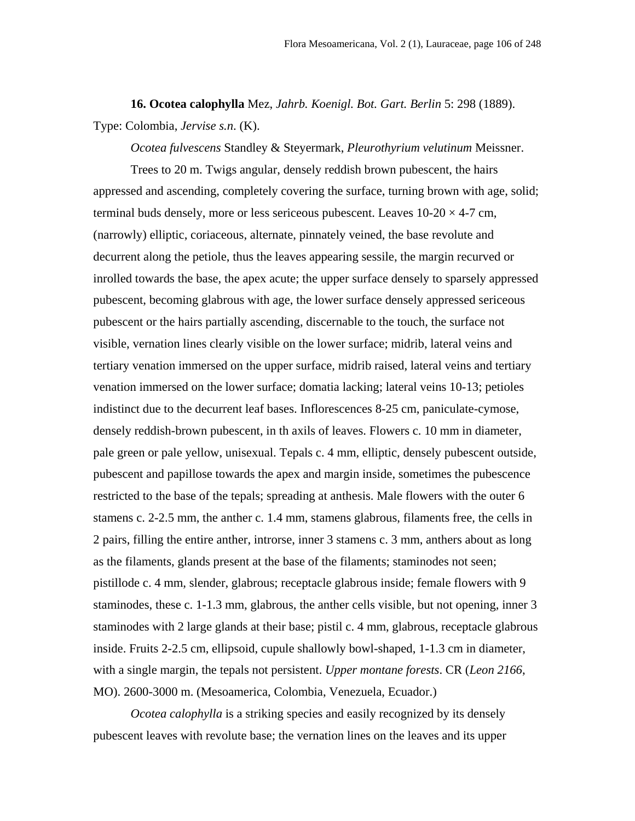**16. Ocotea calophylla** Mez, *Jahrb. Koenigl. Bot. Gart. Berlin* 5: 298 (1889). Type: Colombia, *Jervise s.n*. (K).

*Ocotea fulvescens* Standley & Steyermark, *Pleurothyrium velutinum* Meissner.

Trees to 20 m. Twigs angular, densely reddish brown pubescent, the hairs appressed and ascending, completely covering the surface, turning brown with age, solid; terminal buds densely, more or less sericeous pubescent. Leaves  $10{\text -}20 \times 4{\text -}7$  cm, (narrowly) elliptic, coriaceous, alternate, pinnately veined, the base revolute and decurrent along the petiole, thus the leaves appearing sessile, the margin recurved or inrolled towards the base, the apex acute; the upper surface densely to sparsely appressed pubescent, becoming glabrous with age, the lower surface densely appressed sericeous pubescent or the hairs partially ascending, discernable to the touch, the surface not visible, vernation lines clearly visible on the lower surface; midrib, lateral veins and tertiary venation immersed on the upper surface, midrib raised, lateral veins and tertiary venation immersed on the lower surface; domatia lacking; lateral veins 10-13; petioles indistinct due to the decurrent leaf bases. Inflorescences 8-25 cm, paniculate-cymose, densely reddish-brown pubescent, in th axils of leaves. Flowers c. 10 mm in diameter, pale green or pale yellow, unisexual. Tepals c. 4 mm, elliptic, densely pubescent outside, pubescent and papillose towards the apex and margin inside, sometimes the pubescence restricted to the base of the tepals; spreading at anthesis. Male flowers with the outer 6 stamens c. 2-2.5 mm, the anther c. 1.4 mm, stamens glabrous, filaments free, the cells in 2 pairs, filling the entire anther, introrse, inner 3 stamens c. 3 mm, anthers about as long as the filaments, glands present at the base of the filaments; staminodes not seen; pistillode c. 4 mm, slender, glabrous; receptacle glabrous inside; female flowers with 9 staminodes, these c. 1-1.3 mm, glabrous, the anther cells visible, but not opening, inner 3 staminodes with 2 large glands at their base; pistil c. 4 mm, glabrous, receptacle glabrous inside. Fruits 2-2.5 cm, ellipsoid, cupule shallowly bowl-shaped, 1-1.3 cm in diameter, with a single margin, the tepals not persistent. *Upper montane forests*. CR (*Leon 2166*, MO). 2600-3000 m. (Mesoamerica, Colombia, Venezuela, Ecuador.)

*Ocotea calophylla* is a striking species and easily recognized by its densely pubescent leaves with revolute base; the vernation lines on the leaves and its upper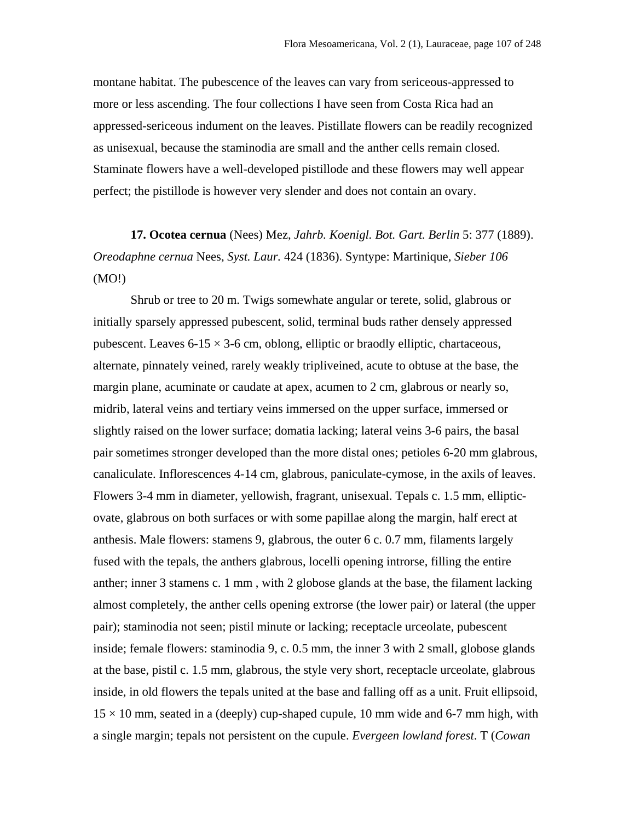montane habitat. The pubescence of the leaves can vary from sericeous-appressed to more or less ascending. The four collections I have seen from Costa Rica had an appressed-sericeous indument on the leaves. Pistillate flowers can be readily recognized as unisexual, because the staminodia are small and the anther cells remain closed. Staminate flowers have a well-developed pistillode and these flowers may well appear perfect; the pistillode is however very slender and does not contain an ovary.

**17. Ocotea cernua** (Nees) Mez, *Jahrb. Koenigl. Bot. Gart. Berlin* 5: 377 (1889). *Oreodaphne cernua* Nees, *Syst. Laur.* 424 (1836). Syntype: Martinique, *Sieber 106* (MO!)

Shrub or tree to 20 m. Twigs somewhate angular or terete, solid, glabrous or initially sparsely appressed pubescent, solid, terminal buds rather densely appressed pubescent. Leaves  $6-15 \times 3-6$  cm, oblong, elliptic or braodly elliptic, chartaceous, alternate, pinnately veined, rarely weakly tripliveined, acute to obtuse at the base, the margin plane, acuminate or caudate at apex, acumen to 2 cm, glabrous or nearly so, midrib, lateral veins and tertiary veins immersed on the upper surface, immersed or slightly raised on the lower surface; domatia lacking; lateral veins 3-6 pairs, the basal pair sometimes stronger developed than the more distal ones; petioles 6-20 mm glabrous, canaliculate. Inflorescences 4-14 cm, glabrous, paniculate-cymose, in the axils of leaves. Flowers 3-4 mm in diameter, yellowish, fragrant, unisexual. Tepals c. 1.5 mm, ellipticovate, glabrous on both surfaces or with some papillae along the margin, half erect at anthesis. Male flowers: stamens 9, glabrous, the outer 6 c. 0.7 mm, filaments largely fused with the tepals, the anthers glabrous, locelli opening introrse, filling the entire anther; inner 3 stamens c. 1 mm , with 2 globose glands at the base, the filament lacking almost completely, the anther cells opening extrorse (the lower pair) or lateral (the upper pair); staminodia not seen; pistil minute or lacking; receptacle urceolate, pubescent inside; female flowers: staminodia 9, c. 0.5 mm, the inner 3 with 2 small, globose glands at the base, pistil c. 1.5 mm, glabrous, the style very short, receptacle urceolate, glabrous inside, in old flowers the tepals united at the base and falling off as a unit. Fruit ellipsoid,  $15 \times 10$  mm, seated in a (deeply) cup-shaped cupule, 10 mm wide and 6-7 mm high, with a single margin; tepals not persistent on the cupule. *Evergeen lowland forest*. T (*Cowan*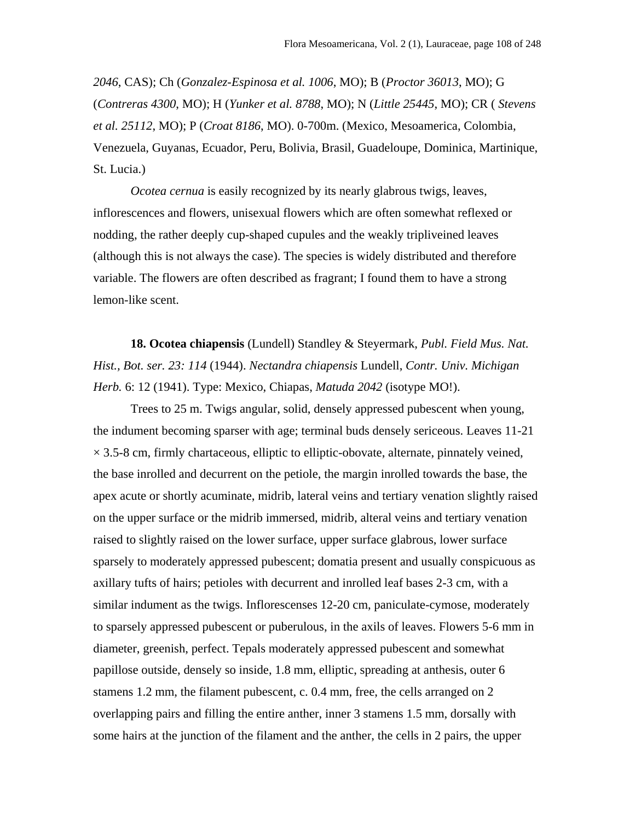*2046*, CAS); Ch (*Gonzalez-Espinosa et al. 1006*, MO); B (*Proctor 36013*, MO); G (*Contreras 4300*, MO); H (*Yunker et al. 8788*, MO); N (*Little 25445*, MO); CR ( *Stevens et al. 25112*, MO); P (*Croat 8186*, MO). 0-700m. (Mexico, Mesoamerica, Colombia, Venezuela, Guyanas, Ecuador, Peru, Bolivia, Brasil, Guadeloupe, Dominica, Martinique, St. Lucia.)

*Ocotea cernua* is easily recognized by its nearly glabrous twigs, leaves, inflorescences and flowers, unisexual flowers which are often somewhat reflexed or nodding, the rather deeply cup-shaped cupules and the weakly tripliveined leaves (although this is not always the case). The species is widely distributed and therefore variable. The flowers are often described as fragrant; I found them to have a strong lemon-like scent.

**18. Ocotea chiapensis** (Lundell) Standley & Steyermark, *Publ. Field Mus. Nat. Hist., Bot. ser. 23: 114* (1944). *Nectandra chiapensis* Lundell, *Contr. Univ. Michigan Herb.* 6: 12 (1941). Type: Mexico, Chiapas, *Matuda 2042* (isotype MO!).

Trees to 25 m. Twigs angular, solid, densely appressed pubescent when young, the indument becoming sparser with age; terminal buds densely sericeous. Leaves 11-21  $\times$  3.5-8 cm, firmly chartaceous, elliptic to elliptic-obovate, alternate, pinnately veined, the base inrolled and decurrent on the petiole, the margin inrolled towards the base, the apex acute or shortly acuminate, midrib, lateral veins and tertiary venation slightly raised on the upper surface or the midrib immersed, midrib, alteral veins and tertiary venation raised to slightly raised on the lower surface, upper surface glabrous, lower surface sparsely to moderately appressed pubescent; domatia present and usually conspicuous as axillary tufts of hairs; petioles with decurrent and inrolled leaf bases 2-3 cm, with a similar indument as the twigs. Inflorescenses 12-20 cm, paniculate-cymose, moderately to sparsely appressed pubescent or puberulous, in the axils of leaves. Flowers 5-6 mm in diameter, greenish, perfect. Tepals moderately appressed pubescent and somewhat papillose outside, densely so inside, 1.8 mm, elliptic, spreading at anthesis, outer 6 stamens 1.2 mm, the filament pubescent, c. 0.4 mm, free, the cells arranged on 2 overlapping pairs and filling the entire anther, inner 3 stamens 1.5 mm, dorsally with some hairs at the junction of the filament and the anther, the cells in 2 pairs, the upper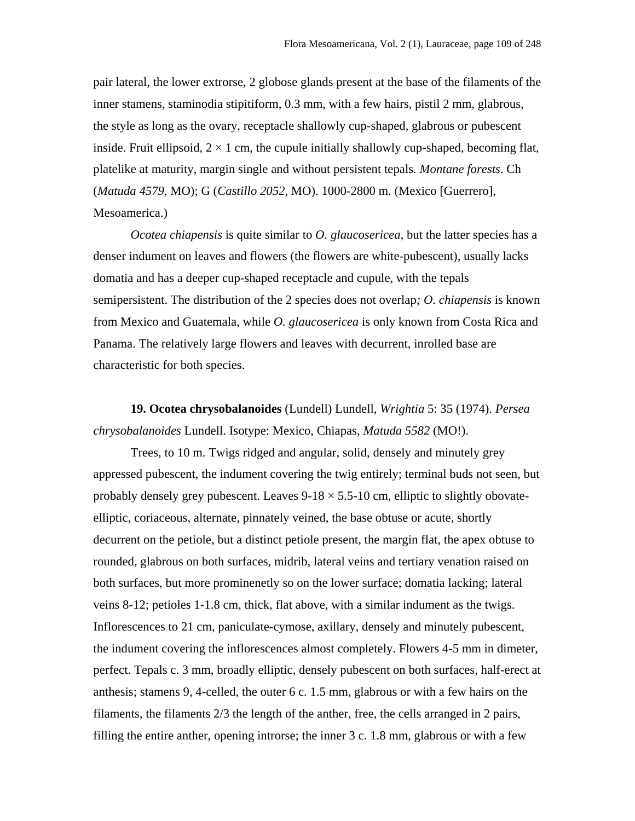pair lateral, the lower extrorse, 2 globose glands present at the base of the filaments of the inner stamens, staminodia stipitiform, 0.3 mm, with a few hairs, pistil 2 mm, glabrous, the style as long as the ovary, receptacle shallowly cup-shaped, glabrous or pubescent inside. Fruit ellipsoid,  $2 \times 1$  cm, the cupule initially shallowly cup-shaped, becoming flat, platelike at maturity, margin single and without persistent tepals*. Montane forests*. Ch (*Matuda 4579*, MO); G (*Castillo 2052*, MO). 1000-2800 m. (Mexico [Guerrero], Mesoamerica.)

*Ocotea chiapensis* is quite similar to *O. glaucosericea*, but the latter species has a denser indument on leaves and flowers (the flowers are white-pubescent), usually lacks domatia and has a deeper cup-shaped receptacle and cupule, with the tepals semipersistent. The distribution of the 2 species does not overlap*; O. chiapensis* is known from Mexico and Guatemala, while *O. glaucosericea* is only known from Costa Rica and Panama. The relatively large flowers and leaves with decurrent, inrolled base are characteristic for both species.

**19. Ocotea chrysobalanoides** (Lundell) Lundell, *Wrightia* 5: 35 (1974). *Persea chrysobalanoides* Lundell. Isotype: Mexico, Chiapas, *Matuda 5582* (MO!).

Trees, to 10 m. Twigs ridged and angular, solid, densely and minutely grey appressed pubescent, the indument covering the twig entirely; terminal buds not seen, but probably densely grey pubescent. Leaves  $9-18 \times 5.5-10$  cm, elliptic to slightly obovateelliptic, coriaceous, alternate, pinnately veined, the base obtuse or acute, shortly decurrent on the petiole, but a distinct petiole present, the margin flat, the apex obtuse to rounded, glabrous on both surfaces, midrib, lateral veins and tertiary venation raised on both surfaces, but more prominenetly so on the lower surface; domatia lacking; lateral veins 8-12; petioles 1-1.8 cm, thick, flat above, with a similar indument as the twigs. Inflorescences to 21 cm, paniculate-cymose, axillary, densely and minutely pubescent, the indument covering the inflorescences almost completely. Flowers 4-5 mm in dimeter, perfect. Tepals c. 3 mm, broadly elliptic, densely pubescent on both surfaces, half-erect at anthesis; stamens 9, 4-celled, the outer 6 c. 1.5 mm, glabrous or with a few hairs on the filaments, the filaments 2/3 the length of the anther, free, the cells arranged in 2 pairs, filling the entire anther, opening introrse; the inner 3 c. 1.8 mm, glabrous or with a few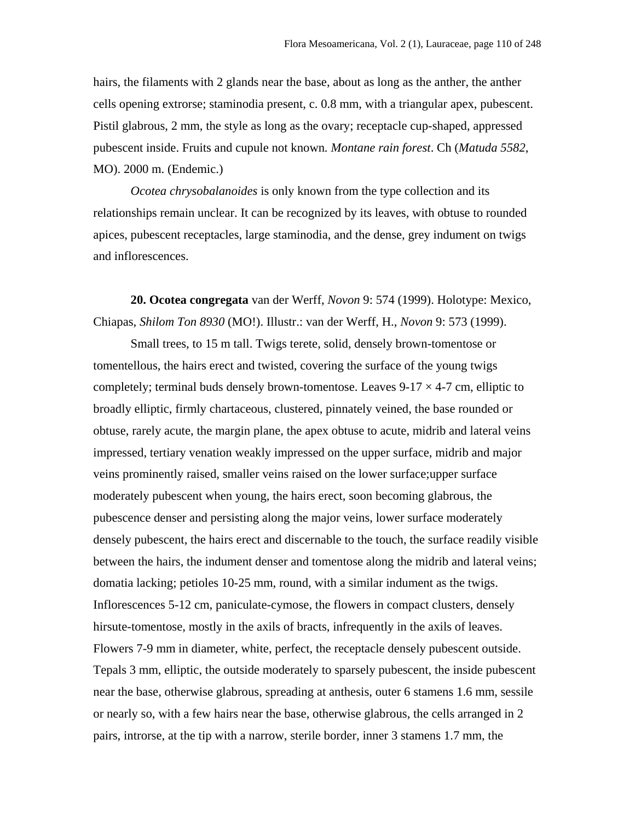hairs, the filaments with 2 glands near the base, about as long as the anther, the anther cells opening extrorse; staminodia present, c. 0.8 mm, with a triangular apex, pubescent. Pistil glabrous, 2 mm, the style as long as the ovary; receptacle cup-shaped, appressed pubescent inside. Fruits and cupule not known*. Montane rain forest*. Ch (*Matuda 5582*, MO). 2000 m. (Endemic.)

*Ocotea chrysobalanoides* is only known from the type collection and its relationships remain unclear. It can be recognized by its leaves, with obtuse to rounded apices, pubescent receptacles, large staminodia, and the dense, grey indument on twigs and inflorescences.

**20. Ocotea congregata** van der Werff, *Novon* 9: 574 (1999). Holotype: Mexico, Chiapas, *Shilom Ton 8930* (MO!). Illustr.: van der Werff, H., *Novon* 9: 573 (1999).

Small trees, to 15 m tall. Twigs terete, solid, densely brown-tomentose or tomentellous, the hairs erect and twisted, covering the surface of the young twigs completely; terminal buds densely brown-tomentose. Leaves  $9-17 \times 4-7$  cm, elliptic to broadly elliptic, firmly chartaceous, clustered, pinnately veined, the base rounded or obtuse, rarely acute, the margin plane, the apex obtuse to acute, midrib and lateral veins impressed, tertiary venation weakly impressed on the upper surface, midrib and major veins prominently raised, smaller veins raised on the lower surface;upper surface moderately pubescent when young, the hairs erect, soon becoming glabrous, the pubescence denser and persisting along the major veins, lower surface moderately densely pubescent, the hairs erect and discernable to the touch, the surface readily visible between the hairs, the indument denser and tomentose along the midrib and lateral veins; domatia lacking; petioles 10-25 mm, round, with a similar indument as the twigs. Inflorescences 5-12 cm, paniculate-cymose, the flowers in compact clusters, densely hirsute-tomentose, mostly in the axils of bracts, infrequently in the axils of leaves. Flowers 7-9 mm in diameter, white, perfect, the receptacle densely pubescent outside. Tepals 3 mm, elliptic, the outside moderately to sparsely pubescent, the inside pubescent near the base, otherwise glabrous, spreading at anthesis, outer 6 stamens 1.6 mm, sessile or nearly so, with a few hairs near the base, otherwise glabrous, the cells arranged in 2 pairs, introrse, at the tip with a narrow, sterile border, inner 3 stamens 1.7 mm, the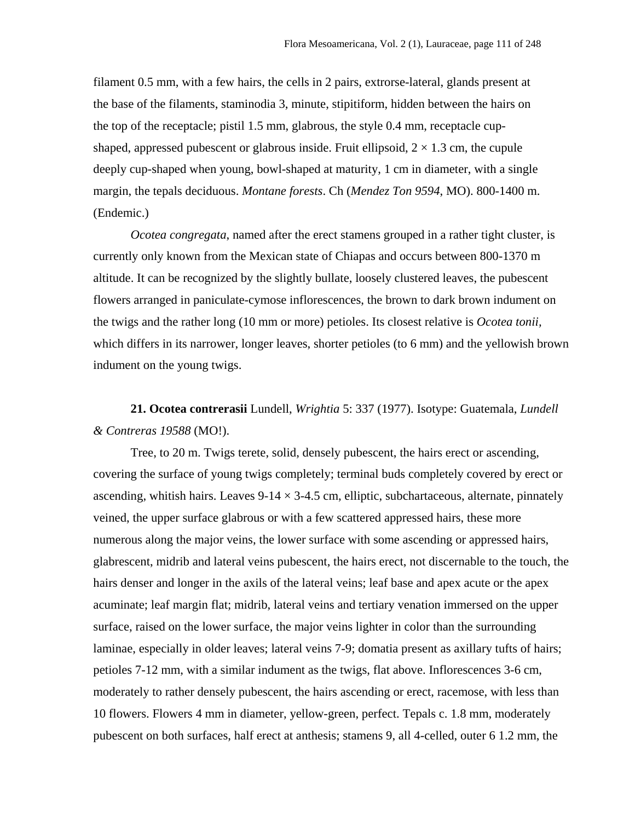filament 0.5 mm, with a few hairs, the cells in 2 pairs, extrorse-lateral, glands present at the base of the filaments, staminodia 3, minute, stipitiform, hidden between the hairs on the top of the receptacle; pistil 1.5 mm, glabrous, the style 0.4 mm, receptacle cupshaped, appressed pubescent or glabrous inside. Fruit ellipsoid,  $2 \times 1.3$  cm, the cupule deeply cup-shaped when young, bowl-shaped at maturity, 1 cm in diameter, with a single margin, the tepals deciduous. *Montane forests*. Ch (*Mendez Ton 9594*, MO). 800-1400 m. (Endemic.)

*Ocotea congregata*, named after the erect stamens grouped in a rather tight cluster, is currently only known from the Mexican state of Chiapas and occurs between 800-1370 m altitude. It can be recognized by the slightly bullate, loosely clustered leaves, the pubescent flowers arranged in paniculate-cymose inflorescences, the brown to dark brown indument on the twigs and the rather long (10 mm or more) petioles. Its closest relative is *Ocotea tonii,* which differs in its narrower, longer leaves, shorter petioles (to 6 mm) and the yellowish brown indument on the young twigs.

**21. Ocotea contrerasii** Lundell, *Wrightia* 5: 337 (1977). Isotype: Guatemala, *Lundell & Contreras 19588* (MO!).

Tree, to 20 m. Twigs terete, solid, densely pubescent, the hairs erect or ascending, covering the surface of young twigs completely; terminal buds completely covered by erect or ascending, whitish hairs. Leaves  $9-14 \times 3-4.5$  cm, elliptic, subchartaceous, alternate, pinnately veined, the upper surface glabrous or with a few scattered appressed hairs, these more numerous along the major veins, the lower surface with some ascending or appressed hairs, glabrescent, midrib and lateral veins pubescent, the hairs erect, not discernable to the touch, the hairs denser and longer in the axils of the lateral veins; leaf base and apex acute or the apex acuminate; leaf margin flat; midrib, lateral veins and tertiary venation immersed on the upper surface, raised on the lower surface, the major veins lighter in color than the surrounding laminae, especially in older leaves; lateral veins 7-9; domatia present as axillary tufts of hairs; petioles 7-12 mm, with a similar indument as the twigs, flat above. Inflorescences 3-6 cm, moderately to rather densely pubescent, the hairs ascending or erect, racemose, with less than 10 flowers. Flowers 4 mm in diameter, yellow-green, perfect. Tepals c. 1.8 mm, moderately pubescent on both surfaces, half erect at anthesis; stamens 9, all 4-celled, outer 6 1.2 mm, the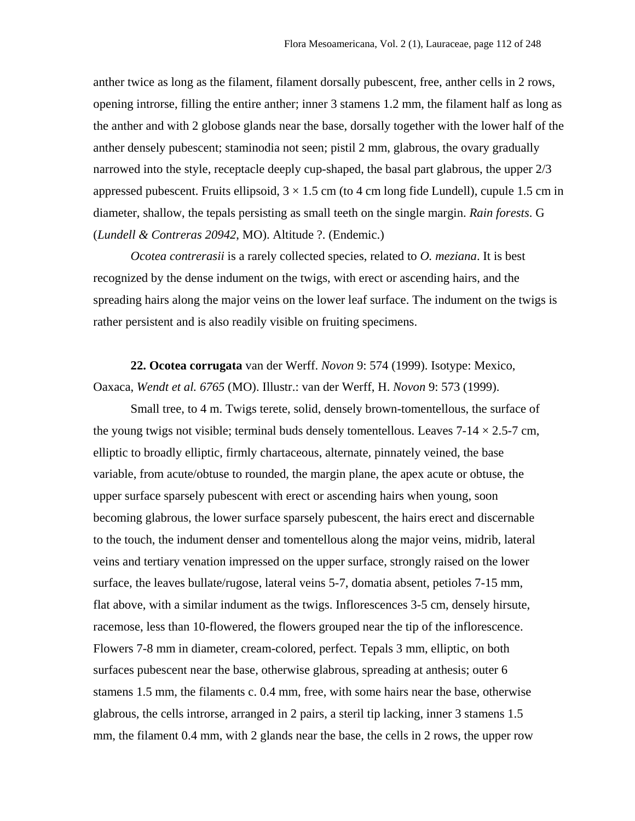anther twice as long as the filament, filament dorsally pubescent, free, anther cells in 2 rows, opening introrse, filling the entire anther; inner 3 stamens 1.2 mm, the filament half as long as the anther and with 2 globose glands near the base, dorsally together with the lower half of the anther densely pubescent; staminodia not seen; pistil 2 mm, glabrous, the ovary gradually narrowed into the style, receptacle deeply cup-shaped, the basal part glabrous, the upper 2/3 appressed pubescent. Fruits ellipsoid,  $3 \times 1.5$  cm (to 4 cm long fide Lundell), cupule 1.5 cm in diameter, shallow, the tepals persisting as small teeth on the single margin. *Rain forests*. G (*Lundell & Contreras 20942*, MO). Altitude ?. (Endemic.)

*Ocotea contrerasii* is a rarely collected species, related to *O. meziana*. It is best recognized by the dense indument on the twigs, with erect or ascending hairs, and the spreading hairs along the major veins on the lower leaf surface. The indument on the twigs is rather persistent and is also readily visible on fruiting specimens.

**22. Ocotea corrugata** van der Werff. *Novon* 9: 574 (1999). Isotype: Mexico, Oaxaca, *Wendt et al. 6765* (MO). Illustr.: van der Werff, H. *Novon* 9: 573 (1999).

Small tree, to 4 m. Twigs terete, solid, densely brown-tomentellous, the surface of the young twigs not visible; terminal buds densely tomentellous. Leaves  $7-14 \times 2.5-7$  cm, elliptic to broadly elliptic, firmly chartaceous, alternate, pinnately veined, the base variable, from acute/obtuse to rounded, the margin plane, the apex acute or obtuse, the upper surface sparsely pubescent with erect or ascending hairs when young, soon becoming glabrous, the lower surface sparsely pubescent, the hairs erect and discernable to the touch, the indument denser and tomentellous along the major veins, midrib, lateral veins and tertiary venation impressed on the upper surface, strongly raised on the lower surface, the leaves bullate/rugose, lateral veins 5-7, domatia absent, petioles 7-15 mm, flat above, with a similar indument as the twigs. Inflorescences 3-5 cm, densely hirsute, racemose, less than 10-flowered, the flowers grouped near the tip of the inflorescence. Flowers 7-8 mm in diameter, cream-colored, perfect. Tepals 3 mm, elliptic, on both surfaces pubescent near the base, otherwise glabrous, spreading at anthesis; outer 6 stamens 1.5 mm, the filaments c. 0.4 mm, free, with some hairs near the base, otherwise glabrous, the cells introrse, arranged in 2 pairs, a steril tip lacking, inner 3 stamens 1.5 mm, the filament 0.4 mm, with 2 glands near the base, the cells in 2 rows, the upper row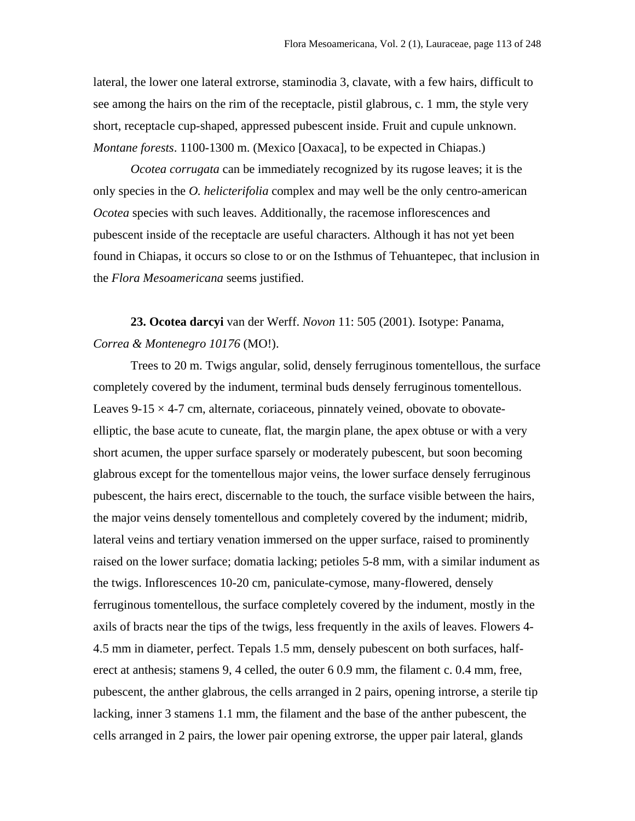lateral, the lower one lateral extrorse, staminodia 3, clavate, with a few hairs, difficult to see among the hairs on the rim of the receptacle, pistil glabrous, c. 1 mm, the style very short, receptacle cup-shaped, appressed pubescent inside. Fruit and cupule unknown. *Montane forests*. 1100-1300 m. (Mexico [Oaxaca], to be expected in Chiapas.)

*Ocotea corrugata* can be immediately recognized by its rugose leaves; it is the only species in the *O. helicterifolia* complex and may well be the only centro-american *Ocotea* species with such leaves. Additionally, the racemose inflorescences and pubescent inside of the receptacle are useful characters. Although it has not yet been found in Chiapas, it occurs so close to or on the Isthmus of Tehuantepec, that inclusion in the *Flora Mesoamericana* seems justified.

**23. Ocotea darcyi** van der Werff. *Novon* 11: 505 (2001). Isotype: Panama, *Correa & Montenegro 10176* (MO!).

Trees to 20 m. Twigs angular, solid, densely ferruginous tomentellous, the surface completely covered by the indument, terminal buds densely ferruginous tomentellous. Leaves  $9-15 \times 4-7$  cm, alternate, coriaceous, pinnately veined, obovate to obovateelliptic, the base acute to cuneate, flat, the margin plane, the apex obtuse or with a very short acumen, the upper surface sparsely or moderately pubescent, but soon becoming glabrous except for the tomentellous major veins, the lower surface densely ferruginous pubescent, the hairs erect, discernable to the touch, the surface visible between the hairs, the major veins densely tomentellous and completely covered by the indument; midrib, lateral veins and tertiary venation immersed on the upper surface, raised to prominently raised on the lower surface; domatia lacking; petioles 5-8 mm, with a similar indument as the twigs. Inflorescences 10-20 cm, paniculate-cymose, many-flowered, densely ferruginous tomentellous, the surface completely covered by the indument, mostly in the axils of bracts near the tips of the twigs, less frequently in the axils of leaves. Flowers 4- 4.5 mm in diameter, perfect. Tepals 1.5 mm, densely pubescent on both surfaces, halferect at anthesis; stamens 9, 4 celled, the outer 6 0.9 mm, the filament c. 0.4 mm, free, pubescent, the anther glabrous, the cells arranged in 2 pairs, opening introrse, a sterile tip lacking, inner 3 stamens 1.1 mm, the filament and the base of the anther pubescent, the cells arranged in 2 pairs, the lower pair opening extrorse, the upper pair lateral, glands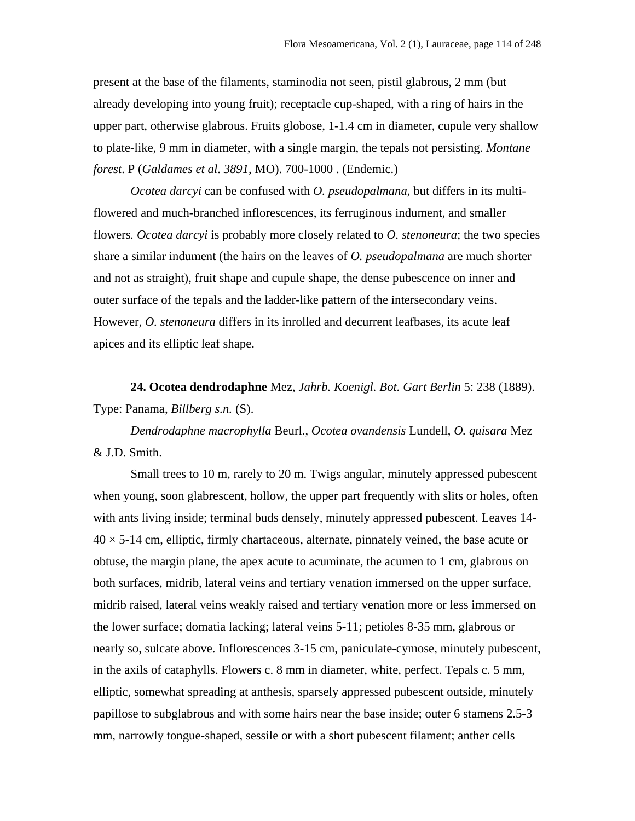present at the base of the filaments, staminodia not seen, pistil glabrous, 2 mm (but already developing into young fruit); receptacle cup-shaped, with a ring of hairs in the upper part, otherwise glabrous. Fruits globose, 1-1.4 cm in diameter, cupule very shallow to plate-like, 9 mm in diameter, with a single margin, the tepals not persisting. *Montane forest*. P (*Galdames et al*. *3891*, MO). 700-1000 . (Endemic.)

*Ocotea darcyi* can be confused with *O. pseudopalmana*, but differs in its multiflowered and much-branched inflorescences, its ferruginous indument, and smaller flowers*. Ocotea darcyi* is probably more closely related to *O. stenoneura*; the two species share a similar indument (the hairs on the leaves of *O. pseudopalmana* are much shorter and not as straight), fruit shape and cupule shape, the dense pubescence on inner and outer surface of the tepals and the ladder-like pattern of the intersecondary veins. However*, O. stenoneura* differs in its inrolled and decurrent leafbases, its acute leaf apices and its elliptic leaf shape.

**24. Ocotea dendrodaphne** Mez, *Jahrb. Koenigl. Bot. Gart Berlin* 5: 238 (1889). Type: Panama, *Billberg s.n.* (S).

*Dendrodaphne macrophylla* Beurl., *Ocotea ovandensis* Lundell, *O. quisara* Mez & J.D. Smith.

Small trees to 10 m, rarely to 20 m. Twigs angular, minutely appressed pubescent when young, soon glabrescent, hollow, the upper part frequently with slits or holes, often with ants living inside; terminal buds densely, minutely appressed pubescent. Leaves 14-  $40 \times 5$ -14 cm, elliptic, firmly chartaceous, alternate, pinnately veined, the base acute or obtuse, the margin plane, the apex acute to acuminate, the acumen to 1 cm, glabrous on both surfaces, midrib, lateral veins and tertiary venation immersed on the upper surface, midrib raised, lateral veins weakly raised and tertiary venation more or less immersed on the lower surface; domatia lacking; lateral veins 5-11; petioles 8-35 mm, glabrous or nearly so, sulcate above. Inflorescences 3-15 cm, paniculate-cymose, minutely pubescent, in the axils of cataphylls. Flowers c. 8 mm in diameter, white, perfect. Tepals c. 5 mm, elliptic, somewhat spreading at anthesis, sparsely appressed pubescent outside, minutely papillose to subglabrous and with some hairs near the base inside; outer 6 stamens 2.5-3 mm, narrowly tongue-shaped, sessile or with a short pubescent filament; anther cells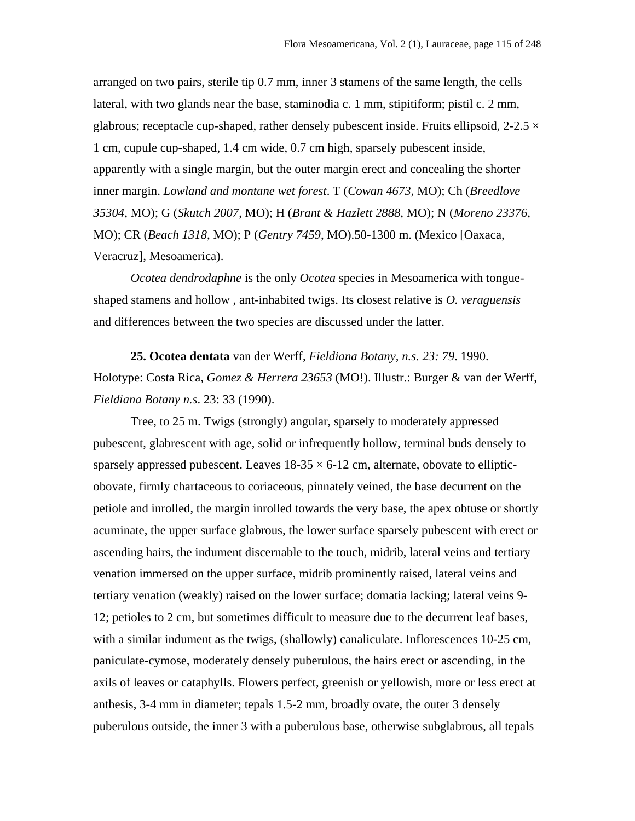arranged on two pairs, sterile tip 0.7 mm, inner 3 stamens of the same length, the cells lateral, with two glands near the base, staminodia c. 1 mm, stipitiform; pistil c. 2 mm, glabrous; receptacle cup-shaped, rather densely pubescent inside. Fruits ellipsoid,  $2-2.5 \times$ 1 cm, cupule cup-shaped, 1.4 cm wide, 0.7 cm high, sparsely pubescent inside, apparently with a single margin, but the outer margin erect and concealing the shorter inner margin. *Lowland and montane wet forest*. T (*Cowan 4673*, MO); Ch (*Breedlove 35304*, MO); G (*Skutch 2007*, MO); H (*Brant & Hazlett 2888*, MO); N (*Moreno 23376*, MO); CR (*Beach 1318*, MO); P (*Gentry 7459*, MO).50-1300 m. (Mexico [Oaxaca, Veracruz], Mesoamerica).

*Ocotea dendrodaphne* is the only *Ocotea* species in Mesoamerica with tongueshaped stamens and hollow , ant-inhabited twigs. Its closest relative is *O. veraguensis* and differences between the two species are discussed under the latter.

**25. Ocotea dentata** van der Werff, *Fieldiana Botany, n.s. 23: 79*. 1990. Holotype: Costa Rica, *Gomez & Herrera 23653* (MO!). Illustr.: Burger & van der Werff, *Fieldiana Botany n.s*. 23: 33 (1990).

Tree, to 25 m. Twigs (strongly) angular, sparsely to moderately appressed pubescent, glabrescent with age, solid or infrequently hollow, terminal buds densely to sparsely appressed pubescent. Leaves  $18-35 \times 6-12$  cm, alternate, obovate to ellipticobovate, firmly chartaceous to coriaceous, pinnately veined, the base decurrent on the petiole and inrolled, the margin inrolled towards the very base, the apex obtuse or shortly acuminate, the upper surface glabrous, the lower surface sparsely pubescent with erect or ascending hairs, the indument discernable to the touch, midrib, lateral veins and tertiary venation immersed on the upper surface, midrib prominently raised, lateral veins and tertiary venation (weakly) raised on the lower surface; domatia lacking; lateral veins 9- 12; petioles to 2 cm, but sometimes difficult to measure due to the decurrent leaf bases, with a similar indument as the twigs, (shallowly) canaliculate. Inflorescences 10-25 cm, paniculate-cymose, moderately densely puberulous, the hairs erect or ascending, in the axils of leaves or cataphylls. Flowers perfect, greenish or yellowish, more or less erect at anthesis, 3-4 mm in diameter; tepals 1.5-2 mm, broadly ovate, the outer 3 densely puberulous outside, the inner 3 with a puberulous base, otherwise subglabrous, all tepals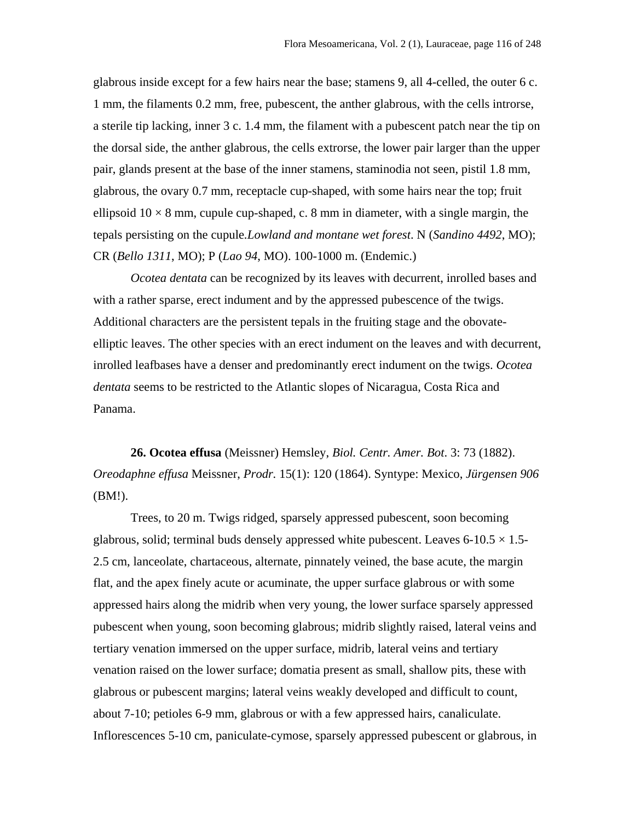glabrous inside except for a few hairs near the base; stamens 9, all 4-celled, the outer 6 c. 1 mm, the filaments 0.2 mm, free, pubescent, the anther glabrous, with the cells introrse, a sterile tip lacking, inner 3 c. 1.4 mm, the filament with a pubescent patch near the tip on the dorsal side, the anther glabrous, the cells extrorse, the lower pair larger than the upper pair, glands present at the base of the inner stamens, staminodia not seen, pistil 1.8 mm, glabrous, the ovary 0.7 mm, receptacle cup-shaped, with some hairs near the top; fruit ellipsoid  $10 \times 8$  mm, cupule cup-shaped, c. 8 mm in diameter, with a single margin, the tepals persisting on the cupule*.Lowland and montane wet forest*. N (*Sandino 4492*, MO); CR (*Bello 1311*, MO); P (*Lao 94*, MO). 100-1000 m. (Endemic.)

*Ocotea dentata* can be recognized by its leaves with decurrent, inrolled bases and with a rather sparse, erect indument and by the appressed pubescence of the twigs. Additional characters are the persistent tepals in the fruiting stage and the obovateelliptic leaves. The other species with an erect indument on the leaves and with decurrent, inrolled leafbases have a denser and predominantly erect indument on the twigs. *Ocotea dentata* seems to be restricted to the Atlantic slopes of Nicaragua, Costa Rica and Panama.

**26. Ocotea effusa** (Meissner) Hemsley, *Biol. Centr. Amer. Bot*. 3: 73 (1882). *Oreodaphne effusa* Meissner, *Prodr.* 15(1): 120 (1864). Syntype: Mexico, *Jürgensen 906* (BM!).

Trees, to 20 m. Twigs ridged, sparsely appressed pubescent, soon becoming glabrous, solid; terminal buds densely appressed white pubescent. Leaves  $6\n-10.5 \times 1.5\n-$ 2.5 cm, lanceolate, chartaceous, alternate, pinnately veined, the base acute, the margin flat, and the apex finely acute or acuminate, the upper surface glabrous or with some appressed hairs along the midrib when very young, the lower surface sparsely appressed pubescent when young, soon becoming glabrous; midrib slightly raised, lateral veins and tertiary venation immersed on the upper surface, midrib, lateral veins and tertiary venation raised on the lower surface; domatia present as small, shallow pits, these with glabrous or pubescent margins; lateral veins weakly developed and difficult to count, about 7-10; petioles 6-9 mm, glabrous or with a few appressed hairs, canaliculate. Inflorescences 5-10 cm, paniculate-cymose, sparsely appressed pubescent or glabrous, in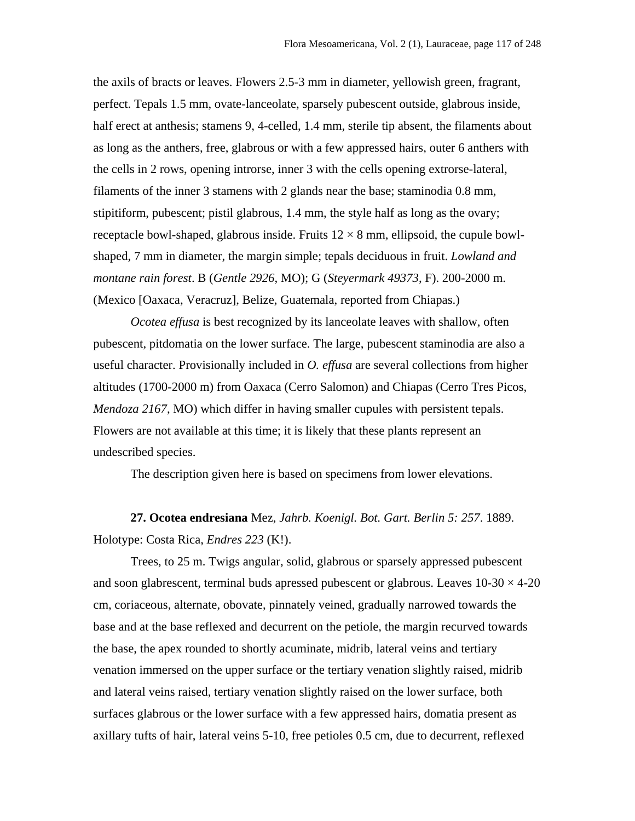the axils of bracts or leaves. Flowers 2.5-3 mm in diameter, yellowish green, fragrant, perfect. Tepals 1.5 mm, ovate-lanceolate, sparsely pubescent outside, glabrous inside, half erect at anthesis; stamens 9, 4-celled, 1.4 mm, sterile tip absent, the filaments about as long as the anthers, free, glabrous or with a few appressed hairs, outer 6 anthers with the cells in 2 rows, opening introrse, inner 3 with the cells opening extrorse-lateral, filaments of the inner 3 stamens with 2 glands near the base; staminodia 0.8 mm, stipitiform, pubescent; pistil glabrous, 1.4 mm, the style half as long as the ovary; receptacle bowl-shaped, glabrous inside. Fruits  $12 \times 8$  mm, ellipsoid, the cupule bowlshaped, 7 mm in diameter, the margin simple; tepals deciduous in fruit. *Lowland and montane rain forest*. B (*Gentle 2926*, MO); G (*Steyermark 49373*, F). 200-2000 m. (Mexico [Oaxaca, Veracruz], Belize, Guatemala, reported from Chiapas.)

*Ocotea effusa* is best recognized by its lanceolate leaves with shallow, often pubescent, pitdomatia on the lower surface. The large, pubescent staminodia are also a useful character. Provisionally included in *O. effusa* are several collections from higher altitudes (1700-2000 m) from Oaxaca (Cerro Salomon) and Chiapas (Cerro Tres Picos, *Mendoza 2167*, MO) which differ in having smaller cupules with persistent tepals. Flowers are not available at this time; it is likely that these plants represent an undescribed species.

The description given here is based on specimens from lower elevations.

**27. Ocotea endresiana** Mez, *Jahrb. Koenigl. Bot. Gart. Berlin 5: 257*. 1889. Holotype: Costa Rica, *Endres 223* (K!).

Trees, to 25 m. Twigs angular, solid, glabrous or sparsely appressed pubescent and soon glabrescent, terminal buds apressed pubescent or glabrous. Leaves  $10-30 \times 4-20$ cm, coriaceous, alternate, obovate, pinnately veined, gradually narrowed towards the base and at the base reflexed and decurrent on the petiole, the margin recurved towards the base, the apex rounded to shortly acuminate, midrib, lateral veins and tertiary venation immersed on the upper surface or the tertiary venation slightly raised, midrib and lateral veins raised, tertiary venation slightly raised on the lower surface, both surfaces glabrous or the lower surface with a few appressed hairs, domatia present as axillary tufts of hair, lateral veins 5-10, free petioles 0.5 cm, due to decurrent, reflexed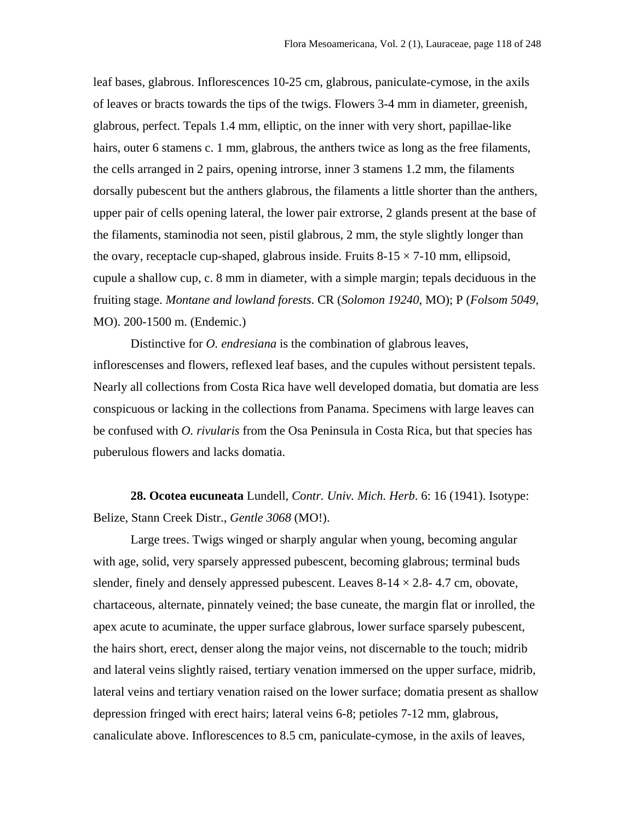leaf bases, glabrous. Inflorescences 10-25 cm, glabrous, paniculate-cymose, in the axils of leaves or bracts towards the tips of the twigs. Flowers 3-4 mm in diameter, greenish, glabrous, perfect. Tepals 1.4 mm, elliptic, on the inner with very short, papillae-like hairs, outer 6 stamens c. 1 mm, glabrous, the anthers twice as long as the free filaments, the cells arranged in 2 pairs, opening introrse, inner 3 stamens 1.2 mm, the filaments dorsally pubescent but the anthers glabrous, the filaments a little shorter than the anthers, upper pair of cells opening lateral, the lower pair extrorse, 2 glands present at the base of the filaments, staminodia not seen, pistil glabrous, 2 mm, the style slightly longer than the ovary, receptacle cup-shaped, glabrous inside. Fruits  $8-15 \times 7-10$  mm, ellipsoid, cupule a shallow cup, c. 8 mm in diameter, with a simple margin; tepals deciduous in the fruiting stage. *Montane and lowland forests*. CR (*Solomon 19240*, MO); P (*Folsom 5049*, MO). 200-1500 m. (Endemic.)

Distinctive for *O. endresiana* is the combination of glabrous leaves, inflorescenses and flowers, reflexed leaf bases, and the cupules without persistent tepals. Nearly all collections from Costa Rica have well developed domatia, but domatia are less conspicuous or lacking in the collections from Panama. Specimens with large leaves can be confused with *O. rivularis* from the Osa Peninsula in Costa Rica, but that species has puberulous flowers and lacks domatia.

**28. Ocotea eucuneata** Lundell, *Contr. Univ. Mich. Herb*. 6: 16 (1941). Isotype: Belize, Stann Creek Distr., *Gentle 3068* (MO!).

Large trees. Twigs winged or sharply angular when young, becoming angular with age, solid, very sparsely appressed pubescent, becoming glabrous; terminal buds slender, finely and densely appressed pubescent. Leaves  $8-14 \times 2.8-4.7$  cm, obovate, chartaceous, alternate, pinnately veined; the base cuneate, the margin flat or inrolled, the apex acute to acuminate, the upper surface glabrous, lower surface sparsely pubescent, the hairs short, erect, denser along the major veins, not discernable to the touch; midrib and lateral veins slightly raised, tertiary venation immersed on the upper surface, midrib, lateral veins and tertiary venation raised on the lower surface; domatia present as shallow depression fringed with erect hairs; lateral veins 6-8; petioles 7-12 mm, glabrous, canaliculate above. Inflorescences to 8.5 cm, paniculate-cymose, in the axils of leaves,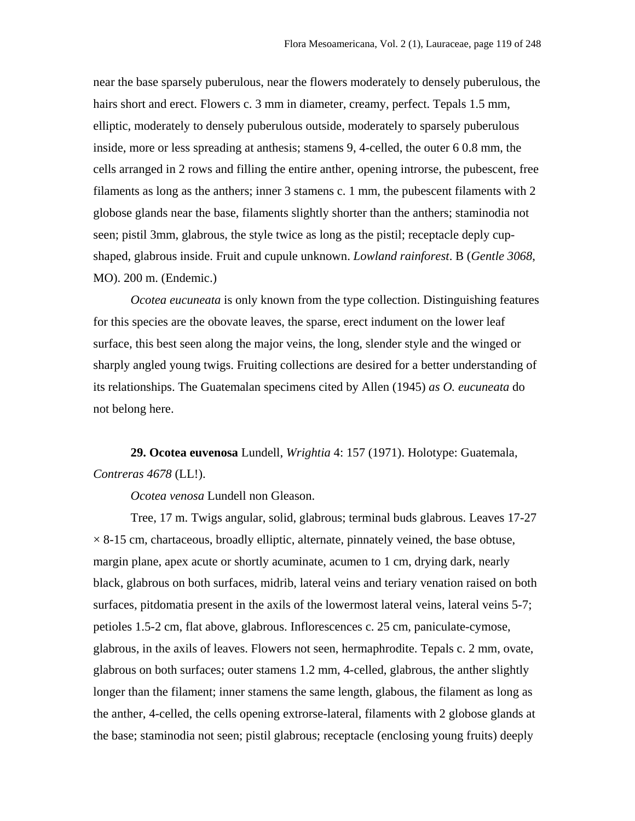near the base sparsely puberulous, near the flowers moderately to densely puberulous, the hairs short and erect. Flowers c. 3 mm in diameter, creamy, perfect. Tepals 1.5 mm, elliptic, moderately to densely puberulous outside, moderately to sparsely puberulous inside, more or less spreading at anthesis; stamens 9, 4-celled, the outer 6 0.8 mm, the cells arranged in 2 rows and filling the entire anther, opening introrse, the pubescent, free filaments as long as the anthers; inner 3 stamens c. 1 mm, the pubescent filaments with 2 globose glands near the base, filaments slightly shorter than the anthers; staminodia not seen; pistil 3mm, glabrous, the style twice as long as the pistil; receptacle deply cupshaped, glabrous inside. Fruit and cupule unknown. *Lowland rainforest*. B (*Gentle 3068*, MO). 200 m. (Endemic.)

*Ocotea eucuneata* is only known from the type collection. Distinguishing features for this species are the obovate leaves, the sparse, erect indument on the lower leaf surface, this best seen along the major veins, the long, slender style and the winged or sharply angled young twigs. Fruiting collections are desired for a better understanding of its relationships. The Guatemalan specimens cited by Allen (1945) *as O. eucuneata* do not belong here.

**29. Ocotea euvenosa** Lundell, *Wrightia* 4: 157 (1971). Holotype: Guatemala, *Contreras 4678* (LL!).

*Ocotea venosa* Lundell non Gleason.

Tree, 17 m. Twigs angular, solid, glabrous; terminal buds glabrous. Leaves 17-27  $\times$  8-15 cm, chartaceous, broadly elliptic, alternate, pinnately veined, the base obtuse, margin plane, apex acute or shortly acuminate, acumen to 1 cm, drying dark, nearly black, glabrous on both surfaces, midrib, lateral veins and teriary venation raised on both surfaces, pitdomatia present in the axils of the lowermost lateral veins, lateral veins 5-7; petioles 1.5-2 cm, flat above, glabrous. Inflorescences c. 25 cm, paniculate-cymose, glabrous, in the axils of leaves. Flowers not seen, hermaphrodite. Tepals c. 2 mm, ovate, glabrous on both surfaces; outer stamens 1.2 mm, 4-celled, glabrous, the anther slightly longer than the filament; inner stamens the same length, glabous, the filament as long as the anther, 4-celled, the cells opening extrorse-lateral, filaments with 2 globose glands at the base; staminodia not seen; pistil glabrous; receptacle (enclosing young fruits) deeply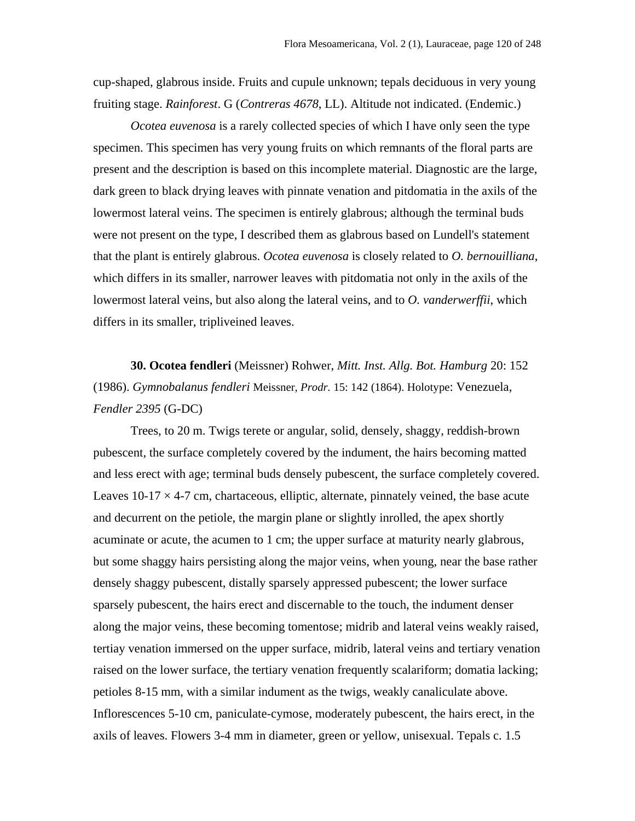cup-shaped, glabrous inside. Fruits and cupule unknown; tepals deciduous in very young fruiting stage. *Rainforest*. G (*Contreras 4678*, LL). Altitude not indicated. (Endemic.)

*Ocotea euvenosa* is a rarely collected species of which I have only seen the type specimen. This specimen has very young fruits on which remnants of the floral parts are present and the description is based on this incomplete material. Diagnostic are the large, dark green to black drying leaves with pinnate venation and pitdomatia in the axils of the lowermost lateral veins. The specimen is entirely glabrous; although the terminal buds were not present on the type, I described them as glabrous based on Lundell's statement that the plant is entirely glabrous. *Ocotea euvenosa* is closely related to *O. bernouilliana*, which differs in its smaller, narrower leaves with pitdomatia not only in the axils of the lowermost lateral veins, but also along the lateral veins, and to *O. vanderwerffii*, which differs in its smaller, tripliveined leaves.

**30. Ocotea fendleri** (Meissner) Rohwer, *Mitt. Inst. Allg. Bot. Hamburg* 20: 152 (1986). *Gymnobalanus fendleri* Meissner, *Prodr.* 15: 142 (1864). Holotype: Venezuela, *Fendler 2395* (G-DC)

Trees, to 20 m. Twigs terete or angular, solid, densely, shaggy, reddish-brown pubescent, the surface completely covered by the indument, the hairs becoming matted and less erect with age; terminal buds densely pubescent, the surface completely covered. Leaves  $10-17 \times 4-7$  cm, chartaceous, elliptic, alternate, pinnately veined, the base acute and decurrent on the petiole, the margin plane or slightly inrolled, the apex shortly acuminate or acute, the acumen to 1 cm; the upper surface at maturity nearly glabrous, but some shaggy hairs persisting along the major veins, when young, near the base rather densely shaggy pubescent, distally sparsely appressed pubescent; the lower surface sparsely pubescent, the hairs erect and discernable to the touch, the indument denser along the major veins, these becoming tomentose; midrib and lateral veins weakly raised, tertiay venation immersed on the upper surface, midrib, lateral veins and tertiary venation raised on the lower surface, the tertiary venation frequently scalariform; domatia lacking; petioles 8-15 mm, with a similar indument as the twigs, weakly canaliculate above. Inflorescences 5-10 cm, paniculate-cymose, moderately pubescent, the hairs erect, in the axils of leaves. Flowers 3-4 mm in diameter, green or yellow, unisexual. Tepals c. 1.5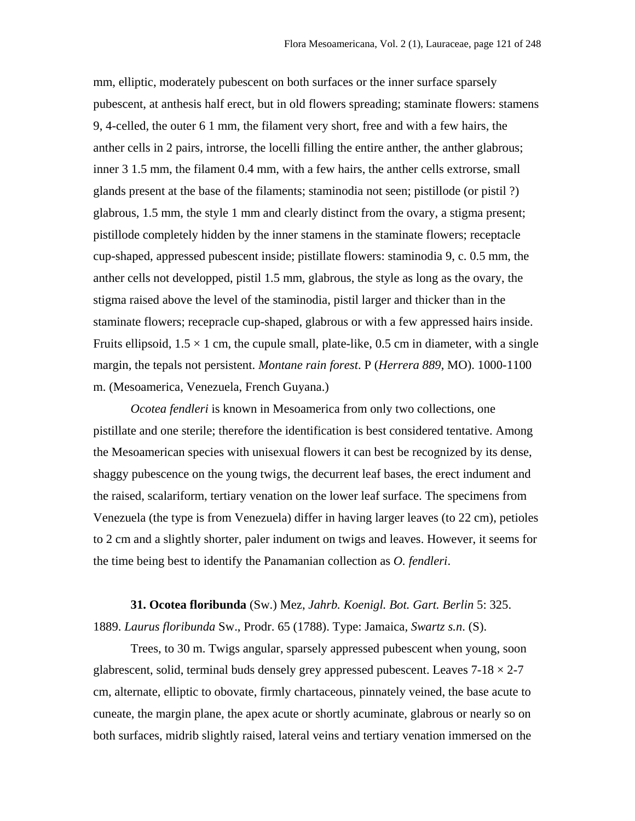mm, elliptic, moderately pubescent on both surfaces or the inner surface sparsely pubescent, at anthesis half erect, but in old flowers spreading; staminate flowers: stamens 9, 4-celled, the outer 6 1 mm, the filament very short, free and with a few hairs, the anther cells in 2 pairs, introrse, the locelli filling the entire anther, the anther glabrous; inner 3 1.5 mm, the filament 0.4 mm, with a few hairs, the anther cells extrorse, small glands present at the base of the filaments; staminodia not seen; pistillode (or pistil ?) glabrous, 1.5 mm, the style 1 mm and clearly distinct from the ovary, a stigma present; pistillode completely hidden by the inner stamens in the staminate flowers; receptacle cup-shaped, appressed pubescent inside; pistillate flowers: staminodia 9, c. 0.5 mm, the anther cells not developped, pistil 1.5 mm, glabrous, the style as long as the ovary, the stigma raised above the level of the staminodia, pistil larger and thicker than in the staminate flowers; recepracle cup-shaped, glabrous or with a few appressed hairs inside. Fruits ellipsoid,  $1.5 \times 1$  cm, the cupule small, plate-like, 0.5 cm in diameter, with a single margin, the tepals not persistent. *Montane rain forest*. P (*Herrera 889*, MO). 1000-1100 m. (Mesoamerica, Venezuela, French Guyana.)

*Ocotea fendleri* is known in Mesoamerica from only two collections, one pistillate and one sterile; therefore the identification is best considered tentative. Among the Mesoamerican species with unisexual flowers it can best be recognized by its dense, shaggy pubescence on the young twigs, the decurrent leaf bases, the erect indument and the raised, scalariform, tertiary venation on the lower leaf surface. The specimens from Venezuela (the type is from Venezuela) differ in having larger leaves (to 22 cm), petioles to 2 cm and a slightly shorter, paler indument on twigs and leaves. However, it seems for the time being best to identify the Panamanian collection as *O. fendleri*.

**31. Ocotea floribunda** (Sw.) Mez, *Jahrb. Koenigl. Bot. Gart. Berlin* 5: 325. 1889. *Laurus floribunda* Sw., Prodr. 65 (1788). Type: Jamaica*, Swartz s.n*. (S).

Trees, to 30 m. Twigs angular, sparsely appressed pubescent when young, soon glabrescent, solid, terminal buds densely grey appressed pubescent. Leaves  $7-18 \times 2-7$ cm, alternate, elliptic to obovate, firmly chartaceous, pinnately veined, the base acute to cuneate, the margin plane, the apex acute or shortly acuminate, glabrous or nearly so on both surfaces, midrib slightly raised, lateral veins and tertiary venation immersed on the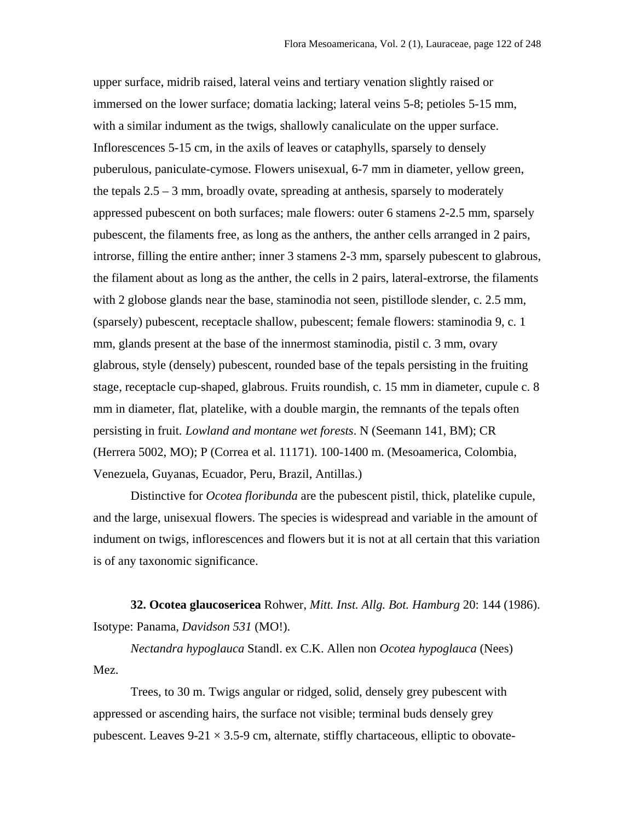upper surface, midrib raised, lateral veins and tertiary venation slightly raised or immersed on the lower surface; domatia lacking; lateral veins 5-8; petioles 5-15 mm, with a similar indument as the twigs, shallowly canaliculate on the upper surface. Inflorescences 5-15 cm, in the axils of leaves or cataphylls, sparsely to densely puberulous, paniculate-cymose. Flowers unisexual, 6-7 mm in diameter, yellow green, the tepals  $2.5 - 3$  mm, broadly ovate, spreading at anthesis, sparsely to moderately appressed pubescent on both surfaces; male flowers: outer 6 stamens 2-2.5 mm, sparsely pubescent, the filaments free, as long as the anthers, the anther cells arranged in 2 pairs, introrse, filling the entire anther; inner 3 stamens 2-3 mm, sparsely pubescent to glabrous, the filament about as long as the anther, the cells in 2 pairs, lateral-extrorse, the filaments with 2 globose glands near the base, staminodia not seen, pistillode slender, c. 2.5 mm, (sparsely) pubescent, receptacle shallow, pubescent; female flowers: staminodia 9, c. 1 mm, glands present at the base of the innermost staminodia, pistil c. 3 mm, ovary glabrous, style (densely) pubescent, rounded base of the tepals persisting in the fruiting stage, receptacle cup-shaped, glabrous. Fruits roundish, c. 15 mm in diameter, cupule c. 8 mm in diameter, flat, platelike, with a double margin, the remnants of the tepals often persisting in fruit*. Lowland and montane wet forests*. N (Seemann 141, BM); CR (Herrera 5002, MO); P (Correa et al. 11171). 100-1400 m. (Mesoamerica, Colombia, Venezuela, Guyanas, Ecuador, Peru, Brazil, Antillas.)

Distinctive for *Ocotea floribunda* are the pubescent pistil, thick, platelike cupule, and the large, unisexual flowers. The species is widespread and variable in the amount of indument on twigs, inflorescences and flowers but it is not at all certain that this variation is of any taxonomic significance.

**32. Ocotea glaucosericea** Rohwer, *Mitt. Inst. Allg. Bot. Hamburg* 20: 144 (1986). Isotype: Panama, *Davidson 531* (MO!).

*Nectandra hypoglauca* Standl. ex C.K. Allen non *Ocotea hypoglauca* (Nees) Mez.

Trees, to 30 m. Twigs angular or ridged, solid, densely grey pubescent with appressed or ascending hairs, the surface not visible; terminal buds densely grey pubescent. Leaves  $9-21 \times 3.5-9$  cm, alternate, stiffly chartaceous, elliptic to obovate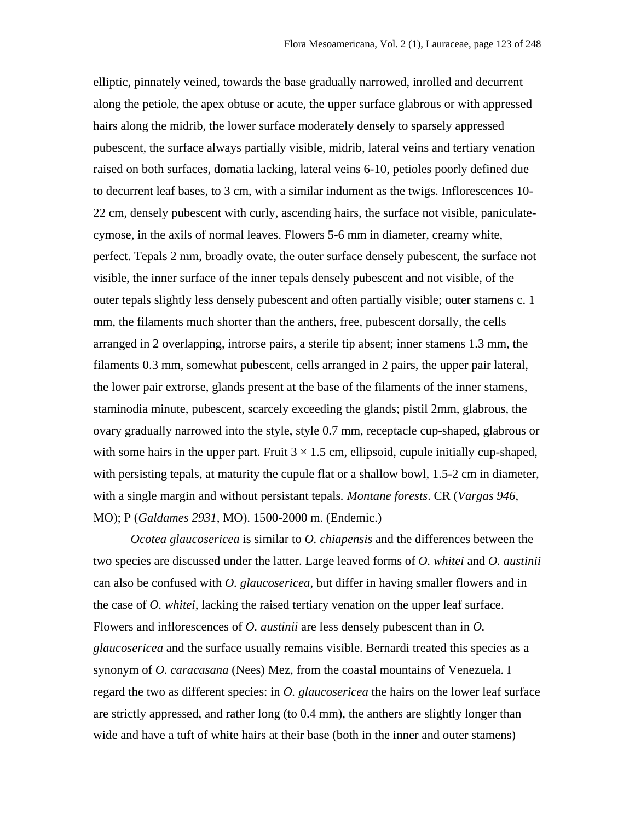elliptic, pinnately veined, towards the base gradually narrowed, inrolled and decurrent along the petiole, the apex obtuse or acute, the upper surface glabrous or with appressed hairs along the midrib, the lower surface moderately densely to sparsely appressed pubescent, the surface always partially visible, midrib, lateral veins and tertiary venation raised on both surfaces, domatia lacking, lateral veins 6-10, petioles poorly defined due to decurrent leaf bases, to 3 cm, with a similar indument as the twigs. Inflorescences 10- 22 cm, densely pubescent with curly, ascending hairs, the surface not visible, paniculatecymose, in the axils of normal leaves. Flowers 5-6 mm in diameter, creamy white, perfect. Tepals 2 mm, broadly ovate, the outer surface densely pubescent, the surface not visible, the inner surface of the inner tepals densely pubescent and not visible, of the outer tepals slightly less densely pubescent and often partially visible; outer stamens c. 1 mm, the filaments much shorter than the anthers, free, pubescent dorsally, the cells arranged in 2 overlapping, introrse pairs, a sterile tip absent; inner stamens 1.3 mm, the filaments 0.3 mm, somewhat pubescent, cells arranged in 2 pairs, the upper pair lateral, the lower pair extrorse, glands present at the base of the filaments of the inner stamens, staminodia minute, pubescent, scarcely exceeding the glands; pistil 2mm, glabrous, the ovary gradually narrowed into the style, style 0.7 mm, receptacle cup-shaped, glabrous or with some hairs in the upper part. Fruit  $3 \times 1.5$  cm, ellipsoid, cupule initially cup-shaped, with persisting tepals, at maturity the cupule flat or a shallow bowl, 1.5-2 cm in diameter, with a single margin and without persistant tepals*. Montane forests*. CR (*Vargas 946*, MO); P (*Galdames 2931*, MO). 1500-2000 m. (Endemic.)

*Ocotea glaucosericea* is similar to *O. chiapensis* and the differences between the two species are discussed under the latter. Large leaved forms of *O. whitei* and *O. austinii* can also be confused with *O. glaucosericea*, but differ in having smaller flowers and in the case of *O. whitei*, lacking the raised tertiary venation on the upper leaf surface. Flowers and inflorescences of *O. austinii* are less densely pubescent than in *O. glaucosericea* and the surface usually remains visible. Bernardi treated this species as a synonym of *O. caracasana* (Nees) Mez, from the coastal mountains of Venezuela. I regard the two as different species: in *O. glaucosericea* the hairs on the lower leaf surface are strictly appressed, and rather long (to 0.4 mm), the anthers are slightly longer than wide and have a tuft of white hairs at their base (both in the inner and outer stamens)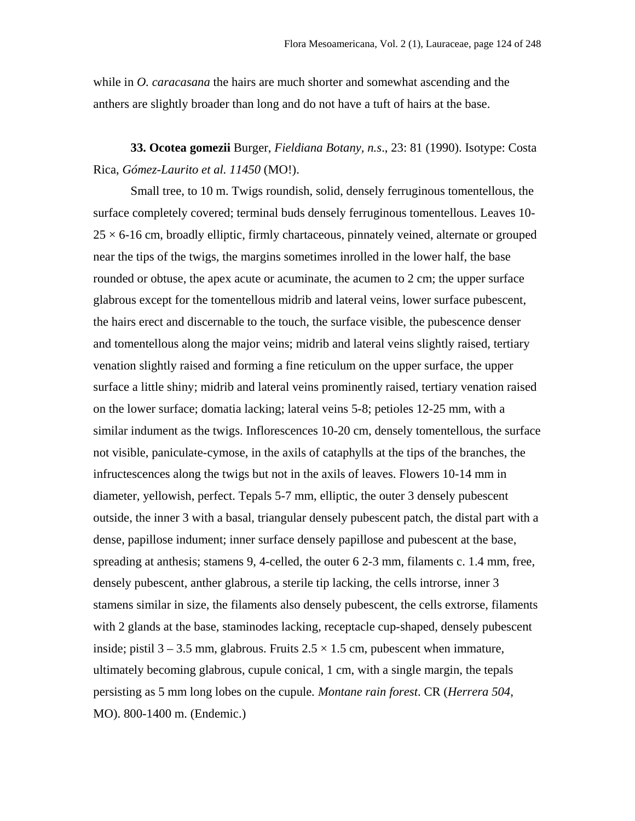while in *O. caracasana* the hairs are much shorter and somewhat ascending and the anthers are slightly broader than long and do not have a tuft of hairs at the base.

**33. Ocotea gomezii** Burger, *Fieldiana Botany, n.s*., 23: 81 (1990). Isotype: Costa Rica, *Gómez-Laurito et al. 11450* (MO!).

Small tree, to 10 m. Twigs roundish, solid, densely ferruginous tomentellous, the surface completely covered; terminal buds densely ferruginous tomentellous. Leaves 10-  $25 \times 6$ -16 cm, broadly elliptic, firmly chartaceous, pinnately veined, alternate or grouped near the tips of the twigs, the margins sometimes inrolled in the lower half, the base rounded or obtuse, the apex acute or acuminate, the acumen to 2 cm; the upper surface glabrous except for the tomentellous midrib and lateral veins, lower surface pubescent, the hairs erect and discernable to the touch, the surface visible, the pubescence denser and tomentellous along the major veins; midrib and lateral veins slightly raised, tertiary venation slightly raised and forming a fine reticulum on the upper surface, the upper surface a little shiny; midrib and lateral veins prominently raised, tertiary venation raised on the lower surface; domatia lacking; lateral veins 5-8; petioles 12-25 mm, with a similar indument as the twigs. Inflorescences 10-20 cm, densely tomentellous, the surface not visible, paniculate-cymose, in the axils of cataphylls at the tips of the branches, the infructescences along the twigs but not in the axils of leaves. Flowers 10-14 mm in diameter, yellowish, perfect. Tepals 5-7 mm, elliptic, the outer 3 densely pubescent outside, the inner 3 with a basal, triangular densely pubescent patch, the distal part with a dense, papillose indument; inner surface densely papillose and pubescent at the base, spreading at anthesis; stamens 9, 4-celled, the outer 6 2-3 mm, filaments c. 1.4 mm, free, densely pubescent, anther glabrous, a sterile tip lacking, the cells introrse, inner 3 stamens similar in size, the filaments also densely pubescent, the cells extrorse, filaments with 2 glands at the base, staminodes lacking, receptacle cup-shaped, densely pubescent inside; pistil  $3 - 3.5$  mm, glabrous. Fruits  $2.5 \times 1.5$  cm, pubescent when immature, ultimately becoming glabrous, cupule conical, 1 cm, with a single margin, the tepals persisting as 5 mm long lobes on the cupule*. Montane rain forest*. CR (*Herrera 504*, MO). 800-1400 m. (Endemic.)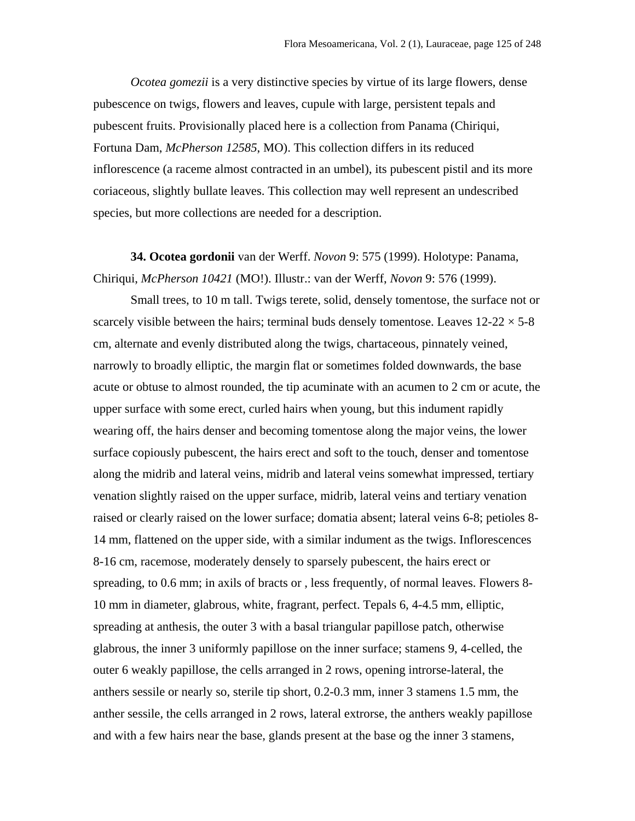*Ocotea gomezii* is a very distinctive species by virtue of its large flowers, dense pubescence on twigs, flowers and leaves, cupule with large, persistent tepals and pubescent fruits. Provisionally placed here is a collection from Panama (Chiriqui, Fortuna Dam, *McPherson 12585*, MO). This collection differs in its reduced inflorescence (a raceme almost contracted in an umbel), its pubescent pistil and its more coriaceous, slightly bullate leaves. This collection may well represent an undescribed species, but more collections are needed for a description.

**34. Ocotea gordonii** van der Werff. *Novon* 9: 575 (1999). Holotype: Panama, Chiriqui, *McPherson 10421* (MO!). Illustr.: van der Werff, *Novon* 9: 576 (1999).

Small trees, to 10 m tall. Twigs terete, solid, densely tomentose, the surface not or scarcely visible between the hairs; terminal buds densely tomentose. Leaves  $12{\text -}22 \times 5{\text -}8$ cm, alternate and evenly distributed along the twigs, chartaceous, pinnately veined, narrowly to broadly elliptic, the margin flat or sometimes folded downwards, the base acute or obtuse to almost rounded, the tip acuminate with an acumen to 2 cm or acute, the upper surface with some erect, curled hairs when young, but this indument rapidly wearing off, the hairs denser and becoming tomentose along the major veins, the lower surface copiously pubescent, the hairs erect and soft to the touch, denser and tomentose along the midrib and lateral veins, midrib and lateral veins somewhat impressed, tertiary venation slightly raised on the upper surface, midrib, lateral veins and tertiary venation raised or clearly raised on the lower surface; domatia absent; lateral veins 6-8; petioles 8- 14 mm, flattened on the upper side, with a similar indument as the twigs. Inflorescences 8-16 cm, racemose, moderately densely to sparsely pubescent, the hairs erect or spreading, to 0.6 mm; in axils of bracts or , less frequently, of normal leaves. Flowers 8- 10 mm in diameter, glabrous, white, fragrant, perfect. Tepals 6, 4-4.5 mm, elliptic, spreading at anthesis, the outer 3 with a basal triangular papillose patch, otherwise glabrous, the inner 3 uniformly papillose on the inner surface; stamens 9, 4-celled, the outer 6 weakly papillose, the cells arranged in 2 rows, opening introrse-lateral, the anthers sessile or nearly so, sterile tip short, 0.2-0.3 mm, inner 3 stamens 1.5 mm, the anther sessile, the cells arranged in 2 rows, lateral extrorse, the anthers weakly papillose and with a few hairs near the base, glands present at the base og the inner 3 stamens,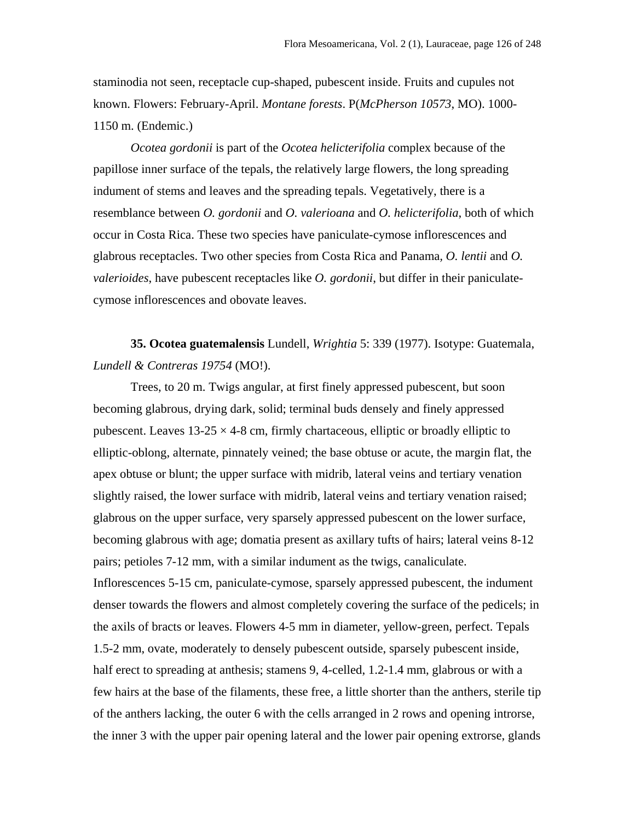staminodia not seen, receptacle cup-shaped, pubescent inside. Fruits and cupules not known. Flowers: February-April. *Montane forests*. P(*McPherson 10573*, MO). 1000- 1150 m. (Endemic.)

*Ocotea gordonii* is part of the *Ocotea helicterifolia* complex because of the papillose inner surface of the tepals, the relatively large flowers, the long spreading indument of stems and leaves and the spreading tepals. Vegetatively, there is a resemblance between *O. gordonii* and *O. valerioana* and *O. helicterifolia*, both of which occur in Costa Rica. These two species have paniculate-cymose inflorescences and glabrous receptacles. Two other species from Costa Rica and Panama*, O. lentii* and *O. valerioides*, have pubescent receptacles like *O. gordonii*, but differ in their paniculatecymose inflorescences and obovate leaves.

**35. Ocotea guatemalensis** Lundell, *Wrightia* 5: 339 (1977). Isotype: Guatemala, *Lundell & Contreras 19754* (MO!).

Trees, to 20 m. Twigs angular, at first finely appressed pubescent, but soon becoming glabrous, drying dark, solid; terminal buds densely and finely appressed pubescent. Leaves  $13-25 \times 4-8$  cm, firmly chartaceous, elliptic or broadly elliptic to elliptic-oblong, alternate, pinnately veined; the base obtuse or acute, the margin flat, the apex obtuse or blunt; the upper surface with midrib, lateral veins and tertiary venation slightly raised, the lower surface with midrib, lateral veins and tertiary venation raised; glabrous on the upper surface, very sparsely appressed pubescent on the lower surface, becoming glabrous with age; domatia present as axillary tufts of hairs; lateral veins 8-12 pairs; petioles 7-12 mm, with a similar indument as the twigs, canaliculate. Inflorescences 5-15 cm, paniculate-cymose, sparsely appressed pubescent, the indument denser towards the flowers and almost completely covering the surface of the pedicels; in the axils of bracts or leaves. Flowers 4-5 mm in diameter, yellow-green, perfect. Tepals 1.5-2 mm, ovate, moderately to densely pubescent outside, sparsely pubescent inside, half erect to spreading at anthesis; stamens 9, 4-celled, 1.2-1.4 mm, glabrous or with a few hairs at the base of the filaments, these free, a little shorter than the anthers, sterile tip of the anthers lacking, the outer 6 with the cells arranged in 2 rows and opening introrse, the inner 3 with the upper pair opening lateral and the lower pair opening extrorse, glands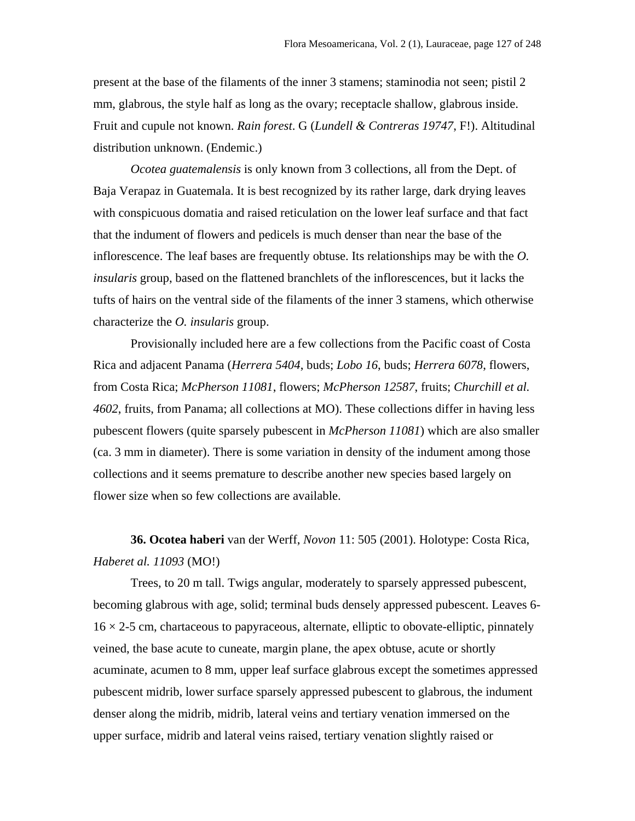present at the base of the filaments of the inner 3 stamens; staminodia not seen; pistil 2 mm, glabrous, the style half as long as the ovary; receptacle shallow, glabrous inside. Fruit and cupule not known. *Rain forest*. G (*Lundell & Contreras 19747*, F!). Altitudinal distribution unknown. (Endemic.)

*Ocotea guatemalensis* is only known from 3 collections, all from the Dept. of Baja Verapaz in Guatemala. It is best recognized by its rather large, dark drying leaves with conspicuous domatia and raised reticulation on the lower leaf surface and that fact that the indument of flowers and pedicels is much denser than near the base of the inflorescence. The leaf bases are frequently obtuse. Its relationships may be with the *O. insularis* group, based on the flattened branchlets of the inflorescences, but it lacks the tufts of hairs on the ventral side of the filaments of the inner 3 stamens, which otherwise characterize the *O. insularis* group.

Provisionally included here are a few collections from the Pacific coast of Costa Rica and adjacent Panama (*Herrera 5404*, buds; *Lobo 16*, buds; *Herrera 6078*, flowers, from Costa Rica; *McPherson 11081*, flowers; *McPherson 12587*, fruits; *Churchill et al. 4602*, fruits, from Panama; all collections at MO). These collections differ in having less pubescent flowers (quite sparsely pubescent in *McPherson 11081*) which are also smaller (ca. 3 mm in diameter). There is some variation in density of the indument among those collections and it seems premature to describe another new species based largely on flower size when so few collections are available.

## **36. Ocotea haberi** van der Werff, *Novon* 11: 505 (2001). Holotype: Costa Rica, *Haberet al. 11093* (MO!)

Trees, to 20 m tall. Twigs angular, moderately to sparsely appressed pubescent, becoming glabrous with age, solid; terminal buds densely appressed pubescent. Leaves 6-  $16 \times 2$ -5 cm, chartaceous to papyraceous, alternate, elliptic to obovate-elliptic, pinnately veined, the base acute to cuneate, margin plane, the apex obtuse, acute or shortly acuminate, acumen to 8 mm, upper leaf surface glabrous except the sometimes appressed pubescent midrib, lower surface sparsely appressed pubescent to glabrous, the indument denser along the midrib, midrib, lateral veins and tertiary venation immersed on the upper surface, midrib and lateral veins raised, tertiary venation slightly raised or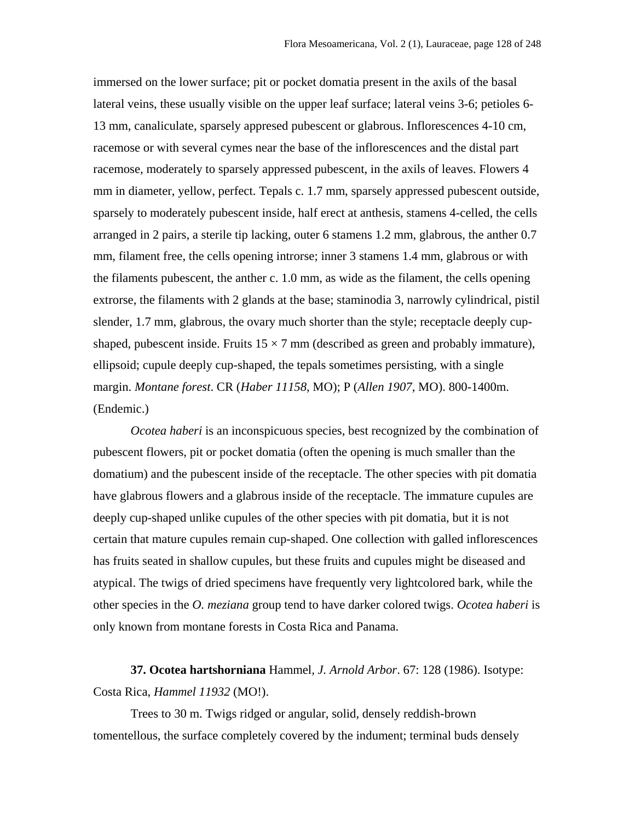immersed on the lower surface; pit or pocket domatia present in the axils of the basal lateral veins, these usually visible on the upper leaf surface; lateral veins 3-6; petioles 6- 13 mm, canaliculate, sparsely appresed pubescent or glabrous. Inflorescences 4-10 cm, racemose or with several cymes near the base of the inflorescences and the distal part racemose, moderately to sparsely appressed pubescent, in the axils of leaves. Flowers 4 mm in diameter, yellow, perfect. Tepals c. 1.7 mm, sparsely appressed pubescent outside, sparsely to moderately pubescent inside, half erect at anthesis, stamens 4-celled, the cells arranged in 2 pairs, a sterile tip lacking, outer 6 stamens 1.2 mm, glabrous, the anther 0.7 mm, filament free, the cells opening introrse; inner 3 stamens 1.4 mm, glabrous or with the filaments pubescent, the anther c. 1.0 mm, as wide as the filament, the cells opening extrorse, the filaments with 2 glands at the base; staminodia 3, narrowly cylindrical, pistil slender, 1.7 mm, glabrous, the ovary much shorter than the style; receptacle deeply cupshaped, pubescent inside. Fruits  $15 \times 7$  mm (described as green and probably immature), ellipsoid; cupule deeply cup-shaped, the tepals sometimes persisting, with a single margin. *Montane forest*. CR (*Haber 11158*, MO); P (*Allen 1907*, MO). 800-1400m. (Endemic.)

*Ocotea haberi* is an inconspicuous species, best recognized by the combination of pubescent flowers, pit or pocket domatia (often the opening is much smaller than the domatium) and the pubescent inside of the receptacle. The other species with pit domatia have glabrous flowers and a glabrous inside of the receptacle. The immature cupules are deeply cup-shaped unlike cupules of the other species with pit domatia, but it is not certain that mature cupules remain cup-shaped. One collection with galled inflorescences has fruits seated in shallow cupules, but these fruits and cupules might be diseased and atypical. The twigs of dried specimens have frequently very lightcolored bark, while the other species in the *O. meziana* group tend to have darker colored twigs. *Ocotea haberi* is only known from montane forests in Costa Rica and Panama.

**37. Ocotea hartshorniana** Hammel*, J. Arnold Arbor*. 67: 128 (1986). Isotype: Costa Rica, *Hammel 11932* (MO!).

Trees to 30 m. Twigs ridged or angular, solid, densely reddish-brown tomentellous, the surface completely covered by the indument; terminal buds densely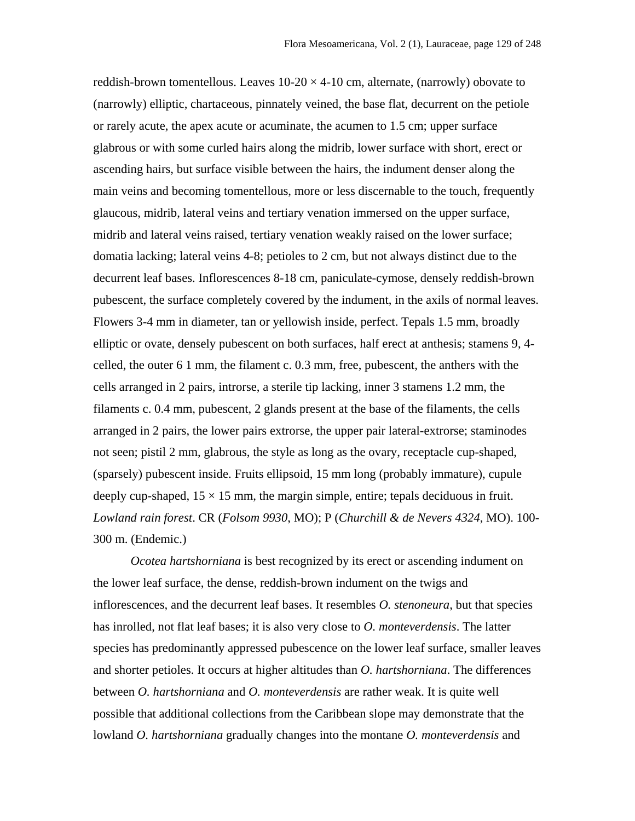reddish-brown tomentellous. Leaves  $10-20 \times 4-10$  cm, alternate, (narrowly) obovate to (narrowly) elliptic, chartaceous, pinnately veined, the base flat, decurrent on the petiole or rarely acute, the apex acute or acuminate, the acumen to 1.5 cm; upper surface glabrous or with some curled hairs along the midrib, lower surface with short, erect or ascending hairs, but surface visible between the hairs, the indument denser along the main veins and becoming tomentellous, more or less discernable to the touch, frequently glaucous, midrib, lateral veins and tertiary venation immersed on the upper surface, midrib and lateral veins raised, tertiary venation weakly raised on the lower surface; domatia lacking; lateral veins 4-8; petioles to 2 cm, but not always distinct due to the decurrent leaf bases. Inflorescences 8-18 cm, paniculate-cymose, densely reddish-brown pubescent, the surface completely covered by the indument, in the axils of normal leaves. Flowers 3-4 mm in diameter, tan or yellowish inside, perfect. Tepals 1.5 mm, broadly elliptic or ovate, densely pubescent on both surfaces, half erect at anthesis; stamens 9, 4 celled, the outer 6 1 mm, the filament c. 0.3 mm, free, pubescent, the anthers with the cells arranged in 2 pairs, introrse, a sterile tip lacking, inner 3 stamens 1.2 mm, the filaments c. 0.4 mm, pubescent, 2 glands present at the base of the filaments, the cells arranged in 2 pairs, the lower pairs extrorse, the upper pair lateral-extrorse; staminodes not seen; pistil 2 mm, glabrous, the style as long as the ovary, receptacle cup-shaped, (sparsely) pubescent inside. Fruits ellipsoid, 15 mm long (probably immature), cupule deeply cup-shaped,  $15 \times 15$  mm, the margin simple, entire; tepals deciduous in fruit. *Lowland rain forest*. CR (*Folsom 9930*, MO); P (*Churchill & de Nevers 4324*, MO). 100- 300 m. (Endemic.)

*Ocotea hartshorniana* is best recognized by its erect or ascending indument on the lower leaf surface, the dense, reddish-brown indument on the twigs and inflorescences, and the decurrent leaf bases. It resembles *O. stenoneura*, but that species has inrolled, not flat leaf bases; it is also very close to *O. monteverdensis*. The latter species has predominantly appressed pubescence on the lower leaf surface, smaller leaves and shorter petioles. It occurs at higher altitudes than *O. hartshorniana*. The differences between *O. hartshorniana* and *O. monteverdensis* are rather weak. It is quite well possible that additional collections from the Caribbean slope may demonstrate that the lowland *O. hartshorniana* gradually changes into the montane *O. monteverdensis* and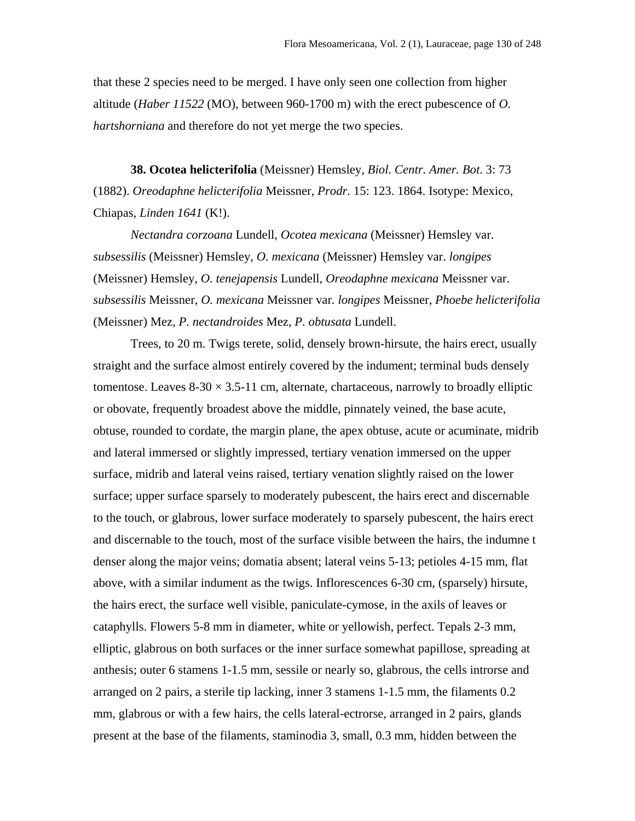that these 2 species need to be merged. I have only seen one collection from higher altitude (*Haber 11522* (MO), between 960-1700 m) with the erect pubescence of *O. hartshorniana* and therefore do not yet merge the two species.

**38. Ocotea helicterifolia** (Meissner) Hemsley*, Biol. Centr. Amer. Bot*. 3: 73 (1882). *Oreodaphne helicterifolia* Meissner, *Prodr.* 15: 123. 1864. Isotype: Mexico, Chiapas, *Linden 1641* (K!).

*Nectandra corzoana* Lundell, *Ocotea mexicana* (Meissner) Hemsley var. *subsessilis* (Meissner) Hemsley, *O. mexicana* (Meissner) Hemsley var. *longipes*  (Meissner) Hemsley, *O. tenejapensis* Lundell, *Oreodaphne mexicana* Meissner var. *subsessilis* Meissner, *O. mexicana* Meissner var*. longipes* Meissner, *Phoebe helicterifolia* (Meissner) Mez, *P. nectandroides* Mez, *P. obtusata* Lundell.

Trees, to 20 m. Twigs terete, solid, densely brown-hirsute, the hairs erect, usually straight and the surface almost entirely covered by the indument; terminal buds densely tomentose. Leaves  $8-30 \times 3.5-11$  cm, alternate, chartaceous, narrowly to broadly elliptic or obovate, frequently broadest above the middle, pinnately veined, the base acute, obtuse, rounded to cordate, the margin plane, the apex obtuse, acute or acuminate, midrib and lateral immersed or slightly impressed, tertiary venation immersed on the upper surface, midrib and lateral veins raised, tertiary venation slightly raised on the lower surface; upper surface sparsely to moderately pubescent, the hairs erect and discernable to the touch, or glabrous, lower surface moderately to sparsely pubescent, the hairs erect and discernable to the touch, most of the surface visible between the hairs, the indumne t denser along the major veins; domatia absent; lateral veins 5-13; petioles 4-15 mm, flat above, with a similar indument as the twigs. Inflorescences 6-30 cm, (sparsely) hirsute, the hairs erect, the surface well visible, paniculate-cymose, in the axils of leaves or cataphylls. Flowers 5-8 mm in diameter, white or yellowish, perfect. Tepals 2-3 mm, elliptic, glabrous on both surfaces or the inner surface somewhat papillose, spreading at anthesis; outer 6 stamens 1-1.5 mm, sessile or nearly so, glabrous, the cells introrse and arranged on 2 pairs, a sterile tip lacking, inner 3 stamens 1-1.5 mm, the filaments 0.2 mm, glabrous or with a few hairs, the cells lateral-ectrorse, arranged in 2 pairs, glands present at the base of the filaments, staminodia 3, small, 0.3 mm, hidden between the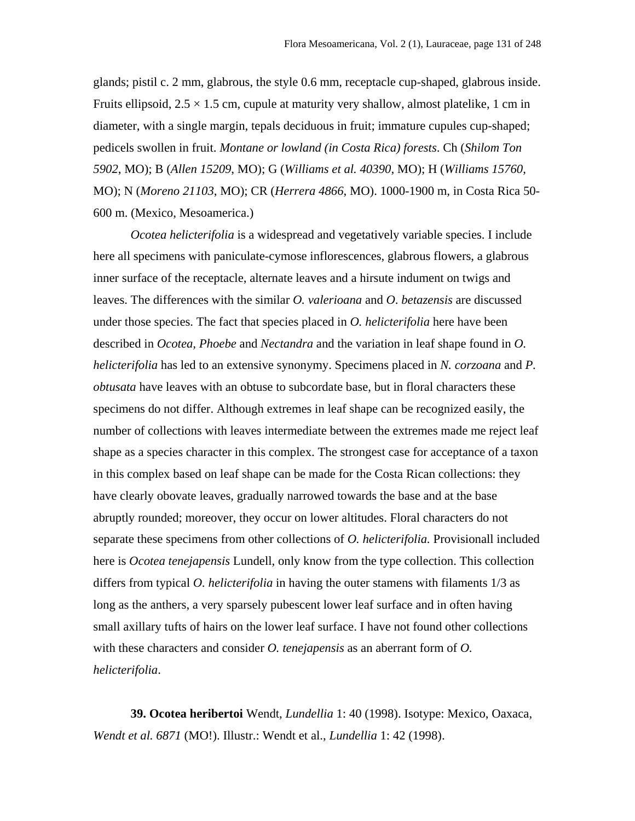glands; pistil c. 2 mm, glabrous, the style 0.6 mm, receptacle cup-shaped, glabrous inside. Fruits ellipsoid,  $2.5 \times 1.5$  cm, cupule at maturity very shallow, almost platelike, 1 cm in diameter, with a single margin, tepals deciduous in fruit; immature cupules cup-shaped; pedicels swollen in fruit. *Montane or lowland (in Costa Rica) forests*. Ch (*Shilom Ton 5902*, MO); B (*Allen 15209*, MO); G (*Williams et al. 40390*, MO); H (*Williams 15760*, MO); N (*Moreno 21103*, MO); CR (*Herrera 4866*, MO). 1000-1900 m, in Costa Rica 50- 600 m. (Mexico, Mesoamerica.)

*Ocotea helicterifolia* is a widespread and vegetatively variable species. I include here all specimens with paniculate-cymose inflorescences, glabrous flowers, a glabrous inner surface of the receptacle, alternate leaves and a hirsute indument on twigs and leaves. The differences with the similar *O. valerioana* and *O*. *betazensis* are discussed under those species. The fact that species placed in *O. helicterifolia* here have been described in *Ocotea, Phoebe* and *Nectandra* and the variation in leaf shape found in *O. helicterifolia* has led to an extensive synonymy. Specimens placed in *N. corzoana* and *P. obtusata* have leaves with an obtuse to subcordate base, but in floral characters these specimens do not differ. Although extremes in leaf shape can be recognized easily, the number of collections with leaves intermediate between the extremes made me reject leaf shape as a species character in this complex. The strongest case for acceptance of a taxon in this complex based on leaf shape can be made for the Costa Rican collections: they have clearly obovate leaves, gradually narrowed towards the base and at the base abruptly rounded; moreover, they occur on lower altitudes. Floral characters do not separate these specimens from other collections of *O. helicterifolia.* Provisionall included here is *Ocotea tenejapensis* Lundell, only know from the type collection. This collection differs from typical *O. helicterifolia* in having the outer stamens with filaments 1/3 as long as the anthers, a very sparsely pubescent lower leaf surface and in often having small axillary tufts of hairs on the lower leaf surface. I have not found other collections with these characters and consider *O. tenejapensis* as an aberrant form of *O. helicterifolia*.

**39. Ocotea heribertoi** Wendt, *Lundellia* 1: 40 (1998). Isotype: Mexico, Oaxaca, *Wendt et al. 6871* (MO!). Illustr.: Wendt et al., *Lundellia* 1: 42 (1998).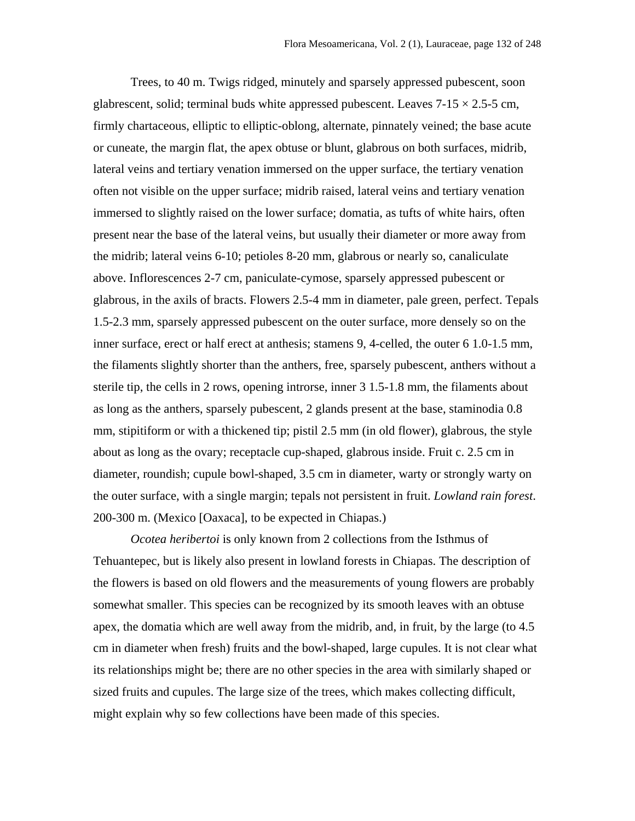Trees, to 40 m. Twigs ridged, minutely and sparsely appressed pubescent, soon glabrescent, solid; terminal buds white appressed pubescent. Leaves  $7-15 \times 2.5-5$  cm, firmly chartaceous, elliptic to elliptic-oblong, alternate, pinnately veined; the base acute or cuneate, the margin flat, the apex obtuse or blunt, glabrous on both surfaces, midrib, lateral veins and tertiary venation immersed on the upper surface, the tertiary venation often not visible on the upper surface; midrib raised, lateral veins and tertiary venation immersed to slightly raised on the lower surface; domatia, as tufts of white hairs, often present near the base of the lateral veins, but usually their diameter or more away from the midrib; lateral veins 6-10; petioles 8-20 mm, glabrous or nearly so, canaliculate above. Inflorescences 2-7 cm, paniculate-cymose, sparsely appressed pubescent or glabrous, in the axils of bracts. Flowers 2.5-4 mm in diameter, pale green, perfect. Tepals 1.5-2.3 mm, sparsely appressed pubescent on the outer surface, more densely so on the inner surface, erect or half erect at anthesis; stamens 9, 4-celled, the outer 6 1.0-1.5 mm, the filaments slightly shorter than the anthers, free, sparsely pubescent, anthers without a sterile tip, the cells in 2 rows, opening introrse, inner 3 1.5-1.8 mm, the filaments about as long as the anthers, sparsely pubescent, 2 glands present at the base, staminodia 0.8 mm, stipitiform or with a thickened tip; pistil 2.5 mm (in old flower), glabrous, the style about as long as the ovary; receptacle cup-shaped, glabrous inside. Fruit c. 2.5 cm in diameter, roundish; cupule bowl-shaped, 3.5 cm in diameter, warty or strongly warty on the outer surface, with a single margin; tepals not persistent in fruit. *Lowland rain forest*. 200-300 m. (Mexico [Oaxaca], to be expected in Chiapas.)

*Ocotea heribertoi* is only known from 2 collections from the Isthmus of Tehuantepec, but is likely also present in lowland forests in Chiapas. The description of the flowers is based on old flowers and the measurements of young flowers are probably somewhat smaller. This species can be recognized by its smooth leaves with an obtuse apex, the domatia which are well away from the midrib, and, in fruit, by the large (to 4.5 cm in diameter when fresh) fruits and the bowl-shaped, large cupules. It is not clear what its relationships might be; there are no other species in the area with similarly shaped or sized fruits and cupules. The large size of the trees, which makes collecting difficult, might explain why so few collections have been made of this species.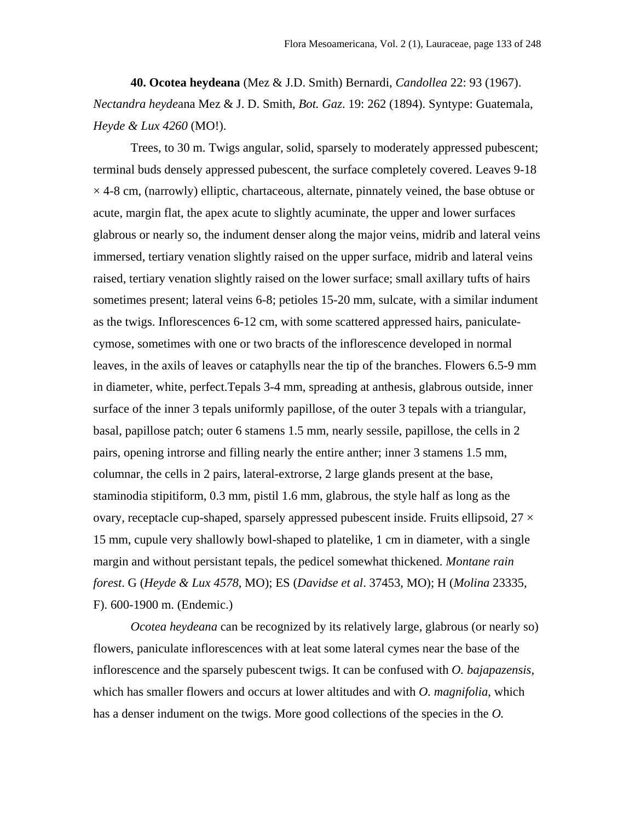**40. Ocotea heydeana** (Mez & J.D. Smith) Bernardi, *Candollea* 22: 93 (1967). *Nectandra heyde*ana Mez & J. D. Smith, *Bot. Gaz*. 19: 262 (1894). Syntype: Guatemala, *Heyde & Lux 4260* (MO!).

Trees, to 30 m. Twigs angular, solid, sparsely to moderately appressed pubescent; terminal buds densely appressed pubescent, the surface completely covered. Leaves 9-18  $\times$  4-8 cm, (narrowly) elliptic, chartaceous, alternate, pinnately veined, the base obtuse or acute, margin flat, the apex acute to slightly acuminate, the upper and lower surfaces glabrous or nearly so, the indument denser along the major veins, midrib and lateral veins immersed, tertiary venation slightly raised on the upper surface, midrib and lateral veins raised, tertiary venation slightly raised on the lower surface; small axillary tufts of hairs sometimes present; lateral veins 6-8; petioles 15-20 mm, sulcate, with a similar indument as the twigs. Inflorescences 6-12 cm, with some scattered appressed hairs, paniculatecymose, sometimes with one or two bracts of the inflorescence developed in normal leaves, in the axils of leaves or cataphylls near the tip of the branches. Flowers 6.5-9 mm in diameter, white, perfect.Tepals 3-4 mm, spreading at anthesis, glabrous outside, inner surface of the inner 3 tepals uniformly papillose, of the outer 3 tepals with a triangular, basal, papillose patch; outer 6 stamens 1.5 mm, nearly sessile, papillose, the cells in 2 pairs, opening introrse and filling nearly the entire anther; inner 3 stamens 1.5 mm, columnar, the cells in 2 pairs, lateral-extrorse, 2 large glands present at the base, staminodia stipitiform, 0.3 mm, pistil 1.6 mm, glabrous, the style half as long as the ovary, receptacle cup-shaped, sparsely appressed pubescent inside. Fruits ellipsoid,  $27 \times$ 15 mm, cupule very shallowly bowl-shaped to platelike, 1 cm in diameter, with a single margin and without persistant tepals, the pedicel somewhat thickened. *Montane rain forest*. G (*Heyde & Lux 4578*, MO); ES (*Davidse et al*. 37453, MO); H (*Molina* 23335, F). 600-1900 m. (Endemic.)

*Ocotea heydeana* can be recognized by its relatively large, glabrous (or nearly so) flowers, paniculate inflorescences with at leat some lateral cymes near the base of the inflorescence and the sparsely pubescent twigs. It can be confused with *O. bajapazensis*, which has smaller flowers and occurs at lower altitudes and with *O. magnifolia*, which has a denser indument on the twigs. More good collections of the species in the *O.*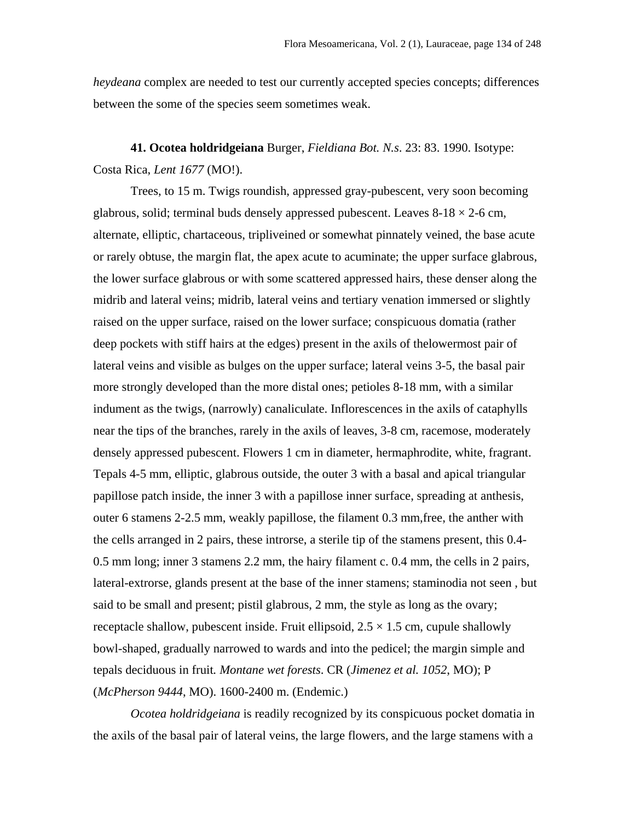*heydeana* complex are needed to test our currently accepted species concepts; differences between the some of the species seem sometimes weak.

**41. Ocotea holdridgeiana** Burger, *Fieldiana Bot. N.s*. 23: 83. 1990. Isotype: Costa Rica, *Lent 1677* (MO!).

Trees, to 15 m. Twigs roundish, appressed gray-pubescent, very soon becoming glabrous, solid; terminal buds densely appressed pubescent. Leaves  $8-18 \times 2-6$  cm, alternate, elliptic, chartaceous, tripliveined or somewhat pinnately veined, the base acute or rarely obtuse, the margin flat, the apex acute to acuminate; the upper surface glabrous, the lower surface glabrous or with some scattered appressed hairs, these denser along the midrib and lateral veins; midrib, lateral veins and tertiary venation immersed or slightly raised on the upper surface, raised on the lower surface; conspicuous domatia (rather deep pockets with stiff hairs at the edges) present in the axils of thelowermost pair of lateral veins and visible as bulges on the upper surface; lateral veins 3-5, the basal pair more strongly developed than the more distal ones; petioles 8-18 mm, with a similar indument as the twigs, (narrowly) canaliculate. Inflorescences in the axils of cataphylls near the tips of the branches, rarely in the axils of leaves, 3-8 cm, racemose, moderately densely appressed pubescent. Flowers 1 cm in diameter, hermaphrodite, white, fragrant. Tepals 4-5 mm, elliptic, glabrous outside, the outer 3 with a basal and apical triangular papillose patch inside, the inner 3 with a papillose inner surface, spreading at anthesis, outer 6 stamens 2-2.5 mm, weakly papillose, the filament 0.3 mm,free, the anther with the cells arranged in 2 pairs, these introrse, a sterile tip of the stamens present, this 0.4- 0.5 mm long; inner 3 stamens 2.2 mm, the hairy filament c. 0.4 mm, the cells in 2 pairs, lateral-extrorse, glands present at the base of the inner stamens; staminodia not seen , but said to be small and present; pistil glabrous, 2 mm, the style as long as the ovary; receptacle shallow, pubescent inside. Fruit ellipsoid,  $2.5 \times 1.5$  cm, cupule shallowly bowl-shaped, gradually narrowed to wards and into the pedicel; the margin simple and tepals deciduous in fruit*. Montane wet forests*. CR (*Jimenez et al. 1052*, MO); P (*McPherson 9444*, MO). 1600-2400 m. (Endemic.)

*Ocotea holdridgeiana* is readily recognized by its conspicuous pocket domatia in the axils of the basal pair of lateral veins, the large flowers, and the large stamens with a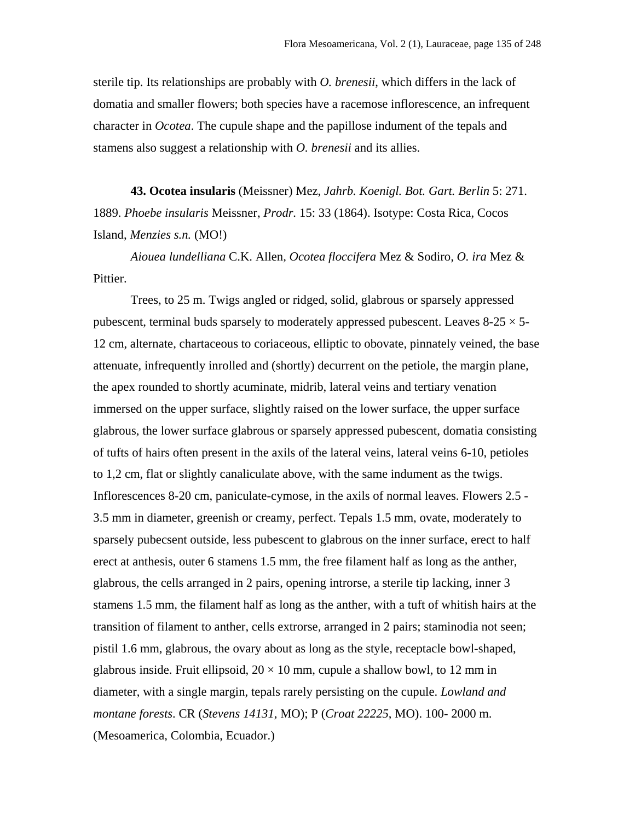sterile tip. Its relationships are probably with *O. brenesii*, which differs in the lack of domatia and smaller flowers; both species have a racemose inflorescence, an infrequent character in *Ocotea*. The cupule shape and the papillose indument of the tepals and stamens also suggest a relationship with *O. brenesii* and its allies.

**43. Ocotea insularis** (Meissner) Mez, *Jahrb. Koenigl. Bot. Gart. Berlin* 5: 271. 1889. *Phoebe insularis* Meissner, *Prodr.* 15: 33 (1864). Isotype: Costa Rica, Cocos Island, *Menzies s.n.* (MO!)

*Aiouea lundelliana* C.K. Allen*, Ocotea floccifera* Mez & Sodiro*, O. ira* Mez & Pittier.

Trees, to 25 m. Twigs angled or ridged, solid, glabrous or sparsely appressed pubescent, terminal buds sparsely to moderately appressed pubescent. Leaves  $8-25 \times 5-$ 12 cm, alternate, chartaceous to coriaceous, elliptic to obovate, pinnately veined, the base attenuate, infrequently inrolled and (shortly) decurrent on the petiole, the margin plane, the apex rounded to shortly acuminate, midrib, lateral veins and tertiary venation immersed on the upper surface, slightly raised on the lower surface, the upper surface glabrous, the lower surface glabrous or sparsely appressed pubescent, domatia consisting of tufts of hairs often present in the axils of the lateral veins, lateral veins 6-10, petioles to 1,2 cm, flat or slightly canaliculate above, with the same indument as the twigs. Inflorescences 8-20 cm, paniculate-cymose, in the axils of normal leaves. Flowers 2.5 - 3.5 mm in diameter, greenish or creamy, perfect. Tepals 1.5 mm, ovate, moderately to sparsely pubecsent outside, less pubescent to glabrous on the inner surface, erect to half erect at anthesis, outer 6 stamens 1.5 mm, the free filament half as long as the anther, glabrous, the cells arranged in 2 pairs, opening introrse, a sterile tip lacking, inner 3 stamens 1.5 mm, the filament half as long as the anther, with a tuft of whitish hairs at the transition of filament to anther, cells extrorse, arranged in 2 pairs; staminodia not seen; pistil 1.6 mm, glabrous, the ovary about as long as the style, receptacle bowl-shaped, glabrous inside. Fruit ellipsoid,  $20 \times 10$  mm, cupule a shallow bowl, to 12 mm in diameter, with a single margin, tepals rarely persisting on the cupule. *Lowland and montane forests*. CR (*Stevens 14131*, MO); P (*Croat 22225*, MO). 100- 2000 m. (Mesoamerica, Colombia, Ecuador.)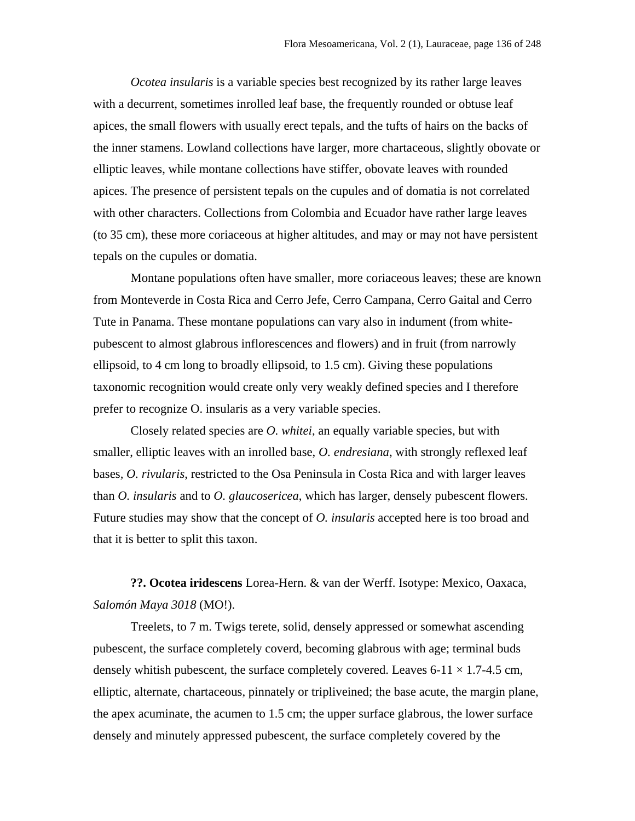*Ocotea insularis* is a variable species best recognized by its rather large leaves with a decurrent, sometimes inrolled leaf base, the frequently rounded or obtuse leaf apices, the small flowers with usually erect tepals, and the tufts of hairs on the backs of the inner stamens. Lowland collections have larger, more chartaceous, slightly obovate or elliptic leaves, while montane collections have stiffer, obovate leaves with rounded apices. The presence of persistent tepals on the cupules and of domatia is not correlated with other characters. Collections from Colombia and Ecuador have rather large leaves (to 35 cm), these more coriaceous at higher altitudes, and may or may not have persistent tepals on the cupules or domatia.

Montane populations often have smaller, more coriaceous leaves; these are known from Monteverde in Costa Rica and Cerro Jefe, Cerro Campana, Cerro Gaital and Cerro Tute in Panama. These montane populations can vary also in indument (from whitepubescent to almost glabrous inflorescences and flowers) and in fruit (from narrowly ellipsoid, to 4 cm long to broadly ellipsoid, to 1.5 cm). Giving these populations taxonomic recognition would create only very weakly defined species and I therefore prefer to recognize O. insularis as a very variable species.

Closely related species are *O. whitei*, an equally variable species, but with smaller, elliptic leaves with an inrolled base, *O. endresiana*, with strongly reflexed leaf bases*, O. rivularis*, restricted to the Osa Peninsula in Costa Rica and with larger leaves than *O. insularis* and to *O. glaucosericea*, which has larger, densely pubescent flowers. Future studies may show that the concept of *O. insularis* accepted here is too broad and that it is better to split this taxon.

**??. Ocotea iridescens** Lorea-Hern. & van der Werff. Isotype: Mexico, Oaxaca, *Salomón Maya 3018* (MO!).

Treelets, to 7 m. Twigs terete, solid, densely appressed or somewhat ascending pubescent, the surface completely coverd, becoming glabrous with age; terminal buds densely whitish pubescent, the surface completely covered. Leaves  $6-11 \times 1.7-4.5$  cm, elliptic, alternate, chartaceous, pinnately or tripliveined; the base acute, the margin plane, the apex acuminate, the acumen to 1.5 cm; the upper surface glabrous, the lower surface densely and minutely appressed pubescent, the surface completely covered by the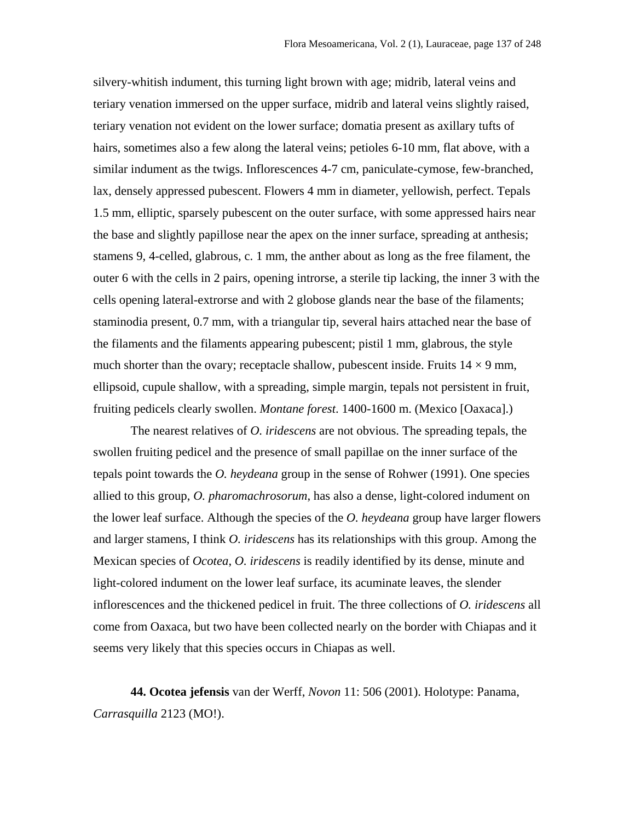silvery-whitish indument, this turning light brown with age; midrib, lateral veins and teriary venation immersed on the upper surface, midrib and lateral veins slightly raised, teriary venation not evident on the lower surface; domatia present as axillary tufts of hairs, sometimes also a few along the lateral veins; petioles 6-10 mm, flat above, with a similar indument as the twigs. Inflorescences 4-7 cm, paniculate-cymose, few-branched, lax, densely appressed pubescent. Flowers 4 mm in diameter, yellowish, perfect. Tepals 1.5 mm, elliptic, sparsely pubescent on the outer surface, with some appressed hairs near the base and slightly papillose near the apex on the inner surface, spreading at anthesis; stamens 9, 4-celled, glabrous, c. 1 mm, the anther about as long as the free filament, the outer 6 with the cells in 2 pairs, opening introrse, a sterile tip lacking, the inner 3 with the cells opening lateral-extrorse and with 2 globose glands near the base of the filaments; staminodia present, 0.7 mm, with a triangular tip, several hairs attached near the base of the filaments and the filaments appearing pubescent; pistil 1 mm, glabrous, the style much shorter than the ovary; receptacle shallow, pubescent inside. Fruits  $14 \times 9$  mm, ellipsoid, cupule shallow, with a spreading, simple margin, tepals not persistent in fruit, fruiting pedicels clearly swollen. *Montane forest*. 1400-1600 m. (Mexico [Oaxaca].)

The nearest relatives of *O. iridescens* are not obvious. The spreading tepals, the swollen fruiting pedicel and the presence of small papillae on the inner surface of the tepals point towards the *O. heydeana* group in the sense of Rohwer (1991). One species allied to this group, *O. pharomachrosorum*, has also a dense, light-colored indument on the lower leaf surface. Although the species of the *O. heydeana* group have larger flowers and larger stamens, I think *O. iridescens* has its relationships with this group. Among the Mexican species of *Ocotea*, *O. iridescens* is readily identified by its dense, minute and light-colored indument on the lower leaf surface, its acuminate leaves, the slender inflorescences and the thickened pedicel in fruit. The three collections of *O. iridescens* all come from Oaxaca, but two have been collected nearly on the border with Chiapas and it seems very likely that this species occurs in Chiapas as well.

**44. Ocotea jefensis** van der Werff, *Novon* 11: 506 (2001). Holotype: Panama, *Carrasquilla* 2123 (MO!).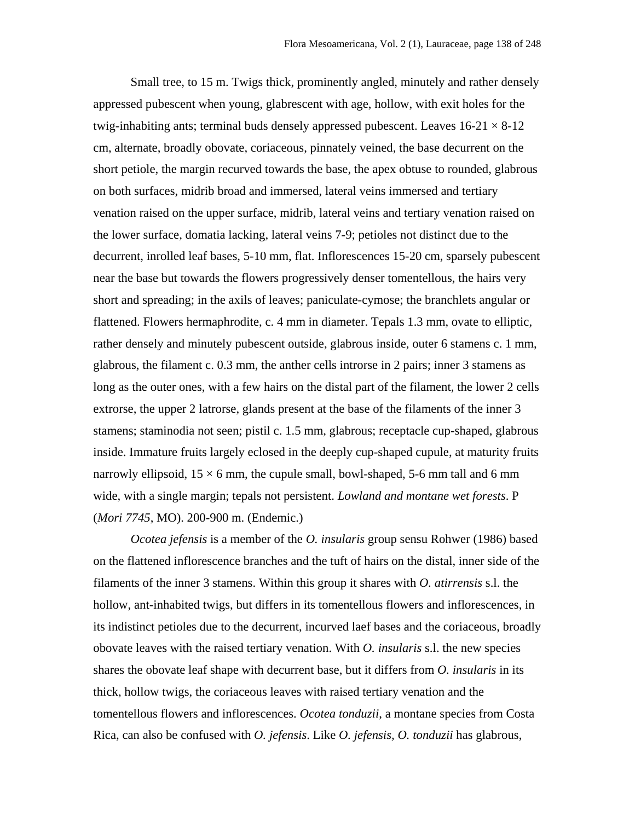Small tree, to 15 m. Twigs thick, prominently angled, minutely and rather densely appressed pubescent when young, glabrescent with age, hollow, with exit holes for the twig-inhabiting ants; terminal buds densely appressed pubescent. Leaves  $16-21 \times 8-12$ cm, alternate, broadly obovate, coriaceous, pinnately veined, the base decurrent on the short petiole, the margin recurved towards the base, the apex obtuse to rounded, glabrous on both surfaces, midrib broad and immersed, lateral veins immersed and tertiary venation raised on the upper surface, midrib, lateral veins and tertiary venation raised on the lower surface, domatia lacking, lateral veins 7-9; petioles not distinct due to the decurrent, inrolled leaf bases, 5-10 mm, flat. Inflorescences 15-20 cm, sparsely pubescent near the base but towards the flowers progressively denser tomentellous, the hairs very short and spreading; in the axils of leaves; paniculate-cymose; the branchlets angular or flattened. Flowers hermaphrodite, c. 4 mm in diameter. Tepals 1.3 mm, ovate to elliptic, rather densely and minutely pubescent outside, glabrous inside, outer 6 stamens c. 1 mm, glabrous, the filament c. 0.3 mm, the anther cells introrse in 2 pairs; inner 3 stamens as long as the outer ones, with a few hairs on the distal part of the filament, the lower 2 cells extrorse, the upper 2 latrorse, glands present at the base of the filaments of the inner 3 stamens; staminodia not seen; pistil c. 1.5 mm, glabrous; receptacle cup-shaped, glabrous inside. Immature fruits largely eclosed in the deeply cup-shaped cupule, at maturity fruits narrowly ellipsoid,  $15 \times 6$  mm, the cupule small, bowl-shaped, 5-6 mm tall and 6 mm wide, with a single margin; tepals not persistent. *Lowland and montane wet forests*. P (*Mori 7745*, MO). 200-900 m. (Endemic.)

*Ocotea jefensis* is a member of the *O. insularis* group sensu Rohwer (1986) based on the flattened inflorescence branches and the tuft of hairs on the distal, inner side of the filaments of the inner 3 stamens. Within this group it shares with *O. atirrensis* s.l. the hollow, ant-inhabited twigs, but differs in its tomentellous flowers and inflorescences, in its indistinct petioles due to the decurrent, incurved laef bases and the coriaceous, broadly obovate leaves with the raised tertiary venation. With *O. insularis* s.l. the new species shares the obovate leaf shape with decurrent base, but it differs from *O. insularis* in its thick, hollow twigs, the coriaceous leaves with raised tertiary venation and the tomentellous flowers and inflorescences. *Ocotea tonduzii*, a montane species from Costa Rica, can also be confused with *O. jefensis*. Like *O. jefensis, O. tonduzii* has glabrous,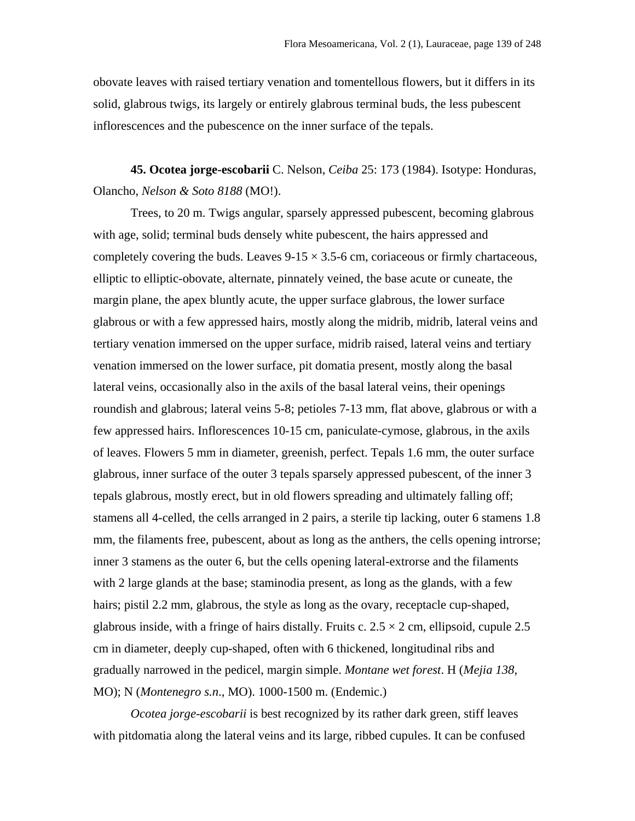obovate leaves with raised tertiary venation and tomentellous flowers, but it differs in its solid, glabrous twigs, its largely or entirely glabrous terminal buds, the less pubescent inflorescences and the pubescence on the inner surface of the tepals.

**45. Ocotea jorge-escobarii** C. Nelson, *Ceiba* 25: 173 (1984). Isotype: Honduras, Olancho, *Nelson & Soto 8188* (MO!).

Trees, to 20 m. Twigs angular, sparsely appressed pubescent, becoming glabrous with age, solid; terminal buds densely white pubescent, the hairs appressed and completely covering the buds. Leaves  $9-15 \times 3.5-6$  cm, coriaceous or firmly chartaceous, elliptic to elliptic-obovate, alternate, pinnately veined, the base acute or cuneate, the margin plane, the apex bluntly acute, the upper surface glabrous, the lower surface glabrous or with a few appressed hairs, mostly along the midrib, midrib, lateral veins and tertiary venation immersed on the upper surface, midrib raised, lateral veins and tertiary venation immersed on the lower surface, pit domatia present, mostly along the basal lateral veins, occasionally also in the axils of the basal lateral veins, their openings roundish and glabrous; lateral veins 5-8; petioles 7-13 mm, flat above, glabrous or with a few appressed hairs. Inflorescences 10-15 cm, paniculate-cymose, glabrous, in the axils of leaves. Flowers 5 mm in diameter, greenish, perfect. Tepals 1.6 mm, the outer surface glabrous, inner surface of the outer 3 tepals sparsely appressed pubescent, of the inner 3 tepals glabrous, mostly erect, but in old flowers spreading and ultimately falling off; stamens all 4-celled, the cells arranged in 2 pairs, a sterile tip lacking, outer 6 stamens 1.8 mm, the filaments free, pubescent, about as long as the anthers, the cells opening introrse; inner 3 stamens as the outer 6, but the cells opening lateral-extrorse and the filaments with 2 large glands at the base; staminodia present, as long as the glands, with a few hairs; pistil 2.2 mm, glabrous, the style as long as the ovary, receptacle cup-shaped, glabrous inside, with a fringe of hairs distally. Fruits c.  $2.5 \times 2$  cm, ellipsoid, cupule 2.5 cm in diameter, deeply cup-shaped, often with 6 thickened, longitudinal ribs and gradually narrowed in the pedicel, margin simple. *Montane wet forest*. H (*Mejia 138*, MO); N (*Montenegro s.n*., MO). 1000-1500 m. (Endemic.)

*Ocotea jorge-escobarii* is best recognized by its rather dark green, stiff leaves with pitdomatia along the lateral veins and its large, ribbed cupules. It can be confused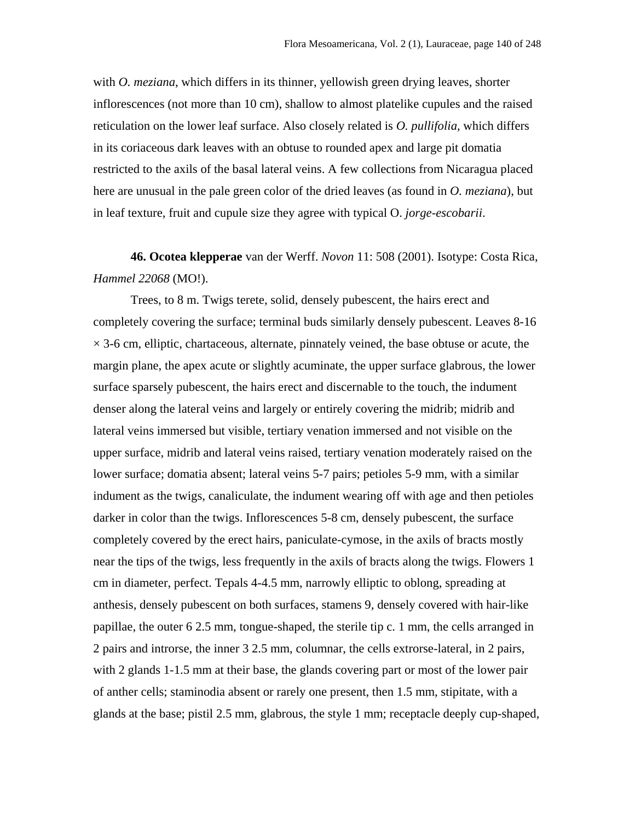with *O. meziana*, which differs in its thinner, yellowish green drying leaves, shorter inflorescences (not more than 10 cm), shallow to almost platelike cupules and the raised reticulation on the lower leaf surface. Also closely related is *O. pullifolia*, which differs in its coriaceous dark leaves with an obtuse to rounded apex and large pit domatia restricted to the axils of the basal lateral veins. A few collections from Nicaragua placed here are unusual in the pale green color of the dried leaves (as found in *O. meziana*), but in leaf texture, fruit and cupule size they agree with typical O. *jorge-escobarii*.

**46. Ocotea klepperae** van der Werff. *Novon* 11: 508 (2001). Isotype: Costa Rica, *Hammel 22068* (MO!).

Trees, to 8 m. Twigs terete, solid, densely pubescent, the hairs erect and completely covering the surface; terminal buds similarly densely pubescent. Leaves 8-16  $\times$  3-6 cm, elliptic, chartaceous, alternate, pinnately veined, the base obtuse or acute, the margin plane, the apex acute or slightly acuminate, the upper surface glabrous, the lower surface sparsely pubescent, the hairs erect and discernable to the touch, the indument denser along the lateral veins and largely or entirely covering the midrib; midrib and lateral veins immersed but visible, tertiary venation immersed and not visible on the upper surface, midrib and lateral veins raised, tertiary venation moderately raised on the lower surface; domatia absent; lateral veins 5-7 pairs; petioles 5-9 mm, with a similar indument as the twigs, canaliculate, the indument wearing off with age and then petioles darker in color than the twigs. Inflorescences 5-8 cm, densely pubescent, the surface completely covered by the erect hairs, paniculate-cymose, in the axils of bracts mostly near the tips of the twigs, less frequently in the axils of bracts along the twigs. Flowers 1 cm in diameter, perfect. Tepals 4-4.5 mm, narrowly elliptic to oblong, spreading at anthesis, densely pubescent on both surfaces, stamens 9, densely covered with hair-like papillae, the outer 6 2.5 mm, tongue-shaped, the sterile tip c. 1 mm, the cells arranged in 2 pairs and introrse, the inner 3 2.5 mm, columnar, the cells extrorse-lateral, in 2 pairs, with 2 glands 1-1.5 mm at their base, the glands covering part or most of the lower pair of anther cells; staminodia absent or rarely one present, then 1.5 mm, stipitate, with a glands at the base; pistil 2.5 mm, glabrous, the style 1 mm; receptacle deeply cup-shaped,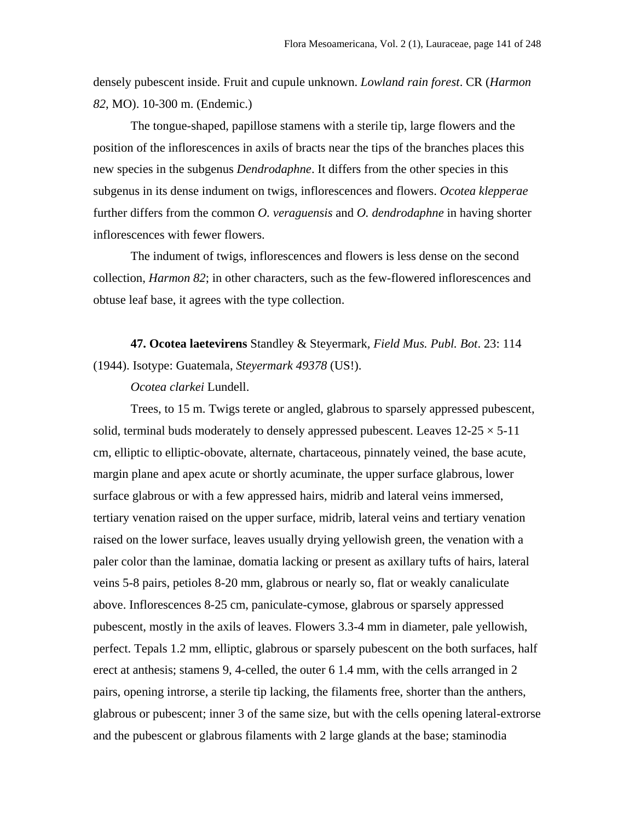densely pubescent inside. Fruit and cupule unknown. *Lowland rain forest*. CR (*Harmon 82*, MO). 10-300 m. (Endemic.)

The tongue-shaped, papillose stamens with a sterile tip, large flowers and the position of the inflorescences in axils of bracts near the tips of the branches places this new species in the subgenus *Dendrodaphne*. It differs from the other species in this subgenus in its dense indument on twigs, inflorescences and flowers. *Ocotea klepperae* further differs from the common *O. veraguensis* and *O. dendrodaphne* in having shorter inflorescences with fewer flowers.

The indument of twigs, inflorescences and flowers is less dense on the second collection, *Harmon 82*; in other characters, such as the few-flowered inflorescences and obtuse leaf base, it agrees with the type collection.

**47. Ocotea laetevirens** Standley & Steyermark*, Field Mus. Publ. Bot*. 23: 114 (1944). Isotype: Guatemala, *Steyermark 49378* (US!).

*Ocotea clarkei* Lundell.

Trees, to 15 m. Twigs terete or angled, glabrous to sparsely appressed pubescent, solid, terminal buds moderately to densely appressed pubescent. Leaves  $12{\text -}25 \times 5{\text -}11$ cm, elliptic to elliptic-obovate, alternate, chartaceous, pinnately veined, the base acute, margin plane and apex acute or shortly acuminate, the upper surface glabrous, lower surface glabrous or with a few appressed hairs, midrib and lateral veins immersed, tertiary venation raised on the upper surface, midrib, lateral veins and tertiary venation raised on the lower surface, leaves usually drying yellowish green, the venation with a paler color than the laminae, domatia lacking or present as axillary tufts of hairs, lateral veins 5-8 pairs, petioles 8-20 mm, glabrous or nearly so, flat or weakly canaliculate above. Inflorescences 8-25 cm, paniculate-cymose, glabrous or sparsely appressed pubescent, mostly in the axils of leaves. Flowers 3.3-4 mm in diameter, pale yellowish, perfect. Tepals 1.2 mm, elliptic, glabrous or sparsely pubescent on the both surfaces, half erect at anthesis; stamens 9, 4-celled, the outer 6 1.4 mm, with the cells arranged in 2 pairs, opening introrse, a sterile tip lacking, the filaments free, shorter than the anthers, glabrous or pubescent; inner 3 of the same size, but with the cells opening lateral-extrorse and the pubescent or glabrous filaments with 2 large glands at the base; staminodia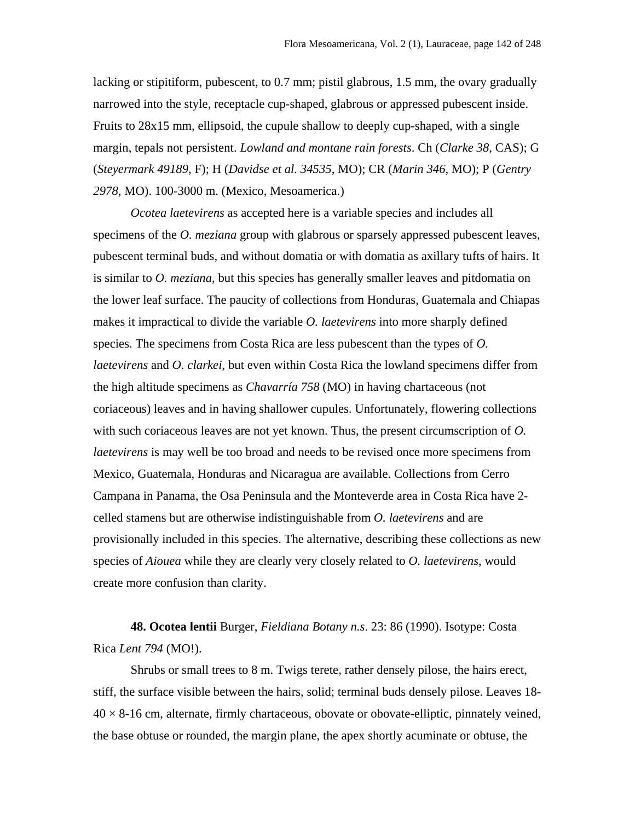lacking or stipitiform, pubescent, to 0.7 mm; pistil glabrous, 1.5 mm, the ovary gradually narrowed into the style, receptacle cup-shaped, glabrous or appressed pubescent inside. Fruits to 28x15 mm, ellipsoid, the cupule shallow to deeply cup-shaped, with a single margin, tepals not persistent. *Lowland and montane rain forests*. Ch (*Clarke 38*, CAS); G (*Steyermark 49189*, F); H (*Davidse et al. 34535*, MO); CR (*Marin 346*, MO); P (*Gentry 2978*, MO). 100-3000 m. (Mexico, Mesoamerica.)

*Ocotea laetevirens* as accepted here is a variable species and includes all specimens of the *O. meziana* group with glabrous or sparsely appressed pubescent leaves, pubescent terminal buds, and without domatia or with domatia as axillary tufts of hairs. It is similar to *O. meziana*, but this species has generally smaller leaves and pitdomatia on the lower leaf surface. The paucity of collections from Honduras, Guatemala and Chiapas makes it impractical to divide the variable *O. laetevirens* into more sharply defined species. The specimens from Costa Rica are less pubescent than the types of *O. laetevirens* and *O. clarkei*, but even within Costa Rica the lowland specimens differ from the high altitude specimens as *Chavarría 758* (MO) in having chartaceous (not coriaceous) leaves and in having shallower cupules. Unfortunately, flowering collections with such coriaceous leaves are not yet known. Thus, the present circumscription of *O. laetevirens* is may well be too broad and needs to be revised once more specimens from Mexico, Guatemala, Honduras and Nicaragua are available. Collections from Cerro Campana in Panama, the Osa Peninsula and the Monteverde area in Costa Rica have 2 celled stamens but are otherwise indistinguishable from *O. laetevirens* and are provisionally included in this species. The alternative, describing these collections as new species of *Aiouea* while they are clearly very closely related to *O. laetevirens*, would create more confusion than clarity.

**48. Ocotea lentii** Burger, *Fieldiana Botany n.s*. 23: 86 (1990). Isotype: Costa Rica *Lent 794* (MO!).

Shrubs or small trees to 8 m. Twigs terete, rather densely pilose, the hairs erect, stiff, the surface visible between the hairs, solid; terminal buds densely pilose. Leaves 18-  $40 \times 8$ -16 cm, alternate, firmly chartaceous, obovate or obovate-elliptic, pinnately veined, the base obtuse or rounded, the margin plane, the apex shortly acuminate or obtuse, the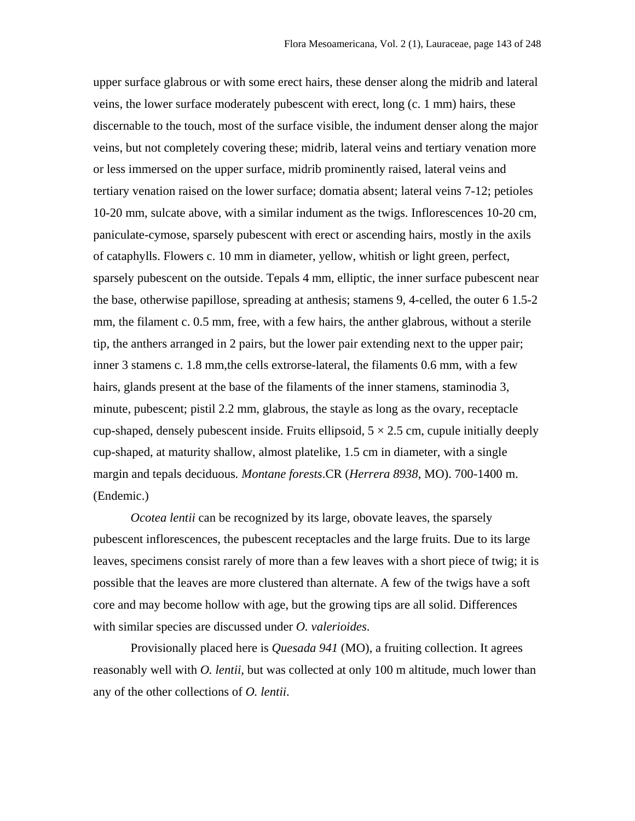upper surface glabrous or with some erect hairs, these denser along the midrib and lateral veins, the lower surface moderately pubescent with erect, long (c. 1 mm) hairs, these discernable to the touch, most of the surface visible, the indument denser along the major veins, but not completely covering these; midrib, lateral veins and tertiary venation more or less immersed on the upper surface, midrib prominently raised, lateral veins and tertiary venation raised on the lower surface; domatia absent; lateral veins 7-12; petioles 10-20 mm, sulcate above, with a similar indument as the twigs. Inflorescences 10-20 cm, paniculate-cymose, sparsely pubescent with erect or ascending hairs, mostly in the axils of cataphylls. Flowers c. 10 mm in diameter, yellow, whitish or light green, perfect, sparsely pubescent on the outside. Tepals 4 mm, elliptic, the inner surface pubescent near the base, otherwise papillose, spreading at anthesis; stamens 9, 4-celled, the outer 6 1.5-2 mm, the filament c. 0.5 mm, free, with a few hairs, the anther glabrous, without a sterile tip, the anthers arranged in 2 pairs, but the lower pair extending next to the upper pair; inner 3 stamens c. 1.8 mm,the cells extrorse-lateral, the filaments 0.6 mm, with a few hairs, glands present at the base of the filaments of the inner stamens, staminodia 3, minute, pubescent; pistil 2.2 mm, glabrous, the stayle as long as the ovary, receptacle cup-shaped, densely pubescent inside. Fruits ellipsoid,  $5 \times 2.5$  cm, cupule initially deeply cup-shaped, at maturity shallow, almost platelike, 1.5 cm in diameter, with a single margin and tepals deciduous*. Montane forests*.CR (*Herrera 8938*, MO). 700-1400 m. (Endemic.)

*Ocotea lentii* can be recognized by its large, obovate leaves, the sparsely pubescent inflorescences, the pubescent receptacles and the large fruits. Due to its large leaves, specimens consist rarely of more than a few leaves with a short piece of twig; it is possible that the leaves are more clustered than alternate. A few of the twigs have a soft core and may become hollow with age, but the growing tips are all solid. Differences with similar species are discussed under *O. valerioides*.

Provisionally placed here is *Quesada 941* (MO), a fruiting collection. It agrees reasonably well with *O. lentii*, but was collected at only 100 m altitude, much lower than any of the other collections of *O. lentii*.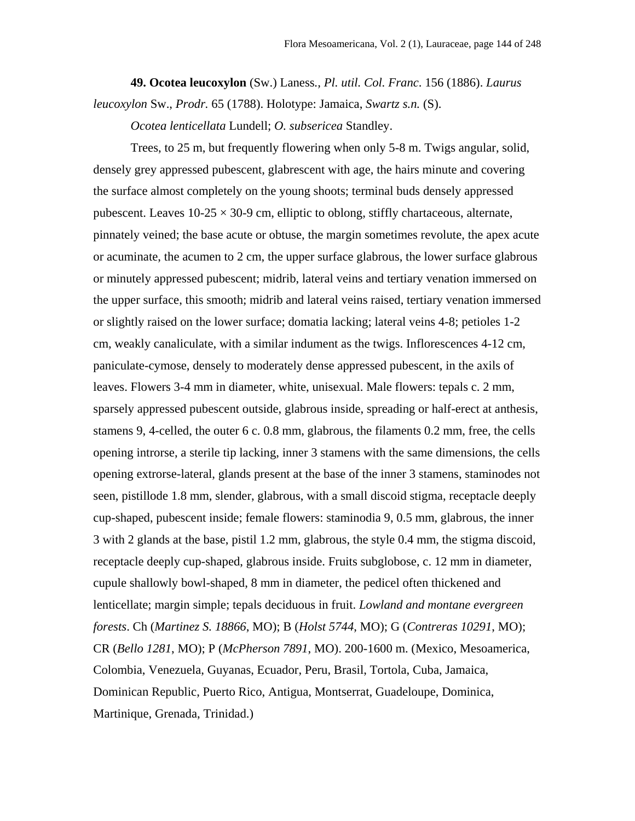**49. Ocotea leucoxylon** (Sw.) Laness*., Pl. util. Col. Franc*. 156 (1886). *Laurus leucoxylon* Sw., *Prodr.* 65 (1788). Holotype: Jamaica, *Swartz s.n.* (S).

*Ocotea lenticellata* Lundell; *O. subsericea* Standley.

Trees, to 25 m, but frequently flowering when only 5-8 m. Twigs angular, solid, densely grey appressed pubescent, glabrescent with age, the hairs minute and covering the surface almost completely on the young shoots; terminal buds densely appressed pubescent. Leaves  $10-25 \times 30-9$  cm, elliptic to oblong, stiffly chartaceous, alternate, pinnately veined; the base acute or obtuse, the margin sometimes revolute, the apex acute or acuminate, the acumen to 2 cm, the upper surface glabrous, the lower surface glabrous or minutely appressed pubescent; midrib, lateral veins and tertiary venation immersed on the upper surface, this smooth; midrib and lateral veins raised, tertiary venation immersed or slightly raised on the lower surface; domatia lacking; lateral veins 4-8; petioles 1-2 cm, weakly canaliculate, with a similar indument as the twigs. Inflorescences 4-12 cm, paniculate-cymose, densely to moderately dense appressed pubescent, in the axils of leaves. Flowers 3-4 mm in diameter, white, unisexual. Male flowers: tepals c. 2 mm, sparsely appressed pubescent outside, glabrous inside, spreading or half-erect at anthesis, stamens 9, 4-celled, the outer 6 c. 0.8 mm, glabrous, the filaments 0.2 mm, free, the cells opening introrse, a sterile tip lacking, inner 3 stamens with the same dimensions, the cells opening extrorse-lateral, glands present at the base of the inner 3 stamens, staminodes not seen, pistillode 1.8 mm, slender, glabrous, with a small discoid stigma, receptacle deeply cup-shaped, pubescent inside; female flowers: staminodia 9, 0.5 mm, glabrous, the inner 3 with 2 glands at the base, pistil 1.2 mm, glabrous, the style 0.4 mm, the stigma discoid, receptacle deeply cup-shaped, glabrous inside. Fruits subglobose, c. 12 mm in diameter, cupule shallowly bowl-shaped, 8 mm in diameter, the pedicel often thickened and lenticellate; margin simple; tepals deciduous in fruit. *Lowland and montane evergreen forests*. Ch (*Martinez S. 18866*, MO); B (*Holst 5744*, MO); G (*Contreras 10291*, MO); CR (*Bello 1281*, MO); P (*McPherson 7891*, MO). 200-1600 m. (Mexico, Mesoamerica, Colombia, Venezuela, Guyanas, Ecuador, Peru, Brasil, Tortola, Cuba, Jamaica, Dominican Republic, Puerto Rico, Antigua, Montserrat, Guadeloupe, Dominica, Martinique, Grenada, Trinidad.)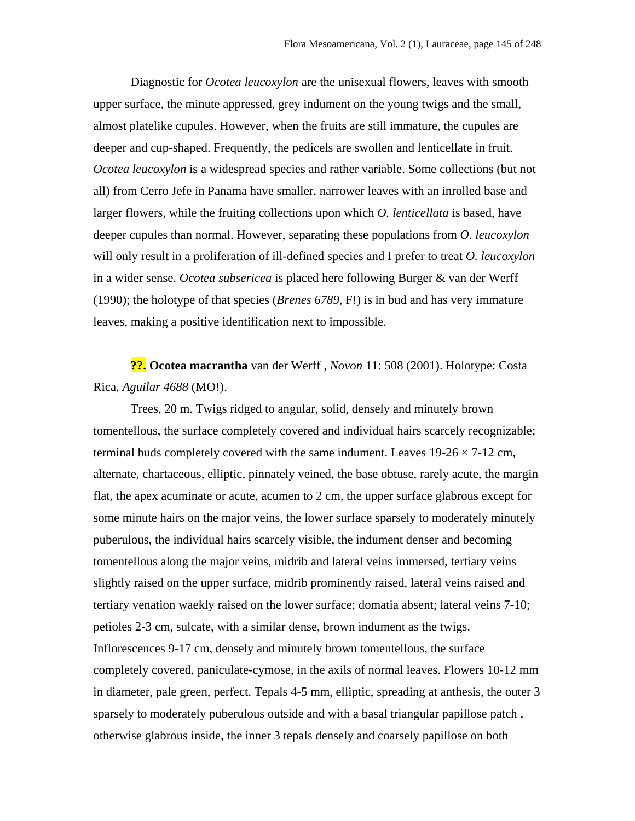Diagnostic for *Ocotea leucoxylon* are the unisexual flowers, leaves with smooth upper surface, the minute appressed, grey indument on the young twigs and the small, almost platelike cupules. However, when the fruits are still immature, the cupules are deeper and cup-shaped. Frequently, the pedicels are swollen and lenticellate in fruit. *Ocotea leucoxylon* is a widespread species and rather variable. Some collections (but not all) from Cerro Jefe in Panama have smaller, narrower leaves with an inrolled base and larger flowers, while the fruiting collections upon which *O. lenticellata* is based, have deeper cupules than normal. However, separating these populations from *O. leucoxylon* will only result in a proliferation of ill-defined species and I prefer to treat *O. leucoxylon* in a wider sense. *Ocotea subsericea* is placed here following Burger & van der Werff (1990); the holotype of that species (*Brenes 6789*, F!) is in bud and has very immature leaves, making a positive identification next to impossible.

**??. Ocotea macrantha** van der Werff *, Novon* 11: 508 (2001). Holotype: Costa Rica, *Aguilar 4688* (MO!).

Trees, 20 m. Twigs ridged to angular, solid, densely and minutely brown tomentellous, the surface completely covered and individual hairs scarcely recognizable; terminal buds completely covered with the same indument. Leaves  $19-26 \times 7-12$  cm, alternate, chartaceous, elliptic, pinnately veined, the base obtuse, rarely acute, the margin flat, the apex acuminate or acute, acumen to 2 cm, the upper surface glabrous except for some minute hairs on the major veins, the lower surface sparsely to moderately minutely puberulous, the individual hairs scarcely visible, the indument denser and becoming tomentellous along the major veins, midrib and lateral veins immersed, tertiary veins slightly raised on the upper surface, midrib prominently raised, lateral veins raised and tertiary venation waekly raised on the lower surface; domatia absent; lateral veins 7-10; petioles 2-3 cm, sulcate, with a similar dense, brown indument as the twigs. Inflorescences 9-17 cm, densely and minutely brown tomentellous, the surface completely covered, paniculate-cymose, in the axils of normal leaves. Flowers 10-12 mm in diameter, pale green, perfect. Tepals 4-5 mm, elliptic, spreading at anthesis, the outer 3 sparsely to moderately puberulous outside and with a basal triangular papillose patch , otherwise glabrous inside, the inner 3 tepals densely and coarsely papillose on both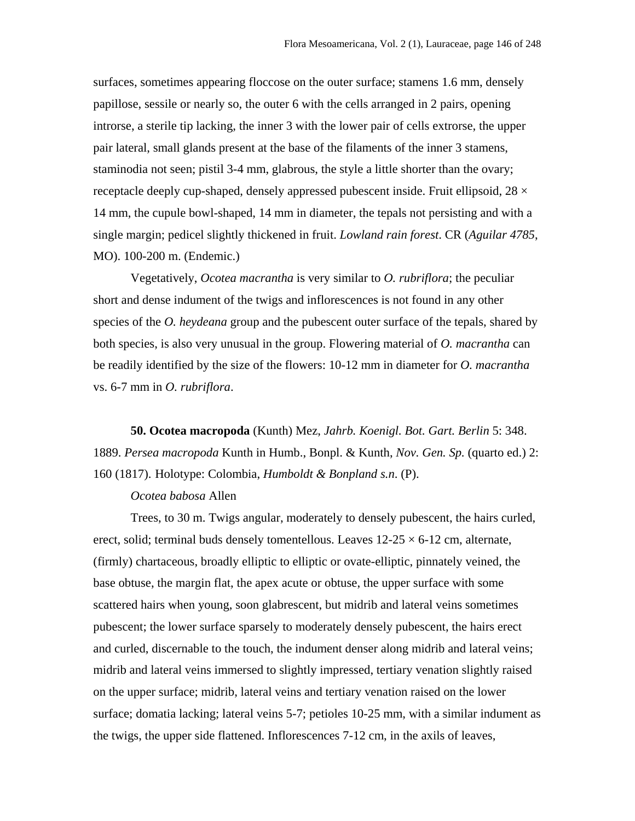surfaces, sometimes appearing floccose on the outer surface; stamens 1.6 mm, densely papillose, sessile or nearly so, the outer 6 with the cells arranged in 2 pairs, opening introrse, a sterile tip lacking, the inner 3 with the lower pair of cells extrorse, the upper pair lateral, small glands present at the base of the filaments of the inner 3 stamens, staminodia not seen; pistil 3-4 mm, glabrous, the style a little shorter than the ovary; receptacle deeply cup-shaped, densely appressed pubescent inside. Fruit ellipsoid,  $28 \times$ 14 mm, the cupule bowl-shaped, 14 mm in diameter, the tepals not persisting and with a single margin; pedicel slightly thickened in fruit. *Lowland rain forest*. CR (*Aguilar 4785*, MO). 100-200 m. (Endemic.)

Vegetatively, *Ocotea macrantha* is very similar to *O. rubriflora*; the peculiar short and dense indument of the twigs and inflorescences is not found in any other species of the *O. heydeana* group and the pubescent outer surface of the tepals, shared by both species, is also very unusual in the group. Flowering material of *O. macrantha* can be readily identified by the size of the flowers: 10-12 mm in diameter for *O. macrantha* vs. 6-7 mm in *O. rubriflora*.

**50. Ocotea macropoda** (Kunth) Mez, *Jahrb. Koenigl. Bot. Gart. Berlin* 5: 348. 1889. *Persea macropoda* Kunth in Humb., Bonpl. & Kunth, *Nov. Gen. Sp.* (quarto ed.) 2: 160 (1817). Holotype: Colombia, *Humboldt & Bonpland s.n*. (P).

## *Ocotea babosa* Allen

Trees, to 30 m. Twigs angular, moderately to densely pubescent, the hairs curled, erect, solid; terminal buds densely tomentellous. Leaves  $12{\text -}25 \times 6{\text -}12$  cm, alternate, (firmly) chartaceous, broadly elliptic to elliptic or ovate-elliptic, pinnately veined, the base obtuse, the margin flat, the apex acute or obtuse, the upper surface with some scattered hairs when young, soon glabrescent, but midrib and lateral veins sometimes pubescent; the lower surface sparsely to moderately densely pubescent, the hairs erect and curled, discernable to the touch, the indument denser along midrib and lateral veins; midrib and lateral veins immersed to slightly impressed, tertiary venation slightly raised on the upper surface; midrib, lateral veins and tertiary venation raised on the lower surface; domatia lacking; lateral veins 5-7; petioles 10-25 mm, with a similar indument as the twigs, the upper side flattened. Inflorescences 7-12 cm, in the axils of leaves,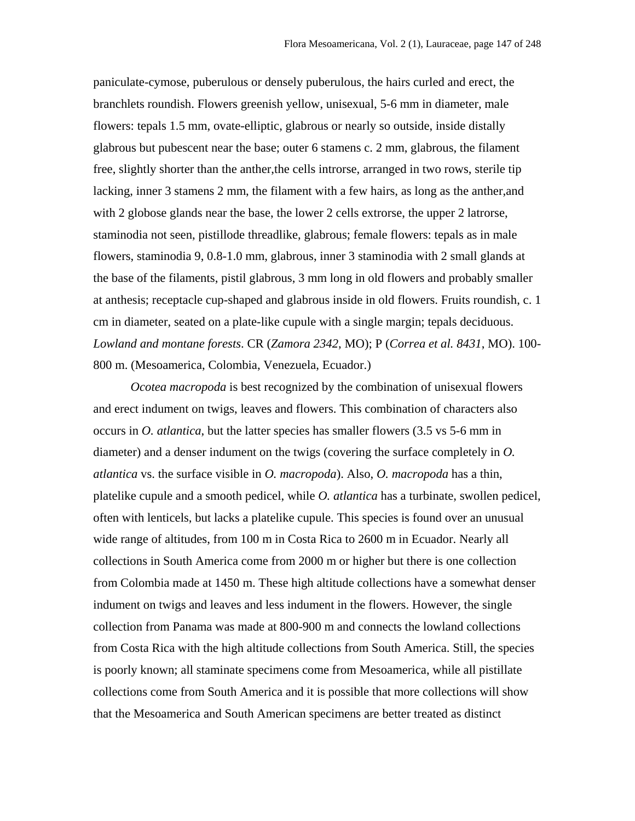paniculate-cymose, puberulous or densely puberulous, the hairs curled and erect, the branchlets roundish. Flowers greenish yellow, unisexual, 5-6 mm in diameter, male flowers: tepals 1.5 mm, ovate-elliptic, glabrous or nearly so outside, inside distally glabrous but pubescent near the base; outer 6 stamens c. 2 mm, glabrous, the filament free, slightly shorter than the anther,the cells introrse, arranged in two rows, sterile tip lacking, inner 3 stamens 2 mm, the filament with a few hairs, as long as the anther,and with 2 globose glands near the base, the lower 2 cells extrorse, the upper 2 latrorse, staminodia not seen, pistillode threadlike, glabrous; female flowers: tepals as in male flowers, staminodia 9, 0.8-1.0 mm, glabrous, inner 3 staminodia with 2 small glands at the base of the filaments, pistil glabrous, 3 mm long in old flowers and probably smaller at anthesis; receptacle cup-shaped and glabrous inside in old flowers. Fruits roundish, c. 1 cm in diameter, seated on a plate-like cupule with a single margin; tepals deciduous. *Lowland and montane forests*. CR (*Zamora 2342*, MO); P (*Correa et al. 8431*, MO). 100- 800 m. (Mesoamerica, Colombia, Venezuela, Ecuador.)

*Ocotea macropoda* is best recognized by the combination of unisexual flowers and erect indument on twigs, leaves and flowers. This combination of characters also occurs in *O. atlantica*, but the latter species has smaller flowers (3.5 vs 5-6 mm in diameter) and a denser indument on the twigs (covering the surface completely in *O. atlantica* vs. the surface visible in *O. macropoda*). Also, *O. macropoda* has a thin, platelike cupule and a smooth pedicel, while *O. atlantica* has a turbinate, swollen pedicel, often with lenticels, but lacks a platelike cupule. This species is found over an unusual wide range of altitudes, from 100 m in Costa Rica to 2600 m in Ecuador. Nearly all collections in South America come from 2000 m or higher but there is one collection from Colombia made at 1450 m. These high altitude collections have a somewhat denser indument on twigs and leaves and less indument in the flowers. However, the single collection from Panama was made at 800-900 m and connects the lowland collections from Costa Rica with the high altitude collections from South America. Still, the species is poorly known; all staminate specimens come from Mesoamerica, while all pistillate collections come from South America and it is possible that more collections will show that the Mesoamerica and South American specimens are better treated as distinct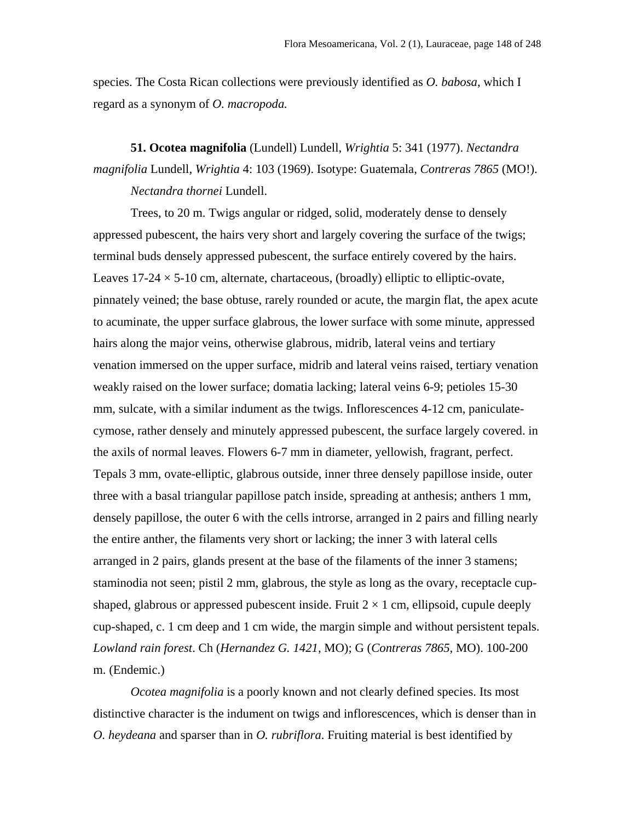species. The Costa Rican collections were previously identified as *O. babosa*, which I regard as a synonym of *O. macropoda.* 

## **51. Ocotea magnifolia** (Lundell) Lundell, *Wrightia* 5: 341 (1977). *Nectandra magnifolia* Lundell, *Wrightia* 4: 103 (1969). Isotype: Guatemala, *Contreras 7865* (MO!). *Nectandra thornei* Lundell.

Trees, to 20 m. Twigs angular or ridged, solid, moderately dense to densely appressed pubescent, the hairs very short and largely covering the surface of the twigs; terminal buds densely appressed pubescent, the surface entirely covered by the hairs. Leaves  $17-24 \times 5-10$  cm, alternate, chartaceous, (broadly) elliptic to elliptic-ovate, pinnately veined; the base obtuse, rarely rounded or acute, the margin flat, the apex acute to acuminate, the upper surface glabrous, the lower surface with some minute, appressed hairs along the major veins, otherwise glabrous, midrib, lateral veins and tertiary venation immersed on the upper surface, midrib and lateral veins raised, tertiary venation weakly raised on the lower surface; domatia lacking; lateral veins 6-9; petioles 15-30 mm, sulcate, with a similar indument as the twigs. Inflorescences 4-12 cm, paniculatecymose, rather densely and minutely appressed pubescent, the surface largely covered. in the axils of normal leaves. Flowers 6-7 mm in diameter, yellowish, fragrant, perfect. Tepals 3 mm, ovate-elliptic, glabrous outside, inner three densely papillose inside, outer three with a basal triangular papillose patch inside, spreading at anthesis; anthers 1 mm, densely papillose, the outer 6 with the cells introrse, arranged in 2 pairs and filling nearly the entire anther, the filaments very short or lacking; the inner 3 with lateral cells arranged in 2 pairs, glands present at the base of the filaments of the inner 3 stamens; staminodia not seen; pistil 2 mm, glabrous, the style as long as the ovary, receptacle cupshaped, glabrous or appressed pubescent inside. Fruit  $2 \times 1$  cm, ellipsoid, cupule deeply cup-shaped, c. 1 cm deep and 1 cm wide, the margin simple and without persistent tepals. *Lowland rain forest*. Ch (*Hernandez G. 1421*, MO); G (*Contreras 7865*, MO). 100-200 m. (Endemic.)

*Ocotea magnifolia* is a poorly known and not clearly defined species. Its most distinctive character is the indument on twigs and inflorescences, which is denser than in *O. heydeana* and sparser than in *O. rubriflora*. Fruiting material is best identified by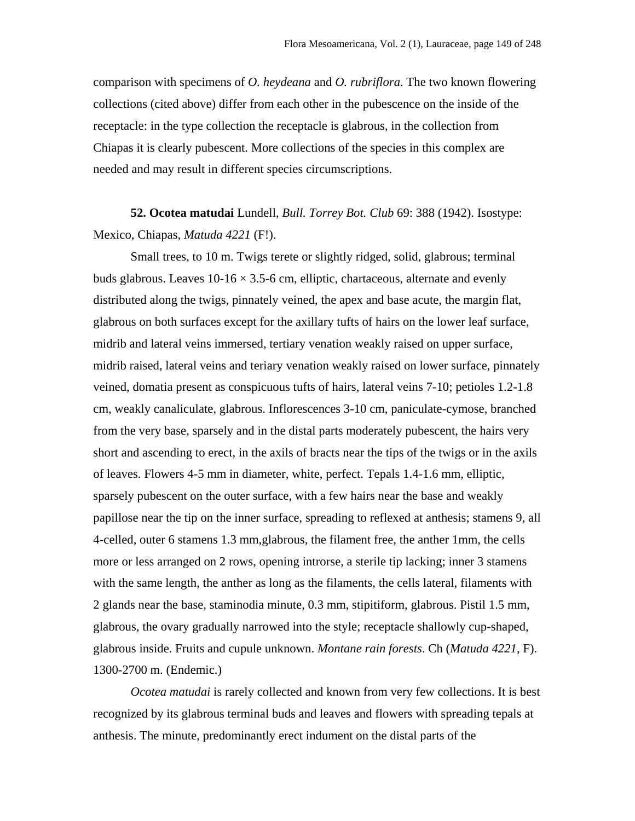comparison with specimens of *O. heydeana* and *O. rubriflora*. The two known flowering collections (cited above) differ from each other in the pubescence on the inside of the receptacle: in the type collection the receptacle is glabrous, in the collection from Chiapas it is clearly pubescent. More collections of the species in this complex are needed and may result in different species circumscriptions.

**52. Ocotea matudai** Lundell, *Bull. Torrey Bot. Club* 69: 388 (1942). Isostype: Mexico, Chiapas, *Matuda 4221* (F!).

Small trees, to 10 m. Twigs terete or slightly ridged, solid, glabrous; terminal buds glabrous. Leaves  $10-16 \times 3.5-6$  cm, elliptic, chartaceous, alternate and evenly distributed along the twigs, pinnately veined, the apex and base acute, the margin flat, glabrous on both surfaces except for the axillary tufts of hairs on the lower leaf surface, midrib and lateral veins immersed, tertiary venation weakly raised on upper surface, midrib raised, lateral veins and teriary venation weakly raised on lower surface, pinnately veined, domatia present as conspicuous tufts of hairs, lateral veins 7-10; petioles 1.2-1.8 cm, weakly canaliculate, glabrous. Inflorescences 3-10 cm, paniculate-cymose, branched from the very base, sparsely and in the distal parts moderately pubescent, the hairs very short and ascending to erect, in the axils of bracts near the tips of the twigs or in the axils of leaves. Flowers 4-5 mm in diameter, white, perfect. Tepals 1.4-1.6 mm, elliptic, sparsely pubescent on the outer surface, with a few hairs near the base and weakly papillose near the tip on the inner surface, spreading to reflexed at anthesis; stamens 9, all 4-celled, outer 6 stamens 1.3 mm,glabrous, the filament free, the anther 1mm, the cells more or less arranged on 2 rows, opening introrse, a sterile tip lacking; inner 3 stamens with the same length, the anther as long as the filaments, the cells lateral, filaments with 2 glands near the base, staminodia minute, 0.3 mm, stipitiform, glabrous. Pistil 1.5 mm, glabrous, the ovary gradually narrowed into the style; receptacle shallowly cup-shaped, glabrous inside. Fruits and cupule unknown. *Montane rain forests*. Ch (*Matuda 4221*, F). 1300-2700 m. (Endemic.)

*Ocotea matudai* is rarely collected and known from very few collections. It is best recognized by its glabrous terminal buds and leaves and flowers with spreading tepals at anthesis. The minute, predominantly erect indument on the distal parts of the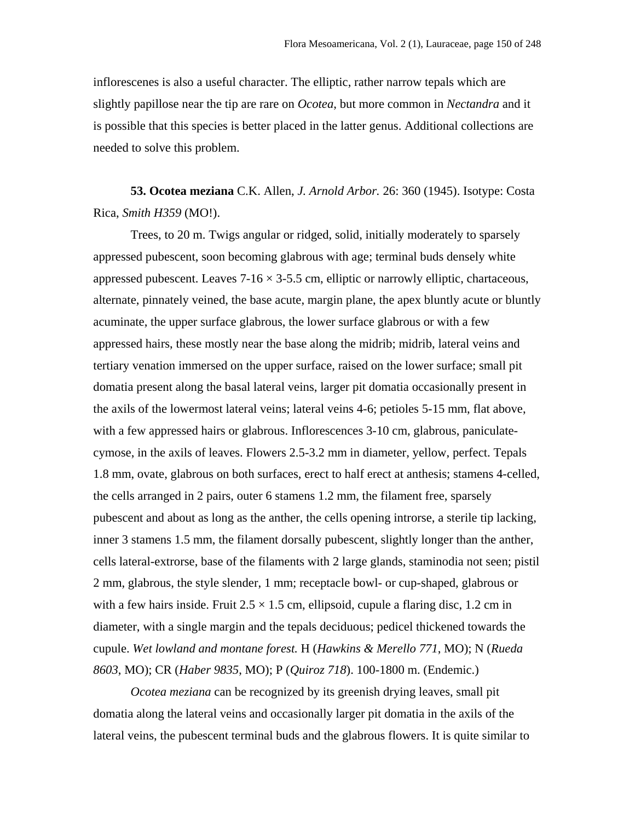inflorescenes is also a useful character. The elliptic, rather narrow tepals which are slightly papillose near the tip are rare on *Ocotea*, but more common in *Nectandra* and it is possible that this species is better placed in the latter genus. Additional collections are needed to solve this problem.

**53. Ocotea meziana** C.K. Allen, *J. Arnold Arbor.* 26: 360 (1945). Isotype: Costa Rica, *Smith H359* (MO!).

Trees, to 20 m. Twigs angular or ridged, solid, initially moderately to sparsely appressed pubescent, soon becoming glabrous with age; terminal buds densely white appressed pubescent. Leaves  $7-16 \times 3-5.5$  cm, elliptic or narrowly elliptic, chartaceous, alternate, pinnately veined, the base acute, margin plane, the apex bluntly acute or bluntly acuminate, the upper surface glabrous, the lower surface glabrous or with a few appressed hairs, these mostly near the base along the midrib; midrib, lateral veins and tertiary venation immersed on the upper surface, raised on the lower surface; small pit domatia present along the basal lateral veins, larger pit domatia occasionally present in the axils of the lowermost lateral veins; lateral veins 4-6; petioles 5-15 mm, flat above, with a few appressed hairs or glabrous. Inflorescences 3-10 cm, glabrous, paniculatecymose, in the axils of leaves. Flowers 2.5-3.2 mm in diameter, yellow, perfect. Tepals 1.8 mm, ovate, glabrous on both surfaces, erect to half erect at anthesis; stamens 4-celled, the cells arranged in 2 pairs, outer 6 stamens 1.2 mm, the filament free, sparsely pubescent and about as long as the anther, the cells opening introrse, a sterile tip lacking, inner 3 stamens 1.5 mm, the filament dorsally pubescent, slightly longer than the anther, cells lateral-extrorse, base of the filaments with 2 large glands, staminodia not seen; pistil 2 mm, glabrous, the style slender, 1 mm; receptacle bowl- or cup-shaped, glabrous or with a few hairs inside. Fruit  $2.5 \times 1.5$  cm, ellipsoid, cupule a flaring disc, 1.2 cm in diameter, with a single margin and the tepals deciduous; pedicel thickened towards the cupule. *Wet lowland and montane forest.* H (*Hawkins & Merello 771*, MO); N (*Rueda 8603*, MO); CR (*Haber 9835*, MO); P (*Quiroz 718*). 100-1800 m. (Endemic.)

*Ocotea meziana* can be recognized by its greenish drying leaves, small pit domatia along the lateral veins and occasionally larger pit domatia in the axils of the lateral veins, the pubescent terminal buds and the glabrous flowers. It is quite similar to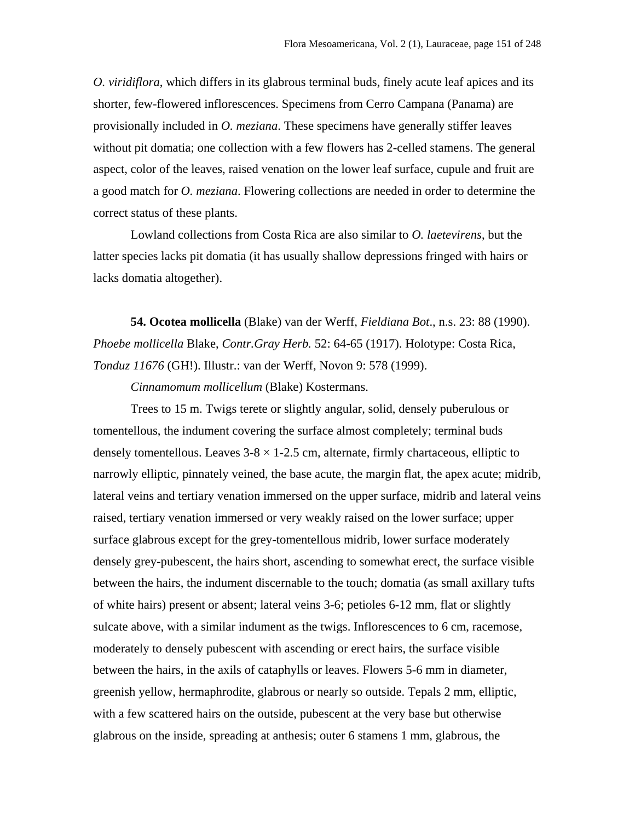*O. viridiflora*, which differs in its glabrous terminal buds, finely acute leaf apices and its shorter, few-flowered inflorescences. Specimens from Cerro Campana (Panama) are provisionally included in *O. meziana*. These specimens have generally stiffer leaves without pit domatia; one collection with a few flowers has 2-celled stamens. The general aspect, color of the leaves, raised venation on the lower leaf surface, cupule and fruit are a good match for *O. meziana*. Flowering collections are needed in order to determine the correct status of these plants.

Lowland collections from Costa Rica are also similar to *O. laetevirens*, but the latter species lacks pit domatia (it has usually shallow depressions fringed with hairs or lacks domatia altogether).

**54. Ocotea mollicella** (Blake) van der Werff, *Fieldiana Bot*., n.s. 23: 88 (1990). *Phoebe mollicella* Blake, *Contr.Gray Herb.* 52: 64-65 (1917). Holotype: Costa Rica, *Tonduz 11676* (GH!). Illustr.: van der Werff, Novon 9: 578 (1999).

*Cinnamomum mollicellum* (Blake) Kostermans.

Trees to 15 m. Twigs terete or slightly angular, solid, densely puberulous or tomentellous, the indument covering the surface almost completely; terminal buds densely tomentellous. Leaves  $3-8 \times 1-2.5$  cm, alternate, firmly chartaceous, elliptic to narrowly elliptic, pinnately veined, the base acute, the margin flat, the apex acute; midrib, lateral veins and tertiary venation immersed on the upper surface, midrib and lateral veins raised, tertiary venation immersed or very weakly raised on the lower surface; upper surface glabrous except for the grey-tomentellous midrib, lower surface moderately densely grey-pubescent, the hairs short, ascending to somewhat erect, the surface visible between the hairs, the indument discernable to the touch; domatia (as small axillary tufts of white hairs) present or absent; lateral veins 3-6; petioles 6-12 mm, flat or slightly sulcate above, with a similar indument as the twigs. Inflorescences to 6 cm, racemose, moderately to densely pubescent with ascending or erect hairs, the surface visible between the hairs, in the axils of cataphylls or leaves. Flowers 5-6 mm in diameter, greenish yellow, hermaphrodite, glabrous or nearly so outside. Tepals 2 mm, elliptic, with a few scattered hairs on the outside, pubescent at the very base but otherwise glabrous on the inside, spreading at anthesis; outer 6 stamens 1 mm, glabrous, the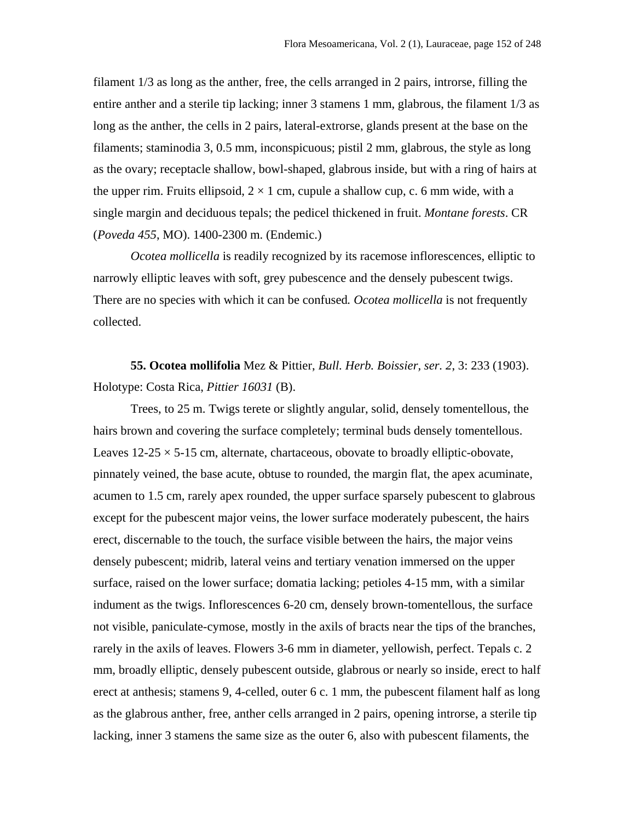filament 1/3 as long as the anther, free, the cells arranged in 2 pairs, introrse, filling the entire anther and a sterile tip lacking; inner 3 stamens 1 mm, glabrous, the filament 1/3 as long as the anther, the cells in 2 pairs, lateral-extrorse, glands present at the base on the filaments; staminodia 3, 0.5 mm, inconspicuous; pistil 2 mm, glabrous, the style as long as the ovary; receptacle shallow, bowl-shaped, glabrous inside, but with a ring of hairs at the upper rim. Fruits ellipsoid,  $2 \times 1$  cm, cupule a shallow cup, c. 6 mm wide, with a single margin and deciduous tepals; the pedicel thickened in fruit. *Montane forests*. CR (*Poveda 455*, MO). 1400-2300 m. (Endemic.)

*Ocotea mollicella* is readily recognized by its racemose inflorescences, elliptic to narrowly elliptic leaves with soft, grey pubescence and the densely pubescent twigs. There are no species with which it can be confused*. Ocotea mollicella* is not frequently collected.

**55. Ocotea mollifolia** Mez & Pittier, *Bull. Herb. Boissier, ser. 2*, 3: 233 (1903). Holotype: Costa Rica, *Pittier 16031* (B).

Trees, to 25 m. Twigs terete or slightly angular, solid, densely tomentellous, the hairs brown and covering the surface completely; terminal buds densely tomentellous. Leaves  $12-25 \times 5-15$  cm, alternate, chartaceous, obovate to broadly elliptic-obovate, pinnately veined, the base acute, obtuse to rounded, the margin flat, the apex acuminate, acumen to 1.5 cm, rarely apex rounded, the upper surface sparsely pubescent to glabrous except for the pubescent major veins, the lower surface moderately pubescent, the hairs erect, discernable to the touch, the surface visible between the hairs, the major veins densely pubescent; midrib, lateral veins and tertiary venation immersed on the upper surface, raised on the lower surface; domatia lacking; petioles 4-15 mm, with a similar indument as the twigs. Inflorescences 6-20 cm, densely brown-tomentellous, the surface not visible, paniculate-cymose, mostly in the axils of bracts near the tips of the branches, rarely in the axils of leaves. Flowers 3-6 mm in diameter, yellowish, perfect. Tepals c. 2 mm, broadly elliptic, densely pubescent outside, glabrous or nearly so inside, erect to half erect at anthesis; stamens 9, 4-celled, outer 6 c. 1 mm, the pubescent filament half as long as the glabrous anther, free, anther cells arranged in 2 pairs, opening introrse, a sterile tip lacking, inner 3 stamens the same size as the outer 6, also with pubescent filaments, the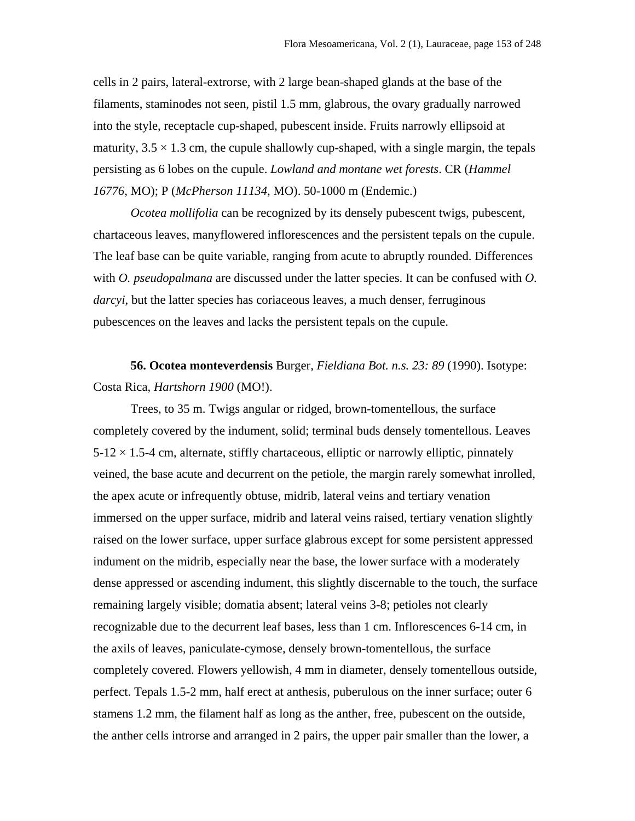cells in 2 pairs, lateral-extrorse, with 2 large bean-shaped glands at the base of the filaments, staminodes not seen, pistil 1.5 mm, glabrous, the ovary gradually narrowed into the style, receptacle cup-shaped, pubescent inside. Fruits narrowly ellipsoid at maturity,  $3.5 \times 1.3$  cm, the cupule shallowly cup-shaped, with a single margin, the tepals persisting as 6 lobes on the cupule. *Lowland and montane wet forests*. CR (*Hammel 16776*, MO); P (*McPherson 11134*, MO). 50-1000 m (Endemic.)

*Ocotea mollifolia* can be recognized by its densely pubescent twigs, pubescent, chartaceous leaves, manyflowered inflorescences and the persistent tepals on the cupule. The leaf base can be quite variable, ranging from acute to abruptly rounded. Differences with *O. pseudopalmana* are discussed under the latter species. It can be confused with *O*. *darcyi*, but the latter species has coriaceous leaves, a much denser, ferruginous pubescences on the leaves and lacks the persistent tepals on the cupule.

**56. Ocotea monteverdensis** Burger, *Fieldiana Bot. n.s. 23: 89* (1990). Isotype: Costa Rica, *Hartshorn 1900* (MO!).

Trees, to 35 m. Twigs angular or ridged, brown-tomentellous, the surface completely covered by the indument, solid; terminal buds densely tomentellous. Leaves  $5-12 \times 1.5-4$  cm, alternate, stiffly chartaceous, elliptic or narrowly elliptic, pinnately veined, the base acute and decurrent on the petiole, the margin rarely somewhat inrolled, the apex acute or infrequently obtuse, midrib, lateral veins and tertiary venation immersed on the upper surface, midrib and lateral veins raised, tertiary venation slightly raised on the lower surface, upper surface glabrous except for some persistent appressed indument on the midrib, especially near the base, the lower surface with a moderately dense appressed or ascending indument, this slightly discernable to the touch, the surface remaining largely visible; domatia absent; lateral veins 3-8; petioles not clearly recognizable due to the decurrent leaf bases, less than 1 cm. Inflorescences 6-14 cm, in the axils of leaves, paniculate-cymose, densely brown-tomentellous, the surface completely covered. Flowers yellowish, 4 mm in diameter, densely tomentellous outside, perfect. Tepals 1.5-2 mm, half erect at anthesis, puberulous on the inner surface; outer 6 stamens 1.2 mm, the filament half as long as the anther, free, pubescent on the outside, the anther cells introrse and arranged in 2 pairs, the upper pair smaller than the lower, a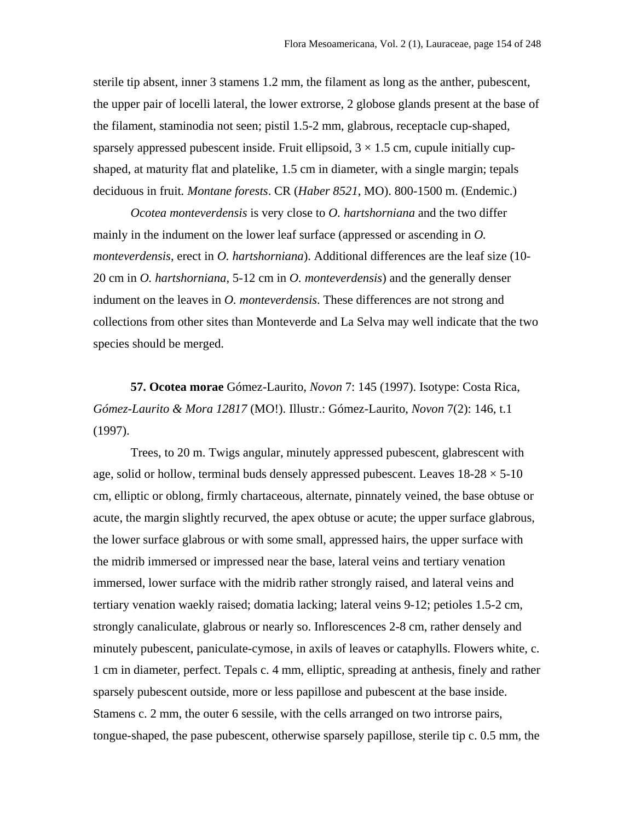sterile tip absent, inner 3 stamens 1.2 mm, the filament as long as the anther, pubescent, the upper pair of locelli lateral, the lower extrorse, 2 globose glands present at the base of the filament, staminodia not seen; pistil 1.5-2 mm, glabrous, receptacle cup-shaped, sparsely appressed pubescent inside. Fruit ellipsoid,  $3 \times 1.5$  cm, cupule initially cupshaped, at maturity flat and platelike, 1.5 cm in diameter, with a single margin; tepals deciduous in fruit*. Montane forests*. CR (*Haber 8521*, MO). 800-1500 m. (Endemic.)

*Ocotea monteverdensis* is very close to *O. hartshorniana* and the two differ mainly in the indument on the lower leaf surface (appressed or ascending in *O. monteverdensis*, erect in *O. hartshorniana*). Additional differences are the leaf size (10- 20 cm in *O. hartshorniana*, 5-12 cm in *O. monteverdensis*) and the generally denser indument on the leaves in *O. monteverdensis*. These differences are not strong and collections from other sites than Monteverde and La Selva may well indicate that the two species should be merged.

**57. Ocotea morae** Gómez-Laurito, *Novon* 7: 145 (1997). Isotype: Costa Rica, *Gómez-Laurito & Mora 12817* (MO!). Illustr.: Gómez-Laurito, *Novon* 7(2): 146, t.1 (1997).

Trees, to 20 m. Twigs angular, minutely appressed pubescent, glabrescent with age, solid or hollow, terminal buds densely appressed pubescent. Leaves  $18-28 \times 5-10$ cm, elliptic or oblong, firmly chartaceous, alternate, pinnately veined, the base obtuse or acute, the margin slightly recurved, the apex obtuse or acute; the upper surface glabrous, the lower surface glabrous or with some small, appressed hairs, the upper surface with the midrib immersed or impressed near the base, lateral veins and tertiary venation immersed, lower surface with the midrib rather strongly raised, and lateral veins and tertiary venation waekly raised; domatia lacking; lateral veins 9-12; petioles 1.5-2 cm, strongly canaliculate, glabrous or nearly so. Inflorescences 2-8 cm, rather densely and minutely pubescent, paniculate-cymose, in axils of leaves or cataphylls. Flowers white, c. 1 cm in diameter, perfect. Tepals c. 4 mm, elliptic, spreading at anthesis, finely and rather sparsely pubescent outside, more or less papillose and pubescent at the base inside. Stamens c. 2 mm, the outer 6 sessile, with the cells arranged on two introrse pairs, tongue-shaped, the pase pubescent, otherwise sparsely papillose, sterile tip c. 0.5 mm, the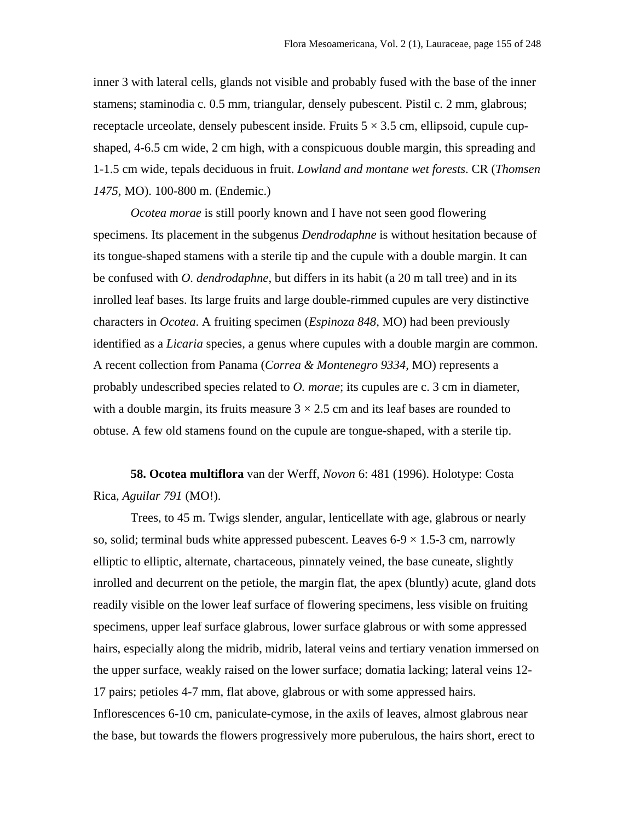inner 3 with lateral cells, glands not visible and probably fused with the base of the inner stamens; staminodia c. 0.5 mm, triangular, densely pubescent. Pistil c. 2 mm, glabrous; receptacle urceolate, densely pubescent inside. Fruits  $5 \times 3.5$  cm, ellipsoid, cupule cupshaped, 4-6.5 cm wide, 2 cm high, with a conspicuous double margin, this spreading and 1-1.5 cm wide, tepals deciduous in fruit. *Lowland and montane wet forests*. CR (*Thomsen 1475*, MO). 100-800 m. (Endemic.)

*Ocotea morae* is still poorly known and I have not seen good flowering specimens. Its placement in the subgenus *Dendrodaphne* is without hesitation because of its tongue-shaped stamens with a sterile tip and the cupule with a double margin. It can be confused with *O. dendrodaphne*, but differs in its habit (a 20 m tall tree) and in its inrolled leaf bases. Its large fruits and large double-rimmed cupules are very distinctive characters in *Ocotea*. A fruiting specimen (*Espinoza 848*, MO) had been previously identified as a *Licaria* species, a genus where cupules with a double margin are common. A recent collection from Panama (*Correa & Montenegro 9334*, MO) represents a probably undescribed species related to *O. morae*; its cupules are c. 3 cm in diameter, with a double margin, its fruits measure  $3 \times 2.5$  cm and its leaf bases are rounded to obtuse. A few old stamens found on the cupule are tongue-shaped, with a sterile tip.

**58. Ocotea multiflora** van der Werff, *Novon* 6: 481 (1996). Holotype: Costa Rica, *Aguilar 791* (MO!).

Trees, to 45 m. Twigs slender, angular, lenticellate with age, glabrous or nearly so, solid; terminal buds white appressed pubescent. Leaves  $6-9 \times 1.5-3$  cm, narrowly elliptic to elliptic, alternate, chartaceous, pinnately veined, the base cuneate, slightly inrolled and decurrent on the petiole, the margin flat, the apex (bluntly) acute, gland dots readily visible on the lower leaf surface of flowering specimens, less visible on fruiting specimens, upper leaf surface glabrous, lower surface glabrous or with some appressed hairs, especially along the midrib, midrib, lateral veins and tertiary venation immersed on the upper surface, weakly raised on the lower surface; domatia lacking; lateral veins 12- 17 pairs; petioles 4-7 mm, flat above, glabrous or with some appressed hairs. Inflorescences 6-10 cm, paniculate-cymose, in the axils of leaves, almost glabrous near the base, but towards the flowers progressively more puberulous, the hairs short, erect to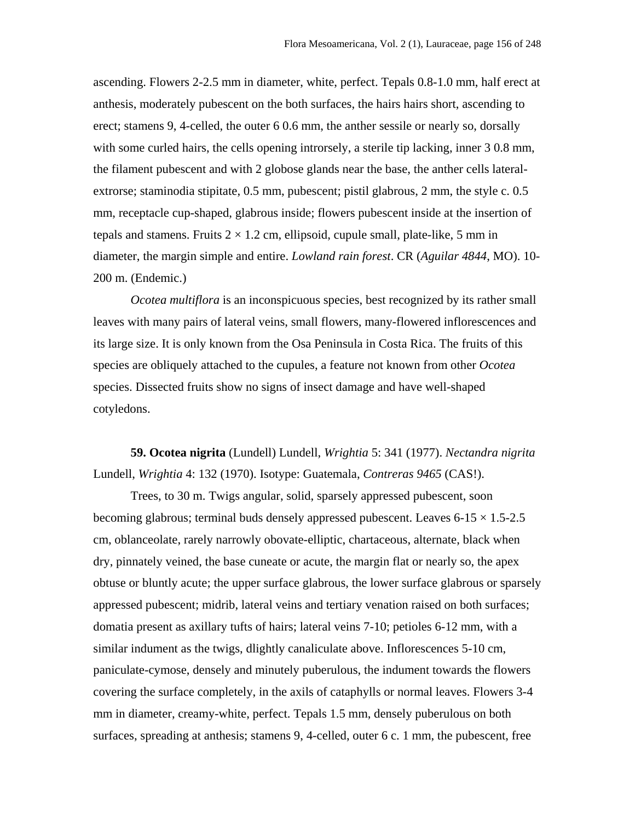ascending. Flowers 2-2.5 mm in diameter, white, perfect. Tepals 0.8-1.0 mm, half erect at anthesis, moderately pubescent on the both surfaces, the hairs hairs short, ascending to erect; stamens 9, 4-celled, the outer 6 0.6 mm, the anther sessile or nearly so, dorsally with some curled hairs, the cells opening introrsely, a sterile tip lacking, inner 3 0.8 mm, the filament pubescent and with 2 globose glands near the base, the anther cells lateralextrorse; staminodia stipitate, 0.5 mm, pubescent; pistil glabrous, 2 mm, the style c. 0.5 mm, receptacle cup-shaped, glabrous inside; flowers pubescent inside at the insertion of tepals and stamens. Fruits  $2 \times 1.2$  cm, ellipsoid, cupule small, plate-like, 5 mm in diameter, the margin simple and entire. *Lowland rain forest*. CR (*Aguilar 4844*, MO). 10- 200 m. (Endemic.)

*Ocotea multiflora* is an inconspicuous species, best recognized by its rather small leaves with many pairs of lateral veins, small flowers, many-flowered inflorescences and its large size. It is only known from the Osa Peninsula in Costa Rica. The fruits of this species are obliquely attached to the cupules, a feature not known from other *Ocotea* species. Dissected fruits show no signs of insect damage and have well-shaped cotyledons.

**59. Ocotea nigrita** (Lundell) Lundell, *Wrightia* 5: 341 (1977). *Nectandra nigrita* Lundell, *Wrightia* 4: 132 (1970). Isotype: Guatemala, *Contreras 9465* (CAS!).

Trees, to 30 m. Twigs angular, solid, sparsely appressed pubescent, soon becoming glabrous; terminal buds densely appressed pubescent. Leaves  $6-15 \times 1.5-2.5$ cm, oblanceolate, rarely narrowly obovate-elliptic, chartaceous, alternate, black when dry, pinnately veined, the base cuneate or acute, the margin flat or nearly so, the apex obtuse or bluntly acute; the upper surface glabrous, the lower surface glabrous or sparsely appressed pubescent; midrib, lateral veins and tertiary venation raised on both surfaces; domatia present as axillary tufts of hairs; lateral veins 7-10; petioles 6-12 mm, with a similar indument as the twigs, dlightly canaliculate above. Inflorescences 5-10 cm, paniculate-cymose, densely and minutely puberulous, the indument towards the flowers covering the surface completely, in the axils of cataphylls or normal leaves. Flowers 3-4 mm in diameter, creamy-white, perfect. Tepals 1.5 mm, densely puberulous on both surfaces, spreading at anthesis; stamens 9, 4-celled, outer 6 c. 1 mm, the pubescent, free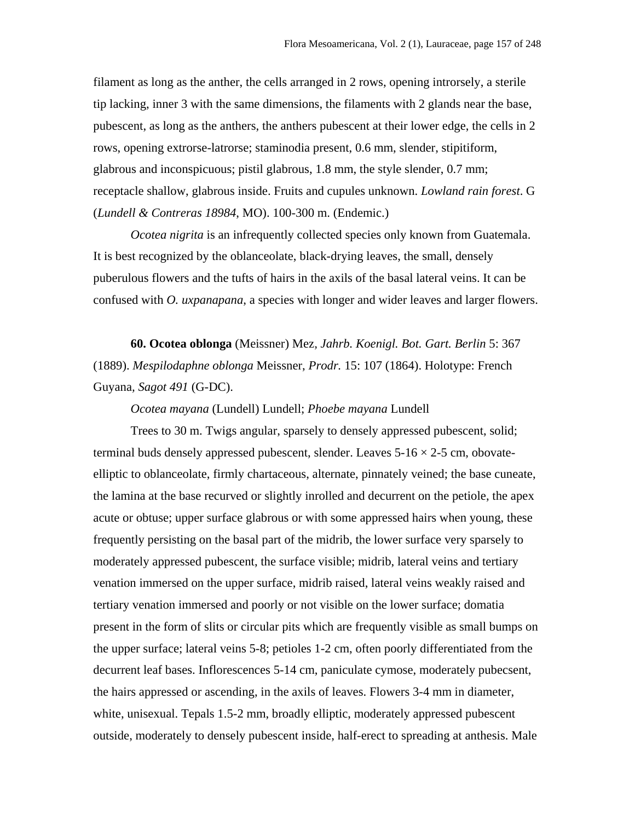filament as long as the anther, the cells arranged in 2 rows, opening introrsely, a sterile tip lacking, inner 3 with the same dimensions, the filaments with 2 glands near the base, pubescent, as long as the anthers, the anthers pubescent at their lower edge, the cells in 2 rows, opening extrorse-latrorse; staminodia present, 0.6 mm, slender, stipitiform, glabrous and inconspicuous; pistil glabrous, 1.8 mm, the style slender, 0.7 mm; receptacle shallow, glabrous inside. Fruits and cupules unknown. *Lowland rain forest*. G (*Lundell & Contreras 18984*, MO). 100-300 m. (Endemic.)

*Ocotea nigrita* is an infrequently collected species only known from Guatemala. It is best recognized by the oblanceolate, black-drying leaves, the small, densely puberulous flowers and the tufts of hairs in the axils of the basal lateral veins. It can be confused with *O. uxpanapana*, a species with longer and wider leaves and larger flowers.

**60. Ocotea oblonga** (Meissner) Mez*, Jahrb. Koenigl. Bot. Gart. Berlin* 5: 367 (1889). *Mespilodaphne oblonga* Meissner, *Prodr.* 15: 107 (1864). Holotype: French Guyana*, Sagot 491* (G-DC).

*Ocotea mayana* (Lundell) Lundell; *Phoebe mayana* Lundell

Trees to 30 m. Twigs angular, sparsely to densely appressed pubescent, solid; terminal buds densely appressed pubescent, slender. Leaves  $5\n-16 \times 2\n-5$  cm, obovateelliptic to oblanceolate, firmly chartaceous, alternate, pinnately veined; the base cuneate, the lamina at the base recurved or slightly inrolled and decurrent on the petiole, the apex acute or obtuse; upper surface glabrous or with some appressed hairs when young, these frequently persisting on the basal part of the midrib, the lower surface very sparsely to moderately appressed pubescent, the surface visible; midrib, lateral veins and tertiary venation immersed on the upper surface, midrib raised, lateral veins weakly raised and tertiary venation immersed and poorly or not visible on the lower surface; domatia present in the form of slits or circular pits which are frequently visible as small bumps on the upper surface; lateral veins 5-8; petioles 1-2 cm, often poorly differentiated from the decurrent leaf bases. Inflorescences 5-14 cm, paniculate cymose, moderately pubecsent, the hairs appressed or ascending, in the axils of leaves. Flowers 3-4 mm in diameter, white, unisexual. Tepals 1.5-2 mm, broadly elliptic, moderately appressed pubescent outside, moderately to densely pubescent inside, half-erect to spreading at anthesis. Male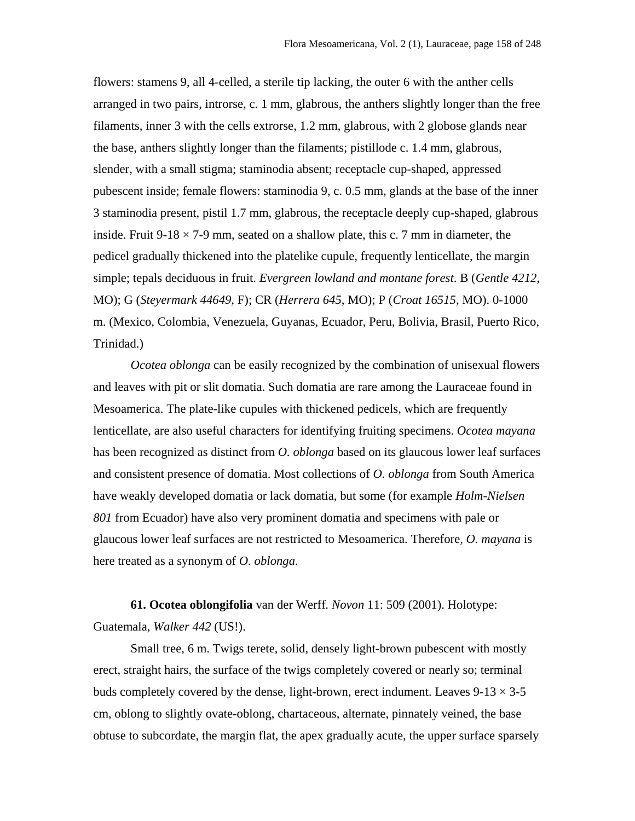flowers: stamens 9, all 4-celled, a sterile tip lacking, the outer 6 with the anther cells arranged in two pairs, introrse, c. 1 mm, glabrous, the anthers slightly longer than the free filaments, inner 3 with the cells extrorse, 1.2 mm, glabrous, with 2 globose glands near the base, anthers slightly longer than the filaments; pistillode c. 1.4 mm, glabrous, slender, with a small stigma; staminodia absent; receptacle cup-shaped, appressed pubescent inside; female flowers: staminodia 9, c. 0.5 mm, glands at the base of the inner 3 staminodia present, pistil 1.7 mm, glabrous, the receptacle deeply cup-shaped, glabrous inside. Fruit  $9-18 \times 7-9$  mm, seated on a shallow plate, this c. 7 mm in diameter, the pedicel gradually thickened into the platelike cupule, frequently lenticellate, the margin simple; tepals deciduous in fruit. *Evergreen lowland and montane forest*. B (*Gentle 4212*, MO); G (*Steyermark 44649*, F); CR (*Herrera 645*, MO); P (*Croat 16515*, MO). 0-1000 m. (Mexico, Colombia, Venezuela, Guyanas, Ecuador, Peru, Bolivia, Brasil, Puerto Rico, Trinidad.)

*Ocotea oblonga* can be easily recognized by the combination of unisexual flowers and leaves with pit or slit domatia. Such domatia are rare among the Lauraceae found in Mesoamerica. The plate-like cupules with thickened pedicels, which are frequently lenticellate, are also useful characters for identifying fruiting specimens. *Ocotea mayana* has been recognized as distinct from *O. oblonga* based on its glaucous lower leaf surfaces and consistent presence of domatia. Most collections of *O. oblonga* from South America have weakly developed domatia or lack domatia, but some (for example *Holm-Nielsen 801* from Ecuador) have also very prominent domatia and specimens with pale or glaucous lower leaf surfaces are not restricted to Mesoamerica. Therefore*, O. mayana* is here treated as a synonym of *O. oblonga*.

**61. Ocotea oblongifolia** van der Werff*. Novon* 11: 509 (2001). Holotype: Guatemala, *Walker 442* (US!).

Small tree, 6 m. Twigs terete, solid, densely light-brown pubescent with mostly erect, straight hairs, the surface of the twigs completely covered or nearly so; terminal buds completely covered by the dense, light-brown, erect indument. Leaves  $9-13 \times 3-5$ cm, oblong to slightly ovate-oblong, chartaceous, alternate, pinnately veined, the base obtuse to subcordate, the margin flat, the apex gradually acute, the upper surface sparsely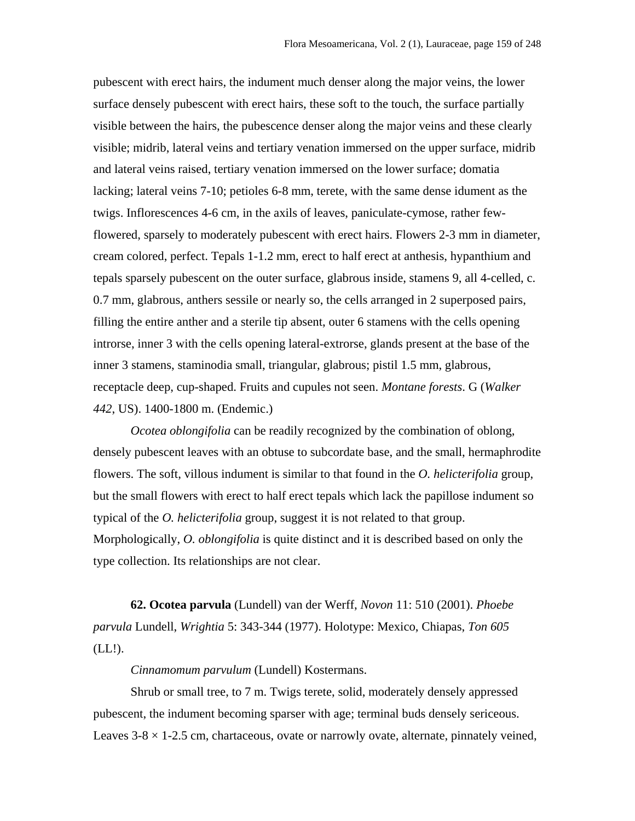pubescent with erect hairs, the indument much denser along the major veins, the lower surface densely pubescent with erect hairs, these soft to the touch, the surface partially visible between the hairs, the pubescence denser along the major veins and these clearly visible; midrib, lateral veins and tertiary venation immersed on the upper surface, midrib and lateral veins raised, tertiary venation immersed on the lower surface; domatia lacking; lateral veins 7-10; petioles 6-8 mm, terete, with the same dense idument as the twigs. Inflorescences 4-6 cm, in the axils of leaves, paniculate-cymose, rather fewflowered, sparsely to moderately pubescent with erect hairs. Flowers 2-3 mm in diameter, cream colored, perfect. Tepals 1-1.2 mm, erect to half erect at anthesis, hypanthium and tepals sparsely pubescent on the outer surface, glabrous inside, stamens 9, all 4-celled, c. 0.7 mm, glabrous, anthers sessile or nearly so, the cells arranged in 2 superposed pairs, filling the entire anther and a sterile tip absent, outer 6 stamens with the cells opening introrse, inner 3 with the cells opening lateral-extrorse, glands present at the base of the inner 3 stamens, staminodia small, triangular, glabrous; pistil 1.5 mm, glabrous, receptacle deep, cup-shaped. Fruits and cupules not seen. *Montane forests*. G (*Walker 442*, US). 1400-1800 m. (Endemic.)

*Ocotea oblongifolia* can be readily recognized by the combination of oblong, densely pubescent leaves with an obtuse to subcordate base, and the small, hermaphrodite flowers. The soft, villous indument is similar to that found in the *O. helicterifolia* group, but the small flowers with erect to half erect tepals which lack the papillose indument so typical of the *O. helicterifolia* group, suggest it is not related to that group. Morphologically, *O. oblongifolia* is quite distinct and it is described based on only the type collection. Its relationships are not clear.

**62. Ocotea parvula** (Lundell) van der Werff, *Novon* 11: 510 (2001). *Phoebe parvula* Lundell, *Wrightia* 5: 343-344 (1977). Holotype: Mexico, Chiapas, *Ton 605*  $(LL!)$ .

*Cinnamomum parvulum* (Lundell) Kostermans.

Shrub or small tree, to 7 m. Twigs terete, solid, moderately densely appressed pubescent, the indument becoming sparser with age; terminal buds densely sericeous. Leaves  $3-8 \times 1-2.5$  cm, chartaceous, ovate or narrowly ovate, alternate, pinnately veined,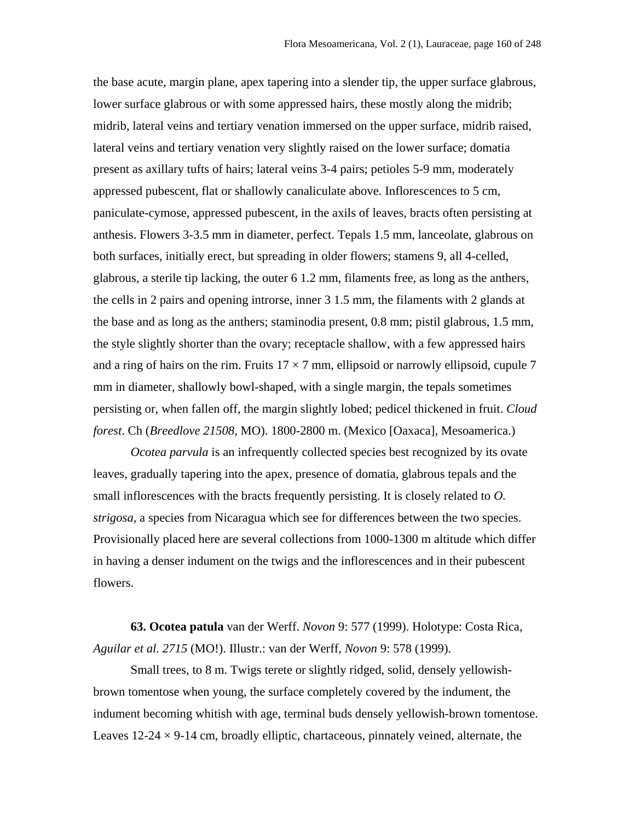the base acute, margin plane, apex tapering into a slender tip, the upper surface glabrous, lower surface glabrous or with some appressed hairs, these mostly along the midrib; midrib, lateral veins and tertiary venation immersed on the upper surface, midrib raised, lateral veins and tertiary venation very slightly raised on the lower surface; domatia present as axillary tufts of hairs; lateral veins 3-4 pairs; petioles 5-9 mm, moderately appressed pubescent, flat or shallowly canaliculate above. Inflorescences to 5 cm, paniculate-cymose, appressed pubescent, in the axils of leaves, bracts often persisting at anthesis. Flowers 3-3.5 mm in diameter, perfect. Tepals 1.5 mm, lanceolate, glabrous on both surfaces, initially erect, but spreading in older flowers; stamens 9, all 4-celled, glabrous, a sterile tip lacking, the outer 6 1.2 mm, filaments free, as long as the anthers, the cells in 2 pairs and opening introrse, inner 3 1.5 mm, the filaments with 2 glands at the base and as long as the anthers; staminodia present, 0.8 mm; pistil glabrous, 1.5 mm, the style slightly shorter than the ovary; receptacle shallow, with a few appressed hairs and a ring of hairs on the rim. Fruits  $17 \times 7$  mm, ellipsoid or narrowly ellipsoid, cupule 7 mm in diameter, shallowly bowl-shaped, with a single margin, the tepals sometimes persisting or, when fallen off, the margin slightly lobed; pedicel thickened in fruit. *Cloud forest*. Ch (*Breedlove 21508*, MO). 1800-2800 m. (Mexico [Oaxaca], Mesoamerica.)

*Ocotea parvula* is an infrequently collected species best recognized by its ovate leaves, gradually tapering into the apex, presence of domatia, glabrous tepals and the small inflorescences with the bracts frequently persisting. It is closely related to *O. strigosa*, a species from Nicaragua which see for differences between the two species. Provisionally placed here are several collections from 1000-1300 m altitude which differ in having a denser indument on the twigs and the inflorescences and in their pubescent flowers.

**63. Ocotea patula** van der Werff. *Novon* 9: 577 (1999). Holotype: Costa Rica, *Aguilar et al. 2715* (MO!). Illustr.: van der Werff, *Novon* 9: 578 (1999).

Small trees, to 8 m. Twigs terete or slightly ridged, solid, densely yellowishbrown tomentose when young, the surface completely covered by the indument, the indument becoming whitish with age, terminal buds densely yellowish-brown tomentose. Leaves  $12-24 \times 9-14$  cm, broadly elliptic, chartaceous, pinnately veined, alternate, the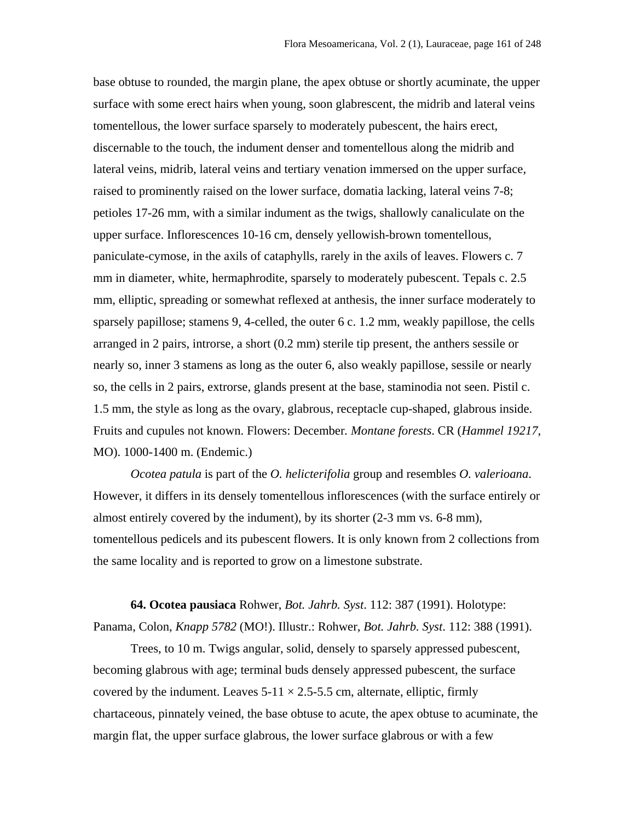base obtuse to rounded, the margin plane, the apex obtuse or shortly acuminate, the upper surface with some erect hairs when young, soon glabrescent, the midrib and lateral veins tomentellous, the lower surface sparsely to moderately pubescent, the hairs erect, discernable to the touch, the indument denser and tomentellous along the midrib and lateral veins, midrib, lateral veins and tertiary venation immersed on the upper surface, raised to prominently raised on the lower surface, domatia lacking, lateral veins 7-8; petioles 17-26 mm, with a similar indument as the twigs, shallowly canaliculate on the upper surface. Inflorescences 10-16 cm, densely yellowish-brown tomentellous, paniculate-cymose, in the axils of cataphylls, rarely in the axils of leaves. Flowers c. 7 mm in diameter, white, hermaphrodite, sparsely to moderately pubescent. Tepals c. 2.5 mm, elliptic, spreading or somewhat reflexed at anthesis, the inner surface moderately to sparsely papillose; stamens 9, 4-celled, the outer 6 c. 1.2 mm, weakly papillose, the cells arranged in 2 pairs, introrse, a short (0.2 mm) sterile tip present, the anthers sessile or nearly so, inner 3 stamens as long as the outer 6, also weakly papillose, sessile or nearly so, the cells in 2 pairs, extrorse, glands present at the base, staminodia not seen. Pistil c. 1.5 mm, the style as long as the ovary, glabrous, receptacle cup-shaped, glabrous inside. Fruits and cupules not known. Flowers: December*. Montane forests*. CR (*Hammel 19217*, MO). 1000-1400 m. (Endemic.)

*Ocotea patula* is part of the *O. helicterifolia* group and resembles *O. valerioana*. However, it differs in its densely tomentellous inflorescences (with the surface entirely or almost entirely covered by the indument), by its shorter (2-3 mm vs. 6-8 mm), tomentellous pedicels and its pubescent flowers. It is only known from 2 collections from the same locality and is reported to grow on a limestone substrate.

**64. Ocotea pausiaca** Rohwer, *Bot. Jahrb. Syst*. 112: 387 (1991). Holotype: Panama, Colon, *Knapp 5782* (MO!). Illustr.: Rohwer, *Bot. Jahrb. Syst*. 112: 388 (1991).

Trees, to 10 m. Twigs angular, solid, densely to sparsely appressed pubescent, becoming glabrous with age; terminal buds densely appressed pubescent, the surface covered by the indument. Leaves  $5-11 \times 2.5-5.5$  cm, alternate, elliptic, firmly chartaceous, pinnately veined, the base obtuse to acute, the apex obtuse to acuminate, the margin flat, the upper surface glabrous, the lower surface glabrous or with a few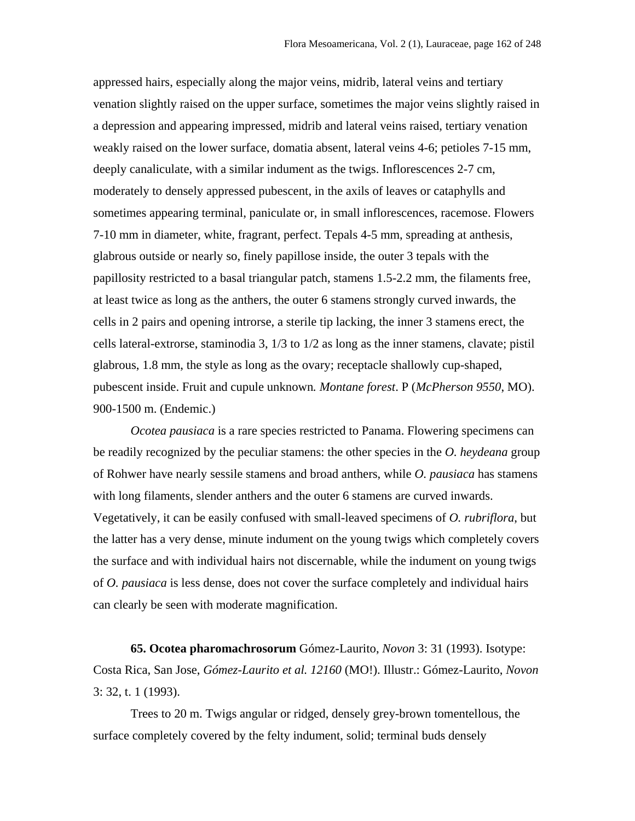appressed hairs, especially along the major veins, midrib, lateral veins and tertiary venation slightly raised on the upper surface, sometimes the major veins slightly raised in a depression and appearing impressed, midrib and lateral veins raised, tertiary venation weakly raised on the lower surface, domatia absent, lateral veins 4-6; petioles 7-15 mm, deeply canaliculate, with a similar indument as the twigs. Inflorescences 2-7 cm, moderately to densely appressed pubescent, in the axils of leaves or cataphylls and sometimes appearing terminal, paniculate or, in small inflorescences, racemose. Flowers 7-10 mm in diameter, white, fragrant, perfect. Tepals 4-5 mm, spreading at anthesis, glabrous outside or nearly so, finely papillose inside, the outer 3 tepals with the papillosity restricted to a basal triangular patch, stamens 1.5-2.2 mm, the filaments free, at least twice as long as the anthers, the outer 6 stamens strongly curved inwards, the cells in 2 pairs and opening introrse, a sterile tip lacking, the inner 3 stamens erect, the cells lateral-extrorse, staminodia 3, 1/3 to 1/2 as long as the inner stamens, clavate; pistil glabrous, 1.8 mm, the style as long as the ovary; receptacle shallowly cup-shaped, pubescent inside. Fruit and cupule unknown*. Montane forest*. P (*McPherson 9550*, MO). 900-1500 m. (Endemic.)

*Ocotea pausiaca* is a rare species restricted to Panama. Flowering specimens can be readily recognized by the peculiar stamens: the other species in the *O. heydeana* group of Rohwer have nearly sessile stamens and broad anthers, while *O. pausiaca* has stamens with long filaments, slender anthers and the outer 6 stamens are curved inwards. Vegetatively, it can be easily confused with small-leaved specimens of *O. rubriflora*, but the latter has a very dense, minute indument on the young twigs which completely covers the surface and with individual hairs not discernable, while the indument on young twigs of *O. pausiaca* is less dense, does not cover the surface completely and individual hairs can clearly be seen with moderate magnification.

**65. Ocotea pharomachrosorum** Gómez-Laurito, *Novon* 3: 31 (1993). Isotype: Costa Rica, San Jose, *Gómez-Laurito et al. 12160* (MO!). Illustr.: Gómez-Laurito, *Novon* 3: 32, t. 1 (1993).

Trees to 20 m. Twigs angular or ridged, densely grey-brown tomentellous, the surface completely covered by the felty indument, solid; terminal buds densely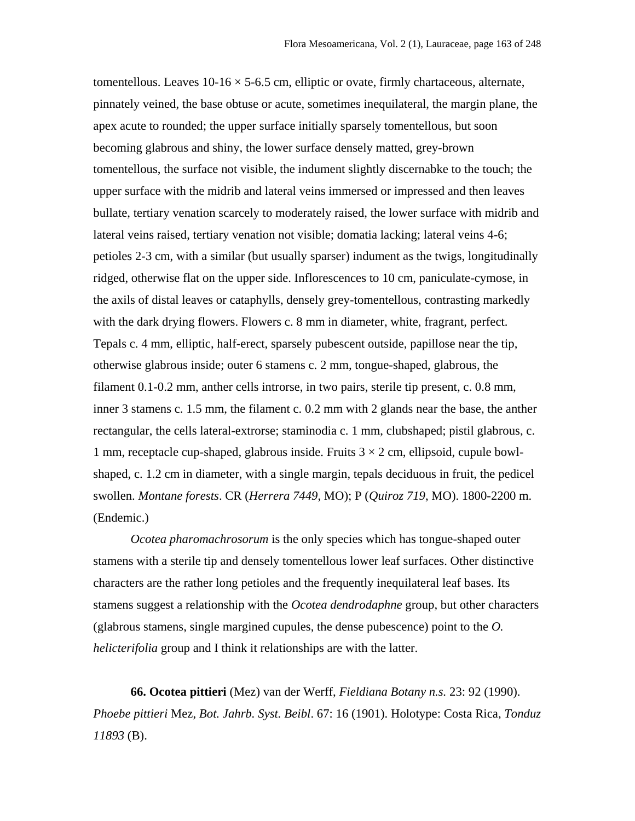tomentellous. Leaves  $10\n-16 \times 5\n-6.5$  cm, elliptic or ovate, firmly chartaceous, alternate, pinnately veined, the base obtuse or acute, sometimes inequilateral, the margin plane, the apex acute to rounded; the upper surface initially sparsely tomentellous, but soon becoming glabrous and shiny, the lower surface densely matted, grey-brown tomentellous, the surface not visible, the indument slightly discernabke to the touch; the upper surface with the midrib and lateral veins immersed or impressed and then leaves bullate, tertiary venation scarcely to moderately raised, the lower surface with midrib and lateral veins raised, tertiary venation not visible; domatia lacking; lateral veins 4-6; petioles 2-3 cm, with a similar (but usually sparser) indument as the twigs, longitudinally ridged, otherwise flat on the upper side. Inflorescences to 10 cm, paniculate-cymose, in the axils of distal leaves or cataphylls, densely grey-tomentellous, contrasting markedly with the dark drying flowers. Flowers c. 8 mm in diameter, white, fragrant, perfect. Tepals c. 4 mm, elliptic, half-erect, sparsely pubescent outside, papillose near the tip, otherwise glabrous inside; outer 6 stamens c. 2 mm, tongue-shaped, glabrous, the filament 0.1-0.2 mm, anther cells introrse, in two pairs, sterile tip present, c. 0.8 mm, inner 3 stamens c. 1.5 mm, the filament c. 0.2 mm with 2 glands near the base, the anther rectangular, the cells lateral-extrorse; staminodia c. 1 mm, clubshaped; pistil glabrous, c. 1 mm, receptacle cup-shaped, glabrous inside. Fruits  $3 \times 2$  cm, ellipsoid, cupule bowlshaped, c. 1.2 cm in diameter, with a single margin, tepals deciduous in fruit, the pedicel swollen. *Montane forests*. CR (*Herrera 7449*, MO); P (*Quiroz 719*, MO). 1800-2200 m. (Endemic.)

*Ocotea pharomachrosorum* is the only species which has tongue-shaped outer stamens with a sterile tip and densely tomentellous lower leaf surfaces. Other distinctive characters are the rather long petioles and the frequently inequilateral leaf bases. Its stamens suggest a relationship with the *Ocotea dendrodaphne* group, but other characters (glabrous stamens, single margined cupules, the dense pubescence) point to the *O. helicterifolia* group and I think it relationships are with the latter.

**66. Ocotea pittieri** (Mez) van der Werff, *Fieldiana Botany n.s.* 23: 92 (1990). *Phoebe pittieri* Mez, *Bot. Jahrb. Syst. Beibl*. 67: 16 (1901). Holotype: Costa Rica, *Tonduz 11893* (B).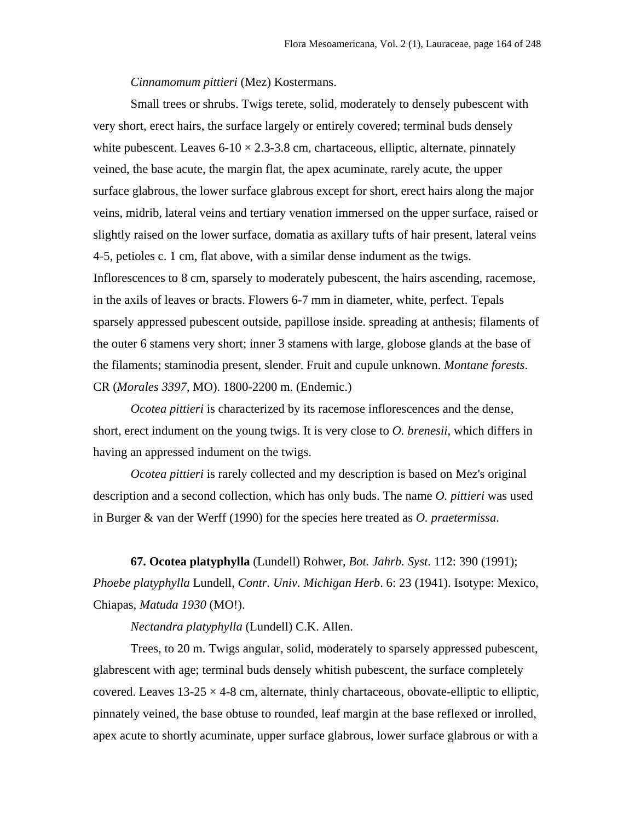*Cinnamomum pittieri* (Mez) Kostermans.

Small trees or shrubs. Twigs terete, solid, moderately to densely pubescent with very short, erect hairs, the surface largely or entirely covered; terminal buds densely white pubescent. Leaves  $6-10 \times 2.3-3.8$  cm, chartaceous, elliptic, alternate, pinnately veined, the base acute, the margin flat, the apex acuminate, rarely acute, the upper surface glabrous, the lower surface glabrous except for short, erect hairs along the major veins, midrib, lateral veins and tertiary venation immersed on the upper surface, raised or slightly raised on the lower surface, domatia as axillary tufts of hair present, lateral veins 4-5, petioles c. 1 cm, flat above, with a similar dense indument as the twigs. Inflorescences to 8 cm, sparsely to moderately pubescent, the hairs ascending, racemose, in the axils of leaves or bracts. Flowers 6-7 mm in diameter, white, perfect. Tepals sparsely appressed pubescent outside, papillose inside. spreading at anthesis; filaments of the outer 6 stamens very short; inner 3 stamens with large, globose glands at the base of the filaments; staminodia present, slender. Fruit and cupule unknown. *Montane forests*. CR (*Morales 3397*, MO). 1800-2200 m. (Endemic.)

*Ocotea pittieri* is characterized by its racemose inflorescences and the dense, short, erect indument on the young twigs. It is very close to *O. brenesii*, which differs in having an appressed indument on the twigs.

*Ocotea pittieri* is rarely collected and my description is based on Mez's original description and a second collection, which has only buds. The name *O. pittieri* was used in Burger & van der Werff (1990) for the species here treated as *O. praetermissa*.

**67. Ocotea platyphylla** (Lundell) Rohwer, *Bot. Jahrb. Syst*. 112: 390 (1991); *Phoebe platyphylla* Lundell, *Contr. Univ. Michigan Herb*. 6: 23 (1941). Isotype: Mexico, Chiapas, *Matuda 1930* (MO!).

*Nectandra platyphylla* (Lundell) C.K. Allen.

Trees, to 20 m. Twigs angular, solid, moderately to sparsely appressed pubescent, glabrescent with age; terminal buds densely whitish pubescent, the surface completely covered. Leaves  $13-25 \times 4-8$  cm, alternate, thinly chartaceous, obovate-elliptic to elliptic, pinnately veined, the base obtuse to rounded, leaf margin at the base reflexed or inrolled, apex acute to shortly acuminate, upper surface glabrous, lower surface glabrous or with a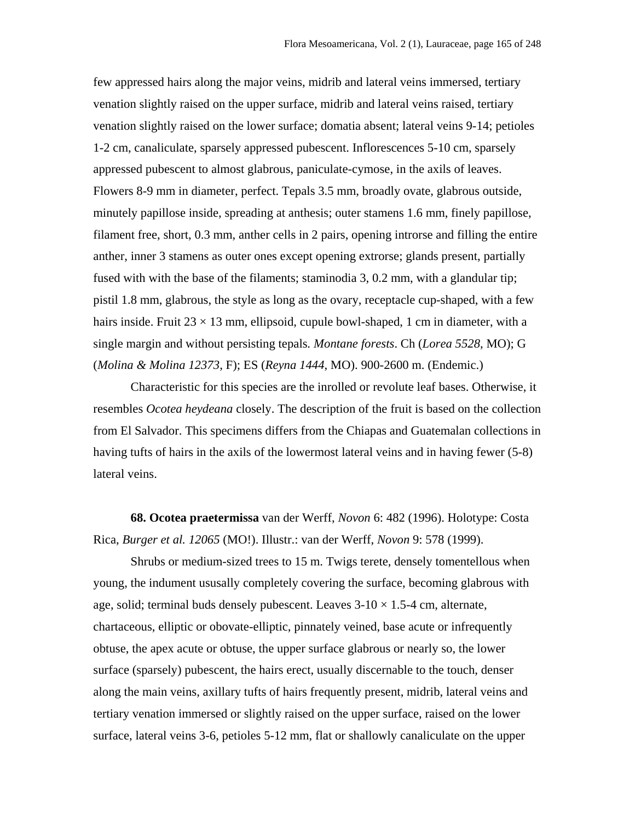few appressed hairs along the major veins, midrib and lateral veins immersed, tertiary venation slightly raised on the upper surface, midrib and lateral veins raised, tertiary venation slightly raised on the lower surface; domatia absent; lateral veins 9-14; petioles 1-2 cm, canaliculate, sparsely appressed pubescent. Inflorescences 5-10 cm, sparsely appressed pubescent to almost glabrous, paniculate-cymose, in the axils of leaves. Flowers 8-9 mm in diameter, perfect. Tepals 3.5 mm, broadly ovate, glabrous outside, minutely papillose inside, spreading at anthesis; outer stamens 1.6 mm, finely papillose, filament free, short, 0.3 mm, anther cells in 2 pairs, opening introrse and filling the entire anther, inner 3 stamens as outer ones except opening extrorse; glands present, partially fused with with the base of the filaments; staminodia 3, 0.2 mm, with a glandular tip; pistil 1.8 mm, glabrous, the style as long as the ovary, receptacle cup-shaped, with a few hairs inside. Fruit  $23 \times 13$  mm, ellipsoid, cupule bowl-shaped, 1 cm in diameter, with a single margin and without persisting tepals*. Montane forests*. Ch (*Lorea 5528*, MO); G (*Molina & Molina 12373*, F); ES (*Reyna 1444*, MO). 900-2600 m. (Endemic.)

Characteristic for this species are the inrolled or revolute leaf bases. Otherwise, it resembles *Ocotea heydeana* closely. The description of the fruit is based on the collection from El Salvador. This specimens differs from the Chiapas and Guatemalan collections in having tufts of hairs in the axils of the lowermost lateral veins and in having fewer (5-8) lateral veins.

**68. Ocotea praetermissa** van der Werff, *Novon* 6: 482 (1996). Holotype: Costa Rica, *Burger et al. 12065* (MO!). Illustr.: van der Werff, *Novon* 9: 578 (1999).

Shrubs or medium-sized trees to 15 m. Twigs terete, densely tomentellous when young, the indument ususally completely covering the surface, becoming glabrous with age, solid; terminal buds densely pubescent. Leaves  $3\textrm{-}10 \times 1.5\textrm{-}4$  cm, alternate, chartaceous, elliptic or obovate-elliptic, pinnately veined, base acute or infrequently obtuse, the apex acute or obtuse, the upper surface glabrous or nearly so, the lower surface (sparsely) pubescent, the hairs erect, usually discernable to the touch, denser along the main veins, axillary tufts of hairs frequently present, midrib, lateral veins and tertiary venation immersed or slightly raised on the upper surface, raised on the lower surface, lateral veins 3-6, petioles 5-12 mm, flat or shallowly canaliculate on the upper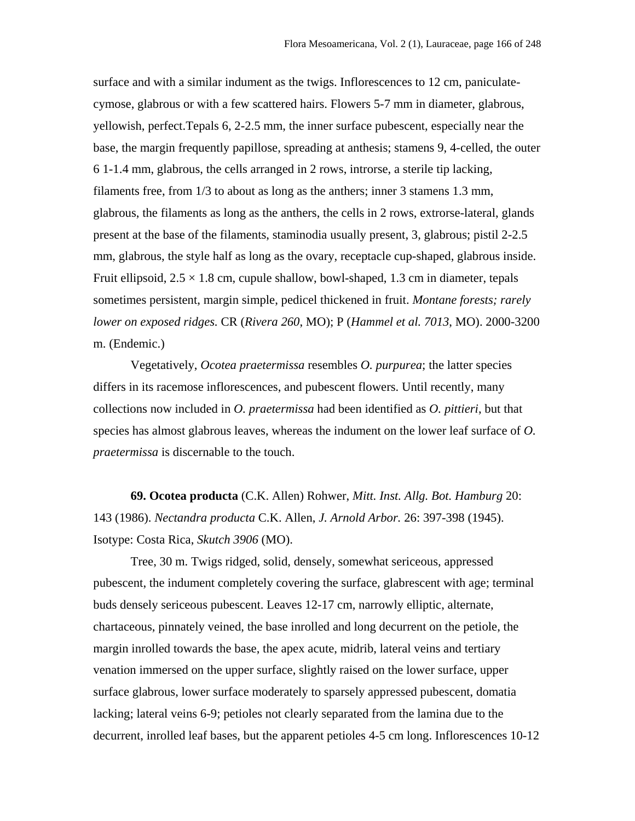surface and with a similar indument as the twigs. Inflorescences to 12 cm, paniculatecymose, glabrous or with a few scattered hairs. Flowers 5-7 mm in diameter, glabrous, yellowish, perfect.Tepals 6, 2-2.5 mm, the inner surface pubescent, especially near the base, the margin frequently papillose, spreading at anthesis; stamens 9, 4-celled, the outer 6 1-1.4 mm, glabrous, the cells arranged in 2 rows, introrse, a sterile tip lacking, filaments free, from 1/3 to about as long as the anthers; inner 3 stamens 1.3 mm, glabrous, the filaments as long as the anthers, the cells in 2 rows, extrorse-lateral, glands present at the base of the filaments, staminodia usually present, 3, glabrous; pistil 2-2.5 mm, glabrous, the style half as long as the ovary, receptacle cup-shaped, glabrous inside. Fruit ellipsoid,  $2.5 \times 1.8$  cm, cupule shallow, bowl-shaped, 1.3 cm in diameter, tepals sometimes persistent, margin simple, pedicel thickened in fruit. *Montane forests; rarely lower on exposed ridges.* CR (*Rivera 260*, MO); P (*Hammel et al. 7013*, MO). 2000-3200 m. (Endemic.)

Vegetatively, *Ocotea praetermissa* resembles *O. purpurea*; the latter species differs in its racemose inflorescences, and pubescent flowers. Until recently, many collections now included in *O. praetermissa* had been identified as *O. pittieri*, but that species has almost glabrous leaves, whereas the indument on the lower leaf surface of *O. praetermissa* is discernable to the touch.

**69. Ocotea producta** (C.K. Allen) Rohwer, *Mitt. Inst. Allg. Bot. Hamburg* 20: 143 (1986). *Nectandra producta* C.K. Allen, *J. Arnold Arbor.* 26: 397-398 (1945). Isotype: Costa Rica, *Skutch 3906* (MO).

Tree, 30 m. Twigs ridged, solid, densely, somewhat sericeous, appressed pubescent, the indument completely covering the surface, glabrescent with age; terminal buds densely sericeous pubescent. Leaves 12-17 cm, narrowly elliptic, alternate, chartaceous, pinnately veined, the base inrolled and long decurrent on the petiole, the margin inrolled towards the base, the apex acute, midrib, lateral veins and tertiary venation immersed on the upper surface, slightly raised on the lower surface, upper surface glabrous, lower surface moderately to sparsely appressed pubescent, domatia lacking; lateral veins 6-9; petioles not clearly separated from the lamina due to the decurrent, inrolled leaf bases, but the apparent petioles 4-5 cm long. Inflorescences 10-12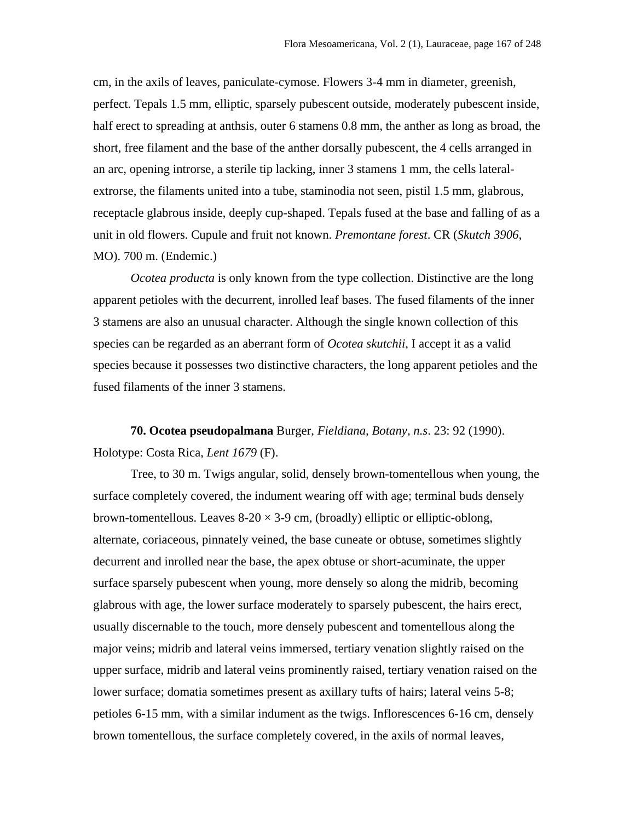cm, in the axils of leaves, paniculate-cymose. Flowers 3-4 mm in diameter, greenish, perfect. Tepals 1.5 mm, elliptic, sparsely pubescent outside, moderately pubescent inside, half erect to spreading at anthsis, outer 6 stamens 0.8 mm, the anther as long as broad, the short, free filament and the base of the anther dorsally pubescent, the 4 cells arranged in an arc, opening introrse, a sterile tip lacking, inner 3 stamens 1 mm, the cells lateralextrorse, the filaments united into a tube, staminodia not seen, pistil 1.5 mm, glabrous, receptacle glabrous inside, deeply cup-shaped. Tepals fused at the base and falling of as a unit in old flowers. Cupule and fruit not known. *Premontane forest*. CR (*Skutch 3906*, MO). 700 m. (Endemic.)

*Ocotea producta* is only known from the type collection. Distinctive are the long apparent petioles with the decurrent, inrolled leaf bases. The fused filaments of the inner 3 stamens are also an unusual character. Although the single known collection of this species can be regarded as an aberrant form of *Ocotea skutchii*, I accept it as a valid species because it possesses two distinctive characters, the long apparent petioles and the fused filaments of the inner 3 stamens.

## **70. Ocotea pseudopalmana** Burger, *Fieldiana, Botany, n.s*. 23: 92 (1990). Holotype: Costa Rica, *Lent 1679* (F).

Tree, to 30 m. Twigs angular, solid, densely brown-tomentellous when young, the surface completely covered, the indument wearing off with age; terminal buds densely brown-tomentellous. Leaves  $8-20 \times 3-9$  cm, (broadly) elliptic or elliptic-oblong, alternate, coriaceous, pinnately veined, the base cuneate or obtuse, sometimes slightly decurrent and inrolled near the base, the apex obtuse or short-acuminate, the upper surface sparsely pubescent when young, more densely so along the midrib, becoming glabrous with age, the lower surface moderately to sparsely pubescent, the hairs erect, usually discernable to the touch, more densely pubescent and tomentellous along the major veins; midrib and lateral veins immersed, tertiary venation slightly raised on the upper surface, midrib and lateral veins prominently raised, tertiary venation raised on the lower surface; domatia sometimes present as axillary tufts of hairs; lateral veins 5-8; petioles 6-15 mm, with a similar indument as the twigs. Inflorescences 6-16 cm, densely brown tomentellous, the surface completely covered, in the axils of normal leaves,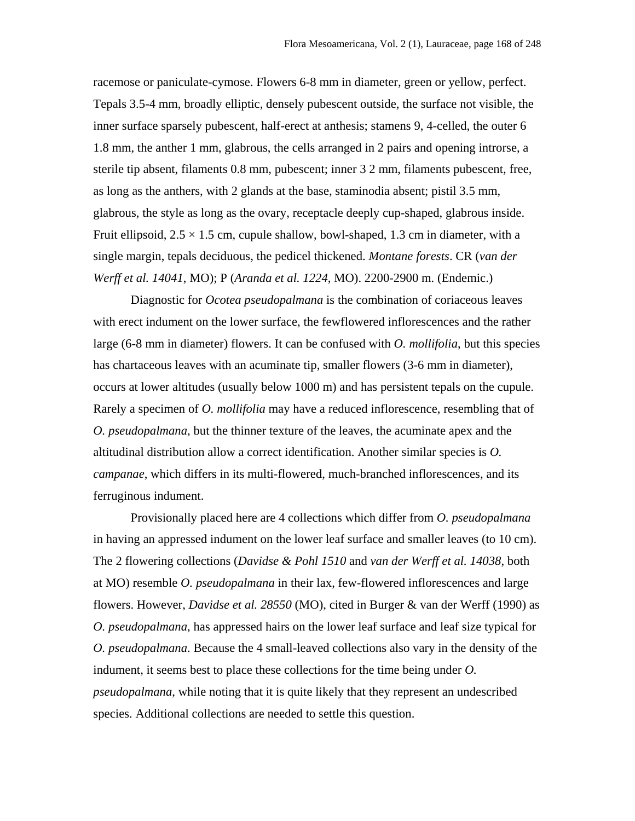racemose or paniculate-cymose. Flowers 6-8 mm in diameter, green or yellow, perfect. Tepals 3.5-4 mm, broadly elliptic, densely pubescent outside, the surface not visible, the inner surface sparsely pubescent, half-erect at anthesis; stamens 9, 4-celled, the outer 6 1.8 mm, the anther 1 mm, glabrous, the cells arranged in 2 pairs and opening introrse, a sterile tip absent, filaments 0.8 mm, pubescent; inner 3 2 mm, filaments pubescent, free, as long as the anthers, with 2 glands at the base, staminodia absent; pistil 3.5 mm, glabrous, the style as long as the ovary, receptacle deeply cup-shaped, glabrous inside. Fruit ellipsoid,  $2.5 \times 1.5$  cm, cupule shallow, bowl-shaped, 1.3 cm in diameter, with a single margin, tepals deciduous, the pedicel thickened. *Montane forests*. CR (*van der Werff et al. 14041*, MO); P (*Aranda et al. 1224*, MO). 2200-2900 m. (Endemic.)

Diagnostic for *Ocotea pseudopalmana* is the combination of coriaceous leaves with erect indument on the lower surface, the fewflowered inflorescences and the rather large (6-8 mm in diameter) flowers. It can be confused with *O. mollifolia*, but this species has chartaceous leaves with an acuminate tip, smaller flowers (3-6 mm in diameter), occurs at lower altitudes (usually below 1000 m) and has persistent tepals on the cupule. Rarely a specimen of *O. mollifolia* may have a reduced inflorescence, resembling that of *O. pseudopalmana*, but the thinner texture of the leaves, the acuminate apex and the altitudinal distribution allow a correct identification. Another similar species is *O. campanae*, which differs in its multi-flowered, much-branched inflorescences, and its ferruginous indument.

Provisionally placed here are 4 collections which differ from *O. pseudopalmana* in having an appressed indument on the lower leaf surface and smaller leaves (to 10 cm). The 2 flowering collections (*Davidse & Pohl 1510* and *van der Werff et al. 14038*, both at MO) resemble *O. pseudopalmana* in their lax, few-flowered inflorescences and large flowers. However, *Davidse et al. 28550* (MO), cited in Burger & van der Werff (1990) as *O. pseudopalmana*, has appressed hairs on the lower leaf surface and leaf size typical for *O. pseudopalmana*. Because the 4 small-leaved collections also vary in the density of the indument, it seems best to place these collections for the time being under *O. pseudopalmana*, while noting that it is quite likely that they represent an undescribed species. Additional collections are needed to settle this question.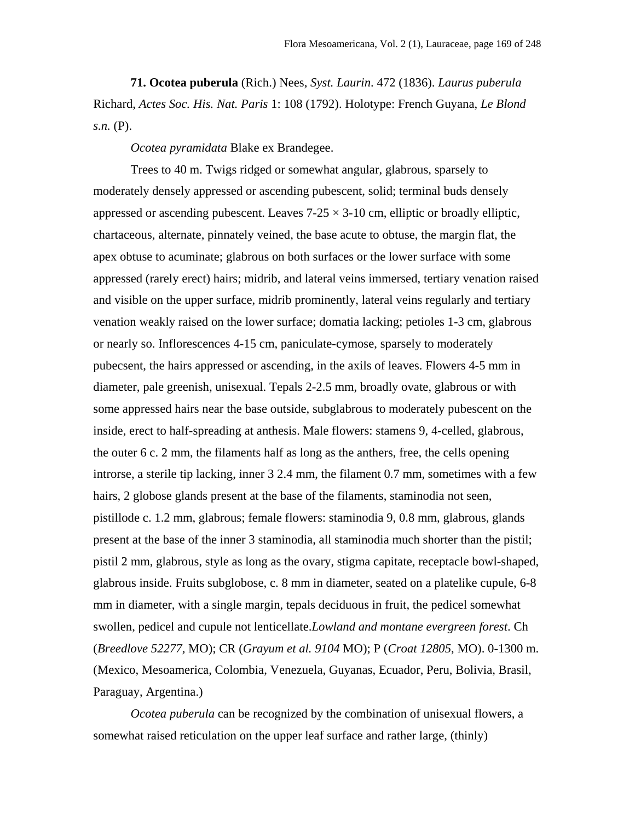**71. Ocotea puberula** (Rich.) Nees, *Syst. Laurin*. 472 (1836). *Laurus puberula* Richard, *Actes Soc. His. Nat. Paris* 1: 108 (1792). Holotype: French Guyana, *Le Blond s.n.* (P).

*Ocotea pyramidata* Blake ex Brandegee.

Trees to 40 m. Twigs ridged or somewhat angular, glabrous, sparsely to moderately densely appressed or ascending pubescent, solid; terminal buds densely appressed or ascending pubescent. Leaves  $7-25 \times 3-10$  cm, elliptic or broadly elliptic, chartaceous, alternate, pinnately veined, the base acute to obtuse, the margin flat, the apex obtuse to acuminate; glabrous on both surfaces or the lower surface with some appressed (rarely erect) hairs; midrib, and lateral veins immersed, tertiary venation raised and visible on the upper surface, midrib prominently, lateral veins regularly and tertiary venation weakly raised on the lower surface; domatia lacking; petioles 1-3 cm, glabrous or nearly so. Inflorescences 4-15 cm, paniculate-cymose, sparsely to moderately pubecsent, the hairs appressed or ascending, in the axils of leaves. Flowers 4-5 mm in diameter, pale greenish, unisexual. Tepals 2-2.5 mm, broadly ovate, glabrous or with some appressed hairs near the base outside, subglabrous to moderately pubescent on the inside, erect to half-spreading at anthesis. Male flowers: stamens 9, 4-celled, glabrous, the outer 6 c. 2 mm, the filaments half as long as the anthers, free, the cells opening introrse, a sterile tip lacking, inner 3 2.4 mm, the filament 0.7 mm, sometimes with a few hairs, 2 globose glands present at the base of the filaments, staminodia not seen, pistillode c. 1.2 mm, glabrous; female flowers: staminodia 9, 0.8 mm, glabrous, glands present at the base of the inner 3 staminodia, all staminodia much shorter than the pistil; pistil 2 mm, glabrous, style as long as the ovary, stigma capitate, receptacle bowl-shaped, glabrous inside. Fruits subglobose, c. 8 mm in diameter, seated on a platelike cupule, 6-8 mm in diameter, with a single margin, tepals deciduous in fruit, the pedicel somewhat swollen, pedicel and cupule not lenticellate.*Lowland and montane evergreen forest*. Ch (*Breedlove 52277,* MO); CR (*Grayum et al. 9104* MO); P (*Croat 12805*, MO). 0-1300 m. (Mexico, Mesoamerica, Colombia, Venezuela, Guyanas, Ecuador, Peru, Bolivia, Brasil, Paraguay, Argentina.)

*Ocotea puberula* can be recognized by the combination of unisexual flowers, a somewhat raised reticulation on the upper leaf surface and rather large, (thinly)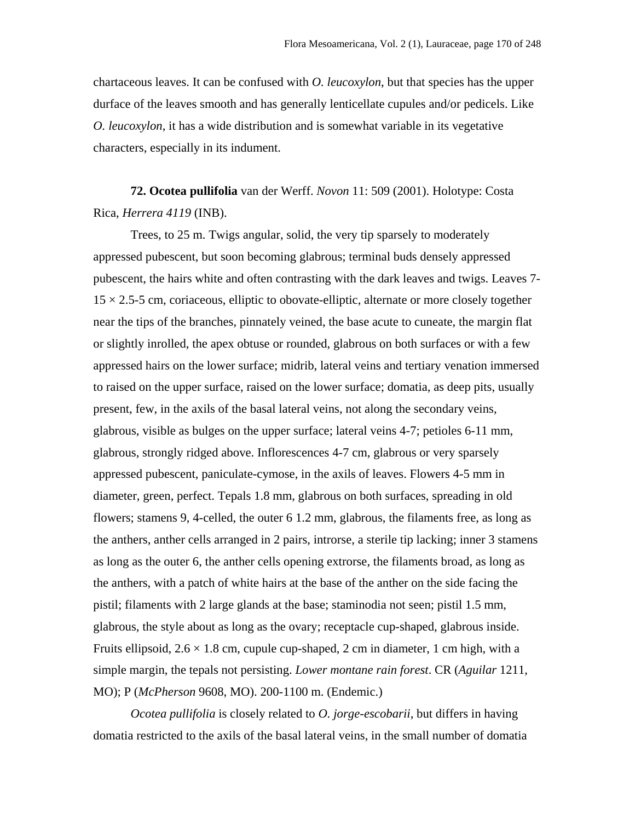chartaceous leaves. It can be confused with *O. leucoxylon*, but that species has the upper durface of the leaves smooth and has generally lenticellate cupules and/or pedicels. Like *O. leucoxylon*, it has a wide distribution and is somewhat variable in its vegetative characters, especially in its indument.

**72. Ocotea pullifolia** van der Werff. *Novon* 11: 509 (2001). Holotype: Costa Rica, *Herrera 4119* (INB).

Trees, to 25 m. Twigs angular, solid, the very tip sparsely to moderately appressed pubescent, but soon becoming glabrous; terminal buds densely appressed pubescent, the hairs white and often contrasting with the dark leaves and twigs. Leaves 7-  $15 \times 2.5$ -5 cm, coriaceous, elliptic to obovate-elliptic, alternate or more closely together near the tips of the branches, pinnately veined, the base acute to cuneate, the margin flat or slightly inrolled, the apex obtuse or rounded, glabrous on both surfaces or with a few appressed hairs on the lower surface; midrib, lateral veins and tertiary venation immersed to raised on the upper surface, raised on the lower surface; domatia, as deep pits, usually present, few, in the axils of the basal lateral veins, not along the secondary veins, glabrous, visible as bulges on the upper surface; lateral veins 4-7; petioles 6-11 mm, glabrous, strongly ridged above. Inflorescences 4-7 cm, glabrous or very sparsely appressed pubescent, paniculate-cymose, in the axils of leaves. Flowers 4-5 mm in diameter, green, perfect. Tepals 1.8 mm, glabrous on both surfaces, spreading in old flowers; stamens 9, 4-celled, the outer 6 1.2 mm, glabrous, the filaments free, as long as the anthers, anther cells arranged in 2 pairs, introrse, a sterile tip lacking; inner 3 stamens as long as the outer 6, the anther cells opening extrorse, the filaments broad, as long as the anthers, with a patch of white hairs at the base of the anther on the side facing the pistil; filaments with 2 large glands at the base; staminodia not seen; pistil 1.5 mm, glabrous, the style about as long as the ovary; receptacle cup-shaped, glabrous inside. Fruits ellipsoid,  $2.6 \times 1.8$  cm, cupule cup-shaped, 2 cm in diameter, 1 cm high, with a simple margin, the tepals not persisting. *Lower montane rain forest*. CR (*Aguilar* 1211, MO); P (*McPherson* 9608, MO). 200-1100 m. (Endemic.)

*Ocotea pullifolia* is closely related to *O. jorge-escobarii*, but differs in having domatia restricted to the axils of the basal lateral veins, in the small number of domatia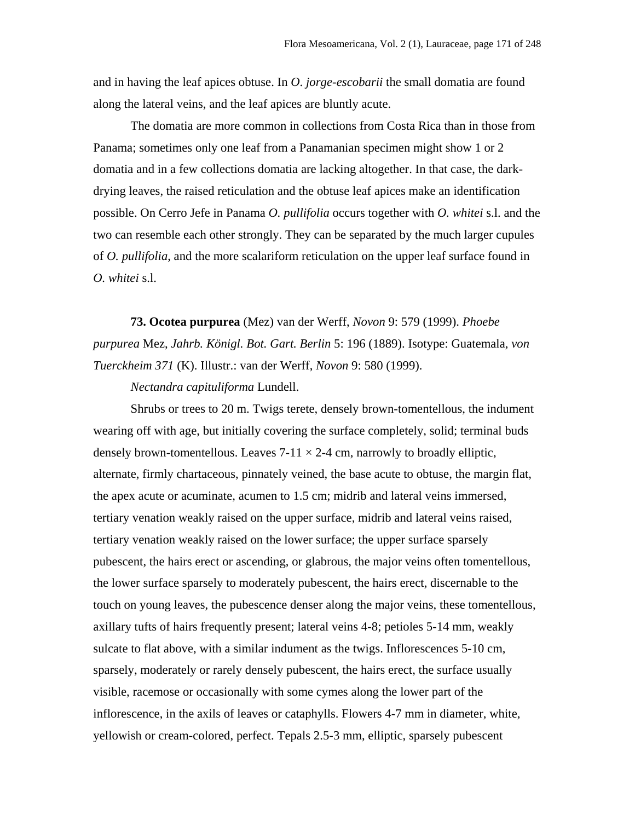and in having the leaf apices obtuse. In *O*. *jorge-escobarii* the small domatia are found along the lateral veins, and the leaf apices are bluntly acute.

The domatia are more common in collections from Costa Rica than in those from Panama; sometimes only one leaf from a Panamanian specimen might show 1 or 2 domatia and in a few collections domatia are lacking altogether. In that case, the darkdrying leaves, the raised reticulation and the obtuse leaf apices make an identification possible. On Cerro Jefe in Panama *O. pullifolia* occurs together with *O. whitei* s.l. and the two can resemble each other strongly. They can be separated by the much larger cupules of *O. pullifolia*, and the more scalariform reticulation on the upper leaf surface found in *O. whitei* s.l.

**73. Ocotea purpurea** (Mez) van der Werff, *Novon* 9: 579 (1999). *Phoebe purpurea* Mez, *Jahrb. Königl. Bot. Gart. Berlin* 5: 196 (1889). Isotype: Guatemala, *von Tuerckheim 371* (K). Illustr.: van der Werff, *Novon* 9: 580 (1999).

*Nectandra capituliforma* Lundell.

Shrubs or trees to 20 m. Twigs terete, densely brown-tomentellous, the indument wearing off with age, but initially covering the surface completely, solid; terminal buds densely brown-tomentellous. Leaves  $7-11 \times 2-4$  cm, narrowly to broadly elliptic, alternate, firmly chartaceous, pinnately veined, the base acute to obtuse, the margin flat, the apex acute or acuminate, acumen to 1.5 cm; midrib and lateral veins immersed, tertiary venation weakly raised on the upper surface, midrib and lateral veins raised, tertiary venation weakly raised on the lower surface; the upper surface sparsely pubescent, the hairs erect or ascending, or glabrous, the major veins often tomentellous, the lower surface sparsely to moderately pubescent, the hairs erect, discernable to the touch on young leaves, the pubescence denser along the major veins, these tomentellous, axillary tufts of hairs frequently present; lateral veins 4-8; petioles 5-14 mm, weakly sulcate to flat above, with a similar indument as the twigs. Inflorescences 5-10 cm, sparsely, moderately or rarely densely pubescent, the hairs erect, the surface usually visible, racemose or occasionally with some cymes along the lower part of the inflorescence, in the axils of leaves or cataphylls. Flowers 4-7 mm in diameter, white, yellowish or cream-colored, perfect. Tepals 2.5-3 mm, elliptic, sparsely pubescent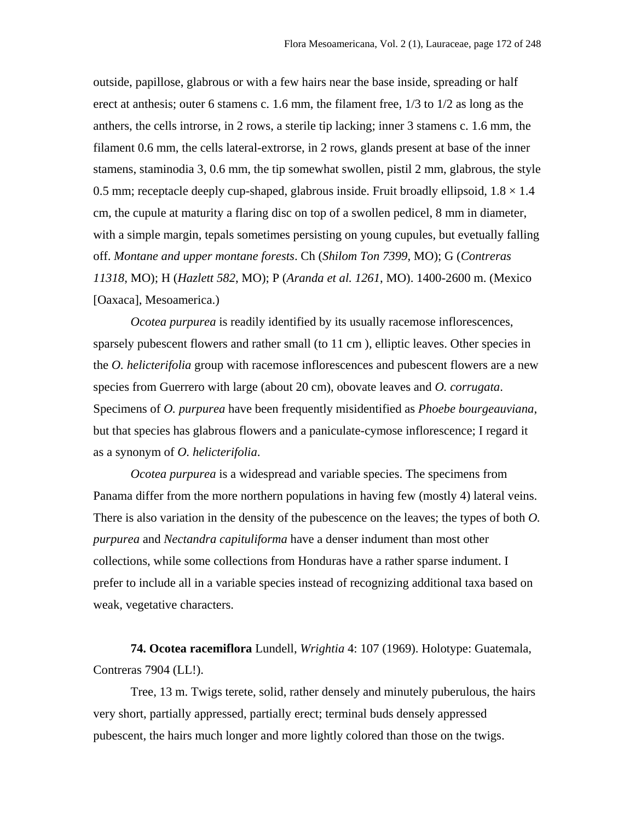outside, papillose, glabrous or with a few hairs near the base inside, spreading or half erect at anthesis; outer 6 stamens c. 1.6 mm, the filament free, 1/3 to 1/2 as long as the anthers, the cells introrse, in 2 rows, a sterile tip lacking; inner 3 stamens c. 1.6 mm, the filament 0.6 mm, the cells lateral-extrorse, in 2 rows, glands present at base of the inner stamens, staminodia 3, 0.6 mm, the tip somewhat swollen, pistil 2 mm, glabrous, the style 0.5 mm; receptacle deeply cup-shaped, glabrous inside. Fruit broadly ellipsoid,  $1.8 \times 1.4$ cm, the cupule at maturity a flaring disc on top of a swollen pedicel, 8 mm in diameter, with a simple margin, tepals sometimes persisting on young cupules, but evetually falling off. *Montane and upper montane forests*. Ch (*Shilom Ton 7399*, MO); G (*Contreras 11318*, MO); H (*Hazlett 582*, MO); P (*Aranda et al. 1261*, MO). 1400-2600 m. (Mexico [Oaxaca], Mesoamerica.)

*Ocotea purpurea* is readily identified by its usually racemose inflorescences, sparsely pubescent flowers and rather small (to 11 cm ), elliptic leaves. Other species in the *O. helicterifolia* group with racemose inflorescences and pubescent flowers are a new species from Guerrero with large (about 20 cm), obovate leaves and *O. corrugata*. Specimens of *O. purpurea* have been frequently misidentified as *Phoebe bourgeauviana*, but that species has glabrous flowers and a paniculate-cymose inflorescence; I regard it as a synonym of *O. helicterifolia*.

*Ocotea purpurea* is a widespread and variable species. The specimens from Panama differ from the more northern populations in having few (mostly 4) lateral veins. There is also variation in the density of the pubescence on the leaves; the types of both *O. purpurea* and *Nectandra capituliforma* have a denser indument than most other collections, while some collections from Honduras have a rather sparse indument. I prefer to include all in a variable species instead of recognizing additional taxa based on weak, vegetative characters.

**74. Ocotea racemiflora** Lundell, *Wrightia* 4: 107 (1969). Holotype: Guatemala, Contreras 7904 (LL!).

Tree, 13 m. Twigs terete, solid, rather densely and minutely puberulous, the hairs very short, partially appressed, partially erect; terminal buds densely appressed pubescent, the hairs much longer and more lightly colored than those on the twigs.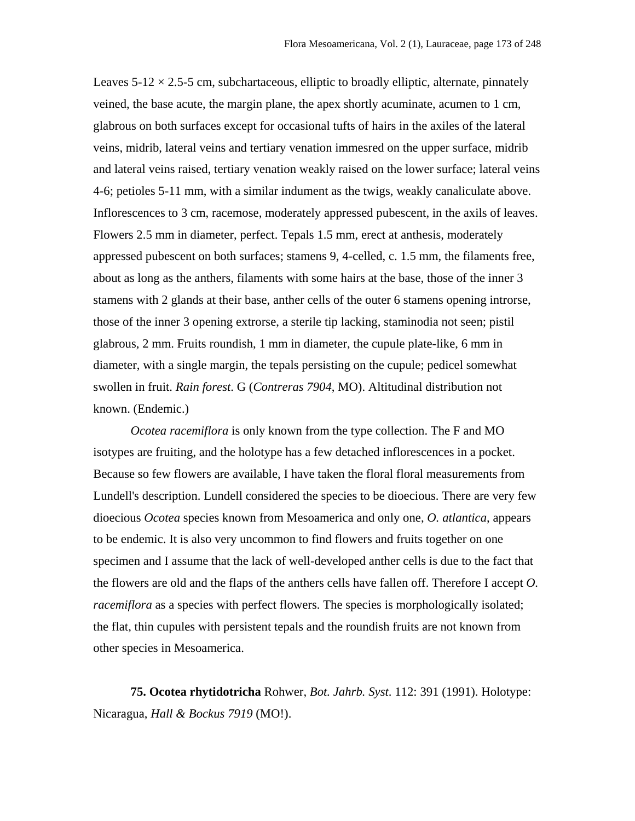Leaves  $5-12 \times 2.5-5$  cm, subchartaceous, elliptic to broadly elliptic, alternate, pinnately veined, the base acute, the margin plane, the apex shortly acuminate, acumen to 1 cm, glabrous on both surfaces except for occasional tufts of hairs in the axiles of the lateral veins, midrib, lateral veins and tertiary venation immesred on the upper surface, midrib and lateral veins raised, tertiary venation weakly raised on the lower surface; lateral veins 4-6; petioles 5-11 mm, with a similar indument as the twigs, weakly canaliculate above. Inflorescences to 3 cm, racemose, moderately appressed pubescent, in the axils of leaves. Flowers 2.5 mm in diameter, perfect. Tepals 1.5 mm, erect at anthesis, moderately appressed pubescent on both surfaces; stamens 9, 4-celled, c. 1.5 mm, the filaments free, about as long as the anthers, filaments with some hairs at the base, those of the inner 3 stamens with 2 glands at their base, anther cells of the outer 6 stamens opening introrse, those of the inner 3 opening extrorse, a sterile tip lacking, staminodia not seen; pistil glabrous, 2 mm. Fruits roundish, 1 mm in diameter, the cupule plate-like, 6 mm in diameter, with a single margin, the tepals persisting on the cupule; pedicel somewhat swollen in fruit. *Rain forest*. G (*Contreras 7904*, MO). Altitudinal distribution not known. (Endemic.)

*Ocotea racemiflora* is only known from the type collection. The F and MO isotypes are fruiting, and the holotype has a few detached inflorescences in a pocket. Because so few flowers are available, I have taken the floral floral measurements from Lundell's description. Lundell considered the species to be dioecious. There are very few dioecious *Ocotea* species known from Mesoamerica and only one, *O. atlantica*, appears to be endemic. It is also very uncommon to find flowers and fruits together on one specimen and I assume that the lack of well-developed anther cells is due to the fact that the flowers are old and the flaps of the anthers cells have fallen off. Therefore I accept *O. racemiflora* as a species with perfect flowers. The species is morphologically isolated; the flat, thin cupules with persistent tepals and the roundish fruits are not known from other species in Mesoamerica.

**75. Ocotea rhytidotricha** Rohwer, *Bot. Jahrb. Syst*. 112: 391 (1991). Holotype: Nicaragua, *Hall & Bockus 7919* (MO!).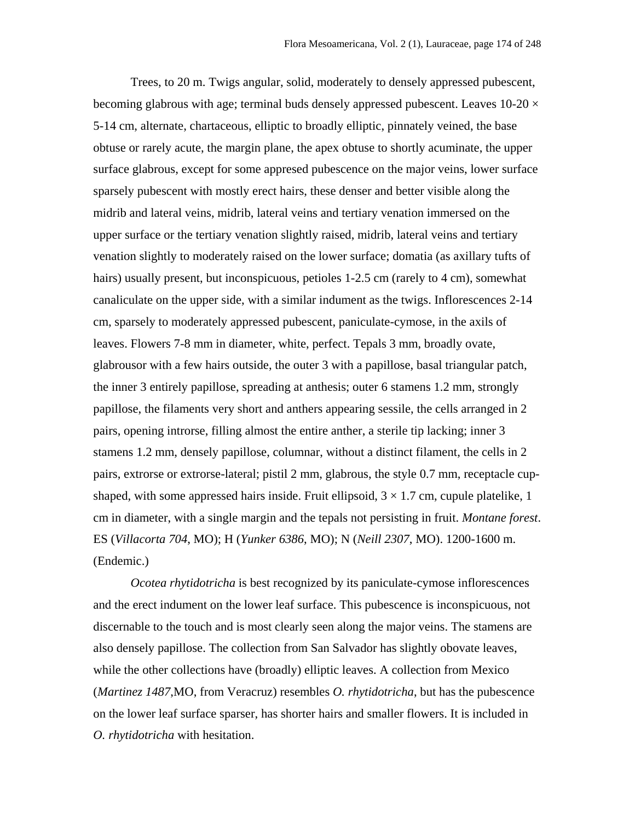Trees, to 20 m. Twigs angular, solid, moderately to densely appressed pubescent, becoming glabrous with age; terminal buds densely appressed pubescent. Leaves  $10{\text -}20 \times$ 5-14 cm, alternate, chartaceous, elliptic to broadly elliptic, pinnately veined, the base obtuse or rarely acute, the margin plane, the apex obtuse to shortly acuminate, the upper surface glabrous, except for some appresed pubescence on the major veins, lower surface sparsely pubescent with mostly erect hairs, these denser and better visible along the midrib and lateral veins, midrib, lateral veins and tertiary venation immersed on the upper surface or the tertiary venation slightly raised, midrib, lateral veins and tertiary venation slightly to moderately raised on the lower surface; domatia (as axillary tufts of hairs) usually present, but inconspicuous, petioles 1-2.5 cm (rarely to 4 cm), somewhat canaliculate on the upper side, with a similar indument as the twigs. Inflorescences 2-14 cm, sparsely to moderately appressed pubescent, paniculate-cymose, in the axils of leaves. Flowers 7-8 mm in diameter, white, perfect. Tepals 3 mm, broadly ovate, glabrousor with a few hairs outside, the outer 3 with a papillose, basal triangular patch, the inner 3 entirely papillose, spreading at anthesis; outer 6 stamens 1.2 mm, strongly papillose, the filaments very short and anthers appearing sessile, the cells arranged in 2 pairs, opening introrse, filling almost the entire anther, a sterile tip lacking; inner 3 stamens 1.2 mm, densely papillose, columnar, without a distinct filament, the cells in 2 pairs, extrorse or extrorse-lateral; pistil 2 mm, glabrous, the style 0.7 mm, receptacle cupshaped, with some appressed hairs inside. Fruit ellipsoid,  $3 \times 1.7$  cm, cupule platelike, 1 cm in diameter, with a single margin and the tepals not persisting in fruit. *Montane forest*. ES (*Villacorta 704*, MO); H (*Yunker 6386*, MO); N (*Neill 2307*, MO). 1200-1600 m. (Endemic.)

*Ocotea rhytidotricha* is best recognized by its paniculate-cymose inflorescences and the erect indument on the lower leaf surface. This pubescence is inconspicuous, not discernable to the touch and is most clearly seen along the major veins. The stamens are also densely papillose. The collection from San Salvador has slightly obovate leaves, while the other collections have (broadly) elliptic leaves. A collection from Mexico (*Martinez 1487*,MO, from Veracruz) resembles *O. rhytidotricha*, but has the pubescence on the lower leaf surface sparser, has shorter hairs and smaller flowers. It is included in *O. rhytidotricha* with hesitation.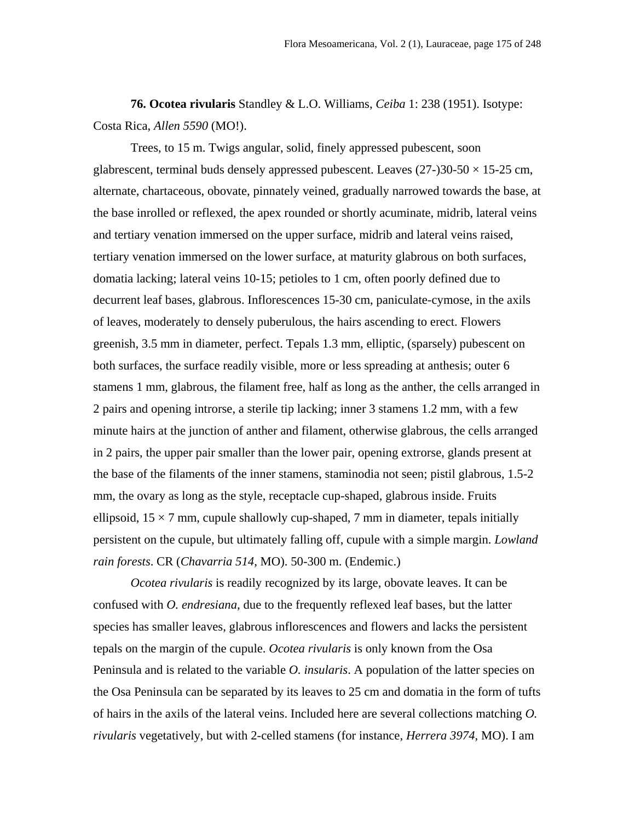**76. Ocotea rivularis** Standley & L.O. Williams, *Ceiba* 1: 238 (1951). Isotype: Costa Rica, *Allen 5590* (MO!).

Trees, to 15 m. Twigs angular, solid, finely appressed pubescent, soon glabrescent, terminal buds densely appressed pubescent. Leaves  $(27-)30-50 \times 15-25$  cm, alternate, chartaceous, obovate, pinnately veined, gradually narrowed towards the base, at the base inrolled or reflexed, the apex rounded or shortly acuminate, midrib, lateral veins and tertiary venation immersed on the upper surface, midrib and lateral veins raised, tertiary venation immersed on the lower surface, at maturity glabrous on both surfaces, domatia lacking; lateral veins 10-15; petioles to 1 cm, often poorly defined due to decurrent leaf bases, glabrous. Inflorescences 15-30 cm, paniculate-cymose, in the axils of leaves, moderately to densely puberulous, the hairs ascending to erect. Flowers greenish, 3.5 mm in diameter, perfect. Tepals 1.3 mm, elliptic, (sparsely) pubescent on both surfaces, the surface readily visible, more or less spreading at anthesis; outer 6 stamens 1 mm, glabrous, the filament free, half as long as the anther, the cells arranged in 2 pairs and opening introrse, a sterile tip lacking; inner 3 stamens 1.2 mm, with a few minute hairs at the junction of anther and filament, otherwise glabrous, the cells arranged in 2 pairs, the upper pair smaller than the lower pair, opening extrorse, glands present at the base of the filaments of the inner stamens, staminodia not seen; pistil glabrous, 1.5-2 mm, the ovary as long as the style, receptacle cup-shaped, glabrous inside. Fruits ellipsoid,  $15 \times 7$  mm, cupule shallowly cup-shaped, 7 mm in diameter, tepals initially persistent on the cupule, but ultimately falling off, cupule with a simple margin. *Lowland rain forests*. CR (*Chavarria 514*, MO). 50-300 m. (Endemic.)

*Ocotea rivularis* is readily recognized by its large, obovate leaves. It can be confused with *O. endresiana*, due to the frequently reflexed leaf bases, but the latter species has smaller leaves, glabrous inflorescences and flowers and lacks the persistent tepals on the margin of the cupule. *Ocotea rivularis* is only known from the Osa Peninsula and is related to the variable *O. insularis*. A population of the latter species on the Osa Peninsula can be separated by its leaves to 25 cm and domatia in the form of tufts of hairs in the axils of the lateral veins. Included here are several collections matching *O. rivularis* vegetatively, but with 2-celled stamens (for instance, *Herrera 3974*, MO). I am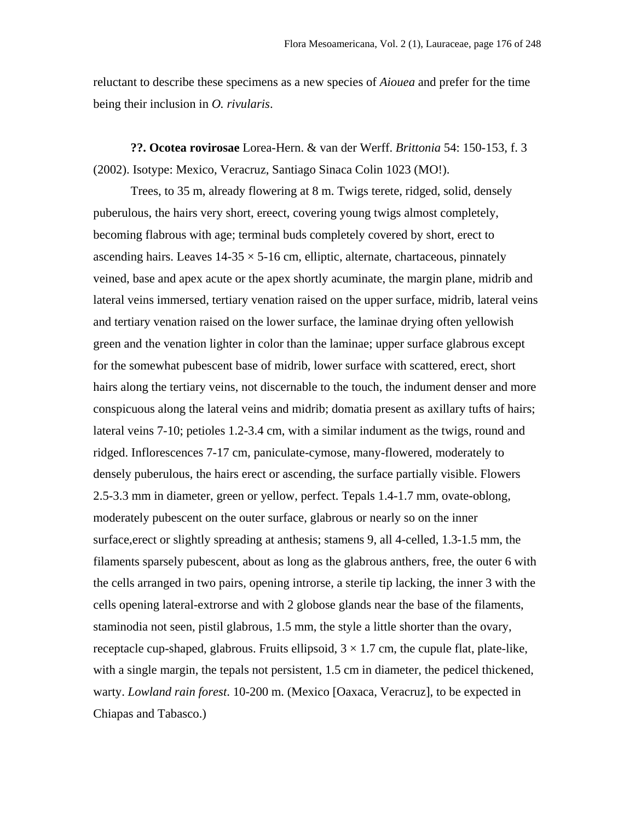reluctant to describe these specimens as a new species of *Aiouea* and prefer for the time being their inclusion in *O. rivularis*.

**??. Ocotea rovirosae** Lorea-Hern. & van der Werff. *Brittonia* 54: 150-153, f. 3 (2002). Isotype: Mexico, Veracruz, Santiago Sinaca Colin 1023 (MO!).

Trees, to 35 m, already flowering at 8 m. Twigs terete, ridged, solid, densely puberulous, the hairs very short, ereect, covering young twigs almost completely, becoming flabrous with age; terminal buds completely covered by short, erect to ascending hairs. Leaves  $14-35 \times 5-16$  cm, elliptic, alternate, chartaceous, pinnately veined, base and apex acute or the apex shortly acuminate, the margin plane, midrib and lateral veins immersed, tertiary venation raised on the upper surface, midrib, lateral veins and tertiary venation raised on the lower surface, the laminae drying often yellowish green and the venation lighter in color than the laminae; upper surface glabrous except for the somewhat pubescent base of midrib, lower surface with scattered, erect, short hairs along the tertiary veins, not discernable to the touch, the indument denser and more conspicuous along the lateral veins and midrib; domatia present as axillary tufts of hairs; lateral veins 7-10; petioles 1.2-3.4 cm, with a similar indument as the twigs, round and ridged. Inflorescences 7-17 cm, paniculate-cymose, many-flowered, moderately to densely puberulous, the hairs erect or ascending, the surface partially visible. Flowers 2.5-3.3 mm in diameter, green or yellow, perfect. Tepals 1.4-1.7 mm, ovate-oblong, moderately pubescent on the outer surface, glabrous or nearly so on the inner surface,erect or slightly spreading at anthesis; stamens 9, all 4-celled, 1.3-1.5 mm, the filaments sparsely pubescent, about as long as the glabrous anthers, free, the outer 6 with the cells arranged in two pairs, opening introrse, a sterile tip lacking, the inner 3 with the cells opening lateral-extrorse and with 2 globose glands near the base of the filaments, staminodia not seen, pistil glabrous, 1.5 mm, the style a little shorter than the ovary, receptacle cup-shaped, glabrous. Fruits ellipsoid,  $3 \times 1.7$  cm, the cupule flat, plate-like, with a single margin, the tepals not persistent, 1.5 cm in diameter, the pedicel thickened, warty. *Lowland rain forest*. 10-200 m. (Mexico [Oaxaca, Veracruz], to be expected in Chiapas and Tabasco.)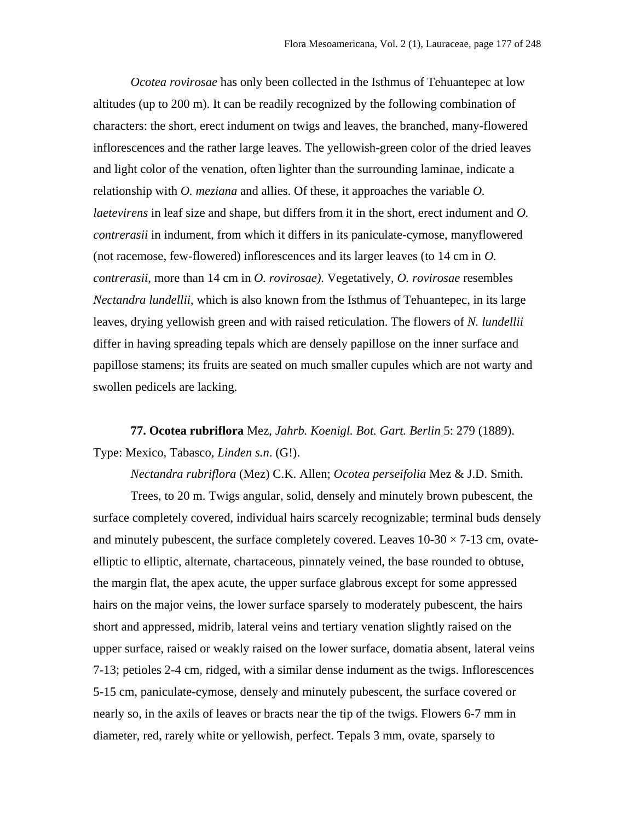*Ocotea rovirosae* has only been collected in the Isthmus of Tehuantepec at low altitudes (up to 200 m). It can be readily recognized by the following combination of characters: the short, erect indument on twigs and leaves, the branched, many-flowered inflorescences and the rather large leaves. The yellowish-green color of the dried leaves and light color of the venation, often lighter than the surrounding laminae, indicate a relationship with *O. meziana* and allies. Of these, it approaches the variable *O. laetevirens* in leaf size and shape, but differs from it in the short, erect indument and *O. contrerasii* in indument, from which it differs in its paniculate-cymose, manyflowered (not racemose, few-flowered) inflorescences and its larger leaves (to 14 cm in *O. contrerasii*, more than 14 cm in *O. rovirosae)*. Vegetatively, *O. rovirosae* resembles *Nectandra lundellii*, which is also known from the Isthmus of Tehuantepec, in its large leaves, drying yellowish green and with raised reticulation. The flowers of *N. lundellii* differ in having spreading tepals which are densely papillose on the inner surface and papillose stamens; its fruits are seated on much smaller cupules which are not warty and swollen pedicels are lacking.

**77. Ocotea rubriflora** Mez, *Jahrb. Koenigl. Bot. Gart. Berlin* 5: 279 (1889). Type: Mexico, Tabasco, *Linden s.n*. (G!).

*Nectandra rubriflora* (Mez) C.K. Allen; *Ocotea perseifolia* Mez & J.D. Smith.

Trees, to 20 m. Twigs angular, solid, densely and minutely brown pubescent, the surface completely covered, individual hairs scarcely recognizable; terminal buds densely and minutely pubescent, the surface completely covered. Leaves  $10\n-30 \times 7\n-13$  cm, ovateelliptic to elliptic, alternate, chartaceous, pinnately veined, the base rounded to obtuse, the margin flat, the apex acute, the upper surface glabrous except for some appressed hairs on the major veins, the lower surface sparsely to moderately pubescent, the hairs short and appressed, midrib, lateral veins and tertiary venation slightly raised on the upper surface, raised or weakly raised on the lower surface, domatia absent, lateral veins 7-13; petioles 2-4 cm, ridged, with a similar dense indument as the twigs. Inflorescences 5-15 cm, paniculate-cymose, densely and minutely pubescent, the surface covered or nearly so, in the axils of leaves or bracts near the tip of the twigs. Flowers 6-7 mm in diameter, red, rarely white or yellowish, perfect. Tepals 3 mm, ovate, sparsely to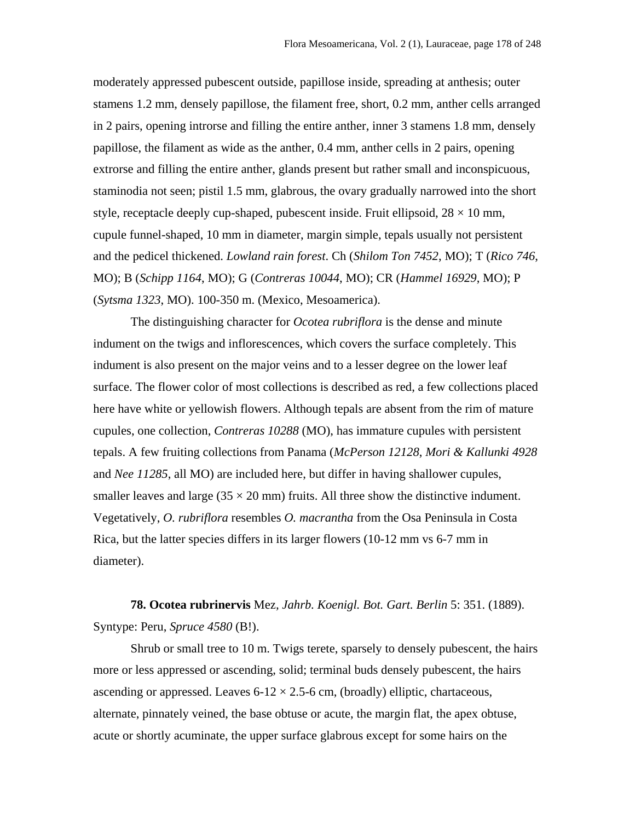moderately appressed pubescent outside, papillose inside, spreading at anthesis; outer stamens 1.2 mm, densely papillose, the filament free, short, 0.2 mm, anther cells arranged in 2 pairs, opening introrse and filling the entire anther, inner 3 stamens 1.8 mm, densely papillose, the filament as wide as the anther, 0.4 mm, anther cells in 2 pairs, opening extrorse and filling the entire anther, glands present but rather small and inconspicuous, staminodia not seen; pistil 1.5 mm, glabrous, the ovary gradually narrowed into the short style, receptacle deeply cup-shaped, pubescent inside. Fruit ellipsoid,  $28 \times 10$  mm, cupule funnel-shaped, 10 mm in diameter, margin simple, tepals usually not persistent and the pedicel thickened. *Lowland rain forest*. Ch (*Shilom Ton 7452*, MO); T (*Rico 746*, MO); B (*Schipp 1164*, MO); G (*Contreras 10044*, MO); CR (*Hammel 16929*, MO); P (*Sytsma 1323*, MO). 100-350 m. (Mexico, Mesoamerica).

The distinguishing character for *Ocotea rubriflora* is the dense and minute indument on the twigs and inflorescences, which covers the surface completely. This indument is also present on the major veins and to a lesser degree on the lower leaf surface. The flower color of most collections is described as red, a few collections placed here have white or yellowish flowers. Although tepals are absent from the rim of mature cupules, one collection, *Contreras 10288* (MO), has immature cupules with persistent tepals. A few fruiting collections from Panama (*McPerson 12128*, *Mori & Kallunki 4928* and *Nee 11285*, all MO) are included here, but differ in having shallower cupules, smaller leaves and large  $(35 \times 20 \text{ mm})$  fruits. All three show the distinctive indument. Vegetatively, *O. rubriflora* resembles *O. macrantha* from the Osa Peninsula in Costa Rica, but the latter species differs in its larger flowers (10-12 mm vs 6-7 mm in diameter).

**78. Ocotea rubrinervis** Mez*, Jahrb. Koenigl. Bot. Gart. Berlin* 5: 351. (1889). Syntype: Peru, *Spruce 4580* (B!).

Shrub or small tree to 10 m. Twigs terete, sparsely to densely pubescent, the hairs more or less appressed or ascending, solid; terminal buds densely pubescent, the hairs ascending or appressed. Leaves  $6-12 \times 2.5-6$  cm, (broadly) elliptic, chartaceous, alternate, pinnately veined, the base obtuse or acute, the margin flat, the apex obtuse, acute or shortly acuminate, the upper surface glabrous except for some hairs on the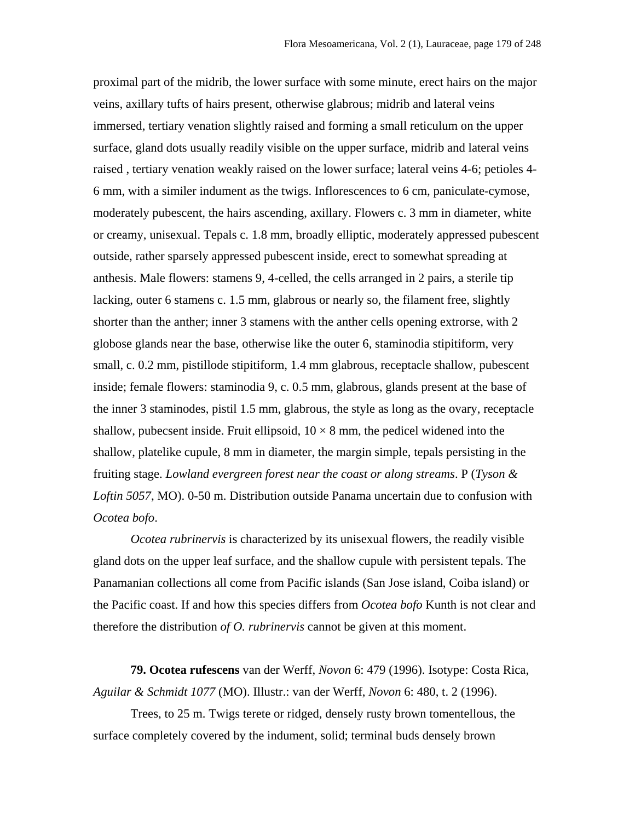proximal part of the midrib, the lower surface with some minute, erect hairs on the major veins, axillary tufts of hairs present, otherwise glabrous; midrib and lateral veins immersed, tertiary venation slightly raised and forming a small reticulum on the upper surface, gland dots usually readily visible on the upper surface, midrib and lateral veins raised , tertiary venation weakly raised on the lower surface; lateral veins 4-6; petioles 4- 6 mm, with a similer indument as the twigs. Inflorescences to 6 cm, paniculate-cymose, moderately pubescent, the hairs ascending, axillary. Flowers c. 3 mm in diameter, white or creamy, unisexual. Tepals c. 1.8 mm, broadly elliptic, moderately appressed pubescent outside, rather sparsely appressed pubescent inside, erect to somewhat spreading at anthesis. Male flowers: stamens 9, 4-celled, the cells arranged in 2 pairs, a sterile tip lacking, outer 6 stamens c. 1.5 mm, glabrous or nearly so, the filament free, slightly shorter than the anther; inner 3 stamens with the anther cells opening extrorse, with 2 globose glands near the base, otherwise like the outer 6, staminodia stipitiform, very small, c. 0.2 mm, pistillode stipitiform, 1.4 mm glabrous, receptacle shallow, pubescent inside; female flowers: staminodia 9, c. 0.5 mm, glabrous, glands present at the base of the inner 3 staminodes, pistil 1.5 mm, glabrous, the style as long as the ovary, receptacle shallow, pubecsent inside. Fruit ellipsoid,  $10 \times 8$  mm, the pedicel widened into the shallow, platelike cupule, 8 mm in diameter, the margin simple, tepals persisting in the fruiting stage. *Lowland evergreen forest near the coast or along streams*. P (*Tyson & Loftin 5057*, MO). 0-50 m. Distribution outside Panama uncertain due to confusion with *Ocotea bofo*.

*Ocotea rubrinervis* is characterized by its unisexual flowers, the readily visible gland dots on the upper leaf surface, and the shallow cupule with persistent tepals. The Panamanian collections all come from Pacific islands (San Jose island, Coiba island) or the Pacific coast. If and how this species differs from *Ocotea bofo* Kunth is not clear and therefore the distribution *of O. rubrinervis* cannot be given at this moment.

**79. Ocotea rufescens** van der Werff, *Novon* 6: 479 (1996). Isotype: Costa Rica, *Aguilar & Schmidt 1077* (MO). Illustr.: van der Werff, *Novon* 6: 480, t. 2 (1996).

Trees, to 25 m. Twigs terete or ridged, densely rusty brown tomentellous, the surface completely covered by the indument, solid; terminal buds densely brown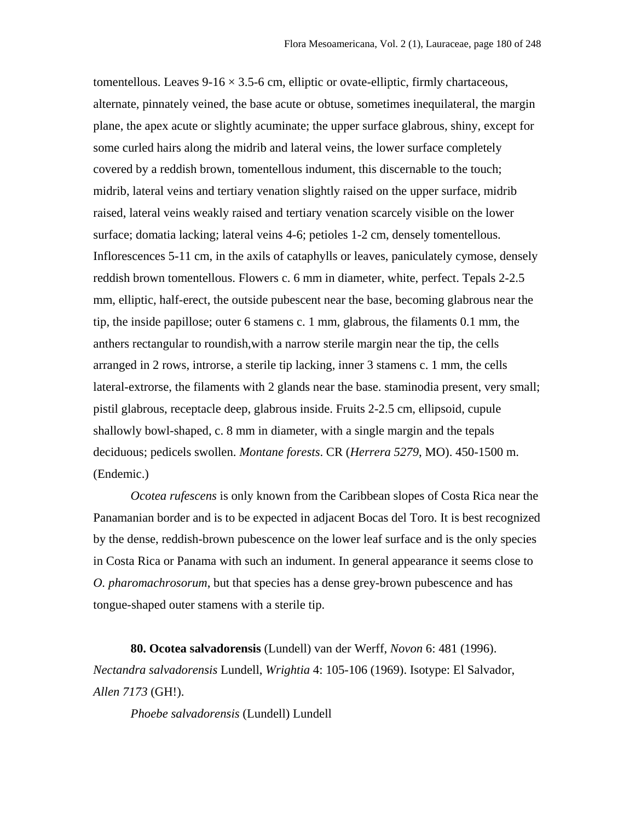tomentellous. Leaves  $9-16 \times 3.5-6$  cm, elliptic or ovate-elliptic, firmly chartaceous, alternate, pinnately veined, the base acute or obtuse, sometimes inequilateral, the margin plane, the apex acute or slightly acuminate; the upper surface glabrous, shiny, except for some curled hairs along the midrib and lateral veins, the lower surface completely covered by a reddish brown, tomentellous indument, this discernable to the touch; midrib, lateral veins and tertiary venation slightly raised on the upper surface, midrib raised, lateral veins weakly raised and tertiary venation scarcely visible on the lower surface; domatia lacking; lateral veins 4-6; petioles 1-2 cm, densely tomentellous. Inflorescences 5-11 cm, in the axils of cataphylls or leaves, paniculately cymose, densely reddish brown tomentellous. Flowers c. 6 mm in diameter, white, perfect. Tepals 2-2.5 mm, elliptic, half-erect, the outside pubescent near the base, becoming glabrous near the tip, the inside papillose; outer 6 stamens c. 1 mm, glabrous, the filaments 0.1 mm, the anthers rectangular to roundish,with a narrow sterile margin near the tip, the cells arranged in 2 rows, introrse, a sterile tip lacking, inner 3 stamens c. 1 mm, the cells lateral-extrorse, the filaments with 2 glands near the base. staminodia present, very small; pistil glabrous, receptacle deep, glabrous inside. Fruits 2-2.5 cm, ellipsoid, cupule shallowly bowl-shaped, c. 8 mm in diameter, with a single margin and the tepals deciduous; pedicels swollen. *Montane forests*. CR (*Herrera 5279*, MO). 450-1500 m. (Endemic.)

*Ocotea rufescens* is only known from the Caribbean slopes of Costa Rica near the Panamanian border and is to be expected in adjacent Bocas del Toro. It is best recognized by the dense, reddish-brown pubescence on the lower leaf surface and is the only species in Costa Rica or Panama with such an indument. In general appearance it seems close to *O. pharomachrosorum*, but that species has a dense grey-brown pubescence and has tongue-shaped outer stamens with a sterile tip.

**80. Ocotea salvadorensis** (Lundell) van der Werff, *Novon* 6: 481 (1996). *Nectandra salvadorensis* Lundell, *Wrightia* 4: 105-106 (1969). Isotype: El Salvador, *Allen 7173* (GH!).

*Phoebe salvadorensis* (Lundell) Lundell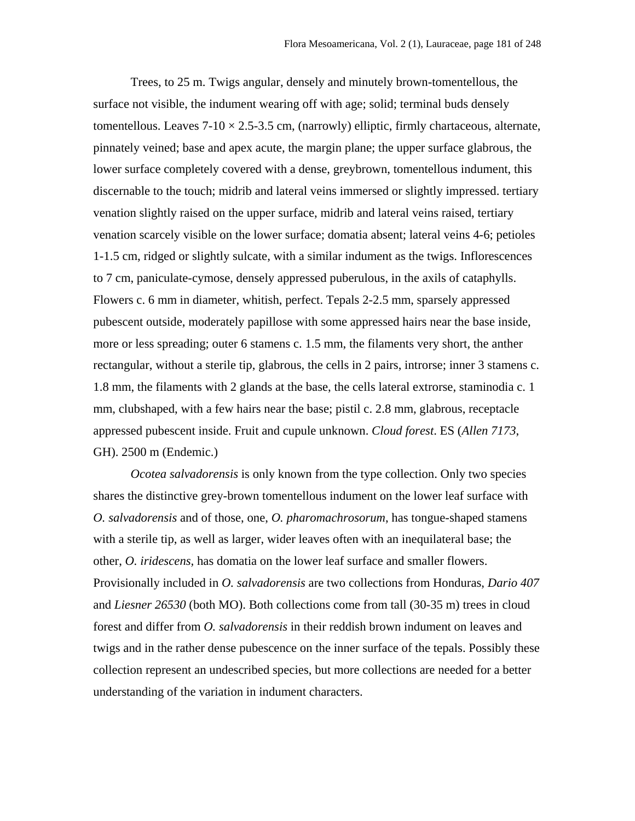Trees, to 25 m. Twigs angular, densely and minutely brown-tomentellous, the surface not visible, the indument wearing off with age; solid; terminal buds densely tomentellous. Leaves  $7-10 \times 2.5-3.5$  cm, (narrowly) elliptic, firmly chartaceous, alternate, pinnately veined; base and apex acute, the margin plane; the upper surface glabrous, the lower surface completely covered with a dense, greybrown, tomentellous indument, this discernable to the touch; midrib and lateral veins immersed or slightly impressed. tertiary venation slightly raised on the upper surface, midrib and lateral veins raised, tertiary venation scarcely visible on the lower surface; domatia absent; lateral veins 4-6; petioles 1-1.5 cm, ridged or slightly sulcate, with a similar indument as the twigs. Inflorescences to 7 cm, paniculate-cymose, densely appressed puberulous, in the axils of cataphylls. Flowers c. 6 mm in diameter, whitish, perfect. Tepals 2-2.5 mm, sparsely appressed pubescent outside, moderately papillose with some appressed hairs near the base inside, more or less spreading; outer 6 stamens c. 1.5 mm, the filaments very short, the anther rectangular, without a sterile tip, glabrous, the cells in 2 pairs, introrse; inner 3 stamens c. 1.8 mm, the filaments with 2 glands at the base, the cells lateral extrorse, staminodia c. 1 mm, clubshaped, with a few hairs near the base; pistil c. 2.8 mm, glabrous, receptacle appressed pubescent inside. Fruit and cupule unknown. *Cloud forest*. ES (*Allen 7173*, GH). 2500 m (Endemic.)

*Ocotea salvadorensis* is only known from the type collection. Only two species shares the distinctive grey-brown tomentellous indument on the lower leaf surface with *O. salvadorensis* and of those, one, *O. pharomachrosorum*, has tongue-shaped stamens with a sterile tip, as well as larger, wider leaves often with an inequilateral base; the other, *O. iridescens,* has domatia on the lower leaf surface and smaller flowers. Provisionally included in *O. salvadorensis* are two collections from Honduras, *Dario 407* and *Liesner 26530* (both MO). Both collections come from tall (30-35 m) trees in cloud forest and differ from *O. salvadorensis* in their reddish brown indument on leaves and twigs and in the rather dense pubescence on the inner surface of the tepals. Possibly these collection represent an undescribed species, but more collections are needed for a better understanding of the variation in indument characters.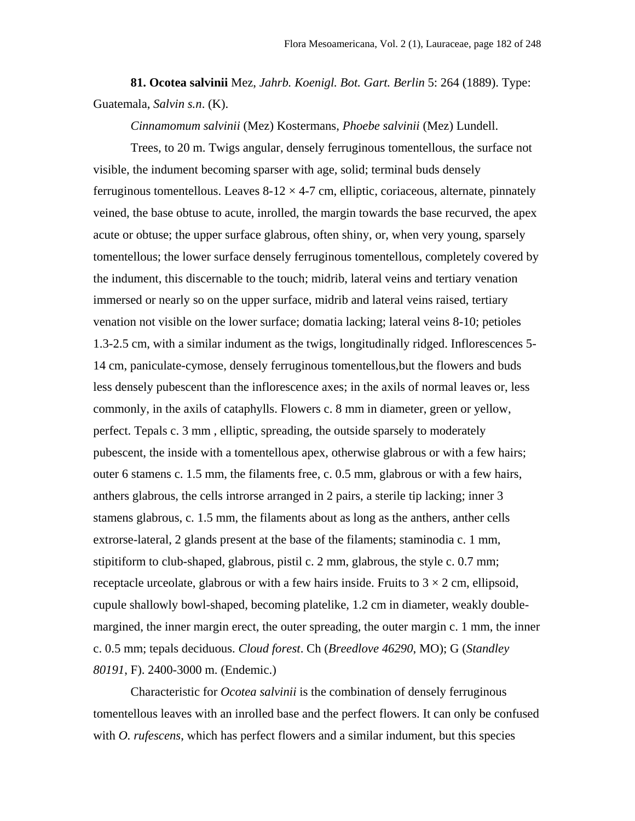**81. Ocotea salvinii** Mez, *Jahrb. Koenigl. Bot. Gart. Berlin* 5: 264 (1889). Type: Guatemala, *Salvin s.n*. (K).

*Cinnamomum salvinii* (Mez) Kostermans, *Phoebe salvinii* (Mez) Lundell.

Trees, to 20 m. Twigs angular, densely ferruginous tomentellous, the surface not visible, the indument becoming sparser with age, solid; terminal buds densely ferruginous tomentellous. Leaves  $8-12 \times 4-7$  cm, elliptic, coriaceous, alternate, pinnately veined, the base obtuse to acute, inrolled, the margin towards the base recurved, the apex acute or obtuse; the upper surface glabrous, often shiny, or, when very young, sparsely tomentellous; the lower surface densely ferruginous tomentellous, completely covered by the indument, this discernable to the touch; midrib, lateral veins and tertiary venation immersed or nearly so on the upper surface, midrib and lateral veins raised, tertiary venation not visible on the lower surface; domatia lacking; lateral veins 8-10; petioles 1.3-2.5 cm, with a similar indument as the twigs, longitudinally ridged. Inflorescences 5- 14 cm, paniculate-cymose, densely ferruginous tomentellous,but the flowers and buds less densely pubescent than the inflorescence axes; in the axils of normal leaves or, less commonly, in the axils of cataphylls. Flowers c. 8 mm in diameter, green or yellow, perfect. Tepals c. 3 mm , elliptic, spreading, the outside sparsely to moderately pubescent, the inside with a tomentellous apex, otherwise glabrous or with a few hairs; outer 6 stamens c. 1.5 mm, the filaments free, c. 0.5 mm, glabrous or with a few hairs, anthers glabrous, the cells introrse arranged in 2 pairs, a sterile tip lacking; inner 3 stamens glabrous, c. 1.5 mm, the filaments about as long as the anthers, anther cells extrorse-lateral, 2 glands present at the base of the filaments; staminodia c. 1 mm, stipitiform to club-shaped, glabrous, pistil c. 2 mm, glabrous, the style c. 0.7 mm; receptacle urceolate, glabrous or with a few hairs inside. Fruits to  $3 \times 2$  cm, ellipsoid, cupule shallowly bowl-shaped, becoming platelike, 1.2 cm in diameter, weakly doublemargined, the inner margin erect, the outer spreading, the outer margin c. 1 mm, the inner c. 0.5 mm; tepals deciduous. *Cloud forest*. Ch (*Breedlove 46290*, MO); G (*Standley 80191*, F). 2400-3000 m. (Endemic.)

Characteristic for *Ocotea salvinii* is the combination of densely ferruginous tomentellous leaves with an inrolled base and the perfect flowers. It can only be confused with *O. rufescens*, which has perfect flowers and a similar indument, but this species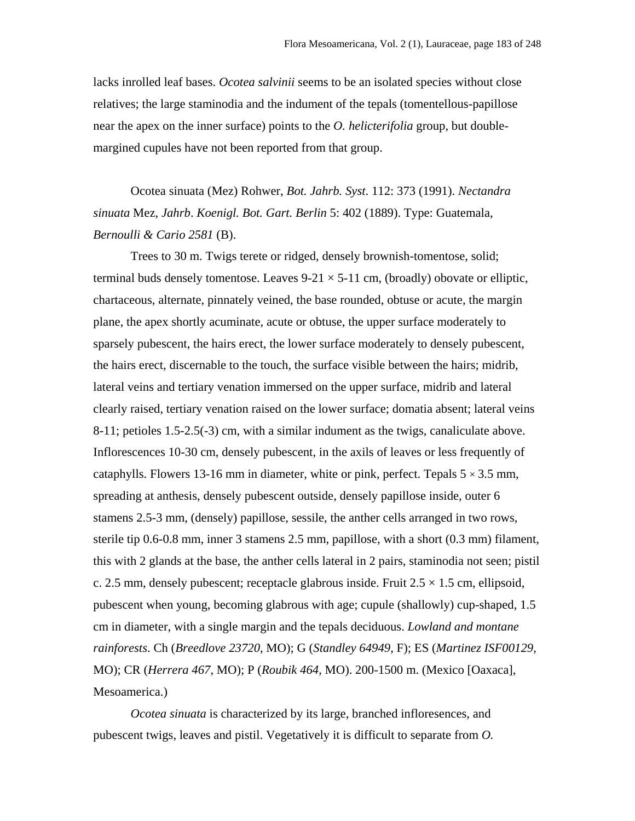lacks inrolled leaf bases. *Ocotea salvinii* seems to be an isolated species without close relatives; the large staminodia and the indument of the tepals (tomentellous-papillose near the apex on the inner surface) points to the *O. helicterifolia* group, but doublemargined cupules have not been reported from that group.

Ocotea sinuata (Mez) Rohwer, *Bot. Jahrb. Syst*. 112: 373 (1991). *Nectandra sinuata* Mez, *Jahrb*. *Koenigl. Bot. Gart. Berlin* 5: 402 (1889). Type: Guatemala, *Bernoulli & Cario 2581* (B).

Trees to 30 m. Twigs terete or ridged, densely brownish-tomentose, solid; terminal buds densely tomentose. Leaves  $9-21 \times 5-11$  cm, (broadly) obovate or elliptic, chartaceous, alternate, pinnately veined, the base rounded, obtuse or acute, the margin plane, the apex shortly acuminate, acute or obtuse, the upper surface moderately to sparsely pubescent, the hairs erect, the lower surface moderately to densely pubescent, the hairs erect, discernable to the touch, the surface visible between the hairs; midrib, lateral veins and tertiary venation immersed on the upper surface, midrib and lateral clearly raised, tertiary venation raised on the lower surface; domatia absent; lateral veins 8-11; petioles 1.5-2.5(-3) cm, with a similar indument as the twigs, canaliculate above. Inflorescences 10-30 cm, densely pubescent, in the axils of leaves or less frequently of cataphylls. Flowers 13-16 mm in diameter, white or pink, perfect. Tepals  $5 \times 3.5$  mm, spreading at anthesis, densely pubescent outside, densely papillose inside, outer 6 stamens 2.5-3 mm, (densely) papillose, sessile, the anther cells arranged in two rows, sterile tip 0.6-0.8 mm, inner 3 stamens 2.5 mm, papillose, with a short (0.3 mm) filament, this with 2 glands at the base, the anther cells lateral in 2 pairs, staminodia not seen; pistil c. 2.5 mm, densely pubescent; receptacle glabrous inside. Fruit  $2.5 \times 1.5$  cm, ellipsoid, pubescent when young, becoming glabrous with age; cupule (shallowly) cup-shaped, 1.5 cm in diameter, with a single margin and the tepals deciduous. *Lowland and montane rainforests*. Ch (*Breedlove 23720*, MO); G (*Standley 64949*, F); ES (*Martinez ISF00129*, MO); CR (*Herrera 467*, MO); P (*Roubik 464*, MO). 200-1500 m. (Mexico [Oaxaca], Mesoamerica.)

*Ocotea sinuata* is characterized by its large, branched infloresences, and pubescent twigs, leaves and pistil. Vegetatively it is difficult to separate from *O.*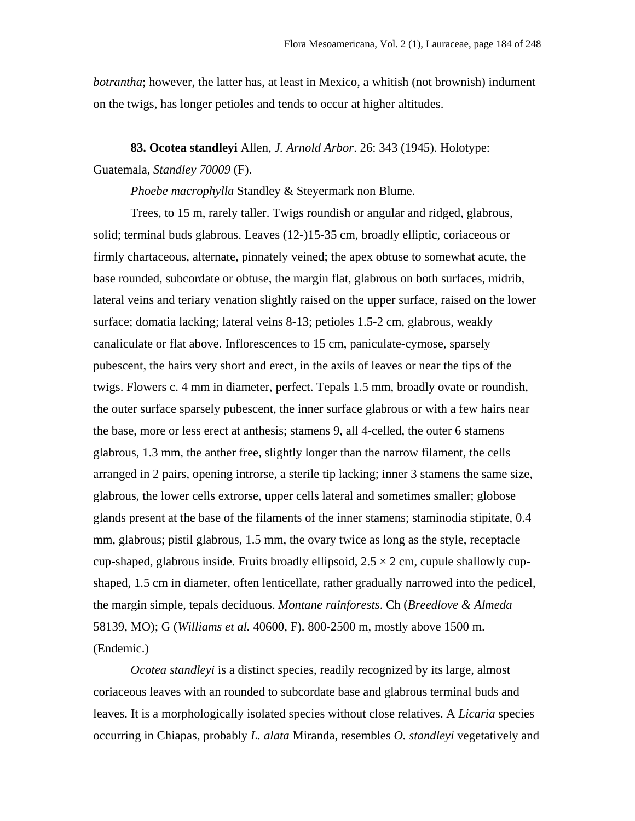*botrantha*; however, the latter has, at least in Mexico, a whitish (not brownish) indument on the twigs, has longer petioles and tends to occur at higher altitudes.

**83. Ocotea standleyi** Allen, *J. Arnold Arbor*. 26: 343 (1945). Holotype: Guatemala, *Standley 70009* (F).

*Phoebe macrophylla* Standley & Steyermark non Blume.

Trees, to 15 m, rarely taller. Twigs roundish or angular and ridged, glabrous, solid; terminal buds glabrous. Leaves (12-)15-35 cm, broadly elliptic, coriaceous or firmly chartaceous, alternate, pinnately veined; the apex obtuse to somewhat acute, the base rounded, subcordate or obtuse, the margin flat, glabrous on both surfaces, midrib, lateral veins and teriary venation slightly raised on the upper surface, raised on the lower surface; domatia lacking; lateral veins 8-13; petioles 1.5-2 cm, glabrous, weakly canaliculate or flat above. Inflorescences to 15 cm, paniculate-cymose, sparsely pubescent, the hairs very short and erect, in the axils of leaves or near the tips of the twigs. Flowers c. 4 mm in diameter, perfect. Tepals 1.5 mm, broadly ovate or roundish, the outer surface sparsely pubescent, the inner surface glabrous or with a few hairs near the base, more or less erect at anthesis; stamens 9, all 4-celled, the outer 6 stamens glabrous, 1.3 mm, the anther free, slightly longer than the narrow filament, the cells arranged in 2 pairs, opening introrse, a sterile tip lacking; inner 3 stamens the same size, glabrous, the lower cells extrorse, upper cells lateral and sometimes smaller; globose glands present at the base of the filaments of the inner stamens; staminodia stipitate, 0.4 mm, glabrous; pistil glabrous, 1.5 mm, the ovary twice as long as the style, receptacle cup-shaped, glabrous inside. Fruits broadly ellipsoid,  $2.5 \times 2$  cm, cupule shallowly cupshaped, 1.5 cm in diameter, often lenticellate, rather gradually narrowed into the pedicel, the margin simple, tepals deciduous. *Montane rainforests*. Ch (*Breedlove & Almeda* 58139, MO); G (*Williams et al.* 40600, F). 800-2500 m, mostly above 1500 m. (Endemic.)

*Ocotea standleyi* is a distinct species, readily recognized by its large, almost coriaceous leaves with an rounded to subcordate base and glabrous terminal buds and leaves. It is a morphologically isolated species without close relatives. A *Licaria* species occurring in Chiapas, probably *L. alata* Miranda, resembles *O. standleyi* vegetatively and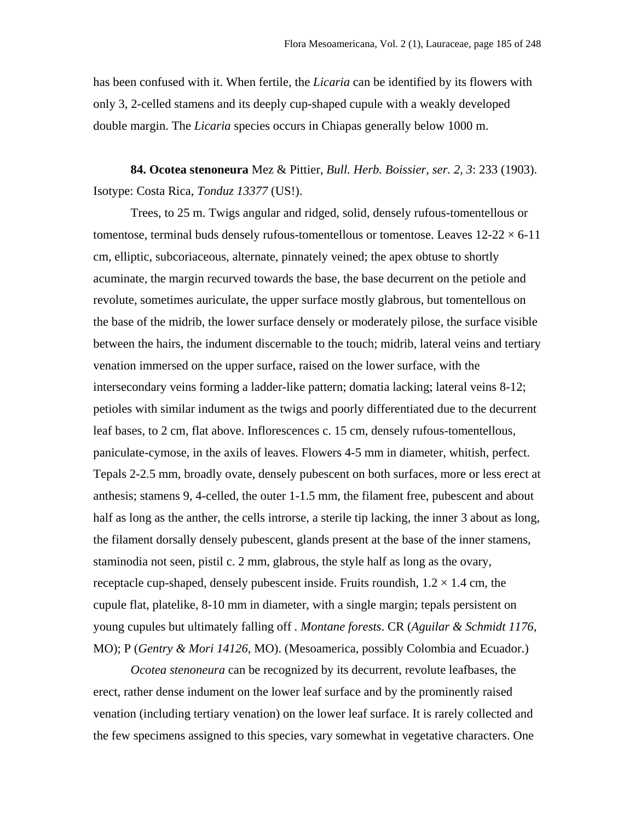has been confused with it. When fertile, the *Licaria* can be identified by its flowers with only 3, 2-celled stamens and its deeply cup-shaped cupule with a weakly developed double margin. The *Licaria* species occurs in Chiapas generally below 1000 m.

**84. Ocotea stenoneura** Mez & Pittier, *Bull. Herb. Boissier, ser. 2, 3*: 233 (1903). Isotype: Costa Rica, *Tonduz 13377* (US!).

Trees, to 25 m. Twigs angular and ridged, solid, densely rufous-tomentellous or tomentose, terminal buds densely rufous-tomentellous or tomentose. Leaves  $12{\text -}22 \times 6{\text -}11$ cm, elliptic, subcoriaceous, alternate, pinnately veined; the apex obtuse to shortly acuminate, the margin recurved towards the base, the base decurrent on the petiole and revolute, sometimes auriculate, the upper surface mostly glabrous, but tomentellous on the base of the midrib, the lower surface densely or moderately pilose, the surface visible between the hairs, the indument discernable to the touch; midrib, lateral veins and tertiary venation immersed on the upper surface, raised on the lower surface, with the intersecondary veins forming a ladder-like pattern; domatia lacking; lateral veins 8-12; petioles with similar indument as the twigs and poorly differentiated due to the decurrent leaf bases, to 2 cm, flat above. Inflorescences c. 15 cm, densely rufous-tomentellous, paniculate-cymose, in the axils of leaves. Flowers 4-5 mm in diameter, whitish, perfect. Tepals 2-2.5 mm, broadly ovate, densely pubescent on both surfaces, more or less erect at anthesis; stamens 9, 4-celled, the outer 1-1.5 mm, the filament free, pubescent and about half as long as the anther, the cells introrse, a sterile tip lacking, the inner 3 about as long, the filament dorsally densely pubescent, glands present at the base of the inner stamens, staminodia not seen, pistil c. 2 mm, glabrous, the style half as long as the ovary, receptacle cup-shaped, densely pubescent inside. Fruits roundish,  $1.2 \times 1.4$  cm, the cupule flat, platelike, 8-10 mm in diameter, with a single margin; tepals persistent on young cupules but ultimately falling off *. Montane forests*. CR (*Aguilar & Schmidt 1176*, MO); P (*Gentry & Mori 14126*, MO). (Mesoamerica, possibly Colombia and Ecuador.)

*Ocotea stenoneura* can be recognized by its decurrent, revolute leafbases, the erect, rather dense indument on the lower leaf surface and by the prominently raised venation (including tertiary venation) on the lower leaf surface. It is rarely collected and the few specimens assigned to this species, vary somewhat in vegetative characters. One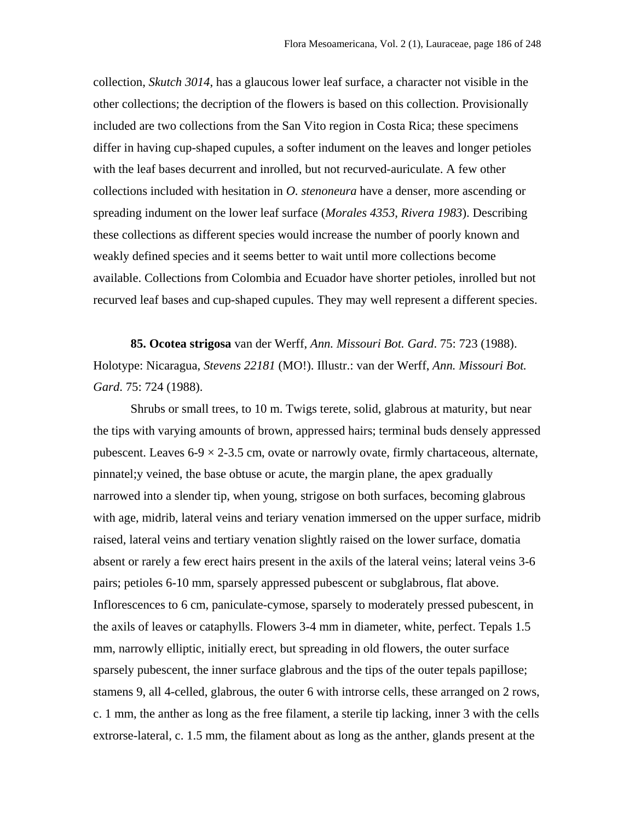collection, *Skutch 3014*, has a glaucous lower leaf surface, a character not visible in the other collections; the decription of the flowers is based on this collection. Provisionally included are two collections from the San Vito region in Costa Rica; these specimens differ in having cup-shaped cupules, a softer indument on the leaves and longer petioles with the leaf bases decurrent and inrolled, but not recurved-auriculate. A few other collections included with hesitation in *O. stenoneura* have a denser, more ascending or spreading indument on the lower leaf surface (*Morales 4353*, *Rivera 1983*). Describing these collections as different species would increase the number of poorly known and weakly defined species and it seems better to wait until more collections become available. Collections from Colombia and Ecuador have shorter petioles, inrolled but not recurved leaf bases and cup-shaped cupules. They may well represent a different species.

**85. Ocotea strigosa** van der Werff, *Ann. Missouri Bot. Gard*. 75: 723 (1988). Holotype: Nicaragua, *Stevens 22181* (MO!). Illustr.: van der Werff, *Ann. Missouri Bot. Gard*. 75: 724 (1988).

Shrubs or small trees, to 10 m. Twigs terete, solid, glabrous at maturity, but near the tips with varying amounts of brown, appressed hairs; terminal buds densely appressed pubescent. Leaves  $6-9 \times 2-3.5$  cm, ovate or narrowly ovate, firmly chartaceous, alternate, pinnatel;y veined, the base obtuse or acute, the margin plane, the apex gradually narrowed into a slender tip, when young, strigose on both surfaces, becoming glabrous with age, midrib, lateral veins and teriary venation immersed on the upper surface, midrib raised, lateral veins and tertiary venation slightly raised on the lower surface, domatia absent or rarely a few erect hairs present in the axils of the lateral veins; lateral veins 3-6 pairs; petioles 6-10 mm, sparsely appressed pubescent or subglabrous, flat above. Inflorescences to 6 cm, paniculate-cymose, sparsely to moderately pressed pubescent, in the axils of leaves or cataphylls. Flowers 3-4 mm in diameter, white, perfect. Tepals 1.5 mm, narrowly elliptic, initially erect, but spreading in old flowers, the outer surface sparsely pubescent, the inner surface glabrous and the tips of the outer tepals papillose; stamens 9, all 4-celled, glabrous, the outer 6 with introrse cells, these arranged on 2 rows, c. 1 mm, the anther as long as the free filament, a sterile tip lacking, inner 3 with the cells extrorse-lateral, c. 1.5 mm, the filament about as long as the anther, glands present at the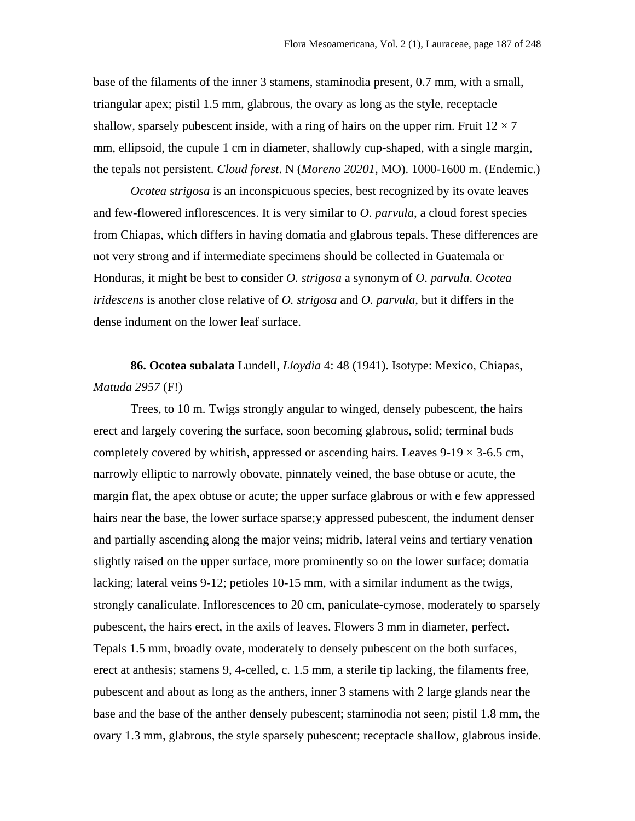base of the filaments of the inner 3 stamens, staminodia present, 0.7 mm, with a small, triangular apex; pistil 1.5 mm, glabrous, the ovary as long as the style, receptacle shallow, sparsely pubescent inside, with a ring of hairs on the upper rim. Fruit  $12 \times 7$ mm, ellipsoid, the cupule 1 cm in diameter, shallowly cup-shaped, with a single margin, the tepals not persistent. *Cloud forest*. N (*Moreno 20201*, MO). 1000-1600 m. (Endemic.)

*Ocotea strigosa* is an inconspicuous species, best recognized by its ovate leaves and few-flowered inflorescences. It is very similar to *O. parvula*, a cloud forest species from Chiapas, which differs in having domatia and glabrous tepals. These differences are not very strong and if intermediate specimens should be collected in Guatemala or Honduras, it might be best to consider *O. strigosa* a synonym of *O*. *parvula*. *Ocotea iridescens* is another close relative of *O. strigosa* and *O. parvula*, but it differs in the dense indument on the lower leaf surface.

**86. Ocotea subalata** Lundell, *Lloydia* 4: 48 (1941). Isotype: Mexico, Chiapas, *Matuda 2957* (F!)

Trees, to 10 m. Twigs strongly angular to winged, densely pubescent, the hairs erect and largely covering the surface, soon becoming glabrous, solid; terminal buds completely covered by whitish, appressed or ascending hairs. Leaves  $9-19 \times 3-6.5$  cm, narrowly elliptic to narrowly obovate, pinnately veined, the base obtuse or acute, the margin flat, the apex obtuse or acute; the upper surface glabrous or with e few appressed hairs near the base, the lower surface sparse;y appressed pubescent, the indument denser and partially ascending along the major veins; midrib, lateral veins and tertiary venation slightly raised on the upper surface, more prominently so on the lower surface; domatia lacking; lateral veins 9-12; petioles 10-15 mm, with a similar indument as the twigs, strongly canaliculate. Inflorescences to 20 cm, paniculate-cymose, moderately to sparsely pubescent, the hairs erect, in the axils of leaves. Flowers 3 mm in diameter, perfect. Tepals 1.5 mm, broadly ovate, moderately to densely pubescent on the both surfaces, erect at anthesis; stamens 9, 4-celled, c. 1.5 mm, a sterile tip lacking, the filaments free, pubescent and about as long as the anthers, inner 3 stamens with 2 large glands near the base and the base of the anther densely pubescent; staminodia not seen; pistil 1.8 mm, the ovary 1.3 mm, glabrous, the style sparsely pubescent; receptacle shallow, glabrous inside.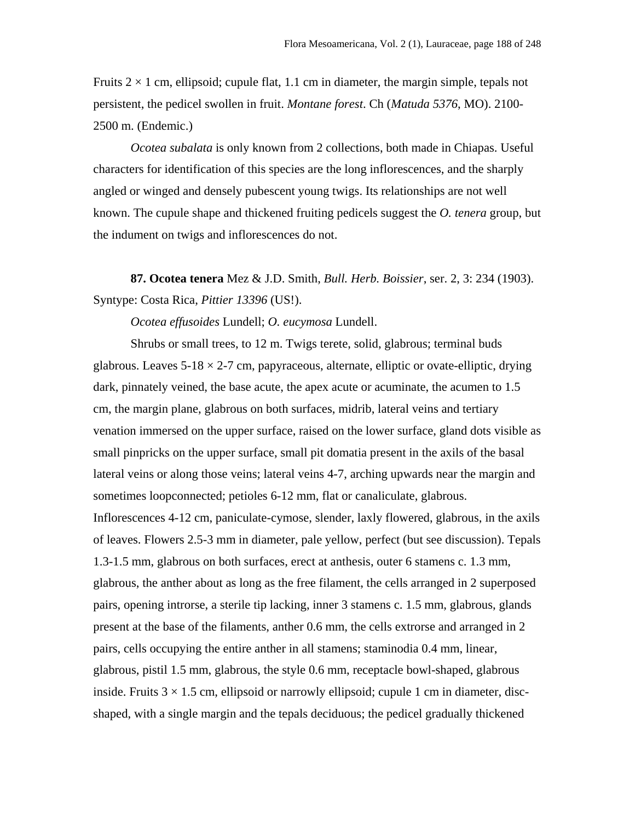Fruits  $2 \times 1$  cm, ellipsoid; cupule flat, 1.1 cm in diameter, the margin simple, tepals not persistent, the pedicel swollen in fruit. *Montane forest*. Ch (*Matuda 5376*, MO). 2100- 2500 m. (Endemic.)

*Ocotea subalata* is only known from 2 collections, both made in Chiapas. Useful characters for identification of this species are the long inflorescences, and the sharply angled or winged and densely pubescent young twigs. Its relationships are not well known. The cupule shape and thickened fruiting pedicels suggest the *O. tenera* group, but the indument on twigs and inflorescences do not.

**87. Ocotea tenera** Mez & J.D. Smith, *Bull. Herb. Boissier*, ser. 2, 3: 234 (1903). Syntype: Costa Rica, *Pittier 13396* (US!).

*Ocotea effusoides* Lundell; *O. eucymosa* Lundell.

Shrubs or small trees, to 12 m. Twigs terete, solid, glabrous; terminal buds glabrous. Leaves  $5-18 \times 2-7$  cm, papyraceous, alternate, elliptic or ovate-elliptic, drying dark, pinnately veined, the base acute, the apex acute or acuminate, the acumen to 1.5 cm, the margin plane, glabrous on both surfaces, midrib, lateral veins and tertiary venation immersed on the upper surface, raised on the lower surface, gland dots visible as small pinpricks on the upper surface, small pit domatia present in the axils of the basal lateral veins or along those veins; lateral veins 4-7, arching upwards near the margin and sometimes loopconnected; petioles 6-12 mm, flat or canaliculate, glabrous. Inflorescences 4-12 cm, paniculate-cymose, slender, laxly flowered, glabrous, in the axils of leaves. Flowers 2.5-3 mm in diameter, pale yellow, perfect (but see discussion). Tepals 1.3-1.5 mm, glabrous on both surfaces, erect at anthesis, outer 6 stamens c. 1.3 mm, glabrous, the anther about as long as the free filament, the cells arranged in 2 superposed pairs, opening introrse, a sterile tip lacking, inner 3 stamens c. 1.5 mm, glabrous, glands present at the base of the filaments, anther 0.6 mm, the cells extrorse and arranged in 2 pairs, cells occupying the entire anther in all stamens; staminodia 0.4 mm, linear, glabrous, pistil 1.5 mm, glabrous, the style 0.6 mm, receptacle bowl-shaped, glabrous inside. Fruits  $3 \times 1.5$  cm, ellipsoid or narrowly ellipsoid; cupule 1 cm in diameter, discshaped, with a single margin and the tepals deciduous; the pedicel gradually thickened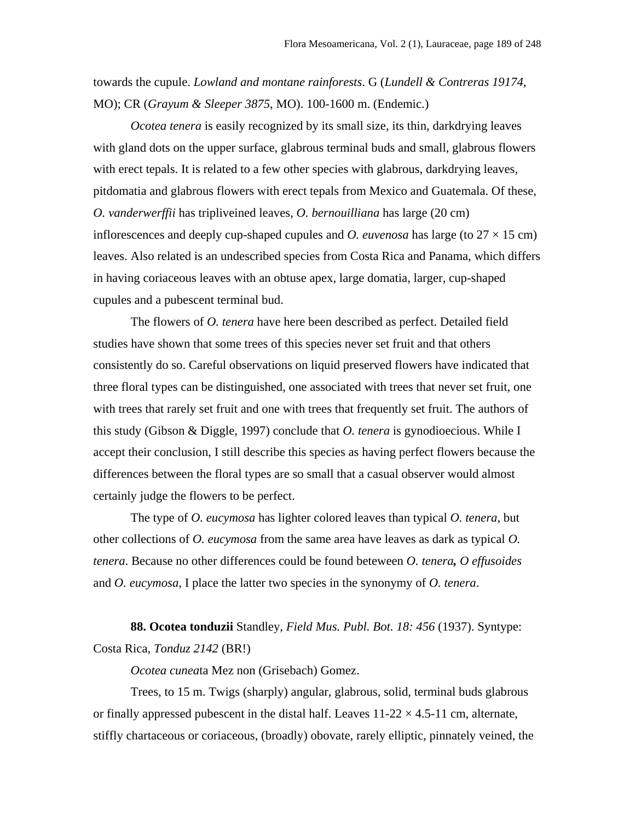towards the cupule. *Lowland and montane rainforests*. G (*Lundell & Contreras 19174*, MO); CR (*Grayum & Sleeper 3875*, MO). 100-1600 m. (Endemic.)

*Ocotea tenera* is easily recognized by its small size, its thin, darkdrying leaves with gland dots on the upper surface, glabrous terminal buds and small, glabrous flowers with erect tepals. It is related to a few other species with glabrous, darkdrying leaves, pitdomatia and glabrous flowers with erect tepals from Mexico and Guatemala. Of these, *O. vanderwerffii* has tripliveined leaves, *O. bernouilliana* has large (20 cm) inflorescences and deeply cup-shaped cupules and *O. euvenosa* has large (to  $27 \times 15$  cm) leaves. Also related is an undescribed species from Costa Rica and Panama, which differs in having coriaceous leaves with an obtuse apex, large domatia, larger, cup-shaped cupules and a pubescent terminal bud.

The flowers of *O. tenera* have here been described as perfect. Detailed field studies have shown that some trees of this species never set fruit and that others consistently do so. Careful observations on liquid preserved flowers have indicated that three floral types can be distinguished, one associated with trees that never set fruit, one with trees that rarely set fruit and one with trees that frequently set fruit. The authors of this study (Gibson & Diggle, 1997) conclude that *O. tenera* is gynodioecious. While I accept their conclusion, I still describe this species as having perfect flowers because the differences between the floral types are so small that a casual observer would almost certainly judge the flowers to be perfect.

The type of *O. eucymosa* has lighter colored leaves than typical *O. tenera*, but other collections of *O. eucymosa* from the same area have leaves as dark as typical *O. tenera*. Because no other differences could be found beteween *O. tenera, O effusoides* and *O. eucymosa*, I place the latter two species in the synonymy of *O. tenera*.

**88. Ocotea tonduzii** Standley, *Field Mus. Publ. Bot. 18: 456* (1937). Syntype: Costa Rica, *Tonduz 2142* (BR!)

*Ocotea cunea*ta Mez non (Grisebach) Gomez.

Trees, to 15 m. Twigs (sharply) angular, glabrous, solid, terminal buds glabrous or finally appressed pubescent in the distal half. Leaves  $11-22 \times 4.5-11$  cm, alternate, stiffly chartaceous or coriaceous, (broadly) obovate, rarely elliptic, pinnately veined, the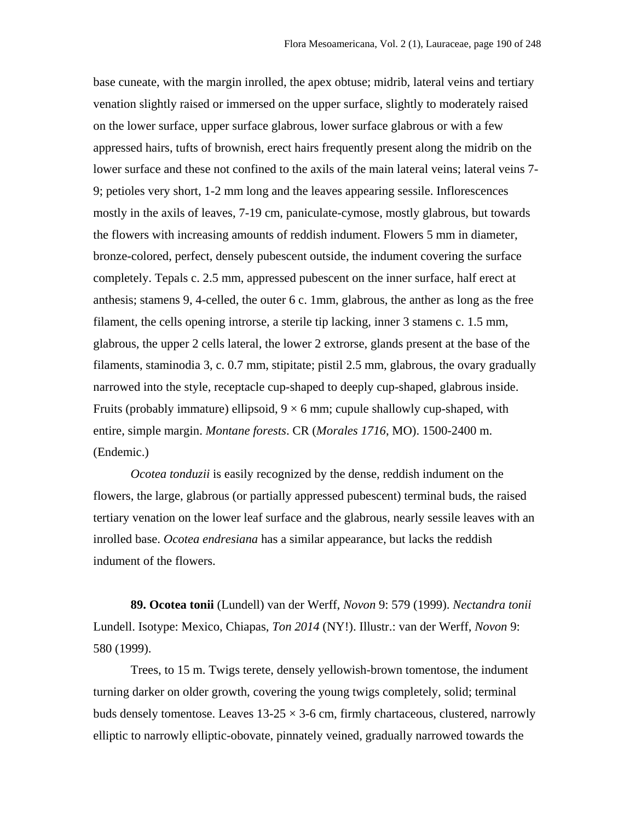base cuneate, with the margin inrolled, the apex obtuse; midrib, lateral veins and tertiary venation slightly raised or immersed on the upper surface, slightly to moderately raised on the lower surface, upper surface glabrous, lower surface glabrous or with a few appressed hairs, tufts of brownish, erect hairs frequently present along the midrib on the lower surface and these not confined to the axils of the main lateral veins; lateral veins 7- 9; petioles very short, 1-2 mm long and the leaves appearing sessile. Inflorescences mostly in the axils of leaves, 7-19 cm, paniculate-cymose, mostly glabrous, but towards the flowers with increasing amounts of reddish indument. Flowers 5 mm in diameter, bronze-colored, perfect, densely pubescent outside, the indument covering the surface completely. Tepals c. 2.5 mm, appressed pubescent on the inner surface, half erect at anthesis; stamens 9, 4-celled, the outer 6 c. 1mm, glabrous, the anther as long as the free filament, the cells opening introrse, a sterile tip lacking, inner 3 stamens c. 1.5 mm, glabrous, the upper 2 cells lateral, the lower 2 extrorse, glands present at the base of the filaments, staminodia 3, c. 0.7 mm, stipitate; pistil 2.5 mm, glabrous, the ovary gradually narrowed into the style, receptacle cup-shaped to deeply cup-shaped, glabrous inside. Fruits (probably immature) ellipsoid,  $9 \times 6$  mm; cupule shallowly cup-shaped, with entire, simple margin. *Montane forests*. CR (*Morales 1716*, MO). 1500-2400 m. (Endemic.)

*Ocotea tonduzii* is easily recognized by the dense, reddish indument on the flowers, the large, glabrous (or partially appressed pubescent) terminal buds, the raised tertiary venation on the lower leaf surface and the glabrous, nearly sessile leaves with an inrolled base. *Ocotea endresiana* has a similar appearance, but lacks the reddish indument of the flowers.

**89. Ocotea tonii** (Lundell) van der Werff, *Novon* 9: 579 (1999). *Nectandra tonii* Lundell. Isotype: Mexico, Chiapas, *Ton 2014* (NY!). Illustr.: van der Werff, *Novon* 9: 580 (1999).

Trees, to 15 m. Twigs terete, densely yellowish-brown tomentose, the indument turning darker on older growth, covering the young twigs completely, solid; terminal buds densely tomentose. Leaves  $13{\text -}25 \times 3{\text -}6$  cm, firmly chartaceous, clustered, narrowly elliptic to narrowly elliptic-obovate, pinnately veined, gradually narrowed towards the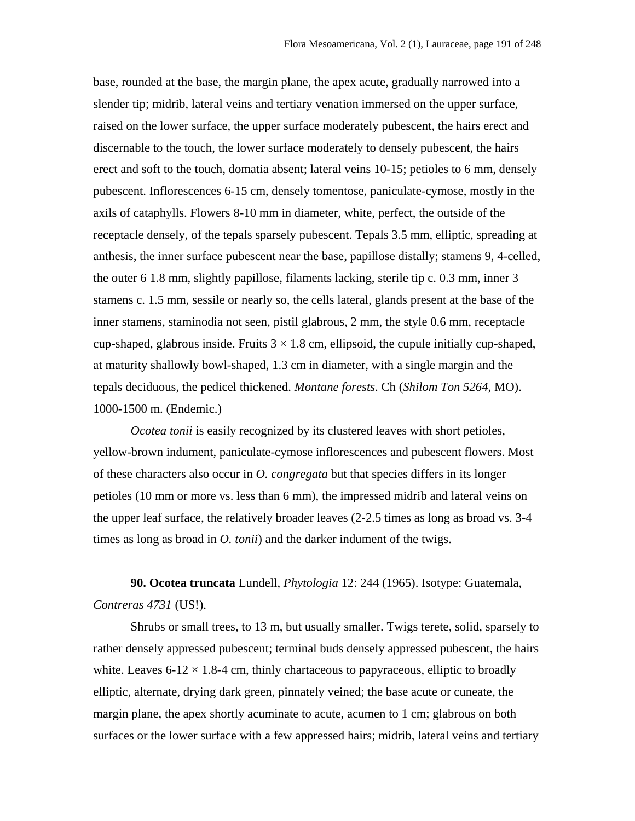base, rounded at the base, the margin plane, the apex acute, gradually narrowed into a slender tip; midrib, lateral veins and tertiary venation immersed on the upper surface, raised on the lower surface, the upper surface moderately pubescent, the hairs erect and discernable to the touch, the lower surface moderately to densely pubescent, the hairs erect and soft to the touch, domatia absent; lateral veins 10-15; petioles to 6 mm, densely pubescent. Inflorescences 6-15 cm, densely tomentose, paniculate-cymose, mostly in the axils of cataphylls. Flowers 8-10 mm in diameter, white, perfect, the outside of the receptacle densely, of the tepals sparsely pubescent. Tepals 3.5 mm, elliptic, spreading at anthesis, the inner surface pubescent near the base, papillose distally; stamens 9, 4-celled, the outer 6 1.8 mm, slightly papillose, filaments lacking, sterile tip c. 0.3 mm, inner 3 stamens c. 1.5 mm, sessile or nearly so, the cells lateral, glands present at the base of the inner stamens, staminodia not seen, pistil glabrous, 2 mm, the style 0.6 mm, receptacle cup-shaped, glabrous inside. Fruits  $3 \times 1.8$  cm, ellipsoid, the cupule initially cup-shaped, at maturity shallowly bowl-shaped, 1.3 cm in diameter, with a single margin and the tepals deciduous, the pedicel thickened. *Montane forests*. Ch (*Shilom Ton 5264*, MO). 1000-1500 m. (Endemic.)

*Ocotea tonii* is easily recognized by its clustered leaves with short petioles, yellow-brown indument, paniculate-cymose inflorescences and pubescent flowers. Most of these characters also occur in *O. congregata* but that species differs in its longer petioles (10 mm or more vs. less than 6 mm), the impressed midrib and lateral veins on the upper leaf surface, the relatively broader leaves (2-2.5 times as long as broad vs. 3-4 times as long as broad in *O. tonii*) and the darker indument of the twigs.

**90. Ocotea truncata** Lundell, *Phytologia* 12: 244 (1965). Isotype: Guatemala, *Contreras 4731* (US!).

Shrubs or small trees, to 13 m, but usually smaller. Twigs terete, solid, sparsely to rather densely appressed pubescent; terminal buds densely appressed pubescent, the hairs white. Leaves  $6-12 \times 1.8-4$  cm, thinly chartaceous to papyraceous, elliptic to broadly elliptic, alternate, drying dark green, pinnately veined; the base acute or cuneate, the margin plane, the apex shortly acuminate to acute, acumen to 1 cm; glabrous on both surfaces or the lower surface with a few appressed hairs; midrib, lateral veins and tertiary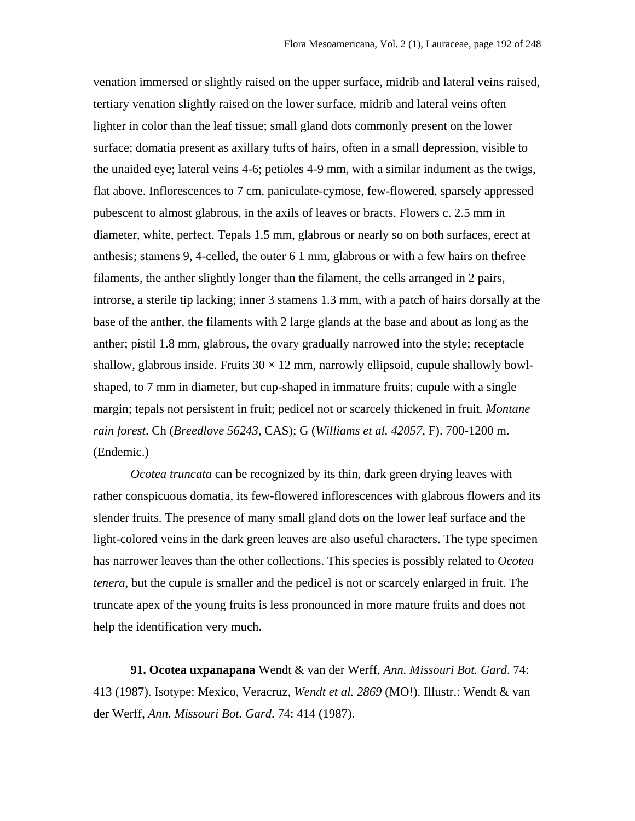venation immersed or slightly raised on the upper surface, midrib and lateral veins raised, tertiary venation slightly raised on the lower surface, midrib and lateral veins often lighter in color than the leaf tissue; small gland dots commonly present on the lower surface; domatia present as axillary tufts of hairs, often in a small depression, visible to the unaided eye; lateral veins 4-6; petioles 4-9 mm, with a similar indument as the twigs, flat above. Inflorescences to 7 cm, paniculate-cymose, few-flowered, sparsely appressed pubescent to almost glabrous, in the axils of leaves or bracts. Flowers c. 2.5 mm in diameter, white, perfect. Tepals 1.5 mm, glabrous or nearly so on both surfaces, erect at anthesis; stamens 9, 4-celled, the outer 6 1 mm, glabrous or with a few hairs on thefree filaments, the anther slightly longer than the filament, the cells arranged in 2 pairs, introrse, a sterile tip lacking; inner 3 stamens 1.3 mm, with a patch of hairs dorsally at the base of the anther, the filaments with 2 large glands at the base and about as long as the anther; pistil 1.8 mm, glabrous, the ovary gradually narrowed into the style; receptacle shallow, glabrous inside. Fruits  $30 \times 12$  mm, narrowly ellipsoid, cupule shallowly bowlshaped, to 7 mm in diameter, but cup-shaped in immature fruits; cupule with a single margin; tepals not persistent in fruit; pedicel not or scarcely thickened in fruit*. Montane rain forest*. Ch (*Breedlove 56243*, CAS); G (*Williams et al. 42057*, F). 700-1200 m. (Endemic.)

*Ocotea truncata* can be recognized by its thin, dark green drying leaves with rather conspicuous domatia, its few-flowered inflorescences with glabrous flowers and its slender fruits. The presence of many small gland dots on the lower leaf surface and the light-colored veins in the dark green leaves are also useful characters. The type specimen has narrower leaves than the other collections. This species is possibly related to *Ocotea tenera*, but the cupule is smaller and the pedicel is not or scarcely enlarged in fruit. The truncate apex of the young fruits is less pronounced in more mature fruits and does not help the identification very much.

**91. Ocotea uxpanapana** Wendt & van der Werff, *Ann. Missouri Bot. Gard*. 74: 413 (1987). Isotype: Mexico, Veracruz, *Wendt et al. 2869* (MO!). Illustr.: Wendt & van der Werff, *Ann. Missouri Bot. Gard*. 74: 414 (1987).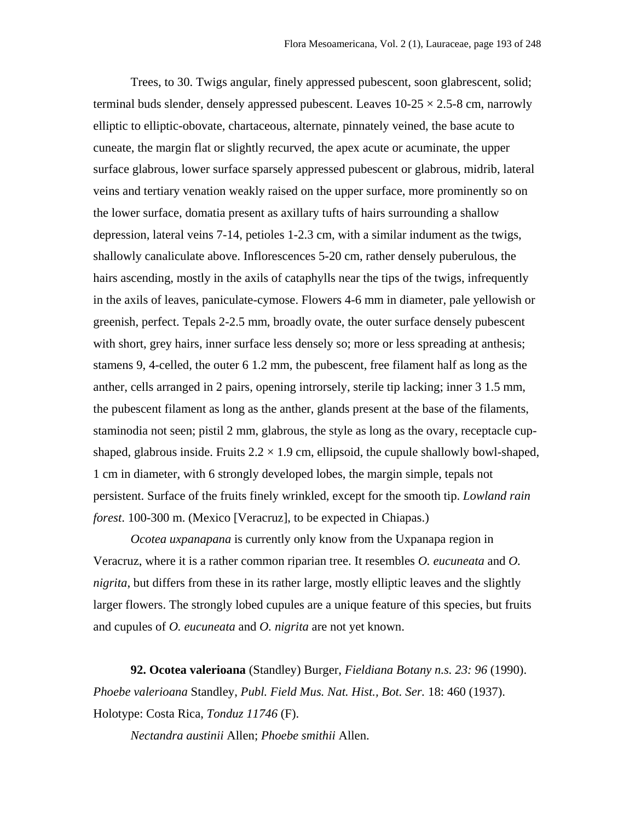Trees, to 30. Twigs angular, finely appressed pubescent, soon glabrescent, solid; terminal buds slender, densely appressed pubescent. Leaves  $10-25 \times 2.5-8$  cm, narrowly elliptic to elliptic-obovate, chartaceous, alternate, pinnately veined, the base acute to cuneate, the margin flat or slightly recurved, the apex acute or acuminate, the upper surface glabrous, lower surface sparsely appressed pubescent or glabrous, midrib, lateral veins and tertiary venation weakly raised on the upper surface, more prominently so on the lower surface, domatia present as axillary tufts of hairs surrounding a shallow depression, lateral veins 7-14, petioles 1-2.3 cm, with a similar indument as the twigs, shallowly canaliculate above. Inflorescences 5-20 cm, rather densely puberulous, the hairs ascending, mostly in the axils of cataphylls near the tips of the twigs, infrequently in the axils of leaves, paniculate-cymose. Flowers 4-6 mm in diameter, pale yellowish or greenish, perfect. Tepals 2-2.5 mm, broadly ovate, the outer surface densely pubescent with short, grey hairs, inner surface less densely so; more or less spreading at anthesis; stamens 9, 4-celled, the outer 6 1.2 mm, the pubescent, free filament half as long as the anther, cells arranged in 2 pairs, opening introrsely, sterile tip lacking; inner 3 1.5 mm, the pubescent filament as long as the anther, glands present at the base of the filaments, staminodia not seen; pistil 2 mm, glabrous, the style as long as the ovary, receptacle cupshaped, glabrous inside. Fruits  $2.2 \times 1.9$  cm, ellipsoid, the cupule shallowly bowl-shaped, 1 cm in diameter, with 6 strongly developed lobes, the margin simple, tepals not persistent. Surface of the fruits finely wrinkled, except for the smooth tip. *Lowland rain forest*. 100-300 m. (Mexico [Veracruz], to be expected in Chiapas.)

*Ocotea uxpanapana* is currently only know from the Uxpanapa region in Veracruz, where it is a rather common riparian tree. It resembles *O. eucuneata* and *O. nigrita*, but differs from these in its rather large, mostly elliptic leaves and the slightly larger flowers. The strongly lobed cupules are a unique feature of this species, but fruits and cupules of *O. eucuneata* and *O. nigrita* are not yet known.

**92. Ocotea valerioana** (Standley) Burger, *Fieldiana Botany n.s. 23: 96* (1990). *Phoebe valerioana* Standley, *Publ. Field Mus. Nat. Hist., Bot. Ser.* 18: 460 (1937). Holotype: Costa Rica, *Tonduz 11746* (F).

*Nectandra austinii* Allen; *Phoebe smithii* Allen.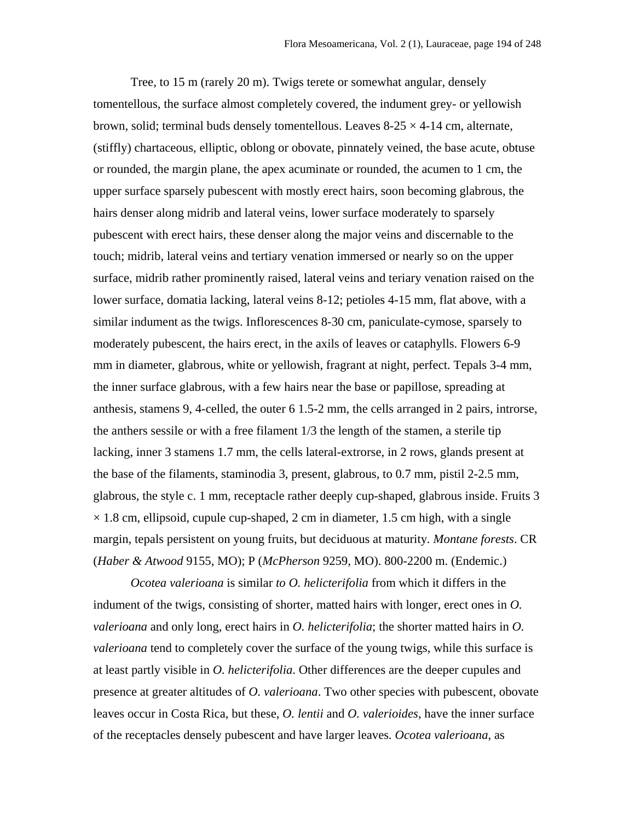Tree, to 15 m (rarely 20 m). Twigs terete or somewhat angular, densely tomentellous, the surface almost completely covered, the indument grey- or yellowish brown, solid; terminal buds densely tomentellous. Leaves  $8-25 \times 4-14$  cm, alternate, (stiffly) chartaceous, elliptic, oblong or obovate, pinnately veined, the base acute, obtuse or rounded, the margin plane, the apex acuminate or rounded, the acumen to 1 cm, the upper surface sparsely pubescent with mostly erect hairs, soon becoming glabrous, the hairs denser along midrib and lateral veins, lower surface moderately to sparsely pubescent with erect hairs, these denser along the major veins and discernable to the touch; midrib, lateral veins and tertiary venation immersed or nearly so on the upper surface, midrib rather prominently raised, lateral veins and teriary venation raised on the lower surface, domatia lacking, lateral veins 8-12; petioles 4-15 mm, flat above, with a similar indument as the twigs. Inflorescences 8-30 cm, paniculate-cymose, sparsely to moderately pubescent, the hairs erect, in the axils of leaves or cataphylls. Flowers 6-9 mm in diameter, glabrous, white or yellowish, fragrant at night, perfect. Tepals 3-4 mm, the inner surface glabrous, with a few hairs near the base or papillose, spreading at anthesis, stamens 9, 4-celled, the outer 6 1.5-2 mm, the cells arranged in 2 pairs, introrse, the anthers sessile or with a free filament 1/3 the length of the stamen, a sterile tip lacking, inner 3 stamens 1.7 mm, the cells lateral-extrorse, in 2 rows, glands present at the base of the filaments, staminodia 3, present, glabrous, to 0.7 mm, pistil 2-2.5 mm, glabrous, the style c. 1 mm, receptacle rather deeply cup-shaped, glabrous inside. Fruits 3  $\times$  1.8 cm, ellipsoid, cupule cup-shaped, 2 cm in diameter, 1.5 cm high, with a single margin, tepals persistent on young fruits, but deciduous at maturity*. Montane forests*. CR (*Haber & Atwood* 9155, MO); P (*McPherson* 9259, MO). 800-2200 m. (Endemic.)

*Ocotea valerioana* is similar *to O. helicterifolia* from which it differs in the indument of the twigs, consisting of shorter, matted hairs with longer, erect ones in *O. valerioana* and only long, erect hairs in *O. helicterifolia*; the shorter matted hairs in *O. valerioana* tend to completely cover the surface of the young twigs, while this surface is at least partly visible in *O. helicterifolia*. Other differences are the deeper cupules and presence at greater altitudes of *O. valerioana*. Two other species with pubescent, obovate leaves occur in Costa Rica, but these, *O. lentii* and *O. valerioides*, have the inner surface of the receptacles densely pubescent and have larger leaves*. Ocotea valerioana*, as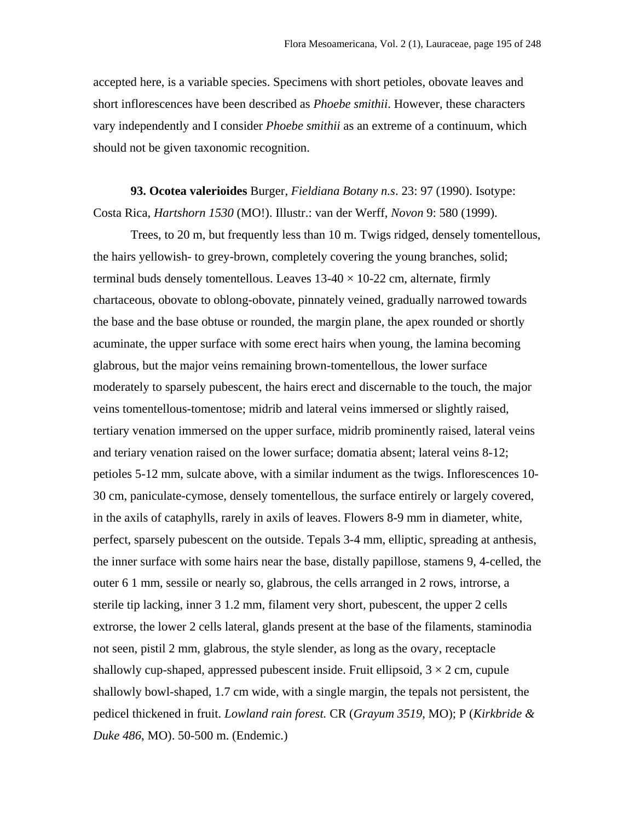accepted here, is a variable species. Specimens with short petioles, obovate leaves and short inflorescences have been described as *Phoebe smithii*. However, these characters vary independently and I consider *Phoebe smithii* as an extreme of a continuum, which should not be given taxonomic recognition.

**93. Ocotea valerioides** Burger*, Fieldiana Botany n.s*. 23: 97 (1990). Isotype: Costa Rica, *Hartshorn 1530* (MO!). Illustr.: van der Werff, *Novon* 9: 580 (1999).

Trees, to 20 m, but frequently less than 10 m. Twigs ridged, densely tomentellous, the hairs yellowish- to grey-brown, completely covering the young branches, solid; terminal buds densely tomentellous. Leaves  $13-40 \times 10-22$  cm, alternate, firmly chartaceous, obovate to oblong-obovate, pinnately veined, gradually narrowed towards the base and the base obtuse or rounded, the margin plane, the apex rounded or shortly acuminate, the upper surface with some erect hairs when young, the lamina becoming glabrous, but the major veins remaining brown-tomentellous, the lower surface moderately to sparsely pubescent, the hairs erect and discernable to the touch, the major veins tomentellous-tomentose; midrib and lateral veins immersed or slightly raised, tertiary venation immersed on the upper surface, midrib prominently raised, lateral veins and teriary venation raised on the lower surface; domatia absent; lateral veins 8-12; petioles 5-12 mm, sulcate above, with a similar indument as the twigs. Inflorescences 10- 30 cm, paniculate-cymose, densely tomentellous, the surface entirely or largely covered, in the axils of cataphylls, rarely in axils of leaves. Flowers 8-9 mm in diameter, white, perfect, sparsely pubescent on the outside. Tepals 3-4 mm, elliptic, spreading at anthesis, the inner surface with some hairs near the base, distally papillose, stamens 9, 4-celled, the outer 6 1 mm, sessile or nearly so, glabrous, the cells arranged in 2 rows, introrse, a sterile tip lacking, inner 3 1.2 mm, filament very short, pubescent, the upper 2 cells extrorse, the lower 2 cells lateral, glands present at the base of the filaments, staminodia not seen, pistil 2 mm, glabrous, the style slender, as long as the ovary, receptacle shallowly cup-shaped, appressed pubescent inside. Fruit ellipsoid,  $3 \times 2$  cm, cupule shallowly bowl-shaped, 1.7 cm wide, with a single margin, the tepals not persistent, the pedicel thickened in fruit. *Lowland rain forest.* CR (*Grayum 3519*, MO); P (*Kirkbride & Duke 486*, MO). 50-500 m. (Endemic.)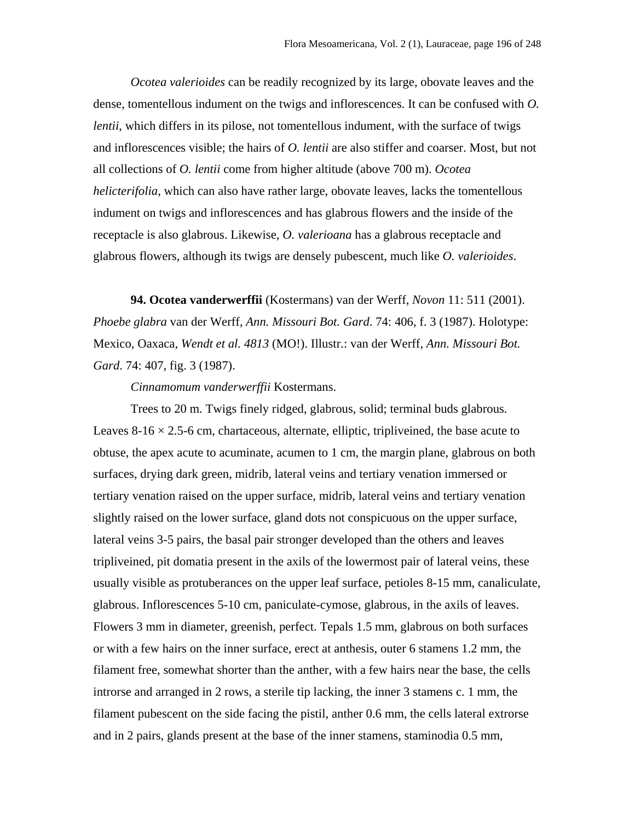*Ocotea valerioides* can be readily recognized by its large, obovate leaves and the dense, tomentellous indument on the twigs and inflorescences. It can be confused with *O. lentii*, which differs in its pilose, not tomentellous indument, with the surface of twigs and inflorescences visible; the hairs of *O. lentii* are also stiffer and coarser. Most, but not all collections of *O. lentii* come from higher altitude (above 700 m). *Ocotea helicterifolia*, which can also have rather large, obovate leaves, lacks the tomentellous indument on twigs and inflorescences and has glabrous flowers and the inside of the receptacle is also glabrous. Likewise, *O. valerioana* has a glabrous receptacle and glabrous flowers, although its twigs are densely pubescent, much like *O. valerioides*.

**94. Ocotea vanderwerffii** (Kostermans) van der Werff, *Novon* 11: 511 (2001). *Phoebe glabra* van der Werff, *Ann. Missouri Bot. Gard*. 74: 406, f. 3 (1987). Holotype: Mexico, Oaxaca*, Wendt et al. 4813* (MO!). Illustr.: van der Werff*, Ann. Missouri Bot. Gard*. 74: 407, fig. 3 (1987).

*Cinnamomum vanderwerffii* Kostermans.

Trees to 20 m. Twigs finely ridged, glabrous, solid; terminal buds glabrous. Leaves  $8-16 \times 2.5-6$  cm, chartaceous, alternate, elliptic, tripliveined, the base acute to obtuse, the apex acute to acuminate, acumen to 1 cm, the margin plane, glabrous on both surfaces, drying dark green, midrib, lateral veins and tertiary venation immersed or tertiary venation raised on the upper surface, midrib, lateral veins and tertiary venation slightly raised on the lower surface, gland dots not conspicuous on the upper surface, lateral veins 3-5 pairs, the basal pair stronger developed than the others and leaves tripliveined, pit domatia present in the axils of the lowermost pair of lateral veins, these usually visible as protuberances on the upper leaf surface, petioles 8-15 mm, canaliculate, glabrous. Inflorescences 5-10 cm, paniculate-cymose, glabrous, in the axils of leaves. Flowers 3 mm in diameter, greenish, perfect. Tepals 1.5 mm, glabrous on both surfaces or with a few hairs on the inner surface, erect at anthesis, outer 6 stamens 1.2 mm, the filament free, somewhat shorter than the anther, with a few hairs near the base, the cells introrse and arranged in 2 rows, a sterile tip lacking, the inner 3 stamens c. 1 mm, the filament pubescent on the side facing the pistil, anther 0.6 mm, the cells lateral extrorse and in 2 pairs, glands present at the base of the inner stamens, staminodia 0.5 mm,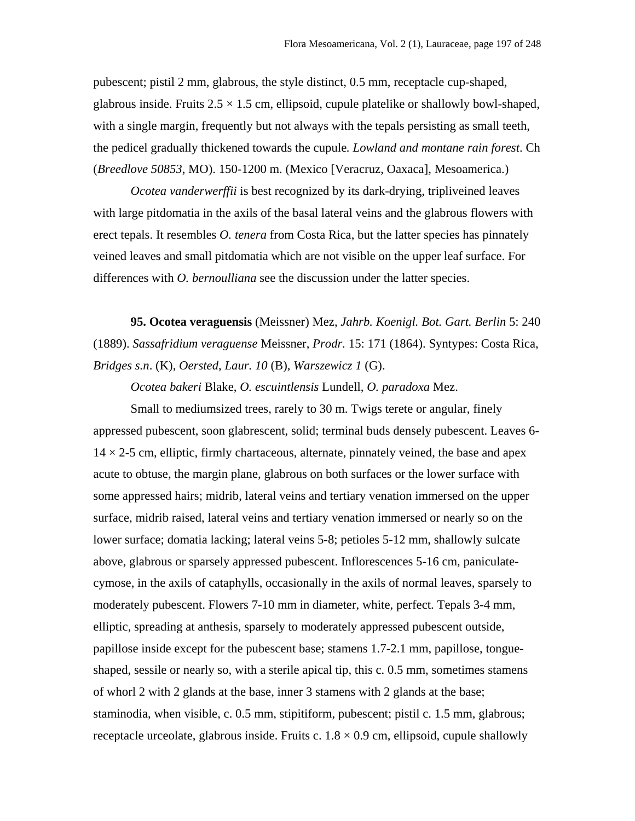pubescent; pistil 2 mm, glabrous, the style distinct, 0.5 mm, receptacle cup-shaped, glabrous inside. Fruits  $2.5 \times 1.5$  cm, ellipsoid, cupule platelike or shallowly bowl-shaped, with a single margin, frequently but not always with the tepals persisting as small teeth, the pedicel gradually thickened towards the cupule*. Lowland and montane rain forest*. Ch (*Breedlove 50853*, MO). 150-1200 m. (Mexico [Veracruz, Oaxaca], Mesoamerica.)

*Ocotea vanderwerffii* is best recognized by its dark-drying, tripliveined leaves with large pitdomatia in the axils of the basal lateral veins and the glabrous flowers with erect tepals. It resembles *O. tenera* from Costa Rica, but the latter species has pinnately veined leaves and small pitdomatia which are not visible on the upper leaf surface. For differences with *O. bernoulliana* see the discussion under the latter species.

**95. Ocotea veraguensis** (Meissner) Mez, *Jahrb. Koenigl. Bot. Gart. Berlin* 5: 240 (1889). *Sassafridium veraguense* Meissner, *Prodr.* 15: 171 (1864). Syntypes: Costa Rica, *Bridges s.n*. (K), *Oersted*, *Laur. 10* (B), *Warszewicz 1* (G).

*Ocotea bakeri* Blake, *O. escuintlensis* Lundell, *O. paradoxa* Mez.

Small to mediumsized trees, rarely to 30 m. Twigs terete or angular, finely appressed pubescent, soon glabrescent, solid; terminal buds densely pubescent. Leaves 6-  $14 \times 2$ -5 cm, elliptic, firmly chartaceous, alternate, pinnately veined, the base and apex acute to obtuse, the margin plane, glabrous on both surfaces or the lower surface with some appressed hairs; midrib, lateral veins and tertiary venation immersed on the upper surface, midrib raised, lateral veins and tertiary venation immersed or nearly so on the lower surface; domatia lacking; lateral veins 5-8; petioles 5-12 mm, shallowly sulcate above, glabrous or sparsely appressed pubescent. Inflorescences 5-16 cm, paniculatecymose, in the axils of cataphylls, occasionally in the axils of normal leaves, sparsely to moderately pubescent. Flowers 7-10 mm in diameter, white, perfect. Tepals 3-4 mm, elliptic, spreading at anthesis, sparsely to moderately appressed pubescent outside, papillose inside except for the pubescent base; stamens 1.7-2.1 mm, papillose, tongueshaped, sessile or nearly so, with a sterile apical tip, this c. 0.5 mm, sometimes stamens of whorl 2 with 2 glands at the base, inner 3 stamens with 2 glands at the base; staminodia, when visible, c. 0.5 mm, stipitiform, pubescent; pistil c. 1.5 mm, glabrous; receptacle urceolate, glabrous inside. Fruits c.  $1.8 \times 0.9$  cm, ellipsoid, cupule shallowly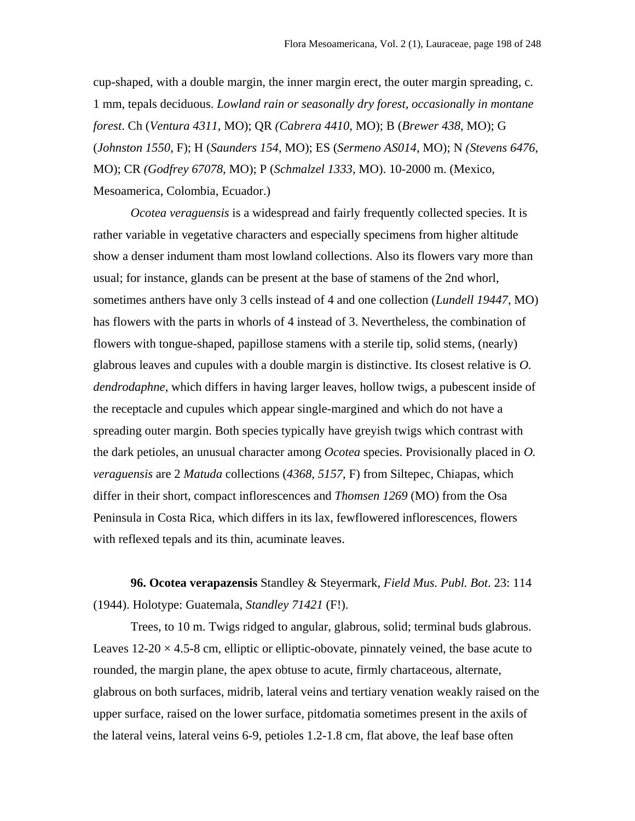cup-shaped, with a double margin, the inner margin erect, the outer margin spreading, c. 1 mm, tepals deciduous. *Lowland rain or seasonally dry forest, occasionally in montane forest*. Ch (*Ventura 4311*, MO); QR *(Cabrera 4410*, MO); B (*Brewer 438*, MO); G (*Johnston 1550*, F); H (*Saunders 154*, MO); ES (*Sermeno AS014*, MO); N *(Stevens 6476*, MO); CR *(Godfrey 67078*, MO); P (*Schmalzel 1333*, MO). 10-2000 m. (Mexico, Mesoamerica, Colombia, Ecuador.)

*Ocotea veraguensis* is a widespread and fairly frequently collected species. It is rather variable in vegetative characters and especially specimens from higher altitude show a denser indument tham most lowland collections. Also its flowers vary more than usual; for instance, glands can be present at the base of stamens of the 2nd whorl, sometimes anthers have only 3 cells instead of 4 and one collection (*Lundell 19447*, MO) has flowers with the parts in whorls of 4 instead of 3. Nevertheless, the combination of flowers with tongue-shaped, papillose stamens with a sterile tip, solid stems, (nearly) glabrous leaves and cupules with a double margin is distinctive. Its closest relative is *O. dendrodaphne*, which differs in having larger leaves, hollow twigs, a pubescent inside of the receptacle and cupules which appear single-margined and which do not have a spreading outer margin. Both species typically have greyish twigs which contrast with the dark petioles, an unusual character among *Ocotea* species. Provisionally placed in *O. veraguensis* are 2 *Matuda* collections (*4368, 5157*, F) from Siltepec, Chiapas, which differ in their short, compact inflorescences and *Thomsen 1269* (MO) from the Osa Peninsula in Costa Rica, which differs in its lax, fewflowered inflorescences, flowers with reflexed tepals and its thin, acuminate leaves.

**96. Ocotea verapazensis** Standley & Steyermark, *Field Mus. Publ. Bot*. 23: 114 (1944). Holotype: Guatemala, *Standley 71421* (F!).

Trees, to 10 m. Twigs ridged to angular, glabrous, solid; terminal buds glabrous. Leaves  $12{\text -}20 \times 4.5{\text -}8$  cm, elliptic or elliptic-obovate, pinnately veined, the base acute to rounded, the margin plane, the apex obtuse to acute, firmly chartaceous, alternate, glabrous on both surfaces, midrib, lateral veins and tertiary venation weakly raised on the upper surface, raised on the lower surface, pitdomatia sometimes present in the axils of the lateral veins, lateral veins 6-9, petioles 1.2-1.8 cm, flat above, the leaf base often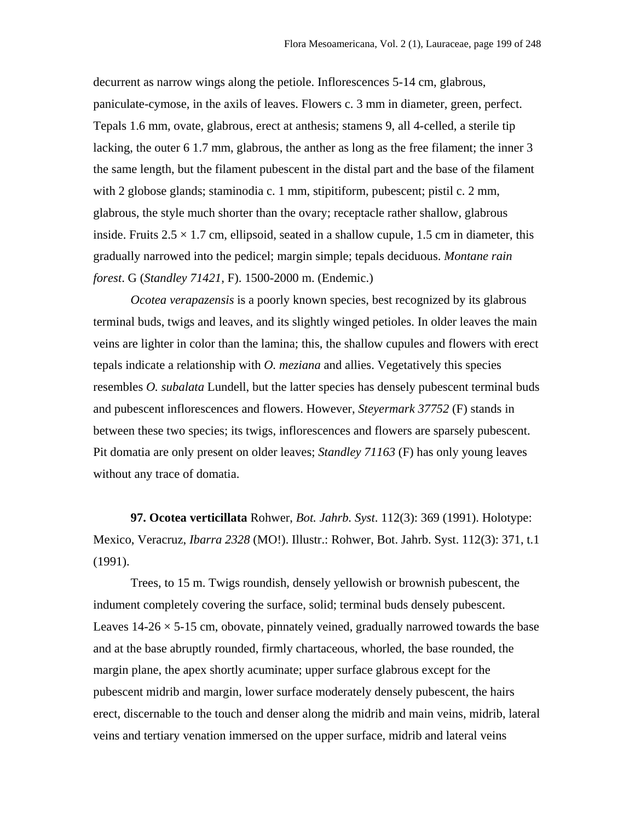decurrent as narrow wings along the petiole. Inflorescences 5-14 cm, glabrous, paniculate-cymose, in the axils of leaves. Flowers c. 3 mm in diameter, green, perfect. Tepals 1.6 mm, ovate, glabrous, erect at anthesis; stamens 9, all 4-celled, a sterile tip lacking, the outer 6 1.7 mm, glabrous, the anther as long as the free filament; the inner 3 the same length, but the filament pubescent in the distal part and the base of the filament with 2 globose glands; staminodia c. 1 mm, stipitiform, pubescent; pistil c. 2 mm, glabrous, the style much shorter than the ovary; receptacle rather shallow, glabrous inside. Fruits  $2.5 \times 1.7$  cm, ellipsoid, seated in a shallow cupule, 1.5 cm in diameter, this gradually narrowed into the pedicel; margin simple; tepals deciduous. *Montane rain forest*. G (*Standley 71421*, F). 1500-2000 m. (Endemic.)

*Ocotea verapazensis* is a poorly known species, best recognized by its glabrous terminal buds, twigs and leaves, and its slightly winged petioles. In older leaves the main veins are lighter in color than the lamina; this, the shallow cupules and flowers with erect tepals indicate a relationship with *O. meziana* and allies. Vegetatively this species resembles *O. subalata* Lundell, but the latter species has densely pubescent terminal buds and pubescent inflorescences and flowers. However, *Steyermark 37752* (F) stands in between these two species; its twigs, inflorescences and flowers are sparsely pubescent. Pit domatia are only present on older leaves; *Standley 71163* (F) has only young leaves without any trace of domatia.

**97. Ocotea verticillata** Rohwer, *Bot. Jahrb. Syst*. 112(3): 369 (1991). Holotype: Mexico, Veracruz, *Ibarra 2328* (MO!). Illustr.: Rohwer, Bot. Jahrb. Syst. 112(3): 371, t.1 (1991).

Trees, to 15 m. Twigs roundish, densely yellowish or brownish pubescent, the indument completely covering the surface, solid; terminal buds densely pubescent. Leaves  $14-26 \times 5-15$  cm, obovate, pinnately veined, gradually narrowed towards the base and at the base abruptly rounded, firmly chartaceous, whorled, the base rounded, the margin plane, the apex shortly acuminate; upper surface glabrous except for the pubescent midrib and margin, lower surface moderately densely pubescent, the hairs erect, discernable to the touch and denser along the midrib and main veins, midrib, lateral veins and tertiary venation immersed on the upper surface, midrib and lateral veins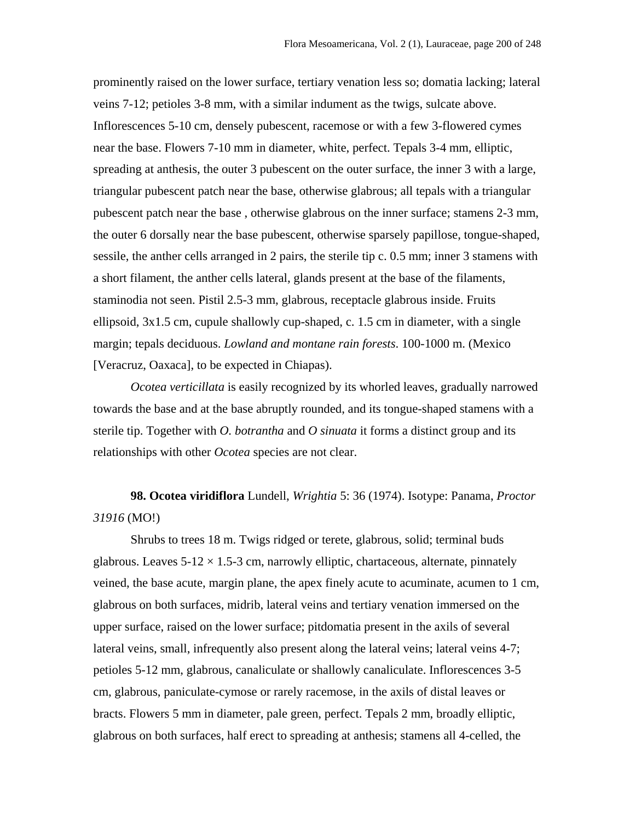prominently raised on the lower surface, tertiary venation less so; domatia lacking; lateral veins 7-12; petioles 3-8 mm, with a similar indument as the twigs, sulcate above. Inflorescences 5-10 cm, densely pubescent, racemose or with a few 3-flowered cymes near the base. Flowers 7-10 mm in diameter, white, perfect. Tepals 3-4 mm, elliptic, spreading at anthesis, the outer 3 pubescent on the outer surface, the inner 3 with a large, triangular pubescent patch near the base, otherwise glabrous; all tepals with a triangular pubescent patch near the base , otherwise glabrous on the inner surface; stamens 2-3 mm, the outer 6 dorsally near the base pubescent, otherwise sparsely papillose, tongue-shaped, sessile, the anther cells arranged in 2 pairs, the sterile tip c. 0.5 mm; inner 3 stamens with a short filament, the anther cells lateral, glands present at the base of the filaments, staminodia not seen. Pistil 2.5-3 mm, glabrous, receptacle glabrous inside. Fruits ellipsoid, 3x1.5 cm, cupule shallowly cup-shaped, c. 1.5 cm in diameter, with a single margin; tepals deciduous. *Lowland and montane rain forests*. 100-1000 m. (Mexico [Veracruz, Oaxaca], to be expected in Chiapas).

*Ocotea verticillata* is easily recognized by its whorled leaves, gradually narrowed towards the base and at the base abruptly rounded, and its tongue-shaped stamens with a sterile tip. Together with *O. botrantha* and *O sinuata* it forms a distinct group and its relationships with other *Ocotea* species are not clear.

**98. Ocotea viridiflora** Lundell, *Wrightia* 5: 36 (1974). Isotype: Panama, *Proctor 31916* (MO!)

Shrubs to trees 18 m. Twigs ridged or terete, glabrous, solid; terminal buds glabrous. Leaves  $5-12 \times 1.5-3$  cm, narrowly elliptic, chartaceous, alternate, pinnately veined, the base acute, margin plane, the apex finely acute to acuminate, acumen to 1 cm, glabrous on both surfaces, midrib, lateral veins and tertiary venation immersed on the upper surface, raised on the lower surface; pitdomatia present in the axils of several lateral veins, small, infrequently also present along the lateral veins; lateral veins 4-7; petioles 5-12 mm, glabrous, canaliculate or shallowly canaliculate. Inflorescences 3-5 cm, glabrous, paniculate-cymose or rarely racemose, in the axils of distal leaves or bracts. Flowers 5 mm in diameter, pale green, perfect. Tepals 2 mm, broadly elliptic, glabrous on both surfaces, half erect to spreading at anthesis; stamens all 4-celled, the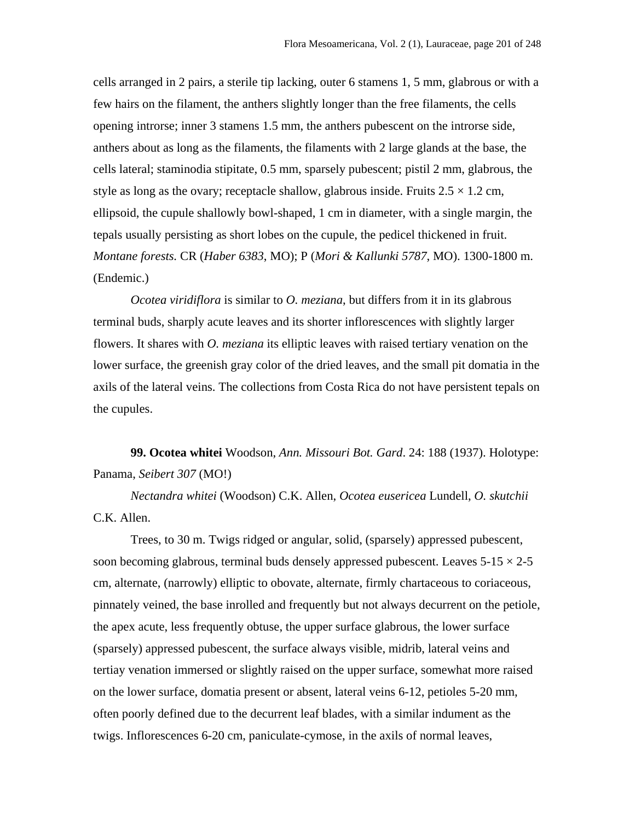cells arranged in 2 pairs, a sterile tip lacking, outer 6 stamens 1, 5 mm, glabrous or with a few hairs on the filament, the anthers slightly longer than the free filaments, the cells opening introrse; inner 3 stamens 1.5 mm, the anthers pubescent on the introrse side, anthers about as long as the filaments, the filaments with 2 large glands at the base, the cells lateral; staminodia stipitate, 0.5 mm, sparsely pubescent; pistil 2 mm, glabrous, the style as long as the ovary; receptacle shallow, glabrous inside. Fruits  $2.5 \times 1.2$  cm, ellipsoid, the cupule shallowly bowl-shaped, 1 cm in diameter, with a single margin, the tepals usually persisting as short lobes on the cupule, the pedicel thickened in fruit. *Montane forests.* CR (*Haber 6383*, MO); P (*Mori & Kallunki 5787*, MO). 1300-1800 m. (Endemic.)

*Ocotea viridiflora* is similar to *O. meziana*, but differs from it in its glabrous terminal buds, sharply acute leaves and its shorter inflorescences with slightly larger flowers. It shares with *O. meziana* its elliptic leaves with raised tertiary venation on the lower surface, the greenish gray color of the dried leaves, and the small pit domatia in the axils of the lateral veins. The collections from Costa Rica do not have persistent tepals on the cupules.

**99. Ocotea whitei** Woodson, *Ann. Missouri Bot. Gard*. 24: 188 (1937). Holotype: Panama, *Seibert 307* (MO!)

*Nectandra whitei* (Woodson) C.K. Allen, *Ocotea eusericea* Lundell, *O. skutchii* C.K. Allen.

Trees, to 30 m. Twigs ridged or angular, solid, (sparsely) appressed pubescent, soon becoming glabrous, terminal buds densely appressed pubescent. Leaves  $5\n-15 \times 2\n-5$ cm, alternate, (narrowly) elliptic to obovate, alternate, firmly chartaceous to coriaceous, pinnately veined, the base inrolled and frequently but not always decurrent on the petiole, the apex acute, less frequently obtuse, the upper surface glabrous, the lower surface (sparsely) appressed pubescent, the surface always visible, midrib, lateral veins and tertiay venation immersed or slightly raised on the upper surface, somewhat more raised on the lower surface, domatia present or absent, lateral veins 6-12, petioles 5-20 mm, often poorly defined due to the decurrent leaf blades, with a similar indument as the twigs. Inflorescences 6-20 cm, paniculate-cymose, in the axils of normal leaves,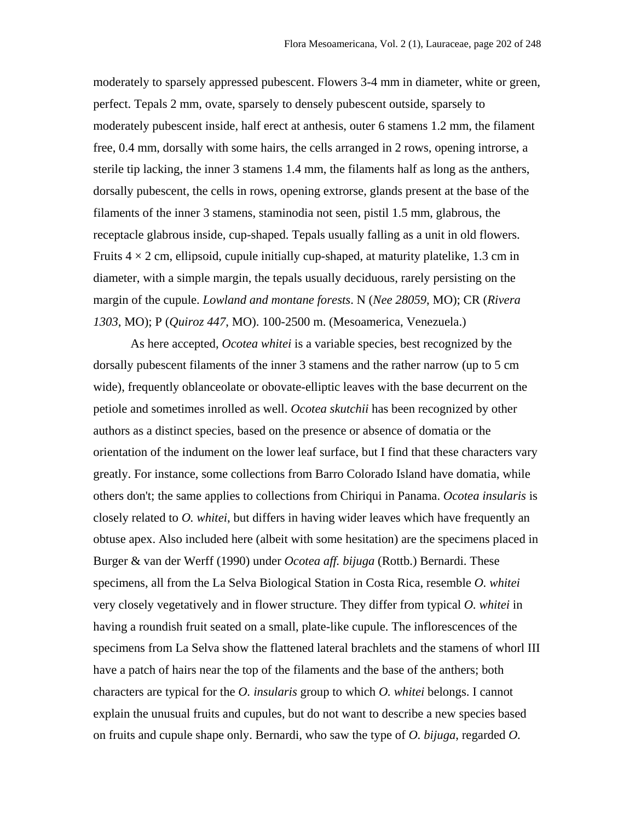moderately to sparsely appressed pubescent. Flowers 3-4 mm in diameter, white or green, perfect. Tepals 2 mm, ovate, sparsely to densely pubescent outside, sparsely to moderately pubescent inside, half erect at anthesis, outer 6 stamens 1.2 mm, the filament free, 0.4 mm, dorsally with some hairs, the cells arranged in 2 rows, opening introrse, a sterile tip lacking, the inner 3 stamens 1.4 mm, the filaments half as long as the anthers, dorsally pubescent, the cells in rows, opening extrorse, glands present at the base of the filaments of the inner 3 stamens, staminodia not seen, pistil 1.5 mm, glabrous, the receptacle glabrous inside, cup-shaped. Tepals usually falling as a unit in old flowers. Fruits  $4 \times 2$  cm, ellipsoid, cupule initially cup-shaped, at maturity platelike, 1.3 cm in diameter, with a simple margin, the tepals usually deciduous, rarely persisting on the margin of the cupule. *Lowland and montane forests*. N (*Nee 28059*, MO); CR (*Rivera 1303*, MO); P (*Quiroz 447*, MO). 100-2500 m. (Mesoamerica, Venezuela.)

As here accepted, *Ocotea whitei* is a variable species, best recognized by the dorsally pubescent filaments of the inner 3 stamens and the rather narrow (up to 5 cm wide), frequently oblanceolate or obovate-elliptic leaves with the base decurrent on the petiole and sometimes inrolled as well. *Ocotea skutchii* has been recognized by other authors as a distinct species, based on the presence or absence of domatia or the orientation of the indument on the lower leaf surface, but I find that these characters vary greatly. For instance, some collections from Barro Colorado Island have domatia, while others don't; the same applies to collections from Chiriqui in Panama. *Ocotea insularis* is closely related to *O. whitei*, but differs in having wider leaves which have frequently an obtuse apex. Also included here (albeit with some hesitation) are the specimens placed in Burger & van der Werff (1990) under *Ocotea aff. bijuga* (Rottb.) Bernardi. These specimens, all from the La Selva Biological Station in Costa Rica, resemble *O. whitei* very closely vegetatively and in flower structure. They differ from typical *O. whitei* in having a roundish fruit seated on a small, plate-like cupule. The inflorescences of the specimens from La Selva show the flattened lateral brachlets and the stamens of whorl III have a patch of hairs near the top of the filaments and the base of the anthers; both characters are typical for the *O. insularis* group to which *O. whitei* belongs. I cannot explain the unusual fruits and cupules, but do not want to describe a new species based on fruits and cupule shape only. Bernardi, who saw the type of *O. bijuga*, regarded *O.*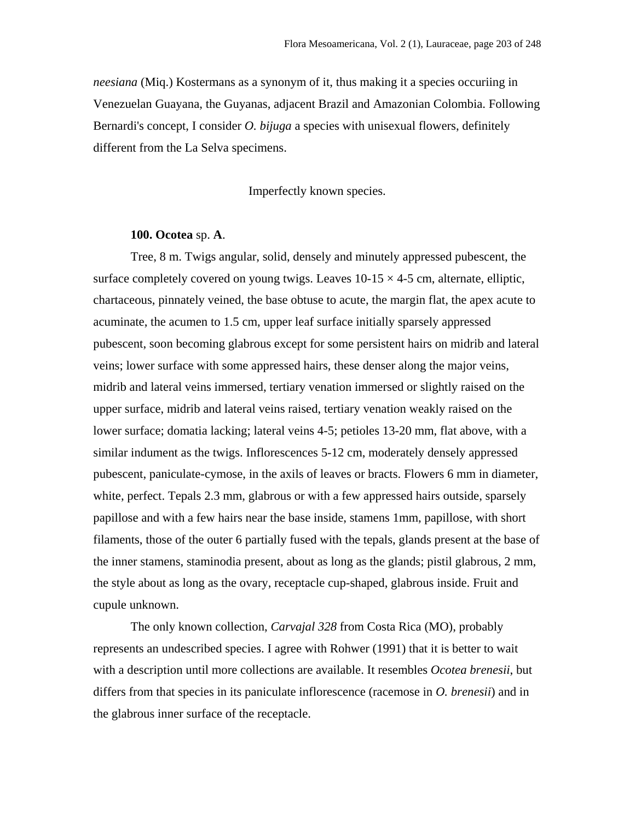*neesiana* (Miq.) Kostermans as a synonym of it, thus making it a species occuriing in Venezuelan Guayana, the Guyanas, adjacent Brazil and Amazonian Colombia. Following Bernardi's concept, I consider *O. bijuga* a species with unisexual flowers, definitely different from the La Selva specimens.

Imperfectly known species.

# **100. Ocotea** sp. **A**.

Tree, 8 m. Twigs angular, solid, densely and minutely appressed pubescent, the surface completely covered on young twigs. Leaves  $10-15 \times 4-5$  cm, alternate, elliptic, chartaceous, pinnately veined, the base obtuse to acute, the margin flat, the apex acute to acuminate, the acumen to 1.5 cm, upper leaf surface initially sparsely appressed pubescent, soon becoming glabrous except for some persistent hairs on midrib and lateral veins; lower surface with some appressed hairs, these denser along the major veins, midrib and lateral veins immersed, tertiary venation immersed or slightly raised on the upper surface, midrib and lateral veins raised, tertiary venation weakly raised on the lower surface; domatia lacking; lateral veins 4-5; petioles 13-20 mm, flat above, with a similar indument as the twigs. Inflorescences 5-12 cm, moderately densely appressed pubescent, paniculate-cymose, in the axils of leaves or bracts. Flowers 6 mm in diameter, white, perfect. Tepals 2.3 mm, glabrous or with a few appressed hairs outside, sparsely papillose and with a few hairs near the base inside, stamens 1mm, papillose, with short filaments, those of the outer 6 partially fused with the tepals, glands present at the base of the inner stamens, staminodia present, about as long as the glands; pistil glabrous, 2 mm, the style about as long as the ovary, receptacle cup-shaped, glabrous inside. Fruit and cupule unknown.

The only known collection, *Carvajal 328* from Costa Rica (MO), probably represents an undescribed species. I agree with Rohwer (1991) that it is better to wait with a description until more collections are available. It resembles *Ocotea brenesii*, but differs from that species in its paniculate inflorescence (racemose in *O. brenesii*) and in the glabrous inner surface of the receptacle.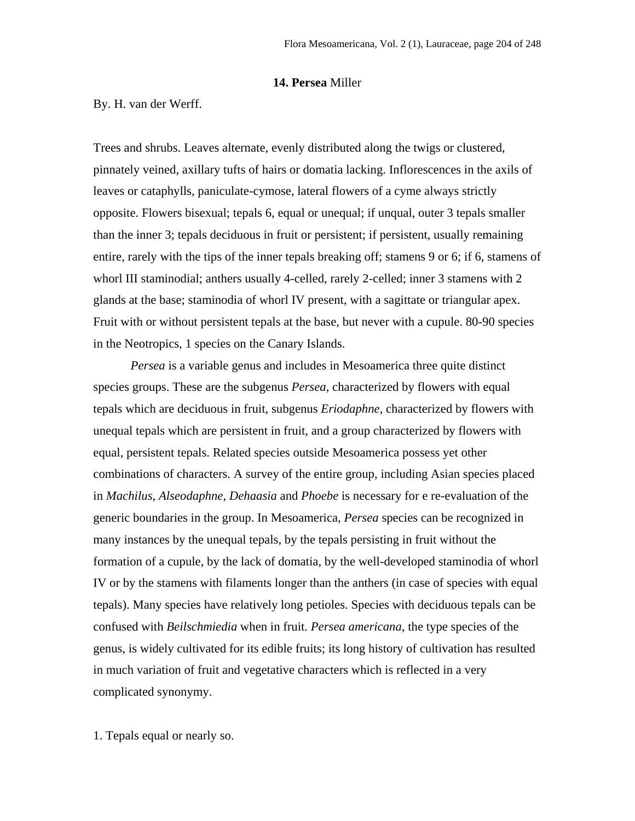## **14. Persea** Miller

By. H. van der Werff.

Trees and shrubs. Leaves alternate, evenly distributed along the twigs or clustered, pinnately veined, axillary tufts of hairs or domatia lacking. Inflorescences in the axils of leaves or cataphylls, paniculate-cymose, lateral flowers of a cyme always strictly opposite. Flowers bisexual; tepals 6, equal or unequal; if unqual, outer 3 tepals smaller than the inner 3; tepals deciduous in fruit or persistent; if persistent, usually remaining entire, rarely with the tips of the inner tepals breaking off; stamens 9 or 6; if 6, stamens of whorl III staminodial; anthers usually 4-celled, rarely 2-celled; inner 3 stamens with 2 glands at the base; staminodia of whorl IV present, with a sagittate or triangular apex. Fruit with or without persistent tepals at the base, but never with a cupule. 80-90 species in the Neotropics, 1 species on the Canary Islands.

*Persea* is a variable genus and includes in Mesoamerica three quite distinct species groups. These are the subgenus *Persea*, characterized by flowers with equal tepals which are deciduous in fruit, subgenus *Eriodaphne*, characterized by flowers with unequal tepals which are persistent in fruit, and a group characterized by flowers with equal, persistent tepals. Related species outside Mesoamerica possess yet other combinations of characters. A survey of the entire group, including Asian species placed in *Machilus*, *Alseodaphne*, *Dehaasia* and *Phoebe* is necessary for e re-evaluation of the generic boundaries in the group. In Mesoamerica, *Persea* species can be recognized in many instances by the unequal tepals, by the tepals persisting in fruit without the formation of a cupule, by the lack of domatia, by the well-developed staminodia of whorl IV or by the stamens with filaments longer than the anthers (in case of species with equal tepals). Many species have relatively long petioles. Species with deciduous tepals can be confused with *Beilschmiedia* when in fruit. *Persea americana*, the type species of the genus, is widely cultivated for its edible fruits; its long history of cultivation has resulted in much variation of fruit and vegetative characters which is reflected in a very complicated synonymy.

1. Tepals equal or nearly so.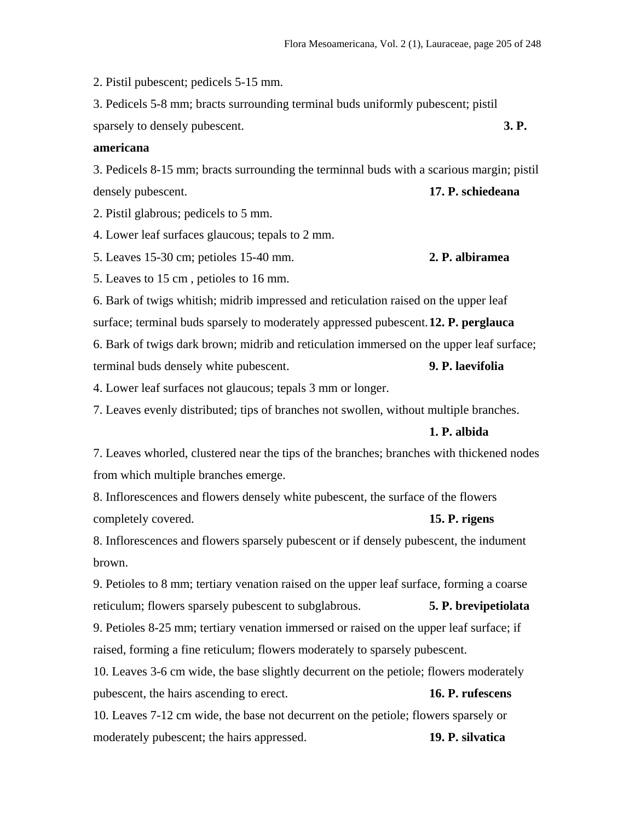2. Pistil pubescent; pedicels 5-15 mm.

3. Pedicels 5-8 mm; bracts surrounding terminal buds uniformly pubescent; pistil sparsely to densely pubescent. **3. P. 3. P.** 

# **americana**

3. Pedicels 8-15 mm; bracts surrounding the terminnal buds with a scarious margin; pistil densely pubescent. **17. P. schiedeana**

2. Pistil glabrous; pedicels to 5 mm.

4. Lower leaf surfaces glaucous; tepals to 2 mm.

5. Leaves 15-30 cm; petioles 15-40 mm. **2. P. albiramea**

5. Leaves to 15 cm , petioles to 16 mm.

6. Bark of twigs whitish; midrib impressed and reticulation raised on the upper leaf surface; terminal buds sparsely to moderately appressed pubescent. **12. P. perglauca**

6. Bark of twigs dark brown; midrib and reticulation immersed on the upper leaf surface; terminal buds densely white pubescent. **9. P. laevifolia**

4. Lower leaf surfaces not glaucous; tepals 3 mm or longer.

7. Leaves evenly distributed; tips of branches not swollen, without multiple branches.

#### **1. P. albida**

7. Leaves whorled, clustered near the tips of the branches; branches with thickened nodes from which multiple branches emerge.

8. Inflorescences and flowers densely white pubescent, the surface of the flowers completely covered. **15. P. rigens**

8. Inflorescences and flowers sparsely pubescent or if densely pubescent, the indument brown.

9. Petioles to 8 mm; tertiary venation raised on the upper leaf surface, forming a coarse reticulum; flowers sparsely pubescent to subglabrous. **5. P. brevipetiolata**

9. Petioles 8-25 mm; tertiary venation immersed or raised on the upper leaf surface; if raised, forming a fine reticulum; flowers moderately to sparsely pubescent.

10. Leaves 3-6 cm wide, the base slightly decurrent on the petiole; flowers moderately pubescent, the hairs ascending to erect. **16. P. rufescens**

10. Leaves 7-12 cm wide, the base not decurrent on the petiole; flowers sparsely or moderately pubescent; the hairs appressed. **19. P. silvatica**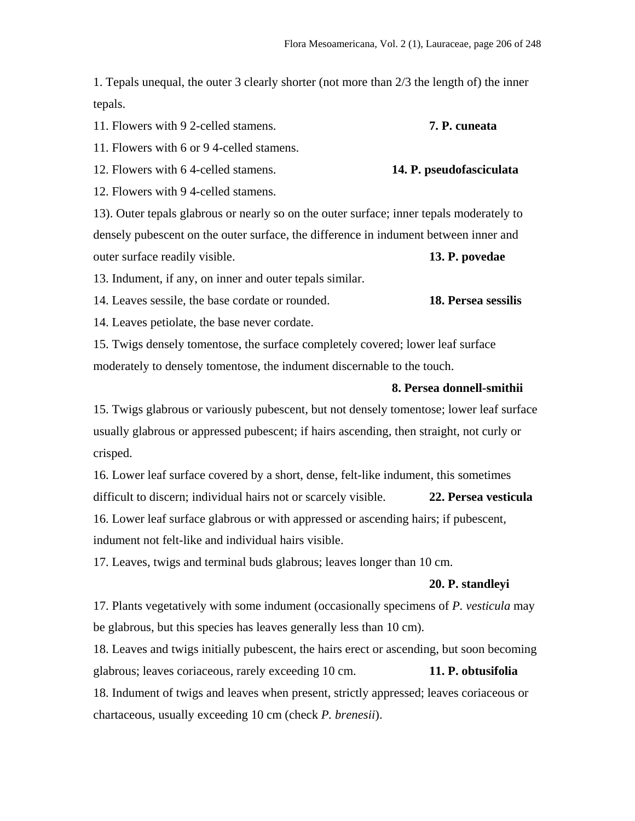1. Tepals unequal, the outer 3 clearly shorter (not more than 2/3 the length of) the inner tepals.

11. Flowers with 9 2-celled stamens. **7. P. cuneata**

11. Flowers with 6 or 9 4-celled stamens.

12. Flowers with 6 4-celled stamens. **14. P. pseudofasciculata**

12. Flowers with 9 4-celled stamens.

13). Outer tepals glabrous or nearly so on the outer surface; inner tepals moderately to densely pubescent on the outer surface, the difference in indument between inner and outer surface readily visible. **13. P. povedae**

13. Indument, if any, on inner and outer tepals similar.

14. Leaves sessile, the base cordate or rounded. **18. Persea sessilis**

14. Leaves petiolate, the base never cordate.

15. Twigs densely tomentose, the surface completely covered; lower leaf surface moderately to densely tomentose, the indument discernable to the touch.

## **8. Persea donnell-smithii**

15. Twigs glabrous or variously pubescent, but not densely tomentose; lower leaf surface usually glabrous or appressed pubescent; if hairs ascending, then straight, not curly or crisped.

16. Lower leaf surface covered by a short, dense, felt-like indument, this sometimes difficult to discern; individual hairs not or scarcely visible. **22. Persea vesticula** 16. Lower leaf surface glabrous or with appressed or ascending hairs; if pubescent, indument not felt-like and individual hairs visible.

17. Leaves, twigs and terminal buds glabrous; leaves longer than 10 cm.

## **20. P. standleyi**

17. Plants vegetatively with some indument (occasionally specimens of *P. vesticula* may be glabrous, but this species has leaves generally less than 10 cm).

18. Leaves and twigs initially pubescent, the hairs erect or ascending, but soon becoming glabrous; leaves coriaceous, rarely exceeding 10 cm. **11. P. obtusifolia** 18. Indument of twigs and leaves when present, strictly appressed; leaves coriaceous or chartaceous, usually exceeding 10 cm (check *P. brenesii*).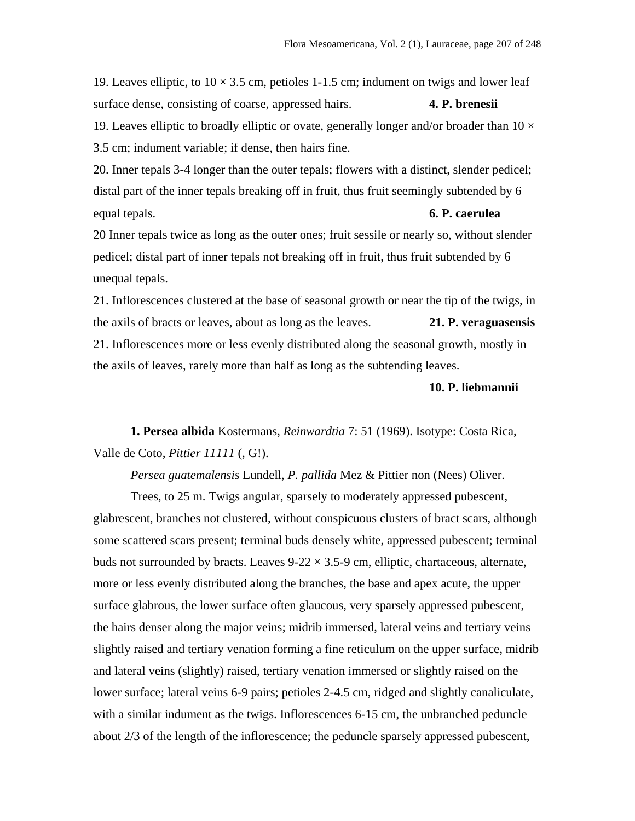19. Leaves elliptic, to  $10 \times 3.5$  cm, petioles 1-1.5 cm; indument on twigs and lower leaf surface dense, consisting of coarse, appressed hairs. **4. P. brenesii** 19. Leaves elliptic to broadly elliptic or ovate, generally longer and/or broader than  $10 \times$ 3.5 cm; indument variable; if dense, then hairs fine.

20. Inner tepals 3-4 longer than the outer tepals; flowers with a distinct, slender pedicel; distal part of the inner tepals breaking off in fruit, thus fruit seemingly subtended by 6 equal tepals. **6. P. caerulea**

20 Inner tepals twice as long as the outer ones; fruit sessile or nearly so, without slender pedicel; distal part of inner tepals not breaking off in fruit, thus fruit subtended by 6 unequal tepals.

21. Inflorescences clustered at the base of seasonal growth or near the tip of the twigs, in the axils of bracts or leaves, about as long as the leaves. **21. P. veraguasensis** 21. Inflorescences more or less evenly distributed along the seasonal growth, mostly in the axils of leaves, rarely more than half as long as the subtending leaves.

## **10. P. liebmannii**

**1. Persea albida** Kostermans, *Reinwardtia* 7: 51 (1969). Isotype: Costa Rica, Valle de Coto, *Pittier 11111* (, G!).

*Persea guatemalensis* Lundell, *P. pallida* Mez & Pittier non (Nees) Oliver.

Trees, to 25 m. Twigs angular, sparsely to moderately appressed pubescent, glabrescent, branches not clustered, without conspicuous clusters of bract scars, although some scattered scars present; terminal buds densely white, appressed pubescent; terminal buds not surrounded by bracts. Leaves  $9-22 \times 3.5-9$  cm, elliptic, chartaceous, alternate, more or less evenly distributed along the branches, the base and apex acute, the upper surface glabrous, the lower surface often glaucous, very sparsely appressed pubescent, the hairs denser along the major veins; midrib immersed, lateral veins and tertiary veins slightly raised and tertiary venation forming a fine reticulum on the upper surface, midrib and lateral veins (slightly) raised, tertiary venation immersed or slightly raised on the lower surface; lateral veins 6-9 pairs; petioles 2-4.5 cm, ridged and slightly canaliculate, with a similar indument as the twigs. Inflorescences 6-15 cm, the unbranched peduncle about 2/3 of the length of the inflorescence; the peduncle sparsely appressed pubescent,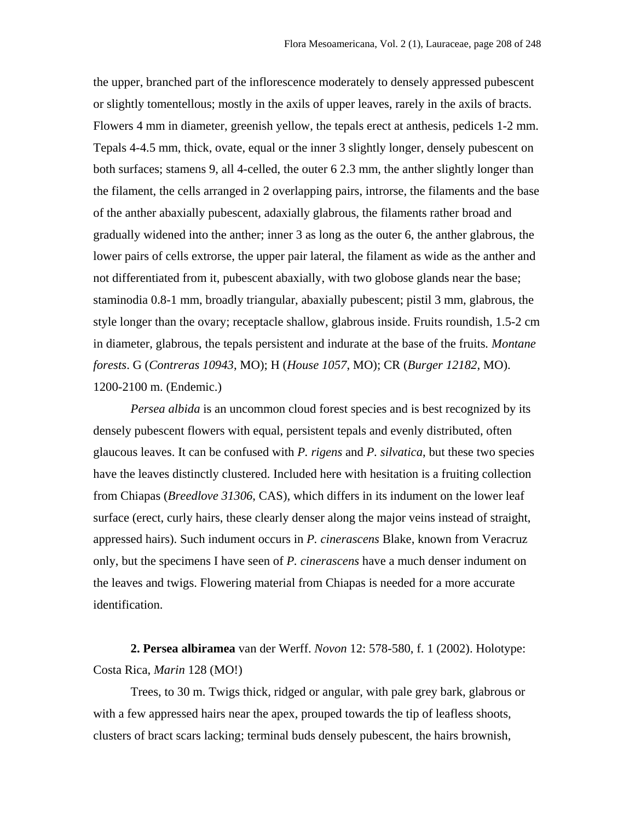the upper, branched part of the inflorescence moderately to densely appressed pubescent or slightly tomentellous; mostly in the axils of upper leaves, rarely in the axils of bracts. Flowers 4 mm in diameter, greenish yellow, the tepals erect at anthesis, pedicels 1-2 mm. Tepals 4-4.5 mm, thick, ovate, equal or the inner 3 slightly longer, densely pubescent on both surfaces; stamens 9, all 4-celled, the outer 6 2.3 mm, the anther slightly longer than the filament, the cells arranged in 2 overlapping pairs, introrse, the filaments and the base of the anther abaxially pubescent, adaxially glabrous, the filaments rather broad and gradually widened into the anther; inner 3 as long as the outer 6, the anther glabrous, the lower pairs of cells extrorse, the upper pair lateral, the filament as wide as the anther and not differentiated from it, pubescent abaxially, with two globose glands near the base; staminodia 0.8-1 mm, broadly triangular, abaxially pubescent; pistil 3 mm, glabrous, the style longer than the ovary; receptacle shallow, glabrous inside. Fruits roundish, 1.5-2 cm in diameter, glabrous, the tepals persistent and indurate at the base of the fruits*. Montane forests*. G (*Contreras 10943*, MO); H (*House 1057*, MO); CR (*Burger 12182*, MO). 1200-2100 m. (Endemic.)

*Persea albida* is an uncommon cloud forest species and is best recognized by its densely pubescent flowers with equal, persistent tepals and evenly distributed, often glaucous leaves. It can be confused with *P. rigens* and *P. silvatica*, but these two species have the leaves distinctly clustered. Included here with hesitation is a fruiting collection from Chiapas (*Breedlove 31306*, CAS), which differs in its indument on the lower leaf surface (erect, curly hairs, these clearly denser along the major veins instead of straight, appressed hairs). Such indument occurs in *P. cinerascens* Blake, known from Veracruz only, but the specimens I have seen of *P. cinerascens* have a much denser indument on the leaves and twigs. Flowering material from Chiapas is needed for a more accurate identification.

**2. Persea albiramea** van der Werff. *Novon* 12: 578-580, f. 1 (2002). Holotype: Costa Rica, *Marin* 128 (MO!)

Trees, to 30 m. Twigs thick, ridged or angular, with pale grey bark, glabrous or with a few appressed hairs near the apex, prouped towards the tip of leafless shoots, clusters of bract scars lacking; terminal buds densely pubescent, the hairs brownish,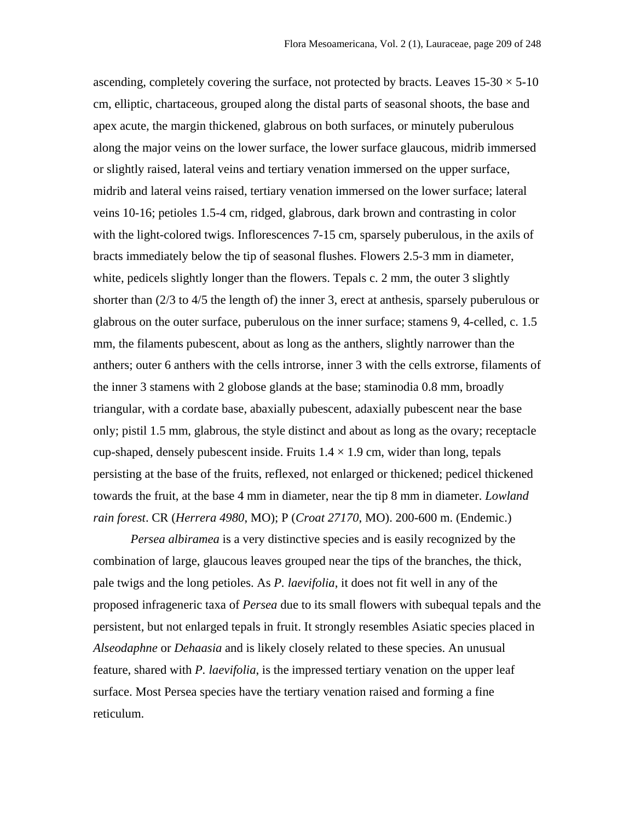ascending, completely covering the surface, not protected by bracts. Leaves  $15{\text -}30 \times 5{\text -}10$ cm, elliptic, chartaceous, grouped along the distal parts of seasonal shoots, the base and apex acute, the margin thickened, glabrous on both surfaces, or minutely puberulous along the major veins on the lower surface, the lower surface glaucous, midrib immersed or slightly raised, lateral veins and tertiary venation immersed on the upper surface, midrib and lateral veins raised, tertiary venation immersed on the lower surface; lateral veins 10-16; petioles 1.5-4 cm, ridged, glabrous, dark brown and contrasting in color with the light-colored twigs. Inflorescences 7-15 cm, sparsely puberulous, in the axils of bracts immediately below the tip of seasonal flushes. Flowers 2.5-3 mm in diameter, white, pedicels slightly longer than the flowers. Tepals c. 2 mm, the outer 3 slightly shorter than (2/3 to 4/5 the length of) the inner 3, erect at anthesis, sparsely puberulous or glabrous on the outer surface, puberulous on the inner surface; stamens 9, 4-celled, c. 1.5 mm, the filaments pubescent, about as long as the anthers, slightly narrower than the anthers; outer 6 anthers with the cells introrse, inner 3 with the cells extrorse, filaments of the inner 3 stamens with 2 globose glands at the base; staminodia 0.8 mm, broadly triangular, with a cordate base, abaxially pubescent, adaxially pubescent near the base only; pistil 1.5 mm, glabrous, the style distinct and about as long as the ovary; receptacle cup-shaped, densely pubescent inside. Fruits  $1.4 \times 1.9$  cm, wider than long, tepals persisting at the base of the fruits, reflexed, not enlarged or thickened; pedicel thickened towards the fruit, at the base 4 mm in diameter, near the tip 8 mm in diameter. *Lowland rain forest*. CR (*Herrera 4980*, MO); P (*Croat 27170*, MO). 200-600 m. (Endemic.)

*Persea albiramea* is a very distinctive species and is easily recognized by the combination of large, glaucous leaves grouped near the tips of the branches, the thick, pale twigs and the long petioles. As *P. laevifolia*, it does not fit well in any of the proposed infrageneric taxa of *Persea* due to its small flowers with subequal tepals and the persistent, but not enlarged tepals in fruit. It strongly resembles Asiatic species placed in *Alseodaphne* or *Dehaasia* and is likely closely related to these species. An unusual feature, shared with *P. laevifolia*, is the impressed tertiary venation on the upper leaf surface. Most Persea species have the tertiary venation raised and forming a fine reticulum.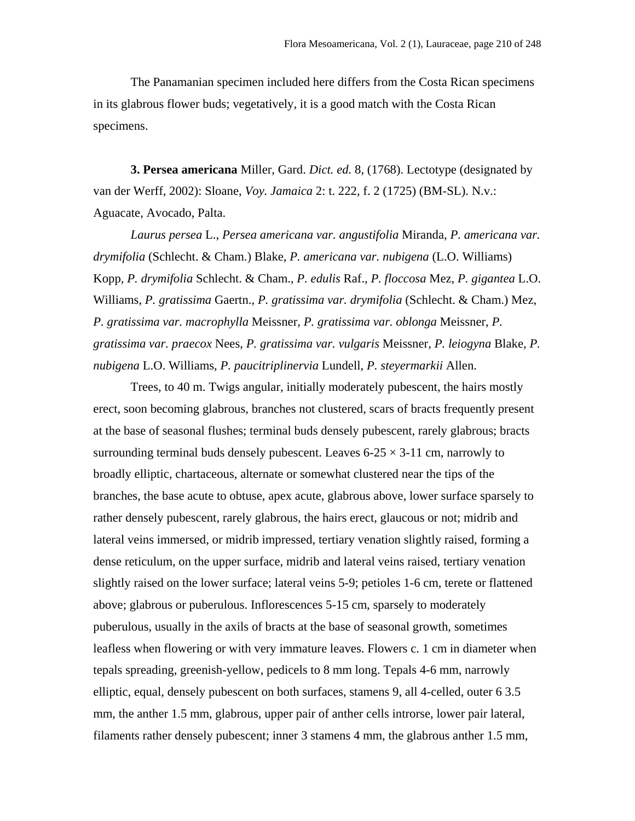The Panamanian specimen included here differs from the Costa Rican specimens in its glabrous flower buds; vegetatively, it is a good match with the Costa Rican specimens.

**3. Persea americana** Miller, Gard. *Dict. ed.* 8, (1768). Lectotype (designated by van der Werff, 2002): Sloane, *Voy. Jamaica* 2: t. 222, f. 2 (1725) (BM-SL). N.v.: Aguacate, Avocado, Palta.

*Laurus persea* L., *Persea americana var. angustifolia* Miranda, *P. americana var. drymifolia* (Schlecht. & Cham.) Blake, *P. americana var. nubigena* (L.O. Williams) Kopp*, P. drymifolia* Schlecht. & Cham., *P. edulis* Raf., *P. floccosa* Mez, *P. gigantea* L.O. Williams, *P. gratissima* Gaertn., *P. gratissima var. drymifolia* (Schlecht. & Cham.) Mez, *P. gratissima var. macrophylla* Meissner, *P. gratissima var. oblonga* Meissner, *P. gratissima var. praecox* Nees, *P. gratissima var. vulgaris* Meissner, *P. leiogyna* Blake, *P. nubigena* L.O. Williams, *P. paucitriplinervia* Lundell, *P. steyermarkii* Allen.

Trees, to 40 m. Twigs angular, initially moderately pubescent, the hairs mostly erect, soon becoming glabrous, branches not clustered, scars of bracts frequently present at the base of seasonal flushes; terminal buds densely pubescent, rarely glabrous; bracts surrounding terminal buds densely pubescent. Leaves  $6-25 \times 3-11$  cm, narrowly to broadly elliptic, chartaceous, alternate or somewhat clustered near the tips of the branches, the base acute to obtuse, apex acute, glabrous above, lower surface sparsely to rather densely pubescent, rarely glabrous, the hairs erect, glaucous or not; midrib and lateral veins immersed, or midrib impressed, tertiary venation slightly raised, forming a dense reticulum, on the upper surface, midrib and lateral veins raised, tertiary venation slightly raised on the lower surface; lateral veins 5-9; petioles 1-6 cm, terete or flattened above; glabrous or puberulous. Inflorescences 5-15 cm, sparsely to moderately puberulous, usually in the axils of bracts at the base of seasonal growth, sometimes leafless when flowering or with very immature leaves. Flowers c. 1 cm in diameter when tepals spreading, greenish-yellow, pedicels to 8 mm long. Tepals 4-6 mm, narrowly elliptic, equal, densely pubescent on both surfaces, stamens 9, all 4-celled, outer 6 3.5 mm, the anther 1.5 mm, glabrous, upper pair of anther cells introrse, lower pair lateral, filaments rather densely pubescent; inner 3 stamens 4 mm, the glabrous anther 1.5 mm,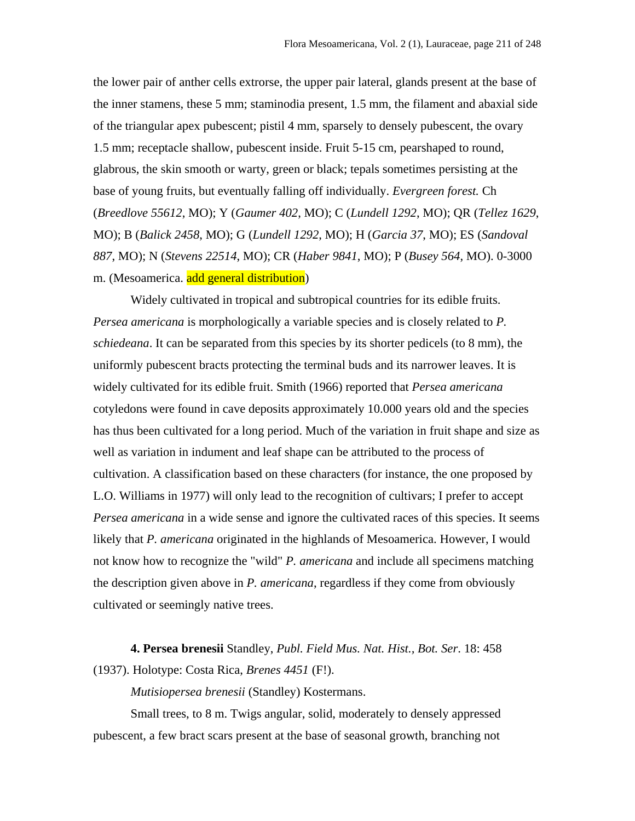the lower pair of anther cells extrorse, the upper pair lateral, glands present at the base of the inner stamens, these 5 mm; staminodia present, 1.5 mm, the filament and abaxial side of the triangular apex pubescent; pistil 4 mm, sparsely to densely pubescent, the ovary 1.5 mm; receptacle shallow, pubescent inside. Fruit 5-15 cm, pearshaped to round, glabrous, the skin smooth or warty, green or black; tepals sometimes persisting at the base of young fruits, but eventually falling off individually. *Evergreen forest.* Ch (*Breedlove 55612*, MO); Y (*Gaumer 402*, MO); C (*Lundell 1292*, MO); QR (*Tellez 1629*, MO); B (*Balick 2458*, MO); G (*Lundell 1292*, MO); H (*Garcia 37*, MO); ES (*Sandoval 887*, MO); N (*Stevens 22514*, MO); CR (*Haber 9841*, MO); P (*Busey 564*, MO). 0-3000 m. (Mesoamerica. add general distribution)

Widely cultivated in tropical and subtropical countries for its edible fruits. *Persea americana* is morphologically a variable species and is closely related to *P. schiedeana*. It can be separated from this species by its shorter pedicels (to 8 mm), the uniformly pubescent bracts protecting the terminal buds and its narrower leaves. It is widely cultivated for its edible fruit. Smith (1966) reported that *Persea americana* cotyledons were found in cave deposits approximately 10.000 years old and the species has thus been cultivated for a long period. Much of the variation in fruit shape and size as well as variation in indument and leaf shape can be attributed to the process of cultivation. A classification based on these characters (for instance, the one proposed by L.O. Williams in 1977) will only lead to the recognition of cultivars; I prefer to accept *Persea americana* in a wide sense and ignore the cultivated races of this species. It seems likely that *P. americana* originated in the highlands of Mesoamerica. However, I would not know how to recognize the "wild" *P. americana* and include all specimens matching the description given above in *P. americana*, regardless if they come from obviously cultivated or seemingly native trees.

**4. Persea brenesii** Standley, *Publ. Field Mus. Nat. Hist., Bot. Ser*. 18: 458 (1937). Holotype: Costa Rica, *Brenes 4451* (F!).

*Mutisiopersea brenesii* (Standley) Kostermans.

Small trees, to 8 m. Twigs angular, solid, moderately to densely appressed pubescent, a few bract scars present at the base of seasonal growth, branching not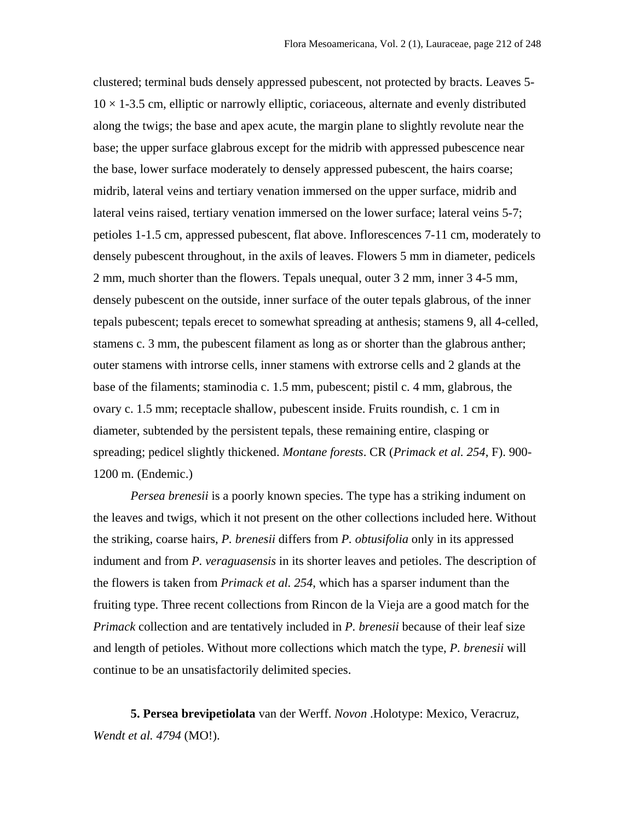clustered; terminal buds densely appressed pubescent, not protected by bracts. Leaves 5-  $10 \times 1$ -3.5 cm, elliptic or narrowly elliptic, coriaceous, alternate and evenly distributed along the twigs; the base and apex acute, the margin plane to slightly revolute near the base; the upper surface glabrous except for the midrib with appressed pubescence near the base, lower surface moderately to densely appressed pubescent, the hairs coarse; midrib, lateral veins and tertiary venation immersed on the upper surface, midrib and lateral veins raised, tertiary venation immersed on the lower surface; lateral veins 5-7; petioles 1-1.5 cm, appressed pubescent, flat above. Inflorescences 7-11 cm, moderately to densely pubescent throughout, in the axils of leaves. Flowers 5 mm in diameter, pedicels 2 mm, much shorter than the flowers. Tepals unequal, outer 3 2 mm, inner 3 4-5 mm, densely pubescent on the outside, inner surface of the outer tepals glabrous, of the inner tepals pubescent; tepals erecet to somewhat spreading at anthesis; stamens 9, all 4-celled, stamens c. 3 mm, the pubescent filament as long as or shorter than the glabrous anther; outer stamens with introrse cells, inner stamens with extrorse cells and 2 glands at the base of the filaments; staminodia c. 1.5 mm, pubescent; pistil c. 4 mm, glabrous, the ovary c. 1.5 mm; receptacle shallow, pubescent inside. Fruits roundish, c. 1 cm in diameter, subtended by the persistent tepals, these remaining entire, clasping or spreading; pedicel slightly thickened. *Montane forests*. CR (*Primack et al. 254*, F). 900- 1200 m. (Endemic.)

*Persea brenesii* is a poorly known species. The type has a striking indument on the leaves and twigs, which it not present on the other collections included here. Without the striking, coarse hairs, *P. brenesii* differs from *P. obtusifolia* only in its appressed indument and from *P. veraguasensis* in its shorter leaves and petioles. The description of the flowers is taken from *Primack et al. 254*, which has a sparser indument than the fruiting type. Three recent collections from Rincon de la Vieja are a good match for the *Primack* collection and are tentatively included in *P. brenesii* because of their leaf size and length of petioles. Without more collections which match the type, *P. brenesii* will continue to be an unsatisfactorily delimited species.

**5. Persea brevipetiolata** van der Werff. *Novon* .Holotype: Mexico, Veracruz, *Wendt et al. 4794* (MO!).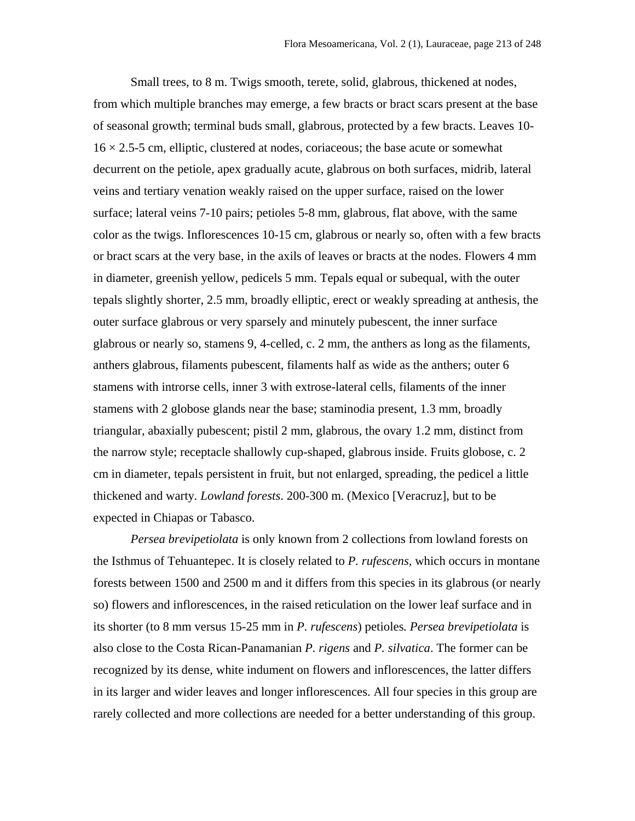Small trees, to 8 m. Twigs smooth, terete, solid, glabrous, thickened at nodes, from which multiple branches may emerge, a few bracts or bract scars present at the base of seasonal growth; terminal buds small, glabrous, protected by a few bracts. Leaves 10-  $16 \times 2.5$ -5 cm, elliptic, clustered at nodes, coriaceous; the base acute or somewhat decurrent on the petiole, apex gradually acute, glabrous on both surfaces, midrib, lateral veins and tertiary venation weakly raised on the upper surface, raised on the lower surface; lateral veins 7-10 pairs; petioles 5-8 mm, glabrous, flat above, with the same color as the twigs. Inflorescences 10-15 cm, glabrous or nearly so, often with a few bracts or bract scars at the very base, in the axils of leaves or bracts at the nodes. Flowers 4 mm in diameter, greenish yellow, pedicels 5 mm. Tepals equal or subequal, with the outer tepals slightly shorter, 2.5 mm, broadly elliptic, erect or weakly spreading at anthesis, the outer surface glabrous or very sparsely and minutely pubescent, the inner surface glabrous or nearly so, stamens 9, 4-celled, c. 2 mm, the anthers as long as the filaments, anthers glabrous, filaments pubescent, filaments half as wide as the anthers; outer 6 stamens with introrse cells, inner 3 with extrose-lateral cells, filaments of the inner stamens with 2 globose glands near the base; staminodia present, 1.3 mm, broadly triangular, abaxially pubescent; pistil 2 mm, glabrous, the ovary 1.2 mm, distinct from the narrow style; receptacle shallowly cup-shaped, glabrous inside. Fruits globose, c. 2 cm in diameter, tepals persistent in fruit, but not enlarged, spreading, the pedicel a little thickened and warty*. Lowland forests*. 200-300 m. (Mexico [Veracruz], but to be expected in Chiapas or Tabasco.

*Persea brevipetiolata* is only known from 2 collections from lowland forests on the Isthmus of Tehuantepec. It is closely related to *P. rufescens*, which occurs in montane forests between 1500 and 2500 m and it differs from this species in its glabrous (or nearly so) flowers and inflorescences, in the raised reticulation on the lower leaf surface and in its shorter (to 8 mm versus 15-25 mm in *P. rufescens*) petioles*. Persea brevipetiolata* is also close to the Costa Rican-Panamanian *P. rigens* and *P. silvatica*. The former can be recognized by its dense, white indument on flowers and inflorescences, the latter differs in its larger and wider leaves and longer inflorescences. All four species in this group are rarely collected and more collections are needed for a better understanding of this group.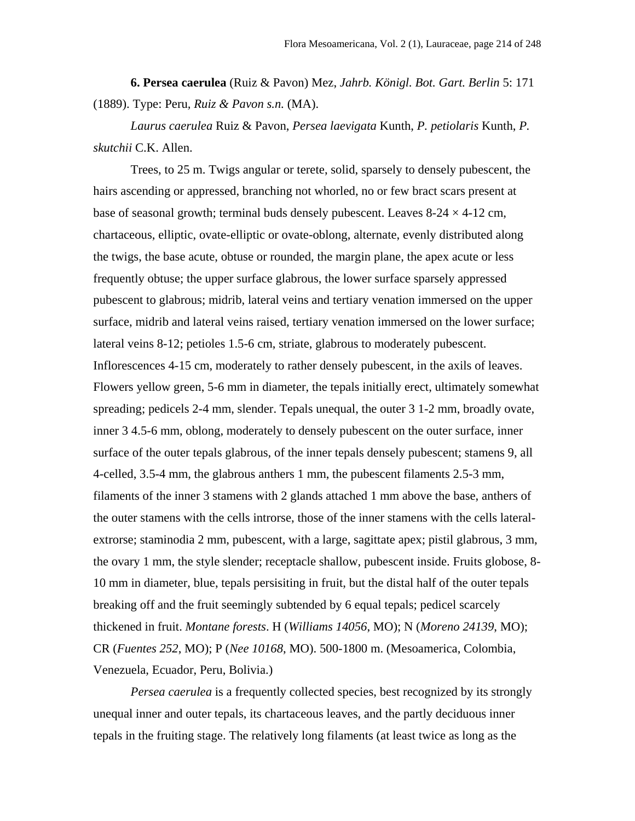**6. Persea caerulea** (Ruiz & Pavon) Mez, *Jahrb. Königl. Bot. Gart. Berlin* 5: 171 (1889). Type: Peru*, Ruiz & Pavon s.n.* (MA).

*Laurus caerulea* Ruiz & Pavon, *Persea laevigata* Kunth, *P. petiolaris* Kunth, *P. skutchii* C.K. Allen.

Trees, to 25 m. Twigs angular or terete, solid, sparsely to densely pubescent, the hairs ascending or appressed, branching not whorled, no or few bract scars present at base of seasonal growth; terminal buds densely pubescent. Leaves  $8-24 \times 4-12$  cm, chartaceous, elliptic, ovate-elliptic or ovate-oblong, alternate, evenly distributed along the twigs, the base acute, obtuse or rounded, the margin plane, the apex acute or less frequently obtuse; the upper surface glabrous, the lower surface sparsely appressed pubescent to glabrous; midrib, lateral veins and tertiary venation immersed on the upper surface, midrib and lateral veins raised, tertiary venation immersed on the lower surface; lateral veins 8-12; petioles 1.5-6 cm, striate, glabrous to moderately pubescent. Inflorescences 4-15 cm, moderately to rather densely pubescent, in the axils of leaves. Flowers yellow green, 5-6 mm in diameter, the tepals initially erect, ultimately somewhat spreading; pedicels 2-4 mm, slender. Tepals unequal, the outer 3 1-2 mm, broadly ovate, inner 3 4.5-6 mm, oblong, moderately to densely pubescent on the outer surface, inner surface of the outer tepals glabrous, of the inner tepals densely pubescent; stamens 9, all 4-celled, 3.5-4 mm, the glabrous anthers 1 mm, the pubescent filaments 2.5-3 mm, filaments of the inner 3 stamens with 2 glands attached 1 mm above the base, anthers of the outer stamens with the cells introrse, those of the inner stamens with the cells lateralextrorse; staminodia 2 mm, pubescent, with a large, sagittate apex; pistil glabrous, 3 mm, the ovary 1 mm, the style slender; receptacle shallow, pubescent inside. Fruits globose, 8- 10 mm in diameter, blue, tepals persisiting in fruit, but the distal half of the outer tepals breaking off and the fruit seemingly subtended by 6 equal tepals; pedicel scarcely thickened in fruit. *Montane forests*. H (*Williams 14056*, MO); N (*Moreno 24139*, MO); CR (*Fuentes 252*, MO); P (*Nee 10168*, MO). 500-1800 m. (Mesoamerica, Colombia, Venezuela, Ecuador, Peru, Bolivia.)

*Persea caerulea* is a frequently collected species, best recognized by its strongly unequal inner and outer tepals, its chartaceous leaves, and the partly deciduous inner tepals in the fruiting stage. The relatively long filaments (at least twice as long as the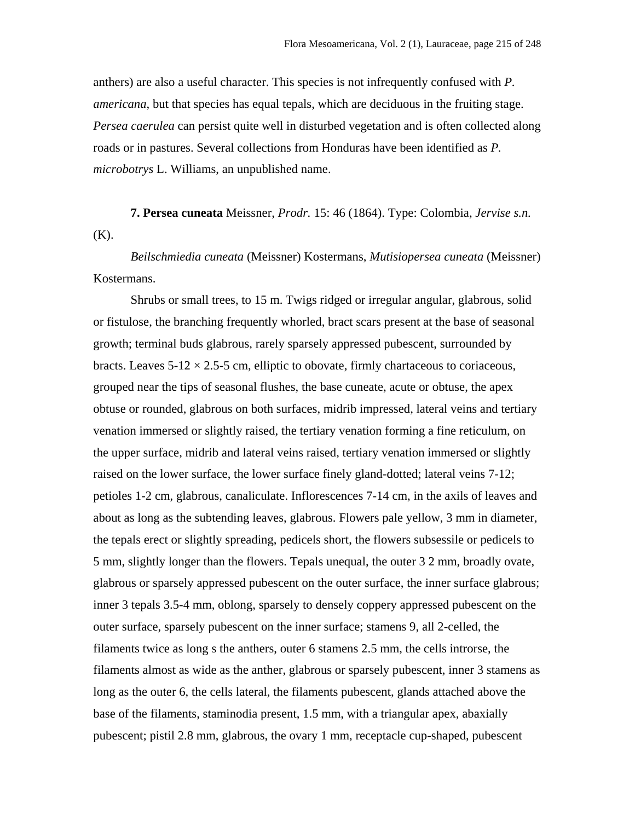anthers) are also a useful character. This species is not infrequently confused with *P. americana*, but that species has equal tepals, which are deciduous in the fruiting stage. *Persea caerulea* can persist quite well in disturbed vegetation and is often collected along roads or in pastures. Several collections from Honduras have been identified as *P. microbotrys* L. Williams, an unpublished name.

**7. Persea cuneata** Meissner, *Prodr.* 15: 46 (1864). Type: Colombia, *Jervise s.n.* (K).

*Beilschmiedia cuneata* (Meissner) Kostermans, *Mutisiopersea cuneata* (Meissner) Kostermans.

Shrubs or small trees, to 15 m. Twigs ridged or irregular angular, glabrous, solid or fistulose, the branching frequently whorled, bract scars present at the base of seasonal growth; terminal buds glabrous, rarely sparsely appressed pubescent, surrounded by bracts. Leaves  $5-12 \times 2.5-5$  cm, elliptic to obovate, firmly chartaceous to coriaceous, grouped near the tips of seasonal flushes, the base cuneate, acute or obtuse, the apex obtuse or rounded, glabrous on both surfaces, midrib impressed, lateral veins and tertiary venation immersed or slightly raised, the tertiary venation forming a fine reticulum, on the upper surface, midrib and lateral veins raised, tertiary venation immersed or slightly raised on the lower surface, the lower surface finely gland-dotted; lateral veins 7-12; petioles 1-2 cm, glabrous, canaliculate. Inflorescences 7-14 cm, in the axils of leaves and about as long as the subtending leaves, glabrous. Flowers pale yellow, 3 mm in diameter, the tepals erect or slightly spreading, pedicels short, the flowers subsessile or pedicels to 5 mm, slightly longer than the flowers. Tepals unequal, the outer 3 2 mm, broadly ovate, glabrous or sparsely appressed pubescent on the outer surface, the inner surface glabrous; inner 3 tepals 3.5-4 mm, oblong, sparsely to densely coppery appressed pubescent on the outer surface, sparsely pubescent on the inner surface; stamens 9, all 2-celled, the filaments twice as long s the anthers, outer 6 stamens 2.5 mm, the cells introrse, the filaments almost as wide as the anther, glabrous or sparsely pubescent, inner 3 stamens as long as the outer 6, the cells lateral, the filaments pubescent, glands attached above the base of the filaments, staminodia present, 1.5 mm, with a triangular apex, abaxially pubescent; pistil 2.8 mm, glabrous, the ovary 1 mm, receptacle cup-shaped, pubescent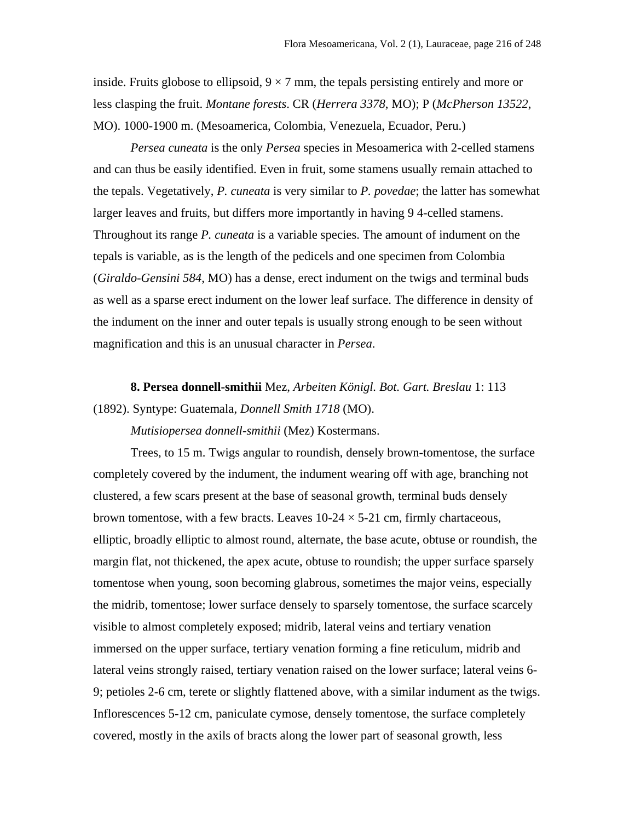inside. Fruits globose to ellipsoid,  $9 \times 7$  mm, the tepals persisting entirely and more or less clasping the fruit. *Montane forests*. CR (*Herrera 3378*, MO); P (*McPherson 13522*, MO). 1000-1900 m. (Mesoamerica, Colombia, Venezuela, Ecuador, Peru.)

*Persea cuneata* is the only *Persea* species in Mesoamerica with 2-celled stamens and can thus be easily identified. Even in fruit, some stamens usually remain attached to the tepals. Vegetatively, *P. cuneata* is very similar to *P. povedae*; the latter has somewhat larger leaves and fruits, but differs more importantly in having 9 4-celled stamens. Throughout its range *P. cuneata* is a variable species. The amount of indument on the tepals is variable, as is the length of the pedicels and one specimen from Colombia (*Giraldo-Gensini 584*, MO) has a dense, erect indument on the twigs and terminal buds as well as a sparse erect indument on the lower leaf surface. The difference in density of the indument on the inner and outer tepals is usually strong enough to be seen without magnification and this is an unusual character in *Persea*.

**8. Persea donnell-smithii** Mez, *Arbeiten Königl. Bot. Gart. Breslau* 1: 113 (1892). Syntype: Guatemala, *Donnell Smith 1718* (MO).

*Mutisiopersea donnell-smithii* (Mez) Kostermans.

Trees, to 15 m. Twigs angular to roundish, densely brown-tomentose, the surface completely covered by the indument, the indument wearing off with age, branching not clustered, a few scars present at the base of seasonal growth, terminal buds densely brown tomentose, with a few bracts. Leaves  $10\n-24 \times 5\n-21$  cm, firmly chartaceous, elliptic, broadly elliptic to almost round, alternate, the base acute, obtuse or roundish, the margin flat, not thickened, the apex acute, obtuse to roundish; the upper surface sparsely tomentose when young, soon becoming glabrous, sometimes the major veins, especially the midrib, tomentose; lower surface densely to sparsely tomentose, the surface scarcely visible to almost completely exposed; midrib, lateral veins and tertiary venation immersed on the upper surface, tertiary venation forming a fine reticulum, midrib and lateral veins strongly raised, tertiary venation raised on the lower surface; lateral veins 6- 9; petioles 2-6 cm, terete or slightly flattened above, with a similar indument as the twigs. Inflorescences 5-12 cm, paniculate cymose, densely tomentose, the surface completely covered, mostly in the axils of bracts along the lower part of seasonal growth, less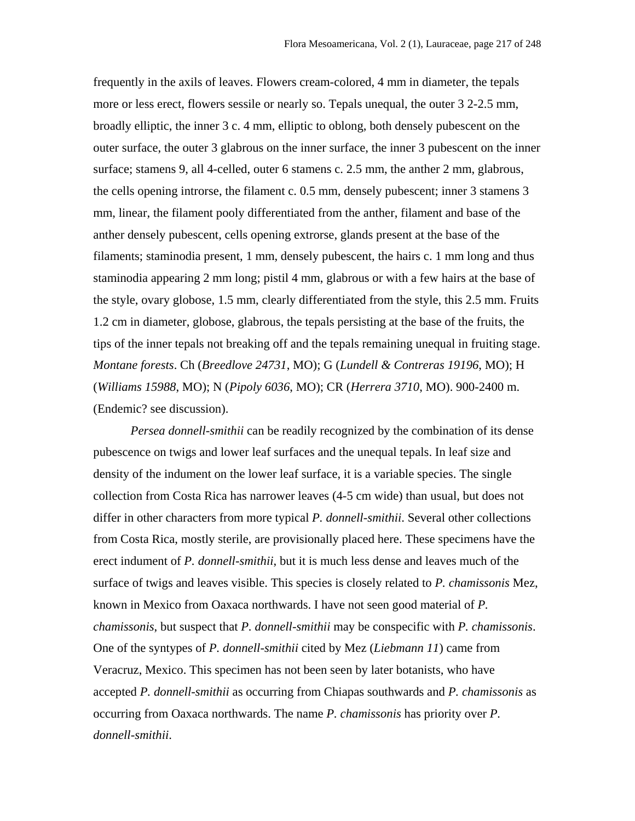frequently in the axils of leaves. Flowers cream-colored, 4 mm in diameter, the tepals more or less erect, flowers sessile or nearly so. Tepals unequal, the outer 3 2-2.5 mm, broadly elliptic, the inner 3 c. 4 mm, elliptic to oblong, both densely pubescent on the outer surface, the outer 3 glabrous on the inner surface, the inner 3 pubescent on the inner surface; stamens 9, all 4-celled, outer 6 stamens c. 2.5 mm, the anther 2 mm, glabrous, the cells opening introrse, the filament c. 0.5 mm, densely pubescent; inner 3 stamens 3 mm, linear, the filament pooly differentiated from the anther, filament and base of the anther densely pubescent, cells opening extrorse, glands present at the base of the filaments; staminodia present, 1 mm, densely pubescent, the hairs c. 1 mm long and thus staminodia appearing 2 mm long; pistil 4 mm, glabrous or with a few hairs at the base of the style, ovary globose, 1.5 mm, clearly differentiated from the style, this 2.5 mm. Fruits 1.2 cm in diameter, globose, glabrous, the tepals persisting at the base of the fruits, the tips of the inner tepals not breaking off and the tepals remaining unequal in fruiting stage. *Montane forests*. Ch (*Breedlove 24731*, MO); G (*Lundell & Contreras 19196*, MO); H (*Williams 15988*, MO); N (*Pipoly 6036*, MO); CR (*Herrera 3710*, MO). 900-2400 m. (Endemic? see discussion).

*Persea donnell-smithii* can be readily recognized by the combination of its dense pubescence on twigs and lower leaf surfaces and the unequal tepals. In leaf size and density of the indument on the lower leaf surface, it is a variable species. The single collection from Costa Rica has narrower leaves (4-5 cm wide) than usual, but does not differ in other characters from more typical *P. donnell-smithii*. Several other collections from Costa Rica, mostly sterile, are provisionally placed here. These specimens have the erect indument of *P. donnell-smithii*, but it is much less dense and leaves much of the surface of twigs and leaves visible. This species is closely related to *P. chamissonis* Mez, known in Mexico from Oaxaca northwards. I have not seen good material of *P. chamissonis*, but suspect that *P. donnell-smithii* may be conspecific with *P. chamissonis*. One of the syntypes of *P. donnell-smithii* cited by Mez (*Liebmann 11*) came from Veracruz, Mexico. This specimen has not been seen by later botanists, who have accepted *P. donnell-smithii* as occurring from Chiapas southwards and *P. chamissonis* as occurring from Oaxaca northwards. The name *P. chamissonis* has priority over *P. donnell-smithii*.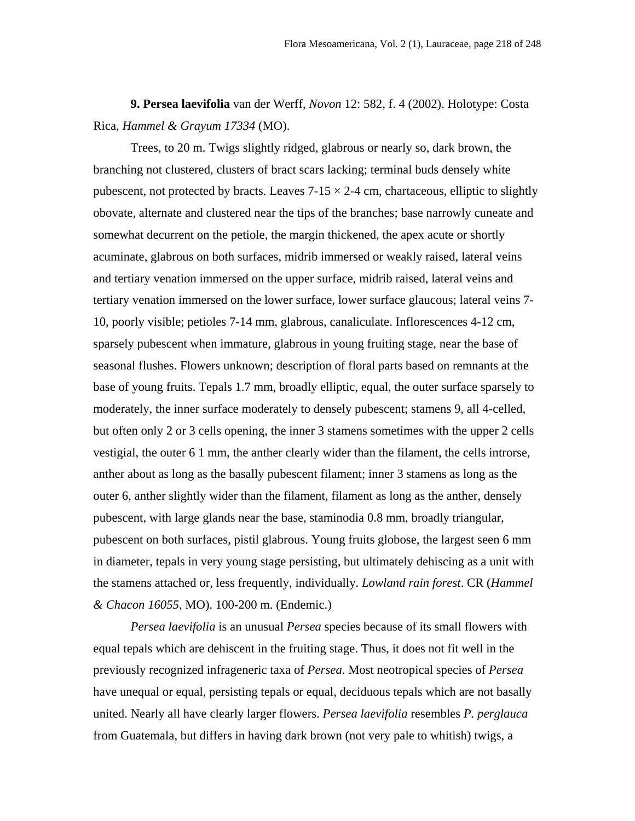**9. Persea laevifolia** van der Werff, *Novon* 12: 582, f. 4 (2002). Holotype: Costa Rica, *Hammel & Grayum 17334* (MO).

Trees, to 20 m. Twigs slightly ridged, glabrous or nearly so, dark brown, the branching not clustered, clusters of bract scars lacking; terminal buds densely white pubescent, not protected by bracts. Leaves  $7-15 \times 2-4$  cm, chartaceous, elliptic to slightly obovate, alternate and clustered near the tips of the branches; base narrowly cuneate and somewhat decurrent on the petiole, the margin thickened, the apex acute or shortly acuminate, glabrous on both surfaces, midrib immersed or weakly raised, lateral veins and tertiary venation immersed on the upper surface, midrib raised, lateral veins and tertiary venation immersed on the lower surface, lower surface glaucous; lateral veins 7- 10, poorly visible; petioles 7-14 mm, glabrous, canaliculate. Inflorescences 4-12 cm, sparsely pubescent when immature, glabrous in young fruiting stage, near the base of seasonal flushes. Flowers unknown; description of floral parts based on remnants at the base of young fruits. Tepals 1.7 mm, broadly elliptic, equal, the outer surface sparsely to moderately, the inner surface moderately to densely pubescent; stamens 9, all 4-celled, but often only 2 or 3 cells opening, the inner 3 stamens sometimes with the upper 2 cells vestigial, the outer 6 1 mm, the anther clearly wider than the filament, the cells introrse, anther about as long as the basally pubescent filament; inner 3 stamens as long as the outer 6, anther slightly wider than the filament, filament as long as the anther, densely pubescent, with large glands near the base, staminodia 0.8 mm, broadly triangular, pubescent on both surfaces, pistil glabrous. Young fruits globose, the largest seen 6 mm in diameter, tepals in very young stage persisting, but ultimately dehiscing as a unit with the stamens attached or, less frequently, individually. *Lowland rain forest*. CR (*Hammel & Chacon 16055*, MO). 100-200 m. (Endemic.)

*Persea laevifolia* is an unusual *Persea* species because of its small flowers with equal tepals which are dehiscent in the fruiting stage. Thus, it does not fit well in the previously recognized infrageneric taxa of *Persea*. Most neotropical species of *Persea* have unequal or equal, persisting tepals or equal, deciduous tepals which are not basally united. Nearly all have clearly larger flowers. *Persea laevifolia* resembles *P. perglauca* from Guatemala, but differs in having dark brown (not very pale to whitish) twigs, a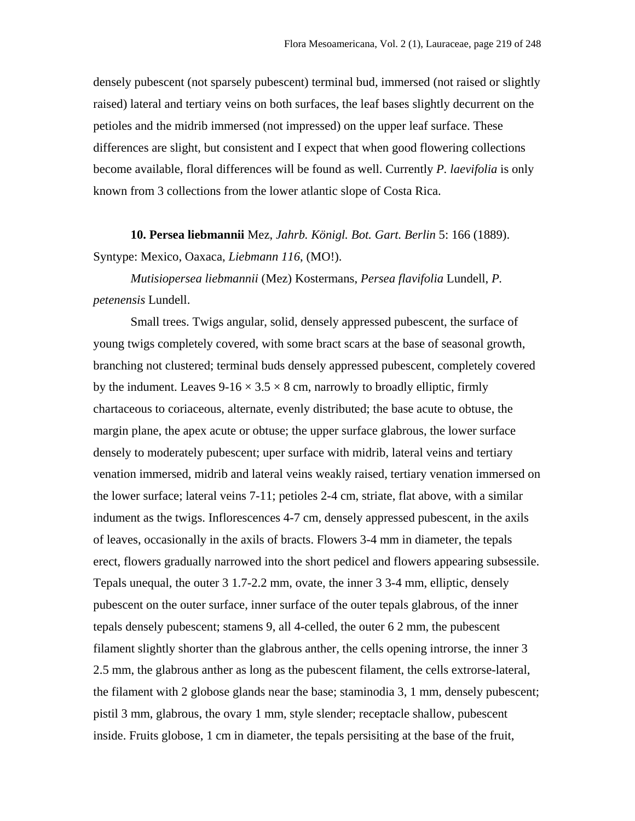densely pubescent (not sparsely pubescent) terminal bud, immersed (not raised or slightly raised) lateral and tertiary veins on both surfaces, the leaf bases slightly decurrent on the petioles and the midrib immersed (not impressed) on the upper leaf surface. These differences are slight, but consistent and I expect that when good flowering collections become available, floral differences will be found as well. Currently *P. laevifolia* is only known from 3 collections from the lower atlantic slope of Costa Rica.

**10. Persea liebmannii** Mez, *Jahrb. Königl. Bot. Gart. Berlin* 5: 166 (1889). Syntype: Mexico, Oaxaca, *Liebmann 116*, (MO!).

*Mutisiopersea liebmannii* (Mez) Kostermans, *Persea flavifolia* Lundell, *P. petenensis* Lundell.

Small trees. Twigs angular, solid, densely appressed pubescent, the surface of young twigs completely covered, with some bract scars at the base of seasonal growth, branching not clustered; terminal buds densely appressed pubescent, completely covered by the indument. Leaves  $9-16 \times 3.5 \times 8$  cm, narrowly to broadly elliptic, firmly chartaceous to coriaceous, alternate, evenly distributed; the base acute to obtuse, the margin plane, the apex acute or obtuse; the upper surface glabrous, the lower surface densely to moderately pubescent; uper surface with midrib, lateral veins and tertiary venation immersed, midrib and lateral veins weakly raised, tertiary venation immersed on the lower surface; lateral veins 7-11; petioles 2-4 cm, striate, flat above, with a similar indument as the twigs. Inflorescences 4-7 cm, densely appressed pubescent, in the axils of leaves, occasionally in the axils of bracts. Flowers 3-4 mm in diameter, the tepals erect, flowers gradually narrowed into the short pedicel and flowers appearing subsessile. Tepals unequal, the outer 3 1.7-2.2 mm, ovate, the inner 3 3-4 mm, elliptic, densely pubescent on the outer surface, inner surface of the outer tepals glabrous, of the inner tepals densely pubescent; stamens 9, all 4-celled, the outer 6 2 mm, the pubescent filament slightly shorter than the glabrous anther, the cells opening introrse, the inner 3 2.5 mm, the glabrous anther as long as the pubescent filament, the cells extrorse-lateral, the filament with 2 globose glands near the base; staminodia 3, 1 mm, densely pubescent; pistil 3 mm, glabrous, the ovary 1 mm, style slender; receptacle shallow, pubescent inside. Fruits globose, 1 cm in diameter, the tepals persisiting at the base of the fruit,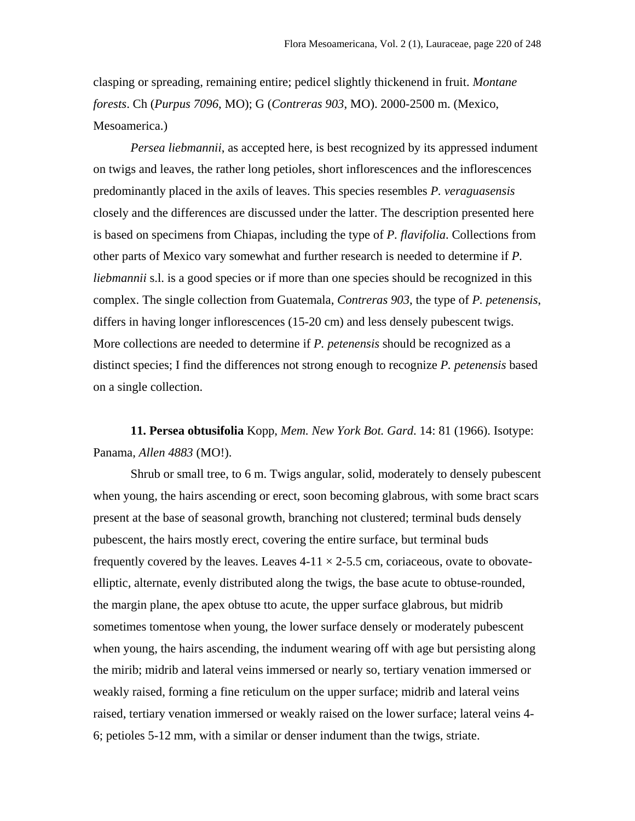clasping or spreading, remaining entire; pedicel slightly thickenend in fruit. *Montane forests*. Ch (*Purpus 7096*, MO); G (*Contreras 903*, MO). 2000-2500 m. (Mexico, Mesoamerica.)

*Persea liebmannii*, as accepted here, is best recognized by its appressed indument on twigs and leaves, the rather long petioles, short inflorescences and the inflorescences predominantly placed in the axils of leaves. This species resembles *P. veraguasensis* closely and the differences are discussed under the latter. The description presented here is based on specimens from Chiapas, including the type of *P. flavifolia*. Collections from other parts of Mexico vary somewhat and further research is needed to determine if *P. liebmannii* s.l. is a good species or if more than one species should be recognized in this complex. The single collection from Guatemala, *Contreras 903*, the type of *P. petenensis*, differs in having longer inflorescences (15-20 cm) and less densely pubescent twigs. More collections are needed to determine if *P. petenensis* should be recognized as a distinct species; I find the differences not strong enough to recognize *P. petenensis* based on a single collection.

**11. Persea obtusifolia** Kopp, *Mem. New York Bot. Gard*. 14: 81 (1966). Isotype: Panama, *Allen 4883* (MO!).

Shrub or small tree, to 6 m. Twigs angular, solid, moderately to densely pubescent when young, the hairs ascending or erect, soon becoming glabrous, with some bract scars present at the base of seasonal growth, branching not clustered; terminal buds densely pubescent, the hairs mostly erect, covering the entire surface, but terminal buds frequently covered by the leaves. Leaves  $4-11 \times 2-5.5$  cm, coriaceous, ovate to obovateelliptic, alternate, evenly distributed along the twigs, the base acute to obtuse-rounded, the margin plane, the apex obtuse tto acute, the upper surface glabrous, but midrib sometimes tomentose when young, the lower surface densely or moderately pubescent when young, the hairs ascending, the indument wearing off with age but persisting along the mirib; midrib and lateral veins immersed or nearly so, tertiary venation immersed or weakly raised, forming a fine reticulum on the upper surface; midrib and lateral veins raised, tertiary venation immersed or weakly raised on the lower surface; lateral veins 4- 6; petioles 5-12 mm, with a similar or denser indument than the twigs, striate.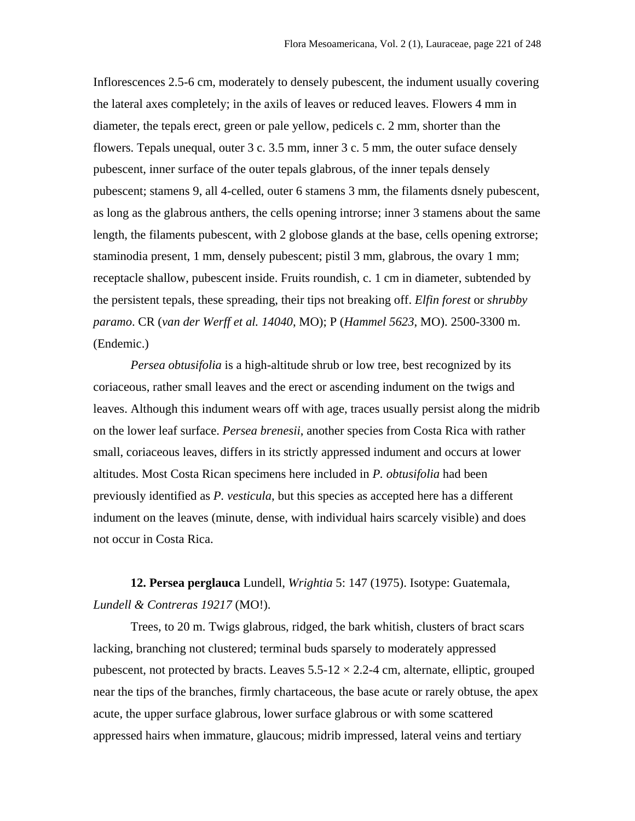Inflorescences 2.5-6 cm, moderately to densely pubescent, the indument usually covering the lateral axes completely; in the axils of leaves or reduced leaves. Flowers 4 mm in diameter, the tepals erect, green or pale yellow, pedicels c. 2 mm, shorter than the flowers. Tepals unequal, outer 3 c. 3.5 mm, inner 3 c. 5 mm, the outer suface densely pubescent, inner surface of the outer tepals glabrous, of the inner tepals densely pubescent; stamens 9, all 4-celled, outer 6 stamens 3 mm, the filaments dsnely pubescent, as long as the glabrous anthers, the cells opening introrse; inner 3 stamens about the same length, the filaments pubescent, with 2 globose glands at the base, cells opening extrorse; staminodia present, 1 mm, densely pubescent; pistil 3 mm, glabrous, the ovary 1 mm; receptacle shallow, pubescent inside. Fruits roundish, c. 1 cm in diameter, subtended by the persistent tepals, these spreading, their tips not breaking off. *Elfin forest* or *shrubby paramo*. CR (*van der Werff et al. 14040*, MO); P (*Hammel 5623*, MO). 2500-3300 m. (Endemic.)

*Persea obtusifolia* is a high-altitude shrub or low tree, best recognized by its coriaceous, rather small leaves and the erect or ascending indument on the twigs and leaves. Although this indument wears off with age, traces usually persist along the midrib on the lower leaf surface. *Persea brenesii*, another species from Costa Rica with rather small, coriaceous leaves, differs in its strictly appressed indument and occurs at lower altitudes. Most Costa Rican specimens here included in *P. obtusifolia* had been previously identified as *P. vesticula*, but this species as accepted here has a different indument on the leaves (minute, dense, with individual hairs scarcely visible) and does not occur in Costa Rica.

**12. Persea perglauca** Lundell, *Wrightia* 5: 147 (1975). Isotype: Guatemala, *Lundell & Contreras 19217* (MO!).

Trees, to 20 m. Twigs glabrous, ridged, the bark whitish, clusters of bract scars lacking, branching not clustered; terminal buds sparsely to moderately appressed pubescent, not protected by bracts. Leaves  $5.5\n-12 \times 2.2\n-4$  cm, alternate, elliptic, grouped near the tips of the branches, firmly chartaceous, the base acute or rarely obtuse, the apex acute, the upper surface glabrous, lower surface glabrous or with some scattered appressed hairs when immature, glaucous; midrib impressed, lateral veins and tertiary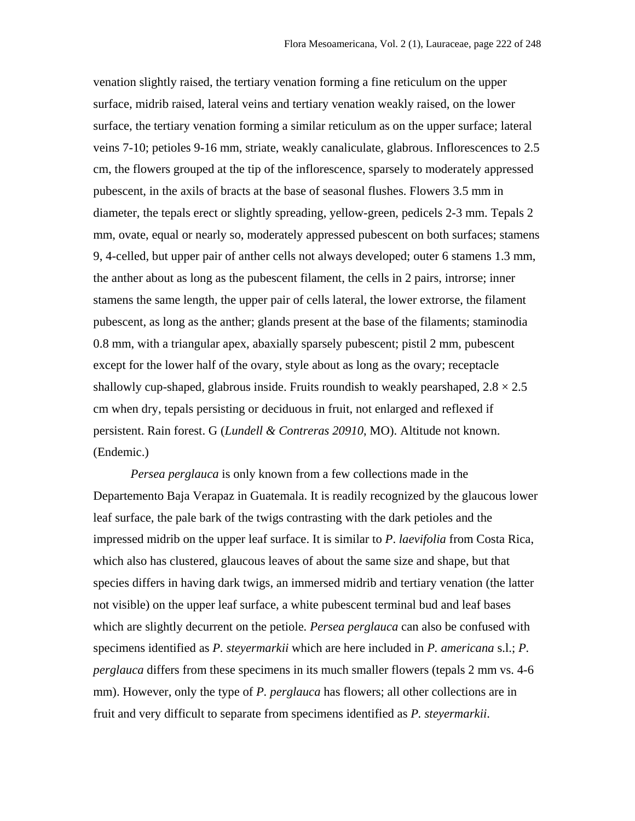venation slightly raised, the tertiary venation forming a fine reticulum on the upper surface, midrib raised, lateral veins and tertiary venation weakly raised, on the lower surface, the tertiary venation forming a similar reticulum as on the upper surface; lateral veins 7-10; petioles 9-16 mm, striate, weakly canaliculate, glabrous. Inflorescences to 2.5 cm, the flowers grouped at the tip of the inflorescence, sparsely to moderately appressed pubescent, in the axils of bracts at the base of seasonal flushes. Flowers 3.5 mm in diameter, the tepals erect or slightly spreading, yellow-green, pedicels 2-3 mm. Tepals 2 mm, ovate, equal or nearly so, moderately appressed pubescent on both surfaces; stamens 9, 4-celled, but upper pair of anther cells not always developed; outer 6 stamens 1.3 mm, the anther about as long as the pubescent filament, the cells in 2 pairs, introrse; inner stamens the same length, the upper pair of cells lateral, the lower extrorse, the filament pubescent, as long as the anther; glands present at the base of the filaments; staminodia 0.8 mm, with a triangular apex, abaxially sparsely pubescent; pistil 2 mm, pubescent except for the lower half of the ovary, style about as long as the ovary; receptacle shallowly cup-shaped, glabrous inside. Fruits roundish to weakly pearshaped,  $2.8 \times 2.5$ cm when dry, tepals persisting or deciduous in fruit, not enlarged and reflexed if persistent. Rain forest. G (*Lundell & Contreras 20910*, MO). Altitude not known. (Endemic.)

*Persea perglauca* is only known from a few collections made in the Departemento Baja Verapaz in Guatemala. It is readily recognized by the glaucous lower leaf surface, the pale bark of the twigs contrasting with the dark petioles and the impressed midrib on the upper leaf surface. It is similar to *P*. *laevifolia* from Costa Rica, which also has clustered, glaucous leaves of about the same size and shape, but that species differs in having dark twigs, an immersed midrib and tertiary venation (the latter not visible) on the upper leaf surface, a white pubescent terminal bud and leaf bases which are slightly decurrent on the petiole*. Persea perglauca* can also be confused with specimens identified as *P. steyermarkii* which are here included in *P. americana* s.l.; *P. perglauca* differs from these specimens in its much smaller flowers (tepals 2 mm vs. 4-6 mm). However, only the type of *P. perglauca* has flowers; all other collections are in fruit and very difficult to separate from specimens identified as *P. steyermarkii*.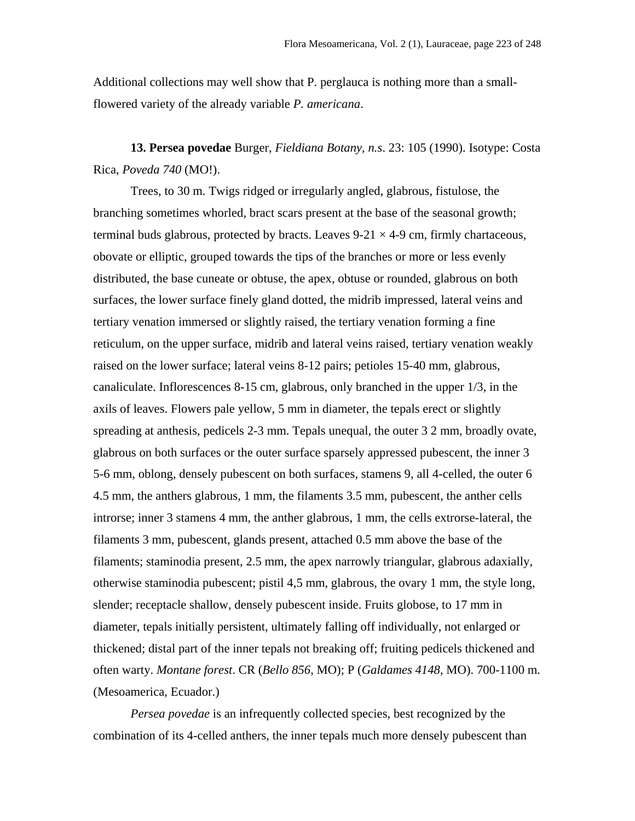Additional collections may well show that P. perglauca is nothing more than a smallflowered variety of the already variable *P. americana*.

**13. Persea povedae** Burger, *Fieldiana Botany, n.s*. 23: 105 (1990). Isotype: Costa Rica, *Poveda 740* (MO!).

Trees, to 30 m. Twigs ridged or irregularly angled, glabrous, fistulose, the branching sometimes whorled, bract scars present at the base of the seasonal growth; terminal buds glabrous, protected by bracts. Leaves  $9-21 \times 4-9$  cm, firmly chartaceous, obovate or elliptic, grouped towards the tips of the branches or more or less evenly distributed, the base cuneate or obtuse, the apex, obtuse or rounded, glabrous on both surfaces, the lower surface finely gland dotted, the midrib impressed, lateral veins and tertiary venation immersed or slightly raised, the tertiary venation forming a fine reticulum, on the upper surface, midrib and lateral veins raised, tertiary venation weakly raised on the lower surface; lateral veins 8-12 pairs; petioles 15-40 mm, glabrous, canaliculate. Inflorescences 8-15 cm, glabrous, only branched in the upper 1/3, in the axils of leaves. Flowers pale yellow, 5 mm in diameter, the tepals erect or slightly spreading at anthesis, pedicels 2-3 mm. Tepals unequal, the outer 3 2 mm, broadly ovate, glabrous on both surfaces or the outer surface sparsely appressed pubescent, the inner 3 5-6 mm, oblong, densely pubescent on both surfaces, stamens 9, all 4-celled, the outer 6 4.5 mm, the anthers glabrous, 1 mm, the filaments 3.5 mm, pubescent, the anther cells introrse; inner 3 stamens 4 mm, the anther glabrous, 1 mm, the cells extrorse-lateral, the filaments 3 mm, pubescent, glands present, attached 0.5 mm above the base of the filaments; staminodia present, 2.5 mm, the apex narrowly triangular, glabrous adaxially, otherwise staminodia pubescent; pistil 4,5 mm, glabrous, the ovary 1 mm, the style long, slender; receptacle shallow, densely pubescent inside. Fruits globose, to 17 mm in diameter, tepals initially persistent, ultimately falling off individually, not enlarged or thickened; distal part of the inner tepals not breaking off; fruiting pedicels thickened and often warty. *Montane forest*. CR (*Bello 856*, MO); P (*Galdames 4148*, MO). 700-1100 m. (Mesoamerica, Ecuador.)

*Persea povedae* is an infrequently collected species, best recognized by the combination of its 4-celled anthers, the inner tepals much more densely pubescent than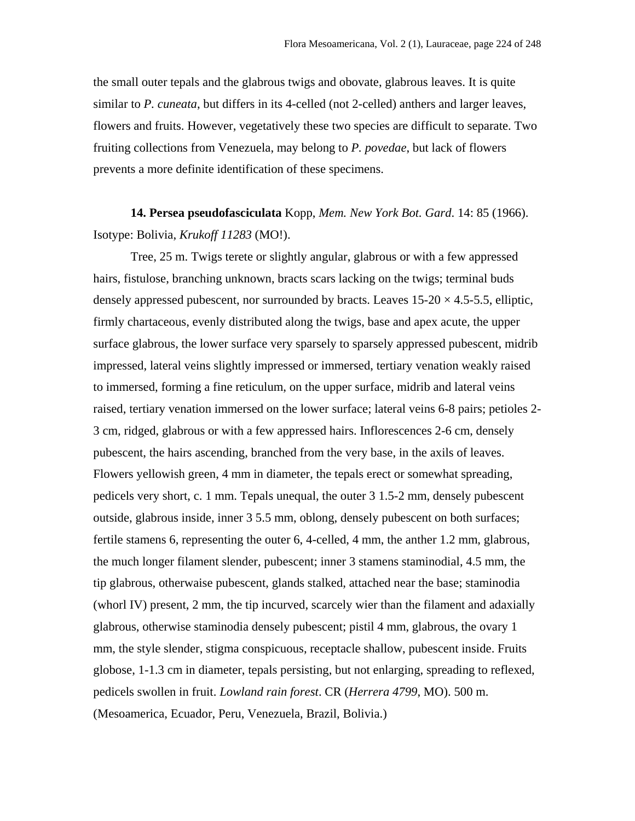the small outer tepals and the glabrous twigs and obovate, glabrous leaves. It is quite similar to *P. cuneata*, but differs in its 4-celled (not 2-celled) anthers and larger leaves, flowers and fruits. However, vegetatively these two species are difficult to separate. Two fruiting collections from Venezuela, may belong to *P. povedae*, but lack of flowers prevents a more definite identification of these specimens.

**14. Persea pseudofasciculata** Kopp, *Mem. New York Bot. Gard*. 14: 85 (1966). Isotype: Bolivia, *Krukoff 11283* (MO!).

Tree, 25 m. Twigs terete or slightly angular, glabrous or with a few appressed hairs, fistulose, branching unknown, bracts scars lacking on the twigs; terminal buds densely appressed pubescent, nor surrounded by bracts. Leaves  $15{\text -}20 \times 4.5{\text -}5.5$ , elliptic, firmly chartaceous, evenly distributed along the twigs, base and apex acute, the upper surface glabrous, the lower surface very sparsely to sparsely appressed pubescent, midrib impressed, lateral veins slightly impressed or immersed, tertiary venation weakly raised to immersed, forming a fine reticulum, on the upper surface, midrib and lateral veins raised, tertiary venation immersed on the lower surface; lateral veins 6-8 pairs; petioles 2- 3 cm, ridged, glabrous or with a few appressed hairs. Inflorescences 2-6 cm, densely pubescent, the hairs ascending, branched from the very base, in the axils of leaves. Flowers yellowish green, 4 mm in diameter, the tepals erect or somewhat spreading, pedicels very short, c. 1 mm. Tepals unequal, the outer 3 1.5-2 mm, densely pubescent outside, glabrous inside, inner 3 5.5 mm, oblong, densely pubescent on both surfaces; fertile stamens 6, representing the outer 6, 4-celled, 4 mm, the anther 1.2 mm, glabrous, the much longer filament slender, pubescent; inner 3 stamens staminodial, 4.5 mm, the tip glabrous, otherwaise pubescent, glands stalked, attached near the base; staminodia (whorl IV) present, 2 mm, the tip incurved, scarcely wier than the filament and adaxially glabrous, otherwise staminodia densely pubescent; pistil 4 mm, glabrous, the ovary 1 mm, the style slender, stigma conspicuous, receptacle shallow, pubescent inside. Fruits globose, 1-1.3 cm in diameter, tepals persisting, but not enlarging, spreading to reflexed, pedicels swollen in fruit. *Lowland rain forest*. CR (*Herrera 4799*, MO). 500 m. (Mesoamerica, Ecuador, Peru, Venezuela, Brazil, Bolivia.)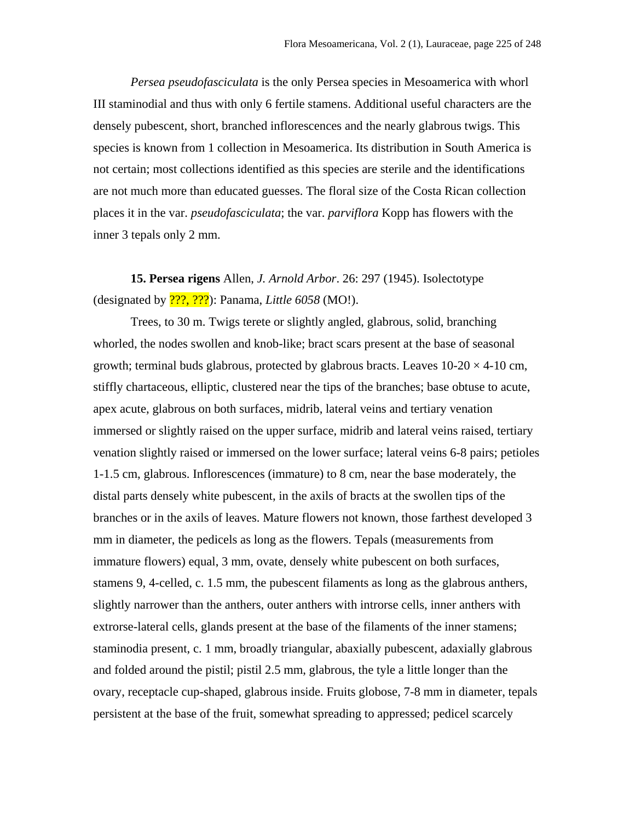*Persea pseudofasciculata* is the only Persea species in Mesoamerica with whorl III staminodial and thus with only 6 fertile stamens. Additional useful characters are the densely pubescent, short, branched inflorescences and the nearly glabrous twigs. This species is known from 1 collection in Mesoamerica. Its distribution in South America is not certain; most collections identified as this species are sterile and the identifications are not much more than educated guesses. The floral size of the Costa Rican collection places it in the var. *pseudofasciculata*; the var. *parviflora* Kopp has flowers with the inner 3 tepals only 2 mm.

**15. Persea rigens** Allen, *J. Arnold Arbor*. 26: 297 (1945). Isolectotype (designated by ???, ???): Panama, *Little 6058* (MO!).

Trees, to 30 m. Twigs terete or slightly angled, glabrous, solid, branching whorled, the nodes swollen and knob-like; bract scars present at the base of seasonal growth; terminal buds glabrous, protected by glabrous bracts. Leaves  $10\n-20 \times 4\n-10$  cm, stiffly chartaceous, elliptic, clustered near the tips of the branches; base obtuse to acute, apex acute, glabrous on both surfaces, midrib, lateral veins and tertiary venation immersed or slightly raised on the upper surface, midrib and lateral veins raised, tertiary venation slightly raised or immersed on the lower surface; lateral veins 6-8 pairs; petioles 1-1.5 cm, glabrous. Inflorescences (immature) to 8 cm, near the base moderately, the distal parts densely white pubescent, in the axils of bracts at the swollen tips of the branches or in the axils of leaves. Mature flowers not known, those farthest developed 3 mm in diameter, the pedicels as long as the flowers. Tepals (measurements from immature flowers) equal, 3 mm, ovate, densely white pubescent on both surfaces, stamens 9, 4-celled, c. 1.5 mm, the pubescent filaments as long as the glabrous anthers, slightly narrower than the anthers, outer anthers with introrse cells, inner anthers with extrorse-lateral cells, glands present at the base of the filaments of the inner stamens; staminodia present, c. 1 mm, broadly triangular, abaxially pubescent, adaxially glabrous and folded around the pistil; pistil 2.5 mm, glabrous, the tyle a little longer than the ovary, receptacle cup-shaped, glabrous inside. Fruits globose, 7-8 mm in diameter, tepals persistent at the base of the fruit, somewhat spreading to appressed; pedicel scarcely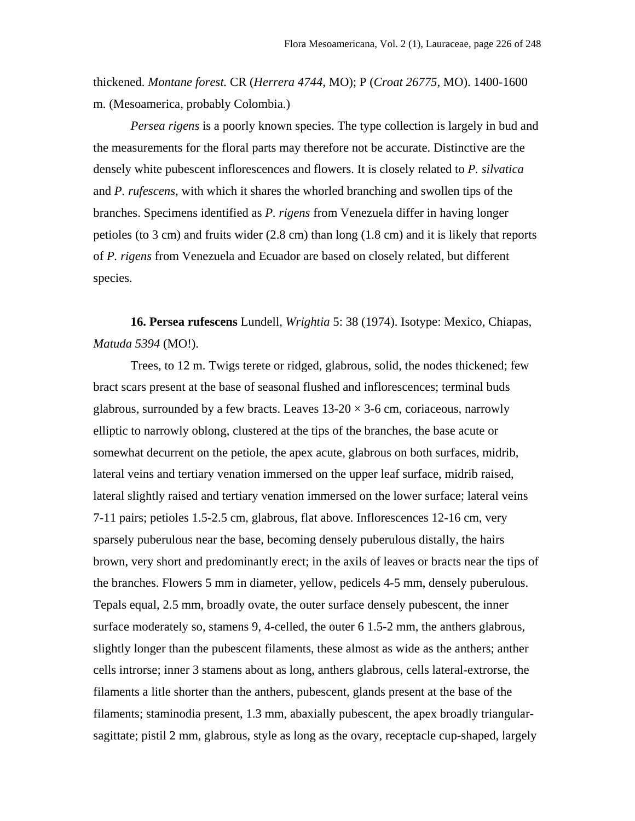thickened. *Montane forest.* CR (*Herrera 4744*, MO); P (*Croat 26775*, MO). 1400-1600 m. (Mesoamerica, probably Colombia.)

*Persea rigens* is a poorly known species. The type collection is largely in bud and the measurements for the floral parts may therefore not be accurate. Distinctive are the densely white pubescent inflorescences and flowers. It is closely related to *P. silvatica* and *P. rufescens*, with which it shares the whorled branching and swollen tips of the branches. Specimens identified as *P. rigens* from Venezuela differ in having longer petioles (to 3 cm) and fruits wider (2.8 cm) than long (1.8 cm) and it is likely that reports of *P. rigens* from Venezuela and Ecuador are based on closely related, but different species.

**16. Persea rufescens** Lundell, *Wrightia* 5: 38 (1974). Isotype: Mexico, Chiapas, *Matuda 5394* (MO!).

Trees, to 12 m. Twigs terete or ridged, glabrous, solid, the nodes thickened; few bract scars present at the base of seasonal flushed and inflorescences; terminal buds glabrous, surrounded by a few bracts. Leaves  $13{\text -}20 \times 3{\text -}6$  cm, coriaceous, narrowly elliptic to narrowly oblong, clustered at the tips of the branches, the base acute or somewhat decurrent on the petiole, the apex acute, glabrous on both surfaces, midrib, lateral veins and tertiary venation immersed on the upper leaf surface, midrib raised, lateral slightly raised and tertiary venation immersed on the lower surface; lateral veins 7-11 pairs; petioles 1.5-2.5 cm, glabrous, flat above. Inflorescences 12-16 cm, very sparsely puberulous near the base, becoming densely puberulous distally, the hairs brown, very short and predominantly erect; in the axils of leaves or bracts near the tips of the branches. Flowers 5 mm in diameter, yellow, pedicels 4-5 mm, densely puberulous. Tepals equal, 2.5 mm, broadly ovate, the outer surface densely pubescent, the inner surface moderately so, stamens 9, 4-celled, the outer 6 1.5-2 mm, the anthers glabrous, slightly longer than the pubescent filaments, these almost as wide as the anthers; anther cells introrse; inner 3 stamens about as long, anthers glabrous, cells lateral-extrorse, the filaments a litle shorter than the anthers, pubescent, glands present at the base of the filaments; staminodia present, 1.3 mm, abaxially pubescent, the apex broadly triangularsagittate; pistil 2 mm, glabrous, style as long as the ovary, receptacle cup-shaped, largely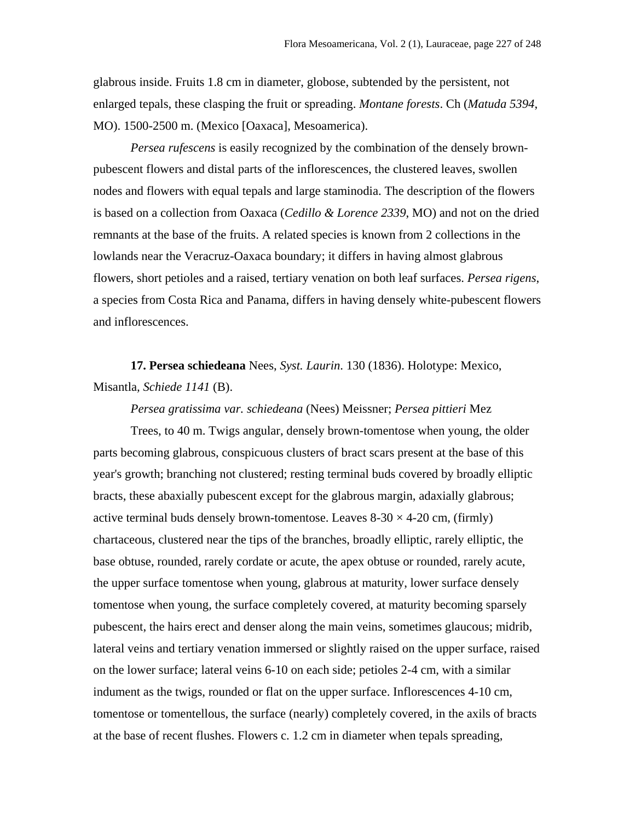glabrous inside. Fruits 1.8 cm in diameter, globose, subtended by the persistent, not enlarged tepals, these clasping the fruit or spreading. *Montane forests*. Ch (*Matuda 5394*, MO). 1500-2500 m. (Mexico [Oaxaca], Mesoamerica).

*Persea rufescens* is easily recognized by the combination of the densely brownpubescent flowers and distal parts of the inflorescences, the clustered leaves, swollen nodes and flowers with equal tepals and large staminodia. The description of the flowers is based on a collection from Oaxaca (*Cedillo & Lorence 2339*, MO) and not on the dried remnants at the base of the fruits. A related species is known from 2 collections in the lowlands near the Veracruz-Oaxaca boundary; it differs in having almost glabrous flowers, short petioles and a raised, tertiary venation on both leaf surfaces. *Persea rigens*, a species from Costa Rica and Panama, differs in having densely white-pubescent flowers and inflorescences.

**17. Persea schiedeana** Nees, *Syst. Laurin*. 130 (1836). Holotype: Mexico, Misantla*, Schiede 1141* (B).

*Persea gratissima var. schiedeana* (Nees) Meissner; *Persea pittieri* Mez

Trees, to 40 m. Twigs angular, densely brown-tomentose when young, the older parts becoming glabrous, conspicuous clusters of bract scars present at the base of this year's growth; branching not clustered; resting terminal buds covered by broadly elliptic bracts, these abaxially pubescent except for the glabrous margin, adaxially glabrous; active terminal buds densely brown-tomentose. Leaves  $8-30 \times 4-20$  cm, (firmly) chartaceous, clustered near the tips of the branches, broadly elliptic, rarely elliptic, the base obtuse, rounded, rarely cordate or acute, the apex obtuse or rounded, rarely acute, the upper surface tomentose when young, glabrous at maturity, lower surface densely tomentose when young, the surface completely covered, at maturity becoming sparsely pubescent, the hairs erect and denser along the main veins, sometimes glaucous; midrib, lateral veins and tertiary venation immersed or slightly raised on the upper surface, raised on the lower surface; lateral veins 6-10 on each side; petioles 2-4 cm, with a similar indument as the twigs, rounded or flat on the upper surface. Inflorescences 4-10 cm, tomentose or tomentellous, the surface (nearly) completely covered, in the axils of bracts at the base of recent flushes. Flowers c. 1.2 cm in diameter when tepals spreading,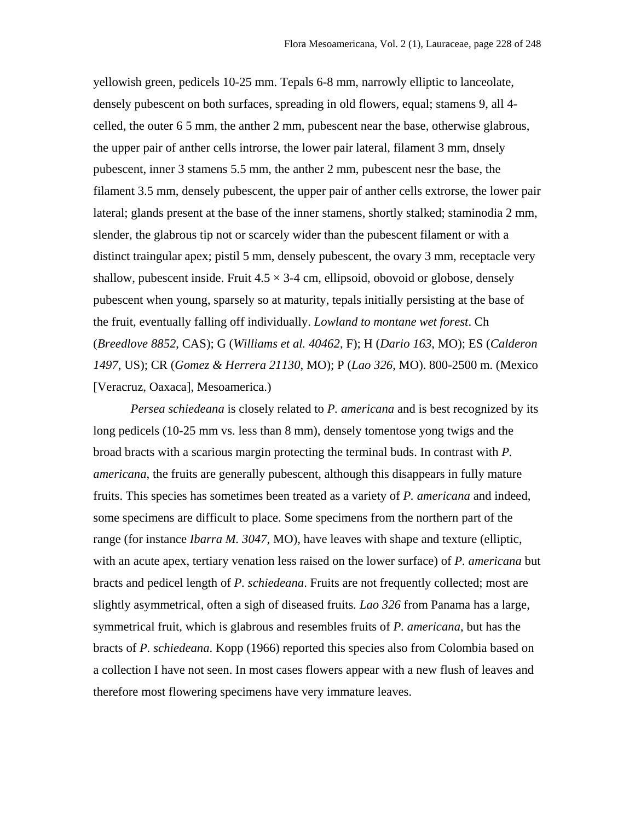yellowish green, pedicels 10-25 mm. Tepals 6-8 mm, narrowly elliptic to lanceolate, densely pubescent on both surfaces, spreading in old flowers, equal; stamens 9, all 4 celled, the outer 6 5 mm, the anther 2 mm, pubescent near the base, otherwise glabrous, the upper pair of anther cells introrse, the lower pair lateral, filament 3 mm, dnsely pubescent, inner 3 stamens 5.5 mm, the anther 2 mm, pubescent nesr the base, the filament 3.5 mm, densely pubescent, the upper pair of anther cells extrorse, the lower pair lateral; glands present at the base of the inner stamens, shortly stalked; staminodia 2 mm, slender, the glabrous tip not or scarcely wider than the pubescent filament or with a distinct traingular apex; pistil 5 mm, densely pubescent, the ovary 3 mm, receptacle very shallow, pubescent inside. Fruit  $4.5 \times 3-4$  cm, ellipsoid, obovoid or globose, densely pubescent when young, sparsely so at maturity, tepals initially persisting at the base of the fruit, eventually falling off individually. *Lowland to montane wet forest*. Ch (*Breedlove 8852*, CAS); G (*Williams et al. 40462*, F); H (*Dario 163*, MO); ES (*Calderon 1497*, US); CR (*Gomez & Herrera 21130*, MO); P (*Lao 326*, MO). 800-2500 m. (Mexico [Veracruz, Oaxaca], Mesoamerica.)

*Persea schiedeana* is closely related to *P. americana* and is best recognized by its long pedicels (10-25 mm vs. less than 8 mm), densely tomentose yong twigs and the broad bracts with a scarious margin protecting the terminal buds. In contrast with *P. americana*, the fruits are generally pubescent, although this disappears in fully mature fruits. This species has sometimes been treated as a variety of *P. americana* and indeed, some specimens are difficult to place. Some specimens from the northern part of the range (for instance *Ibarra M. 3047*, MO), have leaves with shape and texture (elliptic, with an acute apex, tertiary venation less raised on the lower surface) of *P. americana* but bracts and pedicel length of *P. schiedeana*. Fruits are not frequently collected; most are slightly asymmetrical, often a sigh of diseased fruits*. Lao 326* from Panama has a large, symmetrical fruit, which is glabrous and resembles fruits of *P. americana*, but has the bracts of *P. schiedeana*. Kopp (1966) reported this species also from Colombia based on a collection I have not seen. In most cases flowers appear with a new flush of leaves and therefore most flowering specimens have very immature leaves.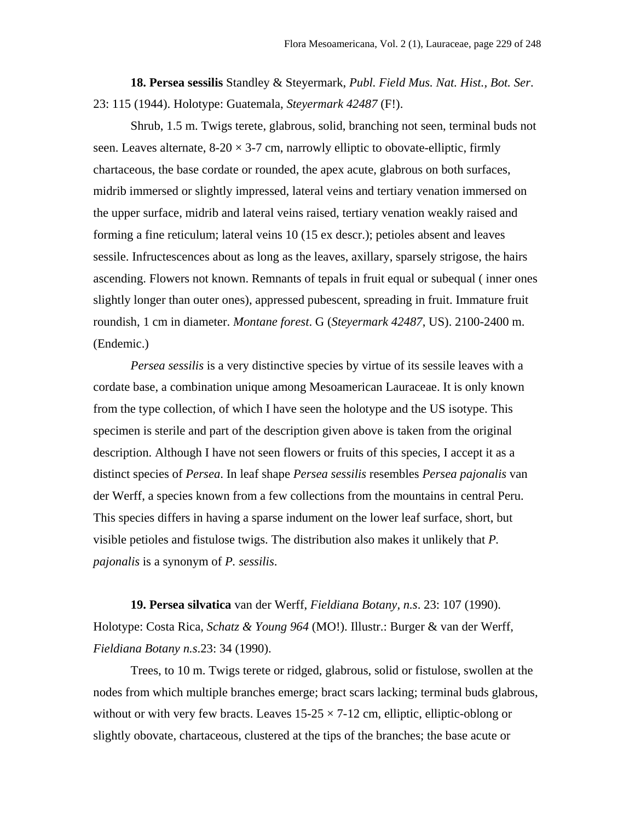**18. Persea sessilis** Standley & Steyermark, *Publ. Field Mus. Nat. Hist., Bot. Ser*. 23: 115 (1944). Holotype: Guatemala, *Steyermark 42487* (F!).

Shrub, 1.5 m. Twigs terete, glabrous, solid, branching not seen, terminal buds not seen. Leaves alternate,  $8-20 \times 3-7$  cm, narrowly elliptic to obovate-elliptic, firmly chartaceous, the base cordate or rounded, the apex acute, glabrous on both surfaces, midrib immersed or slightly impressed, lateral veins and tertiary venation immersed on the upper surface, midrib and lateral veins raised, tertiary venation weakly raised and forming a fine reticulum; lateral veins 10 (15 ex descr.); petioles absent and leaves sessile. Infructescences about as long as the leaves, axillary, sparsely strigose, the hairs ascending. Flowers not known. Remnants of tepals in fruit equal or subequal ( inner ones slightly longer than outer ones), appressed pubescent, spreading in fruit. Immature fruit roundish, 1 cm in diameter. *Montane forest*. G (*Steyermark 42487*, US). 2100-2400 m. (Endemic.)

*Persea sessilis* is a very distinctive species by virtue of its sessile leaves with a cordate base, a combination unique among Mesoamerican Lauraceae. It is only known from the type collection, of which I have seen the holotype and the US isotype. This specimen is sterile and part of the description given above is taken from the original description. Although I have not seen flowers or fruits of this species, I accept it as a distinct species of *Persea*. In leaf shape *Persea sessilis* resembles *Persea pajonalis* van der Werff, a species known from a few collections from the mountains in central Peru. This species differs in having a sparse indument on the lower leaf surface, short, but visible petioles and fistulose twigs. The distribution also makes it unlikely that *P. pajonalis* is a synonym of *P. sessilis*.

**19. Persea silvatica** van der Werff, *Fieldiana Botany, n.s*. 23: 107 (1990). Holotype: Costa Rica, *Schatz & Young 964* (MO!). Illustr.: Burger & van der Werff, *Fieldiana Botany n.s*.23: 34 (1990).

Trees, to 10 m. Twigs terete or ridged, glabrous, solid or fistulose, swollen at the nodes from which multiple branches emerge; bract scars lacking; terminal buds glabrous, without or with very few bracts. Leaves  $15-25 \times 7-12$  cm, elliptic, elliptic-oblong or slightly obovate, chartaceous, clustered at the tips of the branches; the base acute or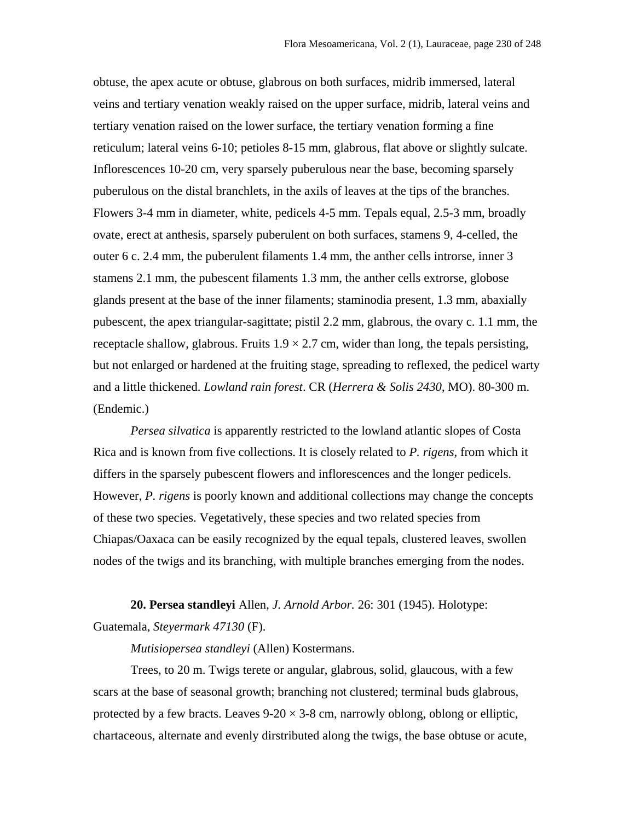obtuse, the apex acute or obtuse, glabrous on both surfaces, midrib immersed, lateral veins and tertiary venation weakly raised on the upper surface, midrib, lateral veins and tertiary venation raised on the lower surface, the tertiary venation forming a fine reticulum; lateral veins 6-10; petioles 8-15 mm, glabrous, flat above or slightly sulcate. Inflorescences 10-20 cm, very sparsely puberulous near the base, becoming sparsely puberulous on the distal branchlets, in the axils of leaves at the tips of the branches. Flowers 3-4 mm in diameter, white, pedicels 4-5 mm. Tepals equal, 2.5-3 mm, broadly ovate, erect at anthesis, sparsely puberulent on both surfaces, stamens 9, 4-celled, the outer 6 c. 2.4 mm, the puberulent filaments 1.4 mm, the anther cells introrse, inner 3 stamens 2.1 mm, the pubescent filaments 1.3 mm, the anther cells extrorse, globose glands present at the base of the inner filaments; staminodia present, 1.3 mm, abaxially pubescent, the apex triangular-sagittate; pistil 2.2 mm, glabrous, the ovary c. 1.1 mm, the receptacle shallow, glabrous. Fruits  $1.9 \times 2.7$  cm, wider than long, the tepals persisting, but not enlarged or hardened at the fruiting stage, spreading to reflexed, the pedicel warty and a little thickened. *Lowland rain forest*. CR (*Herrera & Solis 2430*, MO). 80-300 m. (Endemic.)

*Persea silvatica* is apparently restricted to the lowland atlantic slopes of Costa Rica and is known from five collections. It is closely related to *P. rigens*, from which it differs in the sparsely pubescent flowers and inflorescences and the longer pedicels. However, *P. rigens* is poorly known and additional collections may change the concepts of these two species. Vegetatively, these species and two related species from Chiapas/Oaxaca can be easily recognized by the equal tepals, clustered leaves, swollen nodes of the twigs and its branching, with multiple branches emerging from the nodes.

**20. Persea standleyi** Allen, *J. Arnold Arbor.* 26: 301 (1945). Holotype: Guatemala, *Steyermark 47130* (F).

*Mutisiopersea standleyi* (Allen) Kostermans.

Trees, to 20 m. Twigs terete or angular, glabrous, solid, glaucous, with a few scars at the base of seasonal growth; branching not clustered; terminal buds glabrous, protected by a few bracts. Leaves  $9-20 \times 3-8$  cm, narrowly oblong, oblong or elliptic, chartaceous, alternate and evenly dirstributed along the twigs, the base obtuse or acute,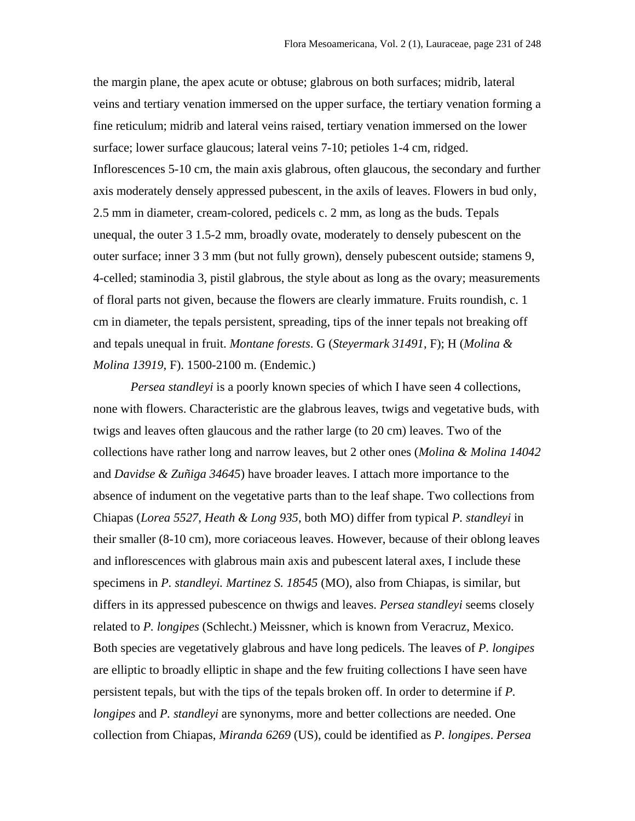the margin plane, the apex acute or obtuse; glabrous on both surfaces; midrib, lateral veins and tertiary venation immersed on the upper surface, the tertiary venation forming a fine reticulum; midrib and lateral veins raised, tertiary venation immersed on the lower surface; lower surface glaucous; lateral veins 7-10; petioles 1-4 cm, ridged. Inflorescences 5-10 cm, the main axis glabrous, often glaucous, the secondary and further axis moderately densely appressed pubescent, in the axils of leaves. Flowers in bud only, 2.5 mm in diameter, cream-colored, pedicels c. 2 mm, as long as the buds. Tepals unequal, the outer 3 1.5-2 mm, broadly ovate, moderately to densely pubescent on the outer surface; inner 3 3 mm (but not fully grown), densely pubescent outside; stamens 9, 4-celled; staminodia 3, pistil glabrous, the style about as long as the ovary; measurements of floral parts not given, because the flowers are clearly immature. Fruits roundish, c. 1 cm in diameter, the tepals persistent, spreading, tips of the inner tepals not breaking off and tepals unequal in fruit. *Montane forests*. G (*Steyermark 31491*, F); H (*Molina & Molina 13919*, F). 1500-2100 m. (Endemic.)

*Persea standleyi* is a poorly known species of which I have seen 4 collections, none with flowers. Characteristic are the glabrous leaves, twigs and vegetative buds, with twigs and leaves often glaucous and the rather large (to 20 cm) leaves. Two of the collections have rather long and narrow leaves, but 2 other ones (*Molina & Molina 14042* and *Davidse & Zuñiga 34645*) have broader leaves. I attach more importance to the absence of indument on the vegetative parts than to the leaf shape. Two collections from Chiapas (*Lorea 5527*, *Heath & Long 935*, both MO) differ from typical *P. standleyi* in their smaller (8-10 cm), more coriaceous leaves. However, because of their oblong leaves and inflorescences with glabrous main axis and pubescent lateral axes, I include these specimens in *P. standleyi. Martinez S. 18545* (MO), also from Chiapas, is similar, but differs in its appressed pubescence on thwigs and leaves. *Persea standleyi* seems closely related to *P. longipes* (Schlecht.) Meissner, which is known from Veracruz, Mexico. Both species are vegetatively glabrous and have long pedicels. The leaves of *P. longipes* are elliptic to broadly elliptic in shape and the few fruiting collections I have seen have persistent tepals, but with the tips of the tepals broken off. In order to determine if *P. longipes* and *P. standleyi* are synonyms, more and better collections are needed. One collection from Chiapas, *Miranda 6269* (US), could be identified as *P. longipes*. *Persea*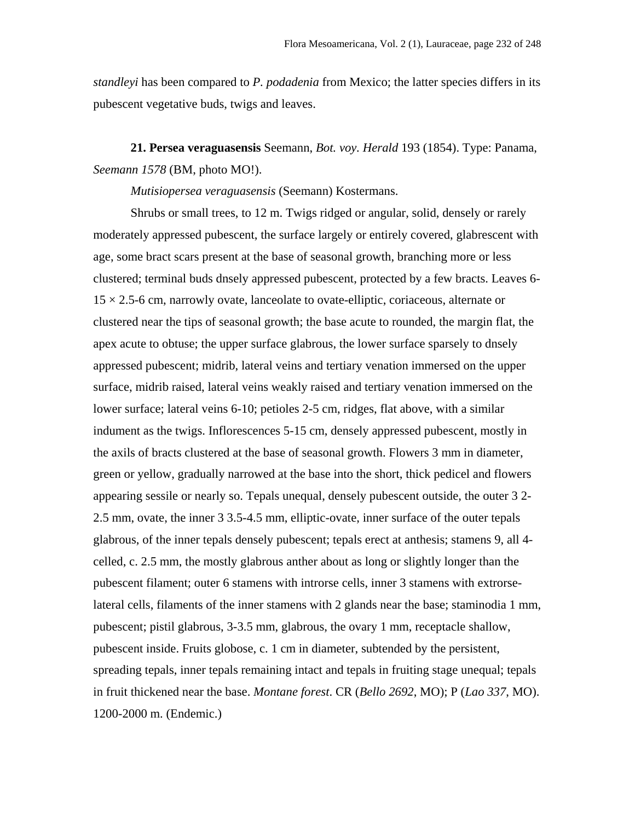*standleyi* has been compared to *P. podadenia* from Mexico; the latter species differs in its pubescent vegetative buds, twigs and leaves.

**21. Persea veraguasensis** Seemann, *Bot. voy. Herald* 193 (1854). Type: Panama, *Seemann 1578* (BM, photo MO!).

*Mutisiopersea veraguasensis* (Seemann) Kostermans.

Shrubs or small trees, to 12 m. Twigs ridged or angular, solid, densely or rarely moderately appressed pubescent, the surface largely or entirely covered, glabrescent with age, some bract scars present at the base of seasonal growth, branching more or less clustered; terminal buds dnsely appressed pubescent, protected by a few bracts. Leaves 6-  $15 \times 2.5$ -6 cm, narrowly ovate, lanceolate to ovate-elliptic, coriaceous, alternate or clustered near the tips of seasonal growth; the base acute to rounded, the margin flat, the apex acute to obtuse; the upper surface glabrous, the lower surface sparsely to dnsely appressed pubescent; midrib, lateral veins and tertiary venation immersed on the upper surface, midrib raised, lateral veins weakly raised and tertiary venation immersed on the lower surface; lateral veins 6-10; petioles 2-5 cm, ridges, flat above, with a similar indument as the twigs. Inflorescences 5-15 cm, densely appressed pubescent, mostly in the axils of bracts clustered at the base of seasonal growth. Flowers 3 mm in diameter, green or yellow, gradually narrowed at the base into the short, thick pedicel and flowers appearing sessile or nearly so. Tepals unequal, densely pubescent outside, the outer 3 2- 2.5 mm, ovate, the inner 3 3.5-4.5 mm, elliptic-ovate, inner surface of the outer tepals glabrous, of the inner tepals densely pubescent; tepals erect at anthesis; stamens 9, all 4 celled, c. 2.5 mm, the mostly glabrous anther about as long or slightly longer than the pubescent filament; outer 6 stamens with introrse cells, inner 3 stamens with extrorselateral cells, filaments of the inner stamens with 2 glands near the base; staminodia 1 mm, pubescent; pistil glabrous, 3-3.5 mm, glabrous, the ovary 1 mm, receptacle shallow, pubescent inside. Fruits globose, c. 1 cm in diameter, subtended by the persistent, spreading tepals, inner tepals remaining intact and tepals in fruiting stage unequal; tepals in fruit thickened near the base. *Montane forest*. CR (*Bello 2692*, MO); P (*Lao 337*, MO). 1200-2000 m. (Endemic.)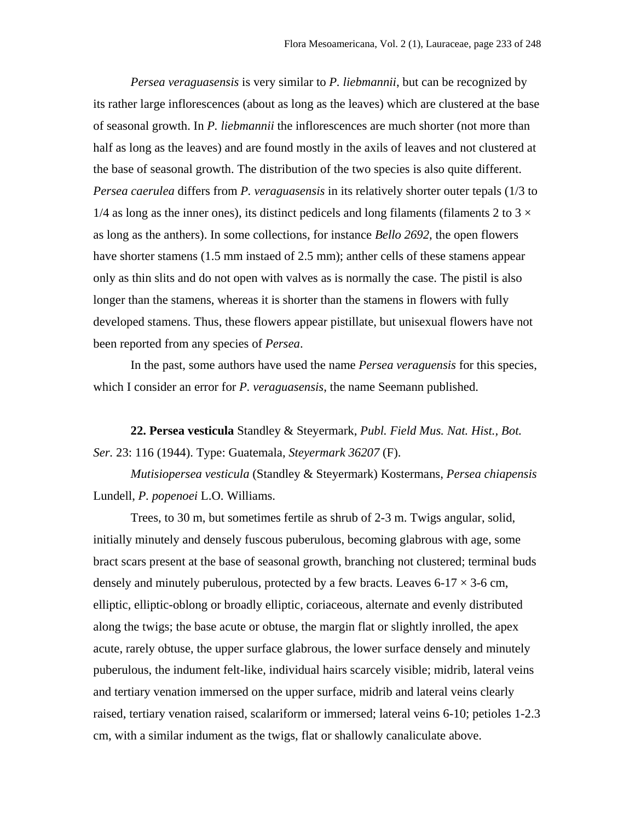*Persea veraguasensis* is very similar to *P. liebmannii*, but can be recognized by its rather large inflorescences (about as long as the leaves) which are clustered at the base of seasonal growth. In *P. liebmannii* the inflorescences are much shorter (not more than half as long as the leaves) and are found mostly in the axils of leaves and not clustered at the base of seasonal growth. The distribution of the two species is also quite different. *Persea caerulea* differs from *P. veraguasensis* in its relatively shorter outer tepals (1/3 to  $1/4$  as long as the inner ones), its distinct pedicels and long filaments (filaments 2 to 3  $\times$ as long as the anthers). In some collections, for instance *Bello 2692*, the open flowers have shorter stamens (1.5 mm instaed of 2.5 mm); anther cells of these stamens appear only as thin slits and do not open with valves as is normally the case. The pistil is also longer than the stamens, whereas it is shorter than the stamens in flowers with fully developed stamens. Thus, these flowers appear pistillate, but unisexual flowers have not been reported from any species of *Persea*.

In the past, some authors have used the name *Persea veraguensis* for this species, which I consider an error for *P. veraguasensis*, the name Seemann published.

**22. Persea vesticula** Standley & Steyermark, *Publ. Field Mus. Nat. Hist., Bot. Ser.* 23: 116 (1944). Type: Guatemala, *Steyermark 36207* (F).

*Mutisiopersea vesticula* (Standley & Steyermark) Kostermans, *Persea chiapensis* Lundell, *P. popenoei* L.O. Williams.

Trees, to 30 m, but sometimes fertile as shrub of 2-3 m. Twigs angular, solid, initially minutely and densely fuscous puberulous, becoming glabrous with age, some bract scars present at the base of seasonal growth, branching not clustered; terminal buds densely and minutely puberulous, protected by a few bracts. Leaves  $6-17 \times 3-6$  cm, elliptic, elliptic-oblong or broadly elliptic, coriaceous, alternate and evenly distributed along the twigs; the base acute or obtuse, the margin flat or slightly inrolled, the apex acute, rarely obtuse, the upper surface glabrous, the lower surface densely and minutely puberulous, the indument felt-like, individual hairs scarcely visible; midrib, lateral veins and tertiary venation immersed on the upper surface, midrib and lateral veins clearly raised, tertiary venation raised, scalariform or immersed; lateral veins 6-10; petioles 1-2.3 cm, with a similar indument as the twigs, flat or shallowly canaliculate above.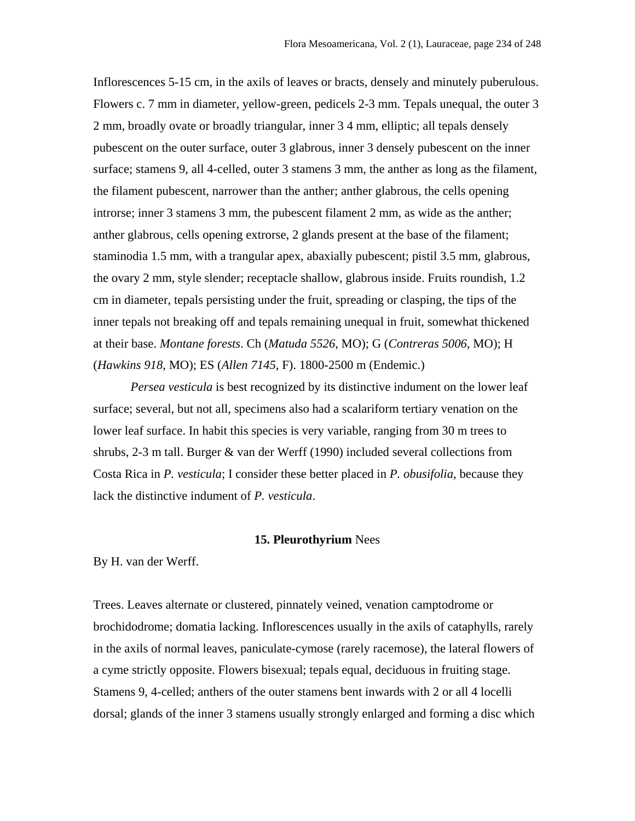Inflorescences 5-15 cm, in the axils of leaves or bracts, densely and minutely puberulous. Flowers c. 7 mm in diameter, yellow-green, pedicels 2-3 mm. Tepals unequal, the outer 3 2 mm, broadly ovate or broadly triangular, inner 3 4 mm, elliptic; all tepals densely pubescent on the outer surface, outer 3 glabrous, inner 3 densely pubescent on the inner surface; stamens 9, all 4-celled, outer 3 stamens 3 mm, the anther as long as the filament, the filament pubescent, narrower than the anther; anther glabrous, the cells opening introrse; inner 3 stamens 3 mm, the pubescent filament 2 mm, as wide as the anther; anther glabrous, cells opening extrorse, 2 glands present at the base of the filament; staminodia 1.5 mm, with a trangular apex, abaxially pubescent; pistil 3.5 mm, glabrous, the ovary 2 mm, style slender; receptacle shallow, glabrous inside. Fruits roundish, 1.2 cm in diameter, tepals persisting under the fruit, spreading or clasping, the tips of the inner tepals not breaking off and tepals remaining unequal in fruit, somewhat thickened at their base. *Montane forests*. Ch (*Matuda 5526*, MO); G (*Contreras 5006*, MO); H (*Hawkins 918*, MO); ES (*Allen 7145*, F). 1800-2500 m (Endemic.)

*Persea vesticula* is best recognized by its distinctive indument on the lower leaf surface; several, but not all, specimens also had a scalariform tertiary venation on the lower leaf surface. In habit this species is very variable, ranging from 30 m trees to shrubs, 2-3 m tall. Burger & van der Werff (1990) included several collections from Costa Rica in *P. vesticula*; I consider these better placed in *P. obusifolia*, because they lack the distinctive indument of *P. vesticula*.

### **15. Pleurothyrium** Nees

By H. van der Werff.

Trees. Leaves alternate or clustered, pinnately veined, venation camptodrome or brochidodrome; domatia lacking. Inflorescences usually in the axils of cataphylls, rarely in the axils of normal leaves, paniculate-cymose (rarely racemose), the lateral flowers of a cyme strictly opposite. Flowers bisexual; tepals equal, deciduous in fruiting stage. Stamens 9, 4-celled; anthers of the outer stamens bent inwards with 2 or all 4 locelli dorsal; glands of the inner 3 stamens usually strongly enlarged and forming a disc which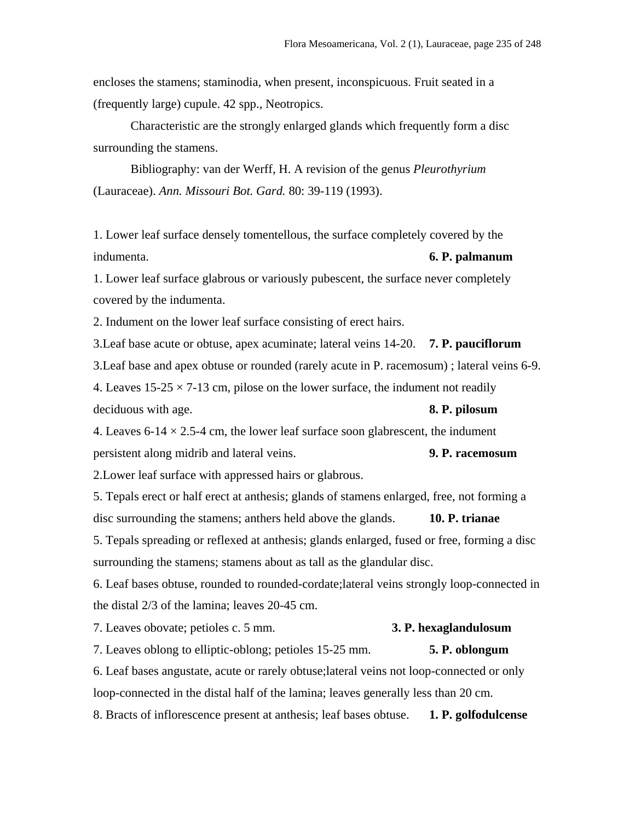encloses the stamens; staminodia, when present, inconspicuous. Fruit seated in a (frequently large) cupule. 42 spp., Neotropics.

Characteristic are the strongly enlarged glands which frequently form a disc surrounding the stamens.

Bibliography: van der Werff, H. A revision of the genus *Pleurothyrium* (Lauraceae). *Ann. Missouri Bot. Gard.* 80: 39-119 (1993).

1. Lower leaf surface densely tomentellous, the surface completely covered by the indumenta. **6. P. palmanum**

1. Lower leaf surface glabrous or variously pubescent, the surface never completely covered by the indumenta.

2. Indument on the lower leaf surface consisting of erect hairs.

3.Leaf base acute or obtuse, apex acuminate; lateral veins 14-20. **7. P. pauciflorum** 3.Leaf base and apex obtuse or rounded (rarely acute in P. racemosum) ; lateral veins 6-9.

4. Leaves  $15-25 \times 7-13$  cm, pilose on the lower surface, the indument not readily deciduous with age. **8. P. pilosum**

4. Leaves 6-14  $\times$  2.5-4 cm, the lower leaf surface soon glabrescent, the indument persistent along midrib and lateral veins. **9. P. racemosum**

2.Lower leaf surface with appressed hairs or glabrous.

5. Tepals erect or half erect at anthesis; glands of stamens enlarged, free, not forming a disc surrounding the stamens; anthers held above the glands. **10. P. trianae**

5. Tepals spreading or reflexed at anthesis; glands enlarged, fused or free, forming a disc surrounding the stamens; stamens about as tall as the glandular disc.

6. Leaf bases obtuse, rounded to rounded-cordate;lateral veins strongly loop-connected in the distal 2/3 of the lamina; leaves 20-45 cm.

7. Leaves obovate; petioles c. 5 mm. **3. P. hexaglandulosum** 7. Leaves oblong to elliptic-oblong; petioles 15-25 mm. **5. P. oblongum** 6. Leaf bases angustate, acute or rarely obtuse;lateral veins not loop-connected or only loop-connected in the distal half of the lamina; leaves generally less than 20 cm.

8. Bracts of inflorescence present at anthesis; leaf bases obtuse. **1. P. golfodulcense**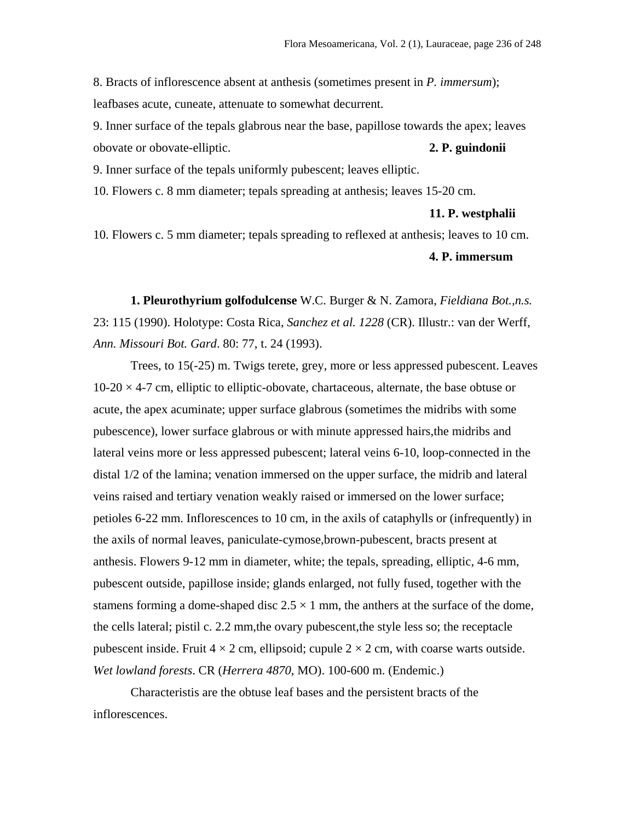8. Bracts of inflorescence absent at anthesis (sometimes present in *P. immersum*); leafbases acute, cuneate, attenuate to somewhat decurrent.

9. Inner surface of the tepals glabrous near the base, papillose towards the apex; leaves obovate or obovate-elliptic. **2. P. guindonii**

9. Inner surface of the tepals uniformly pubescent; leaves elliptic.

10. Flowers c. 8 mm diameter; tepals spreading at anthesis; leaves 15-20 cm.

#### **11. P. westphalii**

10. Flowers c. 5 mm diameter; tepals spreading to reflexed at anthesis; leaves to 10 cm.

# **4. P. immersum**

**1. Pleurothyrium golfodulcense** W.C. Burger & N. Zamora, *Fieldiana Bot.,n.s.* 23: 115 (1990). Holotype: Costa Rica, *Sanchez et al. 1228* (CR). Illustr.: van der Werff, *Ann. Missouri Bot. Gard*. 80: 77, t. 24 (1993).

Trees, to 15(-25) m. Twigs terete, grey, more or less appressed pubescent. Leaves  $10-20 \times 4-7$  cm, elliptic to elliptic-obovate, chartaceous, alternate, the base obtuse or acute, the apex acuminate; upper surface glabrous (sometimes the midribs with some pubescence), lower surface glabrous or with minute appressed hairs,the midribs and lateral veins more or less appressed pubescent; lateral veins 6-10, loop-connected in the distal 1/2 of the lamina; venation immersed on the upper surface, the midrib and lateral veins raised and tertiary venation weakly raised or immersed on the lower surface; petioles 6-22 mm. Inflorescences to 10 cm, in the axils of cataphylls or (infrequently) in the axils of normal leaves, paniculate-cymose,brown-pubescent, bracts present at anthesis. Flowers 9-12 mm in diameter, white; the tepals, spreading, elliptic, 4-6 mm, pubescent outside, papillose inside; glands enlarged, not fully fused, together with the stamens forming a dome-shaped disc  $2.5 \times 1$  mm, the anthers at the surface of the dome, the cells lateral; pistil c. 2.2 mm,the ovary pubescent,the style less so; the receptacle pubescent inside. Fruit  $4 \times 2$  cm, ellipsoid; cupule  $2 \times 2$  cm, with coarse warts outside. *Wet lowland forests*. CR (*Herrera 4870*, MO). 100-600 m. (Endemic.)

Characteristis are the obtuse leaf bases and the persistent bracts of the inflorescences.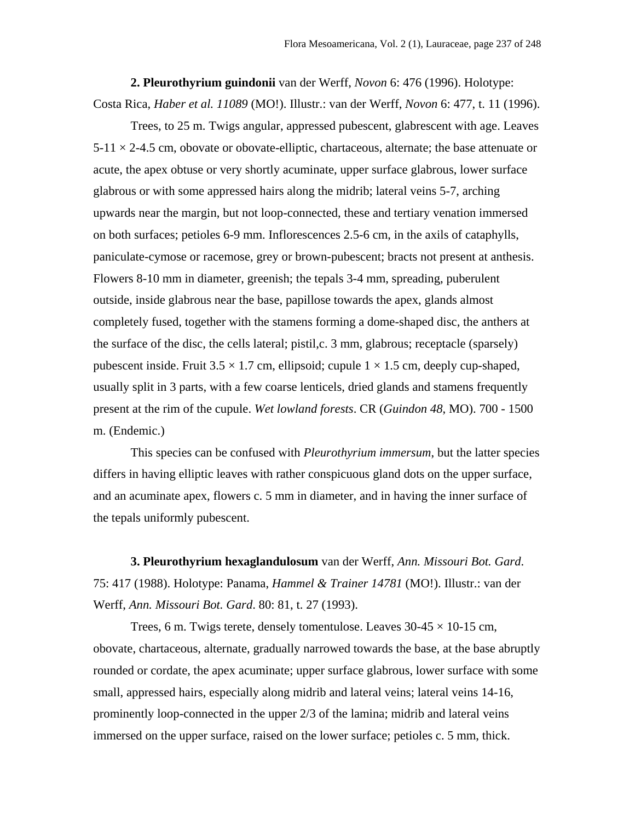**2. Pleurothyrium guindonii** van der Werff, *Novon* 6: 476 (1996). Holotype: Costa Rica, *Haber et al. 11089* (MO!). Illustr.: van der Werff, *Novon* 6: 477, t. 11 (1996).

Trees, to 25 m. Twigs angular, appressed pubescent, glabrescent with age. Leaves  $5-11 \times 2-4.5$  cm, obovate or obovate-elliptic, chartaceous, alternate; the base attenuate or acute, the apex obtuse or very shortly acuminate, upper surface glabrous, lower surface glabrous or with some appressed hairs along the midrib; lateral veins 5-7, arching upwards near the margin, but not loop-connected, these and tertiary venation immersed on both surfaces; petioles 6-9 mm. Inflorescences 2.5-6 cm, in the axils of cataphylls, paniculate-cymose or racemose, grey or brown-pubescent; bracts not present at anthesis. Flowers 8-10 mm in diameter, greenish; the tepals 3-4 mm, spreading, puberulent outside, inside glabrous near the base, papillose towards the apex, glands almost completely fused, together with the stamens forming a dome-shaped disc, the anthers at the surface of the disc, the cells lateral; pistil,c. 3 mm, glabrous; receptacle (sparsely) pubescent inside. Fruit  $3.5 \times 1.7$  cm, ellipsoid; cupule  $1 \times 1.5$  cm, deeply cup-shaped, usually split in 3 parts, with a few coarse lenticels, dried glands and stamens frequently present at the rim of the cupule. *Wet lowland forests*. CR (*Guindon 48*, MO). 700 - 1500 m. (Endemic.)

This species can be confused with *Pleurothyrium immersum*, but the latter species differs in having elliptic leaves with rather conspicuous gland dots on the upper surface, and an acuminate apex, flowers c. 5 mm in diameter, and in having the inner surface of the tepals uniformly pubescent.

**3. Pleurothyrium hexaglandulosum** van der Werff, *Ann. Missouri Bot. Gard*. 75: 417 (1988). Holotype: Panama, *Hammel & Trainer 14781* (MO!). Illustr.: van der Werff, *Ann. Missouri Bot. Gard*. 80: 81, t. 27 (1993).

Trees, 6 m. Twigs terete, densely tomentulose. Leaves  $30-45 \times 10-15$  cm, obovate, chartaceous, alternate, gradually narrowed towards the base, at the base abruptly rounded or cordate, the apex acuminate; upper surface glabrous, lower surface with some small, appressed hairs, especially along midrib and lateral veins; lateral veins 14-16, prominently loop-connected in the upper 2/3 of the lamina; midrib and lateral veins immersed on the upper surface, raised on the lower surface; petioles c. 5 mm, thick.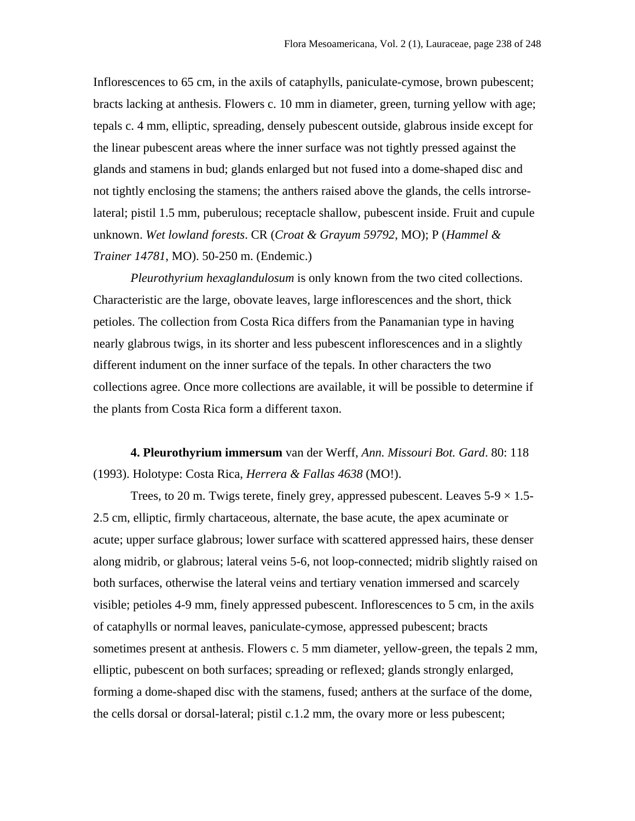Inflorescences to 65 cm, in the axils of cataphylls, paniculate-cymose, brown pubescent; bracts lacking at anthesis. Flowers c. 10 mm in diameter, green, turning yellow with age; tepals c. 4 mm, elliptic, spreading, densely pubescent outside, glabrous inside except for the linear pubescent areas where the inner surface was not tightly pressed against the glands and stamens in bud; glands enlarged but not fused into a dome-shaped disc and not tightly enclosing the stamens; the anthers raised above the glands, the cells introrselateral; pistil 1.5 mm, puberulous; receptacle shallow, pubescent inside. Fruit and cupule unknown. *Wet lowland forests*. CR (*Croat & Grayum 59792*, MO); P (*Hammel & Trainer 14781*, MO). 50-250 m. (Endemic.)

*Pleurothyrium hexaglandulosum* is only known from the two cited collections. Characteristic are the large, obovate leaves, large inflorescences and the short, thick petioles. The collection from Costa Rica differs from the Panamanian type in having nearly glabrous twigs, in its shorter and less pubescent inflorescences and in a slightly different indument on the inner surface of the tepals. In other characters the two collections agree. Once more collections are available, it will be possible to determine if the plants from Costa Rica form a different taxon.

**4. Pleurothyrium immersum** van der Werff, *Ann. Missouri Bot. Gard*. 80: 118 (1993). Holotype: Costa Rica, *Herrera & Fallas 4638* (MO!).

Trees, to 20 m. Twigs terete, finely grey, appressed pubescent. Leaves  $5\n-9 \times 1.5$ 2.5 cm, elliptic, firmly chartaceous, alternate, the base acute, the apex acuminate or acute; upper surface glabrous; lower surface with scattered appressed hairs, these denser along midrib, or glabrous; lateral veins 5-6, not loop-connected; midrib slightly raised on both surfaces, otherwise the lateral veins and tertiary venation immersed and scarcely visible; petioles 4-9 mm, finely appressed pubescent. Inflorescences to 5 cm, in the axils of cataphylls or normal leaves, paniculate-cymose, appressed pubescent; bracts sometimes present at anthesis. Flowers c. 5 mm diameter, yellow-green, the tepals 2 mm, elliptic, pubescent on both surfaces; spreading or reflexed; glands strongly enlarged, forming a dome-shaped disc with the stamens, fused; anthers at the surface of the dome, the cells dorsal or dorsal-lateral; pistil c.1.2 mm, the ovary more or less pubescent;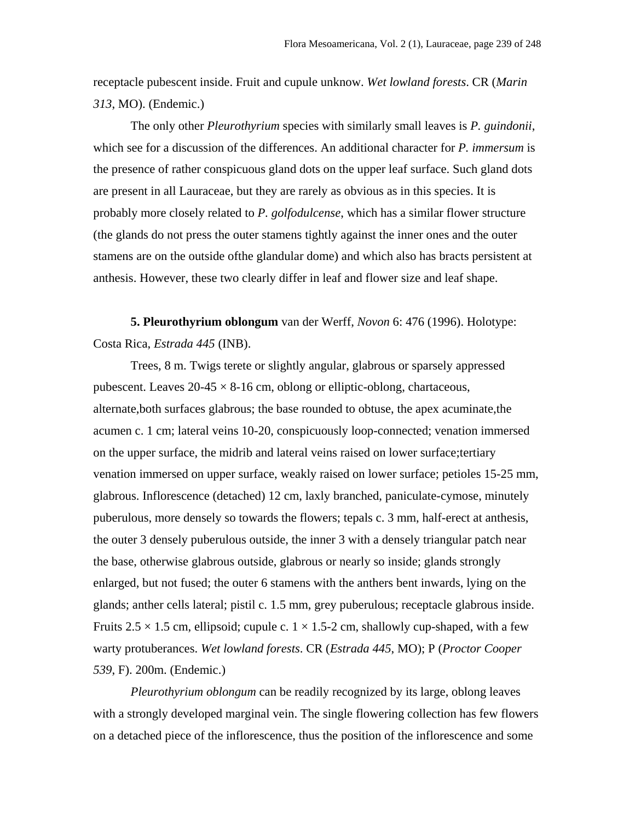receptacle pubescent inside. Fruit and cupule unknow. *Wet lowland forests*. CR (*Marin 313*, MO). (Endemic.)

The only other *Pleurothyrium* species with similarly small leaves is *P. guindonii*, which see for a discussion of the differences. An additional character for *P. immersum* is the presence of rather conspicuous gland dots on the upper leaf surface. Such gland dots are present in all Lauraceae, but they are rarely as obvious as in this species. It is probably more closely related to *P. golfodulcense*, which has a similar flower structure (the glands do not press the outer stamens tightly against the inner ones and the outer stamens are on the outside ofthe glandular dome) and which also has bracts persistent at anthesis. However, these two clearly differ in leaf and flower size and leaf shape.

**5. Pleurothyrium oblongum** van der Werff, *Novon* 6: 476 (1996). Holotype: Costa Rica, *Estrada 445* (INB).

Trees, 8 m. Twigs terete or slightly angular, glabrous or sparsely appressed pubescent. Leaves  $20-45 \times 8-16$  cm, oblong or elliptic-oblong, chartaceous, alternate,both surfaces glabrous; the base rounded to obtuse, the apex acuminate,the acumen c. 1 cm; lateral veins 10-20, conspicuously loop-connected; venation immersed on the upper surface, the midrib and lateral veins raised on lower surface;tertiary venation immersed on upper surface, weakly raised on lower surface; petioles 15-25 mm, glabrous. Inflorescence (detached) 12 cm, laxly branched, paniculate-cymose, minutely puberulous, more densely so towards the flowers; tepals c. 3 mm, half-erect at anthesis, the outer 3 densely puberulous outside, the inner 3 with a densely triangular patch near the base, otherwise glabrous outside, glabrous or nearly so inside; glands strongly enlarged, but not fused; the outer 6 stamens with the anthers bent inwards, lying on the glands; anther cells lateral; pistil c. 1.5 mm, grey puberulous; receptacle glabrous inside. Fruits  $2.5 \times 1.5$  cm, ellipsoid; cupule c.  $1 \times 1.5$ -2 cm, shallowly cup-shaped, with a few warty protuberances. *Wet lowland forests*. CR (*Estrada 445*, MO); P (*Proctor Cooper 539*, F). 200m. (Endemic.)

*Pleurothyrium oblongum* can be readily recognized by its large, oblong leaves with a strongly developed marginal vein. The single flowering collection has few flowers on a detached piece of the inflorescence, thus the position of the inflorescence and some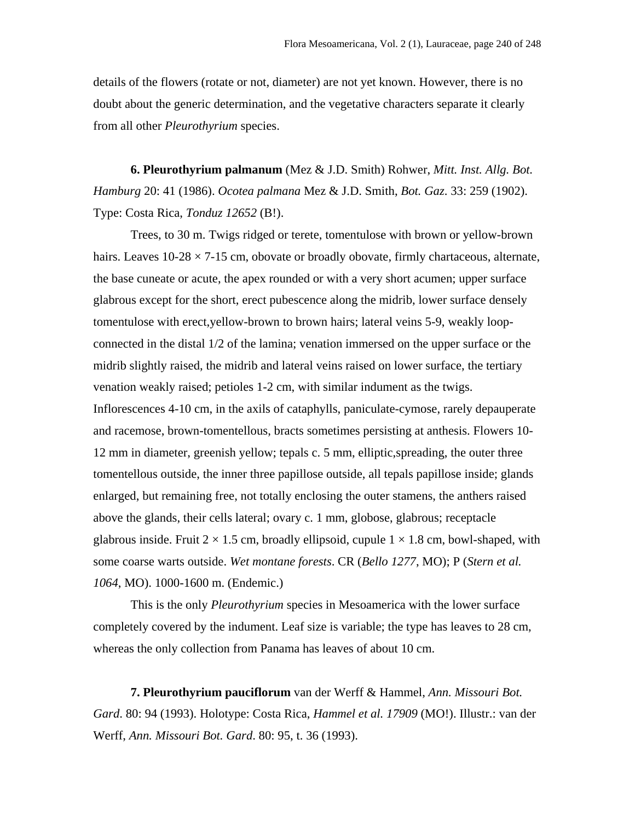details of the flowers (rotate or not, diameter) are not yet known. However, there is no doubt about the generic determination, and the vegetative characters separate it clearly from all other *Pleurothyrium* species.

**6. Pleurothyrium palmanum** (Mez & J.D. Smith) Rohwer, *Mitt. Inst. Allg. Bot. Hamburg* 20: 41 (1986). *Ocotea palmana* Mez & J.D. Smith, *Bot. Gaz*. 33: 259 (1902). Type: Costa Rica, *Tonduz 12652* (B!).

Trees, to 30 m. Twigs ridged or terete, tomentulose with brown or yellow-brown hairs. Leaves  $10\n-28 \times 7\n-15$  cm, obovate or broadly obovate, firmly chartaceous, alternate, the base cuneate or acute, the apex rounded or with a very short acumen; upper surface glabrous except for the short, erect pubescence along the midrib, lower surface densely tomentulose with erect,yellow-brown to brown hairs; lateral veins 5-9, weakly loopconnected in the distal 1/2 of the lamina; venation immersed on the upper surface or the midrib slightly raised, the midrib and lateral veins raised on lower surface, the tertiary venation weakly raised; petioles 1-2 cm, with similar indument as the twigs. Inflorescences 4-10 cm, in the axils of cataphylls, paniculate-cymose, rarely depauperate and racemose, brown-tomentellous, bracts sometimes persisting at anthesis. Flowers 10- 12 mm in diameter, greenish yellow; tepals c. 5 mm, elliptic,spreading, the outer three tomentellous outside, the inner three papillose outside, all tepals papillose inside; glands enlarged, but remaining free, not totally enclosing the outer stamens, the anthers raised above the glands, their cells lateral; ovary c. 1 mm, globose, glabrous; receptacle glabrous inside. Fruit  $2 \times 1.5$  cm, broadly ellipsoid, cupule  $1 \times 1.8$  cm, bowl-shaped, with some coarse warts outside. *Wet montane forests*. CR (*Bello 1277*, MO); P (*Stern et al. 1064*, MO). 1000-1600 m. (Endemic.)

This is the only *Pleurothyrium* species in Mesoamerica with the lower surface completely covered by the indument. Leaf size is variable; the type has leaves to 28 cm, whereas the only collection from Panama has leaves of about 10 cm.

**7. Pleurothyrium pauciflorum** van der Werff & Hammel, *Ann. Missouri Bot. Gard*. 80: 94 (1993). Holotype: Costa Rica, *Hammel et al. 17909* (MO!). Illustr.: van der Werff, *Ann. Missouri Bot. Gard*. 80: 95, t. 36 (1993).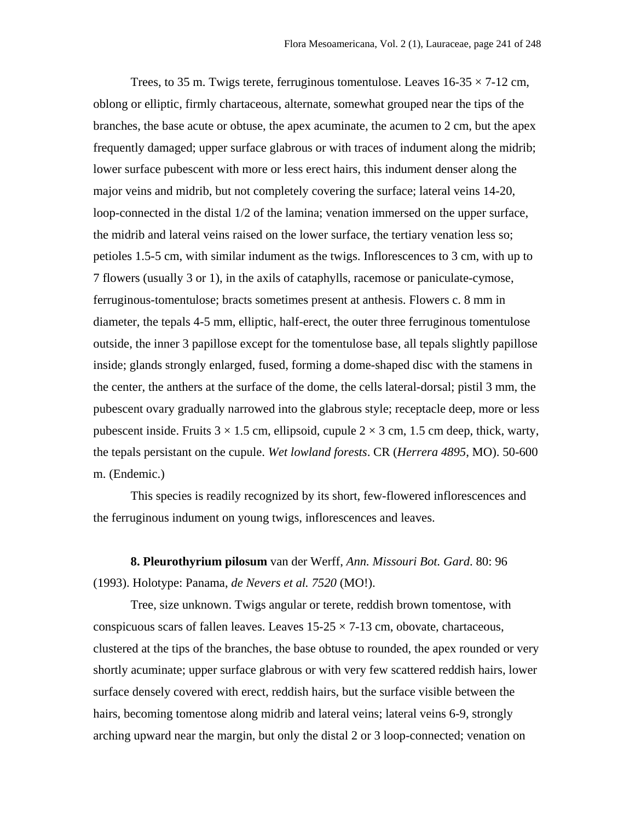Trees, to 35 m. Twigs terete, ferruginous tomentulose. Leaves  $16-35 \times 7-12$  cm, oblong or elliptic, firmly chartaceous, alternate, somewhat grouped near the tips of the branches, the base acute or obtuse, the apex acuminate, the acumen to 2 cm, but the apex frequently damaged; upper surface glabrous or with traces of indument along the midrib; lower surface pubescent with more or less erect hairs, this indument denser along the major veins and midrib, but not completely covering the surface; lateral veins 14-20, loop-connected in the distal 1/2 of the lamina; venation immersed on the upper surface, the midrib and lateral veins raised on the lower surface, the tertiary venation less so; petioles 1.5-5 cm, with similar indument as the twigs. Inflorescences to 3 cm, with up to 7 flowers (usually 3 or 1), in the axils of cataphylls, racemose or paniculate-cymose, ferruginous-tomentulose; bracts sometimes present at anthesis. Flowers c. 8 mm in diameter, the tepals 4-5 mm, elliptic, half-erect, the outer three ferruginous tomentulose outside, the inner 3 papillose except for the tomentulose base, all tepals slightly papillose inside; glands strongly enlarged, fused, forming a dome-shaped disc with the stamens in the center, the anthers at the surface of the dome, the cells lateral-dorsal; pistil 3 mm, the pubescent ovary gradually narrowed into the glabrous style; receptacle deep, more or less pubescent inside. Fruits  $3 \times 1.5$  cm, ellipsoid, cupule  $2 \times 3$  cm, 1.5 cm deep, thick, warty, the tepals persistant on the cupule. *Wet lowland forests*. CR (*Herrera 4895*, MO). 50-600 m. (Endemic.)

This species is readily recognized by its short, few-flowered inflorescences and the ferruginous indument on young twigs, inflorescences and leaves.

**8. Pleurothyrium pilosum** van der Werff, *Ann. Missouri Bot. Gard*. 80: 96 (1993). Holotype: Panama, *de Nevers et al. 7520* (MO!).

Tree, size unknown. Twigs angular or terete, reddish brown tomentose, with conspicuous scars of fallen leaves. Leaves  $15-25 \times 7-13$  cm, obovate, chartaceous, clustered at the tips of the branches, the base obtuse to rounded, the apex rounded or very shortly acuminate; upper surface glabrous or with very few scattered reddish hairs, lower surface densely covered with erect, reddish hairs, but the surface visible between the hairs, becoming tomentose along midrib and lateral veins; lateral veins 6-9, strongly arching upward near the margin, but only the distal 2 or 3 loop-connected; venation on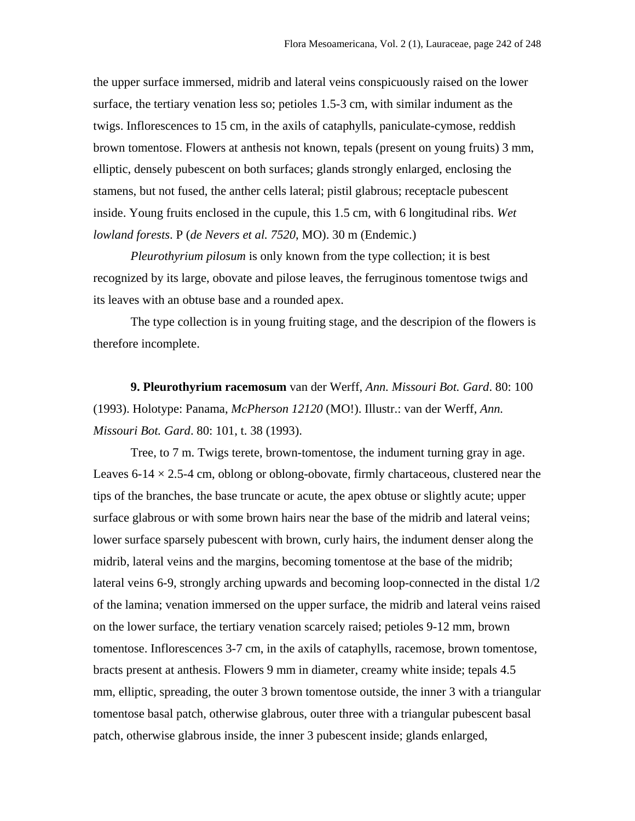the upper surface immersed, midrib and lateral veins conspicuously raised on the lower surface, the tertiary venation less so; petioles 1.5-3 cm, with similar indument as the twigs. Inflorescences to 15 cm, in the axils of cataphylls, paniculate-cymose, reddish brown tomentose. Flowers at anthesis not known, tepals (present on young fruits) 3 mm, elliptic, densely pubescent on both surfaces; glands strongly enlarged, enclosing the stamens, but not fused, the anther cells lateral; pistil glabrous; receptacle pubescent inside. Young fruits enclosed in the cupule, this 1.5 cm, with 6 longitudinal ribs. *Wet lowland forests*. P (*de Nevers et al. 7520*, MO). 30 m (Endemic.)

*Pleurothyrium pilosum* is only known from the type collection; it is best recognized by its large, obovate and pilose leaves, the ferruginous tomentose twigs and its leaves with an obtuse base and a rounded apex.

The type collection is in young fruiting stage, and the descripion of the flowers is therefore incomplete.

**9. Pleurothyrium racemosum** van der Werff, *Ann. Missouri Bot. Gard*. 80: 100 (1993). Holotype: Panama, *McPherson 12120* (MO!). Illustr.: van der Werff, *Ann. Missouri Bot. Gard*. 80: 101, t. 38 (1993).

Tree, to 7 m. Twigs terete, brown-tomentose, the indument turning gray in age. Leaves 6-14  $\times$  2.5-4 cm, oblong or oblong-obovate, firmly chartaceous, clustered near the tips of the branches, the base truncate or acute, the apex obtuse or slightly acute; upper surface glabrous or with some brown hairs near the base of the midrib and lateral veins; lower surface sparsely pubescent with brown, curly hairs, the indument denser along the midrib, lateral veins and the margins, becoming tomentose at the base of the midrib; lateral veins 6-9, strongly arching upwards and becoming loop-connected in the distal 1/2 of the lamina; venation immersed on the upper surface, the midrib and lateral veins raised on the lower surface, the tertiary venation scarcely raised; petioles 9-12 mm, brown tomentose. Inflorescences 3-7 cm, in the axils of cataphylls, racemose, brown tomentose, bracts present at anthesis. Flowers 9 mm in diameter, creamy white inside; tepals 4.5 mm, elliptic, spreading, the outer 3 brown tomentose outside, the inner 3 with a triangular tomentose basal patch, otherwise glabrous, outer three with a triangular pubescent basal patch, otherwise glabrous inside, the inner 3 pubescent inside; glands enlarged,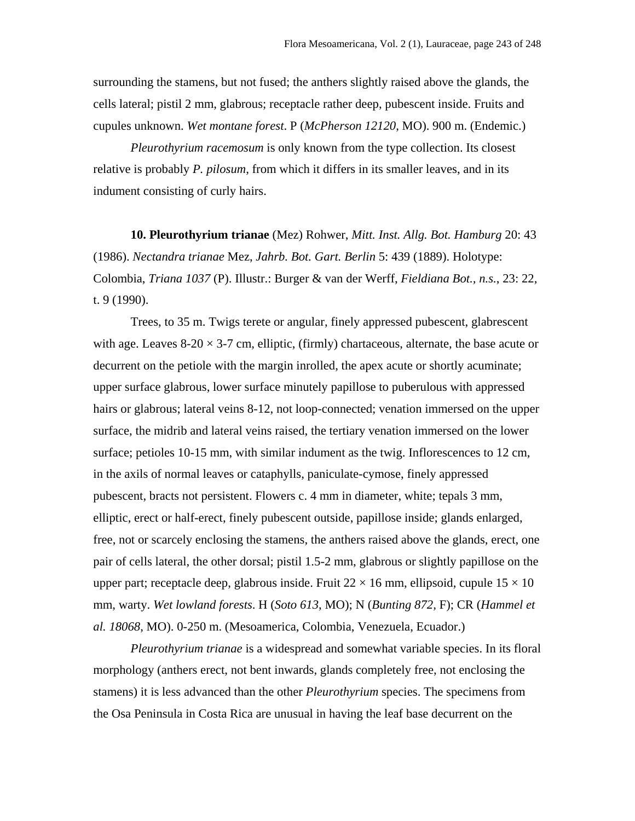surrounding the stamens, but not fused; the anthers slightly raised above the glands, the cells lateral; pistil 2 mm, glabrous; receptacle rather deep, pubescent inside. Fruits and cupules unknown. *Wet montane forest*. P (*McPherson 12120*, MO). 900 m. (Endemic.)

*Pleurothyrium racemosum* is only known from the type collection. Its closest relative is probably *P. pilosum*, from which it differs in its smaller leaves, and in its indument consisting of curly hairs.

**10. Pleurothyrium trianae** (Mez) Rohwer, *Mitt. Inst. Allg. Bot. Hamburg* 20: 43 (1986). *Nectandra trianae* Mez, *Jahrb. Bot. Gart. Berlin* 5: 439 (1889). Holotype: Colombia, *Triana 1037* (P). Illustr.: Burger & van der Werff, *Fieldiana Bot., n.s.*, 23: 22, t. 9 (1990).

Trees, to 35 m. Twigs terete or angular, finely appressed pubescent, glabrescent with age. Leaves  $8-20 \times 3-7$  cm, elliptic, (firmly) chartaceous, alternate, the base acute or decurrent on the petiole with the margin inrolled, the apex acute or shortly acuminate; upper surface glabrous, lower surface minutely papillose to puberulous with appressed hairs or glabrous; lateral veins 8-12, not loop-connected; venation immersed on the upper surface, the midrib and lateral veins raised, the tertiary venation immersed on the lower surface; petioles 10-15 mm, with similar indument as the twig. Inflorescences to 12 cm, in the axils of normal leaves or cataphylls, paniculate-cymose, finely appressed pubescent, bracts not persistent. Flowers c. 4 mm in diameter, white; tepals 3 mm, elliptic, erect or half-erect, finely pubescent outside, papillose inside; glands enlarged, free, not or scarcely enclosing the stamens, the anthers raised above the glands, erect, one pair of cells lateral, the other dorsal; pistil 1.5-2 mm, glabrous or slightly papillose on the upper part; receptacle deep, glabrous inside. Fruit  $22 \times 16$  mm, ellipsoid, cupule  $15 \times 10$ mm, warty. *Wet lowland forests*. H (*Soto 613*, MO); N (*Bunting 872,* F); CR (*Hammel et al. 18068*, MO). 0-250 m. (Mesoamerica, Colombia, Venezuela, Ecuador.)

*Pleurothyrium trianae* is a widespread and somewhat variable species. In its floral morphology (anthers erect, not bent inwards, glands completely free, not enclosing the stamens) it is less advanced than the other *Pleurothyrium* species. The specimens from the Osa Peninsula in Costa Rica are unusual in having the leaf base decurrent on the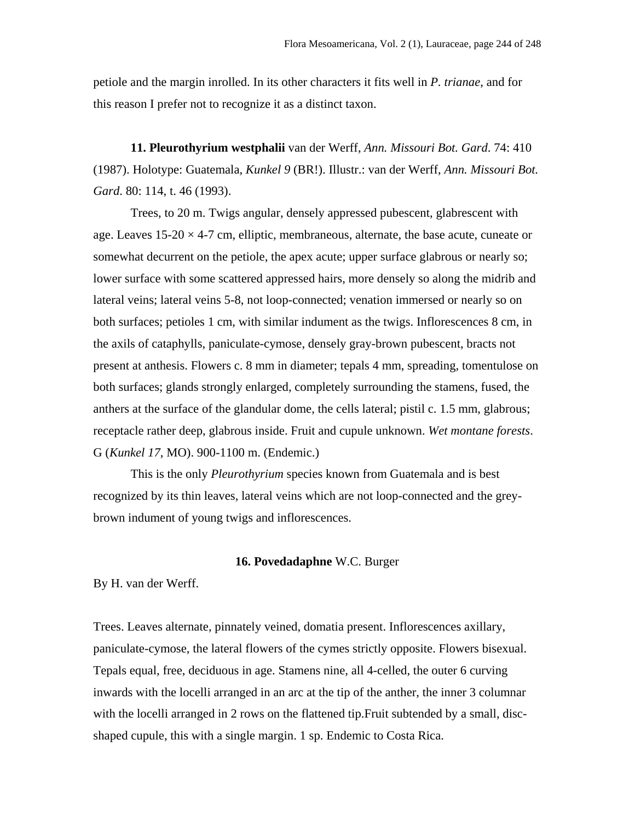petiole and the margin inrolled. In its other characters it fits well in *P. trianae*, and for this reason I prefer not to recognize it as a distinct taxon.

**11. Pleurothyrium westphalii** van der Werff, *Ann. Missouri Bot. Gard*. 74: 410 (1987). Holotype: Guatemala, *Kunkel 9* (BR!). Illustr.: van der Werff, *Ann. Missouri Bot. Gard*. 80: 114, t. 46 (1993).

Trees, to 20 m. Twigs angular, densely appressed pubescent, glabrescent with age. Leaves  $15{\text -}20 \times 4{\text -}7$  cm, elliptic, membraneous, alternate, the base acute, cuneate or somewhat decurrent on the petiole, the apex acute; upper surface glabrous or nearly so; lower surface with some scattered appressed hairs, more densely so along the midrib and lateral veins; lateral veins 5-8, not loop-connected; venation immersed or nearly so on both surfaces; petioles 1 cm, with similar indument as the twigs. Inflorescences 8 cm, in the axils of cataphylls, paniculate-cymose, densely gray-brown pubescent, bracts not present at anthesis. Flowers c. 8 mm in diameter; tepals 4 mm, spreading, tomentulose on both surfaces; glands strongly enlarged, completely surrounding the stamens, fused, the anthers at the surface of the glandular dome, the cells lateral; pistil c. 1.5 mm, glabrous; receptacle rather deep, glabrous inside. Fruit and cupule unknown. *Wet montane forests*. G (*Kunkel 17*, MO). 900-1100 m. (Endemic.)

This is the only *Pleurothyrium* species known from Guatemala and is best recognized by its thin leaves, lateral veins which are not loop-connected and the greybrown indument of young twigs and inflorescences.

## **16. Povedadaphne** W.C. Burger

By H. van der Werff.

Trees. Leaves alternate, pinnately veined, domatia present. Inflorescences axillary, paniculate-cymose, the lateral flowers of the cymes strictly opposite. Flowers bisexual. Tepals equal, free, deciduous in age. Stamens nine, all 4-celled, the outer 6 curving inwards with the locelli arranged in an arc at the tip of the anther, the inner 3 columnar with the locelli arranged in 2 rows on the flattened tip. Fruit subtended by a small, discshaped cupule, this with a single margin. 1 sp. Endemic to Costa Rica.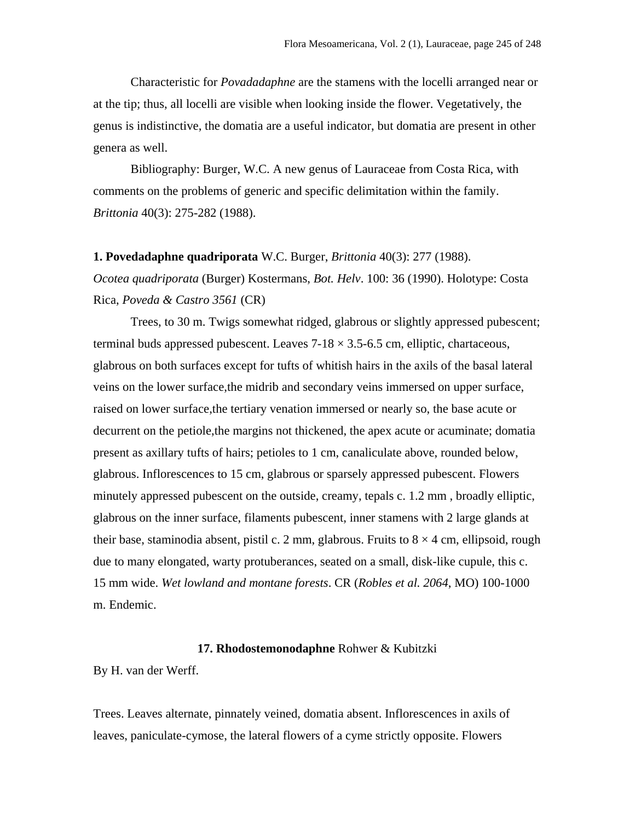Characteristic for *Povadadaphne* are the stamens with the locelli arranged near or at the tip; thus, all locelli are visible when looking inside the flower. Vegetatively, the genus is indistinctive, the domatia are a useful indicator, but domatia are present in other genera as well.

Bibliography: Burger, W.C. A new genus of Lauraceae from Costa Rica, with comments on the problems of generic and specific delimitation within the family. *Brittonia* 40(3): 275-282 (1988).

#### **1. Povedadaphne quadriporata** W.C. Burger, *Brittonia* 40(3): 277 (1988).

*Ocotea quadriporata* (Burger) Kostermans, *Bot. Helv*. 100: 36 (1990). Holotype: Costa Rica, *Poveda & Castro 3561* (CR)

Trees, to 30 m. Twigs somewhat ridged, glabrous or slightly appressed pubescent; terminal buds appressed pubescent. Leaves  $7-18 \times 3.5-6.5$  cm, elliptic, chartaceous, glabrous on both surfaces except for tufts of whitish hairs in the axils of the basal lateral veins on the lower surface,the midrib and secondary veins immersed on upper surface, raised on lower surface,the tertiary venation immersed or nearly so, the base acute or decurrent on the petiole, the margins not thickened, the apex acute or acuminate; domatia present as axillary tufts of hairs; petioles to 1 cm, canaliculate above, rounded below, glabrous. Inflorescences to 15 cm, glabrous or sparsely appressed pubescent. Flowers minutely appressed pubescent on the outside, creamy, tepals c. 1.2 mm , broadly elliptic, glabrous on the inner surface, filaments pubescent, inner stamens with 2 large glands at their base, staminodia absent, pistil c. 2 mm, glabrous. Fruits to  $8 \times 4$  cm, ellipsoid, rough due to many elongated, warty protuberances, seated on a small, disk-like cupule, this c. 15 mm wide. *Wet lowland and montane forests*. CR (*Robles et al. 2064*, MO) 100-1000 m. Endemic.

## **17. Rhodostemonodaphne** Rohwer & Kubitzki

By H. van der Werff.

Trees. Leaves alternate, pinnately veined, domatia absent. Inflorescences in axils of leaves, paniculate-cymose, the lateral flowers of a cyme strictly opposite. Flowers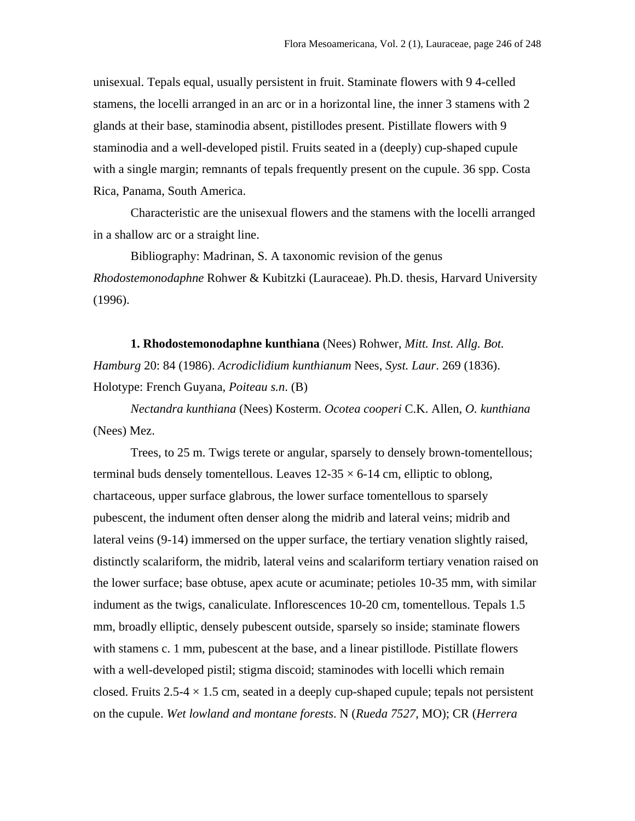unisexual. Tepals equal, usually persistent in fruit. Staminate flowers with 9 4-celled stamens, the locelli arranged in an arc or in a horizontal line, the inner 3 stamens with 2 glands at their base, staminodia absent, pistillodes present. Pistillate flowers with 9 staminodia and a well-developed pistil. Fruits seated in a (deeply) cup-shaped cupule with a single margin; remnants of tepals frequently present on the cupule. 36 spp. Costa Rica, Panama, South America.

Characteristic are the unisexual flowers and the stamens with the locelli arranged in a shallow arc or a straight line.

Bibliography: Madrinan, S. A taxonomic revision of the genus *Rhodostemonodaphne* Rohwer & Kubitzki (Lauraceae). Ph.D. thesis, Harvard University (1996).

**1. Rhodostemonodaphne kunthiana** (Nees) Rohwer, *Mitt. Inst. Allg. Bot. Hamburg* 20: 84 (1986). *Acrodiclidium kunthianum* Nees, *Syst. Laur*. 269 (1836). Holotype: French Guyana, *Poiteau s.n*. (B)

*Nectandra kunthiana* (Nees) Kosterm. *Ocotea cooperi* C.K. Allen, *O. kunthiana* (Nees) Mez.

Trees, to 25 m. Twigs terete or angular, sparsely to densely brown-tomentellous; terminal buds densely tomentellous. Leaves  $12{\text -}35 \times 6{\text -}14$  cm, elliptic to oblong, chartaceous, upper surface glabrous, the lower surface tomentellous to sparsely pubescent, the indument often denser along the midrib and lateral veins; midrib and lateral veins (9-14) immersed on the upper surface, the tertiary venation slightly raised, distinctly scalariform, the midrib, lateral veins and scalariform tertiary venation raised on the lower surface; base obtuse, apex acute or acuminate; petioles 10-35 mm, with similar indument as the twigs, canaliculate. Inflorescences 10-20 cm, tomentellous. Tepals 1.5 mm, broadly elliptic, densely pubescent outside, sparsely so inside; staminate flowers with stamens c. 1 mm, pubescent at the base, and a linear pistillode. Pistillate flowers with a well-developed pistil; stigma discoid; staminodes with locelli which remain closed. Fruits 2.5-4  $\times$  1.5 cm, seated in a deeply cup-shaped cupule; tepals not persistent on the cupule. *Wet lowland and montane forests*. N (*Rueda 7527*, MO); CR (*Herrera*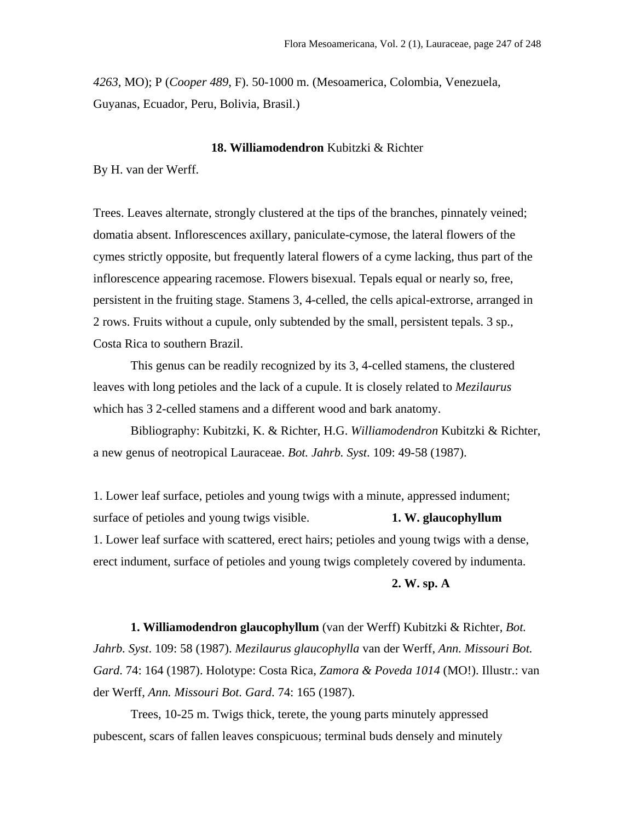*4263*, MO); P (*Cooper 489*, F). 50-1000 m. (Mesoamerica, Colombia, Venezuela, Guyanas, Ecuador, Peru, Bolivia, Brasil.)

### **18. Williamodendron** Kubitzki & Richter

By H. van der Werff.

Trees. Leaves alternate, strongly clustered at the tips of the branches, pinnately veined; domatia absent. Inflorescences axillary, paniculate-cymose, the lateral flowers of the cymes strictly opposite, but frequently lateral flowers of a cyme lacking, thus part of the inflorescence appearing racemose. Flowers bisexual. Tepals equal or nearly so, free, persistent in the fruiting stage. Stamens 3, 4-celled, the cells apical-extrorse, arranged in 2 rows. Fruits without a cupule, only subtended by the small, persistent tepals. 3 sp., Costa Rica to southern Brazil.

This genus can be readily recognized by its 3, 4-celled stamens, the clustered leaves with long petioles and the lack of a cupule. It is closely related to *Mezilaurus* which has 3 2-celled stamens and a different wood and bark anatomy.

Bibliography: Kubitzki, K. & Richter, H.G. *Williamodendron* Kubitzki & Richter, a new genus of neotropical Lauraceae. *Bot. Jahrb. Syst*. 109: 49-58 (1987).

1. Lower leaf surface, petioles and young twigs with a minute, appressed indument; surface of petioles and young twigs visible. **1. W. glaucophyllum** 1. Lower leaf surface with scattered, erect hairs; petioles and young twigs with a dense, erect indument, surface of petioles and young twigs completely covered by indumenta.

## **2. W. sp. A**

**1. Williamodendron glaucophyllum** (van der Werff) Kubitzki & Richter, *Bot. Jahrb. Syst*. 109: 58 (1987). *Mezilaurus glaucophylla* van der Werff, *Ann. Missouri Bot. Gard*. 74: 164 (1987). Holotype: Costa Rica, *Zamora & Poveda 1014* (MO!). Illustr.: van der Werff, *Ann. Missouri Bot. Gard*. 74: 165 (1987).

 Trees, 10-25 m. Twigs thick, terete, the young parts minutely appressed pubescent, scars of fallen leaves conspicuous; terminal buds densely and minutely